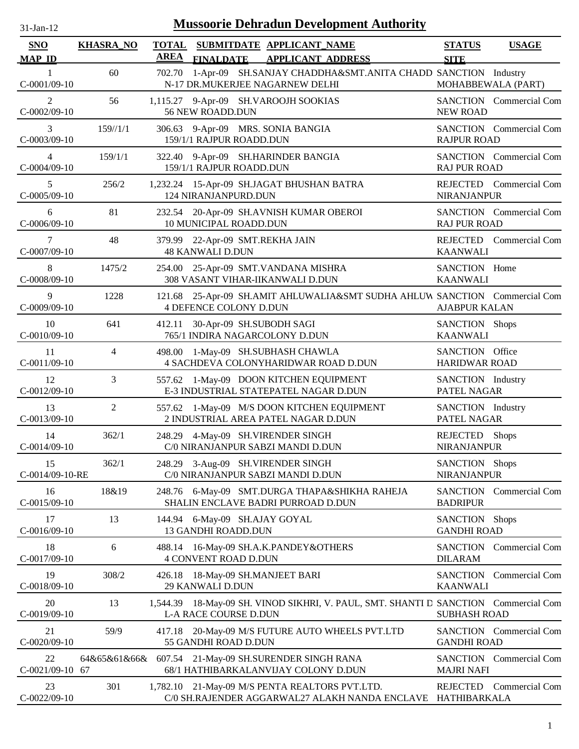| $31-Jan-12$                 | <b>Mussoorie Dehradun Development Authority</b> |             |                                                                                                                     |                                         |                                |  |  |  |  |  |
|-----------------------------|-------------------------------------------------|-------------|---------------------------------------------------------------------------------------------------------------------|-----------------------------------------|--------------------------------|--|--|--|--|--|
| <b>SNO</b><br><b>MAP ID</b> | <b>KHASRA_NO</b>                                | <b>AREA</b> | TOTAL SUBMITDATE APPLICANT NAME<br><b>FINALDATE</b><br><b>APPLICANT ADDRESS</b>                                     | <b>STATUS</b><br><b>SITE</b>            | <b>USAGE</b>                   |  |  |  |  |  |
| $C-0001/09-10$              | 60                                              | 702.70      | 1-Apr-09 SH.SANJAY CHADDHA&SMT.ANITA CHADD SANCTION Industry<br>N-17 DR.MUKERJEE NAGARNEW DELHI                     |                                         | MOHABBEWALA (PART)             |  |  |  |  |  |
| 2<br>$C-0002/09-10$         | 56                                              |             | 1,115.27 9-Apr-09 SH.VAROOJH SOOKIAS<br>56 NEW ROADD.DUN                                                            | <b>NEW ROAD</b>                         | SANCTION Commercial Com        |  |  |  |  |  |
| 3<br>$C-0003/09-10$         | 159/1/1                                         |             | 306.63 9-Apr-09 MRS. SONIA BANGIA<br>159/1/1 RAJPUR ROADD.DUN                                                       | <b>RAJPUR ROAD</b>                      | <b>SANCTION</b> Commercial Com |  |  |  |  |  |
| 4<br>$C-0004/09-10$         | 159/1/1                                         |             | 322.40 9-Apr-09 SH.HARINDER BANGIA<br>159/1/1 RAJPUR ROADD.DUN                                                      | <b>RAJ PUR ROAD</b>                     | SANCTION Commercial Com        |  |  |  |  |  |
| 5<br>$C-0005/09-10$         | 256/2                                           |             | 1,232.24 15-Apr-09 SH.JAGAT BHUSHAN BATRA<br>124 NIRANJANPURD.DUN                                                   | <b>NIRANJANPUR</b>                      | REJECTED Commercial Com        |  |  |  |  |  |
| 6<br>C-0006/09-10           | 81                                              |             | 232.54 20-Apr-09 SH.AVNISH KUMAR OBEROI<br>10 MUNICIPAL ROADD.DUN                                                   | <b>RAJ PUR ROAD</b>                     | SANCTION Commercial Com        |  |  |  |  |  |
| 7<br>$C-0007/09-10$         | 48                                              |             | 379.99 22-Apr-09 SMT.REKHA JAIN<br><b>48 KANWALI D.DUN</b>                                                          | <b>KAANWALI</b>                         | REJECTED Commercial Com        |  |  |  |  |  |
| 8<br>$C-0008/09-10$         | 1475/2                                          |             | 254.00 25-Apr-09 SMT.VANDANA MISHRA<br>308 VASANT VIHAR-IIKANWALI D.DUN                                             | SANCTION Home<br><b>KAANWALI</b>        |                                |  |  |  |  |  |
| 9<br>$C-0009/09-10$         | 1228                                            |             | 121.68 25-Apr-09 SH.AMIT AHLUWALIA&SMT SUDHA AHLUW SANCTION Commercial Com<br><b>4 DEFENCE COLONY D.DUN</b>         | <b>AJABPUR KALAN</b>                    |                                |  |  |  |  |  |
| 10<br>C-0010/09-10          | 641                                             |             | 412.11 30-Apr-09 SH.SUBODH SAGI<br>765/1 INDIRA NAGARCOLONY D.DUN                                                   | SANCTION Shops<br><b>KAANWALI</b>       |                                |  |  |  |  |  |
| 11<br>$C-0011/09-10$        | $\overline{4}$                                  | 498.00      | 1-May-09 SH.SUBHASH CHAWLA<br>4 SACHDEVA COLONYHARIDWAR ROAD D.DUN                                                  | SANCTION Office<br><b>HARIDWAR ROAD</b> |                                |  |  |  |  |  |
| 12<br>$C-0012/09-10$        | 3                                               |             | 557.62 1-May-09 DOON KITCHEN EQUIPMENT<br>E-3 INDUSTRIAL STATEPATEL NAGAR D.DUN                                     | SANCTION Industry<br>PATEL NAGAR        |                                |  |  |  |  |  |
| 13<br>$C-0013/09-10$        | 2                                               |             | 557.62 1-May-09 M/S DOON KITCHEN EQUIPMENT<br>2 INDUSTRIAL AREA PATEL NAGAR D.DUN                                   | SANCTION Industry<br>PATEL NAGAR        |                                |  |  |  |  |  |
| 14<br>$C-0014/09-10$        | 362/1                                           |             | 248.29 4-May-09 SH.VIRENDER SINGH<br>C/0 NIRANJANPUR SABZI MANDI D.DUN                                              | REJECTED Shops<br><b>NIRANJANPUR</b>    |                                |  |  |  |  |  |
| 15<br>C-0014/09-10-RE       | 362/1                                           |             | 248.29 3-Aug-09 SH.VIRENDER SINGH<br>C/0 NIRANJANPUR SABZI MANDI D.DUN                                              | SANCTION Shops<br><b>NIRANJANPUR</b>    |                                |  |  |  |  |  |
| 16<br>$C-0015/09-10$        | 18&19                                           |             | 248.76 6-May-09 SMT.DURGA THAPA&SHIKHA RAHEJA<br>SHALIN ENCLAVE BADRI PURROAD D.DUN                                 | <b>BADRIPUR</b>                         | SANCTION Commercial Com        |  |  |  |  |  |
| 17<br>$C-0016/09-10$        | 13                                              |             | 144.94 6-May-09 SH.AJAY GOYAL<br>13 GANDHI ROADD.DUN                                                                | SANCTION Shops<br><b>GANDHI ROAD</b>    |                                |  |  |  |  |  |
| 18<br>$C-0017/09-10$        | 6                                               |             | 488.14 16-May-09 SH.A.K.PANDEY&OTHERS<br><b>4 CONVENT ROAD D.DUN</b>                                                | <b>DILARAM</b>                          | SANCTION Commercial Com        |  |  |  |  |  |
| 19<br>C-0018/09-10          | 308/2                                           |             | 426.18 18-May-09 SH.MANJEET BARI<br>29 KANWALI D.DUN                                                                | <b>KAANWALI</b>                         | <b>SANCTION</b> Commercial Com |  |  |  |  |  |
| 20<br>$C-0019/09-10$        | 13                                              |             | 1,544.39 18-May-09 SH. VINOD SIKHRI, V. PAUL, SMT. SHANTI D SANCTION Commercial Com<br><b>L-A RACE COURSE D.DUN</b> | <b>SUBHASH ROAD</b>                     |                                |  |  |  |  |  |
| 21<br>$C-0020/09-10$        | 59/9                                            |             | 417.18 20-May-09 M/S FUTURE AUTO WHEELS PVT.LTD<br>55 GANDHI ROAD D.DUN                                             | <b>GANDHI ROAD</b>                      | SANCTION Commercial Com        |  |  |  |  |  |
| 22<br>C-0021/09-10 67       | 64&65&61&66&                                    |             | 607.54 21-May-09 SH.SURENDER SINGH RANA<br>68/1 HATHIBARKALANVIJAY COLONY D.DUN                                     | <b>MAJRI NAFI</b>                       | SANCTION Commercial Com        |  |  |  |  |  |
| 23<br>$C-0022/09-10$        | 301                                             |             | 1,782.10 21-May-09 M/S PENTA REALTORS PVT.LTD.<br>C/0 SH.RAJENDER AGGARWAL27 ALAKH NANDA ENCLAVE                    | REJECTED<br>HATHIBARKALA                | <b>Commercial Com</b>          |  |  |  |  |  |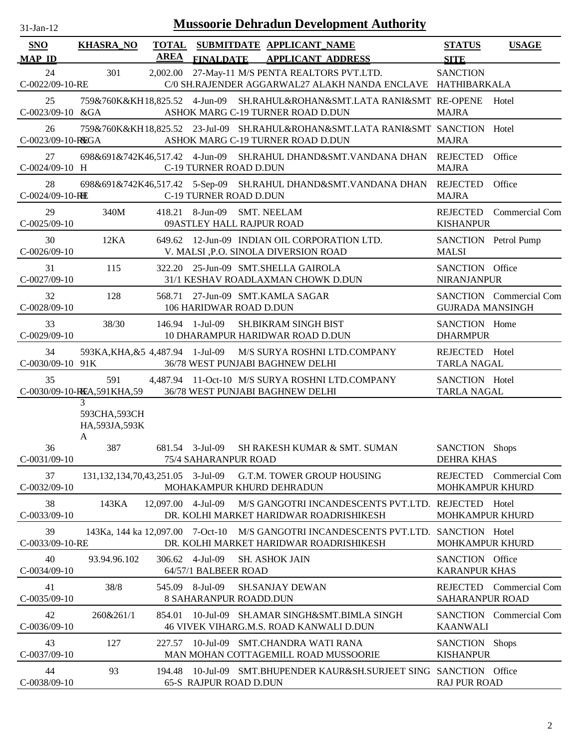| $31-Jan-12$                 | <b>Mussoorie Dehradun Development Authority</b> |                    |                                                                                                                                |                                                    |  |  |  |  |  |  |
|-----------------------------|-------------------------------------------------|--------------------|--------------------------------------------------------------------------------------------------------------------------------|----------------------------------------------------|--|--|--|--|--|--|
| <b>SNO</b><br><b>MAP ID</b> | <b>KHASRA_NO</b>                                | <b>AREA</b>        | TOTAL SUBMITDATE APPLICANT_NAME<br><b>FINALDATE</b><br><b>APPLICANT ADDRESS</b>                                                | <b>STATUS</b><br><b>USAGE</b><br><b>SITE</b>       |  |  |  |  |  |  |
| 24<br>C-0022/09-10-RE       | 301                                             | 2,002.00           | 27-May-11 M/S PENTA REALTORS PVT.LTD.<br>C/0 SH.RAJENDER AGGARWAL27 ALAKH NANDA ENCLAVE HATHIBARKALA                           | <b>SANCTION</b>                                    |  |  |  |  |  |  |
| 25<br>C-0023/09-10 &GA      |                                                 |                    | 759&760K&KH18,825.52 4-Jun-09 SH.RAHUL&ROHAN&SMT.LATA RANI&SMT RE-OPENE<br>ASHOK MARG C-19 TURNER ROAD D.DUN                   | Hotel<br><b>MAJRA</b>                              |  |  |  |  |  |  |
| 26<br>C-0023/09-10-REGA     |                                                 |                    | 759&760K&KH18,825.52 23-Jul-09 SH.RAHUL&ROHAN&SMT.LATA RANI&SMT SANCTION Hotel<br>ASHOK MARG C-19 TURNER ROAD D.DUN            | <b>MAJRA</b>                                       |  |  |  |  |  |  |
| 27<br>$C-0024/09-10$ H      |                                                 |                    | 698&691&742K46,517.42 4-Jun-09 SH.RAHUL DHAND&SMT.VANDANA DHAN<br>C-19 TURNER ROAD D.DUN                                       | Office<br>REJECTED<br><b>MAJRA</b>                 |  |  |  |  |  |  |
| 28<br>C-0024/09-10-RHE      |                                                 |                    | 698&691&742K46,517.42 5-Sep-09 SH.RAHUL DHAND&SMT.VANDANA DHAN<br>C-19 TURNER ROAD D.DUN                                       | REJECTED<br>Office<br><b>MAJRA</b>                 |  |  |  |  |  |  |
| 29<br>$C-0025/09-10$        | 340M                                            |                    | 418.21 8-Jun-09 SMT. NEELAM<br>09ASTLEY HALL RAJPUR ROAD                                                                       | REJECTED Commercial Com<br><b>KISHANPUR</b>        |  |  |  |  |  |  |
| 30<br>$C-0026/09-10$        | 12KA                                            |                    | 649.62 12-Jun-09 INDIAN OIL CORPORATION LTD.<br>V. MALSI ,P.O. SINOLA DIVERSION ROAD                                           | SANCTION Petrol Pump<br><b>MALSI</b>               |  |  |  |  |  |  |
| 31<br>$C-0027/09-10$        | 115                                             |                    | 322.20 25-Jun-09 SMT.SHELLA GAIROLA<br>31/1 KESHAV ROADLAXMAN CHOWK D.DUN                                                      | SANCTION Office<br><b>NIRANJANPUR</b>              |  |  |  |  |  |  |
| 32<br>$C-0028/09-10$        | 128                                             |                    | 568.71 27-Jun-09 SMT.KAMLA SAGAR<br>106 HARIDWAR ROAD D.DUN                                                                    | SANCTION Commercial Com<br><b>GUJRADA MANSINGH</b> |  |  |  |  |  |  |
| 33<br>$C-0029/09-10$        | 38/30                                           |                    | 146.94 1-Jul-09<br>SH.BIKRAM SINGH BIST<br>10 DHARAMPUR HARIDWAR ROAD D.DUN                                                    | SANCTION Home<br><b>DHARMPUR</b>                   |  |  |  |  |  |  |
| 34<br>C-0030/09-10 91K      | 593KA, KHA, & 54, 487.94 1-Jul-09               |                    | M/S SURYA ROSHNI LTD.COMPANY<br>36/78 WEST PUNJABI BAGHNEW DELHI                                                               | REJECTED Hotel<br><b>TARLA NAGAL</b>               |  |  |  |  |  |  |
| 35                          | 591<br>C-0030/09-10-REA,591KHA,59               |                    | 4,487.94 11-Oct-10 M/S SURYA ROSHNI LTD.COMPANY<br>36/78 WEST PUNJABI BAGHNEW DELHI                                            | SANCTION Hotel<br><b>TARLA NAGAL</b>               |  |  |  |  |  |  |
|                             | 3<br>593CHA,593CH<br>HA, 593JA, 593K<br>A       |                    |                                                                                                                                |                                                    |  |  |  |  |  |  |
| 36<br>$C-0031/09-10$        | 387                                             |                    | 681.54 3-Jul-09<br>SH RAKESH KUMAR & SMT. SUMAN<br><b>75/4 SAHARANPUR ROAD</b>                                                 | SANCTION Shops<br><b>DEHRA KHAS</b>                |  |  |  |  |  |  |
| 37<br>$C-0032/09-10$        | 131,132,134,70,43,251.05 3-Jul-09               |                    | G.T.M. TOWER GROUP HOUSING<br>MOHAKAMPUR KHURD DEHRADUN                                                                        | REJECTED Commercial Com<br><b>MOHKAMPUR KHURD</b>  |  |  |  |  |  |  |
| 38<br>$C-0033/09-10$        | 143KA                                           | 12,097.00 4-Jul-09 | M/S GANGOTRI INCANDESCENTS PVT.LTD. REJECTED Hotel<br>DR. KOLHI MARKET HARIDWAR ROADRISHIKESH                                  | <b>MOHKAMPUR KHURD</b>                             |  |  |  |  |  |  |
| 39<br>C-0033/09-10-RE       |                                                 |                    | 143Ka, 144 ka 12,097.00 7-Oct-10 M/S GANGOTRI INCANDESCENTS PVT.LTD. SANCTION Hotel<br>DR. KOLHI MARKET HARIDWAR ROADRISHIKESH | <b>MOHKAMPUR KHURD</b>                             |  |  |  |  |  |  |
| 40<br>$C-0034/09-10$        | 93.94.96.102                                    |                    | 306.62 4-Jul-09<br><b>SH. ASHOK JAIN</b><br>64/57/1 BALBEER ROAD                                                               | SANCTION Office<br><b>KARANPUR KHAS</b>            |  |  |  |  |  |  |
| 41<br>$C-0035/09-10$        | 38/8                                            |                    | 545.09 8-Jul-09<br><b>SH.SANJAY DEWAN</b><br><b>8 SAHARANPUR ROADD.DUN</b>                                                     | REJECTED Commercial Com<br><b>SAHARANPUR ROAD</b>  |  |  |  |  |  |  |
| 42<br>$C-0036/09-10$        | 260&261/1                                       |                    | 854.01 10-Jul-09 SH.AMAR SINGH&SMT.BIMLA SINGH<br>46 VIVEK VIHARG.M.S. ROAD KANWALI D.DUN                                      | <b>SANCTION</b> Commercial Com<br><b>KAANWALI</b>  |  |  |  |  |  |  |
| 43<br>$C-0037/09-10$        | 127                                             |                    | 227.57 10-Jul-09 SMT.CHANDRA WATI RANA<br>MAN MOHAN COTTAGEMILL ROAD MUSSOORIE                                                 | SANCTION Shops<br><b>KISHANPUR</b>                 |  |  |  |  |  |  |
| 44<br>$C-0038/09-10$        | 93                                              | 194.48             | 10-Jul-09 SMT.BHUPENDER KAUR&SH.SURJEET SING SANCTION Office<br><b>65-S RAJPUR ROAD D.DUN</b>                                  | <b>RAJ PUR ROAD</b>                                |  |  |  |  |  |  |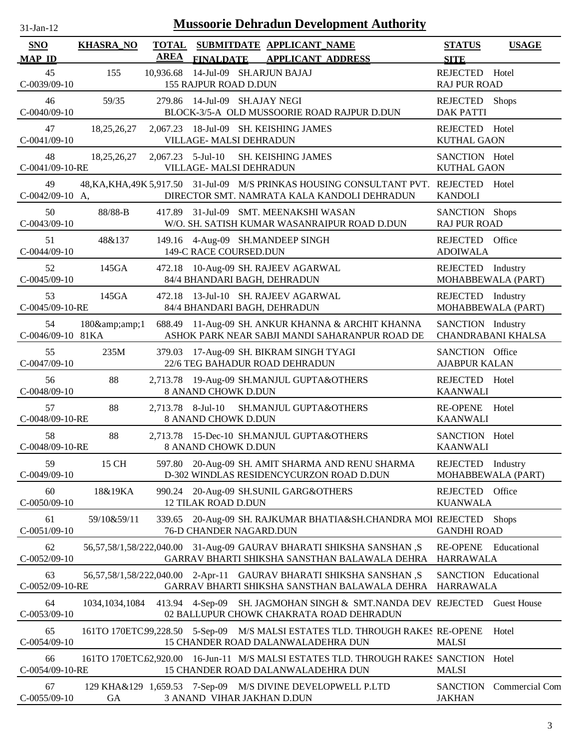| $31$ -Jan- $12$             |                  |                             | <b>Mussoorie Dehradun Development Authority</b>                                                                                        |                                                 |                           |
|-----------------------------|------------------|-----------------------------|----------------------------------------------------------------------------------------------------------------------------------------|-------------------------------------------------|---------------------------|
| <b>SNO</b><br><b>MAP ID</b> | <b>KHASRA_NO</b> | <b>TOTAL</b><br><b>AREA</b> | SUBMITDATE APPLICANT NAME<br>FINALDATE APPLICANT ADDRESS                                                                               | <b>STATUS</b><br><b>SITE</b>                    | <b>USAGE</b>              |
| 45<br>$C-0039/09-10$        | 155              |                             | 10,936.68 14-Jul-09 SH.ARJUN BAJAJ<br>155 RAJPUR ROAD D.DUN                                                                            | REJECTED<br><b>RAJ PUR ROAD</b>                 | Hotel                     |
| 46<br>$C-0040/09-10$        | 59/35            |                             | 279.86 14-Jul-09 SH.AJAY NEGI<br>BLOCK-3/5-A OLD MUSSOORIE ROAD RAJPUR D.DUN                                                           | REJECTED<br><b>DAK PATTI</b>                    | <b>Shops</b>              |
| 47<br>$C-0041/09-10$        | 18, 25, 26, 27   |                             | 2,067.23 18-Jul-09 SH. KEISHING JAMES<br>VILLAGE- MALSI DEHRADUN                                                                       | REJECTED Hotel<br><b>KUTHAL GAON</b>            |                           |
| 48<br>C-0041/09-10-RE       | 18, 25, 26, 27   |                             | $2,067.23$ 5-Jul-10<br><b>SH. KEISHING JAMES</b><br>VILLAGE- MALSI DEHRADUN                                                            | SANCTION Hotel<br><b>KUTHAL GAON</b>            |                           |
| 49<br>$C-0042/09-10$ A,     |                  |                             | 48, KA, KHA, 49K 5, 917.50 31-Jul-09 M/S PRINKAS HOUSING CONSULTANT PVT. REJECTED Hotel<br>DIRECTOR SMT. NAMRATA KALA KANDOLI DEHRADUN | <b>KANDOLI</b>                                  |                           |
| 50<br>$C-0043/09-10$        | 88/88-B          |                             | 417.89 31-Jul-09 SMT. MEENAKSHI WASAN<br>W/O. SH. SATISH KUMAR WASANRAIPUR ROAD D.DUN                                                  | SANCTION Shops<br><b>RAJ PUR ROAD</b>           |                           |
| 51<br>$C-0044/09-10$        | 48&137           |                             | 149.16 4-Aug-09 SH.MANDEEP SINGH<br>149-C RACE COURSED.DUN                                                                             | REJECTED Office<br><b>ADOIWALA</b>              |                           |
| 52<br>$C-0045/09-10$        | 145GA            |                             | 472.18 10-Aug-09 SH. RAJEEV AGARWAL<br>84/4 BHANDARI BAGH, DEHRADUN                                                                    | REJECTED Industry<br>MOHABBEWALA (PART)         |                           |
| 53<br>C-0045/09-10-RE       | 145GA            |                             | 472.18 13-Jul-10 SH. RAJEEV AGARWAL<br>84/4 BHANDARI BAGH, DEHRADUN                                                                    | REJECTED Industry<br>MOHABBEWALA (PART)         |                           |
| 54<br>C-0046/09-10 81KA     | 180&1            |                             | 688.49 11-Aug-09 SH. ANKUR KHANNA & ARCHIT KHANNA<br>ASHOK PARK NEAR SABJI MANDI SAHARANPUR ROAD DE                                    | SANCTION Industry                               | <b>CHANDRABANI KHALSA</b> |
| 55<br>$C-0047/09-10$        | 235M             |                             | 379.03 17-Aug-09 SH. BIKRAM SINGH TYAGI<br>22/6 TEG BAHADUR ROAD DEHRADUN                                                              | SANCTION Office<br><b>AJABPUR KALAN</b>         |                           |
| 56<br>$C-0048/09-10$        | 88               |                             | 2,713.78 19-Aug-09 SH.MANJUL GUPTA&OTHERS<br>8 ANAND CHOWK D.DUN                                                                       | REJECTED Hotel<br><b>KAANWALI</b>               |                           |
| 57<br>C-0048/09-10-RE       | 88               | 2,713.78 8-Jul-10           | SH.MANJUL GUPTA&OTHERS<br>8 ANAND CHOWK D.DUN                                                                                          | <b>RE-OPENE</b><br><b>KAANWALI</b>              | Hotel                     |
| 58<br>C-0048/09-10-RE       | 88               |                             | 2,713.78 15-Dec-10 SH.MANJUL GUPTA&OTHERS<br><b>8 ANAND CHOWK D.DUN</b>                                                                | SANCTION Hotel<br><b>KAANWALI</b>               |                           |
| 59<br>$C-0049/09-10$        | 15 CH            |                             | 597.80 20-Aug-09 SH. AMIT SHARMA AND RENU SHARMA<br>D-302 WINDLAS RESIDENCYCURZON ROAD D.DUN                                           | REJECTED Industry<br>MOHABBEWALA (PART)         |                           |
| 60<br>$C-0050/09-10$        | 18&19KA          |                             | 990.24 20-Aug-09 SH.SUNIL GARG&OTHERS<br><b>12 TILAK ROAD D.DUN</b>                                                                    | REJECTED Office<br><b>KUANWALA</b>              |                           |
| 61<br>$C-0051/09-10$        | 59/10&59/11      |                             | 339.65 20-Aug-09 SH. RAJKUMAR BHATIA&SH.CHANDRA MOI REJECTED Shops<br>76-D CHANDER NAGARD.DUN                                          | <b>GANDHI ROAD</b>                              |                           |
| 62<br>$C-0052/09-10$        |                  |                             | 56,57,58/1,58/222,040.00 31-Aug-09 GAURAV BHARATI SHIKSHA SANSHAN ,S<br>GARRAV BHARTI SHIKSHA SANSTHAN BALAWALA DEHRA                  | <b>RE-OPENE</b><br><b>HARRAWALA</b>             | Educational               |
| 63<br>C-0052/09-10-RE       |                  |                             | 56,57,58/1,58/222,040.00 2-Apr-11 GAURAV BHARATI SHIKSHA SANSHAN ,S<br>GARRAV BHARTI SHIKSHA SANSTHAN BALAWALA DEHRA                   | <b>SANCTION</b> Educational<br><b>HARRAWALA</b> |                           |
| 64<br>$C-0053/09-10$        | 1034,1034,1084   |                             | 413.94 4-Sep-09 SH. JAGMOHAN SINGH & SMT.NANDA DEV REJECTED<br>02 BALLUPUR CHOWK CHAKRATA ROAD DEHRADUN                                |                                                 | <b>Guest House</b>        |
| 65<br>$C-0054/09-10$        |                  |                             | 161TO 170ETC99,228.50 5-Sep-09 M/S MALSI ESTATES TLD. THROUGH RAKES RE-OPENE<br>15 CHANDER ROAD DALANWALADEHRA DUN                     | <b>MALSI</b>                                    | Hotel                     |
| 66<br>C-0054/09-10-RE       |                  |                             | 161TO 170ETC.62,920.00 16-Jun-11 M/S MALSI ESTATES TLD. THROUGH RAKES SANCTION Hotel<br>15 CHANDER ROAD DALANWALADEHRA DUN             | <b>MALSI</b>                                    |                           |
| 67<br>$C-0055/09-10$        | <b>GA</b>        |                             | 129 KHA&129 1,659.53 7-Sep-09 M/S DIVINE DEVELOPWELL P.LTD<br>3 ANAND VIHAR JAKHAN D.DUN                                               | <b>JAKHAN</b>                                   | SANCTION Commercial Com   |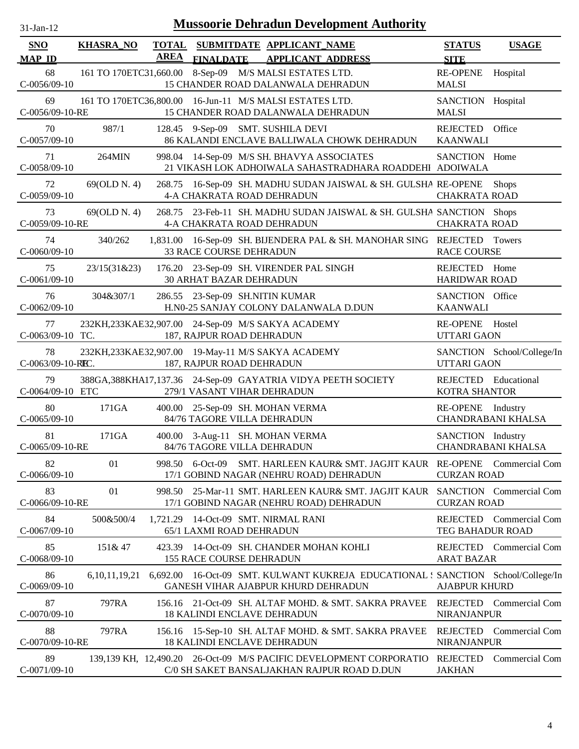| <b>SNO</b>                            | <b>KHASRA_NO</b> | <b>TOTAL</b><br><b>AREA</b> |                                   | SUBMITDATE APPLICANT NAME                                                                                                             | <b>STATUS</b>                                  | <b>USAGE</b>               |
|---------------------------------------|------------------|-----------------------------|-----------------------------------|---------------------------------------------------------------------------------------------------------------------------------------|------------------------------------------------|----------------------------|
| <b>MAP ID</b><br>68<br>$C-0056/09-10$ |                  |                             | <b>FINALDATE</b>                  | <b>APPLICANT ADDRESS</b><br>161 TO 170ETC31,660.00 8-Sep-09 M/S MALSI ESTATES LTD.<br>15 CHANDER ROAD DALANWALA DEHRADUN              | <b>SITE</b><br><b>RE-OPENE</b><br><b>MALSI</b> | Hospital                   |
| 69<br>C-0056/09-10-RE                 |                  |                             |                                   | 161 TO 170ETC36,800.00 16-Jun-11 M/S MALSI ESTATES LTD.<br>15 CHANDER ROAD DALANWALA DEHRADUN                                         | SANCTION Hospital<br><b>MALSI</b>              |                            |
| 70<br>$C-0057/09-10$                  | 987/1            |                             |                                   | 128.45 9-Sep-09 SMT. SUSHILA DEVI<br>86 KALANDI ENCLAVE BALLIWALA CHOWK DEHRADUN                                                      | REJECTED<br><b>KAANWALI</b>                    | Office                     |
| 71<br>C-0058/09-10                    | 264MIN           |                             |                                   | 998.04 14-Sep-09 M/S SH. BHAVYA ASSOCIATES<br>21 VIKASH LOK ADHOIWALA SAHASTRADHARA ROADDEHI ADOIWALA                                 | SANCTION Home                                  |                            |
| 72<br>$C-0059/09-10$                  | 69(OLD N. 4)     | 268.75                      | <b>4-A CHAKRATA ROAD DEHRADUN</b> | 16-Sep-09 SH. MADHU SUDAN JAISWAL & SH. GULSHA RE-OPENE                                                                               | <b>CHAKRATA ROAD</b>                           | <b>Shops</b>               |
| 73<br>C-0059/09-10-RE                 | 69(OLD N. 4)     |                             | 4-A CHAKRATA ROAD DEHRADUN        | 268.75 23-Feb-11 SH. MADHU SUDAN JAISWAL & SH. GULSHA SANCTION Shops                                                                  | <b>CHAKRATA ROAD</b>                           |                            |
| 74<br>$C-0060/09-10$                  | 340/262          |                             | <b>33 RACE COURSE DEHRADUN</b>    | 1,831.00 16-Sep-09 SH. BIJENDERA PAL & SH. MANOHAR SING REJECTED Towers                                                               | <b>RACE COURSE</b>                             |                            |
| 75<br>$C-0061/09-10$                  | 23/15(31&23)     |                             | <b>30 ARHAT BAZAR DEHRADUN</b>    | 176.20 23-Sep-09 SH. VIRENDER PAL SINGH                                                                                               | REJECTED Home<br><b>HARIDWAR ROAD</b>          |                            |
| 76<br>$C-0062/09-10$                  | 304&307/1        |                             | 286.55 23-Sep-09 SH.NITIN KUMAR   | H.N0-25 SANJAY COLONY DALANWALA D.DUN                                                                                                 | SANCTION Office<br><b>KAANWALI</b>             |                            |
| 77<br>C-0063/09-10 TC.                |                  |                             | 187, RAJPUR ROAD DEHRADUN         | 232KH,233KAE32,907.00 24-Sep-09 M/S SAKYA ACADEMY                                                                                     | RE-OPENE Hostel<br><b>UTTARI GAON</b>          |                            |
| 78<br>C-0063/09-10-REC.               |                  |                             | 187, RAJPUR ROAD DEHRADUN         | 232KH,233KAE32,907.00 19-May-11 M/S SAKYA ACADEMY                                                                                     | <b>UTTARI GAON</b>                             | SANCTION School/College/In |
| 79<br>C-0064/09-10 ETC                |                  |                             | 279/1 VASANT VIHAR DEHRADUN       | 388GA, 388KHA17, 137.36 24-Sep-09 GAYATRIA VIDYA PEETH SOCIETY                                                                        | REJECTED Educational<br><b>KOTRA SHANTOR</b>   |                            |
| 80<br>$C-0065/09-10$                  | 171GA            |                             | 84/76 TAGORE VILLA DEHRADUN       | 400.00 25-Sep-09 SH. MOHAN VERMA                                                                                                      | RE-OPENE Industry                              | CHANDRABANI KHALSA         |
| 81<br>C-0065/09-10-RE                 | 171GA            |                             | 84/76 TAGORE VILLA DEHRADUN       | 400.00 3-Aug-11 SH. MOHAN VERMA                                                                                                       | SANCTION Industry                              | <b>CHANDRABANI KHALSA</b>  |
| 82<br>$C-0066/09-10$                  | 01               |                             |                                   | 998.50 6-Oct-09 SMT. HARLEEN KAUR& SMT. JAGJIT KAUR RE-OPENE Commercial Com<br>17/1 GOBIND NAGAR (NEHRU ROAD) DEHRADUN                | <b>CURZAN ROAD</b>                             |                            |
| 83<br>C-0066/09-10-RE                 | 01               |                             |                                   | 998.50 25-Mar-11 SMT. HARLEEN KAUR& SMT. JAGJIT KAUR SANCTION Commercial Com<br>17/1 GOBIND NAGAR (NEHRU ROAD) DEHRADUN               | <b>CURZAN ROAD</b>                             |                            |
| 84<br>$C-0067/09-10$                  | 500&500/4        |                             | 65/1 LAXMI ROAD DEHRADUN          | 1,721.29 14-Oct-09 SMT. NIRMAL RANI                                                                                                   | TEG BAHADUR ROAD                               | REJECTED Commercial Com    |
| 85<br>$C-0068/09-10$                  | 151& 47          |                             | <b>155 RACE COURSE DEHRADUN</b>   | 423.39 14-Oct-09 SH. CHANDER MOHAN KOHLI                                                                                              | <b>ARAT BAZAR</b>                              | REJECTED Commercial Com    |
| 86<br>$C = 0.069/09 - 10$             |                  |                             |                                   | 6,10,11,19,21 6,692.00 16-Oct-09 SMT. KULWANT KUKREJA EDUCATIONAL : SANCTION School/College/In<br>GANESH VIHAR AJARPUR KHURD DEHRADUN | A JARPI IR KHI IRD                             |                            |

| $C-0069/09-10$    |       |  | <b>GANESH VIHAR AJABPUR KHURD DEHRADUN</b> |                                                                                            | AJABPUR KHURD      |  |
|-------------------|-------|--|--------------------------------------------|--------------------------------------------------------------------------------------------|--------------------|--|
| 87                | 797RA |  |                                            | 156.16 21-Oct-09 SH. ALTAF MOHD. & SMT. SAKRA PRAVEE REJECTED Commercial Com               |                    |  |
| $C-0070/09-10$    |       |  | <b>18 KALINDI ENCLAVE DEHRADUN</b>         |                                                                                            | <b>NIRANJANPUR</b> |  |
| 88                | 797RA |  |                                            | 156.16 15-Sep-10 SH. ALTAF MOHD. & SMT. SAKRA PRAVEE REJECTED Commercial Com               |                    |  |
| $C-0070/09-10-RE$ |       |  | <b>18 KALINDI ENCLAVE DEHRADUN</b>         |                                                                                            | <b>NIRANJANPUR</b> |  |
| 89                |       |  |                                            | 139,139 KH, 12,490.20 26-Oct-09 M/S PACIFIC DEVELOPMENT CORPORATIO REJECTED Commercial Com |                    |  |
| $C-0071/09-10$    |       |  |                                            | C/0 SH SAKET BANSALJAKHAN RAJPUR ROAD D.DUN                                                | <b>JAKHAN</b>      |  |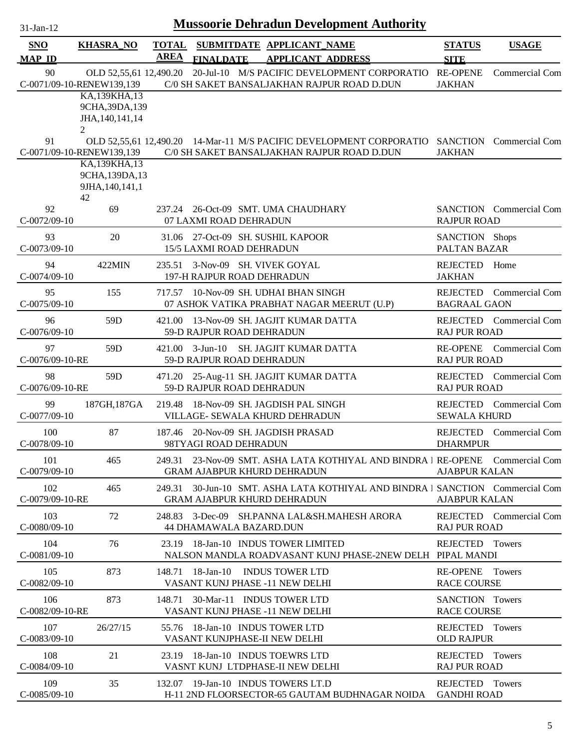| 31-Jan-12                   |                                                           |                      | <b>Mussoorie Dehradun Development Authority</b>                                                                     |                                        |                                |
|-----------------------------|-----------------------------------------------------------|----------------------|---------------------------------------------------------------------------------------------------------------------|----------------------------------------|--------------------------------|
| <b>SNO</b><br><b>MAP ID</b> | <b>KHASRA_NO</b>                                          | <b>TOTAL</b><br>AREA | SUBMITDATE APPLICANT NAME<br><b>APPLICANT ADDRESS</b><br><b>FINALDATE</b>                                           | <b>STATUS</b><br><b>SITE</b>           | <b>USAGE</b>                   |
| 90                          | OLD 52,55,61 12,490.20<br>C-0071/09-10-RENEW139,139       |                      | 20-Jul-10 M/S PACIFIC DEVELOPMENT CORPORATIO<br>C/0 SH SAKET BANSALJAKHAN RAJPUR ROAD D.DUN                         | <b>RE-OPENE</b><br><b>JAKHAN</b>       | Commercial Com                 |
|                             | KA,139KHA,13<br>9CHA, 39DA, 139<br>JHA, 140, 141, 14<br>2 |                      |                                                                                                                     |                                        |                                |
| 91                          | C-0071/09-10-RENEW139,139<br>KA,139KHA,13                 |                      | OLD 52,55,61 12,490.20 14-Mar-11 M/S PACIFIC DEVELOPMENT CORPORATIO<br>C/0 SH SAKET BANSALJAKHAN RAJPUR ROAD D.DUN  | <b>JAKHAN</b>                          | <b>SANCTION</b> Commercial Com |
|                             | 9CHA, 139DA, 13<br>9JHA, 140, 141, 1<br>42                |                      |                                                                                                                     |                                        |                                |
| 92<br>$C-0072/09-10$        | 69                                                        |                      | 237.24 26-Oct-09 SMT. UMA CHAUDHARY<br>07 LAXMI ROAD DEHRADUN                                                       | <b>RAJPUR ROAD</b>                     | <b>SANCTION</b> Commercial Com |
| 93<br>$C-0073/09-10$        | 20                                                        |                      | 31.06 27-Oct-09 SH. SUSHIL KAPOOR<br>15/5 LAXMI ROAD DEHRADUN                                                       | SANCTION Shops<br>PALTAN BAZAR         |                                |
| 94<br>$C-0074/09-10$        | 422MIN                                                    |                      | 235.51 3-Nov-09 SH. VIVEK GOYAL<br>197-H RAJPUR ROAD DEHRADUN                                                       | <b>REJECTED</b><br><b>JAKHAN</b>       | Home                           |
| 95<br>$C-0075/09-10$        | 155                                                       |                      | 717.57 10-Nov-09 SH. UDHAI BHAN SINGH<br>07 ASHOK VATIKA PRABHAT NAGAR MEERUT (U.P)                                 | <b>BAGRAAL GAON</b>                    | REJECTED Commercial Com        |
| 96<br>$C-0076/09-10$        | 59 <sub>D</sub>                                           |                      | 421.00 13-Nov-09 SH. JAGJIT KUMAR DATTA<br>59-D RAJPUR ROAD DEHRADUN                                                | <b>RAJ PUR ROAD</b>                    | REJECTED Commercial Com        |
| 97<br>C-0076/09-10-RE       | 59 <sub>D</sub>                                           | 421.00               | $3$ -Jun- $10$<br>SH. JAGJIT KUMAR DATTA<br>59-D RAJPUR ROAD DEHRADUN                                               | <b>RE-OPENE</b><br><b>RAJ PUR ROAD</b> | Commercial Com                 |
| 98<br>C-0076/09-10-RE       | 59D                                                       | 471.20               | 25-Aug-11 SH. JAGJIT KUMAR DATTA<br>59-D RAJPUR ROAD DEHRADUN                                                       | REJECTED<br><b>RAJ PUR ROAD</b>        | Commercial Com                 |
| 99<br>C-0077/09-10          | 187GH, 187GA                                              | 219.48               | 18-Nov-09 SH. JAGDISH PAL SINGH<br>VILLAGE- SEWALA KHURD DEHRADUN                                                   | <b>SEWALA KHURD</b>                    | REJECTED Commercial Com        |
| 100<br>C-0078/09-10         | 87                                                        |                      | 187.46 20-Nov-09 SH, JAGDISH PRASAD<br>98TYAGI ROAD DEHRADUN                                                        | <b>DHARMPUR</b>                        | REJECTED Commercial Com        |
| 101<br>$C-0079/09-10$       | 465                                                       |                      | 249.31 23-Nov-09 SMT. ASHA LATA KOTHIYAL AND BINDRA 1 RE-OPENE Commercial Com<br><b>GRAM AJABPUR KHURD DEHRADUN</b> | <b>AJABPUR KALAN</b>                   |                                |
| 102<br>C-0079/09-10-RE      | 465                                                       |                      | 249.31 30-Jun-10 SMT. ASHA LATA KOTHIYAL AND BINDRA I SANCTION Commercial Com<br><b>GRAM AJABPUR KHURD DEHRADUN</b> | <b>AJABPUR KALAN</b>                   |                                |
| 103<br>$C-0080/09-10$       | 72                                                        |                      | 248.83 3-Dec-09 SH.PANNA LAL&SH.MAHESH ARORA<br>44 DHAMAWALA BAZARD.DUN                                             | <b>RAJ PUR ROAD</b>                    | REJECTED Commercial Com        |
| 104<br>$C-0081/09-10$       | 76                                                        |                      | 23.19 18-Jan-10 INDUS TOWER LIMITED<br>NALSON MANDLA ROADVASANT KUNJ PHASE-2NEW DELH PIPAL MANDI                    | REJECTED                               | Towers                         |
| 105<br>$C-0082/09-10$       | 873                                                       |                      | 148.71 18-Jan-10 INDUS TOWER LTD<br>VASANT KUNJ PHASE -11 NEW DELHI                                                 | RE-OPENE Towers<br><b>RACE COURSE</b>  |                                |
| 106<br>C-0082/09-10-RE      | 873                                                       |                      | 148.71 30-Mar-11 INDUS TOWER LTD<br>VASANT KUNJ PHASE -11 NEW DELHI                                                 | SANCTION Towers<br><b>RACE COURSE</b>  |                                |
| 107<br>$C-0083/09-10$       | 26/27/15                                                  |                      | 55.76 18-Jan-10 INDUS TOWER LTD<br>VASANT KUNJPHASE-II NEW DELHI                                                    | REJECTED Towers<br><b>OLD RAJPUR</b>   |                                |
| 108<br>$C-0084/09-10$       | 21                                                        |                      | 23.19 18-Jan-10 INDUS TOEWRS LTD<br>VASNT KUNJ LTDPHASE-II NEW DELHI                                                | REJECTED Towers<br><b>RAJ PUR ROAD</b> |                                |
| 109<br>$C-0085/09-10$       | 35                                                        |                      | 132.07 19-Jan-10 INDUS TOWERS LT.D<br>H-11 2ND FLOORSECTOR-65 GAUTAM BUDHNAGAR NOIDA                                | <b>REJECTED</b><br><b>GANDHI ROAD</b>  | Towers                         |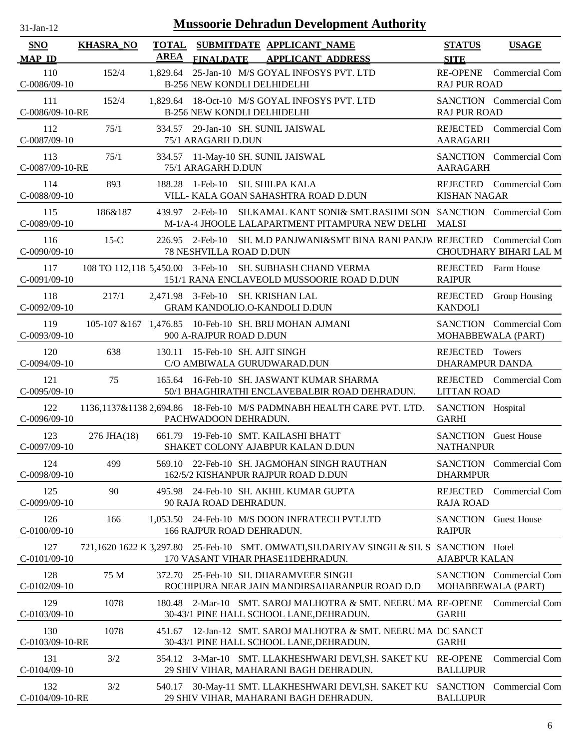| $31$ -Jan-12                |                  |                             | <b>Mussoorie Dehradun Development Authority</b>                                                                               |                                                 |                                          |
|-----------------------------|------------------|-----------------------------|-------------------------------------------------------------------------------------------------------------------------------|-------------------------------------------------|------------------------------------------|
| <b>SNO</b><br><b>MAP ID</b> | <b>KHASRA_NO</b> | <b>TOTAL</b><br><b>AREA</b> | SUBMITDATE APPLICANT_NAME<br><b>FINALDATE</b><br><b>APPLICANT ADDRESS</b>                                                     | <b>STATUS</b><br><b>SITE</b>                    | <b>USAGE</b>                             |
| 110<br>$C-0086/09-10$       | 152/4            | 1,829.64                    | 25-Jan-10 M/S GOYAL INFOSYS PVT. LTD<br><b>B-256 NEW KONDLI DELHIDELHI</b>                                                    | <b>RE-OPENE</b><br><b>RAJ PUR ROAD</b>          | <b>Commercial Com</b>                    |
| 111<br>C-0086/09-10-RE      | 152/4            |                             | 1,829.64 18-Oct-10 M/S GOYAL INFOSYS PVT. LTD<br><b>B-256 NEW KONDLI DELHIDELHI</b>                                           | <b>RAJ PUR ROAD</b>                             | <b>SANCTION</b> Commercial Com           |
| 112<br>$C-0087/09-10$       | 75/1             |                             | 334.57 29-Jan-10 SH. SUNIL JAISWAL<br>75/1 ARAGARH D.DUN                                                                      | REJECTED<br>AARAGARH                            | Commercial Com                           |
| 113<br>C-0087/09-10-RE      | 75/1             |                             | 334.57 11-May-10 SH. SUNIL JAISWAL<br>75/1 ARAGARH D.DUN                                                                      | <b>AARAGARH</b>                                 | SANCTION Commercial Com                  |
| 114<br>C-0088/09-10         | 893              | 188.28                      | 1-Feb-10 SH. SHILPA KALA<br>VILL- KALA GOAN SAHASHTRA ROAD D.DUN                                                              | REJECTED<br><b>KISHAN NAGAR</b>                 | Commercial Com                           |
| 115<br>C-0089/09-10         | 186&187          |                             | 439.97 2-Feb-10 SH.KAMAL KANT SONI& SMT.RASHMI SON SANCTION Commercial Com<br>M-1/A-4 JHOOLE LALAPARTMENT PITAMPURA NEW DELHI | <b>MALSI</b>                                    |                                          |
| 116<br>$C-0090/09-10$       | $15-C$           |                             | 226.95 2-Feb-10 SH. M.D PANJWANI&SMT BINA RANI PANJW REJECTED<br>78 NESHVILLA ROAD D.DUN                                      |                                                 | Commercial Com<br>CHOUDHARY BIHARI LAL M |
| 117<br>$C-0091/09-10$       |                  |                             | 108 TO 112,118 5,450.00 3-Feb-10 SH. SUBHASH CHAND VERMA<br>151/1 RANA ENCLAVEOLD MUSSOORIE ROAD D.DUN                        | <b>REJECTED</b><br><b>RAIPUR</b>                | Farm House                               |
| 118<br>$C-0092/09-10$       | 217/1            |                             | 2,471.98 3-Feb-10 SH. KRISHAN LAL<br><b>GRAM KANDOLIO.O-KANDOLI D.DUN</b>                                                     | <b>REJECTED</b><br><b>KANDOLI</b>               | Group Housing                            |
| 119<br>$C-0093/09-10$       |                  |                             | 105-107 & 167 1,476.85 10-Feb-10 SH. BRIJ MOHAN AJMANI<br>900 A-RAJPUR ROAD D.DUN                                             | MOHABBEWALA (PART)                              | SANCTION Commercial Com                  |
| 120<br>$C-0094/09-10$       | 638              |                             | 130.11 15-Feb-10 SH. AJIT SINGH<br>C/O AMBIWALA GURUDWARAD.DUN                                                                | REJECTED<br><b>DHARAMPUR DANDA</b>              | Towers                                   |
| 121<br>$C-0095/09-10$       | 75               |                             | 165.64 16-Feb-10 SH. JASWANT KUMAR SHARMA<br>50/1 BHAGHIRATHI ENCLAVEBALBIR ROAD DEHRADUN.                                    | <b>LITTAN ROAD</b>                              | REJECTED Commercial Com                  |
| 122<br>C-0096/09-10         |                  |                             | 1136,1137&1138 2,694.86 18-Feb-10 M/S PADMNABH HEALTH CARE PVT. LTD.<br>PACHWADOON DEHRADUN.                                  | SANCTION Hospital<br><b>GARHI</b>               |                                          |
| 123<br>$C-0097/09-10$       | 276 JHA(18)      |                             | 661.79 19-Feb-10 SMT. KAILASHI BHATT<br>SHAKET COLONY AJABPUR KALAN D.DUN                                                     | <b>SANCTION</b> Guest House<br><b>NATHANPUR</b> |                                          |
| 124<br>C-0098/09-10         | 499              |                             | 569.10 22-Feb-10 SH. JAGMOHAN SINGH RAUTHAN<br>162/5/2 KISHANPUR RAJPUR ROAD D.DUN                                            | <b>DHARMPUR</b>                                 | SANCTION Commercial Com                  |
| 125<br>C-0099/09-10         | 90               | 495.98                      | 24-Feb-10 SH. AKHIL KUMAR GUPTA<br>90 RAJA ROAD DEHRADUN.                                                                     | <b>REJECTED</b><br><b>RAJA ROAD</b>             | <b>Commercial Com</b>                    |
| 126<br>C-0100/09-10         | 166              |                             | 1,053.50 24-Feb-10 M/S DOON INFRATECH PVT.LTD<br>166 RAJPUR ROAD DEHRADUN.                                                    | <b>SANCTION</b><br><b>RAIPUR</b>                | <b>Guest House</b>                       |
| 127<br>$C-0101/09-10$       |                  |                             | 721,1620 1622 K 3,297.80 25-Feb-10 SMT. OMWATI, SH.DARIYAV SINGH & SH. S SANCTION Hotel<br>170 VASANT VIHAR PHASE11DEHRADUN.  | <b>AJABPUR KALAN</b>                            |                                          |
| 128<br>$C-0102/09-10$       | 75 M             |                             | 372.70 25-Feb-10 SH. DHARAMVEER SINGH<br>ROCHIPURA NEAR JAIN MANDIRSAHARANPUR ROAD D.D                                        | MOHABBEWALA (PART)                              | SANCTION Commercial Com                  |
| 129<br>$C-0103/09-10$       | 1078             | 180.48                      | 2-Mar-10 SMT. SAROJ MALHOTRA & SMT. NEERU MA RE-OPENE<br>30-43/1 PINE HALL SCHOOL LANE, DEHRADUN.                             | <b>GARHI</b>                                    | Commercial Com                           |
| 130<br>C-0103/09-10-RE      | 1078             |                             | 451.67 12-Jan-12 SMT. SAROJ MALHOTRA & SMT. NEERU MA DC SANCT<br>30-43/1 PINE HALL SCHOOL LANE, DEHRADUN.                     | <b>GARHI</b>                                    |                                          |
| 131<br>$C-0104/09-10$       | 3/2              |                             | 354.12 3-Mar-10 SMT. LLAKHESHWARI DEVI, SH. SAKET KU<br>29 SHIV VIHAR, MAHARANI BAGH DEHRADUN.                                | <b>RE-OPENE</b><br><b>BALLUPUR</b>              | Commercial Com                           |
| 132<br>C-0104/09-10-RE      | 3/2              |                             | 540.17 30-May-11 SMT. LLAKHESHWARI DEVI, SH. SAKET KU<br>29 SHIV VIHAR, MAHARANI BAGH DEHRADUN.                               | <b>SANCTION</b><br><b>BALLUPUR</b>              | Commercial Com                           |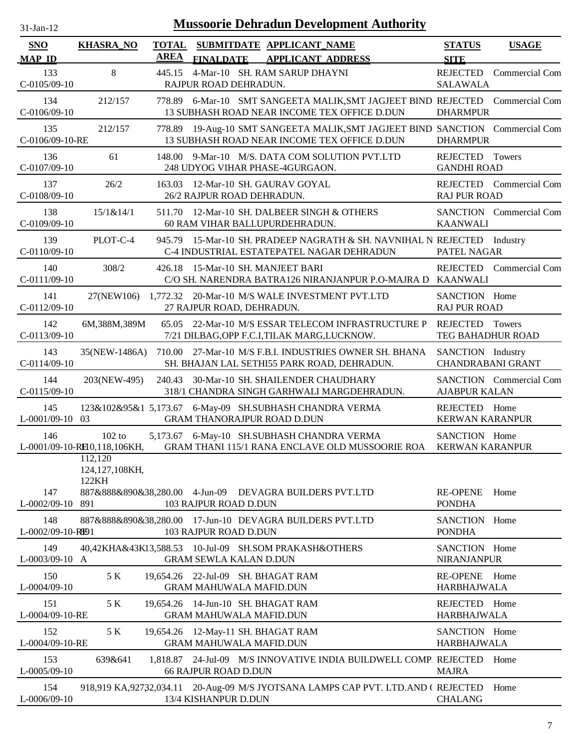| $31-Jan-12$                 |                                           |                             | <b>Mussoorie Dehradun Development Authority</b>                                                                               |                                               |                                |
|-----------------------------|-------------------------------------------|-----------------------------|-------------------------------------------------------------------------------------------------------------------------------|-----------------------------------------------|--------------------------------|
| <b>SNO</b><br><b>MAP ID</b> | <b>KHASRA_NO</b>                          | <b>TOTAL</b><br><b>AREA</b> | SUBMITDATE APPLICANT_NAME<br><b>APPLICANT ADDRESS</b><br><b>FINALDATE</b>                                                     | <b>STATUS</b><br><b>SITE</b>                  | <b>USAGE</b>                   |
| 133<br>$C-0105/09-10$       | $8\phantom{.}$                            | 445.15                      | 4-Mar-10 SH. RAM SARUP DHAYNI<br>RAJPUR ROAD DEHRADUN.                                                                        | <b>REJECTED</b><br><b>SALAWALA</b>            | Commercial Com                 |
| 134<br>C-0106/09-10         | 212/157                                   |                             | 778.89 6-Mar-10 SMT SANGEETA MALIK, SMT JAGJEET BIND REJECTED Commercial Com<br>13 SUBHASH ROAD NEAR INCOME TEX OFFICE D.DUN  | <b>DHARMPUR</b>                               |                                |
| 135<br>C-0106/09-10-RE      | 212/157                                   |                             | 778.89 19-Aug-10 SMT SANGEETA MALIK, SMT JAGJEET BIND SANCTION Commercial Com<br>13 SUBHASH ROAD NEAR INCOME TEX OFFICE D.DUN | <b>DHARMPUR</b>                               |                                |
| 136<br>$C-0107/09-10$       | 61                                        |                             | 148.00 9-Mar-10 M/S. DATA COM SOLUTION PVT.LTD<br>248 UDYOG VIHAR PHASE-4GURGAON.                                             | REJECTED Towers<br><b>GANDHI ROAD</b>         |                                |
| 137<br>C-0108/09-10         | 26/2                                      | 163.03                      | 12-Mar-10 SH. GAURAV GOYAL<br>26/2 RAJPUR ROAD DEHRADUN.                                                                      | <b>RAJ PUR ROAD</b>                           | REJECTED Commercial Com        |
| 138<br>C-0109/09-10         | 15/1&14/1                                 | 511.70                      | 12-Mar-10 SH. DALBEER SINGH & OTHERS<br>60 RAM VIHAR BALLUPURDEHRADUN.                                                        | <b>KAANWALI</b>                               | SANCTION Commercial Com        |
| 139<br>C-0110/09-10         | PLOT-C-4                                  |                             | 945.79 15-Mar-10 SH. PRADEEP NAGRATH & SH. NAVNIHAL N REJECTED<br>C-4 INDUSTRIAL ESTATEPATEL NAGAR DEHRADUN                   | PATEL NAGAR                                   | Industry                       |
| 140<br>$C-0111/09-10$       | 308/2                                     | 426.18                      | 15-Mar-10 SH. MANJEET BARI<br>C/O SH. NARENDRA BATRA126 NIRANJANPUR P.O-MAJRA D                                               | <b>REJECTED</b><br><b>KAANWALI</b>            | Commercial Com                 |
| 141<br>$C-0112/09-10$       | 27(NEW106)                                |                             | 1,772.32 20-Mar-10 M/S WALE INVESTMENT PVT.LTD<br>27 RAJPUR ROAD, DEHRADUN.                                                   | SANCTION Home<br><b>RAJ PUR ROAD</b>          |                                |
| 142<br>$C-0113/09-10$       | 6M,388M,389M                              | 65.05                       | 22-Mar-10 M/S ESSAR TELECOM INFRASTRUCTURE P<br>7/21 DILBAG, OPP F.C.I, TILAK MARG, LUCKNOW.                                  | REJECTED<br>TEG BAHADHUR ROAD                 | Towers                         |
| 143<br>$C-0114/09-10$       | 35(NEW-1486A)                             |                             | 710.00 27-Mar-10 M/S F.B.I. INDUSTRIES OWNER SH. BHANA<br>SH. BHAJAN LAL SETHI55 PARK ROAD, DEHRADUN.                         | SANCTION Industry<br><b>CHANDRABANI GRANT</b> |                                |
| 144<br>$C-0115/09-10$       | 203(NEW-495)                              | 240.43                      | 30-Mar-10 SH. SHAILENDER CHAUDHARY<br>318/1 CHANDRA SINGH GARHWALI MARGDEHRADUN.                                              | <b>AJABPUR KALAN</b>                          | <b>SANCTION</b> Commercial Com |
| 145<br>$L-0001/09-10$ 03    |                                           |                             | 123&102&95&1 5,173.67 6-May-09 SH.SUBHASH CHANDRA VERMA<br><b>GRAM THANORAJPUR ROAD D.DUN</b>                                 | REJECTED<br><b>KERWAN KARANPUR</b>            | Home                           |
| 146                         | $102$ to<br>L-0001/09-10-RH0,118,106KH,   |                             | 5,173.67 6-May-10 SH.SUBHASH CHANDRA VERMA<br>GRAM THANI 115/1 RANA ENCLAVE OLD MUSSOORIE ROA KERWAN KARANPUR                 | SANCTION Home                                 |                                |
| 147<br>$L$ -0002/09-10      | 112,120<br>124,127,108KH,<br>122KH<br>891 |                             | 887&888&890&38,280.00 4-Jun-09 DEVAGRA BUILDERS PVT.LTD<br>103 RAJPUR ROAD D.DUN                                              | <b>RE-OPENE</b><br><b>PONDHA</b>              | Home                           |
| 148<br>L-0002/09-10-RE91    |                                           |                             | 887&888&890&38,280.00 17-Jun-10 DEVAGRA BUILDERS PVT.LTD<br>103 RAJPUR ROAD D.DUN                                             | SANCTION Home<br><b>PONDHA</b>                |                                |
| 149<br>L-0003/09-10 A       |                                           |                             | 40,42KHA&43K13,588.53 10-Jul-09 SH.SOM PRAKASH&OTHERS<br><b>GRAM SEWLA KALAN D.DUN</b>                                        | SANCTION Home<br><b>NIRANJANPUR</b>           |                                |
| 150<br>L-0004/09-10         | 5 K                                       |                             | 19,654.26 22-Jul-09 SH. BHAGAT RAM<br><b>GRAM MAHUWALA MAFID.DUN</b>                                                          | RE-OPENE Home<br><b>HARBHAJWALA</b>           |                                |
| 151<br>L-0004/09-10-RE      | 5 K                                       |                             | 19,654.26 14-Jun-10 SH. BHAGAT RAM<br><b>GRAM MAHUWALA MAFID.DUN</b>                                                          | REJECTED Home<br><b>HARBHAJWALA</b>           |                                |
| 152<br>L-0004/09-10-RE      | 5 K                                       |                             | 19,654.26 12-May-11 SH. BHAGAT RAM<br><b>GRAM MAHUWALA MAFID.DUN</b>                                                          | SANCTION Home<br><b>HARBHAJWALA</b>           |                                |
| 153<br>$L-0005/09-10$       | 639&641                                   |                             | 1,818.87 24-Jul-09 M/S INNOVATIVE INDIA BUILDWELL COMP. REJECTED<br><b>66 RAJPUR ROAD D.DUN</b>                               | <b>MAJRA</b>                                  | Home                           |
| 154<br>L-0006/09-10         |                                           |                             | 918,919 KA,92732,034.11 20-Aug-09 M/S JYOTSANA LAMPS CAP PVT. LTD.AND (REJECTED<br>13/4 KISHANPUR D.DUN                       | <b>CHALANG</b>                                | Home                           |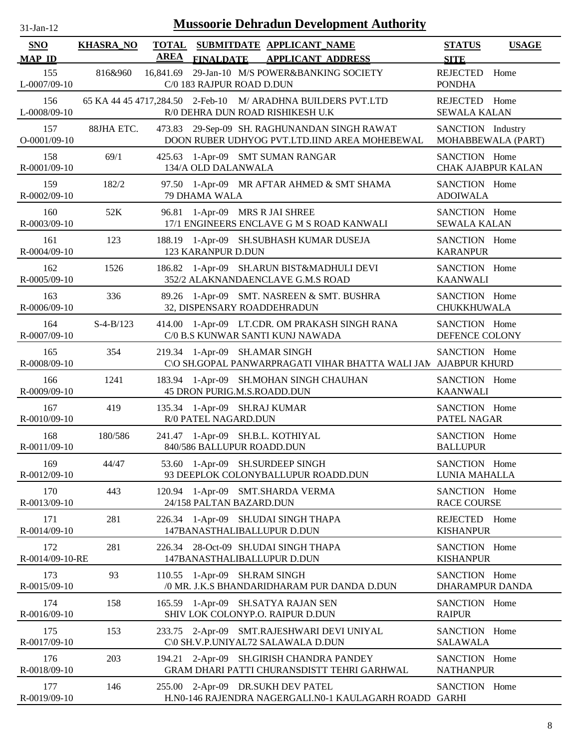| $31$ -Jan-12                |                  |                             |                                                      | <b>Mussoorie Dehradun Development Authority</b>                                                  |                                      |                           |
|-----------------------------|------------------|-----------------------------|------------------------------------------------------|--------------------------------------------------------------------------------------------------|--------------------------------------|---------------------------|
| <b>SNO</b><br><b>MAP ID</b> | <b>KHASRA_NO</b> | <b>TOTAL</b><br><b>AREA</b> | <b>FINALDATE</b>                                     | SUBMITDATE APPLICANT_NAME<br><b>APPLICANT ADDRESS</b>                                            | <b>STATUS</b><br><b>SITE</b>         | <b>USAGE</b>              |
| 155<br>L-0007/09-10         | 816&960          | 16,841.69                   | C/0 183 RAJPUR ROAD D.DUN                            | 29-Jan-10 M/S POWER&BANKING SOCIETY                                                              | <b>REJECTED</b><br><b>PONDHA</b>     | Home                      |
| 156<br>L-0008/09-10         |                  |                             |                                                      | 65 KA 44 45 4717,284.50 2-Feb-10 M/ ARADHNA BUILDERS PVT.LTD<br>R/0 DEHRA DUN ROAD RISHIKESH U.K | REJECTED Home<br><b>SEWALA KALAN</b> |                           |
| 157<br>$O-0001/09-10$       | 88JHA ETC.       |                             |                                                      | 473.83 29-Sep-09 SH. RAGHUNANDAN SINGH RAWAT<br>DOON RUBER UDHYOG PVT.LTD.IIND AREA MOHEBEWAL    | SANCTION Industry                    | MOHABBEWALA (PART)        |
| 158<br>R-0001/09-10         | 69/1             | 425.63                      | 134/A OLD DALANWALA                                  | 1-Apr-09 SMT SUMAN RANGAR                                                                        | SANCTION Home                        | <b>CHAK AJABPUR KALAN</b> |
| 159<br>R-0002/09-10         | 182/2            |                             | 79 DHAMA WALA                                        | 97.50 1-Apr-09 MR AFTAR AHMED & SMT SHAMA                                                        | SANCTION Home<br><b>ADOIWALA</b>     |                           |
| 160<br>R-0003/09-10         | 52K              | 96.81                       |                                                      | 1-Apr-09 MRS R JAI SHREE<br>17/1 ENGINEERS ENCLAVE G M S ROAD KANWALI                            | SANCTION Home<br><b>SEWALA KALAN</b> |                           |
| 161<br>R-0004/09-10         | 123              |                             | 123 KARANPUR D.DUN                                   | 188.19 1-Apr-09 SH.SUBHASH KUMAR DUSEJA                                                          | SANCTION Home<br><b>KARANPUR</b>     |                           |
| 162<br>R-0005/09-10         | 1526             | 186.82                      |                                                      | 1-Apr-09 SH.ARUN BIST&MADHULI DEVI<br>352/2 ALAKNANDAENCLAVE G.M.S ROAD                          | SANCTION Home<br><b>KAANWALI</b>     |                           |
| 163<br>R-0006/09-10         | 336              |                             |                                                      | 89.26 1-Apr-09 SMT. NASREEN & SMT. BUSHRA<br>32, DISPENSARY ROADDEHRADUN                         | SANCTION Home<br>CHUKKHUWALA         |                           |
| 164<br>R-0007/09-10         | $S-4-B/123$      |                             |                                                      | 414.00 1-Apr-09 LT.CDR. OM PRAKASH SINGH RANA<br>C/0 B.S KUNWAR SANTI KUNJ NAWADA                | SANCTION Home<br>DEFENCE COLONY      |                           |
| 165<br>R-0008/09-10         | 354              |                             |                                                      | 219.34 1-Apr-09 SH.AMAR SINGH<br>C\O SH.GOPAL PANWARPRAGATI VIHAR BHATTA WALI JAN AJABPUR KHURD  | SANCTION Home                        |                           |
| 166<br>R-0009/09-10         | 1241             |                             |                                                      | 183.94 1-Apr-09 SH.MOHAN SINGH CHAUHAN<br>45 DRON PURIG.M.S.ROADD.DUN                            | SANCTION Home<br><b>KAANWALI</b>     |                           |
| 167<br>R-0010/09-10         | 419              |                             | 135.34 1-Apr-09 SH.RAJ KUMAR<br>R/0 PATEL NAGARD.DUN |                                                                                                  | SANCTION Home<br>PATEL NAGAR         |                           |
| 168<br>R-0011/09-10         | 180/586          |                             | 840/586 BALLUPUR ROADD.DUN                           | 241.47 1-Apr-09 SH.B.L. KOTHIYAL                                                                 | SANCTION Home<br><b>BALLUPUR</b>     |                           |
| 169<br>R-0012/09-10         | 44/47            |                             |                                                      | 53.60 1-Apr-09 SH.SURDEEP SINGH<br>93 DEEPLOK COLONYBALLUPUR ROADD.DUN                           | SANCTION Home<br>LUNIA MAHALLA       |                           |
| 170<br>R-0013/09-10         | 443              |                             | 24/158 PALTAN BAZARD.DUN                             | 120.94 1-Apr-09 SMT.SHARDA VERMA                                                                 | SANCTION Home<br><b>RACE COURSE</b>  |                           |
| 171<br>R-0014/09-10         | 281              |                             |                                                      | 226.34 1-Apr-09 SH.UDAI SINGH THAPA<br>147BANASTHALIBALLUPUR D.DUN                               | REJECTED<br><b>KISHANPUR</b>         | Home                      |
| 172<br>R-0014/09-10-RE      | 281              | 226.34                      |                                                      | 28-Oct-09 SH.UDAI SINGH THAPA<br>147BANASTHALIBALLUPUR D.DUN                                     | SANCTION Home<br><b>KISHANPUR</b>    |                           |
| 173<br>R-0015/09-10         | 93               |                             | 110.55 1-Apr-09 SH.RAM SINGH                         | /0 MR. J.K.S BHANDARIDHARAM PUR DANDA D.DUN                                                      | SANCTION Home<br>DHARAMPUR DANDA     |                           |
| 174<br>R-0016/09-10         | 158              |                             |                                                      | 165.59 1-Apr-09 SH.SATYA RAJAN SEN<br>SHIV LOK COLONYP.O. RAIPUR D.DUN                           | SANCTION Home<br><b>RAIPUR</b>       |                           |
| 175<br>R-0017/09-10         | 153              |                             |                                                      | 233.75 2-Apr-09 SMT.RAJESHWARI DEVI UNIYAL<br>C\0 SH.V.P.UNIYAL72 SALAWALA D.DUN                 | SANCTION Home<br><b>SALAWALA</b>     |                           |
| 176<br>R-0018/09-10         | 203              |                             |                                                      | 194.21 2-Apr-09 SH.GIRISH CHANDRA PANDEY<br>GRAM DHARI PATTI CHURANSDISTT TEHRI GARHWAL          | SANCTION Home<br><b>NATHANPUR</b>    |                           |
| 177<br>R-0019/09-10         | 146              | 255.00                      |                                                      | 2-Apr-09 DR.SUKH DEV PATEL<br>H.N0-146 RAJENDRA NAGERGALI.N0-1 KAULAGARH ROADD GARHI             | SANCTION Home                        |                           |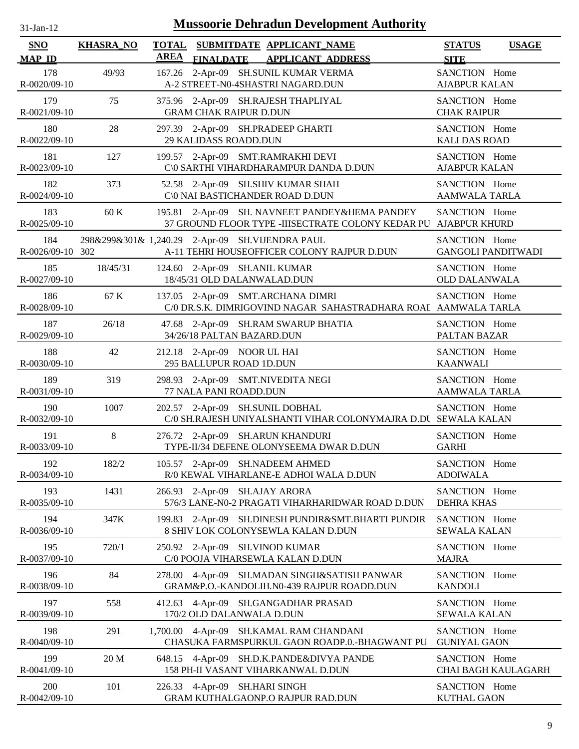| $31$ -Jan-12                |                  |                             | <b>Mussoorie Dehradun Development Authority</b>                                                     |                                       |                           |
|-----------------------------|------------------|-----------------------------|-----------------------------------------------------------------------------------------------------|---------------------------------------|---------------------------|
| <b>SNO</b><br><b>MAP ID</b> | <b>KHASRA_NO</b> | <b>TOTAL</b><br><b>AREA</b> | SUBMITDATE APPLICANT_NAME<br><b>FINALDATE</b><br><b>APPLICANT ADDRESS</b>                           | <b>STATUS</b><br><b>SITE</b>          | <b>USAGE</b>              |
| 178<br>R-0020/09-10         | 49/93            |                             | 167.26 2-Apr-09 SH.SUNIL KUMAR VERMA<br>A-2 STREET-N0-4SHASTRI NAGARD.DUN                           | SANCTION Home<br><b>AJABPUR KALAN</b> |                           |
| 179<br>R-0021/09-10         | 75               |                             | 375.96 2-Apr-09 SH.RAJESH THAPLIYAL<br><b>GRAM CHAK RAIPUR D.DUN</b>                                | SANCTION Home<br><b>CHAK RAIPUR</b>   |                           |
| 180<br>R-0022/09-10         | 28               |                             | 297.39 2-Apr-09 SH.PRADEEP GHARTI<br>29 KALIDASS ROADD.DUN                                          | SANCTION Home<br><b>KALI DAS ROAD</b> |                           |
| 181<br>R-0023/09-10         | 127              |                             | 199.57 2-Apr-09 SMT.RAMRAKHI DEVI<br>C\0 SARTHI VIHARDHARAMPUR DANDA D.DUN                          | SANCTION Home<br><b>AJABPUR KALAN</b> |                           |
| 182<br>R-0024/09-10         | 373              |                             | 52.58 2-Apr-09 SH.SHIV KUMAR SHAH<br>C\0 NAI BASTICHANDER ROAD D.DUN                                | SANCTION Home<br>AAMWALA TARLA        |                           |
| 183<br>R-0025/09-10         | 60 K             | 195.81                      | 2-Apr-09 SH. NAVNEET PANDEY&HEMA PANDEY<br>37 GROUND FLOOR TYPE -IIISECTRATE COLONY KEDAR PU        | SANCTION Home<br><b>AJABPUR KHURD</b> |                           |
| 184<br>R-0026/09-10 302     |                  |                             | 298&299&301& 1,240.29 2-Apr-09 SH.VIJENDRA PAUL<br>A-11 TEHRI HOUSEOFFICER COLONY RAJPUR D.DUN      | SANCTION Home                         | <b>GANGOLI PANDITWADI</b> |
| 185<br>R-0027/09-10         | 18/45/31         |                             | 124.60 2-Apr-09 SH.ANIL KUMAR<br>18/45/31 OLD DALANWALAD.DUN                                        | SANCTION Home<br><b>OLD DALANWALA</b> |                           |
| 186<br>R-0028/09-10         | 67 K             |                             | 137.05 2-Apr-09 SMT.ARCHANA DIMRI<br>C/0 DR.S.K. DIMRIGOVIND NAGAR SAHASTRADHARA ROAI AAMWALA TARLA | SANCTION Home                         |                           |
| 187<br>R-0029/09-10         | 26/18            |                             | 47.68 2-Apr-09 SH.RAM SWARUP BHATIA<br>34/26/18 PALTAN BAZARD.DUN                                   | SANCTION Home<br>PALTAN BAZAR         |                           |
| 188<br>R-0030/09-10         | 42               |                             | 212.18 2-Apr-09 NOOR UL HAI<br>295 BALLUPUR ROAD 1D.DUN                                             | SANCTION Home<br><b>KAANWALI</b>      |                           |
| 189<br>R-0031/09-10         | 319              |                             | 298.93 2-Apr-09 SMT.NIVEDITA NEGI<br>77 NALA PANI ROADD.DUN                                         | SANCTION Home<br>AAMWALA TARLA        |                           |
| 190<br>R-0032/09-10         | 1007             |                             | 202.57 2-Apr-09 SH.SUNIL DOBHAL<br>C/0 SH.RAJESH UNIYALSHANTI VIHAR COLONYMAJRA D.DU SEWALA KALAN   | SANCTION Home                         |                           |
| 191<br>R-0033/09-10         | $\,8\,$          |                             | 276.72 2-Apr-09 SH.ARUN KHANDURI<br>TYPE-II/34 DEFENE OLONYSEEMA DWAR D.DUN                         | SANCTION Home<br><b>GARHI</b>         |                           |
| 192<br>R-0034/09-10         | 182/2            |                             | 105.57 2-Apr-09 SH.NADEEM AHMED<br>R/0 KEWAL VIHARLANE-E ADHOI WALA D.DUN                           | SANCTION Home<br><b>ADOIWALA</b>      |                           |
| 193<br>R-0035/09-10         | 1431             |                             | 266.93 2-Apr-09 SH.AJAY ARORA<br>576/3 LANE-N0-2 PRAGATI VIHARHARIDWAR ROAD D.DUN                   | SANCTION Home<br><b>DEHRA KHAS</b>    |                           |
| 194<br>R-0036/09-10         | 347K             | 199.83                      | 2-Apr-09 SH.DINESH PUNDIR&SMT.BHARTI PUNDIR<br>8 SHIV LOK COLONYSEWLA KALAN D.DUN                   | SANCTION Home<br><b>SEWALA KALAN</b>  |                           |
| 195<br>R-0037/09-10         | 720/1            |                             | 250.92 2-Apr-09 SH.VINOD KUMAR<br>C/0 POOJA VIHARSEWLA KALAN D.DUN                                  | SANCTION Home<br><b>MAJRA</b>         |                           |
| 196<br>R-0038/09-10         | 84               | 278.00                      | 4-Apr-09 SH.MADAN SINGH&SATISH PANWAR<br>GRAM&P.O.-KANDOLIH.N0-439 RAJPUR ROADD.DUN                 | SANCTION Home<br><b>KANDOLI</b>       |                           |
| 197<br>R-0039/09-10         | 558              | 412.63                      | 4-Apr-09 SH.GANGADHAR PRASAD<br>170/2 OLD DALANWALA D.DUN                                           | SANCTION Home<br><b>SEWALA KALAN</b>  |                           |
| 198<br>$R - 0040/09 - 10$   | 291              |                             | 1,700.00 4-Apr-09 SH.KAMAL RAM CHANDANI<br>CHASUKA FARMSPURKUL GAON ROADP.0.-BHAGWANT PU            | SANCTION Home<br><b>GUNIYAL GAON</b>  |                           |
| 199<br>R-0041/09-10         | 20 M             |                             | 648.15 4-Apr-09 SH.D.K.PANDE&DIVYA PANDE<br>158 PH-II VASANT VIHARKANWAL D.DUN                      | SANCTION Home                         | CHAI BAGH KAULAGARH       |
| 200<br>R-0042/09-10         | 101              |                             | 226.33 4-Apr-09 SH.HARI SINGH<br>GRAM KUTHALGAONP.O RAJPUR RAD.DUN                                  | SANCTION Home<br><b>KUTHAL GAON</b>   |                           |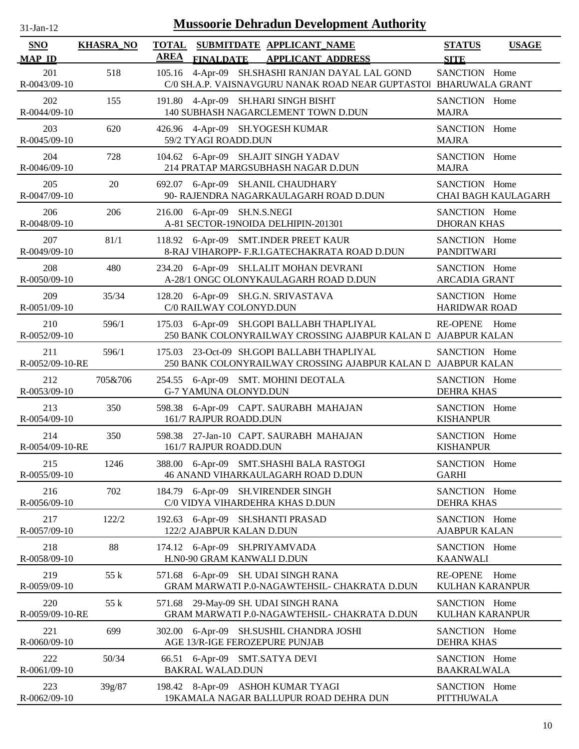| <b>Mussoorie Dehradun Development Authority</b><br>31-Jan-12 |                  |                             |                                                                                                              |                                       |                            |  |  |  |
|--------------------------------------------------------------|------------------|-----------------------------|--------------------------------------------------------------------------------------------------------------|---------------------------------------|----------------------------|--|--|--|
| <b>SNO</b><br><b>MAP ID</b>                                  | <b>KHASRA_NO</b> | <b>TOTAL</b><br><b>AREA</b> | SUBMITDATE APPLICANT NAME<br><b>FINALDATE</b><br><b>APPLICANT ADDRESS</b>                                    | <b>STATUS</b><br><b>SITE</b>          | <b>USAGE</b>               |  |  |  |
| 201<br>R-0043/09-10                                          | 518              | 105.16                      | 4-Apr-09 SH.SHASHI RANJAN DAYAL LAL GOND<br>C/0 SH.A.P. VAISNAVGURU NANAK ROAD NEAR GUPTASTO BHARUWALA GRANT | SANCTION Home                         |                            |  |  |  |
| 202<br>R-0044/09-10                                          | 155              | 191.80                      | 4-Apr-09 SH.HARI SINGH BISHT<br>140 SUBHASH NAGARCLEMENT TOWN D.DUN                                          | SANCTION Home<br><b>MAJRA</b>         |                            |  |  |  |
| 203<br>R-0045/09-10                                          | 620              |                             | 426.96 4-Apr-09 SH.YOGESH KUMAR<br>59/2 TYAGI ROADD.DUN                                                      | SANCTION Home<br><b>MAJRA</b>         |                            |  |  |  |
| 204<br>R-0046/09-10                                          | 728              |                             | 104.62 6-Apr-09 SH.AJIT SINGH YADAV<br>214 PRATAP MARGSUBHASH NAGAR D.DUN                                    | SANCTION Home<br><b>MAJRA</b>         |                            |  |  |  |
| 205<br>R-0047/09-10                                          | 20               |                             | 692.07 6-Apr-09 SH.ANIL CHAUDHARY<br>90- RAJENDRA NAGARKAULAGARH ROAD D.DUN                                  | SANCTION Home                         | <b>CHAI BAGH KAULAGARH</b> |  |  |  |
| 206<br>R-0048/09-10                                          | 206              |                             | 216.00 6-Apr-09 SH.N.S.NEGI<br>A-81 SECTOR-19NOIDA DELHIPIN-201301                                           | SANCTION Home<br><b>DHORAN KHAS</b>   |                            |  |  |  |
| 207<br>R-0049/09-10                                          | 81/1             |                             | 118.92 6-Apr-09 SMT.INDER PREET KAUR<br>8-RAJ VIHAROPP- F.R.I.GATECHAKRATA ROAD D.DUN                        | SANCTION Home<br><b>PANDITWARI</b>    |                            |  |  |  |
| 208<br>R-0050/09-10                                          | 480              |                             | 234.20 6-Apr-09 SH.LALIT MOHAN DEVRANI<br>A-28/1 ONGC OLONYKAULAGARH ROAD D.DUN                              | SANCTION Home<br><b>ARCADIA GRANT</b> |                            |  |  |  |
| 209<br>R-0051/09-10                                          | 35/34            |                             | 128.20 6-Apr-09 SH.G.N. SRIVASTAVA<br>C/0 RAILWAY COLONYD.DUN                                                | SANCTION Home<br><b>HARIDWAR ROAD</b> |                            |  |  |  |
| 210<br>R-0052/09-10                                          | 596/1            |                             | 175.03 6-Apr-09 SH.GOPI BALLABH THAPLIYAL<br>250 BANK COLONYRAILWAY CROSSING AJABPUR KALAN D AJABPUR KALAN   | RE-OPENE Home                         |                            |  |  |  |
| 211<br>R-0052/09-10-RE                                       | 596/1            | 175.03                      | 23-Oct-09 SH.GOPI BALLABH THAPLIYAL<br>250 BANK COLONYRAILWAY CROSSING AJABPUR KALAN D AJABPUR KALAN         | SANCTION Home                         |                            |  |  |  |
| 212<br>R-0053/09-10                                          | 705&706          |                             | 254.55 6-Apr-09 SMT. MOHINI DEOTALA<br><b>G-7 YAMUNA OLONYD.DUN</b>                                          | SANCTION Home<br><b>DEHRA KHAS</b>    |                            |  |  |  |
| 213<br>R-0054/09-10                                          | 350              | 598.38                      | 6-Apr-09 CAPT. SAURABH MAHAJAN<br>161/7 RAJPUR ROADD.DUN                                                     | SANCTION Home<br><b>KISHANPUR</b>     |                            |  |  |  |
| 214<br>R-0054/09-10-RE                                       | 350              |                             | 598.38 27-Jan-10 CAPT. SAURABH MAHAJAN<br>161/7 RAJPUR ROADD.DUN                                             | SANCTION Home<br><b>KISHANPUR</b>     |                            |  |  |  |
| 215<br>R-0055/09-10                                          | 1246             |                             | 388.00 6-Apr-09 SMT.SHASHI BALA RASTOGI<br>46 ANAND VIHARKAULAGARH ROAD D.DUN                                | SANCTION Home<br><b>GARHI</b>         |                            |  |  |  |
| 216<br>R-0056/09-10                                          | 702              |                             | 184.79 6-Apr-09 SH. VIRENDER SINGH<br>C/0 VIDYA VIHARDEHRA KHAS D.DUN                                        | SANCTION Home<br><b>DEHRA KHAS</b>    |                            |  |  |  |
| 217<br>R-0057/09-10                                          | 122/2            |                             | 192.63 6-Apr-09 SH.SHANTI PRASAD<br>122/2 AJABPUR KALAN D.DUN                                                | SANCTION Home<br><b>AJABPUR KALAN</b> |                            |  |  |  |
| 218<br>R-0058/09-10                                          | 88               |                             | 174.12 6-Apr-09 SH.PRIYAMVADA<br>H.N0-90 GRAM KANWALI D.DUN                                                  | SANCTION Home<br><b>KAANWALI</b>      |                            |  |  |  |
| 219<br>R-0059/09-10                                          | 55 k             |                             | 571.68 6-Apr-09 SH. UDAI SINGH RANA<br>GRAM MARWATI P.0-NAGAWTEHSIL- CHAKRATA D.DUN                          | RE-OPENE Home<br>KULHAN KARANPUR      |                            |  |  |  |
| 220<br>R-0059/09-10-RE                                       | 55 k             |                             | 571.68 29-May-09 SH. UDAI SINGH RANA<br>GRAM MARWATI P.0-NAGAWTEHSIL- CHAKRATA D.DUN                         | SANCTION Home<br>KULHAN KARANPUR      |                            |  |  |  |
| 221<br>R-0060/09-10                                          | 699              |                             | 302.00 6-Apr-09 SH.SUSHIL CHANDRA JOSHI<br>AGE 13/R-IGE FEROZEPURE PUNJAB                                    | SANCTION Home<br><b>DEHRA KHAS</b>    |                            |  |  |  |
| 222<br>R-0061/09-10                                          | 50/34            |                             | 66.51 6-Apr-09 SMT.SATYA DEVI<br><b>BAKRAL WALAD.DUN</b>                                                     | SANCTION Home<br><b>BAAKRALWALA</b>   |                            |  |  |  |
| 223<br>R-0062/09-10                                          | 39g/87           |                             | 198.42 8-Apr-09 ASHOH KUMAR TYAGI<br>19KAMALA NAGAR BALLUPUR ROAD DEHRA DUN                                  | SANCTION Home<br><b>PITTHUWALA</b>    |                            |  |  |  |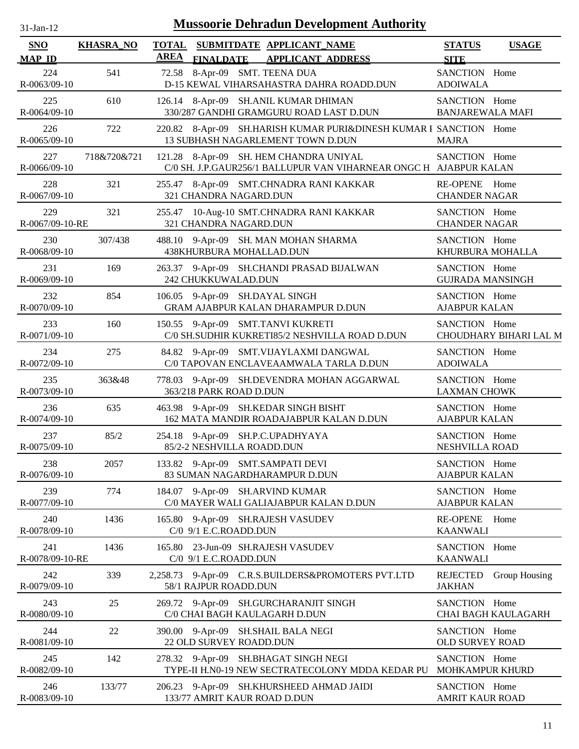| <b>Mussoorie Dehradun Development Authority</b><br>31-Jan-12 |                  |             |                            |  |                                                                                                             |                                          |                        |  |
|--------------------------------------------------------------|------------------|-------------|----------------------------|--|-------------------------------------------------------------------------------------------------------------|------------------------------------------|------------------------|--|
| <b>SNO</b><br><b>MAP ID</b>                                  | <b>KHASRA_NO</b> | <b>AREA</b> | <b>FINALDATE</b>           |  | TOTAL SUBMITDATE APPLICANT NAME<br><b>APPLICANT ADDRESS</b>                                                 | <b>STATUS</b><br><b>SITE</b>             | <b>USAGE</b>           |  |
| 224<br>R-0063/09-10                                          | 541              |             |                            |  | 72.58 8-Apr-09 SMT. TEENA DUA<br>D-15 KEWAL VIHARSAHASTRA DAHRA ROADD.DUN                                   | SANCTION Home<br><b>ADOIWALA</b>         |                        |  |
| 225<br>R-0064/09-10                                          | 610              |             |                            |  | 126.14 8-Apr-09 SH.ANIL KUMAR DHIMAN<br>330/287 GANDHI GRAMGURU ROAD LAST D.DUN                             | SANCTION Home<br><b>BANJAREWALA MAFI</b> |                        |  |
| 226<br>R-0065/09-10                                          | 722              |             |                            |  | 220.82 8-Apr-09 SH.HARISH KUMAR PURI&DINESH KUMAR I SANCTION Home<br>13 SUBHASH NAGARLEMENT TOWN D.DUN      | <b>MAJRA</b>                             |                        |  |
| 227<br>R-0066/09-10                                          | 718&720&721      |             |                            |  | 121.28 8-Apr-09 SH. HEM CHANDRA UNIYAL<br>C/0 SH. J.P.GAUR256/1 BALLUPUR VAN VIHARNEAR ONGC H AJABPUR KALAN | SANCTION Home                            |                        |  |
| 228<br>R-0067/09-10                                          | 321              |             | 321 CHANDRA NAGARD.DUN     |  | 255.47 8-Apr-09 SMT.CHNADRA RANI KAKKAR                                                                     | RE-OPENE Home<br><b>CHANDER NAGAR</b>    |                        |  |
| 229<br>R-0067/09-10-RE                                       | 321              |             | 321 CHANDRA NAGARD.DUN     |  | 255.47 10-Aug-10 SMT.CHNADRA RANI KAKKAR                                                                    | SANCTION Home<br><b>CHANDER NAGAR</b>    |                        |  |
| 230<br>R-0068/09-10                                          | 307/438          |             |                            |  | 488.10 9-Apr-09 SH. MAN MOHAN SHARMA<br>438KHURBURA MOHALLAD.DUN                                            | SANCTION Home<br>KHURBURA MOHALLA        |                        |  |
| 231<br>R-0069/09-10                                          | 169              |             | 242 CHUKKUWALAD.DUN        |  | 263.37 9-Apr-09 SH.CHANDI PRASAD BIJALWAN                                                                   | SANCTION Home<br><b>GUJRADA MANSINGH</b> |                        |  |
| 232<br>R-0070/09-10                                          | 854              |             |                            |  | 106.05 9-Apr-09 SH.DAYAL SINGH<br>GRAM AJABPUR KALAN DHARAMPUR D.DUN                                        | SANCTION Home<br><b>AJABPUR KALAN</b>    |                        |  |
| 233<br>R-0071/09-10                                          | 160              |             |                            |  | 150.55 9-Apr-09 SMT.TANVI KUKRETI<br>C/0 SH.SUDHIR KUKRETI85/2 NESHVILLA ROAD D.DUN                         | SANCTION Home                            | CHOUDHARY BIHARI LAL M |  |
| 234<br>R-0072/09-10                                          | 275              |             |                            |  | 84.82 9-Apr-09 SMT.VIJAYLAXMI DANGWAL<br>C/0 TAPOVAN ENCLAVEAAMWALA TARLA D.DUN                             | SANCTION Home<br><b>ADOIWALA</b>         |                        |  |
| 235<br>R-0073/09-10                                          | 363&48           |             | 363/218 PARK ROAD D.DUN    |  | 778.03 9-Apr-09 SH.DEVENDRA MOHAN AGGARWAL                                                                  | SANCTION Home<br><b>LAXMAN CHOWK</b>     |                        |  |
| 236<br>R-0074/09-10                                          | 635              |             |                            |  | 463.98 9-Apr-09 SH.KEDAR SINGH BISHT<br>162 MATA MANDIR ROADAJABPUR KALAN D.DUN                             | SANCTION Home<br><b>AJABPUR KALAN</b>    |                        |  |
| 237<br>R-0075/09-10                                          | 85/2             |             | 85/2-2 NESHVILLA ROADD.DUN |  | 254.18 9-Apr-09 SH.P.C.UPADHYAYA                                                                            | SANCTION Home<br>NESHVILLA ROAD          |                        |  |
| 238<br>R-0076/09-10                                          | 2057             |             |                            |  | 133.82 9-Apr-09 SMT.SAMPATI DEVI<br>83 SUMAN NAGARDHARAMPUR D.DUN                                           | SANCTION Home<br><b>AJABPUR KALAN</b>    |                        |  |
| 239<br>R-0077/09-10                                          | 774              |             |                            |  | 184.07 9-Apr-09 SH.ARVIND KUMAR<br>C/0 MAYER WALI GALIAJABPUR KALAN D.DUN                                   | SANCTION Home<br><b>AJABPUR KALAN</b>    |                        |  |
| 240<br>R-0078/09-10                                          | 1436             |             | C/0 9/1 E.C.ROADD.DUN      |  | 165.80 9-Apr-09 SH.RAJESH VASUDEV                                                                           | <b>RE-OPENE</b><br><b>KAANWALI</b>       | Home                   |  |
| 241<br>R-0078/09-10-RE                                       | 1436             |             | C/0 9/1 E.C.ROADD.DUN      |  | 165.80 23-Jun-09 SH.RAJESH VASUDEV                                                                          | SANCTION Home<br><b>KAANWALI</b>         |                        |  |
| 242<br>R-0079/09-10                                          | 339              |             | 58/1 RAJPUR ROADD.DUN      |  | 2,258.73 9-Apr-09 C.R.S.BUILDERS&PROMOTERS PVT.LTD                                                          | <b>REJECTED</b><br><b>JAKHAN</b>         | Group Housing          |  |
| 243<br>R-0080/09-10                                          | 25               |             |                            |  | 269.72 9-Apr-09 SH.GURCHARANJIT SINGH<br>C/0 CHAI BAGH KAULAGARH D.DUN                                      | SANCTION Home                            | CHAI BAGH KAULAGARH    |  |
| 244<br>R-0081/09-10                                          | 22               |             | 22 OLD SURVEY ROADD.DUN    |  | 390.00 9-Apr-09 SH.SHAIL BALA NEGI                                                                          | SANCTION Home<br>OLD SURVEY ROAD         |                        |  |
| 245<br>R-0082/09-10                                          | 142              |             |                            |  | 278.32 9-Apr-09 SH.BHAGAT SINGH NEGI<br>TYPE-II H.N0-19 NEW SECTRATECOLONY MDDA KEDAR PU                    | SANCTION Home<br>MOHKAMPUR KHURD         |                        |  |
| 246<br>R-0083/09-10                                          | 133/77           |             |                            |  | 206.23 9-Apr-09 SH.KHURSHEED AHMAD JAIDI<br>133/77 AMRIT KAUR ROAD D.DUN                                    | SANCTION Home<br><b>AMRIT KAUR ROAD</b>  |                        |  |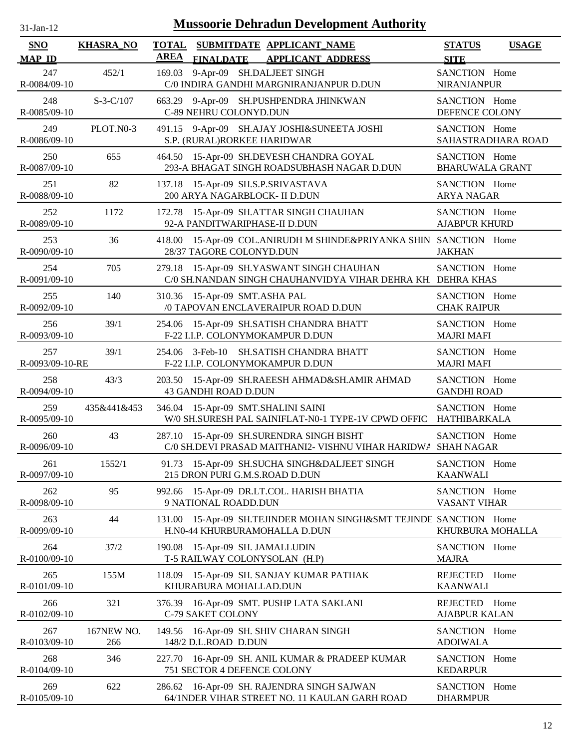| $31$ -Jan-12                | <b>Mussoorie Dehradun Development Authority</b> |                             |                                                              |                                                                                                           |                                         |                    |  |  |
|-----------------------------|-------------------------------------------------|-----------------------------|--------------------------------------------------------------|-----------------------------------------------------------------------------------------------------------|-----------------------------------------|--------------------|--|--|
| <b>SNO</b><br><b>MAP ID</b> | <b>KHASRA_NO</b>                                | <b>TOTAL</b><br><b>AREA</b> | <b>FINALDATE</b>                                             | SUBMITDATE APPLICANT_NAME<br><b>APPLICANT ADDRESS</b>                                                     | <b>STATUS</b><br><b>SITE</b>            | <b>USAGE</b>       |  |  |
| 247<br>R-0084/09-10         | 452/1                                           | 169.03                      | 9-Apr-09 SH.DALJEET SINGH                                    | C/0 INDIRA GANDHI MARGNIRANJANPUR D.DUN                                                                   | SANCTION Home<br>NIRANJANPUR            |                    |  |  |
| 248<br>R-0085/09-10         | $S-3-C/107$                                     |                             | C-89 NEHRU COLONYD.DUN                                       | 663.29 9-Apr-09 SH.PUSHPENDRA JHINKWAN                                                                    | SANCTION Home<br>DEFENCE COLONY         |                    |  |  |
| 249<br>R-0086/09-10         | PLOT.N0-3                                       |                             | S.P. (RURAL)RORKEE HARIDWAR                                  | 491.15 9-Apr-09 SH.AJAY JOSHI&SUNEETA JOSHI                                                               | SANCTION Home                           | SAHASTRADHARA ROAD |  |  |
| 250<br>R-0087/09-10         | 655                                             | 464.50                      |                                                              | 15-Apr-09 SH.DEVESH CHANDRA GOYAL<br>293-A BHAGAT SINGH ROADSUBHASH NAGAR D.DUN                           | SANCTION Home<br><b>BHARUWALA GRANT</b> |                    |  |  |
| 251<br>R-0088/09-10         | 82                                              | 137.18                      | 15-Apr-09 SH.S.P.SRIVASTAVA<br>200 ARYA NAGARBLOCK- II D.DUN |                                                                                                           | SANCTION Home<br><b>ARYA NAGAR</b>      |                    |  |  |
| 252<br>R-0089/09-10         | 1172                                            | 172.78                      | 92-A PANDITWARIPHASE-II D.DUN                                | 15-Apr-09 SH.ATTAR SINGH CHAUHAN                                                                          | SANCTION Home<br><b>AJABPUR KHURD</b>   |                    |  |  |
| 253<br>R-0090/09-10         | 36                                              | 418.00                      | 28/37 TAGORE COLONYD.DUN                                     | 15-Apr-09 COL.ANIRUDH M SHINDE&PRIYANKA SHIN SANCTION Home                                                | <b>JAKHAN</b>                           |                    |  |  |
| 254<br>R-0091/09-10         | 705                                             | 279.18                      |                                                              | 15-Apr-09 SH.YASWANT SINGH CHAUHAN<br>C/0 SH.NANDAN SINGH CHAUHANVIDYA VIHAR DEHRA KH DEHRA KHAS          | SANCTION Home                           |                    |  |  |
| 255<br>R-0092/09-10         | 140                                             |                             | 310.36 15-Apr-09 SMT.ASHA PAL                                | /0 TAPOVAN ENCLAVERAIPUR ROAD D.DUN                                                                       | SANCTION Home<br><b>CHAK RAIPUR</b>     |                    |  |  |
| 256<br>R-0093/09-10         | 39/1                                            | 254.06                      | F-22 I.I.P. COLONYMOKAMPUR D.DUN                             | 15-Apr-09 SH.SATISH CHANDRA BHATT                                                                         | SANCTION Home<br><b>MAJRI MAFI</b>      |                    |  |  |
| 257<br>R-0093/09-10-RE      | 39/1                                            |                             | F-22 I.I.P. COLONYMOKAMPUR D.DUN                             | 254.06 3-Feb-10 SH.SATISH CHANDRA BHATT                                                                   | SANCTION Home<br><b>MAJRI MAFI</b>      |                    |  |  |
| 258<br>R-0094/09-10         | 43/3                                            |                             | 43 GANDHI ROAD D.DUN                                         | 203.50 15-Apr-09 SH.RAEESH AHMAD&SH.AMIR AHMAD                                                            | SANCTION Home<br><b>GANDHI ROAD</b>     |                    |  |  |
| 259<br>R-0095/09-10         | 435&441&453                                     |                             | 346.04 15-Apr-09 SMT.SHALINI SAINI                           | W/0 SH.SURESH PAL SAINIFLAT-N0-1 TYPE-1V CPWD OFFIC HATHIBARKALA                                          | SANCTION Home                           |                    |  |  |
| 260<br>R-0096/09-10         | 43                                              |                             |                                                              | 287.10 15-Apr-09 SH.SURENDRA SINGH BISHT<br>C/0 SH.DEVI PRASAD MAITHANI2- VISHNU VIHAR HARIDWA SHAH NAGAR | SANCTION Home                           |                    |  |  |
| 261<br>R-0097/09-10         | 1552/1                                          |                             | 215 DRON PURI G.M.S.ROAD D.DUN                               | 91.73 15-Apr-09 SH.SUCHA SINGH&DALJEET SINGH                                                              | SANCTION Home<br><b>KAANWALI</b>        |                    |  |  |
| 262<br>R-0098/09-10         | 95                                              | 992.66                      | 9 NATIONAL ROADD.DUN                                         | 15-Apr-09 DR.LT.COL. HARISH BHATIA                                                                        | SANCTION Home<br><b>VASANT VIHAR</b>    |                    |  |  |
| 263<br>R-0099/09-10         | 44                                              | 131.00                      | H.N0-44 KHURBURAMOHALLA D.DUN                                | 15-Apr-09 SH.TEJINDER MOHAN SINGH&SMT TEJINDE SANCTION Home                                               | KHURBURA MOHALLA                        |                    |  |  |
| 264<br>R-0100/09-10         | 37/2                                            | 190.08                      | 15-Apr-09 SH. JAMALLUDIN<br>T-5 RAILWAY COLONYSOLAN (H.P)    |                                                                                                           | SANCTION Home<br><b>MAJRA</b>           |                    |  |  |
| 265<br>R-0101/09-10         | 155M                                            | 118.09                      | KHURABURA MOHALLAD.DUN                                       | 15-Apr-09 SH. SANJAY KUMAR PATHAK                                                                         | REJECTED<br><b>KAANWALI</b>             | Home               |  |  |
| 266<br>R-0102/09-10         | 321                                             | 376.39                      | C-79 SAKET COLONY                                            | 16-Apr-09 SMT. PUSHP LATA SAKLANI                                                                         | REJECTED Home<br><b>AJABPUR KALAN</b>   |                    |  |  |
| 267<br>R-0103/09-10         | 167NEW NO.<br>266                               | 149.56                      | 16-Apr-09 SH. SHIV CHARAN SINGH<br>148/2 D.L.ROAD D.DUN      |                                                                                                           | SANCTION Home<br><b>ADOIWALA</b>        |                    |  |  |
| 268<br>R-0104/09-10         | 346                                             | 227.70                      | 751 SECTOR 4 DEFENCE COLONY                                  | 16-Apr-09 SH. ANIL KUMAR & PRADEEP KUMAR                                                                  | SANCTION Home<br><b>KEDARPUR</b>        |                    |  |  |
| 269<br>R-0105/09-10         | 622                                             | 286.62                      |                                                              | 16-Apr-09 SH. RAJENDRA SINGH SAJWAN<br>64/1NDER VIHAR STREET NO. 11 KAULAN GARH ROAD                      | SANCTION Home<br><b>DHARMPUR</b>        |                    |  |  |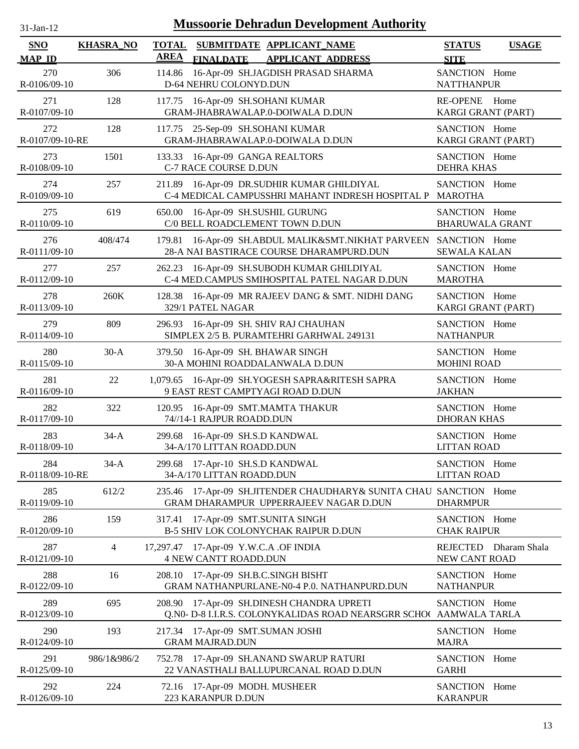| 31-Jan-12                   |                  | <b>Mussoorie Dehradun Development Authority</b>                                                             |                                                  |
|-----------------------------|------------------|-------------------------------------------------------------------------------------------------------------|--------------------------------------------------|
| <b>SNO</b><br><b>MAP ID</b> | <b>KHASRA_NO</b> | <b>TOTAL</b><br>SUBMITDATE APPLICANT NAME<br><b>AREA</b><br><b>APPLICANT ADDRESS</b><br><b>FINALDATE</b>    | <b>STATUS</b><br><b>USAGE</b><br><b>SITE</b>     |
| 270<br>R-0106/09-10         | 306              | 16-Apr-09 SH.JAGDISH PRASAD SHARMA<br>114.86<br>D-64 NEHRU COLONYD.DUN                                      | SANCTION Home<br><b>NATTHANPUR</b>               |
| 271<br>R-0107/09-10         | 128              | 16-Apr-09 SH.SOHANI KUMAR<br>117.75<br>GRAM-JHABRAWALAP.0-DOIWALA D.DUN                                     | RE-OPENE Home<br>KARGI GRANT (PART)              |
| 272<br>R-0107/09-10-RE      | 128              | 117.75 25-Sep-09 SH.SOHANI KUMAR<br>GRAM-JHABRAWALAP.0-DOIWALA D.DUN                                        | SANCTION Home<br>KARGI GRANT (PART)              |
| 273<br>R-0108/09-10         | 1501             | 133.33<br>16-Apr-09 GANGA REALTORS<br>C-7 RACE COURSE D.DUN                                                 | SANCTION Home<br><b>DEHRA KHAS</b>               |
| 274<br>R-0109/09-10         | 257              | 211.89 16-Apr-09 DR.SUDHIR KUMAR GHILDIYAL<br>C-4 MEDICAL CAMPUSSHRI MAHANT INDRESH HOSPITAL P MAROTHA      | SANCTION Home                                    |
| 275<br>R-0110/09-10         | 619              | 16-Apr-09 SH.SUSHIL GURUNG<br>650.00<br>C/0 BELL ROADCLEMENT TOWN D.DUN                                     | SANCTION Home<br><b>BHARUWALA GRANT</b>          |
| 276<br>R-0111/09-10         | 408/474          | 16-Apr-09 SH.ABDUL MALIK&SMT.NIKHAT PARVEEN<br>179.81<br>28-A NAI BASTIRACE COURSE DHARAMPURD.DUN           | SANCTION Home<br><b>SEWALA KALAN</b>             |
| 277<br>R-0112/09-10         | 257              | 16-Apr-09 SH.SUBODH KUMAR GHILDIYAL<br>262.23<br>C-4 MED.CAMPUS SMIHOSPITAL PATEL NAGAR D.DUN               | SANCTION Home<br><b>MAROTHA</b>                  |
| 278<br>R-0113/09-10         | 260K             | 16-Apr-09 MR RAJEEV DANG & SMT. NIDHI DANG<br>128.38<br>329/1 PATEL NAGAR                                   | SANCTION Home<br>KARGI GRANT (PART)              |
| 279<br>R-0114/09-10         | 809              | 16-Apr-09 SH. SHIV RAJ CHAUHAN<br>296.93<br>SIMPLEX 2/5 B. PURAMTEHRI GARHWAL 249131                        | SANCTION Home<br><b>NATHANPUR</b>                |
| 280<br>R-0115/09-10         | $30-A$           | 16-Apr-09 SH. BHAWAR SINGH<br>379.50<br>30-A MOHINI ROADDALANWALA D.DUN                                     | SANCTION Home<br><b>MOHINI ROAD</b>              |
| 281<br>R-0116/09-10         | 22               | 1,079.65 16-Apr-09 SH.YOGESH SAPRA&RITESH SAPRA<br>9 EAST REST CAMPTYAGI ROAD D.DUN                         | SANCTION Home<br><b>JAKHAN</b>                   |
| 282<br>R-0117/09-10         | 322              | 16-Apr-09 SMT.MAMTA THAKUR<br>120.95<br>74//14-1 RAJPUR ROADD.DUN                                           | SANCTION Home<br><b>DHORAN KHAS</b>              |
| 283<br>R-0118/09-10         | $34-A$           | 299.68<br>16-Apr-09 SH.S.D KANDWAL<br>34-A/170 LITTAN ROADD.DUN                                             | SANCTION Home<br><b>LITTAN ROAD</b>              |
| 284<br>R-0118/09-10-RE      | $34-A$           | 299.68 17-Apr-10 SH.S.D KANDWAL<br>34-A/170 LITTAN ROADD.DUN                                                | SANCTION Home<br><b>LITTAN ROAD</b>              |
| 285<br>R-0119/09-10         | 612/2            | 235.46 17-Apr-09 SH.JITENDER CHAUDHARY& SUNITA CHAU SANCTION Home<br>GRAM DHARAMPUR UPPERRAJEEV NAGAR D.DUN | <b>DHARMPUR</b>                                  |
| 286<br>R-0120/09-10         | 159              | 17-Apr-09 SMT.SUNITA SINGH<br>317.41<br>B-5 SHIV LOK COLONYCHAK RAIPUR D.DUN                                | SANCTION Home<br><b>CHAK RAIPUR</b>              |
| 287<br>R-0121/09-10         | 4                | 17,297.47 17-Apr-09 Y.W.C.A .OF INDIA<br><b>4 NEW CANTT ROADD.DUN</b>                                       | <b>REJECTED</b><br>Dharam Shala<br>NEW CANT ROAD |
| 288<br>R-0122/09-10         | 16               | 208.10 17-Apr-09 SH.B.C.SINGH BISHT<br>GRAM NATHANPURLANE-N0-4 P.0. NATHANPURD.DUN                          | SANCTION Home<br><b>NATHANPUR</b>                |
| 289<br>R-0123/09-10         | 695              | 17-Apr-09 SH.DINESH CHANDRA UPRETI<br>208.90<br>Q.N0- D-8 I.I.R.S. COLONYKALIDAS ROAD NEARSGRR SCHOO        | SANCTION Home<br>AAMWALA TARLA                   |
| 290<br>$R - 0124/09 - 10$   | 193              | 17-Apr-09 SMT.SUMAN JOSHI<br>217.34<br><b>GRAM MAJRAD.DUN</b>                                               | SANCTION Home<br><b>MAJRA</b>                    |
| 291<br>R-0125/09-10         | 986/1&986/2      | 752.78 17-Apr-09 SH.ANAND SWARUP RATURI<br>22 VANASTHALI BALLUPURCANAL ROAD D.DUN                           | SANCTION Home<br><b>GARHI</b>                    |
| 292<br>R-0126/09-10         | 224              | 72.16 17-Apr-09 MODH. MUSHEER<br>223 KARANPUR D.DUN                                                         | SANCTION Home<br><b>KARANPUR</b>                 |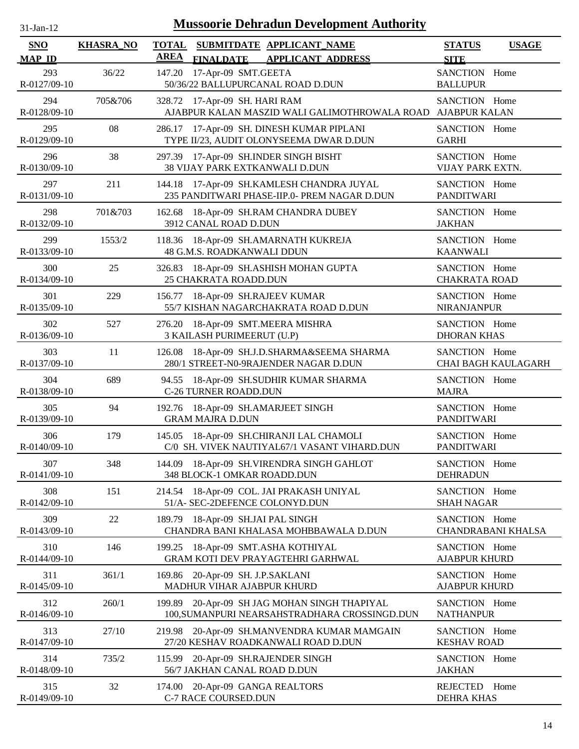| 31-Jan-12                   |                  | <b>Mussoorie Dehradun Development Authority</b>                                                          |                                              |
|-----------------------------|------------------|----------------------------------------------------------------------------------------------------------|----------------------------------------------|
| <b>SNO</b><br><b>MAP ID</b> | <b>KHASRA_NO</b> | <b>TOTAL</b><br>SUBMITDATE APPLICANT_NAME<br><b>AREA</b><br><b>APPLICANT ADDRESS</b><br><b>FINALDATE</b> | <b>STATUS</b><br><b>USAGE</b><br><b>SITE</b> |
| 293<br>R-0127/09-10         | 36/22            | 17-Apr-09 SMT.GEETA<br>147.20<br>50/36/22 BALLUPURCANAL ROAD D.DUN                                       | SANCTION Home<br><b>BALLUPUR</b>             |
| 294<br>R-0128/09-10         | 705&706          | 328.72 17-Apr-09 SH. HARI RAM<br>AJABPUR KALAN MASZID WALI GALIMOTHROWALA ROAD AJABPUR KALAN             | SANCTION Home                                |
| 295<br>R-0129/09-10         | 08               | 286.17 17-Apr-09 SH. DINESH KUMAR PIPLANI<br>TYPE II/23, AUDIT OLONYSEEMA DWAR D.DUN                     | SANCTION Home<br><b>GARHI</b>                |
| 296<br>R-0130/09-10         | 38               | 297.39 17-Apr-09 SH.INDER SINGH BISHT<br>38 VIJAY PARK EXTKANWALI D.DUN                                  | SANCTION Home<br>VIJAY PARK EXTN.            |
| 297<br>R-0131/09-10         | 211              | 144.18 17-Apr-09 SH.KAMLESH CHANDRA JUYAL<br>235 PANDITWARI PHASE-IIP.0- PREM NAGAR D.DUN                | SANCTION Home<br><b>PANDITWARI</b>           |
| 298<br>R-0132/09-10         | 701&703          | 18-Apr-09 SH.RAM CHANDRA DUBEY<br>162.68<br>3912 CANAL ROAD D.DUN                                        | SANCTION Home<br><b>JAKHAN</b>               |
| 299<br>R-0133/09-10         | 1553/2           | 118.36 18-Apr-09 SH.AMARNATH KUKREJA<br>48 G.M.S. ROADKANWALI DDUN                                       | SANCTION Home<br><b>KAANWALI</b>             |
| 300<br>R-0134/09-10         | 25               | 18-Apr-09 SH.ASHISH MOHAN GUPTA<br>326.83<br>25 CHAKRATA ROADD.DUN                                       | SANCTION Home<br><b>CHAKRATA ROAD</b>        |
| 301<br>R-0135/09-10         | 229              | 156.77 18-Apr-09 SH.RAJEEV KUMAR<br>55/7 KISHAN NAGARCHAKRATA ROAD D.DUN                                 | SANCTION Home<br><b>NIRANJANPUR</b>          |
| 302<br>R-0136/09-10         | 527              | 18-Apr-09 SMT.MEERA MISHRA<br>276.20<br>3 KAILASH PURIMEERUT (U.P)                                       | SANCTION Home<br><b>DHORAN KHAS</b>          |
| 303<br>R-0137/09-10         | 11               | 18-Apr-09 SH.J.D.SHARMA&SEEMA SHARMA<br>126.08<br>280/1 STREET-N0-9RAJENDER NAGAR D.DUN                  | SANCTION Home<br><b>CHAI BAGH KAULAGARH</b>  |
| 304<br>R-0138/09-10         | 689              | 18-Apr-09 SH.SUDHIR KUMAR SHARMA<br>94.55<br>C-26 TURNER ROADD.DUN                                       | SANCTION Home<br><b>MAJRA</b>                |
| 305<br>R-0139/09-10         | 94               | 18-Apr-09 SH.AMARJEET SINGH<br>192.76<br><b>GRAM MAJRA D.DUN</b>                                         | SANCTION Home<br><b>PANDITWARI</b>           |
| 306<br>R-0140/09-10         | 179              | 145.05<br>18-Apr-09 SH.CHIRANJI LAL CHAMOLI<br>C/0 SH. VIVEK NAUTIYAL67/1 VASANT VIHARD.DUN              | SANCTION Home<br><b>PANDITWARI</b>           |
| 307<br>R-0141/09-10         | 348              | 144.09 18-Apr-09 SH. VIRENDRA SINGH GAHLOT<br>348 BLOCK-1 OMKAR ROADD.DUN                                | SANCTION Home<br><b>DEHRADUN</b>             |
| 308<br>R-0142/09-10         | 151              | 18-Apr-09 COL. JAI PRAKASH UNIYAL<br>214.54<br>51/A- SEC-2DEFENCE COLONYD.DUN                            | SANCTION Home<br><b>SHAH NAGAR</b>           |
| 309<br>R-0143/09-10         | 22               | 18-Apr-09 SH.JAI PAL SINGH<br>189.79<br>CHANDRA BANI KHALASA MOHBBAWALA D.DUN                            | SANCTION Home<br>CHANDRABANI KHALSA          |
| 310<br>R-0144/09-10         | 146              | 18-Apr-09 SMT.ASHA KOTHIYAL<br>199.25<br>GRAM KOTI DEV PRAYAGTEHRI GARHWAL                               | SANCTION Home<br><b>AJABPUR KHURD</b>        |
| 311<br>R-0145/09-10         | 361/1            | 169.86 20-Apr-09 SH. J.P.SAKLANI<br>MADHUR VIHAR AJABPUR KHURD                                           | SANCTION Home<br><b>AJABPUR KHURD</b>        |
| 312<br>R-0146/09-10         | 260/1            | 20-Apr-09 SH JAG MOHAN SINGH THAPIYAL<br>199.89<br>100, SUMANPURI NEARSAHSTRADHARA CROSSINGD.DUN         | SANCTION Home<br><b>NATHANPUR</b>            |
| 313<br>R-0147/09-10         | 27/10            | 20-Apr-09 SH.MANVENDRA KUMAR MAMGAIN<br>219.98<br>27/20 KESHAV ROADKANWALI ROAD D.DUN                    | SANCTION Home<br><b>KESHAV ROAD</b>          |
| 314<br>R-0148/09-10         | 735/2            | 115.99 20-Apr-09 SH.RAJENDER SINGH<br>56/7 JAKHAN CANAL ROAD D.DUN                                       | SANCTION Home<br><b>JAKHAN</b>               |
| 315<br>R-0149/09-10         | 32               | 20-Apr-09 GANGA REALTORS<br>174.00<br>C-7 RACE COURSED.DUN                                               | REJECTED Home<br><b>DEHRA KHAS</b>           |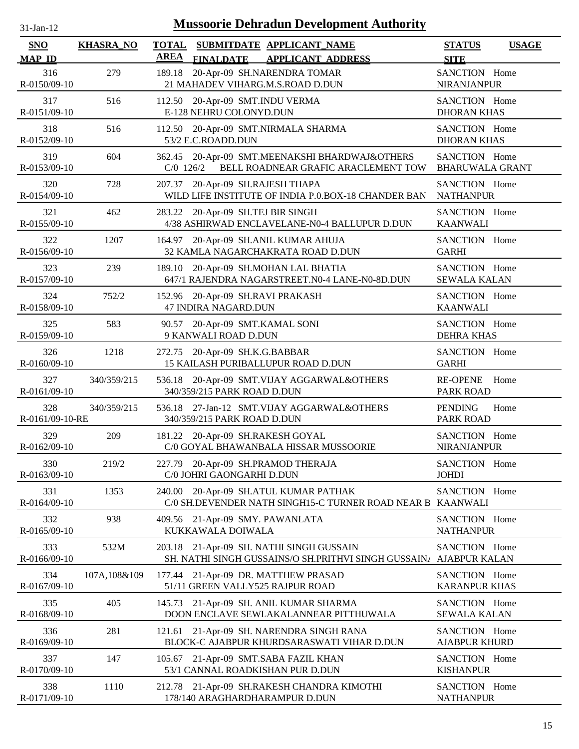| $31-Jan-12$                 |                  | <b>Mussoorie Dehradun Development Authority</b>                                                         |                                              |
|-----------------------------|------------------|---------------------------------------------------------------------------------------------------------|----------------------------------------------|
| <b>SNO</b><br><b>MAP ID</b> | <b>KHASRA_NO</b> | TOTAL SUBMITDATE APPLICANT NAME<br><b>AREA</b><br><b>FINALDATE</b><br><b>APPLICANT ADDRESS</b>          | <b>STATUS</b><br><b>USAGE</b><br><b>SITE</b> |
| 316<br>R-0150/09-10         | 279              | 20-Apr-09 SH.NARENDRA TOMAR<br>189.18<br>21 MAHADEV VIHARG.M.S.ROAD D.DUN                               | SANCTION Home<br><b>NIRANJANPUR</b>          |
| 317<br>R-0151/09-10         | 516              | 112.50 20-Apr-09 SMT.INDU VERMA<br>E-128 NEHRU COLONYD.DUN                                              | SANCTION Home<br><b>DHORAN KHAS</b>          |
| 318<br>R-0152/09-10         | 516              | 112.50 20-Apr-09 SMT.NIRMALA SHARMA<br>53/2 E.C.ROADD.DUN                                               | SANCTION Home<br><b>DHORAN KHAS</b>          |
| 319<br>R-0153/09-10         | 604              | 20-Apr-09 SMT.MEENAKSHI BHARDWAJ&OTHERS<br>362.45<br>BELL ROADNEAR GRAFIC ARACLEMENT TOW<br>$C/0$ 126/2 | SANCTION Home<br><b>BHARUWALA GRANT</b>      |
| 320<br>R-0154/09-10         | 728              | 207.37<br>20-Apr-09 SH.RAJESH THAPA<br>WILD LIFE INSTITUTE OF INDIA P.O.BOX-18 CHANDER BAN              | SANCTION Home<br><b>NATHANPUR</b>            |
| 321<br>R-0155/09-10         | 462              | 283.22 20-Apr-09 SH.TEJ BIR SINGH<br>4/38 ASHIRWAD ENCLAVELANE-N0-4 BALLUPUR D.DUN                      | SANCTION Home<br><b>KAANWALI</b>             |
| 322<br>R-0156/09-10         | 1207             | 164.97<br>20-Apr-09 SH.ANIL KUMAR AHUJA<br>32 KAMLA NAGARCHAKRATA ROAD D.DUN                            | SANCTION Home<br><b>GARHI</b>                |
| 323<br>R-0157/09-10         | 239              | 189.10 20-Apr-09 SH.MOHAN LAL BHATIA<br>647/1 RAJENDRA NAGARSTREET.N0-4 LANE-N0-8D.DUN                  | SANCTION Home<br><b>SEWALA KALAN</b>         |
| 324<br>R-0158/09-10         | 752/2            | 152.96 20-Apr-09 SH.RAVI PRAKASH<br>47 INDIRA NAGARD.DUN                                                | SANCTION Home<br><b>KAANWALI</b>             |
| 325<br>R-0159/09-10         | 583              | 20-Apr-09 SMT.KAMAL SONI<br>90.57<br>9 KANWALI ROAD D.DUN                                               | SANCTION Home<br><b>DEHRA KHAS</b>           |
| 326<br>R-0160/09-10         | 1218             | 20-Apr-09 SH.K.G.BABBAR<br>272.75<br>15 KAILASH PURIBALLUPUR ROAD D.DUN                                 | SANCTION Home<br><b>GARHI</b>                |
| 327<br>R-0161/09-10         | 340/359/215      | 20-Apr-09 SMT.VIJAY AGGARWAL&OTHERS<br>536.18<br>340/359/215 PARK ROAD D.DUN                            | <b>RE-OPENE</b><br>Home<br><b>PARK ROAD</b>  |
| 328<br>R-0161/09-10-RE      | 340/359/215      | 27-Jan-12 SMT.VIJAY AGGARWAL&OTHERS<br>536.18<br>340/359/215 PARK ROAD D.DUN                            | <b>PENDING</b><br>Home<br><b>PARK ROAD</b>   |
| 329<br>R-0162/09-10         | 209              | 181.22 20-Apr-09 SH.RAKESH GOYAL<br>C/0 GOYAL BHAWANBALA HISSAR MUSSOORIE                               | SANCTION Home<br><b>NIRANJANPUR</b>          |
| 330<br>R-0163/09-10         | 219/2            | 20-Apr-09 SH.PRAMOD THERAJA<br>227.79<br>C/0 JOHRI GAONGARHI D.DUN                                      | SANCTION Home<br><b>JOHDI</b>                |
| 331<br>R-0164/09-10         | 1353             | 20-Apr-09 SH.ATUL KUMAR PATHAK<br>240.00<br>C/0 SH.DEVENDER NATH SINGH15-C TURNER ROAD NEAR B KAANWALI  | SANCTION Home                                |
| 332<br>R-0165/09-10         | 938              | 409.56 21-Apr-09 SMY. PAWANLATA<br>KUKKAWALA DOIWALA                                                    | SANCTION Home<br><b>NATHANPUR</b>            |
| 333<br>R-0166/09-10         | 532M             | 203.18 21-Apr-09 SH. NATHI SINGH GUSSAIN<br>SH. NATHI SINGH GUSSAINS/O SH.PRITHVI SINGH GUSSAIN/        | SANCTION Home<br><b>AJABPUR KALAN</b>        |
| 334<br>R-0167/09-10         | 107A,108&109     | 177.44<br>21-Apr-09 DR. MATTHEW PRASAD<br>51/11 GREEN VALLY525 RAJPUR ROAD                              | SANCTION Home<br><b>KARANPUR KHAS</b>        |
| 335<br>R-0168/09-10         | 405              | 145.73 21-Apr-09 SH. ANIL KUMAR SHARMA<br>DOON ENCLAVE SEWLAKALANNEAR PITTHUWALA                        | SANCTION Home<br><b>SEWALA KALAN</b>         |
| 336<br>R-0169/09-10         | 281              | 121.61<br>21-Apr-09 SH. NARENDRA SINGH RANA<br>BLOCK-C AJABPUR KHURDSARASWATI VIHAR D.DUN               | SANCTION Home<br><b>AJABPUR KHURD</b>        |
| 337<br>R-0170/09-10         | 147              | 21-Apr-09 SMT.SABA FAZIL KHAN<br>105.67<br>53/1 CANNAL ROADKISHAN PUR D.DUN                             | SANCTION Home<br><b>KISHANPUR</b>            |
| 338<br>R-0171/09-10         | 1110             | 21-Apr-09 SH.RAKESH CHANDRA KIMOTHI<br>212.78<br>178/140 ARAGHARDHARAMPUR D.DUN                         | SANCTION Home<br><b>NATHANPUR</b>            |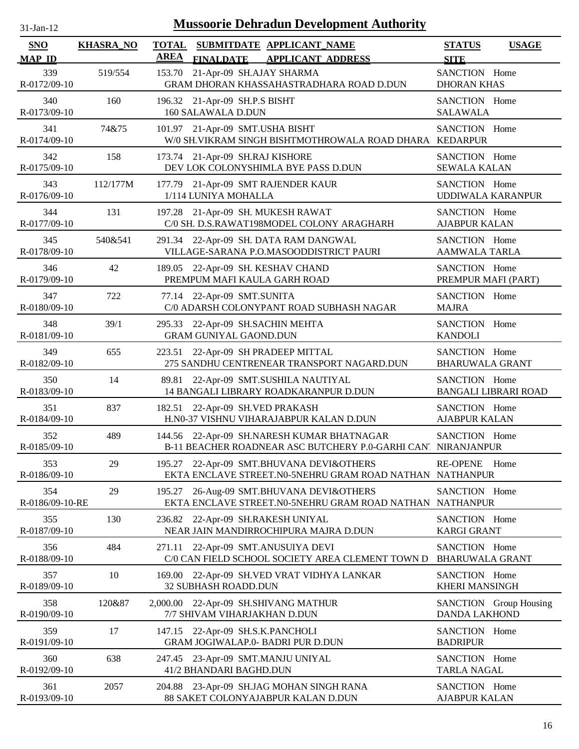| 31-Jan-12                   |                  |                             | <b>Mussoorie Dehradun Development Authority</b>                                                             |                                           |                             |
|-----------------------------|------------------|-----------------------------|-------------------------------------------------------------------------------------------------------------|-------------------------------------------|-----------------------------|
| <b>SNO</b><br><b>MAP ID</b> | <b>KHASRA_NO</b> | <b>TOTAL</b><br><b>AREA</b> | SUBMITDATE APPLICANT NAME<br><b>FINALDATE</b><br><b>APPLICANT ADDRESS</b>                                   | <b>STATUS</b><br><b>SITE</b>              | <b>USAGE</b>                |
| 339<br>R-0172/09-10         | 519/554          | 153.70                      | 21-Apr-09 SH.AJAY SHARMA<br>GRAM DHORAN KHASSAHASTRADHARA ROAD D.DUN                                        | SANCTION Home<br><b>DHORAN KHAS</b>       |                             |
| 340<br>R-0173/09-10         | 160              |                             | 196.32 21-Apr-09 SH.P.S BISHT<br>160 SALAWALA D.DUN                                                         | SANCTION Home<br><b>SALAWALA</b>          |                             |
| 341<br>R-0174/09-10         | 74&75            |                             | 101.97 21-Apr-09 SMT.USHA BISHT<br>W/0 SH.VIKRAM SINGH BISHTMOTHROWALA ROAD DHARA KEDARPUR                  | SANCTION Home                             |                             |
| 342<br>R-0175/09-10         | 158              |                             | 173.74 21-Apr-09 SH.RAJ KISHORE<br>DEV LOK COLONYSHIMLA BYE PASS D.DUN                                      | SANCTION Home<br><b>SEWALA KALAN</b>      |                             |
| 343<br>R-0176/09-10         | 112/177M         | 177.79                      | 21-Apr-09 SMT RAJENDER KAUR<br>1/114 LUNIYA MOHALLA                                                         | SANCTION Home<br><b>UDDIWALA KARANPUR</b> |                             |
| 344<br>R-0177/09-10         | 131              | 197.28                      | 21-Apr-09 SH. MUKESH RAWAT<br>C/0 SH. D.S.RAWAT198MODEL COLONY ARAGHARH                                     | SANCTION Home<br><b>AJABPUR KALAN</b>     |                             |
| 345<br>R-0178/09-10         | 540&541          |                             | 291.34 22-Apr-09 SH. DATA RAM DANGWAL<br>VILLAGE-SARANA P.O.MASOODDISTRICT PAURI                            | SANCTION Home<br><b>AAMWALA TARLA</b>     |                             |
| 346<br>R-0179/09-10         | 42               |                             | 189.05 22-Apr-09 SH. KESHAV CHAND<br>PREMPUM MAFI KAULA GARH ROAD                                           | SANCTION Home<br>PREMPUR MAFI (PART)      |                             |
| 347<br>R-0180/09-10         | 722              |                             | 77.14 22-Apr-09 SMT.SUNITA<br>C/0 ADARSH COLONYPANT ROAD SUBHASH NAGAR                                      | SANCTION Home<br><b>MAJRA</b>             |                             |
| 348<br>R-0181/09-10         | 39/1             |                             | 295.33 22-Apr-09 SH.SACHIN MEHTA<br><b>GRAM GUNIYAL GAOND.DUN</b>                                           | SANCTION Home<br><b>KANDOLI</b>           |                             |
| 349<br>R-0182/09-10         | 655              | 223.51                      | 22-Apr-09 SH PRADEEP MITTAL<br>275 SANDHU CENTRENEAR TRANSPORT NAGARD.DUN                                   | SANCTION Home<br><b>BHARUWALA GRANT</b>   |                             |
| 350<br>R-0183/09-10         | 14               | 89.81                       | 22-Apr-09 SMT.SUSHILA NAUTIYAL<br>14 BANGALI LIBRARY ROADKARANPUR D.DUN                                     | SANCTION Home                             | <b>BANGALI LIBRARI ROAD</b> |
| 351<br>R-0184/09-10         | 837              | 182.51                      | 22-Apr-09 SH.VED PRAKASH<br>H.N0-37 VISHNU VIHARAJABPUR KALAN D.DUN                                         | SANCTION Home<br><b>AJABPUR KALAN</b>     |                             |
| 352<br>R-0185/09-10         | 489              |                             | 144.56 22-Apr-09 SH.NARESH KUMAR BHATNAGAR<br>B-11 BEACHER ROADNEAR ASC BUTCHERY P.0-GARHI CAN' NIRANJANPUR | SANCTION Home                             |                             |
| 353<br>R-0186/09-10         | 29               | 195.27                      | 22-Apr-09 SMT.BHUVANA DEVI&OTHERS<br>EKTA ENCLAVE STREET.N0-5NEHRU GRAM ROAD NATHAN NATHANPUR               | <b>RE-OPENE</b>                           | Home                        |
| 354<br>R-0186/09-10-RE      | 29               | 195.27                      | 26-Aug-09 SMT.BHUVANA DEVI&OTHERS<br>EKTA ENCLAVE STREET.N0-5NEHRU GRAM ROAD NATHAN                         | SANCTION Home<br><b>NATHANPUR</b>         |                             |
| 355<br>R-0187/09-10         | 130              | 236.82                      | 22-Apr-09 SH.RAKESH UNIYAL<br>NEAR JAIN MANDIRROCHIPURA MAJRA D.DUN                                         | SANCTION Home<br><b>KARGI GRANT</b>       |                             |
| 356<br>R-0188/09-10         | 484              | 271.11                      | 22-Apr-09 SMT.ANUSUIYA DEVI<br>C/0 CAN FIELD SCHOOL SOCIETY AREA CLEMENT TOWN D                             | SANCTION Home<br><b>BHARUWALA GRANT</b>   |                             |
| 357<br>R-0189/09-10         | 10               | 169.00                      | 22-Apr-09 SH.VED VRAT VIDHYA LANKAR<br>32 SUBHASH ROADD.DUN                                                 | SANCTION Home<br><b>KHERI MANSINGH</b>    |                             |
| 358<br>R-0190/09-10         | 120&87           |                             | 2,000.00 22-Apr-09 SH.SHIVANG MATHUR<br>7/7 SHIVAM VIHARJAKHAN D.DUN                                        | <b>DANDA LAKHOND</b>                      | SANCTION Group Housing      |
| 359<br>R-0191/09-10         | 17               |                             | 147.15 22-Apr-09 SH.S.K.PANCHOLI<br>GRAM JOGIWALAP.0- BADRI PUR D.DUN                                       | SANCTION Home<br><b>BADRIPUR</b>          |                             |
| 360<br>R-0192/09-10         | 638              |                             | 247.45 23-Apr-09 SMT.MANJU UNIYAL<br>41/2 BHANDARI BAGHD.DUN                                                | SANCTION Home<br><b>TARLA NAGAL</b>       |                             |
| 361<br>R-0193/09-10         | 2057             | 204.88                      | 23-Apr-09 SH.JAG MOHAN SINGH RANA<br>88 SAKET COLONYAJABPUR KALAN D.DUN                                     | SANCTION Home<br><b>AJABPUR KALAN</b>     |                             |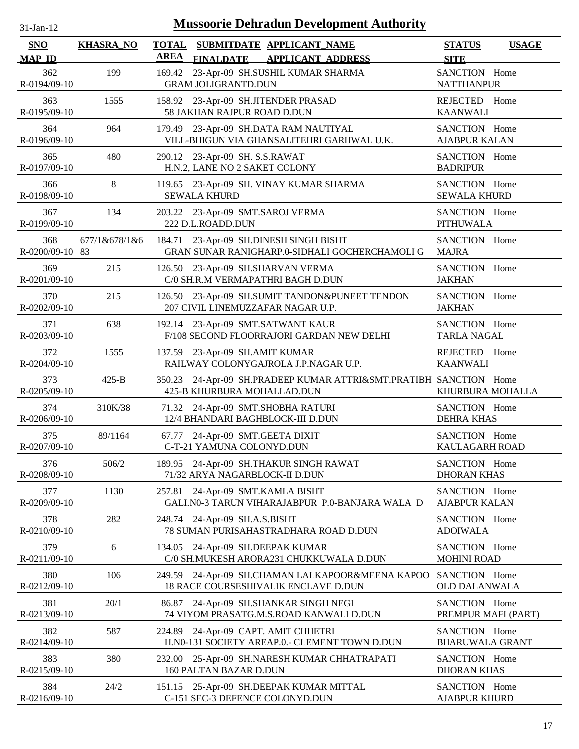| <b>Mussoorie Dehradun Development Authority</b><br>31-Jan-12 |                  |                             |                                                                                           |                                         |              |  |
|--------------------------------------------------------------|------------------|-----------------------------|-------------------------------------------------------------------------------------------|-----------------------------------------|--------------|--|
| <b>SNO</b><br><b>MAP ID</b>                                  | <b>KHASRA_NO</b> | <b>TOTAL</b><br><b>AREA</b> | SUBMITDATE APPLICANT NAME<br><b>FINALDATE</b><br><b>APPLICANT ADDRESS</b>                 | <b>STATUS</b><br><b>SITE</b>            | <b>USAGE</b> |  |
| 362<br>R-0194/09-10                                          | 199              | 169.42                      | 23-Apr-09 SH.SUSHIL KUMAR SHARMA<br><b>GRAM JOLIGRANTD.DUN</b>                            | SANCTION Home<br><b>NATTHANPUR</b>      |              |  |
| 363<br>R-0195/09-10                                          | 1555             |                             | 158.92 23-Apr-09 SH.JITENDER PRASAD<br>58 JAKHAN RAJPUR ROAD D.DUN                        | REJECTED<br><b>KAANWALI</b>             | Home         |  |
| 364<br>R-0196/09-10                                          | 964              |                             | 179.49 23-Apr-09 SH.DATA RAM NAUTIYAL<br>VILL-BHIGUN VIA GHANSALITEHRI GARHWAL U.K.       | SANCTION Home<br><b>AJABPUR KALAN</b>   |              |  |
| 365<br>R-0197/09-10                                          | 480              |                             | 290.12 23-Apr-09 SH. S.S.RAWAT<br>H.N.2, LANE NO 2 SAKET COLONY                           | SANCTION Home<br><b>BADRIPUR</b>        |              |  |
| 366<br>R-0198/09-10                                          | 8                |                             | 119.65 23-Apr-09 SH. VINAY KUMAR SHARMA<br><b>SEWALA KHURD</b>                            | SANCTION Home<br><b>SEWALA KHURD</b>    |              |  |
| 367<br>R-0199/09-10                                          | 134              |                             | 203.22 23-Apr-09 SMT.SAROJ VERMA<br>222 D.L.ROADD.DUN                                     | SANCTION Home<br><b>PITHUWALA</b>       |              |  |
| 368<br>R-0200/09-10 83                                       | 677/1&678/1&6    | 184.71                      | 23-Apr-09 SH.DINESH SINGH BISHT<br>GRAN SUNAR RANIGHARP.0-SIDHALI GOCHERCHAMOLI G         | SANCTION Home<br><b>MAJRA</b>           |              |  |
| 369<br>R-0201/09-10                                          | 215              |                             | 126.50 23-Apr-09 SH.SHARVAN VERMA<br>C/0 SH.R.M VERMAPATHRI BAGH D.DUN                    | SANCTION Home<br><b>JAKHAN</b>          |              |  |
| 370<br>R-0202/09-10                                          | 215              |                             | 126.50 23-Apr-09 SH.SUMIT TANDON&PUNEET TENDON<br>207 CIVIL LINEMUZZAFAR NAGAR U.P.       | SANCTION Home<br><b>JAKHAN</b>          |              |  |
| 371<br>R-0203/09-10                                          | 638              |                             | 192.14 23-Apr-09 SMT.SATWANT KAUR<br>F/108 SECOND FLOORRAJORI GARDAN NEW DELHI            | SANCTION Home<br><b>TARLA NAGAL</b>     |              |  |
| 372<br>R-0204/09-10                                          | 1555             |                             | 137.59 23-Apr-09 SH.AMIT KUMAR<br>RAILWAY COLONYGAJROLA J.P.NAGAR U.P.                    | <b>REJECTED</b><br><b>KAANWALI</b>      | Home         |  |
| 373<br>R-0205/09-10                                          | $425 - B$        | 350.23                      | 24-Apr-09 SH.PRADEEP KUMAR ATTRI&SMT.PRATIBH SANCTION Home<br>425-B KHURBURA MOHALLAD.DUN | KHURBURA MOHALLA                        |              |  |
| 374<br>R-0206/09-10                                          | 310K/38          | 71.32                       | 24-Apr-09 SMT.SHOBHA RATURI<br>12/4 BHANDARI BAGHBLOCK-III D.DUN                          | SANCTION Home<br><b>DEHRA KHAS</b>      |              |  |
| 375<br>R-0207/09-10                                          | 89/1164          |                             | 67.77 24-Apr-09 SMT.GEETA DIXIT<br>C-T-21 YAMUNA COLONYD.DUN                              | SANCTION Home<br><b>KAULAGARH ROAD</b>  |              |  |
| 376<br>R-0208/09-10                                          | 506/2            | 189.95                      | 24-Apr-09 SH.THAKUR SINGH RAWAT<br>71/32 ARYA NAGARBLOCK-II D.DUN                         | SANCTION Home<br><b>DHORAN KHAS</b>     |              |  |
| 377<br>R-0209/09-10                                          | 1130             | 257.81                      | 24-Apr-09 SMT.KAMLA BISHT<br>GALI.NO-3 TARUN VIHARAJABPUR P.O-BANJARA WALA D              | SANCTION Home<br><b>AJABPUR KALAN</b>   |              |  |
| 378<br>R-0210/09-10                                          | 282              | 248.74                      | 24-Apr-09 SH.A.S.BISHT<br>78 SUMAN PURISAHASTRADHARA ROAD D.DUN                           | SANCTION Home<br><b>ADOIWALA</b>        |              |  |
| 379<br>R-0211/09-10                                          | 6                |                             | 134.05 24-Apr-09 SH.DEEPAK KUMAR<br>C/0 SH.MUKESH ARORA231 CHUKKUWALA D.DUN               | SANCTION Home<br><b>MOHINI ROAD</b>     |              |  |
| 380<br>R-0212/09-10                                          | 106              | 249.59                      | 24-Apr-09 SH.CHAMAN LALKAPOOR&MEENA KAPOO<br>18 RACE COURSESHIVALIK ENCLAVE D.DUN         | SANCTION Home<br><b>OLD DALANWALA</b>   |              |  |
| 381<br>R-0213/09-10                                          | 20/1             |                             | 86.87 24-Apr-09 SH.SHANKAR SINGH NEGI<br>74 VIYOM PRASATG.M.S.ROAD KANWALI D.DUN          | SANCTION Home<br>PREMPUR MAFI (PART)    |              |  |
| 382<br>R-0214/09-10                                          | 587              | 224.89                      | 24-Apr-09 CAPT. AMIT CHHETRI<br>H.N0-131 SOCIETY AREAP.0.- CLEMENT TOWN D.DUN             | SANCTION Home<br><b>BHARUWALA GRANT</b> |              |  |
| 383<br>R-0215/09-10                                          | 380              |                             | 232.00 25-Apr-09 SH.NARESH KUMAR CHHATRAPATI<br>160 PALTAN BAZAR D.DUN                    | SANCTION Home<br><b>DHORAN KHAS</b>     |              |  |
| 384<br>R-0216/09-10                                          | 24/2             | 151.15                      | 25-Apr-09 SH.DEEPAK KUMAR MITTAL<br>C-151 SEC-3 DEFENCE COLONYD.DUN                       | SANCTION Home<br><b>AJABPUR KHURD</b>   |              |  |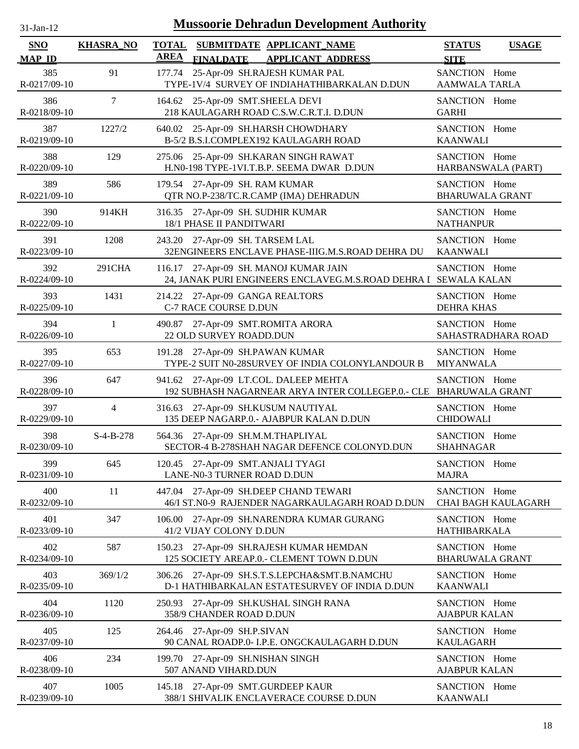| $31$ -Jan-12                |                  | <b>Mussoorie Dehradun Development Authority</b>                                                            |                                              |
|-----------------------------|------------------|------------------------------------------------------------------------------------------------------------|----------------------------------------------|
| <b>SNO</b><br><b>MAP ID</b> | <b>KHASRA_NO</b> | <b>TOTAL</b><br>SUBMITDATE APPLICANT_NAME<br><b>AREA</b><br><b>FINALDATE</b><br><b>APPLICANT ADDRESS</b>   | <b>STATUS</b><br><b>USAGE</b><br><b>SITE</b> |
| 385<br>R-0217/09-10         | 91               | 25-Apr-09 SH.RAJESH KUMAR PAL<br>177.74<br>TYPE-1V/4 SURVEY OF INDIAHATHIBARKALAN D.DUN                    | SANCTION Home<br>AAMWALA TARLA               |
| 386                         | $\tau$           | 164.62 25-Apr-09 SMT.SHEELA DEVI                                                                           | SANCTION Home                                |
| R-0218/09-10                |                  | 218 KAULAGARH ROAD C.S.W.C.R.T.I. D.DUN                                                                    | <b>GARHI</b>                                 |
| 387                         | 1227/2           | 640.02 25-Apr-09 SH.HARSH CHOWDHARY                                                                        | SANCTION Home                                |
| R-0219/09-10                |                  | B-5/2 B.S.I.COMPLEX192 KAULAGARH ROAD                                                                      | <b>KAANWALI</b>                              |
| 388<br>R-0220/09-10         | 129              | 25-Apr-09 SH.KARAN SINGH RAWAT<br>275.06<br>H.N0-198 TYPE-1VI.T.B.P. SEEMA DWAR D.DUN                      | SANCTION Home<br>HARBANSWALA (PART)          |
| 389                         | 586              | 179.54 27-Apr-09 SH. RAM KUMAR                                                                             | SANCTION Home                                |
| R-0221/09-10                |                  | QTR NO.P-238/TC.R.CAMP (IMA) DEHRADUN                                                                      | <b>BHARUWALA GRANT</b>                       |
| 390<br>R-0222/09-10         | 914KH            | 27-Apr-09 SH. SUDHIR KUMAR<br>316.35<br>18/1 PHASE II PANDITWARI                                           | SANCTION Home<br><b>NATHANPUR</b>            |
| 391                         | 1208             | 243.20 27-Apr-09 SH. TARSEM LAL                                                                            | SANCTION Home                                |
| R-0223/09-10                |                  | 32ENGINEERS ENCLAVE PHASE-IIIG.M.S.ROAD DEHRA DU                                                           | <b>KAANWALI</b>                              |
| 392<br>R-0224/09-10         | 291CHA           | 116.17 27-Apr-09 SH. MANOJ KUMAR JAIN<br>24, JANAK PURI ENGINEERS ENCLAVEG.M.S.ROAD DEHRA I SEWALA KALAN   | SANCTION Home                                |
| 393                         | 1431             | 214.22 27-Apr-09 GANGA REALTORS                                                                            | SANCTION Home                                |
| R-0225/09-10                |                  | <b>C-7 RACE COURSE D.DUN</b>                                                                               | <b>DEHRA KHAS</b>                            |
| 394                         | $\mathbf{1}$     | 490.87 27-Apr-09 SMT.ROMITA ARORA                                                                          | SANCTION Home                                |
| R-0226/09-10                |                  | 22 OLD SURVEY ROADD.DUN                                                                                    | SAHASTRADHARA ROAD                           |
| 395                         | 653              | 191.28 27-Apr-09 SH.PAWAN KUMAR                                                                            | SANCTION Home                                |
| R-0227/09-10                |                  | TYPE-2 SUIT N0-28SURVEY OF INDIA COLONYLANDOUR B                                                           | <b>MIYANWALA</b>                             |
| 396<br>R-0228/09-10         | 647              | 941.62 27-Apr-09 LT.COL. DALEEP MEHTA<br>192 SUBHASH NAGARNEAR ARYA INTER COLLEGEP.0.- CLE BHARUWALA GRANT | SANCTION Home                                |
| 397                         | $\overline{4}$   | 316.63 27-Apr-09 SH.KUSUM NAUTIYAL                                                                         | SANCTION Home                                |
| R-0229/09-10                |                  | 135 DEEP NAGARP.0.- AJABPUR KALAN D.DUN                                                                    | <b>CHIDOWALI</b>                             |
| 398                         | $S-4-B-278$      | 564.36 27-Apr-09 SH.M.M.THAPLIYAL                                                                          | SANCTION Home                                |
| R-0230/09-10                |                  | SECTOR-4 B-278SHAH NAGAR DEFENCE COLONYD.DUN                                                               | <b>SHAHNAGAR</b>                             |
| 399                         | 645              | 120.45 27-Apr-09 SMT.ANJALI TYAGI                                                                          | SANCTION Home                                |
| R-0231/09-10                |                  | LANE-N0-3 TURNER ROAD D.DUN                                                                                | <b>MAJRA</b>                                 |
| 400<br>R-0232/09-10         | 11               | 447.04<br>27-Apr-09 SH.DEEP CHAND TEWARI<br>46/I ST.N0-9 RAJENDER NAGARKAULAGARH ROAD D.DUN                | SANCTION Home<br>CHAI BAGH KAULAGARH         |
| 401<br>R-0233/09-10         | 347              | 27-Apr-09 SH.NARENDRA KUMAR GURANG<br>106.00<br>41/2 VIJAY COLONY D.DUN                                    | SANCTION Home<br><b>HATHIBARKALA</b>         |
| 402<br>R-0234/09-10         | 587              | 27-Apr-09 SH.RAJESH KUMAR HEMDAN<br>150.23<br>125 SOCIETY AREAP.0.- CLEMENT TOWN D.DUN                     | SANCTION Home<br><b>BHARUWALA GRANT</b>      |
| 403                         | 369/1/2          | 306.26 27-Apr-09 SH.S.T.S.LEPCHA&SMT.B.NAMCHU                                                              | SANCTION Home                                |
| R-0235/09-10                |                  | D-1 HATHIBARKALAN ESTATESURVEY OF INDIA D.DUN                                                              | <b>KAANWALI</b>                              |
| 404<br>R-0236/09-10         | 1120             | 27-Apr-09 SH.KUSHAL SINGH RANA<br>250.93<br>358/9 CHANDER ROAD D.DUN                                       | SANCTION Home<br><b>AJABPUR KALAN</b>        |
| 405                         | 125              | 264.46 27-Apr-09 SH.P.SIVAN                                                                                | SANCTION Home                                |
| R-0237/09-10                |                  | 90 CANAL ROADP.0- I.P.E. ONGCKAULAGARH D.DUN                                                               | KAULAGARH                                    |
| 406                         | 234              | 199.70 27-Apr-09 SH.NISHAN SINGH                                                                           | SANCTION Home                                |
| R-0238/09-10                |                  | 507 ANAND VIHARD.DUN                                                                                       | <b>AJABPUR KALAN</b>                         |
| 407                         | 1005             | 145.18 27-Apr-09 SMT.GURDEEP KAUR                                                                          | SANCTION Home                                |

388/1 SHIVALIK ENCLAVERACE COURSE D.DUN

R-0239/09-10

KAANWALI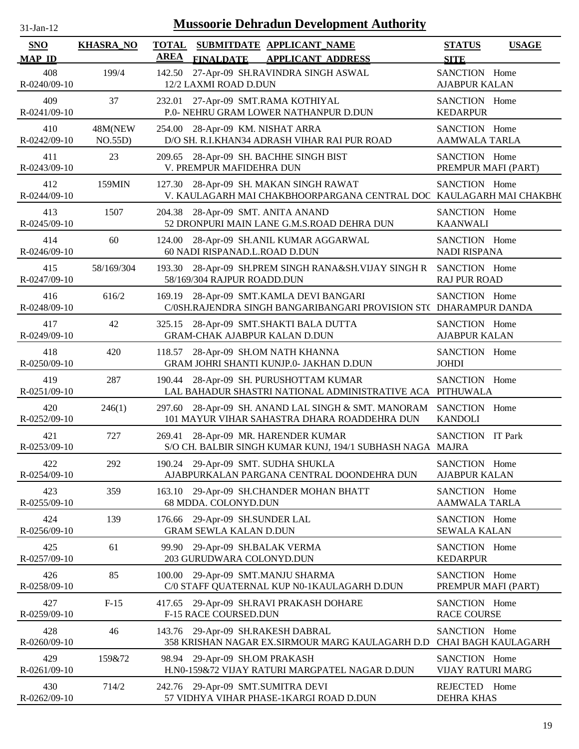| $31$ -Jan-12                | <b>Mussoorie Dehradun Development Authority</b> |                             |                                                                                                               |                                       |                     |  |  |  |
|-----------------------------|-------------------------------------------------|-----------------------------|---------------------------------------------------------------------------------------------------------------|---------------------------------------|---------------------|--|--|--|
| <b>SNO</b><br><b>MAP ID</b> | <b>KHASRA_NO</b>                                | <b>TOTAL</b><br><b>AREA</b> | SUBMITDATE APPLICANT_NAME<br><b>FINALDATE</b><br><b>APPLICANT ADDRESS</b>                                     | <b>STATUS</b><br><b>SITE</b>          | <b>USAGE</b>        |  |  |  |
| 408<br>R-0240/09-10         | 199/4                                           |                             | 142.50 27-Apr-09 SH.RAVINDRA SINGH ASWAL<br>12/2 LAXMI ROAD D.DUN                                             | SANCTION Home<br><b>AJABPUR KALAN</b> |                     |  |  |  |
| 409<br>R-0241/09-10         | 37                                              |                             | 232.01 27-Apr-09 SMT.RAMA KOTHIYAL<br>P.0- NEHRU GRAM LOWER NATHANPUR D.DUN                                   | SANCTION Home<br><b>KEDARPUR</b>      |                     |  |  |  |
| 410<br>R-0242/09-10         | 48M(NEW<br>NO.55D)                              |                             | 254.00 28-Apr-09 KM. NISHAT ARRA<br>D/O SH. R.I.KHAN34 ADRASH VIHAR RAI PUR ROAD                              | SANCTION Home<br>AAMWALA TARLA        |                     |  |  |  |
| 411<br>R-0243/09-10         | 23                                              |                             | 209.65 28-Apr-09 SH. BACHHE SINGH BIST<br>V. PREMPUR MAFIDEHRA DUN                                            | SANCTION Home<br>PREMPUR MAFI (PART)  |                     |  |  |  |
| 412<br>R-0244/09-10         | 159MIN                                          |                             | 127.30 28-Apr-09 SH. MAKAN SINGH RAWAT<br>V. KAULAGARH MAI CHAKBHOORPARGANA CENTRAL DOC KAULAGARH MAI CHAKBH( | SANCTION Home                         |                     |  |  |  |
| 413<br>R-0245/09-10         | 1507                                            |                             | 204.38 28-Apr-09 SMT. ANITA ANAND<br>52 DRONPURI MAIN LANE G.M.S.ROAD DEHRA DUN                               | SANCTION Home<br><b>KAANWALI</b>      |                     |  |  |  |
| 414<br>R-0246/09-10         | 60                                              |                             | 124.00 28-Apr-09 SH.ANIL KUMAR AGGARWAL<br>60 NADI RISPANAD.L.ROAD D.DUN                                      | SANCTION Home<br><b>NADI RISPANA</b>  |                     |  |  |  |
| 415<br>R-0247/09-10         | 58/169/304                                      |                             | 193.30 28-Apr-09 SH.PREM SINGH RANA&SH.VIJAY SINGH R<br>58/169/304 RAJPUR ROADD.DUN                           | SANCTION Home<br><b>RAJ PUR ROAD</b>  |                     |  |  |  |
| 416<br>R-0248/09-10         | 616/2                                           |                             | 169.19 28-Apr-09 SMT.KAMLA DEVI BANGARI<br>C/0SH.RAJENDRA SINGH BANGARIBANGARI PROVISION ST( DHARAMPUR DANDA  | SANCTION Home                         |                     |  |  |  |
| 417<br>R-0249/09-10         | 42                                              |                             | 325.15 28-Apr-09 SMT.SHAKTI BALA DUTTA<br><b>GRAM-CHAK AJABPUR KALAN D.DUN</b>                                | SANCTION Home<br><b>AJABPUR KALAN</b> |                     |  |  |  |
| 418<br>R-0250/09-10         | 420                                             |                             | 118.57 28-Apr-09 SH.OM NATH KHANNA<br>GRAM JOHRI SHANTI KUNJP.0- JAKHAN D.DUN                                 | SANCTION Home<br><b>JOHDI</b>         |                     |  |  |  |
| 419<br>R-0251/09-10         | 287                                             |                             | 190.44 28-Apr-09 SH. PURUSHOTTAM KUMAR<br>LAL BAHADUR SHASTRI NATIONAL ADMINISTRATIVE ACA PITHUWALA           | SANCTION Home                         |                     |  |  |  |
| 420<br>R-0252/09-10         | 246(1)                                          |                             | 297.60 28-Apr-09 SH. ANAND LAL SINGH & SMT. MANORAM<br>101 MAYUR VIHAR SAHASTRA DHARA ROADDEHRA DUN           | SANCTION Home<br><b>KANDOLI</b>       |                     |  |  |  |
| 421<br>R-0253/09-10         | 727                                             | 269.41                      | 28-Apr-09 MR. HARENDER KUMAR<br>S/O CH. BALBIR SINGH KUMAR KUNJ, 194/1 SUBHASH NAGA MAJRA                     | SANCTION IT Park                      |                     |  |  |  |
| 422<br>R-0254/09-10         | 292                                             |                             | 190.24 29-Apr-09 SMT. SUDHA SHUKLA<br>AJABPURKALAN PARGANA CENTRAL DOONDEHRA DUN                              | SANCTION Home<br><b>AJABPUR KALAN</b> |                     |  |  |  |
| 423<br>R-0255/09-10         | 359                                             | 163.10                      | 29-Apr-09 SH.CHANDER MOHAN BHATT<br>68 MDDA. COLONYD.DUN                                                      | SANCTION Home<br><b>AAMWALA TARLA</b> |                     |  |  |  |
| 424<br>R-0256/09-10         | 139                                             |                             | 176.66 29-Apr-09 SH.SUNDER LAL<br><b>GRAM SEWLA KALAN D.DUN</b>                                               | SANCTION Home<br><b>SEWALA KALAN</b>  |                     |  |  |  |
| 425<br>R-0257/09-10         | 61                                              |                             | 99.90 29-Apr-09 SH.BALAK VERMA<br>203 GURUDWARA COLONYD.DUN                                                   | SANCTION Home<br><b>KEDARPUR</b>      |                     |  |  |  |
| 426<br>R-0258/09-10         | 85                                              |                             | 100.00 29-Apr-09 SMT.MANJU SHARMA<br>C/0 STAFF QUATERNAL KUP N0-1KAULAGARH D.DUN                              | SANCTION Home<br>PREMPUR MAFI (PART)  |                     |  |  |  |
| 427<br>R-0259/09-10         | $F-15$                                          |                             | 417.65 29-Apr-09 SH.RAVI PRAKASH DOHARE<br>F-15 RACE COURSED.DUN                                              | SANCTION Home<br><b>RACE COURSE</b>   |                     |  |  |  |
| 428<br>R-0260/09-10         | 46                                              |                             | 143.76 29-Apr-09 SH.RAKESH DABRAL<br>358 KRISHAN NAGAR EX.SIRMOUR MARG KAULAGARH D.D                          | SANCTION Home                         | CHAI BAGH KAULAGARH |  |  |  |
| 429<br>R-0261/09-10         | 159&72                                          |                             | 98.94 29-Apr-09 SH.OM PRAKASH<br>H.N0-159&72 VIJAY RATURI MARGPATEL NAGAR D.DUN                               | SANCTION Home<br>VIJAY RATURI MARG    |                     |  |  |  |
| 430<br>R-0262/09-10         | 714/2                                           |                             | 242.76 29-Apr-09 SMT.SUMITRA DEVI<br>57 VIDHYA VIHAR PHASE-1KARGI ROAD D.DUN                                  | REJECTED Home<br><b>DEHRA KHAS</b>    |                     |  |  |  |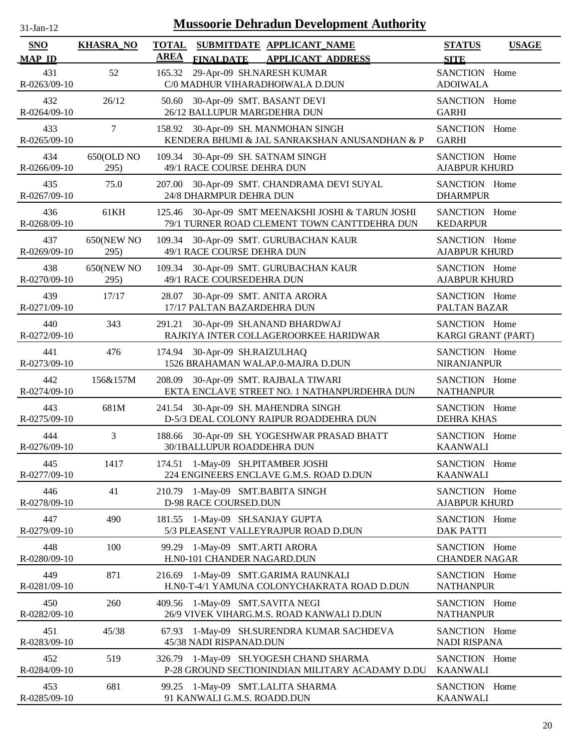| $31$ -Jan-12         |                           | <b>Mussoorie Dehradun Development Authority</b>                                                          |                                              |  |
|----------------------|---------------------------|----------------------------------------------------------------------------------------------------------|----------------------------------------------|--|
| SNO<br><b>MAP ID</b> | <b>KHASRA_NO</b>          | <b>TOTAL</b><br>SUBMITDATE APPLICANT_NAME<br><b>AREA</b><br><b>FINALDATE</b><br><b>APPLICANT ADDRESS</b> | <b>STATUS</b><br><b>USAGE</b><br><b>SITE</b> |  |
| 431<br>R-0263/09-10  | 52                        | 29-Apr-09 SH.NARESH KUMAR<br>165.32<br>C/0 MADHUR VIHARADHOIWALA D.DUN                                   | SANCTION Home<br><b>ADOIWALA</b>             |  |
| 432<br>R-0264/09-10  | 26/12                     | 30-Apr-09 SMT. BASANT DEVI<br>50.60<br>26/12 BALLUPUR MARGDEHRA DUN                                      | SANCTION Home<br><b>GARHI</b>                |  |
| 433<br>R-0265/09-10  | $\tau$                    | 158.92 30-Apr-09 SH. MANMOHAN SINGH<br>KENDERA BHUMI & JAL SANRAKSHAN ANUSANDHAN & P                     | SANCTION Home<br><b>GARHI</b>                |  |
| 434<br>R-0266/09-10  | 650(OLD NO<br>295)        | 109.34 30-Apr-09 SH. SATNAM SINGH<br>49/1 RACE COURSE DEHRA DUN                                          | SANCTION Home<br><b>AJABPUR KHURD</b>        |  |
| 435<br>R-0267/09-10  | 75.0                      | 30-Apr-09 SMT. CHANDRAMA DEVI SUYAL<br>207.00<br>24/8 DHARMPUR DEHRA DUN                                 | SANCTION Home<br><b>DHARMPUR</b>             |  |
| 436<br>R-0268/09-10  | 61KH                      | 30-Apr-09 SMT MEENAKSHI JOSHI & TARUN JOSHI<br>125.46<br>79/1 TURNER ROAD CLEMENT TOWN CANTTDEHRA DUN    | SANCTION Home<br><b>KEDARPUR</b>             |  |
| 437<br>R-0269/09-10  | <b>650(NEW NO</b><br>295) | 109.34 30-Apr-09 SMT. GURUBACHAN KAUR<br>49/1 RACE COURSE DEHRA DUN                                      | SANCTION Home<br><b>AJABPUR KHURD</b>        |  |
| 438<br>R-0270/09-10  | <b>650(NEW NO</b><br>295) | 109.34 30-Apr-09 SMT. GURUBACHAN KAUR<br>49/1 RACE COURSEDEHRA DUN                                       | SANCTION Home<br><b>AJABPUR KHURD</b>        |  |
| 439<br>R-0271/09-10  | 17/17                     | 30-Apr-09 SMT. ANITA ARORA<br>28.07<br>17/17 PALTAN BAZARDEHRA DUN                                       | SANCTION Home<br>PALTAN BAZAR                |  |
| 440<br>R-0272/09-10  | 343                       | 30-Apr-09 SH.ANAND BHARDWAJ<br>291.21<br>RAJKIYA INTER COLLAGEROORKEE HARIDWAR                           | SANCTION Home<br>KARGI GRANT (PART)          |  |
| 441<br>R-0273/09-10  | 476                       | 30-Apr-09 SH.RAIZULHAQ<br>174.94<br>1526 BRAHAMAN WALAP.0-MAJRA D.DUN                                    | SANCTION Home<br><b>NIRANJANPUR</b>          |  |
| 442<br>R-0274/09-10  | 156&157M                  | 208.09<br>30-Apr-09 SMT. RAJBALA TIWARI<br>EKTA ENCLAVE STREET NO. 1 NATHANPURDEHRA DUN                  | SANCTION Home<br><b>NATHANPUR</b>            |  |
| 443<br>R-0275/09-10  | 681M                      | 241.54<br>30-Apr-09 SH. MAHENDRA SINGH<br>D-5/3 DEAL COLONY RAIPUR ROADDEHRA DUN                         | SANCTION Home<br><b>DEHRA KHAS</b>           |  |
| 444<br>R-0276/09-10  | 3                         | 188.66 30-Apr-09 SH. YOGESHWAR PRASAD BHATT<br>30/1BALLUPUR ROADDEHRA DUN                                | SANCTION Home<br><b>KAANWALI</b>             |  |
| 445<br>R-0277/09-10  | 1417                      | 174.51 1-May-09 SH.PITAMBER JOSHI<br>224 ENGINEERS ENCLAVE G.M.S. ROAD D.DUN                             | SANCTION Home<br><b>KAANWALI</b>             |  |
| 446<br>R-0278/09-10  | 41                        | 210.79 1-May-09 SMT.BABITA SINGH<br>D-98 RACE COURSED.DUN                                                | SANCTION Home<br><b>AJABPUR KHURD</b>        |  |
| 447<br>R-0279/09-10  | 490                       | 181.55 1-May-09 SH.SANJAY GUPTA<br>5/3 PLEASENT VALLEYRAJPUR ROAD D.DUN                                  | SANCTION Home<br><b>DAK PATTI</b>            |  |
| 448<br>R-0280/09-10  | 100                       | 1-May-09 SMT.ARTI ARORA<br>99.29<br>H.N0-101 CHANDER NAGARD.DUN                                          | SANCTION Home<br><b>CHANDER NAGAR</b>        |  |
| 449<br>R-0281/09-10  | 871                       | 1-May-09 SMT.GARIMA RAUNKALI<br>216.69<br>H.N0-T-4/1 YAMUNA COLONYCHAKRATA ROAD D.DUN                    | SANCTION Home<br><b>NATHANPUR</b>            |  |
| 450<br>R-0282/09-10  | 260                       | 1-May-09 SMT.SAVITA NEGI<br>409.56<br>26/9 VIVEK VIHARG.M.S. ROAD KANWALI D.DUN                          | SANCTION Home<br><b>NATHANPUR</b>            |  |
| 451<br>R-0283/09-10  | 45/38                     | 1-May-09 SH.SURENDRA KUMAR SACHDEVA<br>67.93<br>45/38 NADI RISPANAD.DUN                                  | SANCTION Home<br><b>NADI RISPANA</b>         |  |
| 452<br>R-0284/09-10  | 519                       | 326.79 1-May-09 SH.YOGESH CHAND SHARMA<br>P-28 GROUND SECTIONINDIAN MILITARY ACADAMY D.DU                | SANCTION Home<br><b>KAANWALI</b>             |  |
| 453<br>R-0285/09-10  | 681                       | 99.25 1-May-09 SMT.LALITA SHARMA<br>91 KANWALI G.M.S. ROADD.DUN                                          | SANCTION Home<br><b>KAANWALI</b>             |  |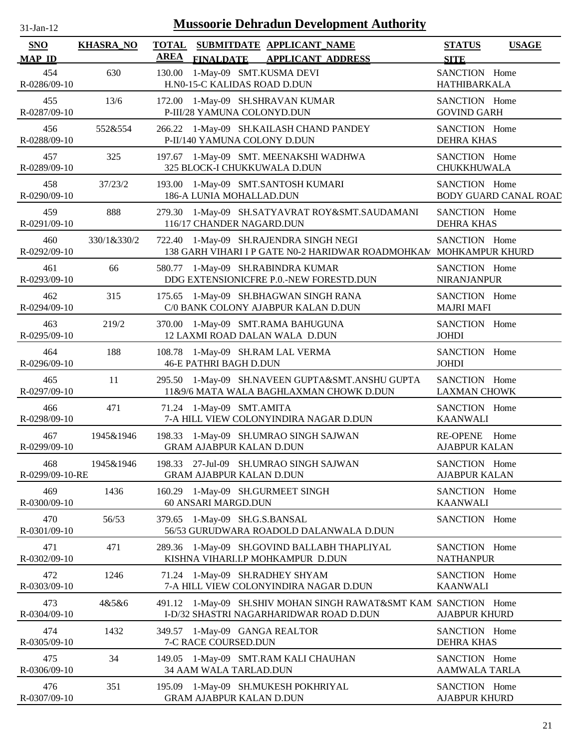| $-Jan-1$ |  |
|----------|--|
|          |  |

| <b>SNO</b><br><b>MAP ID</b> | <b>KHASRA_NO</b> | <b>TOTAL</b><br><b>AREA</b> | <b>FINALDATE</b>                | SUBMITDATE APPLICANT NAME<br><b>APPLICANT ADDRESS</b>                                                       | <b>STATUS</b><br><b>SITE</b>          | <b>USAGE</b>                 |
|-----------------------------|------------------|-----------------------------|---------------------------------|-------------------------------------------------------------------------------------------------------------|---------------------------------------|------------------------------|
| 454<br>R-0286/09-10         | 630              | 130.00                      | H.N0-15-C KALIDAS ROAD D.DUN    | 1-May-09 SMT.KUSMA DEVI                                                                                     | SANCTION Home<br>HATHIBARKALA         |                              |
| 455<br>R-0287/09-10         | 13/6             |                             | P-III/28 YAMUNA COLONYD.DUN     | 172.00 1-May-09 SH.SHRAVAN KUMAR                                                                            | SANCTION Home<br><b>GOVIND GARH</b>   |                              |
| 456<br>R-0288/09-10         | 552&554          |                             |                                 | 266.22 1-May-09 SH.KAILASH CHAND PANDEY<br>P-II/140 YAMUNA COLONY D.DUN                                     | SANCTION Home<br><b>DEHRA KHAS</b>    |                              |
| 457<br>R-0289/09-10         | 325              |                             |                                 | 197.67 1-May-09 SMT. MEENAKSHI WADHWA<br>325 BLOCK-I CHUKKUWALA D.DUN                                       | SANCTION Home<br>CHUKKHUWALA          |                              |
| 458<br>R-0290/09-10         | 37/23/2          |                             | 186-A LUNIA MOHALLAD.DUN        | 193.00 1-May-09 SMT.SANTOSH KUMARI                                                                          | SANCTION Home                         | <b>BODY GUARD CANAL ROAD</b> |
| 459<br>R-0291/09-10         | 888              | 279.30                      | 116/17 CHANDER NAGARD.DUN       | 1-May-09 SH.SATYAVRAT ROY&SMT.SAUDAMANI                                                                     | SANCTION Home<br>DEHRA KHAS           |                              |
| 460<br>R-0292/09-10         | 330/1&330/2      |                             |                                 | 722.40 1-May-09 SH.RAJENDRA SINGH NEGI<br>138 GARH VIHARI I P GATE N0-2 HARIDWAR ROADMOHKAN MOHKAMPUR KHURD | SANCTION Home                         |                              |
| 461<br>R-0293/09-10         | 66               |                             |                                 | 580.77 1-May-09 SH.RABINDRA KUMAR<br>DDG EXTENSIONICFRE P.O.-NEW FORESTD.DUN                                | SANCTION Home<br><b>NIRANJANPUR</b>   |                              |
| 462<br>R-0294/09-10         | 315              | 175.65                      |                                 | 1-May-09 SH.BHAGWAN SINGH RANA<br>C/0 BANK COLONY AJABPUR KALAN D.DUN                                       | SANCTION Home<br><b>MAJRI MAFI</b>    |                              |
| 463<br>R-0295/09-10         | 219/2            |                             |                                 | 370.00 1-May-09 SMT.RAMA BAHUGUNA<br>12 LAXMI ROAD DALAN WALA D.DUN                                         | SANCTION Home<br><b>JOHDI</b>         |                              |
| 464<br>R-0296/09-10         | 188              | 108.78                      | <b>46-E PATHRI BAGH D.DUN</b>   | 1-May-09 SH.RAM LAL VERMA                                                                                   | SANCTION Home<br><b>JOHDI</b>         |                              |
| 465<br>R-0297/09-10         | 11               | 295.50                      |                                 | 1-May-09 SH.NAVEEN GUPTA&SMT.ANSHU GUPTA<br>11&9/6 MATA WALA BAGHLAXMAN CHOWK D.DUN                         | SANCTION Home<br><b>LAXMAN CHOWK</b>  |                              |
| 466<br>R-0298/09-10         | 471              |                             | 71.24 1-May-09 SMT.AMITA        | 7-A HILL VIEW COLONYINDIRA NAGAR D.DUN                                                                      | SANCTION Home<br><b>KAANWALI</b>      |                              |
| 467<br>R-0299/09-10         | 1945&1946        |                             | <b>GRAM AJABPUR KALAN D.DUN</b> | 198.33 1-May-09 SH.UMRAO SINGH SAJWAN                                                                       | RE-OPENE Home<br><b>AJABPUR KALAN</b> |                              |
| 468<br>R-0299/09-10-RE      | 1945&1946        |                             | <b>GRAM AJABPUR KALAN D.DUN</b> | 198.33 27-Jul-09 SH.UMRAO SINGH SAJWAN                                                                      | SANCTION Home<br><b>AJABPUR KALAN</b> |                              |
| 469<br>R-0300/09-10         | 1436             |                             | 60 ANSARI MARGD.DUN             | 160.29 1-May-09 SH.GURMEET SINGH                                                                            | SANCTION Home<br><b>KAANWALI</b>      |                              |
| 470<br>R-0301/09-10         | 56/53            | 379.65                      | 1-May-09 SH.G.S.BANSAL          | 56/53 GURUDWARA ROADOLD DALANWALA D.DUN                                                                     | SANCTION Home                         |                              |
| 471<br>R-0302/09-10         | 471              | 289.36                      |                                 | 1-May-09 SH.GOVIND BALLABH THAPLIYAL<br>KISHNA VIHARI.I.P MOHKAMPUR D.DUN                                   | SANCTION Home<br><b>NATHANPUR</b>     |                              |
| 472<br>R-0303/09-10         | 1246             |                             |                                 | 71.24 1-May-09 SH.RADHEY SHYAM<br>7-A HILL VIEW COLONYINDIRA NAGAR D.DUN                                    | SANCTION Home<br><b>KAANWALI</b>      |                              |
| 473<br>R-0304/09-10         | 4&5&6            |                             |                                 | 491.12 1-May-09 SH.SHIV MOHAN SINGH RAWAT&SMT KAM SANCTION Home<br>I-D/32 SHASTRI NAGARHARIDWAR ROAD D.DUN  | <b>AJABPUR KHURD</b>                  |                              |
| 474<br>R-0305/09-10         | 1432             |                             | 7-C RACE COURSED.DUN            | 349.57 1-May-09 GANGA REALTOR                                                                               | SANCTION Home<br><b>DEHRA KHAS</b>    |                              |
| 475<br>R-0306/09-10         | 34               |                             | 34 AAM WALA TARLAD.DUN          | 149.05 1-May-09 SMT.RAM KALI CHAUHAN                                                                        | SANCTION Home<br><b>AAMWALA TARLA</b> |                              |
| 476<br>R-0307/09-10         | 351              |                             | <b>GRAM AJABPUR KALAN D.DUN</b> | 195.09 1-May-09 SH.MUKESH POKHRIYAL                                                                         | SANCTION Home<br><b>AJABPUR KHURD</b> |                              |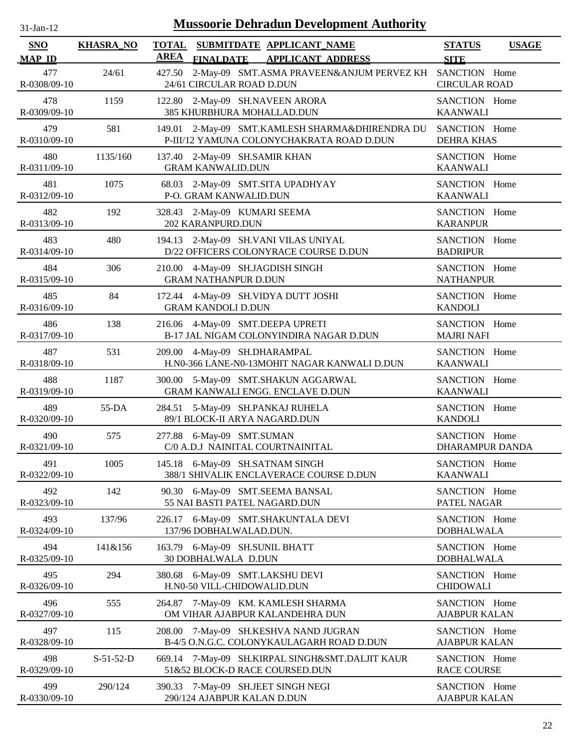| 31-Jan-12                   |                  | <b>Mussoorie Dehradun Development Authority</b>                                                          |                                              |
|-----------------------------|------------------|----------------------------------------------------------------------------------------------------------|----------------------------------------------|
| <b>SNO</b><br><b>MAP ID</b> | <b>KHASRA_NO</b> | SUBMITDATE APPLICANT NAME<br><b>TOTAL</b><br><b>AREA</b><br><b>FINALDATE</b><br><b>APPLICANT ADDRESS</b> | <b>STATUS</b><br><b>USAGE</b><br><b>SITE</b> |
| 477<br>R-0308/09-10         | 24/61            | 2-May-09 SMT.ASMA PRAVEEN&ANJUM PERVEZ KH<br>427.50<br>24/61 CIRCULAR ROAD D.DUN                         | SANCTION Home<br><b>CIRCULAR ROAD</b>        |
| 478<br>R-0309/09-10         | 1159             | 2-May-09 SH.NAVEEN ARORA<br>122.80<br>385 KHURBHURA MOHALLAD.DUN                                         | SANCTION Home<br><b>KAANWALI</b>             |
| 479<br>R-0310/09-10         | 581              | 2-May-09 SMT.KAMLESH SHARMA&DHIRENDRA DU<br>149.01<br>P-III/12 YAMUNA COLONYCHAKRATA ROAD D.DUN          | SANCTION Home<br>DEHRA KHAS                  |
| 480                         | 1135/160         | 137.40 2-May-09 SH.SAMIR KHAN                                                                            | SANCTION Home                                |
| R-0311/09-10                |                  | <b>GRAM KANWALID.DUN</b>                                                                                 | <b>KAANWALI</b>                              |
| 481<br>R-0312/09-10         | 1075             | 2-May-09 SMT.SITA UPADHYAY<br>68.03<br>P-O. GRAM KANWALID.DUN                                            | SANCTION Home<br><b>KAANWALI</b>             |
| 482                         | 192              | 328.43 2-May-09 KUMARI SEEMA                                                                             | SANCTION Home                                |
| R-0313/09-10                |                  | 202 KARANPURD.DUN                                                                                        | <b>KARANPUR</b>                              |
| 483                         | 480              | 194.13 2-May-09 SH.VANI VILAS UNIYAL                                                                     | SANCTION Home                                |
| R-0314/09-10                |                  | D/22 OFFICERS COLONYRACE COURSE D.DUN                                                                    | <b>BADRIPUR</b>                              |
| 484                         | 306              | 210.00 4-May-09 SH.JAGDISH SINGH                                                                         | SANCTION Home                                |
| R-0315/09-10                |                  | <b>GRAM NATHANPUR D.DUN</b>                                                                              | <b>NATHANPUR</b>                             |
| 485                         | 84               | 172.44 4-May-09 SH.VIDYA DUTT JOSHI                                                                      | SANCTION Home                                |
| R-0316/09-10                |                  | <b>GRAM KANDOLI D.DUN</b>                                                                                | <b>KANDOLI</b>                               |
| 486                         | 138              | 216.06 4-May-09 SMT.DEEPA UPRETI                                                                         | SANCTION Home                                |
| R-0317/09-10                |                  | B-17 JAL NIGAM COLONYINDIRA NAGAR D.DUN                                                                  | <b>MAJRI NAFI</b>                            |
| 487<br>R-0318/09-10         | 531              | 4-May-09 SH.DHARAMPAL<br>209.00<br>H.N0-366 LANE-N0-13MOHIT NAGAR KANWALI D.DUN                          | SANCTION Home<br><b>KAANWALI</b>             |
| 488                         | 1187             | 300.00 5-May-09 SMT.SHAKUN AGGARWAL                                                                      | SANCTION Home                                |
| R-0319/09-10                |                  | GRAM KANWALI ENGG. ENCLAVE D.DUN                                                                         | <b>KAANWALI</b>                              |
| 489<br>R-0320/09-10         | 55-DA            | 5-May-09 SH.PANKAJ RUHELA<br>284.51<br>89/1 BLOCK-II ARYA NAGARD.DUN                                     | SANCTION Home<br><b>KANDOLI</b>              |
| 490                         | 575              | 277.88 6-May-09 SMT.SUMAN                                                                                | SANCTION Home                                |
| R-0321/09-10                |                  | C/0 A.D.J NAINITAL COURTNAINITAL                                                                         | <b>DHARAMPUR DANDA</b>                       |
| 491<br>R-0322/09-10         | 1005             | 6-May-09 SH.SATNAM SINGH<br>145.18<br>388/1 SHIVALIK ENCLAVERACE COURSE D.DUN                            | SANCTION Home<br><b>KAANWALI</b>             |
| 492                         | 142              | 90.30 6-May-09 SMT.SEEMA BANSAL                                                                          | SANCTION Home                                |
| R-0323/09-10                |                  | 55 NAI BASTI PATEL NAGARD.DUN                                                                            | PATEL NAGAR                                  |
| 493                         | 137/96           | 226.17 6-May-09 SMT.SHAKUNTALA DEVI                                                                      | SANCTION Home                                |
| R-0324/09-10                |                  | 137/96 DOBHALWALAD.DUN.                                                                                  | <b>DOBHALWALA</b>                            |
| 494                         | 141&156          | 163.79 6-May-09 SH.SUNIL BHATT                                                                           | SANCTION Home                                |
| R-0325/09-10                |                  | 30 DOBHALWALA D.DUN                                                                                      | <b>DOBHALWALA</b>                            |
| 495                         | 294              | 380.68 6-May-09 SMT.LAKSHU DEVI                                                                          | SANCTION Home                                |
| R-0326/09-10                |                  | H.N0-50 VILL-CHIDOWALID.DUN                                                                              | <b>CHIDOWALI</b>                             |
| 496                         | 555              | 264.87 7-May-09 KM. KAMLESH SHARMA                                                                       | SANCTION Home                                |
| R-0327/09-10                |                  | OM VIHAR AJABPUR KALANDEHRA DUN                                                                          | <b>AJABPUR KALAN</b>                         |
| 497<br>R-0328/09-10         | 115              | 208.00<br>7-May-09 SH.KESHVA NAND JUGRAN<br>B-4/5 O.N.G.C. COLONYKAULAGARH ROAD D.DUN                    | SANCTION Home<br><b>AJABPUR KALAN</b>        |
| 498                         | $S-51-52-D$      | 669.14 7-May-09 SH.KIRPAL SINGH&SMT.DALJIT KAUR                                                          | SANCTION Home                                |
| R-0329/09-10                |                  | 51&52 BLOCK-D RACE COURSED.DUN                                                                           | <b>RACE COURSE</b>                           |
| 499                         | 290/124          | 390.33 7-May-09 SH.JEET SINGH NEGI                                                                       | SANCTION Home                                |
| R-0330/09-10                |                  | 290/124 AJABPUR KALAN D.DUN                                                                              | <b>AJABPUR KALAN</b>                         |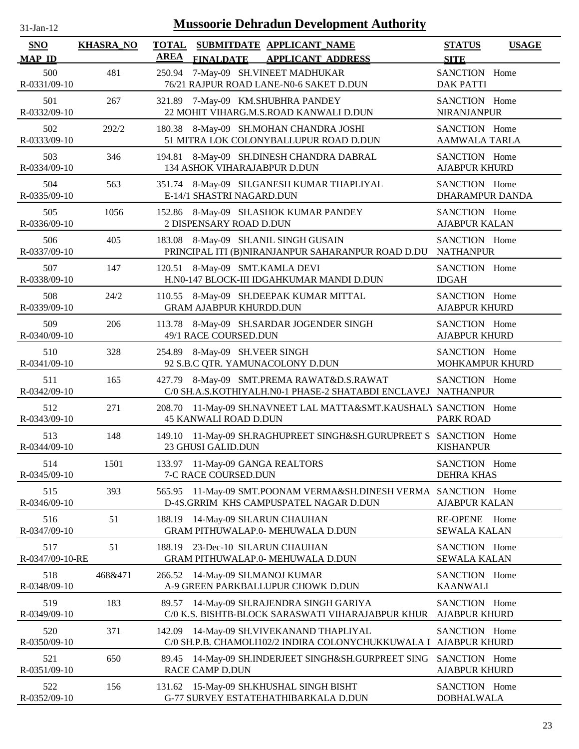| $31$ -Jan-12 |
|--------------|
|              |

| SNO                    | <b>KHASRA_NO</b> | <b>TOTAL</b> |                                | SUBMITDATE APPLICANT NAME                                                                                  | <b>STATUS</b>                           | <b>USAGE</b> |
|------------------------|------------------|--------------|--------------------------------|------------------------------------------------------------------------------------------------------------|-----------------------------------------|--------------|
| <b>MAP ID</b>          |                  | <b>AREA</b>  | <b>FINALDATE</b>               | <b>APPLICANT ADDRESS</b>                                                                                   | <b>SITE</b>                             |              |
| 500<br>R-0331/09-10    | 481              | 250.94       |                                | 7-May-09 SH.VINEET MADHUKAR<br>76/21 RAJPUR ROAD LANE-N0-6 SAKET D.DUN                                     | SANCTION Home<br><b>DAK PATTI</b>       |              |
| 501<br>R-0332/09-10    | 267              |              |                                | 321.89 7-May-09 KM.SHUBHRA PANDEY<br>22 MOHIT VIHARG.M.S.ROAD KANWALI D.DUN                                | SANCTION Home<br><b>NIRANJANPUR</b>     |              |
| 502<br>R-0333/09-10    | 292/2            |              |                                | 180.38 8-May-09 SH.MOHAN CHANDRA JOSHI<br>51 MITRA LOK COLONYBALLUPUR ROAD D.DUN                           | SANCTION Home<br><b>AAMWALA TARLA</b>   |              |
| 503<br>R-0334/09-10    | 346              |              |                                | 194.81 8-May-09 SH.DINESH CHANDRA DABRAL<br>134 ASHOK VIHARAJABPUR D.DUN                                   | SANCTION Home<br><b>AJABPUR KHURD</b>   |              |
| 504<br>R-0335/09-10    | 563              |              | E-14/1 SHASTRI NAGARD.DUN      | 351.74 8-May-09 SH.GANESH KUMAR THAPLIYAL                                                                  | SANCTION Home<br><b>DHARAMPUR DANDA</b> |              |
| 505<br>R-0336/09-10    | 1056             |              | 2 DISPENSARY ROAD D.DUN        | 152.86 8-May-09 SH.ASHOK KUMAR PANDEY                                                                      | SANCTION Home<br><b>AJABPUR KALAN</b>   |              |
| 506<br>R-0337/09-10    | 405              |              |                                | 183.08 8-May-09 SH.ANIL SINGH GUSAIN<br>PRINCIPAL ITI (B)NIRANJANPUR SAHARANPUR ROAD D.DU                  | SANCTION Home<br><b>NATHANPUR</b>       |              |
| 507<br>R-0338/09-10    | 147              |              |                                | 120.51 8-May-09 SMT.KAMLA DEVI<br>H.N0-147 BLOCK-III IDGAHKUMAR MANDI D.DUN                                | SANCTION Home<br><b>IDGAH</b>           |              |
| 508<br>R-0339/09-10    | 24/2             |              | <b>GRAM AJABPUR KHURDD.DUN</b> | 110.55 8-May-09 SH.DEEPAK KUMAR MITTAL                                                                     | SANCTION Home<br><b>AJABPUR KHURD</b>   |              |
| 509<br>R-0340/09-10    | 206              |              | 49/1 RACE COURSED.DUN          | 113.78 8-May-09 SH.SARDAR JOGENDER SINGH                                                                   | SANCTION Home<br><b>AJABPUR KHURD</b>   |              |
| 510<br>R-0341/09-10    | 328              |              | 254.89 8-May-09 SH.VEER SINGH  | 92 S.B.C QTR. YAMUNACOLONY D.DUN                                                                           | SANCTION Home<br>MOHKAMPUR KHURD        |              |
| 511<br>R-0342/09-10    | 165              |              |                                | 427.79 8-May-09 SMT.PREMA RAWAT&D.S.RAWAT<br>C/0 SH.A.S.KOTHIYALH.N0-1 PHASE-2 SHATABDI ENCLAVEJ NATHANPUR | SANCTION Home                           |              |
| 512<br>R-0343/09-10    | 271              |              | <b>45 KANWALI ROAD D.DUN</b>   | 208.70 11-May-09 SH.NAVNEET LAL MATTA&SMT.KAUSHALY SANCTION Home                                           | <b>PARK ROAD</b>                        |              |
| 513<br>R-0344/09-10    | 148              |              | 23 GHUSI GALID.DUN             | 149.10 11-May-09 SH.RAGHUPREET SINGH&SH.GURUPREET S SANCTION Home                                          | <b>KISHANPUR</b>                        |              |
| 514<br>R-0345/09-10    | 1501             |              | 7-C RACE COURSED.DUN           | 133.97 11-May-09 GANGA REALTORS                                                                            | SANCTION Home<br><b>DEHRA KHAS</b>      |              |
| 515<br>R-0346/09-10    | 393              | 565.95       |                                | 11-May-09 SMT.POONAM VERMA&SH.DINESH VERMA SANCTION Home<br>D-4S.GRRIM KHS CAMPUSPATEL NAGAR D.DUN         | <b>AJABPUR KALAN</b>                    |              |
| 516<br>R-0347/09-10    | 51               | 188.19       |                                | 14-May-09 SH.ARUN CHAUHAN<br><b>GRAM PITHUWALAP.0- MEHUWALA D.DUN</b>                                      | <b>RE-OPENE</b><br><b>SEWALA KALAN</b>  | Home         |
| 517<br>R-0347/09-10-RE | 51               | 188.19       |                                | 23-Dec-10 SH.ARUN CHAUHAN<br>GRAM PITHUWALAP.0- MEHUWALA D.DUN                                             | SANCTION Home<br><b>SEWALA KALAN</b>    |              |
| 518<br>R-0348/09-10    | 468&471          | 266.52       |                                | 14-May-09 SH.MANOJ KUMAR<br>A-9 GREEN PARKBALLUPUR CHOWK D.DUN                                             | SANCTION Home<br><b>KAANWALI</b>        |              |
| 519<br>R-0349/09-10    | 183              | 89.57        |                                | 14-May-09 SH.RAJENDRA SINGH GARIYA<br>C/0 K.S. BISHTB-BLOCK SARASWATI VIHARAJABPUR KHUR                    | SANCTION Home<br><b>AJABPUR KHURD</b>   |              |
| 520<br>R-0350/09-10    | 371              | 142.09       |                                | 14-May-09 SH.VIVEKANAND THAPLIYAL<br>C/0 SH.P.B. CHAMOLI102/2 INDIRA COLONYCHUKKUWALA I                    | SANCTION Home<br><b>AJABPUR KHURD</b>   |              |
| 521<br>R-0351/09-10    | 650              | 89.45        | <b>RACE CAMP D.DUN</b>         | 14-May-09 SH.INDERJEET SINGH&SH.GURPREET SING                                                              | SANCTION Home<br><b>AJABPUR KHURD</b>   |              |
| 522<br>R-0352/09-10    | 156              |              |                                | 131.62 15-May-09 SH.KHUSHAL SINGH BISHT<br>G-77 SURVEY ESTATEHATHIBARKALA D.DUN                            | SANCTION Home<br><b>DOBHALWALA</b>      |              |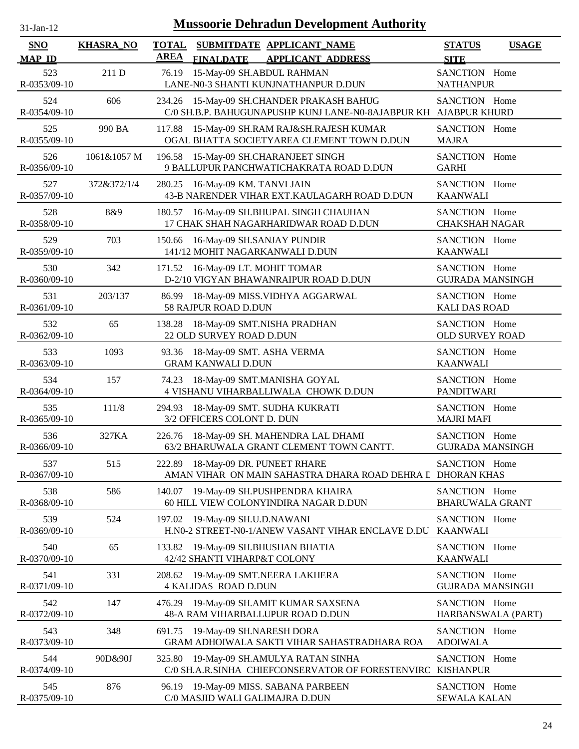| -Jan- |  |
|-------|--|
|       |  |

| <b>SNO</b><br><b>MAP ID</b> | <b>KHASRA_NO</b> | <b>TOTAL</b><br><b>AREA</b> | SUBMITDATE APPLICANT NAME<br><b>FINALDATE</b><br><b>APPLICANT ADDRESS</b>                                     | <b>STATUS</b><br><b>USAGE</b><br><b>SITE</b> |
|-----------------------------|------------------|-----------------------------|---------------------------------------------------------------------------------------------------------------|----------------------------------------------|
| 523<br>R-0353/09-10         | 211 D            | 76.19                       | 15-May-09 SH.ABDUL RAHMAN<br>LANE-N0-3 SHANTI KUNJNATHANPUR D.DUN                                             | SANCTION Home<br><b>NATHANPUR</b>            |
| 524<br>R-0354/09-10         | 606              |                             | 234.26 15-May-09 SH.CHANDER PRAKASH BAHUG<br>C/0 SH.B.P. BAHUGUNAPUSHP KUNJ LANE-N0-8AJABPUR KH AJABPUR KHURD | SANCTION Home                                |
| 525<br>R-0355/09-10         | 990 BA           | 117.88                      | 15-May-09 SH.RAM RAJ&SH.RAJESH KUMAR<br>OGAL BHATTA SOCIETYAREA CLEMENT TOWN D.DUN                            | SANCTION Home<br><b>MAJRA</b>                |
| 526<br>R-0356/09-10         | 1061&1057 M      |                             | 196.58 15-May-09 SH.CHARANJEET SINGH<br>9 BALLUPUR PANCHWATICHAKRATA ROAD D.DUN                               | SANCTION Home<br><b>GARHI</b>                |
| 527<br>R-0357/09-10         | 372&372/1/4      | 280.25                      | 16-May-09 KM. TANVI JAIN<br>43-B NARENDER VIHAR EXT.KAULAGARH ROAD D.DUN                                      | SANCTION Home<br><b>KAANWALI</b>             |
| 528<br>R-0358/09-10         | 8&9              | 180.57                      | 16-May-09 SH.BHUPAL SINGH CHAUHAN<br>17 CHAK SHAH NAGARHARIDWAR ROAD D.DUN                                    | SANCTION Home<br><b>CHAKSHAH NAGAR</b>       |
| 529<br>R-0359/09-10         | 703              | 150.66                      | 16-May-09 SH.SANJAY PUNDIR<br>141/12 MOHIT NAGARKANWALI D.DUN                                                 | SANCTION Home<br><b>KAANWALI</b>             |
| 530<br>R-0360/09-10         | 342              | 171.52                      | 16-May-09 LT. MOHIT TOMAR<br>D-2/10 VIGYAN BHAWANRAIPUR ROAD D.DUN                                            | SANCTION Home<br><b>GUJRADA MANSINGH</b>     |
| 531<br>R-0361/09-10         | 203/137          | 86.99                       | 18-May-09 MISS. VIDHYA AGGARWAL<br>58 RAJPUR ROAD D.DUN                                                       | SANCTION Home<br><b>KALI DAS ROAD</b>        |
| 532<br>R-0362/09-10         | 65               | 138.28                      | 18-May-09 SMT.NISHA PRADHAN<br>22 OLD SURVEY ROAD D.DUN                                                       | SANCTION Home<br>OLD SURVEY ROAD             |
| 533<br>R-0363/09-10         | 1093             | 93.36                       | 18-May-09 SMT. ASHA VERMA<br><b>GRAM KANWALI D.DUN</b>                                                        | SANCTION Home<br><b>KAANWALI</b>             |
| 534<br>R-0364/09-10         | 157              | 74.23                       | 18-May-09 SMT.MANISHA GOYAL<br>4 VISHANU VIHARBALLIWALA CHOWK D.DUN                                           | SANCTION Home<br><b>PANDITWARI</b>           |
| 535<br>R-0365/09-10         | 111/8            |                             | 294.93 18-May-09 SMT. SUDHA KUKRATI<br>3/2 OFFICERS COLONT D. DUN                                             | SANCTION Home<br><b>MAJRI MAFI</b>           |
| 536<br>R-0366/09-10         | 327KA            | 226.76                      | 18-May-09 SH. MAHENDRA LAL DHAMI<br>63/2 BHARUWALA GRANT CLEMENT TOWN CANTT.                                  | SANCTION Home<br><b>GUJRADA MANSINGH</b>     |
| 537<br>R-0367/09-10         | 515              |                             | 222.89 18-May-09 DR. PUNEET RHARE<br>AMAN VIHAR ON MAIN SAHASTRA DHARA ROAD DEHRA L DHORAN KHAS               | SANCTION Home                                |
| 538<br>R-0368/09-10         | 586              |                             | 140.07 19-May-09 SH.PUSHPENDRA KHAIRA<br>60 HILL VIEW COLONYINDIRA NAGAR D.DUN                                | SANCTION Home<br><b>BHARUWALA GRANT</b>      |
| 539<br>R-0369/09-10         | 524              | 197.02                      | 19-May-09 SH.U.D.NAWANI<br>H.N0-2 STREET-N0-1/ANEW VASANT VIHAR ENCLAVE D.DU                                  | SANCTION Home<br><b>KAANWALI</b>             |
| 540<br>R-0370/09-10         | 65               | 133.82                      | 19-May-09 SH.BHUSHAN BHATIA<br>42/42 SHANTI VIHARP&T COLONY                                                   | SANCTION Home<br><b>KAANWALI</b>             |
| 541<br>R-0371/09-10         | 331              | 208.62                      | 19-May-09 SMT.NEERA LAKHERA<br><b>4 KALIDAS ROAD D.DUN</b>                                                    | SANCTION Home<br><b>GUJRADA MANSINGH</b>     |
| 542<br>R-0372/09-10         | 147              | 476.29                      | 19-May-09 SH.AMIT KUMAR SAXSENA<br>48-A RAM VIHARBALLUPUR ROAD D.DUN                                          | SANCTION Home<br>HARBANSWALA (PART)          |
| 543<br>R-0373/09-10         | 348              | 691.75                      | 19-May-09 SH.NARESH DORA<br>GRAM ADHOIWALA SAKTI VIHAR SAHASTRADHARA ROA                                      | SANCTION Home<br><b>ADOIWALA</b>             |
| 544<br>R-0374/09-10         | 90D&90J          | 325.80                      | 19-May-09 SH.AMULYA RATAN SINHA<br>C/0 SH.A.R.SINHA CHIEFCONSERVATOR OF FORESTENVIRC KISHANPUR                | SANCTION Home                                |
| 545<br>R-0375/09-10         | 876              | 96.19                       | 19-May-09 MISS. SABANA PARBEEN<br>C/0 MASJID WALI GALIMAJRA D.DUN                                             | SANCTION Home<br><b>SEWALA KALAN</b>         |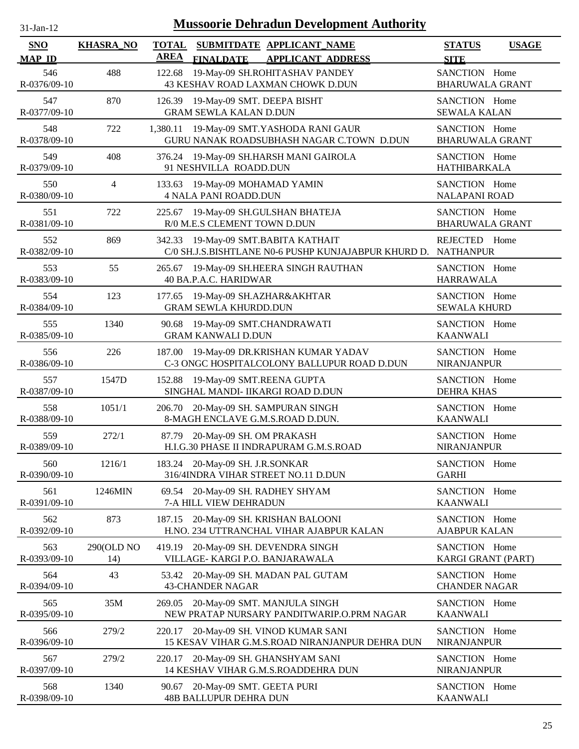| <b>Mussoorie Dehradun Development Authority</b><br>$31$ -Jan- $12$ |                   |                                                                                                          |                                              |  |  |  |  |
|--------------------------------------------------------------------|-------------------|----------------------------------------------------------------------------------------------------------|----------------------------------------------|--|--|--|--|
| <b>SNO</b><br><b>MAP ID</b>                                        | <b>KHASRA_NO</b>  | <b>TOTAL</b><br>SUBMITDATE APPLICANT NAME<br><b>AREA</b><br><b>APPLICANT ADDRESS</b><br><b>FINALDATE</b> | <b>STATUS</b><br><b>USAGE</b><br><b>SITE</b> |  |  |  |  |
| 546<br>R-0376/09-10                                                | 488               | 19-May-09 SH.ROHITASHAV PANDEY<br>122.68<br>43 KESHAV ROAD LAXMAN CHOWK D.DUN                            | SANCTION Home<br><b>BHARUWALA GRANT</b>      |  |  |  |  |
| 547<br>R-0377/09-10                                                | 870               | 126.39 19-May-09 SMT. DEEPA BISHT<br><b>GRAM SEWLA KALAN D.DUN</b>                                       | SANCTION Home<br><b>SEWALA KALAN</b>         |  |  |  |  |
| 548<br>R-0378/09-10                                                | 722               | 1,380.11 19-May-09 SMT.YASHODA RANI GAUR<br>GURU NANAK ROADSUBHASH NAGAR C.TOWN D.DUN                    | SANCTION Home<br><b>BHARUWALA GRANT</b>      |  |  |  |  |
| 549<br>R-0379/09-10                                                | 408               | 376.24<br>19-May-09 SH.HARSH MANI GAIROLA<br>91 NESHVILLA ROADD.DUN                                      | SANCTION Home<br><b>HATHIBARKALA</b>         |  |  |  |  |
| 550<br>R-0380/09-10                                                | $\overline{4}$    | 133.63<br>19-May-09 MOHAMAD YAMIN<br><b>4 NALA PANI ROADD.DUN</b>                                        | SANCTION Home<br><b>NALAPANI ROAD</b>        |  |  |  |  |
| 551<br>R-0381/09-10                                                | 722               | 225.67<br>19-May-09 SH.GULSHAN BHATEJA<br>R/0 M.E.S CLEMENT TOWN D.DUN                                   | SANCTION Home<br><b>BHARUWALA GRANT</b>      |  |  |  |  |
| 552<br>R-0382/09-10                                                | 869               | 19-May-09 SMT.BABITA KATHAIT<br>342.33<br>C/0 SH.J.S.BISHTLANE N0-6 PUSHP KUNJAJABPUR KHURD D. NATHANPUR | REJECTED Home                                |  |  |  |  |
| 553<br>R-0383/09-10                                                | 55                | 19-May-09 SH.HEERA SINGH RAUTHAN<br>265.67<br>40 BA.P.A.C. HARIDWAR                                      | SANCTION Home<br><b>HARRAWALA</b>            |  |  |  |  |
| 554<br>R-0384/09-10                                                | 123               | 19-May-09 SH.AZHAR&AKHTAR<br>177.65<br><b>GRAM SEWLA KHURDD.DUN</b>                                      | SANCTION Home<br><b>SEWALA KHURD</b>         |  |  |  |  |
| 555<br>R-0385/09-10                                                | 1340              | 19-May-09 SMT.CHANDRAWATI<br>90.68<br><b>GRAM KANWALI D.DUN</b>                                          | SANCTION Home<br><b>KAANWALI</b>             |  |  |  |  |
| 556<br>R-0386/09-10                                                | 226               | 19-May-09 DR.KRISHAN KUMAR YADAV<br>187.00<br>C-3 ONGC HOSPITALCOLONY BALLUPUR ROAD D.DUN                | SANCTION Home<br>NIRANJANPUR                 |  |  |  |  |
| 557<br>R-0387/09-10                                                | 1547D             | 152.88 19-May-09 SMT.REENA GUPTA<br>SINGHAL MANDI- IIKARGI ROAD D.DUN                                    | SANCTION Home<br><b>DEHRA KHAS</b>           |  |  |  |  |
| 558<br>R-0388/09-10                                                | 1051/1            | 206.70<br>20-May-09 SH. SAMPURAN SINGH<br>8-MAGH ENCLAVE G.M.S.ROAD D.DUN.                               | SANCTION Home<br><b>KAANWALI</b>             |  |  |  |  |
| 559<br>R-0389/09-10                                                | 272/1             | 87.79 20-May-09 SH. OM PRAKASH<br>H.I.G.30 PHASE II INDRAPURAM G.M.S.ROAD                                | SANCTION Home<br>NIRANJANPUR                 |  |  |  |  |
| 560<br>R-0390/09-10                                                | 1216/1            | 183.24 20-May-09 SH. J.R.SONKAR<br>316/4INDRA VIHAR STREET NO.11 D.DUN                                   | SANCTION Home<br><b>GARHI</b>                |  |  |  |  |
| 561<br>R-0391/09-10                                                | 1246MIN           | 20-May-09 SH. RADHEY SHYAM<br>69.54<br>7-A HILL VIEW DEHRADUN                                            | SANCTION Home<br><b>KAANWALI</b>             |  |  |  |  |
| 562<br>R-0392/09-10                                                | 873               | 20-May-09 SH. KRISHAN BALOONI<br>187.15<br>H.NO. 234 UTTRANCHAL VIHAR AJABPUR KALAN                      | SANCTION Home<br><b>AJABPUR KALAN</b>        |  |  |  |  |
| 563<br>R-0393/09-10                                                | 290(OLD NO<br>14) | 419.19<br>20-May-09 SH. DEVENDRA SINGH<br>VILLAGE-KARGI P.O. BANJARAWALA                                 | SANCTION Home<br>KARGI GRANT (PART)          |  |  |  |  |
| 564<br>R-0394/09-10                                                | 43                | 20-May-09 SH. MADAN PAL GUTAM<br>53.42<br><b>43-CHANDER NAGAR</b>                                        | SANCTION Home<br><b>CHANDER NAGAR</b>        |  |  |  |  |
| 565<br>R-0395/09-10                                                | 35M               | 20-May-09 SMT. MANJULA SINGH<br>269.05<br>NEW PRATAP NURSARY PANDITWARIP.O.PRM NAGAR                     | SANCTION Home<br><b>KAANWALI</b>             |  |  |  |  |
| 566<br>R-0396/09-10                                                | 279/2             | 20-May-09 SH. VINOD KUMAR SANI<br>220.17<br>15 KESAV VIHAR G.M.S.ROAD NIRANJANPUR DEHRA DUN              | SANCTION Home<br><b>NIRANJANPUR</b>          |  |  |  |  |
| 567<br>R-0397/09-10                                                | 279/2             | 20-May-09 SH. GHANSHYAM SANI<br>220.17<br>14 KESHAV VIHAR G.M.S.ROADDEHRA DUN                            | SANCTION Home<br>NIRANJANPUR                 |  |  |  |  |
| 568<br>R-0398/09-10                                                | 1340              | 20-May-09 SMT. GEETA PURI<br>90.67<br><b>48B BALLUPUR DEHRA DUN</b>                                      | SANCTION Home<br><b>KAANWALI</b>             |  |  |  |  |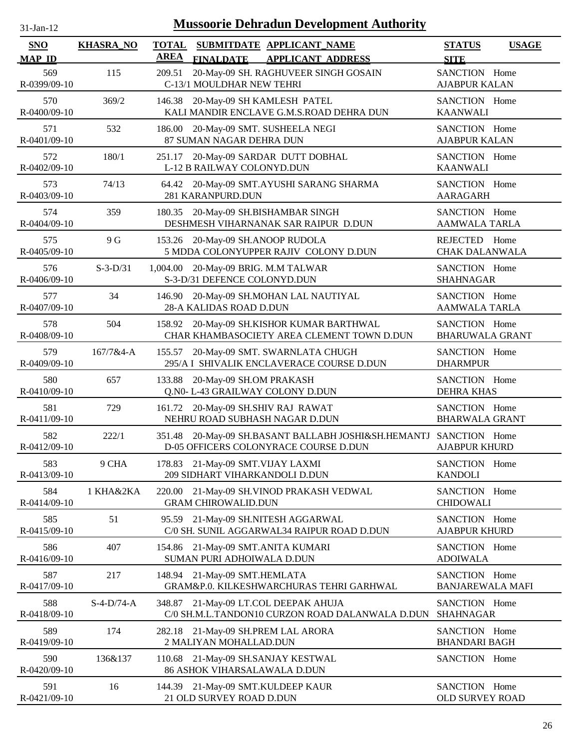| <b>Mussoorie Dehradun Development Authority</b><br>$31-Ian-12$ |                  |                                                                                                               |                                              |  |  |  |
|----------------------------------------------------------------|------------------|---------------------------------------------------------------------------------------------------------------|----------------------------------------------|--|--|--|
| <b>SNO</b><br><b>MAP ID</b>                                    | <b>KHASRA_NO</b> | <b>TOTAL</b><br>SUBMITDATE APPLICANT NAME<br><b>AREA</b><br><b>FINALDATE</b><br><b>APPLICANT ADDRESS</b>      | <b>STATUS</b><br><b>USAGE</b><br><b>SITE</b> |  |  |  |
| 569<br>R-0399/09-10                                            | 115              | 20-May-09 SH. RAGHUVEER SINGH GOSAIN<br>209.51<br>C-13/1 MOULDHAR NEW TEHRI                                   | SANCTION Home<br><b>AJABPUR KALAN</b>        |  |  |  |
| 570<br>R-0400/09-10                                            | 369/2            | 146.38<br>20-May-09 SH KAMLESH PATEL<br>KALI MANDIR ENCLAVE G.M.S.ROAD DEHRA DUN                              | SANCTION Home<br><b>KAANWALI</b>             |  |  |  |
| 571<br>R-0401/09-10                                            | 532              | 20-May-09 SMT. SUSHEELA NEGI<br>186.00<br>87 SUMAN NAGAR DEHRA DUN                                            | SANCTION Home<br><b>AJABPUR KALAN</b>        |  |  |  |
| 572<br>R-0402/09-10                                            | 180/1            | 20-May-09 SARDAR DUTT DOBHAL<br>251.17<br>L-12 B RAILWAY COLONYD.DUN                                          | SANCTION Home<br><b>KAANWALI</b>             |  |  |  |
| 573<br>R-0403/09-10                                            | 74/13            | 20-May-09 SMT.AYUSHI SARANG SHARMA<br>64.42<br>281 KARANPURD.DUN                                              | SANCTION Home<br><b>AARAGARH</b>             |  |  |  |
| 574<br>R-0404/09-10                                            | 359              | 20-May-09 SH.BISHAMBAR SINGH<br>180.35<br>DESHMESH VIHARNANAK SAR RAIPUR D.DUN                                | SANCTION Home<br><b>AAMWALA TARLA</b>        |  |  |  |
| 575<br>R-0405/09-10                                            | 9 G              | 20-May-09 SH.ANOOP RUDOLA<br>153.26<br>5 MDDA COLONYUPPER RAJIV COLONY D.DUN                                  | REJECTED Home<br><b>CHAK DALANWALA</b>       |  |  |  |
| 576<br>R-0406/09-10                                            | $S-3-D/31$       | 1,004.00 20-May-09 BRIG. M.M TALWAR<br>S-3-D/31 DEFENCE COLONYD.DUN                                           | SANCTION Home<br><b>SHAHNAGAR</b>            |  |  |  |
| 577<br>R-0407/09-10                                            | 34               | 20-May-09 SH.MOHAN LAL NAUTIYAL<br>146.90<br>28-A KALIDAS ROAD D.DUN                                          | SANCTION Home<br><b>AAMWALA TARLA</b>        |  |  |  |
| 578<br>R-0408/09-10                                            | 504              | 158.92 20-May-09 SH.KISHOR KUMAR BARTHWAL<br>CHAR KHAMBASOCIETY AREA CLEMENT TOWN D.DUN                       | SANCTION Home<br><b>BHARUWALA GRANT</b>      |  |  |  |
| 579<br>R-0409/09-10                                            | 167/7&4-A        | 155.57<br>20-May-09 SMT. SWARNLATA CHUGH<br>295/A I SHIVALIK ENCLAVERACE COURSE D.DUN                         | SANCTION Home<br><b>DHARMPUR</b>             |  |  |  |
| 580<br>R-0410/09-10                                            | 657              | 20-May-09 SH.OM PRAKASH<br>133.88<br>Q.N0-L-43 GRAILWAY COLONY D.DUN                                          | SANCTION Home<br><b>DEHRA KHAS</b>           |  |  |  |
| 581<br>R-0411/09-10                                            | 729              | 161.72 20-May-09 SH.SHIV RAJ RAWAT<br>NEHRU ROAD SUBHASH NAGAR D.DUN                                          | SANCTION Home<br><b>BHARWALA GRANT</b>       |  |  |  |
| 582<br>R-0412/09-10                                            | 222/1            | 351.48<br>20-May-09 SH.BASANT BALLABH JOSHI&SH.HEMANTJ SANCTION Home<br>D-05 OFFICERS COLONYRACE COURSE D.DUN | <b>AJABPUR KHURD</b>                         |  |  |  |
| 583<br>R-0413/09-10                                            | 9 CHA            | 21-May-09 SMT.VIJAY LAXMI<br>178.83<br>209 SIDHART VIHARKANDOLI D.DUN                                         | SANCTION Home<br><b>KANDOLI</b>              |  |  |  |
| 584<br>R-0414/09-10                                            | 1 KHA&2KA        | 220.00<br>21-May-09 SH.VINOD PRAKASH VEDWAL<br><b>GRAM CHIROWALID.DUN</b>                                     | SANCTION Home<br><b>CHIDOWALI</b>            |  |  |  |
| 585<br>R-0415/09-10                                            | 51               | 95.59 21-May-09 SH.NITESH AGGARWAL<br>C/0 SH. SUNIL AGGARWAL34 RAIPUR ROAD D.DUN                              | SANCTION Home<br><b>AJABPUR KHURD</b>        |  |  |  |
| 586<br>R-0416/09-10                                            | 407              | 154.86 21-May-09 SMT.ANITA KUMARI<br>SUMAN PURI ADHOIWALA D.DUN                                               | SANCTION Home<br><b>ADOIWALA</b>             |  |  |  |
| 587<br>R-0417/09-10                                            | 217              | 21-May-09 SMT.HEMLATA<br>148.94<br>GRAM&P.0. KILKESHWARCHURAS TEHRI GARHWAL                                   | SANCTION Home<br><b>BANJAREWALA MAFI</b>     |  |  |  |
| 588<br>R-0418/09-10                                            | $S-4-D/74-A$     | 348.87<br>21-May-09 LT.COL DEEPAK AHUJA<br>C/0 SH.M.L.TANDON10 CURZON ROAD DALANWALA D.DUN                    | SANCTION Home<br><b>SHAHNAGAR</b>            |  |  |  |
| 589<br>R-0419/09-10                                            | 174              | 21-May-09 SH.PREM LAL ARORA<br>282.18<br>2 MALIYAN MOHALLAD.DUN                                               | SANCTION Home<br><b>BHANDARI BAGH</b>        |  |  |  |
| 590<br>R-0420/09-10                                            | 136&137          | 21-May-09 SH.SANJAY KESTWAL<br>110.68<br>86 ASHOK VIHARSALAWALA D.DUN                                         | SANCTION Home                                |  |  |  |
| 591<br>R-0421/09-10                                            | 16               | 21-May-09 SMT.KULDEEP KAUR<br>144.39<br>21 OLD SURVEY ROAD D.DUN                                              | SANCTION Home<br>OLD SURVEY ROAD             |  |  |  |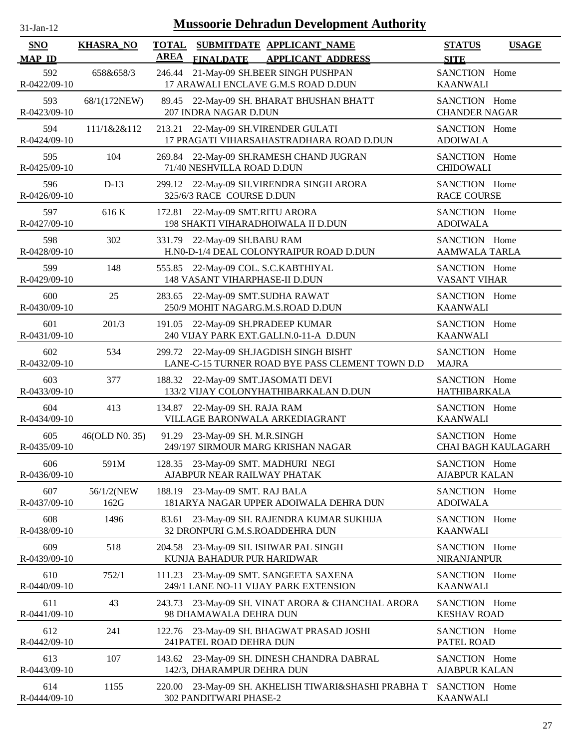| $31 - Jan - 12$ |  |
|-----------------|--|
|                 |  |

| <b>SNO</b>                | <b>KHASRA_NO</b>   | <b>TOTAL</b><br><b>AREA</b> |                                                                       | SUBMITDATE APPLICANT_NAME                                                                  | <b>STATUS</b>                         | <b>USAGE</b>               |
|---------------------------|--------------------|-----------------------------|-----------------------------------------------------------------------|--------------------------------------------------------------------------------------------|---------------------------------------|----------------------------|
| <b>MAP ID</b>             |                    |                             | <b>FINALDATE</b>                                                      | <b>APPLICANT ADDRESS</b>                                                                   | <b>SITE</b>                           |                            |
| 592<br>R-0422/09-10       | 658&658/3          | 246.44                      |                                                                       | 21-May-09 SH.BEER SINGH PUSHPAN<br>17 ARAWALI ENCLAVE G.M.S ROAD D.DUN                     | SANCTION Home<br><b>KAANWALI</b>      |                            |
| 593<br>R-0423/09-10       | 68/1(172NEW)       |                             | 207 INDRA NAGAR D.DUN                                                 | 89.45 22-May-09 SH. BHARAT BHUSHAN BHATT                                                   | SANCTION Home<br><b>CHANDER NAGAR</b> |                            |
| 594<br>R-0424/09-10       | 111/1&2&112        | 213.21                      |                                                                       | 22-May-09 SH.VIRENDER GULATI<br>17 PRAGATI VIHARSAHASTRADHARA ROAD D.DUN                   | SANCTION Home<br><b>ADOIWALA</b>      |                            |
| 595<br>R-0425/09-10       | 104                |                             | 71/40 NESHVILLA ROAD D.DUN                                            | 269.84 22-May-09 SH.RAMESH CHAND JUGRAN                                                    | SANCTION Home<br><b>CHIDOWALI</b>     |                            |
| 596<br>R-0426/09-10       | $D-13$             | 299.12                      | 325/6/3 RACE COURSE D.DUN                                             | 22-May-09 SH.VIRENDRA SINGH ARORA                                                          | SANCTION Home<br><b>RACE COURSE</b>   |                            |
| 597<br>R-0427/09-10       | 616K               |                             | 172.81 22-May-09 SMT.RITU ARORA                                       | 198 SHAKTI VIHARADHOIWALA II D.DUN                                                         | SANCTION Home<br><b>ADOIWALA</b>      |                            |
| 598<br>R-0428/09-10       | 302                |                             | 331.79 22-May-09 SH.BABU RAM                                          | H.N0-D-1/4 DEAL COLONYRAIPUR ROAD D.DUN                                                    | SANCTION Home<br><b>AAMWALA TARLA</b> |                            |
| 599<br>R-0429/09-10       | 148                |                             | 555.85 22-May-09 COL. S.C.KABTHIYAL<br>148 VASANT VIHARPHASE-II D.DUN |                                                                                            | SANCTION Home<br><b>VASANT VIHAR</b>  |                            |
| 600<br>R-0430/09-10       | 25                 |                             | 283.65 22-May-09 SMT.SUDHA RAWAT                                      | 250/9 MOHIT NAGARG.M.S.ROAD D.DUN                                                          | SANCTION Home<br><b>KAANWALI</b>      |                            |
| 601<br>R-0431/09-10       | 201/3              | 191.05                      | 22-May-09 SH.PRADEEP KUMAR                                            | 240 VIJAY PARK EXT.GALI.N.0-11-A D.DUN                                                     | SANCTION Home<br><b>KAANWALI</b>      |                            |
| 602<br>R-0432/09-10       | 534                |                             |                                                                       | 299.72 22-May-09 SH.JAGDISH SINGH BISHT<br>LANE-C-15 TURNER ROAD BYE PASS CLEMENT TOWN D.D | SANCTION Home<br><b>MAJRA</b>         |                            |
| 603<br>R-0433/09-10       | 377                |                             | 188.32 22-May-09 SMT.JASOMATI DEVI                                    | 133/2 VIJAY COLONYHATHIBARKALAN D.DUN                                                      | SANCTION Home<br><b>HATHIBARKALA</b>  |                            |
| 604<br>R-0434/09-10       | 413                |                             | 134.87 22-May-09 SH. RAJA RAM                                         | VILLAGE BARONWALA ARKEDIAGRANT                                                             | SANCTION Home<br><b>KAANWALI</b>      |                            |
| 605<br>R-0435/09-10       | 46(OLD N0. 35)     |                             | 91.29 23-May-09 SH. M.R.SINGH                                         | 249/197 SIRMOUR MARG KRISHAN NAGAR                                                         | SANCTION Home                         | <b>CHAI BAGH KAULAGARH</b> |
| 606<br>R-0436/09-10       | 591M               |                             | 128.35 23-May-09 SMT. MADHURI NEGI<br>AJABPUR NEAR RAILWAY PHATAK     |                                                                                            | SANCTION Home<br><b>AJABPUR KALAN</b> |                            |
| 607<br>R-0437/09-10       | 56/1/2(NEW<br>162G | 188.19                      | 23-May-09 SMT. RAJ BALA                                               | 181ARYA NAGAR UPPER ADOIWALA DEHRA DUN                                                     | SANCTION Home<br><b>ADOIWALA</b>      |                            |
| 608<br>R-0438/09-10       | 1496               | 83.61                       | 32 DRONPURI G.M.S.ROADDEHRA DUN                                       | 23-May-09 SH. RAJENDRA KUMAR SUKHIJA                                                       | SANCTION Home<br><b>KAANWALI</b>      |                            |
| 609<br>R-0439/09-10       | 518                | 204.58                      | KUNJA BAHADUR PUR HARIDWAR                                            | 23-May-09 SH. ISHWAR PAL SINGH                                                             | SANCTION Home<br><b>NIRANJANPUR</b>   |                            |
| 610<br>$R - 0440/09 - 10$ | 752/1              | 111.23                      |                                                                       | 23-May-09 SMT. SANGEETA SAXENA<br>249/1 LANE NO-11 VIJAY PARK EXTENSION                    | SANCTION Home<br><b>KAANWALI</b>      |                            |
| 611<br>R-0441/09-10       | 43                 |                             | 98 DHAMAWALA DEHRA DUN                                                | 243.73 23-May-09 SH. VINAT ARORA & CHANCHAL ARORA                                          | SANCTION Home<br><b>KESHAV ROAD</b>   |                            |
| 612<br>R-0442/09-10       | 241                |                             | 241PATEL ROAD DEHRA DUN                                               | 122.76 23-May-09 SH. BHAGWAT PRASAD JOSHI                                                  | SANCTION Home<br>PATEL ROAD           |                            |
| 613<br>R-0443/09-10       | 107                | 143.62                      | 142/3, DHARAMPUR DEHRA DUN                                            | 23-May-09 SH. DINESH CHANDRA DABRAL                                                        | SANCTION Home<br><b>AJABPUR KALAN</b> |                            |
| 614<br>R-0444/09-10       | 1155               |                             | 302 PANDITWARI PHASE-2                                                | 220.00 23-May-09 SH. AKHELISH TIWARI&SHASHI PRABHA T                                       | SANCTION Home<br><b>KAANWALI</b>      |                            |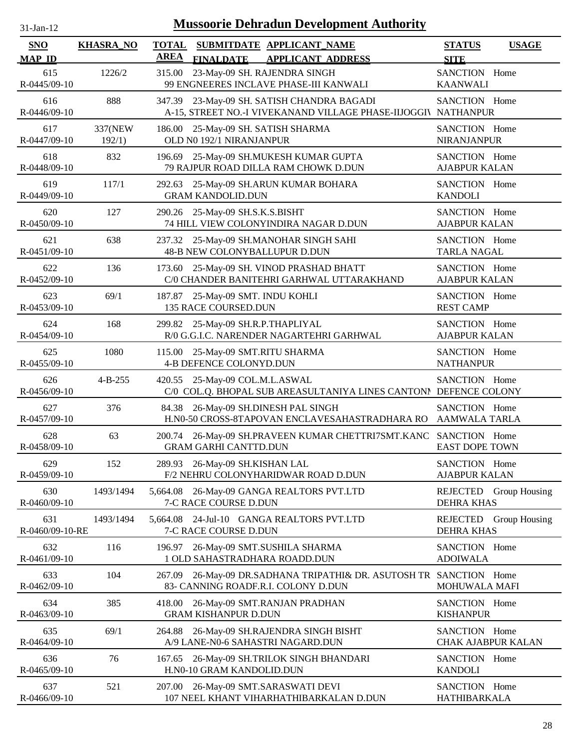| -jan- |  |
|-------|--|

| <b>SNO</b>                | <b>KHASRA_NO</b>  | <b>TOTAL</b> |                                                          | SUBMITDATE APPLICANT NAME                                                                                    | <b>STATUS</b>                               | <b>USAGE</b>  |
|---------------------------|-------------------|--------------|----------------------------------------------------------|--------------------------------------------------------------------------------------------------------------|---------------------------------------------|---------------|
| <b>MAP ID</b>             |                   | <b>AREA</b>  | <b>FINALDATE</b>                                         | <b>APPLICANT ADDRESS</b>                                                                                     | <b>SITE</b>                                 |               |
| 615<br>R-0445/09-10       | 1226/2            | 315.00       |                                                          | 23-May-09 SH. RAJENDRA SINGH<br>99 ENGNEERES INCLAVE PHASE-III KANWALI                                       | SANCTION Home<br><b>KAANWALI</b>            |               |
| 616<br>R-0446/09-10       | 888               |              |                                                          | 347.39 23-May-09 SH. SATISH CHANDRA BAGADI<br>A-15, STREET NO.-I VIVEKANAND VILLAGE PHASE-IIJOGGIV NATHANPUR | SANCTION Home                               |               |
| 617<br>R-0447/09-10       | 337(NEW<br>192/1) | 186.00       | OLD N0 192/1 NIRANJANPUR                                 | 25-May-09 SH. SATISH SHARMA                                                                                  | SANCTION Home<br><b>NIRANJANPUR</b>         |               |
| 618<br>R-0448/09-10       | 832               |              |                                                          | 196.69 25-May-09 SH.MUKESH KUMAR GUPTA<br>79 RAJPUR ROAD DILLA RAM CHOWK D.DUN                               | SANCTION Home<br><b>AJABPUR KALAN</b>       |               |
| 619<br>R-0449/09-10       | 117/1             | 292.63       | <b>GRAM KANDOLID.DUN</b>                                 | 25-May-09 SH.ARUN KUMAR BOHARA                                                                               | SANCTION Home<br><b>KANDOLI</b>             |               |
| 620<br>R-0450/09-10       | 127               |              | 290.26 25-May-09 SH.S.K.S.BISHT                          | 74 HILL VIEW COLONYINDIRA NAGAR D.DUN                                                                        | SANCTION Home<br><b>AJABPUR KALAN</b>       |               |
| 621<br>R-0451/09-10       | 638               |              |                                                          | 237.32 25-May-09 SH.MANOHAR SINGH SAHI<br><b>48-B NEW COLONYBALLUPUR D.DUN</b>                               | SANCTION Home<br><b>TARLA NAGAL</b>         |               |
| 622<br>R-0452/09-10       | 136               | 173.60       |                                                          | 25-May-09 SH. VINOD PRASHAD BHATT<br>C/0 CHANDER BANITEHRI GARHWAL UTTARAKHAND                               | SANCTION Home<br><b>AJABPUR KALAN</b>       |               |
| 623<br>R-0453/09-10       | 69/1              |              | 187.87 25-May-09 SMT. INDU KOHLI<br>135 RACE COURSED.DUN |                                                                                                              | SANCTION Home<br><b>REST CAMP</b>           |               |
| 624<br>R-0454/09-10       | 168               |              | 299.82 25-May-09 SH.R.P.THAPLIYAL                        | R/0 G.G.I.C. NARENDER NAGARTEHRI GARHWAL                                                                     | SANCTION Home<br><b>AJABPUR KALAN</b>       |               |
| 625<br>R-0455/09-10       | 1080              |              | 4-B DEFENCE COLONYD.DUN                                  | 115.00 25-May-09 SMT.RITU SHARMA                                                                             | SANCTION Home<br><b>NATHANPUR</b>           |               |
| 626<br>R-0456/09-10       | $4 - B - 255$     |              | 420.55 25-May-09 COL.M.L.ASWAL                           | C/0 COL.Q. BHOPAL SUB AREASULTANIYA LINES CANTONI DEFENCE COLONY                                             | SANCTION Home                               |               |
| 627<br>R-0457/09-10       | 376               |              |                                                          | 84.38 26-May-09 SH.DINESH PAL SINGH<br>H.N0-50 CROSS-8TAPOVAN ENCLAVESAHASTRADHARA RO                        | SANCTION Home<br><b>AAMWALA TARLA</b>       |               |
| 628<br>R-0458/09-10       | 63                |              | <b>GRAM GARHI CANTTD.DUN</b>                             | 200.74 26-May-09 SH.PRAVEEN KUMAR CHETTRI7SMT.KANC SANCTION Home                                             | <b>EAST DOPE TOWN</b>                       |               |
| 629<br>R-0459/09-10       | 152               |              | 289.93 26-May-09 SH.KISHAN LAL                           | F/2 NEHRU COLONYHARIDWAR ROAD D.DUN                                                                          | SANCTION Home<br><b>AJABPUR KALAN</b>       |               |
| 630<br>R-0460/09-10       | 1493/1494         |              | 7-C RACE COURSE D.DUN                                    | 5,664.08 26-May-09 GANGA REALTORS PVT.LTD                                                                    | REJECTED Group Housing<br><b>DEHRA KHAS</b> |               |
| 631<br>R-0460/09-10-RE    | 1493/1494         | 5,664.08     | 7-C RACE COURSE D.DUN                                    | 24-Jul-10 GANGA REALTORS PVT.LTD                                                                             | REJECTED<br><b>DEHRA KHAS</b>               | Group Housing |
| 632<br>R-0461/09-10       | 116               | 196.97       |                                                          | 26-May-09 SMT.SUSHILA SHARMA<br>1 OLD SAHASTRADHARA ROADD.DUN                                                | SANCTION Home<br><b>ADOIWALA</b>            |               |
| 633<br>R-0462/09-10       | 104               | 267.09       |                                                          | 26-May-09 DR.SADHANA TRIPATHI& DR. ASUTOSH TR SANCTION Home<br>83- CANNING ROADF.R.I. COLONY D.DUN           | MOHUWALA MAFI                               |               |
| 634<br>R-0463/09-10       | 385               | 418.00       | <b>GRAM KISHANPUR D.DUN</b>                              | 26-May-09 SMT.RANJAN PRADHAN                                                                                 | SANCTION Home<br><b>KISHANPUR</b>           |               |
| 635<br>$R - 0464/09 - 10$ | 69/1              | 264.88       |                                                          | 26-May-09 SH.RAJENDRA SINGH BISHT<br>A/9 LANE-N0-6 SAHASTRI NAGARD.DUN                                       | SANCTION Home<br><b>CHAK AJABPUR KALAN</b>  |               |
| 636<br>R-0465/09-10       | 76                | 167.65       | H.N0-10 GRAM KANDOLID.DUN                                | 26-May-09 SH.TRILOK SINGH BHANDARI                                                                           | SANCTION Home<br><b>KANDOLI</b>             |               |
| 637<br>R-0466/09-10       | 521               |              |                                                          | 207.00 26-May-09 SMT.SARASWATI DEVI<br>107 NEEL KHANT VIHARHATHIBARKALAN D.DUN                               | SANCTION Home<br>HATHIBARKALA               |               |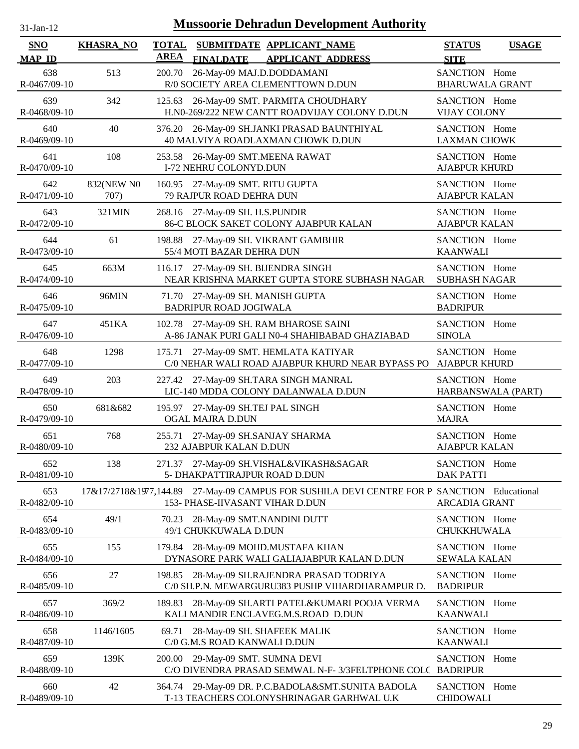| $-Jan-1$ |  |
|----------|--|
|          |  |

| SNO                 | <b>KHASRA_NO</b>   | <b>TOTAL</b> | SUBMITDATE APPLICANT_NAME                                                                                                     | <b>STATUS</b>                           | <b>USAGE</b> |
|---------------------|--------------------|--------------|-------------------------------------------------------------------------------------------------------------------------------|-----------------------------------------|--------------|
| <b>MAP ID</b>       |                    | <b>AREA</b>  | <b>FINALDATE</b><br><b>APPLICANT ADDRESS</b>                                                                                  | <b>SITE</b>                             |              |
| 638<br>R-0467/09-10 | 513                | 200.70       | 26-May-09 MAJ.D.DODDAMANI<br>R/0 SOCIETY AREA CLEMENTTOWN D.DUN                                                               | SANCTION Home<br><b>BHARUWALA GRANT</b> |              |
| 639<br>R-0468/09-10 | 342                |              | 125.63 26-May-09 SMT. PARMITA CHOUDHARY<br>H.N0-269/222 NEW CANTT ROADVIJAY COLONY D.DUN                                      | SANCTION Home<br><b>VIJAY COLONY</b>    |              |
| 640<br>R-0469/09-10 | 40                 |              | 376.20 26-May-09 SH.JANKI PRASAD BAUNTHIYAL<br>40 MALVIYA ROADLAXMAN CHOWK D.DUN                                              | SANCTION Home<br><b>LAXMAN CHOWK</b>    |              |
| 641<br>R-0470/09-10 | 108                |              | 253.58 26-May-09 SMT.MEENA RAWAT<br>I-72 NEHRU COLONYD.DUN                                                                    | SANCTION Home<br><b>AJABPUR KHURD</b>   |              |
| 642<br>R-0471/09-10 | 832(NEW N0<br>707) | 160.95       | 27-May-09 SMT. RITU GUPTA<br>79 RAJPUR ROAD DEHRA DUN                                                                         | SANCTION Home<br><b>AJABPUR KALAN</b>   |              |
| 643<br>R-0472/09-10 | 321MIN             |              | 268.16 27-May-09 SH. H.S.PUNDIR<br>86-C BLOCK SAKET COLONY AJABPUR KALAN                                                      | SANCTION Home<br><b>AJABPUR KALAN</b>   |              |
| 644<br>R-0473/09-10 | 61                 | 198.88       | 27-May-09 SH. VIKRANT GAMBHIR<br>55/4 MOTI BAZAR DEHRA DUN                                                                    | SANCTION Home<br><b>KAANWALI</b>        |              |
| 645<br>R-0474/09-10 | 663M               |              | 116.17 27-May-09 SH. BIJENDRA SINGH<br>NEAR KRISHNA MARKET GUPTA STORE SUBHASH NAGAR                                          | SANCTION Home<br><b>SUBHASH NAGAR</b>   |              |
| 646<br>R-0475/09-10 | 96MIN              |              | 71.70 27-May-09 SH. MANISH GUPTA<br><b>BADRIPUR ROAD JOGIWALA</b>                                                             | SANCTION Home<br><b>BADRIPUR</b>        |              |
| 647<br>R-0476/09-10 | 451KA              |              | 102.78 27-May-09 SH. RAM BHAROSE SAINI<br>A-86 JANAK PURI GALI N0-4 SHAHIBABAD GHAZIABAD                                      | SANCTION Home<br><b>SINOLA</b>          |              |
| 648<br>R-0477/09-10 | 1298               |              | 175.71 27-May-09 SMT. HEMLATA KATIYAR<br>C/0 NEHAR WALI ROAD AJABPUR KHURD NEAR BYPASS PO                                     | SANCTION Home<br><b>AJABPUR KHURD</b>   |              |
| 649<br>R-0478/09-10 | 203                |              | 227.42 27-May-09 SH.TARA SINGH MANRAL<br>LIC-140 MDDA COLONY DALANWALA D.DUN                                                  | SANCTION Home<br>HARBANSWALA (PART)     |              |
| 650<br>R-0479/09-10 | 681&682            |              | 195.97 27-May-09 SH.TEJ PAL SINGH<br><b>OGAL MAJRA D.DUN</b>                                                                  | SANCTION Home<br><b>MAJRA</b>           |              |
| 651<br>R-0480/09-10 | 768                |              | 255.71 27-May-09 SH.SANJAY SHARMA<br>232 AJABPUR KALAN D.DUN                                                                  | SANCTION Home<br><b>AJABPUR KALAN</b>   |              |
| 652<br>R-0481/09-10 | 138                |              | 271.37 27-May-09 SH.VISHAL&VIKASH&SAGAR<br>5- DHAKPATTIRAJPUR ROAD D.DUN                                                      | SANCTION Home<br><b>DAK PATTI</b>       |              |
| 653<br>R-0482/09-10 |                    |              | 17&17/2718&1977,144.89 27-May-09 CAMPUS FOR SUSHILA DEVI CENTRE FOR P SANCTION Educational<br>153- PHASE-IIVASANT VIHAR D.DUN | ARCADIA GRANT                           |              |
| 654<br>R-0483/09-10 | 49/1               | 70.23        | 28-May-09 SMT.NANDINI DUTT<br>49/1 CHUKKUWALA D.DUN                                                                           | SANCTION Home<br>CHUKKHUWALA            |              |
| 655<br>R-0484/09-10 | 155                | 179.84       | 28-May-09 MOHD.MUSTAFA KHAN<br>DYNASORE PARK WALI GALIAJABPUR KALAN D.DUN                                                     | SANCTION Home<br>SEWALA KALAN           |              |
| 656<br>R-0485/09-10 | 27                 | 198.85       | 28-May-09 SH.RAJENDRA PRASAD TODRIYA<br>C/0 SH.P.N. MEWARGURU383 PUSHP VIHARDHARAMPUR D.                                      | SANCTION Home<br><b>BADRIPUR</b>        |              |
| 657<br>R-0486/09-10 | 369/2              | 189.83       | 28-May-09 SH.ARTI PATEL&KUMARI POOJA VERMA<br>KALI MANDIR ENCLAVEG.M.S.ROAD D.DUN                                             | SANCTION Home<br><b>KAANWALI</b>        |              |
| 658<br>R-0487/09-10 | 1146/1605          | 69.71        | 28-May-09 SH. SHAFEEK MALIK<br>C/0 G.M.S ROAD KANWALI D.DUN                                                                   | SANCTION Home<br><b>KAANWALI</b>        |              |
| 659<br>R-0488/09-10 | 139K               | 200.00       | 29-May-09 SMT. SUMNA DEVI<br>C/O DIVENDRA PRASAD SEMWAL N-F-3/3FELTPHONE COLC BADRIPUR                                        | SANCTION Home                           |              |
| 660<br>R-0489/09-10 | 42                 |              | 364.74 29-May-09 DR. P.C.BADOLA&SMT.SUNITA BADOLA<br>T-13 TEACHERS COLONYSHRINAGAR GARHWAL U.K                                | SANCTION Home<br><b>CHIDOWALI</b>       |              |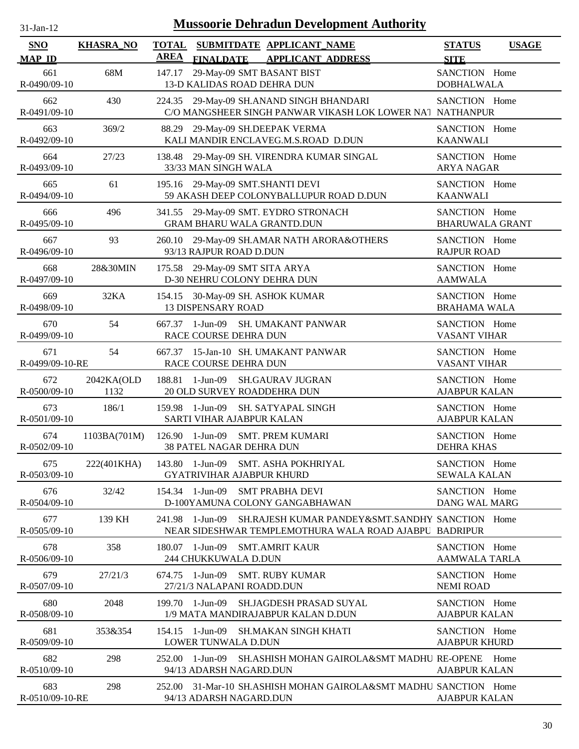| $31$ -Jan-12                |                    | <b>Mussoorie Dehradun Development Authority</b>                                                                                 |                                              |  |
|-----------------------------|--------------------|---------------------------------------------------------------------------------------------------------------------------------|----------------------------------------------|--|
| <b>SNO</b><br><b>MAP ID</b> | <b>KHASRA_NO</b>   | <b>TOTAL</b><br>SUBMITDATE APPLICANT_NAME<br><b>AREA</b><br><b>FINALDATE</b><br><b>APPLICANT ADDRESS</b>                        | <b>STATUS</b><br><b>USAGE</b><br><b>SITE</b> |  |
| 661<br>R-0490/09-10         | 68M                | 29-May-09 SMT BASANT BIST<br>147.17<br>13-D KALIDAS ROAD DEHRA DUN                                                              | SANCTION Home<br><b>DOBHALWALA</b>           |  |
| 662<br>R-0491/09-10         | 430                | 224.35<br>29-May-09 SH.ANAND SINGH BHANDARI<br>C/O MANGSHEER SINGH PANWAR VIKASH LOK LOWER NAT NATHANPUR                        | SANCTION Home                                |  |
| 663<br>R-0492/09-10         | 369/2              | 29-May-09 SH.DEEPAK VERMA<br>88.29<br>KALI MANDIR ENCLAVEG.M.S.ROAD D.DUN                                                       | SANCTION Home<br><b>KAANWALI</b>             |  |
| 664<br>R-0493/09-10         | 27/23              | 138.48<br>29-May-09 SH. VIRENDRA KUMAR SINGAL<br>33/33 MAN SINGH WALA                                                           | SANCTION Home<br><b>ARYA NAGAR</b>           |  |
| 665<br>R-0494/09-10         | 61                 | 195.16 29-May-09 SMT.SHANTI DEVI<br>59 AKASH DEEP COLONYBALLUPUR ROAD D.DUN                                                     | SANCTION Home<br><b>KAANWALI</b>             |  |
| 666<br>R-0495/09-10         | 496                | 29-May-09 SMT. EYDRO STRONACH<br>341.55<br><b>GRAM BHARU WALA GRANTD.DUN</b>                                                    | SANCTION Home<br><b>BHARUWALA GRANT</b>      |  |
| 667<br>R-0496/09-10         | 93                 | 29-May-09 SH.AMAR NATH ARORA&OTHERS<br>260.10<br>93/13 RAJPUR ROAD D.DUN                                                        | SANCTION Home<br><b>RAJPUR ROAD</b>          |  |
| 668<br>R-0497/09-10         | 28&30MIN           | 175.58 29-May-09 SMT SITA ARYA<br>D-30 NEHRU COLONY DEHRA DUN                                                                   | SANCTION Home<br><b>AAMWALA</b>              |  |
| 669<br>R-0498/09-10         | 32KA               | 154.15 30-May-09 SH. ASHOK KUMAR<br><b>13 DISPENSARY ROAD</b>                                                                   | SANCTION Home<br><b>BRAHAMA WALA</b>         |  |
| 670<br>R-0499/09-10         | 54                 | 1-Jun-09<br><b>SH. UMAKANT PANWAR</b><br>667.37<br>RACE COURSE DEHRA DUN                                                        | SANCTION Home<br><b>VASANT VIHAR</b>         |  |
| 671<br>R-0499/09-10-RE      | 54                 | 667.37 15-Jan-10 SH. UMAKANT PANWAR<br>RACE COURSE DEHRA DUN                                                                    | SANCTION Home<br><b>VASANT VIHAR</b>         |  |
| 672<br>R-0500/09-10         | 2042KA(OLD<br>1132 | 1-Jun-09<br><b>SH.GAURAV JUGRAN</b><br>188.81<br>20 OLD SURVEY ROADDEHRA DUN                                                    | SANCTION Home<br><b>AJABPUR KALAN</b>        |  |
| 673<br>R-0501/09-10         | 186/1              | $159.98$ 1-Jun-09<br>SH. SATYAPAL SINGH<br>SARTI VIHAR AJABPUR KALAN                                                            | SANCTION Home<br><b>AJABPUR KALAN</b>        |  |
| 674<br>R-0502/09-10         | 1103BA(701M)       | $126.90$ 1-Jun-09<br><b>SMT. PREM KUMARI</b><br><b>38 PATEL NAGAR DEHRA DUN</b>                                                 | SANCTION Home<br>DEHRA KHAS                  |  |
| 675<br>R-0503/09-10         | 222(401KHA)        | <b>SMT. ASHA POKHRIYAL</b><br>143.80 1-Jun-09<br><b>GYATRIVIHAR AJABPUR KHURD</b>                                               | SANCTION Home<br><b>SEWALA KALAN</b>         |  |
| 676<br>R-0504/09-10         | 32/42              | 154.34 1-Jun-09<br><b>SMT PRABHA DEVI</b><br>D-100YAMUNA COLONY GANGABHAWAN                                                     | SANCTION Home<br><b>DANG WAL MARG</b>        |  |
| 677<br>$R - 0505/09 - 10$   | 139 KH             | SH.RAJESH KUMAR PANDEY&SMT.SANDHY SANCTION Home<br>1-Jun-09<br>241.98<br>NEAR SIDESHWAR TEMPLEMOTHURA WALA ROAD AJABPU BADRIPUR |                                              |  |
| 678<br>R-0506/09-10         | 358                | $180.07$ 1-Jun-09<br><b>SMT.AMRIT KAUR</b><br>244 CHUKKUWALA D.DUN                                                              | SANCTION Home<br><b>AAMWALA TARLA</b>        |  |
| 679<br>R-0507/09-10         | 27/21/3            | $674.75$ 1-Jun-09<br><b>SMT. RUBY KUMAR</b><br>27/21/3 NALAPANI ROADD.DUN                                                       | SANCTION Home<br><b>NEMI ROAD</b>            |  |
| 680<br>R-0508/09-10         | 2048               | 199.70 1-Jun-09<br>SH.JAGDESH PRASAD SUYAL<br>1/9 MATA MANDIRAJABPUR KALAN D.DUN                                                | SANCTION Home<br><b>AJABPUR KALAN</b>        |  |
| 681<br>R-0509/09-10         | 353&354            | $154.15$ 1-Jun-09<br>SH.MAKAN SINGH KHATI<br>LOWER TUNWALA D.DUN                                                                | SANCTION Home<br><b>AJABPUR KHURD</b>        |  |
| 682<br>$R - 0510/09 - 10$   | 298                | 1-Jun-09<br><b>SH.ASHISH MOHAN GAIROLA&amp;SMT MADHU RE-OPENE</b><br>252.00<br>94/13 ADARSH NAGARD.DUN                          | Home<br>AJABPUR KALAN                        |  |
| 683<br>R-0510/09-10-RE      | 298                | 31-Mar-10 SH.ASHISH MOHAN GAIROLA&SMT MADHU SANCTION Home<br>252.00<br>94/13 ADARSH NAGARD.DUN                                  | <b>AJABPUR KALAN</b>                         |  |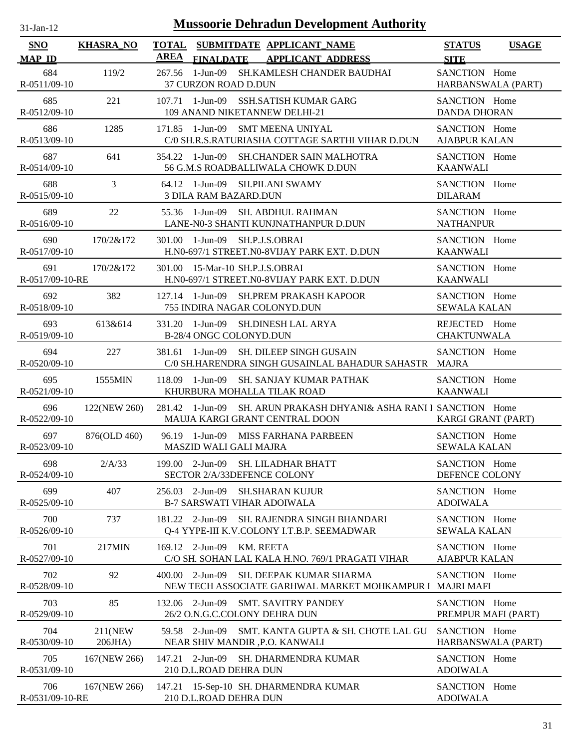| 31-Jan-12                   |                    |                             |                                             |           | <b>Mussoorie Dehradun Development Authority</b>                                            |                                       |              |
|-----------------------------|--------------------|-----------------------------|---------------------------------------------|-----------|--------------------------------------------------------------------------------------------|---------------------------------------|--------------|
| <b>SNO</b><br><b>MAP ID</b> | <b>KHASRA_NO</b>   | <b>TOTAL</b><br><b>AREA</b> | <b>FINALDATE</b>                            |           | SUBMITDATE APPLICANT_NAME<br><b>APPLICANT ADDRESS</b>                                      | <b>STATUS</b><br><b>SITE</b>          | <b>USAGE</b> |
| 684<br>$R-0511/09-10$       | 119/2              |                             | 267.56 1-Jun-09<br>37 CURZON ROAD D.DUN     |           | SH.KAMLESH CHANDER BAUDHAI                                                                 | SANCTION Home<br>HARBANSWALA (PART)   |              |
| 685<br>R-0512/09-10         | 221                |                             |                                             |           | 107.71 1-Jun-09 SSH.SATISH KUMAR GARG<br>109 ANAND NIKETANNEW DELHI-21                     | SANCTION Home<br><b>DANDA DHORAN</b>  |              |
| 686<br>R-0513/09-10         | 1285               |                             | 171.85 1-Jun-09                             |           | SMT MEENA UNIYAL<br>C/0 SH.R.S.RATURIASHA COTTAGE SARTHI VIHAR D.DUN                       | SANCTION Home<br><b>AJABPUR KALAN</b> |              |
| 687<br>R-0514/09-10         | 641                |                             | 354.22 1-Jun-09                             |           | <b>SH.CHANDER SAIN MALHOTRA</b><br>56 G.M.S ROADBALLIWALA CHOWK D.DUN                      | SANCTION Home<br><b>KAANWALI</b>      |              |
| 688<br>R-0515/09-10         | 3                  |                             | <b>3 DILA RAM BAZARD.DUN</b>                |           | 64.12 1-Jun-09 SH.PILANI SWAMY                                                             | SANCTION Home<br><b>DILARAM</b>       |              |
| 689<br>R-0516/09-10         | 22                 |                             | $55.36$ 1-Jun-09                            |           | <b>SH. ABDHUL RAHMAN</b><br>LANE-N0-3 SHANTI KUNJNATHANPUR D.DUN                           | SANCTION Home<br><b>NATHANPUR</b>     |              |
| 690<br>R-0517/09-10         | 170/2&172          |                             | 301.00 1-Jun-09                             |           | SH.P.J.S.OBRAI<br>H.N0-697/1 STREET.N0-8VIJAY PARK EXT. D.DUN                              | SANCTION Home<br><b>KAANWALI</b>      |              |
| 691<br>R-0517/09-10-RE      | 170/2&172          | 301.00                      | 15-Mar-10 SH.P.J.S.OBRAI                    |           | H.N0-697/1 STREET.N0-8VIJAY PARK EXT. D.DUN                                                | SANCTION Home<br><b>KAANWALI</b>      |              |
| 692<br>R-0518/09-10         | 382                |                             | $127.14$ 1-Jun-09                           |           | SH.PREM PRAKASH KAPOOR<br>755 INDIRA NAGAR COLONYD.DUN                                     | SANCTION Home<br><b>SEWALA KALAN</b>  |              |
| 693<br>R-0519/09-10         | 613&614            | 331.20                      | 1-Jun-09<br>B-28/4 ONGC COLONYD.DUN         |           | <b>SH.DINESH LAL ARYA</b>                                                                  | REJECTED Home<br><b>CHAKTUNWALA</b>   |              |
| 694<br>R-0520/09-10         | 227                | 381.61                      | 1-Jun-09                                    |           | <b>SH. DILEEP SINGH GUSAIN</b><br>C/0 SH.HARENDRA SINGH GUSAINLAL BAHADUR SAHASTR          | SANCTION Home<br><b>MAJRA</b>         |              |
| 695<br>R-0521/09-10         | 1555MIN            |                             | $118.09$ 1-Jun-09                           |           | <b>SH. SANJAY KUMAR PATHAK</b><br>KHURBURA MOHALLA TILAK ROAD                              | SANCTION Home<br><b>KAANWALI</b>      |              |
| 696<br>R-0522/09-10         | 122(NEW 260)       |                             | 281.42 1-Jun-09                             |           | SH. ARUN PRAKASH DHYANI& ASHA RANI I SANCTION Home<br>MAUJA KARGI GRANT CENTRAL DOON       | KARGI GRANT (PART)                    |              |
| 697<br>R-0523/09-10         | 876(OLD 460)       |                             | MASZID WALI GALI MAJRA                      |           | 96.19 1-Jun-09 MISS FARHANA PARBEEN                                                        | SANCTION Home<br><b>SEWALA KALAN</b>  |              |
| 698<br>R-0524/09-10         | 2/A/33             |                             | 199.00 2-Jun-09                             |           | SH. LILADHAR BHATT<br>SECTOR 2/A/33DEFENCE COLONY                                          | SANCTION Home<br>DEFENCE COLONY       |              |
| 699<br>R-0525/09-10         | 407                | 256.03                      | $2-Jun-09$                                  |           | <b>SH.SHARAN KUJUR</b><br><b>B-7 SARSWATI VIHAR ADOIWALA</b>                               | SANCTION Home<br><b>ADOIWALA</b>      |              |
| 700<br>R-0526/09-10         | 737                |                             | 181.22 2-Jun-09                             |           | SH. RAJENDRA SINGH BHANDARI<br>Q-4 YYPE-III K.V.COLONY I.T.B.P. SEEMADWAR                  | SANCTION Home<br><b>SEWALA KALAN</b>  |              |
| 701<br>R-0527/09-10         | 217MIN             |                             | 169.12 2-Jun-09                             | KM. REETA | C/O SH. SOHAN LAL KALA H.NO. 769/1 PRAGATI VIHAR                                           | SANCTION Home<br><b>AJABPUR KALAN</b> |              |
| 702<br>R-0528/09-10         | 92                 | 400.00                      | 2-Jun-09                                    |           | <b>SH. DEEPAK KUMAR SHARMA</b><br>NEW TECH ASSOCIATE GARHWAL MARKET MOHKAMPUR I MAJRI MAFI | SANCTION Home                         |              |
| 703<br>R-0529/09-10         | 85                 | 132.06                      | 2-Jun-09                                    |           | <b>SMT. SAVITRY PANDEY</b><br>26/2 O.N.G.C.COLONY DEHRA DUN                                | SANCTION Home<br>PREMPUR MAFI (PART)  |              |
| 704<br>R-0530/09-10         | 211(NEW)<br>206JHA | 59.58                       | $2-Jun-09$                                  |           | SMT. KANTA GUPTA & SH. CHOTE LAL GU<br>NEAR SHIV MANDIR , P.O. KANWALI                     | SANCTION Home<br>HARBANSWALA (PART)   |              |
| 705<br>R-0531/09-10         | 167(NEW 266)       |                             | $147.21$ 2-Jun-09<br>210 D.L.ROAD DEHRA DUN |           | SH. DHARMENDRA KUMAR                                                                       | SANCTION Home<br><b>ADOIWALA</b>      |              |
| 706<br>R-0531/09-10-RE      | 167(NEW 266)       | 147.21                      | 210 D.L.ROAD DEHRA DUN                      |           | 15-Sep-10 SH. DHARMENDRA KUMAR                                                             | SANCTION Home<br><b>ADOIWALA</b>      |              |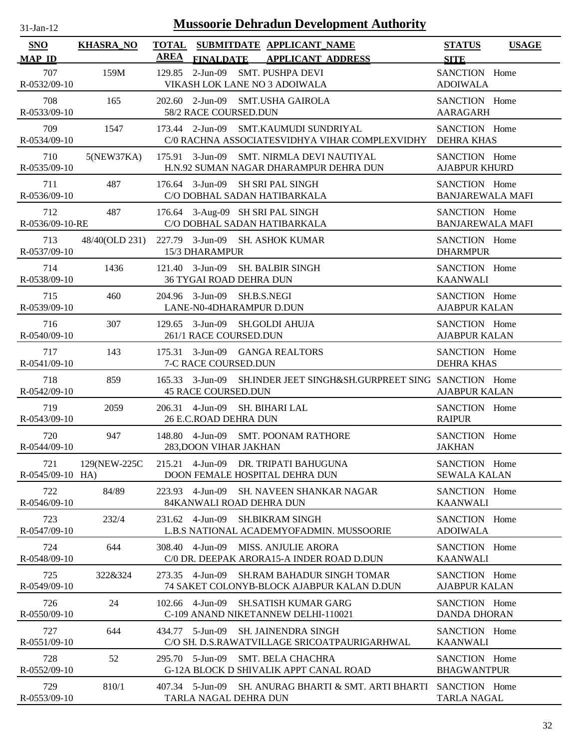| $31$ -Jan-12              |                  | <b>Mussoorie Dehradun Development Authority</b>                                                        |                                          |              |
|---------------------------|------------------|--------------------------------------------------------------------------------------------------------|------------------------------------------|--------------|
| SNO                       | <b>KHASRA_NO</b> | <b>TOTAL</b><br>SUBMITDATE APPLICANT NAME                                                              | <b>STATUS</b>                            | <b>USAGE</b> |
| <b>MAP ID</b>             |                  | <b>AREA</b><br><b>FINALDATE</b><br><b>APPLICANT ADDRESS</b>                                            | <b>SITE</b>                              |              |
| 707<br>R-0532/09-10       | 159M             | 2-Jun-09 SMT. PUSHPA DEVI<br>129.85<br>VIKASH LOK LANE NO 3 ADOIWALA                                   | SANCTION Home<br><b>ADOIWALA</b>         |              |
| 708<br>R-0533/09-10       | 165              | 202.60 2-Jun-09 SMT.USHA GAIROLA<br>58/2 RACE COURSED.DUN                                              | SANCTION Home<br><b>AARAGARH</b>         |              |
| 709<br>R-0534/09-10       | 1547             | 173.44 2-Jun-09 SMT.KAUMUDI SUNDRIYAL<br>C/0 RACHNA ASSOCIATESVIDHYA VIHAR COMPLEXVIDHY                | SANCTION Home<br><b>DEHRA KHAS</b>       |              |
| 710<br>R-0535/09-10       | 5(NEW37KA)       | 175.91 3-Jun-09 SMT. NIRMLA DEVI NAUTIYAL<br>H.N.92 SUMAN NAGAR DHARAMPUR DEHRA DUN                    | SANCTION Home<br><b>AJABPUR KHURD</b>    |              |
| 711<br>R-0536/09-10       | 487              | 176.64 3-Jun-09 SH SRI PAL SINGH<br>C/O DOBHAL SADAN HATIBARKALA                                       | SANCTION Home<br><b>BANJAREWALA MAFI</b> |              |
| 712<br>R-0536/09-10-RE    | 487              | 176.64 3-Aug-09 SH SRI PAL SINGH<br>C/O DOBHAL SADAN HATIBARKALA                                       | SANCTION Home<br><b>BANJAREWALA MAFI</b> |              |
| 713<br>R-0537/09-10       | 48/40(OLD 231)   | 227.79 3-Jun-09 SH. ASHOK KUMAR<br>15/3 DHARAMPUR                                                      | SANCTION Home<br><b>DHARMPUR</b>         |              |
| 714<br>R-0538/09-10       | 1436             | $121.40$ 3-Jun-09<br><b>SH. BALBIR SINGH</b><br>36 TYGAI ROAD DEHRA DUN                                | SANCTION Home<br><b>KAANWALI</b>         |              |
| 715<br>R-0539/09-10       | 460              | 204.96 3-Jun-09 SH.B.S.NEGI<br>LANE-N0-4DHARAMPUR D.DUN                                                | SANCTION Home<br><b>AJABPUR KALAN</b>    |              |
| 716<br>R-0540/09-10       | 307              | 3-Jun-09<br>SH.GOLDI AHUJA<br>129.65<br>261/1 RACE COURSED.DUN                                         | SANCTION Home<br><b>AJABPUR KALAN</b>    |              |
| 717<br>R-0541/09-10       | 143              | 175.31 3-Jun-09 GANGA REALTORS<br>7-C RACE COURSED.DUN                                                 | SANCTION Home<br><b>DEHRA KHAS</b>       |              |
| 718<br>R-0542/09-10       | 859              | SH.INDER JEET SINGH&SH.GURPREET SING SANCTION Home<br>3-Jun-09<br>165.33<br><b>45 RACE COURSED.DUN</b> | <b>AJABPUR KALAN</b>                     |              |
| 719<br>R-0543/09-10       | 2059             | 206.31 4-Jun-09<br>SH. BIHARI LAL<br>26 E.C.ROAD DEHRA DUN                                             | SANCTION Home<br><b>RAIPUR</b>           |              |
| 720<br>R-0544/09-10       | 947              | 148.80 4-Jun-09 SMT. POONAM RATHORE<br>283, DOON VIHAR JAKHAN                                          | SANCTION Home<br><b>JAKHAN</b>           |              |
| 721<br>$R-0545/09-10$ HA) | 129(NEW-225C     | DR. TRIPATI BAHUGUNA<br>$215.21$ 4-Jun-09<br>DOON FEMALE HOSPITAL DEHRA DUN                            | SANCTION Home<br><b>SEWALA KALAN</b>     |              |
| 722<br>R-0546/09-10       | 84/89            | 223.93 4-Jun-09<br><b>SH. NAVEEN SHANKAR NAGAR</b><br>84KANWALI ROAD DEHRA DUN                         | SANCTION Home<br><b>KAANWALI</b>         |              |
| 723<br>R-0547/09-10       | 232/4            | 231.62 4-Jun-09<br><b>SH.BIKRAM SINGH</b><br>L.B.S NATIONAL ACADEMYOFADMIN. MUSSOORIE                  | SANCTION Home<br><b>ADOIWALA</b>         |              |
| 724<br>R-0548/09-10       | 644              | 308.40 4-Jun-09<br><b>MISS. ANJULIE ARORA</b><br>C/0 DR. DEEPAK ARORA15-A INDER ROAD D.DUN             | SANCTION Home<br><b>KAANWALI</b>         |              |
| 725<br>R-0549/09-10       | 322&324          | 4-Jun-09<br><b>SH.RAM BAHADUR SINGH TOMAR</b><br>273.35<br>74 SAKET COLONYB-BLOCK AJABPUR KALAN D.DUN  | SANCTION Home<br><b>AJABPUR KALAN</b>    |              |
| 726<br>$R - 0550/09 - 10$ | 24               | 4-Jun-09<br><b>SH.SATISH KUMAR GARG</b><br>102.66<br>C-109 ANAND NIKETANNEW DELHI-110021               | SANCTION Home<br><b>DANDA DHORAN</b>     |              |
| 727<br>$R - 0551/09 - 10$ | 644              | 434.77 5-Jun-09<br><b>SH. JAINENDRA SINGH</b><br>C/O SH. D.S.RAWATVILLAGE SRICOATPAURIGARHWAL          | SANCTION Home<br><b>KAANWALI</b>         |              |
| 728<br>$R - 0552/09 - 10$ | 52               | 295.70 5-Jun-09<br><b>SMT. BELA CHACHRA</b><br>G-12A BLOCK D SHIVALIK APPT CANAL ROAD                  | SANCTION Home<br><b>BHAGWANTPUR</b>      |              |
| 729<br>R-0553/09-10       | 810/1            | SH. ANURAG BHARTI & SMT. ARTI BHARTI<br>407.34 5-Jun-09<br>TARLA NAGAL DEHRA DUN                       | SANCTION Home<br><b>TARLA NAGAL</b>      |              |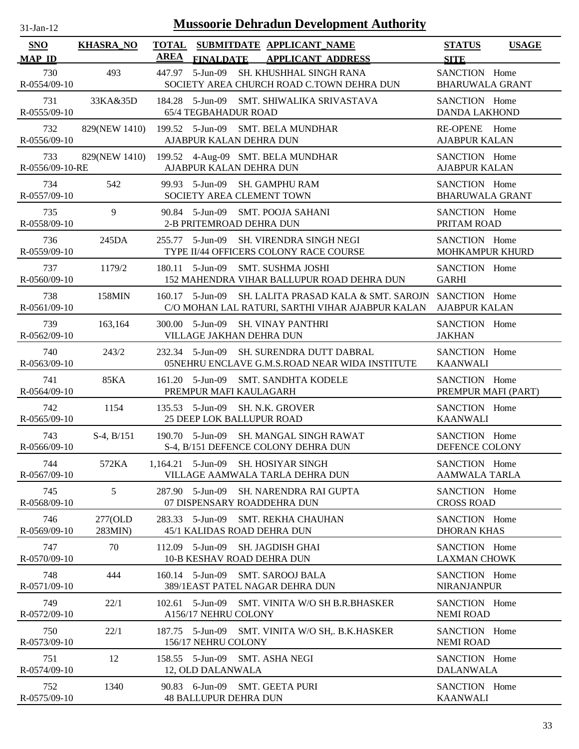| $31$ -Jan-12 |  |
|--------------|--|

| SNO                    | <b>KHASRA_NO</b>   | <b>TOTAL</b> |                                           | SUBMITDATE APPLICANT_NAME                                                                              | <b>STATUS</b>                           | <b>USAGE</b> |
|------------------------|--------------------|--------------|-------------------------------------------|--------------------------------------------------------------------------------------------------------|-----------------------------------------|--------------|
| <b>MAP ID</b>          |                    | <b>AREA</b>  | <b>FINALDATE</b>                          | <b>APPLICANT ADDRESS</b>                                                                               | <b>SITE</b>                             |              |
| 730<br>R-0554/09-10    | 493                |              |                                           | 447.97 5-Jun-09 SH. KHUSHHAL SINGH RANA<br>SOCIETY AREA CHURCH ROAD C.TOWN DEHRA DUN                   | SANCTION Home<br><b>BHARUWALA GRANT</b> |              |
| 731<br>R-0555/09-10    | 33KA&35D           |              | <b>65/4 TEGBAHADUR ROAD</b>               | 184.28 5-Jun-09 SMT. SHIWALIKA SRIVASTAVA                                                              | SANCTION Home<br><b>DANDA LAKHOND</b>   |              |
| 732<br>R-0556/09-10    | 829(NEW 1410)      |              | AJABPUR KALAN DEHRA DUN                   | 199.52 5-Jun-09 SMT. BELA MUNDHAR                                                                      | RE-OPENE Home<br><b>AJABPUR KALAN</b>   |              |
| 733<br>R-0556/09-10-RE |                    |              | AJABPUR KALAN DEHRA DUN                   | 829(NEW 1410) 199.52 4-Aug-09 SMT. BELA MUNDHAR                                                        | SANCTION Home<br><b>AJABPUR KALAN</b>   |              |
| 734<br>R-0557/09-10    | 542                |              |                                           | 99.93 5-Jun-09 SH. GAMPHU RAM<br>SOCIETY AREA CLEMENT TOWN                                             | SANCTION Home<br><b>BHARUWALA GRANT</b> |              |
| 735<br>R-0558/09-10    | 9                  |              | 2-B PRITEMROAD DEHRA DUN                  | 90.84 5-Jun-09 SMT. POOJA SAHANI                                                                       | SANCTION Home<br>PRITAM ROAD            |              |
| 736<br>R-0559/09-10    | 245DA              | 255.77       | 5-Jun-09                                  | SH. VIRENDRA SINGH NEGI<br>TYPE II/44 OFFICERS COLONY RACE COURSE                                      | SANCTION Home<br>MOHKAMPUR KHURD        |              |
| 737<br>R-0560/09-10    | 1179/2             |              | 180.11 5-Jun-09                           | <b>SMT. SUSHMA JOSHI</b><br>152 MAHENDRA VIHAR BALLUPUR ROAD DEHRA DUN                                 | SANCTION Home<br><b>GARHI</b>           |              |
| 738<br>R-0561/09-10    | 158MIN             |              | $160.17 - 5$ -Jun-09                      | SH. LALITA PRASAD KALA & SMT. SAROJN SANCTION Home<br>C/O MOHAN LAL RATURI, SARTHI VIHAR AJABPUR KALAN | <b>AJABPUR KALAN</b>                    |              |
| 739<br>R-0562/09-10    | 163,164            |              | VILLAGE JAKHAN DEHRA DUN                  | 300.00 5-Jun-09 SH. VINAY PANTHRI                                                                      | SANCTION Home<br><b>JAKHAN</b>          |              |
| 740<br>R-0563/09-10    | 243/2              |              | 232.34 5-Jun-09                           | SH. SURENDRA DUTT DABRAL<br>05NEHRU ENCLAVE G.M.S.ROAD NEAR WIDA INSTITUTE                             | SANCTION Home<br><b>KAANWALI</b>        |              |
| 741<br>R-0564/09-10    | 85KA               |              | PREMPUR MAFI KAULAGARH                    | 161.20 5-Jun-09 SMT. SANDHTA KODELE                                                                    | SANCTION Home<br>PREMPUR MAFI (PART)    |              |
| 742<br>R-0565/09-10    | 1154               |              | 25 DEEP LOK BALLUPUR ROAD                 | 135.53 5-Jun-09 SH. N.K. GROVER                                                                        | SANCTION Home<br><b>KAANWALI</b>        |              |
| 743<br>R-0566/09-10    | $S-4, B/151$       |              |                                           | 190.70 5-Jun-09 SH. MANGAL SINGH RAWAT<br>S-4, B/151 DEFENCE COLONY DEHRA DUN                          | SANCTION Home<br>DEFENCE COLONY         |              |
| 744<br>R-0567/09-10    | 572KA              |              |                                           | 1,164.21 5-Jun-09 SH. HOSIYAR SINGH<br>VILLAGE AAMWALA TARLA DEHRA DUN                                 | SANCTION Home<br><b>AAMWALA TARLA</b>   |              |
| 745<br>R-0568/09-10    | 5                  |              | 287.90 5-Jun-09                           | SH. NARENDRA RAI GUPTA<br>07 DISPENSARY ROADDEHRA DUN                                                  | SANCTION Home<br><b>CROSS ROAD</b>      |              |
| 746<br>R-0569/09-10    | 277(OLD<br>283MIN) |              | 283.33 5-Jun-09                           | SMT. REKHA CHAUHAN<br>45/1 KALIDAS ROAD DEHRA DUN                                                      | SANCTION Home<br><b>DHORAN KHAS</b>     |              |
| 747<br>R-0570/09-10    | 70                 | 112.09       | 5-Jun-09                                  | <b>SH. JAGDISH GHAI</b><br>10-B KESHAV ROAD DEHRA DUN                                                  | SANCTION Home<br><b>LAXMAN CHOWK</b>    |              |
| 748<br>R-0571/09-10    | 444                |              |                                           | 160.14 5-Jun-09 SMT. SAROOJ BALA<br>389/1EAST PATEL NAGAR DEHRA DUN                                    | SANCTION Home<br><b>NIRANJANPUR</b>     |              |
| 749<br>R-0572/09-10    | 22/1               |              | $102.61$ 5-Jun-09<br>A156/17 NEHRU COLONY | SMT. VINITA W/O SH B.R.BHASKER                                                                         | SANCTION Home<br><b>NEMI ROAD</b>       |              |
| 750<br>R-0573/09-10    | 22/1               |              | 187.75 5-Jun-09<br>156/17 NEHRU COLONY    | SMT. VINITA W/O SH,. B.K.HASKER                                                                        | SANCTION Home<br><b>NEMI ROAD</b>       |              |
| 751<br>R-0574/09-10    | 12                 |              | 158.55 5-Jun-09<br>12, OLD DALANWALA      | SMT. ASHA NEGI                                                                                         | SANCTION Home<br><b>DALANWALA</b>       |              |
| 752<br>R-0575/09-10    | 1340               |              | <b>48 BALLUPUR DEHRA DUN</b>              | 90.83 6-Jun-09 SMT. GEETA PURI                                                                         | SANCTION Home<br><b>KAANWALI</b>        |              |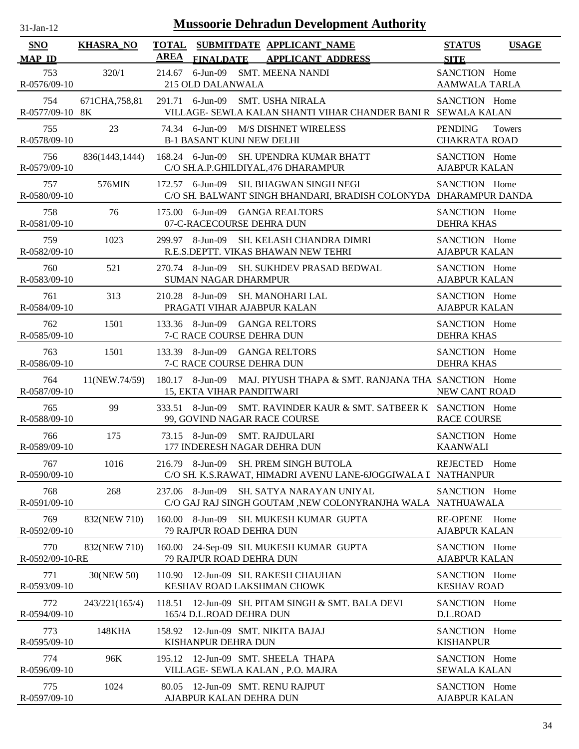| $1$ -Jan-1    |  |
|---------------|--|
| $\mathcal{L}$ |  |

| <b>SNO</b>             | <b>KHASRA_NO</b> | <b>TOTAL</b><br>SUBMITDATE APPLICANT_NAME                                                                  | <b>STATUS</b><br><b>USAGE</b>                           |
|------------------------|------------------|------------------------------------------------------------------------------------------------------------|---------------------------------------------------------|
| <b>MAP ID</b>          |                  | <b>AREA</b><br><b>APPLICANT ADDRESS</b><br><b>FINALDATE</b>                                                | <b>SITE</b>                                             |
| 753<br>R-0576/09-10    | 320/1            | 214.67 6-Jun-09 SMT. MEENA NANDI<br>215 OLD DALANWALA                                                      | SANCTION Home<br><b>AAMWALA TARLA</b>                   |
| 754<br>R-0577/09-10 8K | 671CHA, 758, 81  | 291.71 6-Jun-09 SMT. USHA NIRALA<br>VILLAGE- SEWLA KALAN SHANTI VIHAR CHANDER BANI R SEWALA KALAN          | SANCTION Home                                           |
| 755<br>R-0578/09-10    | 23               | 74.34 6-Jun-09<br>M/S DISHNET WIRELESS<br><b>B-1 BASANT KUNJ NEW DELHI</b>                                 | <b>PENDING</b><br><b>Towers</b><br><b>CHAKRATA ROAD</b> |
| 756<br>R-0579/09-10    | 836(1443,1444)   | 168.24 6-Jun-09 SH. UPENDRA KUMAR BHATT<br>C/O SH.A.P.GHILDIYAL,476 DHARAMPUR                              | SANCTION Home<br><b>AJABPUR KALAN</b>                   |
| 757<br>R-0580/09-10    | 576MIN           | 172.57 6-Jun-09 SH. BHAGWAN SINGH NEGI<br>C/O SH. BALWANT SINGH BHANDARI, BRADISH COLONYDA DHARAMPUR DANDA | SANCTION Home                                           |
| 758<br>R-0581/09-10    | 76               | 175.00 6-Jun-09 GANGA REALTORS<br>07-C-RACECOURSE DEHRA DUN                                                | SANCTION Home<br><b>DEHRA KHAS</b>                      |
| 759<br>R-0582/09-10    | 1023             | SH. KELASH CHANDRA DIMRI<br>299.97 8-Jun-09<br>R.E.S.DEPTT. VIKAS BHAWAN NEW TEHRI                         | SANCTION Home<br><b>AJABPUR KALAN</b>                   |
| 760<br>R-0583/09-10    | 521              | 270.74 8-Jun-09<br>SH. SUKHDEV PRASAD BEDWAL<br><b>SUMAN NAGAR DHARMPUR</b>                                | SANCTION Home<br><b>AJABPUR KALAN</b>                   |
| 761<br>R-0584/09-10    | 313              | 210.28 8-Jun-09<br>SH. MANOHARI LAL<br>PRAGATI VIHAR AJABPUR KALAN                                         | SANCTION Home<br><b>AJABPUR KALAN</b>                   |
| 762<br>R-0585/09-10    | 1501             | 133.36 8-Jun-09 GANGA RELTORS<br>7-C RACE COURSE DEHRA DUN                                                 | SANCTION Home<br><b>DEHRA KHAS</b>                      |
| 763<br>R-0586/09-10    | 1501             | 133.39 8-Jun-09 GANGA RELTORS<br>7-C RACE COURSE DEHRA DUN                                                 | SANCTION Home<br><b>DEHRA KHAS</b>                      |
| 764<br>R-0587/09-10    | 11(NEW.74/59)    | 180.17 8-Jun-09 MAJ. PIYUSH THAPA & SMT. RANJANA THA SANCTION Home<br>15, EKTA VIHAR PANDITWARI            | <b>NEW CANT ROAD</b>                                    |
| 765<br>R-0588/09-10    | 99               | 333.51 8-Jun-09<br>SMT. RAVINDER KAUR & SMT. SATBEER K SANCTION Home<br>99, GOVIND NAGAR RACE COURSE       | <b>RACE COURSE</b>                                      |
| 766<br>R-0589/09-10    | 175              | 73.15 8-Jun-09 SMT. RAJDULARI<br>177 INDERESH NAGAR DEHRA DUN                                              | SANCTION Home<br><b>KAANWALI</b>                        |
| 767<br>R-0590/09-10    | 1016             | 216.79 8-Jun-09 SH. PREM SINGH BUTOLA<br>C/O SH. K.S.RAWAT, HIMADRI AVENU LANE-6JOGGIWALA I NATHANPUR      | REJECTED Home                                           |
| 768<br>R-0591/09-10    | 268              | 237.06 8-Jun-09<br>SH. SATYA NARAYAN UNIYAL<br>C/O GAJ RAJ SINGH GOUTAM ,NEW COLONYRANJHA WALA NATHUAWALA  | SANCTION Home                                           |
| 769<br>R-0592/09-10    | 832(NEW 710)     | 160.00 8-Jun-09<br>SH. MUKESH KUMAR GUPTA<br>79 RAJPUR ROAD DEHRA DUN                                      | <b>RE-OPENE</b><br>Home<br><b>AJABPUR KALAN</b>         |
| 770<br>R-0592/09-10-RE | 832(NEW 710)     | 160.00 24-Sep-09 SH. MUKESH KUMAR GUPTA<br>79 RAJPUR ROAD DEHRA DUN                                        | SANCTION Home<br><b>AJABPUR KALAN</b>                   |
| 771<br>R-0593/09-10    | 30(NEW 50)       | 110.90 12-Jun-09 SH. RAKESH CHAUHAN<br>KESHAV ROAD LAKSHMAN CHOWK                                          | SANCTION Home<br><b>KESHAV ROAD</b>                     |
| 772<br>R-0594/09-10    | 243/221(165/4)   | 12-Jun-09 SH. PITAM SINGH & SMT. BALA DEVI<br>118.51<br>165/4 D.L.ROAD DEHRA DUN                           | SANCTION Home<br>D.L.ROAD                               |
| 773<br>R-0595/09-10    | 148KHA           | 158.92 12-Jun-09 SMT. NIKITA BAJAJ<br>KISHANPUR DEHRA DUN                                                  | SANCTION Home<br><b>KISHANPUR</b>                       |
| 774<br>R-0596/09-10    | 96K              | 12-Jun-09 SMT. SHEELA THAPA<br>195.12<br>VILLAGE- SEWLA KALAN, P.O. MAJRA                                  | SANCTION Home<br><b>SEWALA KALAN</b>                    |
| 775<br>R-0597/09-10    | 1024             | 80.05 12-Jun-09 SMT. RENU RAJPUT<br>AJABPUR KALAN DEHRA DUN                                                | SANCTION Home<br><b>AJABPUR KALAN</b>                   |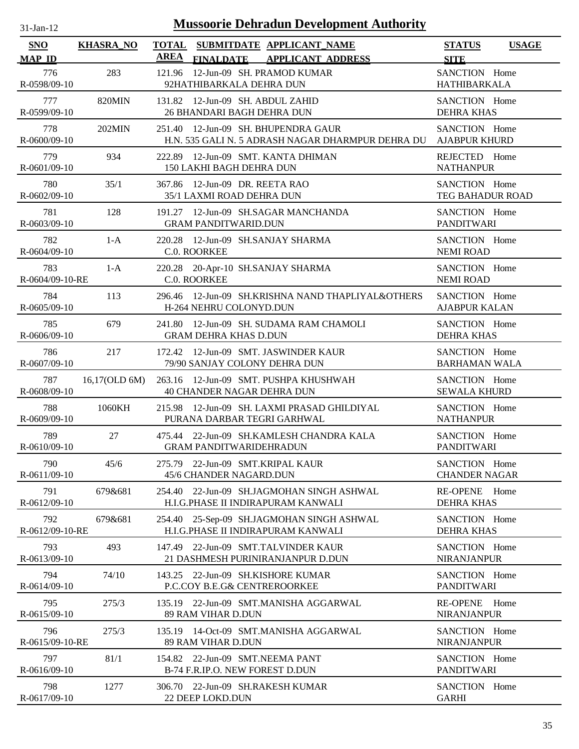| -Jan- |  |
|-------|--|

| SNO                    | <b>KHASRA_NO</b> |             | TOTAL SUBMITDATE APPLICANT NAME                                                          | <b>STATUS</b><br><b>USAGE</b>                 |
|------------------------|------------------|-------------|------------------------------------------------------------------------------------------|-----------------------------------------------|
| <b>MAP ID</b>          |                  | <b>AREA</b> | FINALDATE APPLICANT ADDRESS                                                              | <b>SITE</b>                                   |
| 776<br>R-0598/09-10    | 283              |             | 121.96 12-Jun-09 SH. PRAMOD KUMAR<br>92HATHIBARKALA DEHRA DUN                            | SANCTION Home<br>HATHIBARKALA                 |
| 777<br>R-0599/09-10    | <b>820MIN</b>    |             | 131.82  12-Jun-09  SH. ABDUL ZAHID<br>26 BHANDARI BAGH DEHRA DUN                         | SANCTION Home<br><b>DEHRA KHAS</b>            |
| 778<br>R-0600/09-10    | <b>202MIN</b>    |             | 251.40 12-Jun-09 SH. BHUPENDRA GAUR<br>H.N. 535 GALI N. 5 ADRASH NAGAR DHARMPUR DEHRA DU | SANCTION Home<br><b>AJABPUR KHURD</b>         |
| 779<br>R-0601/09-10    | 934              |             | 222.89 12-Jun-09 SMT. KANTA DHIMAN<br>150 LAKHI BAGH DEHRA DUN                           | REJECTED Home<br><b>NATHANPUR</b>             |
| 780<br>R-0602/09-10    | 35/1             |             | 367.86 12-Jun-09 DR. REETA RAO<br>35/1 LAXMI ROAD DEHRA DUN                              | SANCTION Home<br>TEG BAHADUR ROAD             |
| 781<br>R-0603/09-10    | 128              |             | 191.27 12-Jun-09 SH.SAGAR MANCHANDA<br><b>GRAM PANDITWARID.DUN</b>                       | SANCTION Home<br><b>PANDITWARI</b>            |
| 782<br>R-0604/09-10    | $1-A$            |             | 220.28 12-Jun-09 SH.SANJAY SHARMA<br>C.0. ROORKEE                                        | SANCTION Home<br><b>NEMI ROAD</b>             |
| 783<br>R-0604/09-10-RE | $1-A$            |             | 220.28 20-Apr-10 SH.SANJAY SHARMA<br>C.0. ROORKEE                                        | SANCTION Home<br><b>NEMI ROAD</b>             |
| 784<br>R-0605/09-10    | 113              |             | 296.46 12-Jun-09 SH.KRISHNA NAND THAPLIYAL&OTHERS<br>H-264 NEHRU COLONYD.DUN             | SANCTION Home<br><b>AJABPUR KALAN</b>         |
| 785<br>R-0606/09-10    | 679              |             | 241.80 12-Jun-09 SH. SUDAMA RAM CHAMOLI<br><b>GRAM DEHRA KHAS D.DUN</b>                  | SANCTION Home<br><b>DEHRA KHAS</b>            |
| 786<br>R-0607/09-10    | 217              |             | 172.42 12-Jun-09 SMT. JASWINDER KAUR<br>79/90 SANJAY COLONY DEHRA DUN                    | SANCTION Home<br><b>BARHAMAN WALA</b>         |
| 787<br>R-0608/09-10    | 16,17(OLD 6M)    |             | 263.16 12-Jun-09 SMT. PUSHPA KHUSHWAH<br><b>40 CHANDER NAGAR DEHRA DUN</b>               | SANCTION Home<br><b>SEWALA KHURD</b>          |
| 788<br>R-0609/09-10    | 1060KH           |             | 215.98 12-Jun-09 SH. LAXMI PRASAD GHILDIYAL<br>PURANA DARBAR TEGRI GARHWAL               | SANCTION Home<br><b>NATHANPUR</b>             |
| 789<br>R-0610/09-10    | 27               |             | 475.44 22-Jun-09 SH.KAMLESH CHANDRA KALA<br><b>GRAM PANDITWARIDEHRADUN</b>               | SANCTION Home<br><b>PANDITWARI</b>            |
| 790<br>R-0611/09-10    | 45/6             |             | 275.79 22-Jun-09 SMT.KRIPAL KAUR<br>45/6 CHANDER NAGARD.DUN                              | SANCTION Home<br><b>CHANDER NAGAR</b>         |
| 791<br>R-0612/09-10    | 679&681          | 254.40      | 22-Jun-09 SH.JAGMOHAN SINGH ASHWAL<br>H.I.G.PHASE II INDIRAPURAM KANWALI                 | RE-OPENE Home<br><b>DEHRA KHAS</b>            |
| 792<br>R-0612/09-10-RE | 679&681          | 254.40      | 25-Sep-09 SH.JAGMOHAN SINGH ASHWAL<br>H.I.G.PHASE II INDIRAPURAM KANWALI                 | SANCTION Home<br><b>DEHRA KHAS</b>            |
| 793<br>R-0613/09-10    | 493              |             | 147.49 22-Jun-09 SMT.TALVINDER KAUR<br>21 DASHMESH PURINIRANJANPUR D.DUN                 | SANCTION Home<br><b>NIRANJANPUR</b>           |
| 794<br>R-0614/09-10    | 74/10            |             | 143.25 22-Jun-09 SH.KISHORE KUMAR<br>P.C.COY B.E.G& CENTREROORKEE                        | SANCTION Home<br><b>PANDITWARI</b>            |
| 795<br>R-0615/09-10    | 275/3            |             | 135.19 22-Jun-09 SMT.MANISHA AGGARWAL<br>89 RAM VIHAR D.DUN                              | <b>RE-OPENE</b><br>Home<br><b>NIRANJANPUR</b> |
| 796<br>R-0615/09-10-RE | 275/3            |             | 135.19 14-Oct-09 SMT.MANISHA AGGARWAL<br>89 RAM VIHAR D.DUN                              | SANCTION Home<br><b>NIRANJANPUR</b>           |
| 797<br>R-0616/09-10    | 81/1             |             | 154.82 22-Jun-09 SMT.NEEMA PANT<br>B-74 F.R.IP.O. NEW FOREST D.DUN                       | SANCTION Home<br><b>PANDITWARI</b>            |
| 798<br>R-0617/09-10    | 1277             |             | 306.70 22-Jun-09 SH.RAKESH KUMAR<br>22 DEEP LOKD.DUN                                     | SANCTION Home<br><b>GARHI</b>                 |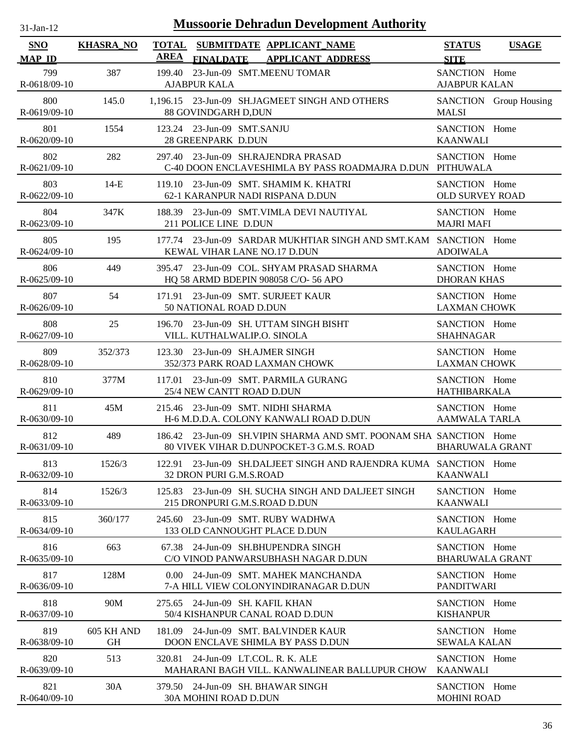| .1-Jan-1<br>$\mathbf{L}$ |  |
|--------------------------|--|

| SNO                 | <b>KHASRA_NO</b>        | <b>TOTAL</b><br><b>AREA</b>                                       | SUBMITDATE APPLICANT NAME                                                                                      | <b>STATUS</b>                           | <b>USAGE</b>           |
|---------------------|-------------------------|-------------------------------------------------------------------|----------------------------------------------------------------------------------------------------------------|-----------------------------------------|------------------------|
| <b>MAP ID</b>       |                         |                                                                   | FINALDATE APPLICANT ADDRESS                                                                                    | <b>SITE</b>                             |                        |
| 799<br>R-0618/09-10 | 387                     | 199.40<br><b>AJABPUR KALA</b>                                     | 23-Jun-09 SMT.MEENU TOMAR                                                                                      | SANCTION Home<br><b>AJABPUR KALAN</b>   |                        |
| 800<br>R-0619/09-10 | 145.0                   | 88 GOVINDGARH D,DUN                                               | 1,196.15 23-Jun-09 SH.JAGMEET SINGH AND OTHERS                                                                 | <b>MALSI</b>                            | SANCTION Group Housing |
| 801<br>R-0620/09-10 | 1554                    | 123.24 23-Jun-09 SMT.SANJU<br>28 GREENPARK D.DUN                  |                                                                                                                | SANCTION Home<br><b>KAANWALI</b>        |                        |
| 802<br>R-0621/09-10 | 282                     | 297.40                                                            | 23-Jun-09 SH.RAJENDRA PRASAD<br>C-40 DOON ENCLAVESHIMLA BY PASS ROADMAJRA D.DUN PITHUWALA                      | SANCTION Home                           |                        |
| 803<br>R-0622/09-10 | $14-E$                  |                                                                   | 119.10 23-Jun-09 SMT. SHAMIM K. KHATRI<br>62-1 KARANPUR NADI RISPANA D.DUN                                     | SANCTION Home<br><b>OLD SURVEY ROAD</b> |                        |
| 804<br>R-0623/09-10 | 347K                    | 211 POLICE LINE D.DUN                                             | 188.39 23-Jun-09 SMT. VIMLA DEVI NAUTIYAL                                                                      | SANCTION Home<br><b>MAJRI MAFI</b>      |                        |
| 805<br>R-0624/09-10 | 195                     | KEWAL VIHAR LANE NO.17 D.DUN                                      | 177.74 23-Jun-09 SARDAR MUKHTIAR SINGH AND SMT.KAM SANCTION Home                                               | <b>ADOIWALA</b>                         |                        |
| 806<br>R-0625/09-10 | 449                     |                                                                   | 395.47 23-Jun-09 COL. SHYAM PRASAD SHARMA<br>HQ 58 ARMD BDEPIN 908058 C/O- 56 APO                              | SANCTION Home<br><b>DHORAN KHAS</b>     |                        |
| 807<br>R-0626/09-10 | 54                      | 50 NATIONAL ROAD D.DUN                                            | 171.91 23-Jun-09 SMT. SURJEET KAUR                                                                             | SANCTION Home<br><b>LAXMAN CHOWK</b>    |                        |
| 808<br>R-0627/09-10 | 25                      | VILL. KUTHALWALIP.O. SINOLA                                       | 196.70 23-Jun-09 SH. UTTAM SINGH BISHT                                                                         | SANCTION Home<br><b>SHAHNAGAR</b>       |                        |
| 809<br>R-0628/09-10 | 352/373                 | 123.30 23-Jun-09 SH.AJMER SINGH                                   | 352/373 PARK ROAD LAXMAN CHOWK                                                                                 | SANCTION Home<br><b>LAXMAN CHOWK</b>    |                        |
| 810<br>R-0629/09-10 | 377M                    | 25/4 NEW CANTT ROAD D.DUN                                         | 117.01 23-Jun-09 SMT. PARMILA GURANG                                                                           | SANCTION Home<br>HATHIBARKALA           |                        |
| 811<br>R-0630/09-10 | 45M                     |                                                                   | 215.46 23-Jun-09 SMT. NIDHI SHARMA<br>H-6 M.D.D.A. COLONY KANWALI ROAD D.DUN                                   | SANCTION Home<br><b>AAMWALA TARLA</b>   |                        |
| 812<br>R-0631/09-10 | 489                     |                                                                   | 186.42 23-Jun-09 SH.VIPIN SHARMA AND SMT. POONAM SHA SANCTION Home<br>80 VIVEK VIHAR D.DUNPOCKET-3 G.M.S. ROAD | <b>BHARUWALA GRANT</b>                  |                        |
| 813<br>R-0632/09-10 | 1526/3                  | 32 DRON PURI G.M.S.ROAD                                           | 122.91 23-Jun-09 SH.DALJEET SINGH AND RAJENDRA KUMA SANCTION Home                                              | <b>KAANWALI</b>                         |                        |
| 814<br>R-0633/09-10 | 1526/3                  | 215 DRONPURI G.M.S.ROAD D.DUN                                     | 125.83 23-Jun-09 SH. SUCHA SINGH AND DALJEET SINGH                                                             | SANCTION Home<br><b>KAANWALI</b>        |                        |
| 815<br>R-0634/09-10 | 360/177                 | 245.60                                                            | 23-Jun-09 SMT. RUBY WADHWA<br>133 OLD CANNOUGHT PLACE D.DUN                                                    | SANCTION Home<br><b>KAULAGARH</b>       |                        |
| 816<br>R-0635/09-10 | 663                     | 67.38                                                             | 24-Jun-09 SH.BHUPENDRA SINGH<br>C/O VINOD PANWARSUBHASH NAGAR D.DUN                                            | SANCTION Home<br><b>BHARUWALA GRANT</b> |                        |
| 817<br>R-0636/09-10 | 128M                    |                                                                   | 0.00 24-Jun-09 SMT, MAHEK MANCHANDA<br>7-A HILL VIEW COLONYINDIRANAGAR D.DUN                                   | SANCTION Home<br><b>PANDITWARI</b>      |                        |
| 818<br>R-0637/09-10 | 90M                     | 275.65                                                            | 24-Jun-09 SH. KAFIL KHAN<br>50/4 KISHANPUR CANAL ROAD D.DUN                                                    | SANCTION Home<br><b>KISHANPUR</b>       |                        |
| 819<br>R-0638/09-10 | 605 KH AND<br><b>GH</b> |                                                                   | 181.09 24-Jun-09 SMT. BALVINDER KAUR<br>DOON ENCLAVE SHIMLA BY PASS D.DUN                                      | SANCTION Home<br><b>SEWALA KALAN</b>    |                        |
| 820<br>R-0639/09-10 | 513                     | 320.81                                                            | 24-Jun-09 LT.COL. R. K. ALE<br>MAHARANI BAGH VILL. KANWALINEAR BALLUPUR CHOW                                   | SANCTION Home<br><b>KAANWALI</b>        |                        |
| 821<br>R-0640/09-10 | 30A                     | 379.50 24-Jun-09 SH. BHAWAR SINGH<br><b>30A MOHINI ROAD D.DUN</b> |                                                                                                                | SANCTION Home<br><b>MOHINI ROAD</b>     |                        |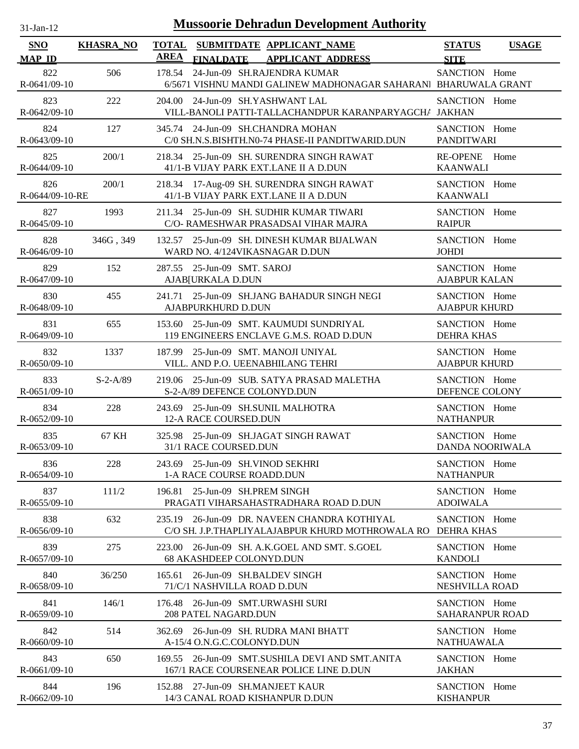| <b>Mussoorie Dehradun Development Authority</b><br>$31$ -Jan-12 |                  |                                                                                                          |                                         |              |  |  |
|-----------------------------------------------------------------|------------------|----------------------------------------------------------------------------------------------------------|-----------------------------------------|--------------|--|--|
| SNO<br><b>MAP ID</b>                                            | <b>KHASRA_NO</b> | <b>TOTAL</b><br>SUBMITDATE APPLICANT_NAME<br><b>AREA</b><br><b>FINALDATE</b><br><b>APPLICANT ADDRESS</b> | <b>STATUS</b><br><b>SITE</b>            | <b>USAGE</b> |  |  |
| 822<br>R-0641/09-10                                             | 506              | 24-Jun-09 SH.RAJENDRA KUMAR<br>178.54<br>6/5671 VISHNU MANDI GALINEW MADHONAGAR SAHARAN  BHARUWALA GRANT | SANCTION Home                           |              |  |  |
| 823<br>R-0642/09-10                                             | 222              | 204.00 24-Jun-09 SH.YASHWANT LAL<br>VILL-BANOLI PATTI-TALLACHANDPUR KARANPARYAGCH/ JAKHAN                | SANCTION Home                           |              |  |  |
| 824<br>R-0643/09-10                                             | 127              | 345.74 24-Jun-09 SH.CHANDRA MOHAN<br>C/0 SH.N.S.BISHTH.N0-74 PHASE-II PANDITWARID.DUN                    | SANCTION Home<br><b>PANDITWARI</b>      |              |  |  |
| 825<br>R-0644/09-10                                             | 200/1            | 218.34 25-Jun-09 SH. SURENDRA SINGH RAWAT<br>41/1-B VIJAY PARK EXT.LANE II A D.DUN                       | <b>RE-OPENE</b><br><b>KAANWALI</b>      | Home         |  |  |
| 826<br>R-0644/09-10-RE                                          | 200/1            | 218.34 17-Aug-09 SH. SURENDRA SINGH RAWAT<br>41/1-B VIJAY PARK EXT.LANE II A D.DUN                       | SANCTION Home<br><b>KAANWALI</b>        |              |  |  |
| 827<br>R-0645/09-10                                             | 1993             | 211.34 25-Jun-09 SH. SUDHIR KUMAR TIWARI<br>C/O- RAMESHWAR PRASADSAI VIHAR MAJRA                         | SANCTION Home<br><b>RAIPUR</b>          |              |  |  |
| 828<br>R-0646/09-10                                             | 346G, 349        | 132.57 25-Jun-09 SH. DINESH KUMAR BIJALWAN<br>WARD NO. 4/124VIKASNAGAR D.DUN                             | SANCTION Home<br><b>JOHDI</b>           |              |  |  |
| 829<br>R-0647/09-10                                             | 152              | 25-Jun-09 SMT. SAROJ<br>287.55<br>AJAB[URKALA D.DUN                                                      | SANCTION Home<br><b>AJABPUR KALAN</b>   |              |  |  |
| 830<br>R-0648/09-10                                             | 455              | 241.71 25-Jun-09 SH.JANG BAHADUR SINGH NEGI<br>AJABPURKHURD D.DUN                                        | SANCTION Home<br><b>AJABPUR KHURD</b>   |              |  |  |
| 831<br>R-0649/09-10                                             | 655              | 153.60 25-Jun-09 SMT. KAUMUDI SUNDRIYAL<br>119 ENGINEERS ENCLAVE G.M.S. ROAD D.DUN                       | SANCTION Home<br><b>DEHRA KHAS</b>      |              |  |  |
| 832<br>R-0650/09-10                                             | 1337             | 187.99 25-Jun-09 SMT. MANOJI UNIYAL<br>VILL. AND P.O. UEENABHILANG TEHRI                                 | SANCTION Home<br><b>AJABPUR KHURD</b>   |              |  |  |
| 833<br>R-0651/09-10                                             | $S-2-A/89$       | 219.06 25-Jun-09 SUB. SATYA PRASAD MALETHA<br>S-2-A/89 DEFENCE COLONYD.DUN                               | SANCTION Home<br>DEFENCE COLONY         |              |  |  |
| 834<br>R-0652/09-10                                             | 228              | 243.69 25-Jun-09 SH.SUNIL MALHOTRA<br>12-A RACE COURSED.DUN                                              | SANCTION Home<br><b>NATHANPUR</b>       |              |  |  |
| 835<br>R-0653/09-10                                             | 67 KH            | 325.98 25-Jun-09 SH.JAGAT SINGH RAWAT<br>31/1 RACE COURSED.DUN                                           | SANCTION Home<br>DANDA NOORIWALA        |              |  |  |
| 836<br>$R-0654/09-10$                                           | 228              | 243.69 25-Jun-09 SH. VINOD SEKHRI<br>1-A RACE COURSE ROADD.DUN                                           | SANCTION Home<br><b>NATHANPUR</b>       |              |  |  |
| 837<br>R-0655/09-10                                             | 111/2            | 25-Jun-09 SH.PREM SINGH<br>196.81<br>PRAGATI VIHARSAHASTRADHARA ROAD D.DUN                               | SANCTION Home<br><b>ADOIWALA</b>        |              |  |  |
| 838<br>R-0656/09-10                                             | 632              | 26-Jun-09 DR. NAVEEN CHANDRA KOTHIYAL<br>235.19<br>C/O SH. J.P.THAPLIYALAJABPUR KHURD MOTHROWALA RO      | SANCTION Home<br>DEHRA KHAS             |              |  |  |
| 839<br>R-0657/09-10                                             | 275              | 223.00 26-Jun-09 SH. A.K.GOEL AND SMT. S.GOEL<br>68 AKASHDEEP COLONYD.DUN                                | SANCTION Home<br><b>KANDOLI</b>         |              |  |  |
| 840<br>R-0658/09-10                                             | 36/250           | 26-Jun-09 SH.BALDEV SINGH<br>165.61<br>71/C/1 NASHVILLA ROAD D.DUN                                       | SANCTION Home<br>NESHVILLA ROAD         |              |  |  |
| 841<br>R-0659/09-10                                             | 146/1            | 26-Jun-09 SMT.URWASHI SURI<br>176.48<br>208 PATEL NAGARD.DUN                                             | SANCTION Home<br><b>SAHARANPUR ROAD</b> |              |  |  |
| 842<br>$R-0660/09-10$                                           | 514              | 26-Jun-09 SH. RUDRA MANI BHATT<br>362.69<br>A-15/4 O.N.G.C.COLONYD.DUN                                   | SANCTION Home<br><b>NATHUAWALA</b>      |              |  |  |
| 843<br>$R-0661/09-10$                                           | 650              | 169.55 26-Jun-09 SMT.SUSHILA DEVI AND SMT.ANITA<br>167/1 RACE COURSENEAR POLICE LINE D.DUN               | SANCTION Home<br><b>JAKHAN</b>          |              |  |  |
| 844<br>R-0662/09-10                                             | 196              | 152.88 27-Jun-09 SH.MANJEET KAUR<br>14/3 CANAL ROAD KISHANPUR D.DUN                                      | SANCTION Home<br><b>KISHANPUR</b>       |              |  |  |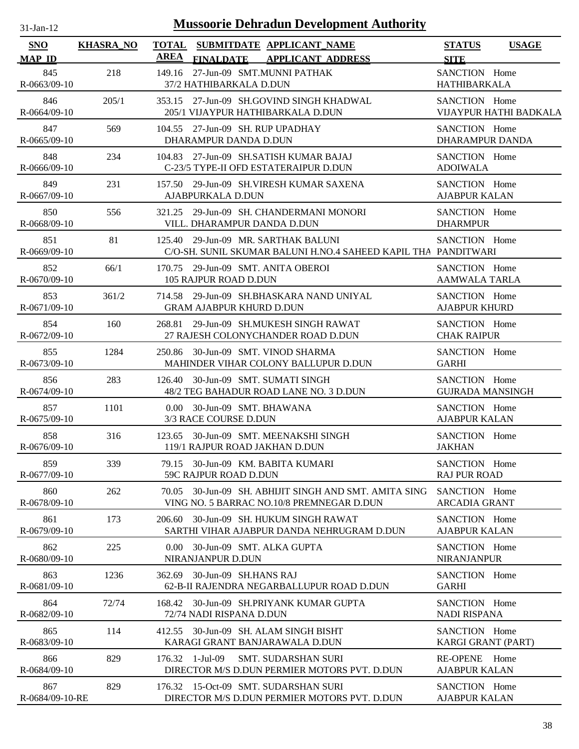| -Jan- |  |
|-------|--|
|       |  |

| SNO                       | <b>KHASRA_NO</b> | <b>TOTAL</b> |                                                                   | SUBMITDATE APPLICANT_NAME                                                                    | <b>USAGE</b><br><b>STATUS</b>            |
|---------------------------|------------------|--------------|-------------------------------------------------------------------|----------------------------------------------------------------------------------------------|------------------------------------------|
| <b>MAP ID</b>             |                  | AREA         | <b>FINALDATE</b>                                                  | <b>APPLICANT ADDRESS</b>                                                                     | <b>SITE</b>                              |
| 845<br>R-0663/09-10       | 218              |              | 149.16 27-Jun-09 SMT.MUNNI PATHAK<br>37/2 HATHIBARKALA D.DUN      |                                                                                              | SANCTION Home<br><b>HATHIBARKALA</b>     |
| 846<br>$R-0664/09-10$     | 205/1            |              |                                                                   | 353.15 27-Jun-09 SH.GOVIND SINGH KHADWAL<br>205/1 VIJAYPUR HATHIBARKALA D.DUN                | SANCTION Home<br>VIJAYPUR HATHI BADKALA  |
| 847<br>$R-0665/09-10$     | 569              |              | 104.55 27-Jun-09 SH. RUP UPADHAY<br>DHARAMPUR DANDA D.DUN         |                                                                                              | SANCTION Home<br><b>DHARAMPUR DANDA</b>  |
| 848<br>R-0666/09-10       | 234              |              |                                                                   | 104.83 27-Jun-09 SH.SATISH KUMAR BAJAJ<br>C-23/5 TYPE-II OFD ESTATERAIPUR D.DUN              | SANCTION Home<br><b>ADOIWALA</b>         |
| 849<br>R-0667/09-10       | 231              |              | AJABPURKALA D.DUN                                                 | 157.50 29-Jun-09 SH. VIRESH KUMAR SAXENA                                                     | SANCTION Home<br><b>AJABPUR KALAN</b>    |
| 850<br>R-0668/09-10       | 556              |              | VILL. DHARAMPUR DANDA D.DUN                                       | 321.25 29-Jun-09 SH. CHANDERMANI MONORI                                                      | SANCTION Home<br><b>DHARMPUR</b>         |
| 851<br>R-0669/09-10       | 81               |              | 125.40 29-Jun-09 MR. SARTHAK BALUNI                               | C/O-SH. SUNIL SKUMAR BALUNI H.NO.4 SAHEED KAPIL THA PANDITWARI                               | SANCTION Home                            |
| 852<br>$R-0670/09-10$     | 66/1             |              | 170.75 29-Jun-09 SMT. ANITA OBEROI<br>105 RAJPUR ROAD D.DUN       |                                                                                              | SANCTION Home<br><b>AAMWALA TARLA</b>    |
| 853<br>R-0671/09-10       | 361/2            |              | <b>GRAM AJABPUR KHURD D.DUN</b>                                   | 714.58 29-Jun-09 SH.BHASKARA NAND UNIYAL                                                     | SANCTION Home<br><b>AJABPUR KHURD</b>    |
| 854<br>R-0672/09-10       | 160              |              |                                                                   | 268.81 29-Jun-09 SH.MUKESH SINGH RAWAT<br>27 RAJESH COLONYCHANDER ROAD D.DUN                 | SANCTION Home<br><b>CHAK RAIPUR</b>      |
| 855<br>R-0673/09-10       | 1284             |              | 250.86 30-Jun-09 SMT. VINOD SHARMA                                | MAHINDER VIHAR COLONY BALLUPUR D.DUN                                                         | SANCTION Home<br><b>GARHI</b>            |
| 856<br>$R - 0674/09 - 10$ | 283              |              | 126.40 30-Jun-09 SMT. SUMATI SINGH                                | 48/2 TEG BAHADUR ROAD LANE NO. 3 D.DUN                                                       | SANCTION Home<br><b>GUJRADA MANSINGH</b> |
| 857<br>$R-0675/09-10$     | 1101             |              | 0.00 30-Jun-09 SMT. BHAWANA<br>3/3 RACE COURSE D.DUN              |                                                                                              | SANCTION Home<br><b>AJABPUR KALAN</b>    |
| 858<br>$R-0676/09-10$     | 316              |              | 119/1 RAJPUR ROAD JAKHAN D.DUN                                    | 123.65 30-Jun-09 SMT. MEENAKSHI SINGH                                                        | SANCTION Home<br><b>JAKHAN</b>           |
| 859<br>R-0677/09-10       | 339              |              | 79.15 30-Jun-09 KM. BABITA KUMARI<br><b>59C RAJPUR ROAD D.DUN</b> |                                                                                              | SANCTION Home<br><b>RAJ PUR ROAD</b>     |
| 860<br>R-0678/09-10       | 262              | 70.05        |                                                                   | 30-Jun-09 SH. ABHIJIT SINGH AND SMT. AMITA SING<br>VING NO. 5 BARRAC NO.10/8 PREMNEGAR D.DUN | SANCTION Home<br><b>ARCADIA GRANT</b>    |
| 861<br>R-0679/09-10       | 173              | 206.60       |                                                                   | 30-Jun-09 SH. HUKUM SINGH RAWAT<br>SARTHI VIHAR AJABPUR DANDA NEHRUGRAM D.DUN                | SANCTION Home<br><b>AJABPUR KALAN</b>    |
| 862<br>R-0680/09-10       | 225              |              | 0.00 30-Jun-09 SMT. ALKA GUPTA<br>NIRANJANPUR D.DUN               |                                                                                              | SANCTION Home<br><b>NIRANJANPUR</b>      |
| 863<br>R-0681/09-10       | 1236             | 362.69       | 30-Jun-09 SH.HANS RAJ                                             | 62-B-II RAJENDRA NEGARBALLUPUR ROAD D.DUN                                                    | SANCTION Home<br><b>GARHI</b>            |
| 864<br>R-0682/09-10       | 72/74            | 168.42       | 72/74 NADI RISPANA D.DUN                                          | 30-Jun-09 SH.PRIYANK KUMAR GUPTA                                                             | SANCTION Home<br><b>NADI RISPANA</b>     |
| 865<br>R-0683/09-10       | 114              | 412.55       |                                                                   | 30-Jun-09 SH. ALAM SINGH BISHT<br>KARAGI GRANT BANJARAWALA D.DUN                             | SANCTION Home<br>KARGI GRANT (PART)      |
| 866<br>R-0684/09-10       | 829              |              | 176.32 1-Jul-09                                                   | <b>SMT. SUDARSHAN SURI</b><br>DIRECTOR M/S D.DUN PERMIER MOTORS PVT. D.DUN                   | RE-OPENE Home<br><b>AJABPUR KALAN</b>    |
| 867<br>R-0684/09-10-RE    | 829              |              |                                                                   | 176.32 15-Oct-09 SMT. SUDARSHAN SURI<br>DIRECTOR M/S D.DUN PERMIER MOTORS PVT. D.DUN         | SANCTION Home<br><b>AJABPUR KALAN</b>    |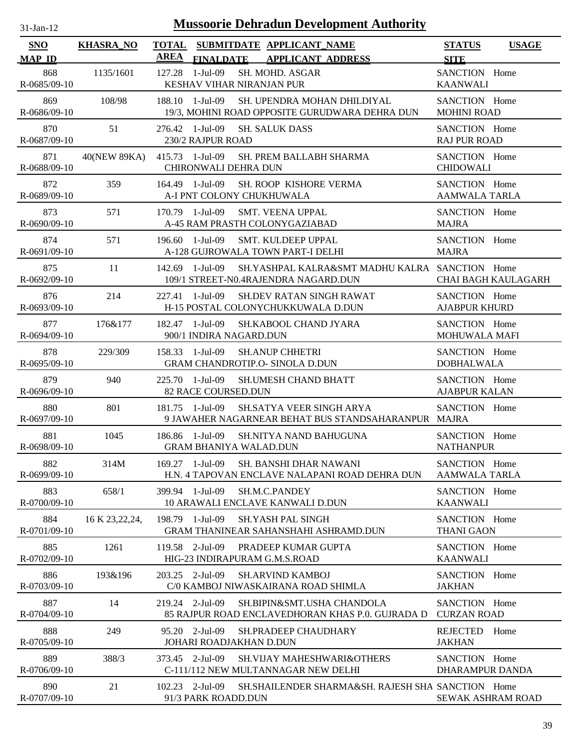| <b>Mussoorie Dehradun Development Authority</b><br>$31-Jan-12$ |                  |                                                                                                              |                                                   |                                       |                            |
|----------------------------------------------------------------|------------------|--------------------------------------------------------------------------------------------------------------|---------------------------------------------------|---------------------------------------|----------------------------|
| <b>SNO</b><br><b>MAP ID</b>                                    | <b>KHASRA_NO</b> | <b>TOTAL</b><br>SUBMITDATE APPLICANT NAME<br><b>AREA</b><br><b>APPLICANT ADDRESS</b><br><b>FINALDATE</b>     |                                                   | <b>STATUS</b><br><b>SITE</b>          | <b>USAGE</b>               |
| 868<br>R-0685/09-10                                            | 1135/1601        | $1-Jul-09$<br>SH. MOHD. ASGAR<br>127.28<br>KESHAV VIHAR NIRANJAN PUR                                         |                                                   | SANCTION Home<br><b>KAANWALI</b>      |                            |
| 869<br>R-0686/09-10                                            | 108/98           | 188.10 1-Jul-09<br>SH. UPENDRA MOHAN DHILDIYAL<br>19/3, MOHINI ROAD OPPOSITE GURUDWARA DEHRA DUN             |                                                   | SANCTION Home<br><b>MOHINI ROAD</b>   |                            |
| 870<br>R-0687/09-10                                            | 51               | 276.42 1-Jul-09<br><b>SH. SALUK DASS</b><br>230/2 RAJPUR ROAD                                                |                                                   | SANCTION Home<br><b>RAJ PUR ROAD</b>  |                            |
| 871<br>R-0688/09-10                                            | 40(NEW 89KA)     | 415.73 1-Jul-09<br>SH. PREM BALLABH SHARMA<br><b>CHIRONWALI DEHRA DUN</b>                                    |                                                   | SANCTION Home<br><b>CHIDOWALI</b>     |                            |
| 872<br>R-0689/09-10                                            | 359              | 164.49 1-Jul-09<br>SH. ROOP KISHORE VERMA<br>A-I PNT COLONY CHUKHUWALA                                       |                                                   | SANCTION Home<br><b>AAMWALA TARLA</b> |                            |
| 873<br>R-0690/09-10                                            | 571              | 170.79 1-Jul-09<br><b>SMT. VEENA UPPAL</b><br>A-45 RAM PRASTH COLONYGAZIABAD                                 |                                                   | SANCTION Home<br><b>MAJRA</b>         |                            |
| 874<br>R-0691/09-10                                            | 571              | 1-Jul-09<br><b>SMT. KULDEEP UPPAL</b><br>196.60<br>A-128 GUJROWALA TOWN PART-I DELHI                         |                                                   | SANCTION Home<br><b>MAJRA</b>         |                            |
| 875<br>R-0692/09-10                                            | 11               | 1-Jul-09<br>142.69<br>109/1 STREET-N0.4RAJENDRA NAGARD.DUN                                                   | SH.YASHPAL KALRA&SMT MADHU KALRA SANCTION Home    |                                       | <b>CHAI BAGH KAULAGARH</b> |
| 876<br>R-0693/09-10                                            | 214              | 1-Jul-09<br><b>SH.DEV RATAN SINGH RAWAT</b><br>227.41<br>H-15 POSTAL COLONYCHUKKUWALA D.DUN                  |                                                   | SANCTION Home<br><b>AJABPUR KHURD</b> |                            |
| 877<br>R-0694/09-10                                            | 176&177          | 1-Jul-09<br>SH.KABOOL CHAND JYARA<br>182.47<br>900/1 INDIRA NAGARD.DUN                                       |                                                   | SANCTION Home<br>MOHUWALA MAFI        |                            |
| 878<br>R-0695/09-10                                            | 229/309          | 158.33 1-Jul-09<br><b>SH.ANUP CHHETRI</b><br><b>GRAM CHANDROTIP.O- SINOLA D.DUN</b>                          |                                                   | SANCTION Home<br><b>DOBHALWALA</b>    |                            |
| 879<br>R-0696/09-10                                            | 940              | 1-Jul-09<br><b>SH.UMESH CHAND BHATT</b><br>225.70<br>82 RACE COURSED.DUN                                     |                                                   | SANCTION Home<br><b>AJABPUR KALAN</b> |                            |
| 880<br>R-0697/09-10                                            | 801              | 1-Jul-09<br><b>SH.SATYA VEER SINGH ARYA</b><br>181.75<br>9 JAWAHER NAGARNEAR BEHAT BUS STANDSAHARANPUR MAJRA |                                                   | SANCTION Home                         |                            |
| 881<br>R-0698/09-10                                            | 1045             | 186.86 1-Jul-09<br>SH.NITYA NAND BAHUGUNA<br><b>GRAM BHANIYA WALAD.DUN</b>                                   |                                                   | SANCTION Home<br><b>NATHANPUR</b>     |                            |
| 882<br>R-0699/09-10                                            | 314M             | 169.27 1-Jul-09<br><b>SH. BANSHI DHAR NAWANI</b><br>H.N. 4 TAPOVAN ENCLAVE NALAPANI ROAD DEHRA DUN           |                                                   | SANCTION Home<br><b>AAMWALA TARLA</b> |                            |
| 883<br>R-0700/09-10                                            | 658/1            | 399.94 1-Jul-09<br>SH.M.C.PANDEY<br>10 ARAWALI ENCLAVE KANWALI D.DUN                                         |                                                   | SANCTION Home<br><b>KAANWALI</b>      |                            |
| 884<br>R-0701/09-10                                            | 16 K 23, 22, 24, | 198.79 1-Jul-09<br><b>SH.YASH PAL SINGH</b><br><b>GRAM THANINEAR SAHANSHAHI ASHRAMD.DUN</b>                  |                                                   | SANCTION Home<br><b>THANI GAON</b>    |                            |
| 885<br>R-0702/09-10                                            | 1261             | 119.58 2-Jul-09<br>PRADEEP KUMAR GUPTA<br>HIG-23 INDIRAPURAM G.M.S.ROAD                                      |                                                   | SANCTION Home<br><b>KAANWALI</b>      |                            |
| 886<br>R-0703/09-10                                            | 193&196          | 203.25 2-Jul-09<br><b>SH.ARVIND KAMBOJ</b><br>C/0 KAMBOJ NIWASKAIRANA ROAD SHIMLA                            |                                                   | SANCTION Home<br><b>JAKHAN</b>        |                            |
| 887<br>R-0704/09-10                                            | 14               | 219.24 2-Jul-09<br>SH.BIPIN&SMT.USHA CHANDOLA<br>85 RAJPUR ROAD ENCLAVEDHORAN KHAS P.0. GUJRADA D            |                                                   | SANCTION Home<br><b>CURZAN ROAD</b>   |                            |
| 888<br>R-0705/09-10                                            | 249              | 95.20 2-Jul-09<br><b>SH.PRADEEP CHAUDHARY</b><br>JOHARI ROADJAKHAN D.DUN                                     |                                                   | <b>REJECTED</b><br><b>JAKHAN</b>      | Home                       |
| 889<br>R-0706/09-10                                            | 388/3            | 373.45 2-Jul-09<br><b>SH.VIJAY MAHESHWARI&amp;OTHERS</b><br>C-111/112 NEW MULTANNAGAR NEW DELHI              |                                                   | SANCTION Home<br>DHARAMPUR DANDA      |                            |
| 890<br>R-0707/09-10                                            | 21               | $102.23$ 2-Jul-09<br>91/3 PARK ROADD.DUN                                                                     | SH.SHAILENDER SHARMA&SH. RAJESH SHA SANCTION Home | <b>SEWAK ASHRAM ROAD</b>              |                            |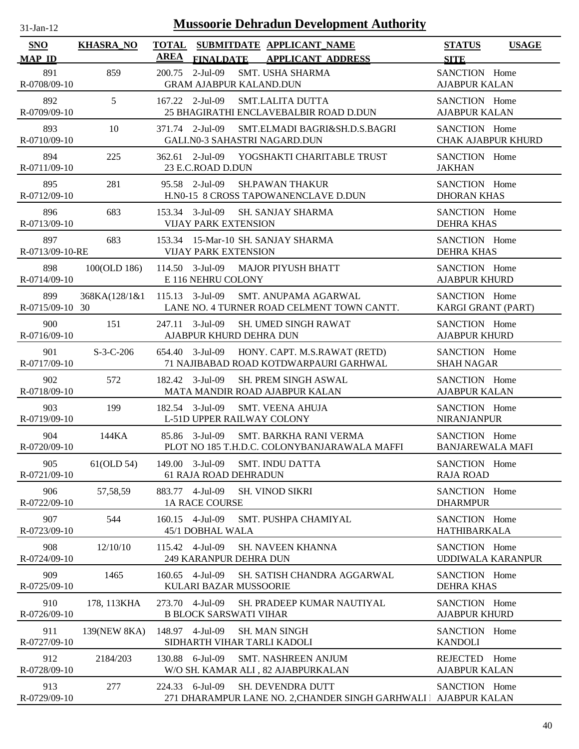| $31$ -Jan-12                | <b>Mussoorie Dehradun Development Authority</b> |                                                                                                            |                                              |  |  |  |
|-----------------------------|-------------------------------------------------|------------------------------------------------------------------------------------------------------------|----------------------------------------------|--|--|--|
| <b>SNO</b><br><b>MAP ID</b> | <b>KHASRA_NO</b>                                | <b>TOTAL</b><br>SUBMITDATE APPLICANT NAME<br><b>AREA</b><br><b>FINALDATE</b><br><b>APPLICANT ADDRESS</b>   | <b>STATUS</b><br><b>USAGE</b><br><b>SITE</b> |  |  |  |
| 891<br>R-0708/09-10         | 859                                             | $2-Jul-09$<br><b>SMT. USHA SHARMA</b><br>200.75<br><b>GRAM AJABPUR KALAND.DUN</b>                          | SANCTION Home<br><b>AJABPUR KALAN</b>        |  |  |  |
| 892<br>R-0709/09-10         | 5                                               | 167.22 2-Jul-09<br><b>SMT.LALITA DUTTA</b><br>25 BHAGIRATHI ENCLAVEBALBIR ROAD D.DUN                       | SANCTION Home<br><b>AJABPUR KALAN</b>        |  |  |  |
| 893<br>R-0710/09-10         | 10                                              | 371.74 2-Jul-09<br>SMT.ELMADI BAGRI&SH.D.S.BAGRI<br>GALI.N0-3 SAHASTRI NAGARD.DUN                          | SANCTION Home<br><b>CHAK AJABPUR KHURD</b>   |  |  |  |
| 894<br>R-0711/09-10         | 225                                             | 362.61 2-Jul-09<br>YOGSHAKTI CHARITABLE TRUST<br>23 E.C.ROAD D.DUN                                         | SANCTION Home<br><b>JAKHAN</b>               |  |  |  |
| 895<br>R-0712/09-10         | 281                                             | 95.58 2-Jul-09<br><b>SH.PAWAN THAKUR</b><br>H.N0-15 8 CROSS TAPOWANENCLAVE D.DUN                           | SANCTION Home<br><b>DHORAN KHAS</b>          |  |  |  |
| 896<br>R-0713/09-10         | 683                                             | 153.34 3-Jul-09<br>SH. SANJAY SHARMA<br><b>VIJAY PARK EXTENSION</b>                                        | SANCTION Home<br><b>DEHRA KHAS</b>           |  |  |  |
| 897<br>R-0713/09-10-RE      | 683                                             | 153.34 15-Mar-10 SH. SANJAY SHARMA<br><b>VIJAY PARK EXTENSION</b>                                          | SANCTION Home<br><b>DEHRA KHAS</b>           |  |  |  |
| 898<br>$R - 0714/09 - 10$   | 100(OLD 186)                                    | 114.50 3-Jul-09 MAJOR PIYUSH BHATT<br>E 116 NEHRU COLONY                                                   | SANCTION Home<br><b>AJABPUR KHURD</b>        |  |  |  |
| 899<br>R-0715/09-10 30      |                                                 | 368KA(128/1&1 115.13 3-Jul-09<br><b>SMT. ANUPAMA AGARWAL</b><br>LANE NO. 4 TURNER ROAD CELMENT TOWN CANTT. | SANCTION Home<br>KARGI GRANT (PART)          |  |  |  |
| 900<br>R-0716/09-10         | 151                                             | 247.11 3-Jul-09<br><b>SH. UMED SINGH RAWAT</b><br>AJABPUR KHURD DEHRA DUN                                  | SANCTION Home<br><b>AJABPUR KHURD</b>        |  |  |  |
| 901<br>R-0717/09-10         | $S-3-C-206$                                     | 654.40 3-Jul-09<br>HONY. CAPT. M.S.RAWAT (RETD)<br>71 NAJIBABAD ROAD KOTDWARPAURI GARHWAL                  | SANCTION Home<br><b>SHAH NAGAR</b>           |  |  |  |
| 902<br>R-0718/09-10         | 572                                             | 182.42 3-Jul-09<br><b>SH. PREM SINGH ASWAL</b><br>MATA MANDIR ROAD AJABPUR KALAN                           | SANCTION Home<br><b>AJABPUR KALAN</b>        |  |  |  |
| 903<br>R-0719/09-10         | 199                                             | 182.54 3-Jul-09<br><b>SMT. VEENA AHUJA</b><br>L-51D UPPER RAILWAY COLONY                                   | SANCTION Home<br><b>NIRANJANPUR</b>          |  |  |  |
| 904<br>R-0720/09-10         | 144KA                                           | 85.86 3-Jul-09<br>SMT. BARKHA RANI VERMA<br>PLOT NO 185 T.H.D.C. COLONYBANJARAWALA MAFFI                   | SANCTION Home<br><b>BANJAREWALA MAFI</b>     |  |  |  |
| 905<br>R-0721/09-10         | 61(OLD 54)                                      | 149.00 3-Jul-09<br><b>SMT. INDU DATTA</b><br>61 RAJA ROAD DEHRADUN                                         | SANCTION Home<br><b>RAJA ROAD</b>            |  |  |  |
| 906<br>R-0722/09-10         | 57,58,59                                        | 883.77 4-Jul-09<br><b>SH. VINOD SIKRI</b><br><b>1A RACE COURSE</b>                                         | SANCTION Home<br><b>DHARMPUR</b>             |  |  |  |
| 907<br>R-0723/09-10         | 544                                             | 160.15 4-Jul-09<br>SMT. PUSHPA CHAMIYAL<br>45/1 DOBHAL WALA                                                | SANCTION Home<br><b>HATHIBARKALA</b>         |  |  |  |
| 908<br>R-0724/09-10         | 12/10/10                                        | 115.42 4-Jul-09<br><b>SH. NAVEEN KHANNA</b><br>249 KARANPUR DEHRA DUN                                      | SANCTION Home<br><b>UDDIWALA KARANPUR</b>    |  |  |  |
| 909<br>R-0725/09-10         | 1465                                            | $160.65$ 4-Jul-09<br>SH. SATISH CHANDRA AGGARWAL<br>KULARI BAZAR MUSSOORIE                                 | SANCTION Home<br><b>DEHRA KHAS</b>           |  |  |  |
| 910<br>R-0726/09-10         | 178, 113KHA                                     | 273.70 4-Jul-09<br><b>SH. PRADEEP KUMAR NAUTIYAL</b><br><b>B BLOCK SARSWATI VIHAR</b>                      | SANCTION Home<br><b>AJABPUR KHURD</b>        |  |  |  |
| 911<br>R-0727/09-10         | 139(NEW 8KA)                                    | 148.97 4-Jul-09<br><b>SH. MAN SINGH</b><br>SIDHARTH VIHAR TARLI KADOLI                                     | SANCTION Home<br><b>KANDOLI</b>              |  |  |  |
| 912<br>R-0728/09-10         | 2184/203                                        | 130.88 6-Jul-09<br><b>SMT. NASHREEN ANJUM</b><br>W/O SH. KAMAR ALI, 82 AJABPURKALAN                        | REJECTED Home<br><b>AJABPUR KALAN</b>        |  |  |  |
| 913<br>R-0729/09-10         | 277                                             | 224.33 6-Jul-09<br>SH. DEVENDRA DUTT<br>271 DHARAMPUR LANE NO. 2, CHANDER SINGH GARHWALI   AJABPUR KALAN   | SANCTION Home                                |  |  |  |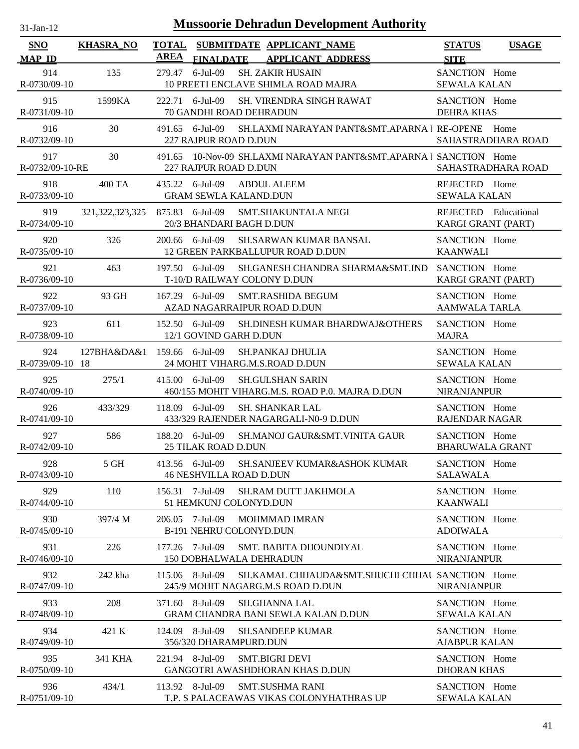| $31$ -Jan-12              | <b>Mussoorie Dehradun Development Authority</b> |                                                                                                          |                                              |  |  |  |
|---------------------------|-------------------------------------------------|----------------------------------------------------------------------------------------------------------|----------------------------------------------|--|--|--|
| SNO<br><b>MAP ID</b>      | <b>KHASRA_NO</b>                                | <b>TOTAL</b><br>SUBMITDATE APPLICANT_NAME<br><b>AREA</b><br><b>FINALDATE</b><br><b>APPLICANT ADDRESS</b> | <b>STATUS</b><br><b>USAGE</b><br><b>SITE</b> |  |  |  |
| 914<br>R-0730/09-10       | 135                                             | $6$ -Jul-09<br>279.47<br><b>SH. ZAKIR HUSAIN</b><br>10 PREETI ENCLAVE SHIMLA ROAD MAJRA                  | SANCTION Home<br><b>SEWALA KALAN</b>         |  |  |  |
| 915<br>R-0731/09-10       | 1599KA                                          | 222.71 6-Jul-09<br><b>SH. VIRENDRA SINGH RAWAT</b><br><b>70 GANDHI ROAD DEHRADUN</b>                     | SANCTION Home<br><b>DEHRA KHAS</b>           |  |  |  |
| 916<br>R-0732/09-10       | 30                                              | 491.65 6-Jul-09<br>SH.LAXMI NARAYAN PANT&SMT.APARNA I RE-OPENE Home<br>227 RAJPUR ROAD D.DUN             | SAHASTRADHARA ROAD                           |  |  |  |
| 917<br>R-0732/09-10-RE    | 30                                              | 491.65 10-Nov-09 SH.LAXMI NARAYAN PANT&SMT.APARNA I SANCTION Home<br>227 RAJPUR ROAD D.DUN               | SAHASTRADHARA ROAD                           |  |  |  |
| 918<br>R-0733/09-10       | <b>400 TA</b>                                   | 435.22 6-Jul-09<br><b>ABDUL ALEEM</b><br><b>GRAM SEWLA KALAND.DUN</b>                                    | REJECTED Home<br><b>SEWALA KALAN</b>         |  |  |  |
| 919<br>R-0734/09-10       | 321, 322, 323, 325                              | 875.83 6-Jul-09<br><b>SMT.SHAKUNTALA NEGI</b><br>20/3 BHANDARI BAGH D.DUN                                | REJECTED Educational<br>KARGI GRANT (PART)   |  |  |  |
| 920<br>R-0735/09-10       | 326                                             | <b>SH.SARWAN KUMAR BANSAL</b><br>200.66 6-Jul-09<br>12 GREEN PARKBALLUPUR ROAD D.DUN                     | SANCTION Home<br><b>KAANWALI</b>             |  |  |  |
| 921<br>R-0736/09-10       | 463                                             | SH.GANESH CHANDRA SHARMA&SMT.IND<br>197.50 6-Jul-09<br>T-10/D RAILWAY COLONY D.DUN                       | SANCTION Home<br>KARGI GRANT (PART)          |  |  |  |
| 922<br>R-0737/09-10       | 93 GH                                           | $167.29$ 6-Jul-09<br><b>SMT.RASHIDA BEGUM</b><br>AZAD NAGARRAIPUR ROAD D.DUN                             | SANCTION Home<br><b>AAMWALA TARLA</b>        |  |  |  |
| 923<br>R-0738/09-10       | 611                                             | 152.50 6-Jul-09<br><b>SH.DINESH KUMAR BHARDWAJ&amp;OTHERS</b><br>12/1 GOVIND GARH D.DUN                  | SANCTION Home<br><b>MAJRA</b>                |  |  |  |
| 924<br>R-0739/09-10 18    | 127BHA&DA&1                                     | 159.66 6-Jul-09<br><b>SH.PANKAJ DHULIA</b><br>24 MOHIT VIHARG.M.S.ROAD D.DUN                             | SANCTION Home<br><b>SEWALA KALAN</b>         |  |  |  |
| 925<br>R-0740/09-10       | 275/1                                           | 415.00 6-Jul-09<br><b>SH.GULSHAN SARIN</b><br>460/155 MOHIT VIHARG.M.S. ROAD P.0. MAJRA D.DUN            | SANCTION Home<br><b>NIRANJANPUR</b>          |  |  |  |
| 926<br>R-0741/09-10       | 433/329                                         | 118.09 6-Jul-09<br><b>SH. SHANKAR LAL</b><br>433/329 RAJENDER NAGARGALI-N0-9 D.DUN                       | SANCTION Home<br>RAJENDAR NAGAR              |  |  |  |
| 927<br>R-0742/09-10       | 586                                             | 188.20 6-Jul-09<br>SH.MANOJ GAUR&SMT.VINITA GAUR<br><b>25 TILAK ROAD D.DUN</b>                           | SANCTION Home<br><b>BHARUWALA GRANT</b>      |  |  |  |
| 928<br>R-0743/09-10       | 5 GH                                            | 413.56 6-Jul-09<br><b>SH.SANJEEV KUMAR&amp;ASHOK KUMAR</b><br><b>46 NESHVILLA ROAD D.DUN</b>             | SANCTION Home<br><b>SALAWALA</b>             |  |  |  |
| 929<br>R-0744/09-10       | 110                                             | 156.31 7-Jul-09<br>SH.RAM DUTT JAKHMOLA<br>51 HEMKUNJ COLONYD.DUN                                        | SANCTION Home<br><b>KAANWALI</b>             |  |  |  |
| 930<br>R-0745/09-10       | 397/4 M                                         | 7-Jul-09<br><b>MOHMMAD IMRAN</b><br>206.05<br><b>B-191 NEHRU COLONYD.DUN</b>                             | SANCTION Home<br><b>ADOIWALA</b>             |  |  |  |
| 931<br>R-0746/09-10       | 226                                             | 177.26 7-Jul-09<br><b>SMT. BABITA DHOUNDIYAL</b><br><b>150 DOBHALWALA DEHRADUN</b>                       | SANCTION Home<br><b>NIRANJANPUR</b>          |  |  |  |
| 932<br>R-0747/09-10       | 242 kha                                         | 115.06 8-Jul-09<br>SH.KAMAL CHHAUDA&SMT.SHUCHI CHHAU SANCTION Home<br>245/9 MOHIT NAGARG.M.S ROAD D.DUN  | <b>NIRANJANPUR</b>                           |  |  |  |
| 933<br>R-0748/09-10       | 208                                             | 371.60 8-Jul-09<br><b>SH.GHANNA LAL</b><br><b>GRAM CHANDRA BANI SEWLA KALAN D.DUN</b>                    | SANCTION Home<br><b>SEWALA KALAN</b>         |  |  |  |
| 934<br>R-0749/09-10       | 421 K                                           | 124.09 8-Jul-09<br><b>SH.SANDEEP KUMAR</b><br>356/320 DHARAMPURD.DUN                                     | SANCTION Home<br><b>AJABPUR KALAN</b>        |  |  |  |
| 935<br>$R - 0750/09 - 10$ | 341 KHA                                         | 221.94 8-Jul-09<br><b>SMT.BIGRI DEVI</b><br>GANGOTRI AWASHDHORAN KHAS D.DUN                              | SANCTION Home<br><b>DHORAN KHAS</b>          |  |  |  |
| 936<br>R-0751/09-10       | 434/1                                           | 113.92 8-Jul-09<br><b>SMT.SUSHMA RANI</b><br>T.P. S PALACEAWAS VIKAS COLONYHATHRAS UP                    | SANCTION Home<br><b>SEWALA KALAN</b>         |  |  |  |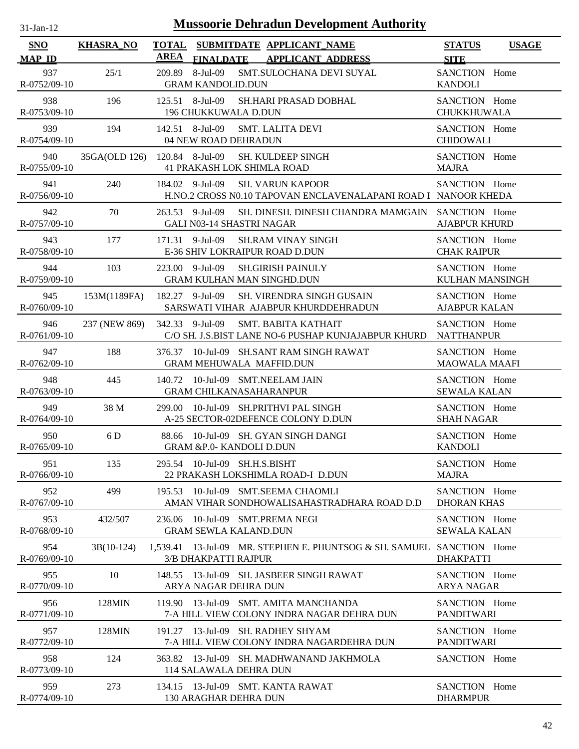| <b>Mussoorie Dehradun Development Authority</b><br>$31-Jan-12$ |                  |                             |                                                                                                              |                                         |              |
|----------------------------------------------------------------|------------------|-----------------------------|--------------------------------------------------------------------------------------------------------------|-----------------------------------------|--------------|
| <b>SNO</b><br><b>MAP ID</b>                                    | <b>KHASRA_NO</b> | <b>TOTAL</b><br><b>AREA</b> | SUBMITDATE APPLICANT_NAME<br><b>FINALDATE</b><br><b>APPLICANT ADDRESS</b>                                    | <b>STATUS</b><br><b>SITE</b>            | <b>USAGE</b> |
| 937<br>R-0752/09-10                                            | 25/1             | 209.89                      | 8-Jul-09<br>SMT.SULOCHANA DEVI SUYAL<br><b>GRAM KANDOLID.DUN</b>                                             | SANCTION Home<br><b>KANDOLI</b>         |              |
| 938<br>R-0753/09-10                                            | 196              |                             | 125.51 8-Jul-09<br>SH.HARI PRASAD DOBHAL<br>196 CHUKKUWALA D.DUN                                             | SANCTION Home<br>CHUKKHUWALA            |              |
| 939<br>R-0754/09-10                                            | 194              |                             | 142.51 8-Jul-09<br><b>SMT. LALITA DEVI</b><br>04 NEW ROAD DEHRADUN                                           | SANCTION Home<br><b>CHIDOWALI</b>       |              |
| 940<br>R-0755/09-10                                            | 35GA(OLD 126)    |                             | 120.84 8-Jul-09<br><b>SH. KULDEEP SINGH</b><br><b>41 PRAKASH LOK SHIMLA ROAD</b>                             | SANCTION Home<br><b>MAJRA</b>           |              |
| 941<br>R-0756/09-10                                            | 240              |                             | 184.02 9-Jul-09<br><b>SH. VARUN KAPOOR</b><br>H.NO.2 CROSS N0.10 TAPOVAN ENCLAVENALAPANI ROAD I NANOOR KHEDA | SANCTION Home                           |              |
| 942<br>R-0757/09-10                                            | 70               | 263.53                      | 9-Jul-09<br>SH. DINESH. DINESH CHANDRA MAMGAIN<br><b>GALI N03-14 SHASTRI NAGAR</b>                           | SANCTION Home<br><b>AJABPUR KHURD</b>   |              |
| 943<br>R-0758/09-10                                            | 177              |                             | 171.31 9-Jul-09<br><b>SH.RAM VINAY SINGH</b><br>E-36 SHIV LOKRAIPUR ROAD D.DUN                               | SANCTION Home<br><b>CHAK RAIPUR</b>     |              |
| 944<br>R-0759/09-10                                            | 103              |                             | 223.00 9-Jul-09<br><b>SH.GIRISH PAINULY</b><br><b>GRAM KULHAN MAN SINGHD.DUN</b>                             | SANCTION Home<br><b>KULHAN MANSINGH</b> |              |
| 945<br>R-0760/09-10                                            | 153M(1189FA)     |                             | 182.27 9-Jul-09<br><b>SH. VIRENDRA SINGH GUSAIN</b><br>SARSWATI VIHAR AJABPUR KHURDDEHRADUN                  | SANCTION Home<br><b>AJABPUR KALAN</b>   |              |
| 946<br>R-0761/09-10                                            | 237 (NEW 869)    |                             | 342.33 9-Jul-09<br>SMT. BABITA KATHAIT<br>C/O SH. J.S.BIST LANE NO-6 PUSHAP KUNJAJABPUR KHURD                | SANCTION Home<br><b>NATTHANPUR</b>      |              |
| 947<br>R-0762/09-10                                            | 188              |                             | 376.37 10-Jul-09 SH.SANT RAM SINGH RAWAT<br><b>GRAM MEHUWALA MAFFID.DUN</b>                                  | SANCTION Home<br><b>MAOWALA MAAFI</b>   |              |
| 948<br>R-0763/09-10                                            | 445              | 140.72                      | 10-Jul-09 SMT.NEELAM JAIN<br><b>GRAM CHILKANASAHARANPUR</b>                                                  | SANCTION Home<br><b>SEWALA KALAN</b>    |              |
| 949<br>R-0764/09-10                                            | 38 M             | 299.00                      | 10-Jul-09 SH.PRITHVI PAL SINGH<br>A-25 SECTOR-02DEFENCE COLONY D.DUN                                         | SANCTION Home<br><b>SHAH NAGAR</b>      |              |
| 950<br>R-0765/09-10                                            | 6 D              |                             | 88.66 10-Jul-09 SH. GYAN SINGH DANGI<br><b>GRAM &amp;P.0- KANDOLI D.DUN</b>                                  | SANCTION Home<br><b>KANDOLI</b>         |              |
| 951<br>R-0766/09-10                                            | 135              |                             | 295.54 10-Jul-09 SH.H.S.BISHT<br>22 PRAKASH LOKSHIMLA ROAD-I D.DUN                                           | SANCTION Home<br><b>MAJRA</b>           |              |
| 952<br>R-0767/09-10                                            | 499              |                             | 195.53 10-Jul-09 SMT.SEEMA CHAOMLI<br>AMAN VIHAR SONDHOWALISAHASTRADHARA ROAD D.D                            | SANCTION Home<br><b>DHORAN KHAS</b>     |              |
| 953<br>R-0768/09-10                                            | 432/507          |                             | 236.06 10-Jul-09 SMT.PREMA NEGI<br><b>GRAM SEWLA KALAND.DUN</b>                                              | SANCTION Home<br><b>SEWALA KALAN</b>    |              |
| 954<br>R-0769/09-10                                            | $3B(10-124)$     |                             | 1,539.41 13-Jul-09 MR. STEPHEN E. PHUNTSOG & SH. SAMUEL SANCTION Home<br>3/B DHAKPATTI RAJPUR                | <b>DHAKPATTI</b>                        |              |
| 955<br>R-0770/09-10                                            | 10               | 148.55                      | 13-Jul-09 SH. JASBEER SINGH RAWAT<br>ARYA NAGAR DEHRA DUN                                                    | SANCTION Home<br><b>ARYA NAGAR</b>      |              |
| 956<br>R-0771/09-10                                            | 128MIN           |                             | 119.90 13-Jul-09 SMT. AMITA MANCHANDA<br>7-A HILL VIEW COLONY INDRA NAGAR DEHRA DUN                          | SANCTION Home<br><b>PANDITWARI</b>      |              |
| 957<br>R-0772/09-10                                            | 128MIN           |                             | 191.27 13-Jul-09 SH. RADHEY SHYAM<br>7-A HILL VIEW COLONY INDRA NAGARDEHRA DUN                               | SANCTION Home<br>PANDITWARI             |              |
| 958<br>R-0773/09-10                                            | 124              |                             | 363.82 13-Jul-09 SH. MADHWANAND JAKHMOLA<br>114 SALAWALA DEHRA DUN                                           | SANCTION Home                           |              |
| 959<br>R-0774/09-10                                            | 273              |                             | 134.15 13-Jul-09 SMT. KANTA RAWAT<br>130 ARAGHAR DEHRA DUN                                                   | SANCTION Home<br><b>DHARMPUR</b>        |              |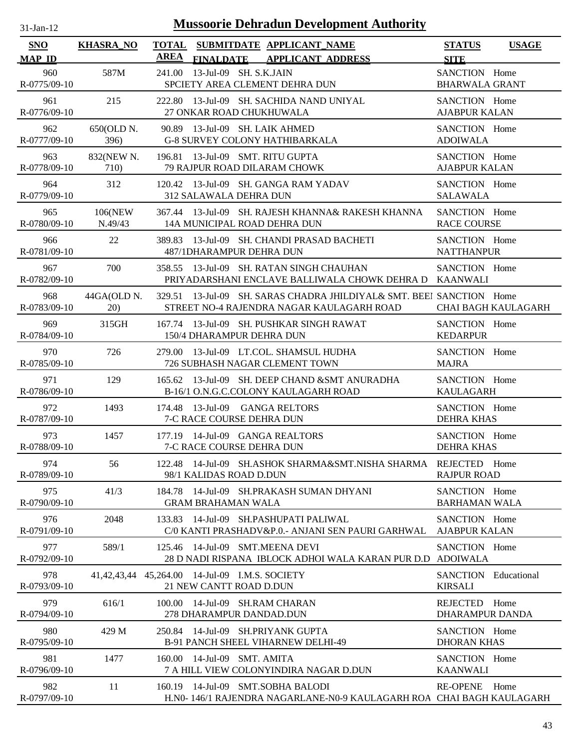| <b>Mussoorie Dehradun Development Authority</b><br>31-Jan-12 |                    |                                                                                                                      |                                        |                            |  |
|--------------------------------------------------------------|--------------------|----------------------------------------------------------------------------------------------------------------------|----------------------------------------|----------------------------|--|
| <b>SNO</b><br><b>MAP ID</b>                                  | <b>KHASRA_NO</b>   | <b>TOTAL</b><br>SUBMITDATE APPLICANT NAME<br><b>AREA</b><br><b>FINALDATE APPLICANT ADDRESS</b>                       | <b>STATUS</b><br><b>SITE</b>           | <b>USAGE</b>               |  |
| 960<br>R-0775/09-10                                          | 587M               | 13-Jul-09 SH. S.K.JAIN<br>241.00<br>SPCIETY AREA CLEMENT DEHRA DUN                                                   | SANCTION Home<br><b>BHARWALA GRANT</b> |                            |  |
| 961<br>R-0776/09-10                                          | 215                | 222.80 13-Jul-09 SH. SACHIDA NAND UNIYAL<br>27 ONKAR ROAD CHUKHUWALA                                                 | SANCTION Home<br><b>AJABPUR KALAN</b>  |                            |  |
| 962<br>R-0777/09-10                                          | 650(OLD N.<br>396) | 90.89 13-Jul-09 SH. LAIK AHMED<br><b>G-8 SURVEY COLONY HATHIBARKALA</b>                                              | SANCTION Home<br><b>ADOIWALA</b>       |                            |  |
| 963<br>R-0778/09-10                                          | 832(NEW N.<br>710) | 196.81 13-Jul-09 SMT. RITU GUPTA<br>79 RAJPUR ROAD DILARAM CHOWK                                                     | SANCTION Home<br><b>AJABPUR KALAN</b>  |                            |  |
| 964<br>R-0779/09-10                                          | 312                | 120.42 13-Jul-09 SH. GANGA RAM YADAV<br><b>312 SALAWALA DEHRA DUN</b>                                                | SANCTION Home<br><b>SALAWALA</b>       |                            |  |
| 965<br>R-0780/09-10                                          | 106(NEW<br>N.49/43 | 367.44 13-Jul-09 SH, RAJESH KHANNA& RAKESH KHANNA<br>14A MUNICIPAL ROAD DEHRA DUN                                    | SANCTION Home<br><b>RACE COURSE</b>    |                            |  |
| 966<br>R-0781/09-10                                          | 22                 | 13-Jul-09 SH. CHANDI PRASAD BACHETI<br>389.83<br>487/1DHARAMPUR DEHRA DUN                                            | SANCTION Home<br><b>NATTHANPUR</b>     |                            |  |
| 967<br>R-0782/09-10                                          | 700                | 13-Jul-09 SH. RATAN SINGH CHAUHAN<br>358.55<br>PRIYADARSHANI ENCLAVE BALLIWALA CHOWK DEHRA D                         | SANCTION Home<br><b>KAANWALI</b>       |                            |  |
| 968<br>R-0783/09-10                                          | 44GA(OLD N.<br>20) | 13-Jul-09 SH. SARAS CHADRA JHILDIYAL& SMT. BEEI SANCTION Home<br>329.51<br>STREET NO-4 RAJENDRA NAGAR KAULAGARH ROAD |                                        | <b>CHAI BAGH KAULAGARH</b> |  |
| 969<br>R-0784/09-10                                          | 315GH              | 13-Jul-09 SH. PUSHKAR SINGH RAWAT<br>167.74<br>150/4 DHARAMPUR DEHRA DUN                                             | SANCTION Home<br><b>KEDARPUR</b>       |                            |  |
| 970<br>R-0785/09-10                                          | 726                | 13-Jul-09 LT.COL. SHAMSUL HUDHA<br>279.00<br>726 SUBHASH NAGAR CLEMENT TOWN                                          | SANCTION Home<br><b>MAJRA</b>          |                            |  |
| 971<br>R-0786/09-10                                          | 129                | 13-Jul-09 SH, DEEP CHAND & SMT ANURADHA<br>165.62<br>B-16/1 O.N.G.C.COLONY KAULAGARH ROAD                            | SANCTION Home<br><b>KAULAGARH</b>      |                            |  |
| 972<br>R-0787/09-10                                          | 1493               | 13-Jul-09 GANGA RELTORS<br>174.48<br>7-C RACE COURSE DEHRA DUN                                                       | SANCTION Home<br><b>DEHRA KHAS</b>     |                            |  |
| 973<br>R-0788/09-10                                          | 1457               | 177.19 14-Jul-09 GANGA REALTORS<br><b>7-C RACE COURSE DEHRA DUN</b>                                                  | SANCTION Home<br><b>DEHRA KHAS</b>     |                            |  |
| 974<br>R-0789/09-10                                          | 56                 | 122.48 14-Jul-09 SH.ASHOK SHARMA&SMT.NISHA SHARMA<br>98/1 KALIDAS ROAD D.DUN                                         | REJECTED Home<br><b>RAJPUR ROAD</b>    |                            |  |
| 975<br>R-0790/09-10                                          | 41/3               | 14-Jul-09 SH.PRAKASH SUMAN DHYANI<br>184.78<br><b>GRAM BRAHAMAN WALA</b>                                             | SANCTION Home<br><b>BARHAMAN WALA</b>  |                            |  |
| 976<br>R-0791/09-10                                          | 2048               | 133.83 14-Jul-09 SH.PASHUPATI PALIWAL<br>C/0 KANTI PRASHADV&P.0.- ANJANI SEN PAURI GARHWAL                           | SANCTION Home<br><b>AJABPUR KALAN</b>  |                            |  |
| 977<br>R-0792/09-10                                          | 589/1              | 14-Jul-09 SMT.MEENA DEVI<br>125.46<br>28 D NADI RISPANA IBLOCK ADHOI WALA KARAN PUR D.D                              | SANCTION Home<br><b>ADOIWALA</b>       |                            |  |
| 978<br>R-0793/09-10                                          | 41,42,43,44        | 45,264.00 14-Jul-09 I.M.S. SOCIETY<br>21 NEW CANTT ROAD D.DUN                                                        | SANCTION Educational<br><b>KIRSALI</b> |                            |  |
| 979<br>R-0794/09-10                                          | 616/1              | 14-Jul-09 SH.RAM CHARAN<br>100.00<br>278 DHARAMPUR DANDAD.DUN                                                        | REJECTED<br><b>DHARAMPUR DANDA</b>     | Home                       |  |
| 980<br>R-0795/09-10                                          | 429 M              | 14-Jul-09 SH.PRIYANK GUPTA<br>250.84<br><b>B-91 PANCH SHEEL VIHARNEW DELHI-49</b>                                    | SANCTION Home<br><b>DHORAN KHAS</b>    |                            |  |
| 981<br>R-0796/09-10                                          | 1477               | 14-Jul-09 SMT. AMITA<br>160.00<br>7 A HILL VIEW COLONYINDIRA NAGAR D.DUN                                             | SANCTION Home<br><b>KAANWALI</b>       |                            |  |
| 982<br>R-0797/09-10                                          | 11                 | 14-Jul-09 SMT.SOBHA BALODI<br>160.19<br>H.N0-146/1 RAJENDRA NAGARLANE-N0-9 KAULAGARH ROA CHAI BAGH KAULAGARH         | RE-OPENE Home                          |                            |  |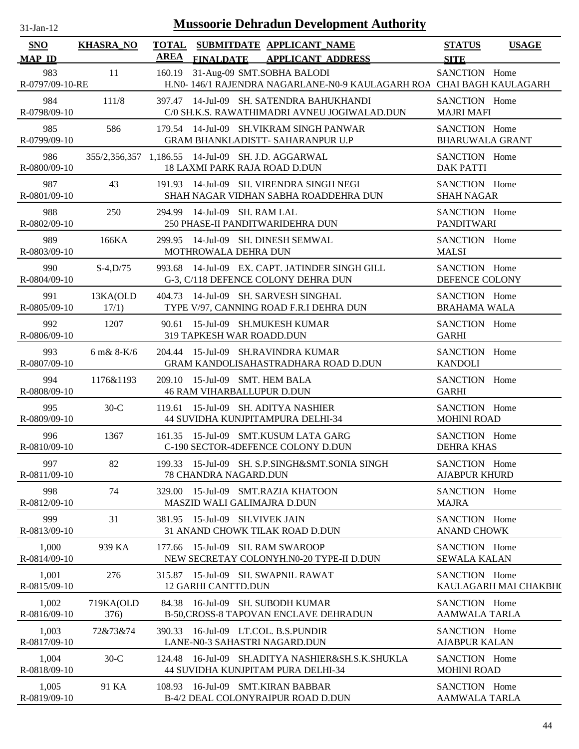| $31$ -Jan-12                |                                  |                      | <b>Mussoorie Dehradun Development Authority</b>                                                     |                                         |                       |
|-----------------------------|----------------------------------|----------------------|-----------------------------------------------------------------------------------------------------|-----------------------------------------|-----------------------|
| <b>SNO</b><br><b>MAP ID</b> | <b>KHASRA_NO</b>                 | <b>TOTAL</b><br>AREA | SUBMITDATE APPLICANT_NAME<br>FINALDATE APPLICANT ADDRESS                                            | <b>STATUS</b><br><b>SITE</b>            | <b>USAGE</b>          |
| 983<br>R-0797/09-10-RE      | 11                               | 160.19               | 31-Aug-09 SMT.SOBHA BALODI<br>H.N0- 146/1 RAJENDRA NAGARLANE-N0-9 KAULAGARH ROA CHAI BAGH KAULAGARH | SANCTION Home                           |                       |
| 984<br>R-0798/09-10         | 111/8                            |                      | 397.47 14-Jul-09 SH. SATENDRA BAHUKHANDI<br>C/0 SH.K.S. RAWATHIMADRI AVNEU JOGIWALAD.DUN            | SANCTION Home<br><b>MAJRI MAFI</b>      |                       |
| 985<br>R-0799/09-10         | 586                              |                      | 179.54 14-Jul-09 SH. VIKRAM SINGH PANWAR<br>GRAM BHANKLADISTT- SAHARANPUR U.P                       | SANCTION Home<br><b>BHARUWALA GRANT</b> |                       |
| 986<br>R-0800/09-10         |                                  |                      | 355/2,356,357 1,186.55 14-Jul-09 SH. J.D. AGGARWAL<br>18 LAXMI PARK RAJA ROAD D.DUN                 | SANCTION Home<br><b>DAK PATTI</b>       |                       |
| 987<br>R-0801/09-10         | 43                               |                      | 191.93 14-Jul-09 SH. VIRENDRA SINGH NEGI<br>SHAH NAGAR VIDHAN SABHA ROADDEHRA DUN                   | SANCTION Home<br><b>SHAH NAGAR</b>      |                       |
| 988<br>R-0802/09-10         | 250                              |                      | 294.99 14-Jul-09 SH. RAM LAL<br>250 PHASE-II PANDITWARIDEHRA DUN                                    | SANCTION Home<br><b>PANDITWARI</b>      |                       |
| 989<br>R-0803/09-10         | 166KA                            |                      | 299.95 14-Jul-09 SH. DINESH SEMWAL<br>MOTHROWALA DEHRA DUN                                          | SANCTION Home<br><b>MALSI</b>           |                       |
| 990<br>R-0804/09-10         | $S-4, D/75$                      |                      | 993.68 14-Jul-09 EX. CAPT. JATINDER SINGH GILL<br>G-3, C/118 DEFENCE COLONY DEHRA DUN               | SANCTION Home<br>DEFENCE COLONY         |                       |
| 991<br>R-0805/09-10         | 13KA(OLD<br>17/1)                |                      | 404.73 14-Jul-09 SH. SARVESH SINGHAL<br>TYPE V/97, CANNING ROAD F.R.I DEHRA DUN                     | SANCTION Home<br><b>BRAHAMA WALA</b>    |                       |
| 992<br>R-0806/09-10         | 1207                             |                      | 90.61 15-Jul-09 SH.MUKESH KUMAR<br>319 TAPKESH WAR ROADD.DUN                                        | SANCTION Home<br><b>GARHI</b>           |                       |
| 993<br>R-0807/09-10         | $6 \text{ m} \& 8 \text{ K} / 6$ |                      | 204.44 15-Jul-09 SH.RAVINDRA KUMAR<br><b>GRAM KANDOLISAHASTRADHARA ROAD D.DUN</b>                   | SANCTION Home<br><b>KANDOLI</b>         |                       |
| 994<br>R-0808/09-10         | 1176&1193                        |                      | 209.10 15-Jul-09 SMT. HEM BALA<br><b>46 RAM VIHARBALLUPUR D.DUN</b>                                 | SANCTION Home<br><b>GARHI</b>           |                       |
| 995<br>R-0809/09-10         | $30-C$                           |                      | 119.61 15-Jul-09 SH. ADITYA NASHIER<br>44 SUVIDHA KUNJPITAMPURA DELHI-34                            | SANCTION Home<br><b>MOHINI ROAD</b>     |                       |
| 996<br>R-0810/09-10         | 1367                             |                      | 161.35 15-Jul-09 SMT.KUSUM LATA GARG<br>C-190 SECTOR-4DEFENCE COLONY D.DUN                          | SANCTION Home<br><b>DEHRA KHAS</b>      |                       |
| 997<br>R-0811/09-10         | 82                               |                      | 199.33 15-Jul-09 SH. S.P.SINGH&SMT.SONIA SINGH<br>78 CHANDRA NAGARD.DUN                             | SANCTION Home<br><b>AJABPUR KHURD</b>   |                       |
| 998<br>R-0812/09-10         | 74                               |                      | 329.00 15-Jul-09 SMT.RAZIA KHATOON<br>MASZID WALI GALIMAJRA D.DUN                                   | SANCTION Home<br><b>MAJRA</b>           |                       |
| 999<br>R-0813/09-10         | 31                               |                      | 381.95 15-Jul-09 SH. VIVEK JAIN<br>31 ANAND CHOWK TILAK ROAD D.DUN                                  | SANCTION Home<br><b>ANAND CHOWK</b>     |                       |
| 1,000<br>R-0814/09-10       | 939 KA                           |                      | 177.66 15-Jul-09 SH. RAM SWAROOP<br>NEW SECRETAY COLONYH.N0-20 TYPE-II D.DUN                        | SANCTION Home<br><b>SEWALA KALAN</b>    |                       |
| 1,001<br>R-0815/09-10       | 276                              |                      | 315.87 15-Jul-09 SH. SWAPNIL RAWAT<br>12 GARHI CANTTD.DUN                                           | SANCTION Home                           | KAULAGARH MAI CHAKBH( |
| 1,002<br>R-0816/09-10       | 719KA(OLD<br>376)                |                      | 84.38 16-Jul-09 SH. SUBODH KUMAR<br>B-50, CROSS-8 TAPOVAN ENCLAVE DEHRADUN                          | SANCTION Home<br><b>AAMWALA TARLA</b>   |                       |
| 1,003<br>R-0817/09-10       | 72&73&74                         |                      | 390.33 16-Jul-09 LT.COL. B.S.PUNDIR<br>LANE-N0-3 SAHASTRI NAGARD.DUN                                | SANCTION Home<br><b>AJABPUR KALAN</b>   |                       |
| 1,004<br>R-0818/09-10       | $30-C$                           | 124.48               | 16-Jul-09 SH.ADITYA NASHIER&SH.S.K.SHUKLA<br>44 SUVIDHA KUNJPITAM PURA DELHI-34                     | SANCTION Home<br><b>MOHINI ROAD</b>     |                       |
| 1,005<br>R-0819/09-10       | 91 KA                            |                      | 108.93 16-Jul-09 SMT.KIRAN BABBAR<br>B-4/2 DEAL COLONYRAIPUR ROAD D.DUN                             | SANCTION Home<br>AAMWALA TARLA          |                       |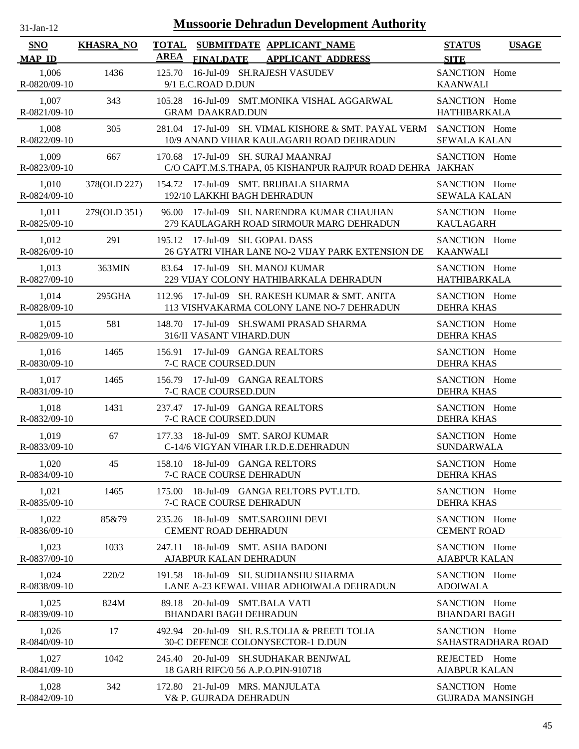| <b>Mussoorie Dehradun Development Authority</b><br>$31$ -Jan-12 |                  |                                                                                                          |                                              |  |  |
|-----------------------------------------------------------------|------------------|----------------------------------------------------------------------------------------------------------|----------------------------------------------|--|--|
| SNO<br><b>MAP ID</b>                                            | <b>KHASRA_NO</b> | <b>TOTAL</b><br>SUBMITDATE APPLICANT_NAME<br><b>AREA</b><br><b>FINALDATE</b><br><b>APPLICANT ADDRESS</b> | <b>STATUS</b><br><b>USAGE</b><br><b>SITE</b> |  |  |
| 1,006<br>R-0820/09-10                                           | 1436             | 16-Jul-09 SH.RAJESH VASUDEV<br>125.70<br>9/1 E.C.ROAD D.DUN                                              | SANCTION Home<br><b>KAANWALI</b>             |  |  |
| 1,007                                                           | 343              | 105.28 16-Jul-09 SMT.MONIKA VISHAL AGGARWAL                                                              | SANCTION Home                                |  |  |
| R-0821/09-10                                                    |                  | <b>GRAM DAAKRAD.DUN</b>                                                                                  | <b>HATHIBARKALA</b>                          |  |  |
| 1,008                                                           | 305              | 281.04 17-Jul-09 SH. VIMAL KISHORE & SMT. PAYAL VERM                                                     | SANCTION Home                                |  |  |
| R-0822/09-10                                                    |                  | 10/9 ANAND VIHAR KAULAGARH ROAD DEHRADUN                                                                 | <b>SEWALA KALAN</b>                          |  |  |
| 1,009<br>R-0823/09-10                                           | 667              | 170.68 17-Jul-09 SH. SURAJ MAANRAJ<br>C/O CAPT.M.S.THAPA, 05 KISHANPUR RAJPUR ROAD DEHRA JAKHAN          | SANCTION Home                                |  |  |
| 1,010                                                           | 378(OLD 227)     | 154.72 17-Jul-09 SMT. BRIJBALA SHARMA                                                                    | SANCTION Home                                |  |  |
| R-0824/09-10                                                    |                  | 192/10 LAKKHI BAGH DEHRADUN                                                                              | <b>SEWALA KALAN</b>                          |  |  |
| 1,011                                                           | 279(OLD 351)     | 96.00 17-Jul-09 SH, NARENDRA KUMAR CHAUHAN                                                               | SANCTION Home                                |  |  |
| R-0825/09-10                                                    |                  | 279 KAULAGARH ROAD SIRMOUR MARG DEHRADUN                                                                 | <b>KAULAGARH</b>                             |  |  |
| 1,012                                                           | 291              | 195.12 17-Jul-09 SH, GOPAL DASS                                                                          | SANCTION Home                                |  |  |
| R-0826/09-10                                                    |                  | 26 GYATRI VIHAR LANE NO-2 VIJAY PARK EXTENSION DE                                                        | <b>KAANWALI</b>                              |  |  |
| 1,013<br>R-0827/09-10                                           | 363MIN           | 83.64<br>17-Jul-09 SH, MANOJ KUMAR<br>229 VIJAY COLONY HATHIBARKALA DEHRADUN                             | SANCTION Home<br><b>HATHIBARKALA</b>         |  |  |
| 1,014                                                           | 295GHA           | 112.96 17-Jul-09 SH, RAKESH KUMAR & SMT, ANITA                                                           | SANCTION Home                                |  |  |
| R-0828/09-10                                                    |                  | 113 VISHVAKARMA COLONY LANE NO-7 DEHRADUN                                                                | <b>DEHRA KHAS</b>                            |  |  |
| 1,015                                                           | 581              | 148.70 17-Jul-09 SH.SWAMI PRASAD SHARMA                                                                  | SANCTION Home                                |  |  |
| R-0829/09-10                                                    |                  | 316/II VASANT VIHARD.DUN                                                                                 | <b>DEHRA KHAS</b>                            |  |  |
| 1,016                                                           | 1465             | 156.91 17-Jul-09 GANGA REALTORS                                                                          | SANCTION Home                                |  |  |
| R-0830/09-10                                                    |                  | 7-C RACE COURSED.DUN                                                                                     | <b>DEHRA KHAS</b>                            |  |  |
| 1,017                                                           | 1465             | 156.79 17-Jul-09 GANGA REALTORS                                                                          | SANCTION Home                                |  |  |
| R-0831/09-10                                                    |                  | 7-C RACE COURSED.DUN                                                                                     | <b>DEHRA KHAS</b>                            |  |  |
| 1,018                                                           | 1431             | 237.47 17-Jul-09 GANGA REALTORS                                                                          | SANCTION Home                                |  |  |
| R-0832/09-10                                                    |                  | 7-C RACE COURSED.DUN                                                                                     | <b>DEHRA KHAS</b>                            |  |  |
| 1,019                                                           | 67               | 177.33 18-Jul-09 SMT. SAROJ KUMAR                                                                        | SANCTION Home                                |  |  |
| R-0833/09-10                                                    |                  | C-14/6 VIGYAN VIHAR I.R.D.E.DEHRADUN                                                                     | <b>SUNDARWALA</b>                            |  |  |
| 1,020                                                           | 45               | 158.10 18-Jul-09 GANGA RELTORS                                                                           | SANCTION Home                                |  |  |
| R-0834/09-10                                                    |                  | 7-C RACE COURSE DEHRADUN                                                                                 | <b>DEHRA KHAS</b>                            |  |  |
| 1,021<br>R-0835/09-10                                           | 1465             | 18-Jul-09 GANGA RELTORS PVT.LTD.<br>175.00<br>7-C RACE COURSE DEHRADUN                                   | SANCTION Home<br><b>DEHRA KHAS</b>           |  |  |
| 1,022<br>R-0836/09-10                                           | 85&79            | 18-Jul-09 SMT.SAROJINI DEVI<br>235.26<br><b>CEMENT ROAD DEHRADUN</b>                                     | SANCTION Home<br><b>CEMENT ROAD</b>          |  |  |
| 1,023<br>R-0837/09-10                                           | 1033             | 18-Jul-09 SMT. ASHA BADONI<br>247.11<br>AJABPUR KALAN DEHRADUN                                           | SANCTION Home<br><b>AJABPUR KALAN</b>        |  |  |
| 1,024                                                           | 220/2            | 191.58 18-Jul-09 SH. SUDHANSHU SHARMA                                                                    | SANCTION Home                                |  |  |
| R-0838/09-10                                                    |                  | LANE A-23 KEWAL VIHAR ADHOIWALA DEHRADUN                                                                 | <b>ADOIWALA</b>                              |  |  |
| 1,025<br>R-0839/09-10                                           | 824M             | 20-Jul-09 SMT.BALA VATI<br>89.18<br><b>BHANDARI BAGH DEHRADUN</b>                                        | SANCTION Home<br><b>BHANDARI BAGH</b>        |  |  |
| 1,026                                                           | 17               | 492.94 20-Jul-09 SH. R.S.TOLIA & PREETI TOLIA                                                            | SANCTION Home                                |  |  |
| R-0840/09-10                                                    |                  | 30-C DEFENCE COLONYSECTOR-1 D.DUN                                                                        | SAHASTRADHARA ROAD                           |  |  |
| 1,027                                                           | 1042             | 245.40 20-Jul-09 SH.SUDHAKAR BENJWAL                                                                     | REJECTED Home                                |  |  |
| R-0841/09-10                                                    |                  | 18 GARH RIFC/0 56 A.P.O.PIN-910718                                                                       | <b>AJABPUR KALAN</b>                         |  |  |
| 1,028                                                           | 342              | 172.80 21-Jul-09 MRS. MANJULATA                                                                          | SANCTION Home                                |  |  |
| R-0842/09-10                                                    |                  | V& P. GUJRADA DEHRADUN                                                                                   | <b>GUJRADA MANSINGH</b>                      |  |  |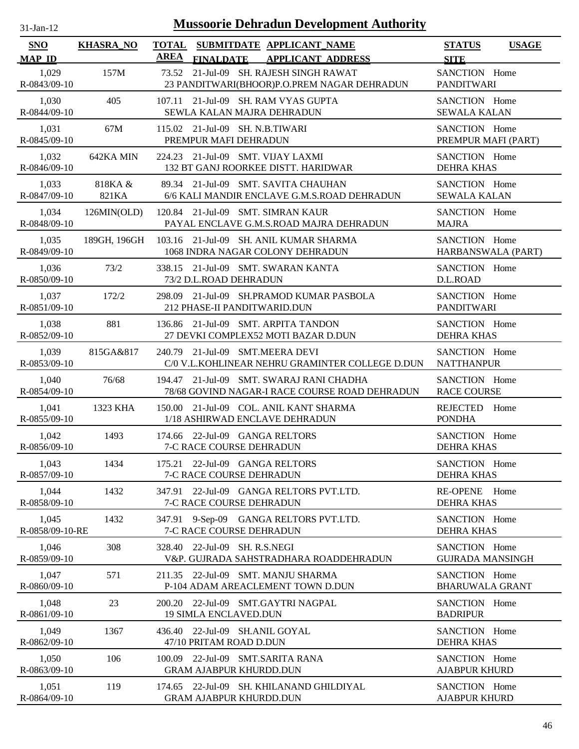| $31-Ian-12$                 | <b>Mussoorie Dehradun Development Authority</b> |                             |                                                                                     |                                          |              |  |
|-----------------------------|-------------------------------------------------|-----------------------------|-------------------------------------------------------------------------------------|------------------------------------------|--------------|--|
| <b>SNO</b><br><b>MAP ID</b> | <b>KHASRA_NO</b>                                | <b>TOTAL</b><br><b>AREA</b> | SUBMITDATE APPLICANT_NAME<br><b>FINALDATE</b><br><b>APPLICANT ADDRESS</b>           | <b>STATUS</b><br><b>SITE</b>             | <b>USAGE</b> |  |
| 1,029<br>R-0843/09-10       | 157M                                            | 73.52                       | 21-Jul-09 SH. RAJESH SINGH RAWAT<br>23 PANDITWARI(BHOOR)P.O.PREM NAGAR DEHRADUN     | SANCTION Home<br><b>PANDITWARI</b>       |              |  |
| 1,030<br>R-0844/09-10       | 405                                             | 107.11                      | 21-Jul-09 SH. RAM VYAS GUPTA<br>SEWLA KALAN MAJRA DEHRADUN                          | SANCTION Home<br><b>SEWALA KALAN</b>     |              |  |
| 1,031<br>R-0845/09-10       | 67M                                             |                             | 115.02 21-Jul-09 SH. N.B.TIWARI<br>PREMPUR MAFI DEHRADUN                            | SANCTION Home<br>PREMPUR MAFI (PART)     |              |  |
| 1,032<br>R-0846/09-10       | 642KA MIN                                       | 224.23                      | 21-Jul-09 SMT. VIJAY LAXMI<br>132 BT GANJ ROORKEE DISTT. HARIDWAR                   | SANCTION Home<br><b>DEHRA KHAS</b>       |              |  |
| 1,033<br>R-0847/09-10       | 818KA &<br>821KA                                |                             | 89.34 21-Jul-09 SMT. SAVITA CHAUHAN<br>6/6 KALI MANDIR ENCLAVE G.M.S.ROAD DEHRADUN  | SANCTION Home<br><b>SEWALA KALAN</b>     |              |  |
| 1,034<br>R-0848/09-10       | 126MIN(OLD)                                     |                             | 120.84 21-Jul-09 SMT. SIMRAN KAUR<br>PAYAL ENCLAVE G.M.S.ROAD MAJRA DEHRADUN        | SANCTION Home<br><b>MAJRA</b>            |              |  |
| 1,035<br>R-0849/09-10       | 189GH, 196GH                                    |                             | 103.16 21-Jul-09 SH. ANIL KUMAR SHARMA<br>1068 INDRA NAGAR COLONY DEHRADUN          | SANCTION Home<br>HARBANSWALA (PART)      |              |  |
| 1,036<br>R-0850/09-10       | 73/2                                            |                             | 338.15 21-Jul-09 SMT. SWARAN KANTA<br>73/2 D.L.ROAD DEHRADUN                        | SANCTION Home<br>D.L.ROAD                |              |  |
| 1,037<br>R-0851/09-10       | 172/2                                           | 298.09                      | 21-Jul-09 SH.PRAMOD KUMAR PASBOLA<br>212 PHASE-II PANDITWARID.DUN                   | SANCTION Home<br><b>PANDITWARI</b>       |              |  |
| 1,038<br>R-0852/09-10       | 881                                             | 136.86                      | 21-Jul-09 SMT. ARPITA TANDON<br>27 DEVKI COMPLEX52 MOTI BAZAR D.DUN                 | SANCTION Home<br><b>DEHRA KHAS</b>       |              |  |
| 1,039<br>R-0853/09-10       | 815GA&817                                       |                             | 240.79 21-Jul-09 SMT.MEERA DEVI<br>C/0 V.L.KOHLINEAR NEHRU GRAMINTER COLLEGE D.DUN  | SANCTION Home<br><b>NATTHANPUR</b>       |              |  |
| 1,040<br>R-0854/09-10       | 76/68                                           | 194.47                      | 21-Jul-09 SMT. SWARAJ RANI CHADHA<br>78/68 GOVIND NAGAR-I RACE COURSE ROAD DEHRADUN | SANCTION Home<br><b>RACE COURSE</b>      |              |  |
| 1,041<br>R-0855/09-10       | 1323 KHA                                        |                             | 150.00 21-Jul-09 COL. ANIL KANT SHARMA<br>1/18 ASHIRWAD ENCLAVE DEHRADUN            | REJECTED Home<br><b>PONDHA</b>           |              |  |
| 1,042<br>R-0856/09-10       | 1493                                            |                             | 174.66 22-Jul-09 GANGA RELTORS<br>7-C RACE COURSE DEHRADUN                          | SANCTION Home<br><b>DEHRA KHAS</b>       |              |  |
| 1,043<br>R-0857/09-10       | 1434                                            | 175.21                      | 22-Jul-09 GANGA RELTORS<br>7-C RACE COURSE DEHRADUN                                 | SANCTION Home<br><b>DEHRA KHAS</b>       |              |  |
| 1,044<br>R-0858/09-10       | 1432                                            | 347.91                      | 22-Jul-09 GANGA RELTORS PVT.LTD.<br>7-C RACE COURSE DEHRADUN                        | <b>RE-OPENE</b><br><b>DEHRA KHAS</b>     | Home         |  |
| 1,045<br>R-0858/09-10-RE    | 1432                                            | 347.91                      | 9-Sep-09 GANGA RELTORS PVT.LTD.<br>7-C RACE COURSE DEHRADUN                         | SANCTION Home<br><b>DEHRA KHAS</b>       |              |  |
| 1,046<br>R-0859/09-10       | 308                                             | 328.40                      | 22-Jul-09 SH. R.S.NEGI<br>V&P. GUJRADA SAHSTRADHARA ROADDEHRADUN                    | SANCTION Home<br><b>GUJRADA MANSINGH</b> |              |  |
| 1,047<br>R-0860/09-10       | 571                                             |                             | 211.35 22-Jul-09 SMT. MANJU SHARMA<br>P-104 ADAM AREACLEMENT TOWN D.DUN             | SANCTION Home<br><b>BHARUWALA GRANT</b>  |              |  |
| 1,048<br>R-0861/09-10       | 23                                              |                             | 200.20 22-Jul-09 SMT.GAYTRI NAGPAL<br><b>19 SIMLA ENCLAVED.DUN</b>                  | SANCTION Home<br><b>BADRIPUR</b>         |              |  |
| 1,049<br>R-0862/09-10       | 1367                                            | 436.40                      | 22-Jul-09 SH.ANIL GOYAL<br>47/10 PRITAM ROAD D.DUN                                  | SANCTION Home<br><b>DEHRA KHAS</b>       |              |  |
| 1,050<br>R-0863/09-10       | 106                                             | 100.09                      | 22-Jul-09 SMT.SARITA RANA<br><b>GRAM AJABPUR KHURDD.DUN</b>                         | SANCTION Home<br><b>AJABPUR KHURD</b>    |              |  |
| 1,051                       | 119                                             |                             | 174.65 22-Jul-09 SH. KHILANAND GHILDIYAL                                            | SANCTION Home                            |              |  |

GRAM AJABPUR KHURDD.DUN

R-0864/09-10

AJABPUR KHURD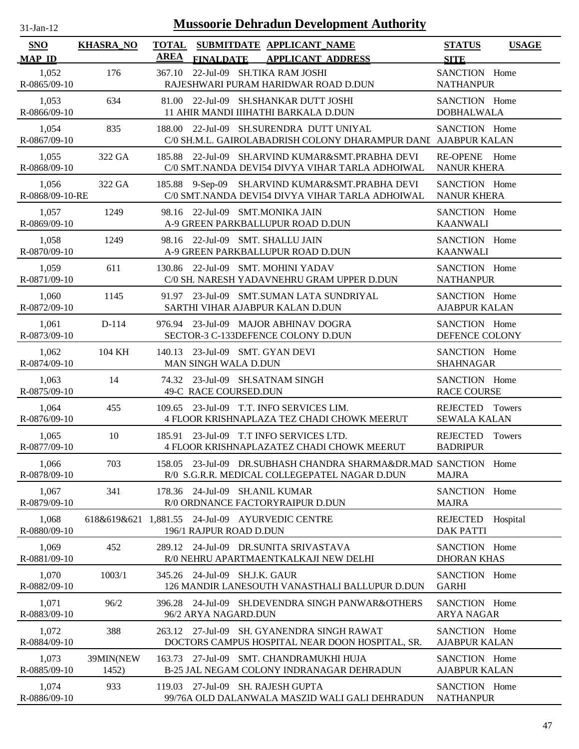| $31-Jan-12$                 |                      | <b>Mussoorie Dehradun Development Authority</b>                                                                     |                                                 |
|-----------------------------|----------------------|---------------------------------------------------------------------------------------------------------------------|-------------------------------------------------|
| <b>SNO</b><br><b>MAP ID</b> | <b>KHASRA_NO</b>     | <b>TOTAL</b><br>SUBMITDATE APPLICANT NAME<br><b>AREA</b><br><b>FINALDATE</b><br><b>APPLICANT ADDRESS</b>            | <b>STATUS</b><br><b>USAGE</b><br><b>SITE</b>    |
| 1,052<br>R-0865/09-10       | 176                  | 22-Jul-09 SH.TIKA RAM JOSHI<br>367.10<br>RAJESHWARI PURAM HARIDWAR ROAD D.DUN                                       | SANCTION Home<br><b>NATHANPUR</b>               |
| 1,053<br>R-0866/09-10       | 634                  | 81.00 22-Jul-09 SH.SHANKAR DUTT JOSHI<br>11 AHIR MANDI IIIHATHI BARKALA D.DUN                                       | SANCTION Home<br><b>DOBHALWALA</b>              |
| 1,054<br>R-0867/09-10       | 835                  | 188.00 22-Jul-09 SH.SURENDRA DUTT UNIYAL<br>C/0 SH.M.L. GAIROLABADRISH COLONY DHARAMPUR DANI AJABPUR KALAN          | SANCTION Home                                   |
| 1,055<br>R-0868/09-10       | 322 GA               | 22-Jul-09 SH.ARVIND KUMAR&SMT.PRABHA DEVI<br>185.88<br>C/0 SMT.NANDA DEVI54 DIVYA VIHAR TARLA ADHOIWAL              | <b>RE-OPENE</b><br>Home<br><b>NANUR KHERA</b>   |
| 1,056<br>R-0868/09-10-RE    | 322 GA               | SH.ARVIND KUMAR&SMT.PRABHA DEVI<br>185.88<br>9-Sep-09<br>C/0 SMT.NANDA DEVI54 DIVYA VIHAR TARLA ADHOIWAL            | SANCTION Home<br><b>NANUR KHERA</b>             |
| 1,057<br>R-0869/09-10       | 1249                 | 98.16 22-Jul-09 SMT.MONIKA JAIN<br>A-9 GREEN PARKBALLUPUR ROAD D.DUN                                                | SANCTION Home<br><b>KAANWALI</b>                |
| 1,058<br>R-0870/09-10       | 1249                 | 98.16 22-Jul-09 SMT. SHALLU JAIN<br>A-9 GREEN PARKBALLUPUR ROAD D.DUN                                               | SANCTION Home<br><b>KAANWALI</b>                |
| 1,059<br>R-0871/09-10       | 611                  | 130.86 22-Jul-09 SMT. MOHINI YADAV<br>C/0 SH. NARESH YADAVNEHRU GRAM UPPER D.DUN                                    | SANCTION Home<br><b>NATHANPUR</b>               |
| 1,060<br>R-0872/09-10       | 1145                 | 91.97 23-Jul-09 SMT.SUMAN LATA SUNDRIYAL<br>SARTHI VIHAR AJABPUR KALAN D.DUN                                        | SANCTION Home<br><b>AJABPUR KALAN</b>           |
| 1,061<br>R-0873/09-10       | D-114                | 23-Jul-09 MAJOR ABHINAV DOGRA<br>976.94<br>SECTOR-3 C-133DEFENCE COLONY D.DUN                                       | SANCTION Home<br>DEFENCE COLONY                 |
| 1,062<br>R-0874/09-10       | 104 KH               | 23-Jul-09 SMT. GYAN DEVI<br>140.13<br>MAN SINGH WALA D.DUN                                                          | SANCTION Home<br><b>SHAHNAGAR</b>               |
| 1,063<br>R-0875/09-10       | 14                   | 74.32 23-Jul-09 SH.SATNAM SINGH<br>49-C RACE COURSED.DUN                                                            | SANCTION Home<br><b>RACE COURSE</b>             |
| 1,064<br>R-0876/09-10       | 455                  | 23-Jul-09 T.T. INFO SERVICES LIM.<br>109.65<br>4 FLOOR KRISHNAPLAZA TEZ CHADI CHOWK MEERUT                          | REJECTED Towers<br><b>SEWALA KALAN</b>          |
| 1,065<br>R-0877/09-10       | 10                   | 185.91 23-Jul-09 T.T INFO SERVICES LTD.<br>4 FLOOR KRISHNAPLAZATEZ CHADI CHOWK MEERUT                               | REJECTED Towers<br><b>BADRIPUR</b>              |
| 1,066<br>R-0878/09-10       | 703                  | 23-Jul-09 DR.SUBHASH CHANDRA SHARMA&DR.MAD SANCTION Home<br>158.05<br>R/0 S.G.R.R. MEDICAL COLLEGEPATEL NAGAR D.DUN | <b>MAJRA</b>                                    |
| 1,067<br>R-0879/09-10       | 341                  | 178.36 24-Jul-09 SH.ANIL KUMAR<br>R/0 ORDNANCE FACTORYRAIPUR D.DUN                                                  | SANCTION Home<br><b>MAJRA</b>                   |
| 1,068<br>R-0880/09-10       | 618&619&621 1,881.55 | 24-Jul-09 AYURVEDIC CENTRE<br>196/1 RAJPUR ROAD D.DUN                                                               | <b>REJECTED</b><br>Hospital<br><b>DAK PATTI</b> |
| 1,069<br>R-0881/09-10       | 452                  | 289.12<br>24-Jul-09 DR.SUNITA SRIVASTAVA<br>R/0 NEHRU APARTMAENTKALKAJI NEW DELHI                                   | SANCTION Home<br><b>DHORAN KHAS</b>             |
| 1,070<br>R-0882/09-10       | 1003/1               | 345.26 24-Jul-09 SH.J.K. GAUR<br>126 MANDIR LANESOUTH VANASTHALI BALLUPUR D.DUN                                     | SANCTION Home<br><b>GARHI</b>                   |
| 1,071<br>R-0883/09-10       | 96/2                 | 24-Jul-09 SH.DEVENDRA SINGH PANWAR&OTHERS<br>396.28<br>96/2 ARYA NAGARD.DUN                                         | SANCTION Home<br><b>ARYA NAGAR</b>              |
| 1,072<br>R-0884/09-10       | 388                  | 263.12 27-Jul-09 SH. GYANENDRA SINGH RAWAT<br>DOCTORS CAMPUS HOSPITAL NEAR DOON HOSPITAL, SR.                       | SANCTION Home<br><b>AJABPUR KALAN</b>           |
| 1,073<br>R-0885/09-10       | 39MIN(NEW<br>1452)   | 163.73 27-Jul-09 SMT. CHANDRAMUKHI HUJA<br>B-25 JAL NEGAM COLONY INDRANAGAR DEHRADUN                                | SANCTION Home<br><b>AJABPUR KALAN</b>           |
| 1,074<br>R-0886/09-10       | 933                  | 27-Jul-09 SH. RAJESH GUPTA<br>119.03<br>99/76A OLD DALANWALA MASZID WALI GALI DEHRADUN                              | SANCTION Home<br><b>NATHANPUR</b>               |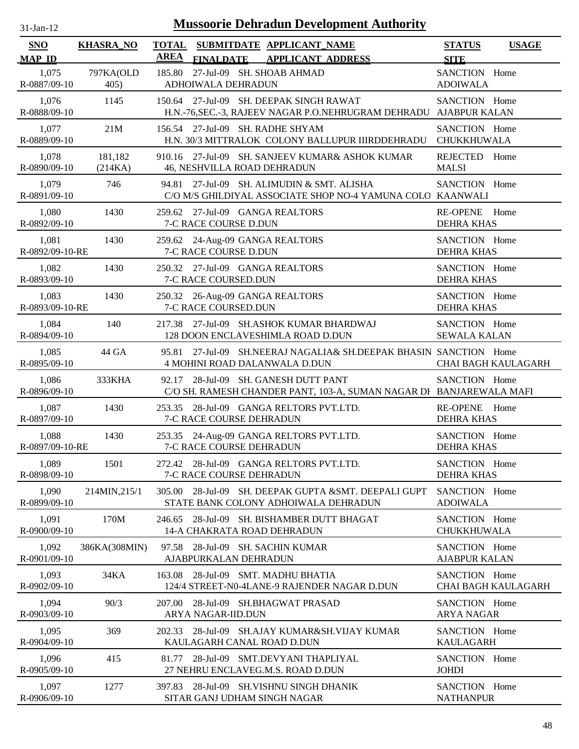| <b>Mussoorie Dehradun Development Authority</b><br>$31-Jan-12$ |                    |                                                                                                                |                                       |                            |  |  |  |
|----------------------------------------------------------------|--------------------|----------------------------------------------------------------------------------------------------------------|---------------------------------------|----------------------------|--|--|--|
| <b>SNO</b><br><b>MAP ID</b>                                    | <b>KHASRA_NO</b>   | <b>TOTAL</b><br>SUBMITDATE APPLICANT_NAME<br><b>AREA</b><br><b>FINALDATE</b><br><b>APPLICANT ADDRESS</b>       | <b>STATUS</b><br><b>SITE</b>          | <b>USAGE</b>               |  |  |  |
| 1,075<br>R-0887/09-10                                          | 797KA(OLD<br>405)  | 27-Jul-09 SH. SHOAB AHMAD<br>185.80<br>ADHOIWALA DEHRADUN                                                      | SANCTION Home<br><b>ADOIWALA</b>      |                            |  |  |  |
| 1,076<br>R-0888/09-10                                          | 1145               | 150.64 27-Jul-09 SH. DEEPAK SINGH RAWAT<br>H.N.-76,SEC.-3, RAJEEV NAGAR P.O.NEHRUGRAM DEHRADU AJABPUR KALAN    | SANCTION Home                         |                            |  |  |  |
| 1,077<br>R-0889/09-10                                          | 21M                | 156.54 27-Jul-09 SH. RADHE SHYAM<br>H.N. 30/3 MITTRALOK COLONY BALLUPUR IIIRDDEHRADU                           | SANCTION Home<br>CHUKKHUWALA          |                            |  |  |  |
| 1,078<br>R-0890/09-10                                          | 181,182<br>(214KA) | 910.16 27-Jul-09 SH. SANJEEV KUMAR& ASHOK KUMAR<br>46, NESHVILLA ROAD DEHRADUN                                 | REJECTED Home<br><b>MALSI</b>         |                            |  |  |  |
| 1,079<br>R-0891/09-10                                          | 746                | 27-Jul-09 SH. ALIMUDIN & SMT. ALISHA<br>94.81<br>C/O M/S GHILDIYAL ASSOCIATE SHOP NO-4 YAMUNA COLO KAANWALI    | SANCTION Home                         |                            |  |  |  |
| 1,080<br>R-0892/09-10                                          | 1430               | 259.62 27-Jul-09 GANGA REALTORS<br>7-C RACE COURSE D.DUN                                                       | <b>RE-OPENE</b><br><b>DEHRA KHAS</b>  | Home                       |  |  |  |
| 1,081<br>R-0892/09-10-RE                                       | 1430               | 259.62 24-Aug-09 GANGA REALTORS<br>7-C RACE COURSE D.DUN                                                       | SANCTION Home<br><b>DEHRA KHAS</b>    |                            |  |  |  |
| 1,082<br>R-0893/09-10                                          | 1430               | 250.32 27-Jul-09 GANGA REALTORS<br>7-C RACE COURSED.DUN                                                        | SANCTION Home<br><b>DEHRA KHAS</b>    |                            |  |  |  |
| 1,083<br>R-0893/09-10-RE                                       | 1430               | 250.32 26-Aug-09 GANGA REALTORS<br>7-C RACE COURSED.DUN                                                        | SANCTION Home<br><b>DEHRA KHAS</b>    |                            |  |  |  |
| 1,084<br>R-0894/09-10                                          | 140                | 27-Jul-09 SH.ASHOK KUMAR BHARDWAJ<br>217.38<br>128 DOON ENCLAVESHIMLA ROAD D.DUN                               | SANCTION Home<br><b>SEWALA KALAN</b>  |                            |  |  |  |
| 1,085<br>R-0895/09-10                                          | 44 GA              | 27-Jul-09 SH.NEERAJ NAGALIA& SH.DEEPAK BHASIN SANCTION Home<br>95.81<br><b>4 MOHINI ROAD DALANWALA D.DUN</b>   |                                       | <b>CHAI BAGH KAULAGARH</b> |  |  |  |
| 1,086<br>R-0896/09-10                                          | 333KHA             | 28-Jul-09 SH. GANESH DUTT PANT<br>92.17<br>C/O SH. RAMESH CHANDER PANT, 103-A, SUMAN NAGAR DI BANJAREWALA MAFI | SANCTION Home                         |                            |  |  |  |
| 1,087<br>R-0897/09-10                                          | 1430               | 253.35 28-Jul-09 GANGA RELTORS PVT.LTD.<br>7-C RACE COURSE DEHRADUN                                            | RE-OPENE Home<br><b>DEHRA KHAS</b>    |                            |  |  |  |
| 1,088<br>R-0897/09-10-RE                                       | 1430               | 253.35 24-Aug-09 GANGA RELTORS PVT.LTD.<br>7-C RACE COURSE DEHRADUN                                            | SANCTION Home<br><b>DEHRA KHAS</b>    |                            |  |  |  |
| 1,089<br>R-0898/09-10                                          | 1501               | 272.42 28-Jul-09 GANGA RELTORS PVT.LTD.<br>7-C RACE COURSE DEHRADUN                                            | SANCTION Home<br><b>DEHRA KHAS</b>    |                            |  |  |  |
| 1,090<br>R-0899/09-10                                          | 214MIN, 215/1      | 305.00 28-Jul-09 SH. DEEPAK GUPTA &SMT. DEEPALI GUPT<br>STATE BANK COLONY ADHOIWALA DEHRADUN                   | SANCTION Home<br><b>ADOIWALA</b>      |                            |  |  |  |
| 1,091<br>R-0900/09-10                                          | 170M               | 28-Jul-09 SH. BISHAMBER DUTT BHAGAT<br>246.65<br>14-A CHAKRATA ROAD DEHRADUN                                   | SANCTION Home<br>CHUKKHUWALA          |                            |  |  |  |
| 1,092<br>R-0901/09-10                                          | 386KA(308MIN)      | 28-Jul-09 SH. SACHIN KUMAR<br>97.58<br>AJABPURKALAN DEHRADUN                                                   | SANCTION Home<br><b>AJABPUR KALAN</b> |                            |  |  |  |
| 1,093<br>R-0902/09-10                                          | 34KA               | 163.08<br>28-Jul-09 SMT. MADHU BHATIA<br>124/4 STREET-N0-4LANE-9 RAJENDER NAGAR D.DUN                          | SANCTION Home                         | <b>CHAI BAGH KAULAGARH</b> |  |  |  |
| 1,094<br>R-0903/09-10                                          | 90/3               | 28-Jul-09 SH.BHAGWAT PRASAD<br>207.00<br>ARYA NAGAR-IID.DUN                                                    | SANCTION Home<br><b>ARYA NAGAR</b>    |                            |  |  |  |
| 1,095<br>R-0904/09-10                                          | 369                | 28-Jul-09 SH.AJAY KUMAR&SH.VIJAY KUMAR<br>202.33<br>KAULAGARH CANAL ROAD D.DUN                                 | SANCTION Home<br><b>KAULAGARH</b>     |                            |  |  |  |
| 1,096<br>R-0905/09-10                                          | 415                | 81.77 28-Jul-09 SMT.DEVYANI THAPLIYAL<br>27 NEHRU ENCLAVEG.M.S. ROAD D.DUN                                     | SANCTION Home<br><b>JOHDI</b>         |                            |  |  |  |
| 1,097<br>R-0906/09-10                                          | 1277               | 28-Jul-09 SH.VISHNU SINGH DHANIK<br>397.83<br>SITAR GANJ UDHAM SINGH NAGAR                                     | SANCTION Home<br><b>NATHANPUR</b>     |                            |  |  |  |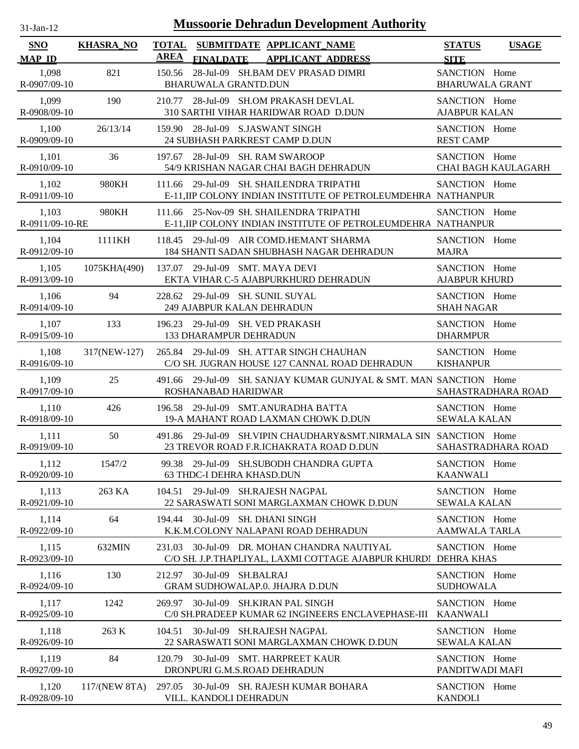| 1-Jan-1<br>n. |  |
|---------------|--|
|               |  |

| <b>SNO</b><br><b>MAP ID</b> | <b>KHASRA_NO</b> | <b>TOTAL</b><br><b>AREA</b> |                                                         | SUBMITDATE APPLICANT NAME<br>FINALDATE APPLICANT ADDRESS                                                         | <b>STATUS</b><br><b>SITE</b>            | <b>USAGE</b>               |
|-----------------------------|------------------|-----------------------------|---------------------------------------------------------|------------------------------------------------------------------------------------------------------------------|-----------------------------------------|----------------------------|
| 1,098<br>R-0907/09-10       | 821              | 150.56                      | <b>BHARUWALA GRANTD.DUN</b>                             | 28-Jul-09 SH.BAM DEV PRASAD DIMRI                                                                                | SANCTION Home<br><b>BHARUWALA GRANT</b> |                            |
| 1,099<br>R-0908/09-10       | 190              |                             |                                                         | 210.77 28-Jul-09 SH.OM PRAKASH DEVLAL<br>310 SARTHI VIHAR HARIDWAR ROAD D.DUN                                    | SANCTION Home<br><b>AJABPUR KALAN</b>   |                            |
| 1,100<br>R-0909/09-10       | 26/13/14         |                             |                                                         | 159.90 28-Jul-09 S.JASWANT SINGH<br>24 SUBHASH PARKREST CAMP D.DUN                                               | SANCTION Home<br><b>REST CAMP</b>       |                            |
| 1,101<br>R-0910/09-10       | 36               |                             |                                                         | 197.67 28-Jul-09 SH. RAM SWAROOP<br>54/9 KRISHAN NAGAR CHAI BAGH DEHRADUN                                        | SANCTION Home                           | <b>CHAI BAGH KAULAGARH</b> |
| 1,102<br>R-0911/09-10       | 980KH            |                             |                                                         | 111.66 29-Jul-09 SH. SHAILENDRA TRIPATHI<br>E-11, IIP COLONY INDIAN INSTITUTE OF PETROLEUMDEHRA NATHANPUR        | SANCTION Home                           |                            |
| 1,103<br>R-0911/09-10-RE    | 980KH            |                             |                                                         | 111.66 25-Nov-09 SH. SHAILENDRA TRIPATHI<br>E-11, IIP COLONY INDIAN INSTITUTE OF PETROLEUMDEHRA NATHANPUR        | SANCTION Home                           |                            |
| 1,104<br>R-0912/09-10       | 1111KH           |                             |                                                         | 118.45 29-Jul-09 AIR COMD.HEMANT SHARMA<br>184 SHANTI SADAN SHUBHASH NAGAR DEHRADUN                              | SANCTION Home<br><b>MAJRA</b>           |                            |
| 1,105<br>R-0913/09-10       | 1075KHA(490)     |                             | 137.07 29-Jul-09 SMT. MAYA DEVI                         | EKTA VIHAR C-5 AJABPURKHURD DEHRADUN                                                                             | SANCTION Home<br><b>AJABPUR KHURD</b>   |                            |
| 1,106<br>R-0914/09-10       | 94               | 228.62                      | 29-Jul-09 SH. SUNIL SUYAL<br>249 AJABPUR KALAN DEHRADUN |                                                                                                                  | SANCTION Home<br><b>SHAH NAGAR</b>      |                            |
| 1,107<br>R-0915/09-10       | 133              | 196.23                      | <b>133 DHARAMPUR DEHRADUN</b>                           | 29-Jul-09 SH. VED PRAKASH                                                                                        | SANCTION Home<br><b>DHARMPUR</b>        |                            |
| 1,108<br>R-0916/09-10       | 317(NEW-127)     |                             |                                                         | 265.84 29-Jul-09 SH. ATTAR SINGH CHAUHAN<br>C/O SH. JUGRAN HOUSE 127 CANNAL ROAD DEHRADUN                        | SANCTION Home<br><b>KISHANPUR</b>       |                            |
| 1,109<br>R-0917/09-10       | 25               |                             | ROSHANABAD HARIDWAR                                     | 491.66 29-Jul-09 SH. SANJAY KUMAR GUNJYAL & SMT. MAN SANCTION Home                                               |                                         | SAHASTRADHARA ROAD         |
| 1,110<br>R-0918/09-10       | 426              | 196.58                      |                                                         | 29-Jul-09 SMT.ANURADHA BATTA<br>19-A MAHANT ROAD LAXMAN CHOWK D.DUN                                              | SANCTION Home<br><b>SEWALA KALAN</b>    |                            |
| 1,111<br>R-0919/09-10       | 50               |                             |                                                         | 491.86 29-Jul-09 SH. VIPIN CHAUDHARY & SMT. NIRMALA SIN SANCTION Home<br>23 TREVOR ROAD F.R.ICHAKRATA ROAD D.DUN |                                         | SAHASTRADHARA ROAD         |
| 1,112<br>R-0920/09-10       | 1547/2           |                             | 63 THDC-I DEHRA KHASD.DUN                               | 99.38 29-Jul-09 SH.SUBODH CHANDRA GUPTA                                                                          | SANCTION Home<br><b>KAANWALI</b>        |                            |
| 1,113<br>R-0921/09-10       | 263 KA           |                             |                                                         | 104.51 29-Jul-09 SH.RAJESH NAGPAL<br>22 SARASWATI SONI MARGLAXMAN CHOWK D.DUN                                    | SANCTION Home<br><b>SEWALA KALAN</b>    |                            |
| 1,114<br>R-0922/09-10       | 64               |                             | 194.44 30-Jul-09 SH. DHANI SINGH                        | K.K.M.COLONY NALAPANI ROAD DEHRADUN                                                                              | SANCTION Home<br><b>AAMWALA TARLA</b>   |                            |
| 1,115<br>R-0923/09-10       | 632MIN           |                             |                                                         | 231.03 30-Jul-09 DR. MOHAN CHANDRA NAUTIYAL<br>C/O SH. J.P.THAPLIYAL, LAXMI COTTAGE AJABPUR KHURDI DEHRA KHAS    | SANCTION Home                           |                            |
| 1,116<br>R-0924/09-10       | 130              | 212.97                      | 30-Jul-09 SH.BALRAJ                                     | GRAM SUDHOWALAP.0. JHAJRA D.DUN                                                                                  | SANCTION Home<br><b>SUDHOWALA</b>       |                            |
| 1,117<br>R-0925/09-10       | 1242             |                             |                                                         | 269.97 30-Jul-09 SH.KIRAN PAL SINGH<br>C/0 SH.PRADEEP KUMAR 62 INGINEERS ENCLAVEPHASE-III KAANWALI               | SANCTION Home                           |                            |
| 1,118<br>R-0926/09-10       | 263 K            | 104.51                      |                                                         | 30-Jul-09 SH.RAJESH NAGPAL<br>22 SARASWATI SONI MARGLAXMAN CHOWK D.DUN                                           | SANCTION Home<br><b>SEWALA KALAN</b>    |                            |
| 1,119<br>R-0927/09-10       | 84               |                             |                                                         | 120.79 30-Jul-09 SMT. HARPREET KAUR<br>DRONPURI G.M.S.ROAD DEHRADUN                                              | SANCTION Home<br>PANDITWADI MAFI        |                            |
| 1,120<br>R-0928/09-10       | 117/(NEW 8TA)    |                             | VILL. KANDOLI DEHRADUN                                  | 297.05 30-Jul-09 SH. RAJESH KUMAR BOHARA                                                                         | SANCTION Home<br><b>KANDOLI</b>         |                            |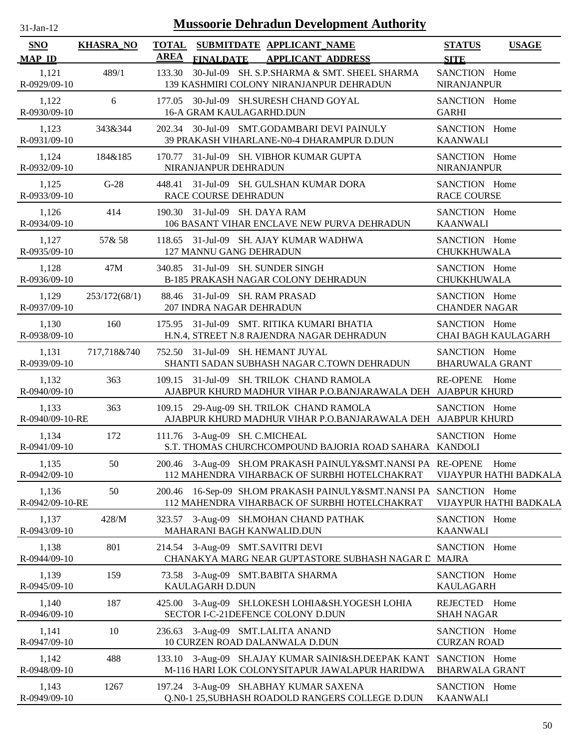| $31-Jan-12$              |                  |             |                      | <b>Mussoorie Dehradun Development Authority</b>                                                                       |                                         |                                |
|--------------------------|------------------|-------------|----------------------|-----------------------------------------------------------------------------------------------------------------------|-----------------------------------------|--------------------------------|
| <b>SNO</b>               | <b>KHASRA NO</b> |             |                      | TOTAL SUBMITDATE APPLICANT NAME                                                                                       | <b>STATUS</b>                           | <b>USAGE</b>                   |
| <b>MAP ID</b>            |                  | <b>AREA</b> | <b>FINALDATE</b>     | <b>APPLICANT ADDRESS</b>                                                                                              | <b>SITE</b>                             |                                |
| 1,121<br>R-0929/09-10    | 489/1            | 133.30      |                      | 30-Jul-09 SH. S.P.SHARMA & SMT. SHEEL SHARMA<br>139 KASHMIRI COLONY NIRANJANPUR DEHRADUN                              | SANCTION Home<br><b>NIRANJANPUR</b>     |                                |
| 1,122<br>R-0930/09-10    | 6                | 177.05      |                      | 30-Jul-09 SH.SURESH CHAND GOYAL<br>16-A GRAM KAULAGARHD.DUN                                                           | SANCTION Home<br><b>GARHI</b>           |                                |
| 1,123<br>R-0931/09-10    | 343&344          |             |                      | 202.34 30-Jul-09 SMT.GODAMBARI DEVI PAINULY<br>39 PRAKASH VIHARLANE-N0-4 DHARAMPUR D.DUN                              | SANCTION Home<br><b>KAANWALI</b>        |                                |
| 1,124<br>R-0932/09-10    | 184&185          |             | NIRANJANPUR DEHRADUN | 170.77 31-Jul-09 SH. VIBHOR KUMAR GUPTA                                                                               | SANCTION Home<br>NIRANJANPUR            |                                |
| 1,125<br>R-0933/09-10    | $G-28$           |             | RACE COURSE DEHRADUN | 448.41 31-Jul-09 SH. GULSHAN KUMAR DORA                                                                               | SANCTION Home<br><b>RACE COURSE</b>     |                                |
| 1,126<br>R-0934/09-10    | 414              |             |                      | 190.30 31-Jul-09 SH. DAYA RAM<br>106 BASANT VIHAR ENCLAVE NEW PURVA DEHRADUN                                          | SANCTION Home<br><b>KAANWALI</b>        |                                |
| 1,127<br>R-0935/09-10    | 57& 58           |             |                      | 118.65 31-Jul-09 SH. AJAY KUMAR WADHWA<br>127 MANNU GANG DEHRADUN                                                     | SANCTION Home<br>CHUKKHUWALA            |                                |
| 1,128<br>R-0936/09-10    | 47M              |             |                      | 340.85 31-Jul-09 SH. SUNDER SINGH<br>B-185 PRAKASH NAGAR COLONY DEHRADUN                                              | SANCTION Home<br>CHUKKHUWALA            |                                |
| 1,129<br>R-0937/09-10    | 253/172(68/1)    |             |                      | 88.46 31-Jul-09 SH. RAM PRASAD<br>207 INDRA NAGAR DEHRADUN                                                            | SANCTION Home<br><b>CHANDER NAGAR</b>   |                                |
| 1,130<br>R-0938/09-10    | 160              |             |                      | 175.95 31-Jul-09 SMT. RITIKA KUMARI BHATIA<br>H.N.4, STREET N.8 RAJENDRA NAGAR DEHRADUN                               | SANCTION Home                           | CHAI BAGH KAULAGARH            |
| 1,131<br>R-0939/09-10    | 717,718&740      |             |                      | 752.50 31-Jul-09 SH. HEMANT JUYAL<br>SHANTI SADAN SUBHASH NAGAR C.TOWN DEHRADUN                                       | SANCTION Home<br><b>BHARUWALA GRANT</b> |                                |
| 1,132<br>R-0940/09-10    | 363              |             |                      | 109.15 31-Jul-09 SH. TRILOK CHAND RAMOLA<br>AJABPUR KHURD MADHUR VIHAR P.O.BANJARAWALA DEH AJABPUR KHURD              | RE-OPENE Home                           |                                |
| 1,133<br>R-0940/09-10-RE | 363              |             |                      | 109.15 29-Aug-09 SH. TRILOK CHAND RAMOLA<br>AJABPUR KHURD MADHUR VIHAR P.O.BANJARAWALA DEH AJABPUR KHURD              | SANCTION Home                           |                                |
| 1,134<br>R-0941/09-10    | 172              |             |                      | 111.76 3-Aug-09 SH. C.MICHEAL<br>S.T. THOMAS CHURCHCOMPOUND BAJORIA ROAD SAHARA KANDOLI                               | SANCTION Home                           |                                |
| 1,135<br>R-0942/09-10    | 50               |             |                      | 200.46 3-Aug-09 SH.OM PRAKASH PAINULY&SMT.NANSI PA RE-OPENE<br>112 MAHENDRA VIHARBACK OF SURBHI HOTELCHAKRAT          |                                         | Home<br>VIJAYPUR HATHI BADKALA |
| 1,136<br>R-0942/09-10-RE | 50               |             |                      | 200.46 16-Sep-09 SH.OM PRAKASH PAINULY & SMT. NANSI PA SANCTION Home<br>112 MAHENDRA VIHARBACK OF SURBHI HOTELCHAKRAT |                                         | VIJAYPUR HATHI BADKALA         |
| 1,137<br>R-0943/09-10    | 428/M            |             |                      | 323.57 3-Aug-09 SH.MOHAN CHAND PATHAK<br>MAHARANI BAGH KANWALID.DUN                                                   | SANCTION Home<br><b>KAANWALI</b>        |                                |
| 1,138<br>R-0944/09-10    | 801              |             |                      | 214.54 3-Aug-09 SMT.SAVITRI DEVI<br>CHANAKYA MARG NEAR GUPTASTORE SUBHASH NAGAR L MAJRA                               | SANCTION Home                           |                                |
| 1,139<br>R-0945/09-10    | 159              |             | KAULAGARH D.DUN      | 73.58 3-Aug-09 SMT.BABITA SHARMA                                                                                      | SANCTION Home<br><b>KAULAGARH</b>       |                                |
| 1,140<br>R-0946/09-10    | 187              |             |                      | 425.00 3-Aug-09 SH.LOKESH LOHIA&SH.YOGESH LOHIA<br>SECTOR I-C-21DEFENCE COLONY D.DUN                                  | REJECTED Home<br><b>SHAH NAGAR</b>      |                                |
| 1,141<br>R-0947/09-10    | 10               |             |                      | 236.63 3-Aug-09 SMT.LALITA ANAND<br>10 CURZEN ROAD DALANWALA D.DUN                                                    | SANCTION Home<br><b>CURZAN ROAD</b>     |                                |
| 1,142<br>R-0948/09-10    | 488              |             |                      | 133.10 3-Aug-09 SH.AJAY KUMAR SAINI&SH.DEEPAK KANT SANCTION Home<br>M-116 HARI LOK COLONYSITAPUR JAWALAPUR HARIDWA    | <b>BHARWALA GRANT</b>                   |                                |
| 1,143<br>R-0949/09-10    | 1267             |             |                      | 197.24 3-Aug-09 SH.ABHAY KUMAR SAXENA<br>Q.N0-1 25, SUBHASH ROADOLD RANGERS COLLEGE D.DUN                             | SANCTION Home<br><b>KAANWALI</b>        |                                |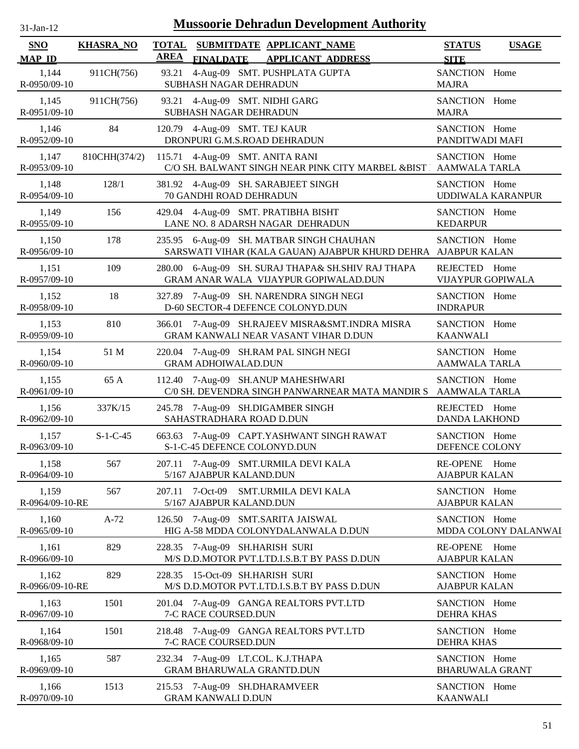| -Jan- |  |
|-------|--|
|       |  |

| <b>SNO</b><br><b>MAP ID</b> | <b>KHASRA_NO</b> | <b>AREA</b> | <b>FINALDATE</b>                                                      | TOTAL SUBMITDATE APPLICANT NAME<br><b>APPLICANT ADDRESS</b>                                               | <b>STATUS</b><br><b>USAGE</b><br><b>SITE</b> |
|-----------------------------|------------------|-------------|-----------------------------------------------------------------------|-----------------------------------------------------------------------------------------------------------|----------------------------------------------|
| 1,144<br>R-0950/09-10       | 911CH(756)       | 93.21       | SUBHASH NAGAR DEHRADUN                                                | 4-Aug-09 SMT. PUSHPLATA GUPTA                                                                             | SANCTION Home<br><b>MAJRA</b>                |
| 1,145<br>R-0951/09-10       | 911CH(756)       |             | 93.21 4-Aug-09 SMT. NIDHI GARG<br>SUBHASH NAGAR DEHRADUN              |                                                                                                           | SANCTION Home<br><b>MAJRA</b>                |
| 1,146<br>R-0952/09-10       | 84               |             | 120.79 4-Aug-09 SMT. TEJ KAUR<br>DRONPURI G.M.S.ROAD DEHRADUN         |                                                                                                           | SANCTION Home<br>PANDITWADI MAFI             |
| 1,147<br>R-0953/09-10       | 810CHH(374/2)    |             | 115.71 4-Aug-09 SMT. ANITA RANI                                       | C/O SH. BALWANT SINGH NEAR PINK CITY MARBEL &BIST AAMWALA TARLA                                           | SANCTION Home                                |
| 1,148<br>R-0954/09-10       | 128/1            |             | 70 GANDHI ROAD DEHRADUN                                               | 381.92 4-Aug-09 SH. SARABJEET SINGH                                                                       | SANCTION Home<br><b>UDDIWALA KARANPUR</b>    |
| 1,149<br>R-0955/09-10       | 156              |             |                                                                       | 429.04 4-Aug-09 SMT. PRATIBHA BISHT<br>LANE NO. 8 ADARSH NAGAR DEHRADUN                                   | SANCTION Home<br><b>KEDARPUR</b>             |
| 1,150<br>R-0956/09-10       | 178              |             |                                                                       | 235.95 6-Aug-09 SH. MATBAR SINGH CHAUHAN<br>SARSWATI VIHAR (KALA GAUAN) AJABPUR KHURD DEHRA AJABPUR KALAN | SANCTION Home                                |
| 1,151<br>R-0957/09-10       | 109              |             |                                                                       | 280.00 6-Aug-09 SH. SURAJ THAPA& SH.SHIV RAJ THAPA<br>GRAM ANAR WALA VIJAYPUR GOPIWALAD.DUN               | REJECTED Home<br>VIJAYPUR GOPIWALA           |
| 1,152<br>R-0958/09-10       | 18               |             |                                                                       | 327.89 7-Aug-09 SH. NARENDRA SINGH NEGI<br>D-60 SECTOR-4 DEFENCE COLONYD.DUN                              | SANCTION Home<br><b>INDRAPUR</b>             |
| 1,153<br>R-0959/09-10       | 810              |             |                                                                       | 366.01 7-Aug-09 SH.RAJEEV MISRA&SMT.INDRA MISRA<br>GRAM KANWALI NEAR VASANT VIHAR D.DUN                   | SANCTION Home<br><b>KAANWALI</b>             |
| 1,154<br>R-0960/09-10       | 51 M             |             | <b>GRAM ADHOIWALAD.DUN</b>                                            | 220.04 7-Aug-09 SH.RAM PAL SINGH NEGI                                                                     | SANCTION Home<br><b>AAMWALA TARLA</b>        |
| 1,155<br>R-0961/09-10       | 65 A             |             |                                                                       | 112.40 7-Aug-09 SH.ANUP MAHESHWARI<br>C/0 SH. DEVENDRA SINGH PANWARNEAR MATA MANDIR S AAMWALA TARLA       | SANCTION Home                                |
| 1,156<br>R-0962/09-10       | 337K/15          |             | SAHASTRADHARA ROAD D.DUN                                              | 245.78 7-Aug-09 SH.DIGAMBER SINGH                                                                         | REJECTED Home<br><b>DANDA LAKHOND</b>        |
| 1,157<br>R-0963/09-10       | $S-1-C-45$       |             | S-1-C-45 DEFENCE COLONYD.DUN                                          | 663.63 7-Aug-09 CAPT.YASHWANT SINGH RAWAT                                                                 | SANCTION Home<br>DEFENCE COLONY              |
| 1,158<br>R-0964/09-10       | 567              |             | 5/167 AJABPUR KALAND.DUN                                              | 207.11 7-Aug-09 SMT.URMILA DEVI KALA                                                                      | RE-OPENE Home<br><b>AJABPUR KALAN</b>        |
| 1,159<br>R-0964/09-10-RE    | 567              |             | 5/167 AJABPUR KALAND.DUN                                              | 207.11 7-Oct-09 SMT.URMILA DEVI KALA                                                                      | SANCTION Home<br><b>AJABPUR KALAN</b>        |
| 1,160<br>R-0965/09-10       | $A-72$           |             |                                                                       | 126.50 7-Aug-09 SMT.SARITA JAISWAL<br>HIG A-58 MDDA COLONYDALANWALA D.DUN                                 | SANCTION Home<br>MDDA COLONY DALANWAI        |
| 1,161<br>R-0966/09-10       | 829              |             | 228.35 7-Aug-09 SH.HARISH SURI                                        | M/S D.D.MOTOR PVT.LTD.I.S.B.T BY PASS D.DUN                                                               | RE-OPENE Home<br><b>AJABPUR KALAN</b>        |
| 1,162<br>R-0966/09-10-RE    | 829              |             | 228.35 15-Oct-09 SH.HARISH SURI                                       | M/S D.D.MOTOR PVT.LTD.I.S.B.T BY PASS D.DUN                                                               | SANCTION Home<br><b>AJABPUR KALAN</b>        |
| 1,163<br>R-0967/09-10       | 1501             |             | 7-C RACE COURSED.DUN                                                  | 201.04 7-Aug-09 GANGA REALTORS PVT.LTD                                                                    | SANCTION Home<br><b>DEHRA KHAS</b>           |
| 1,164<br>R-0968/09-10       | 1501             |             | 7-C RACE COURSED.DUN                                                  | 218.48 7-Aug-09 GANGA REALTORS PVT.LTD                                                                    | SANCTION Home<br><b>DEHRA KHAS</b>           |
| 1,165<br>R-0969/09-10       | 587              |             | 232.34 7-Aug-09 LT.COL. K.J.THAPA<br><b>GRAM BHARUWALA GRANTD.DUN</b> |                                                                                                           | SANCTION Home<br><b>BHARUWALA GRANT</b>      |
| 1,166<br>R-0970/09-10       | 1513             |             | 215.53 7-Aug-09 SH.DHARAMVEER<br><b>GRAM KANWALI D.DUN</b>            |                                                                                                           | SANCTION Home<br><b>KAANWALI</b>             |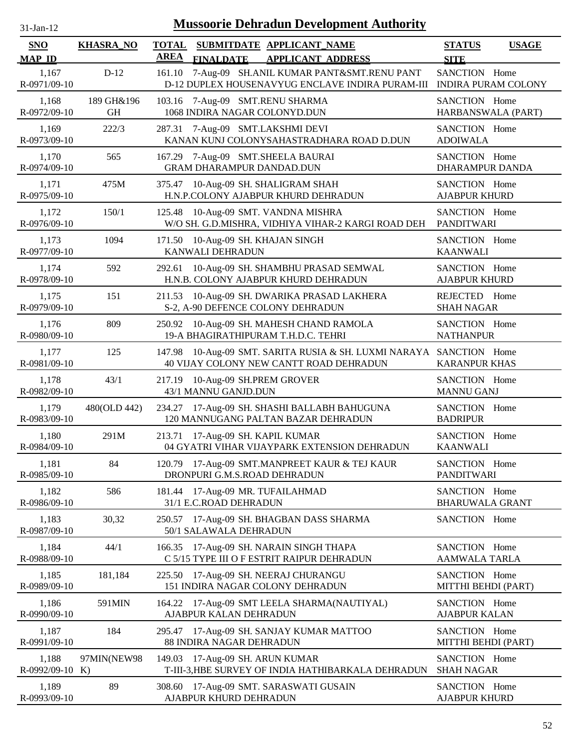| $31-Jan-12$                 | <b>Mussoorie Dehradun Development Authority</b> |                                                                                                                   |                                              |  |  |  |  |  |
|-----------------------------|-------------------------------------------------|-------------------------------------------------------------------------------------------------------------------|----------------------------------------------|--|--|--|--|--|
| <b>SNO</b><br><b>MAP ID</b> | <b>KHASRA_NO</b>                                | SUBMITDATE APPLICANT NAME<br><b>TOTAL</b><br><b>AREA</b><br><b>FINALDATE</b><br><b>APPLICANT ADDRESS</b>          | <b>STATUS</b><br><b>USAGE</b><br><b>SITE</b> |  |  |  |  |  |
| 1,167<br>R-0971/09-10       | $D-12$                                          | 7-Aug-09 SH.ANIL KUMAR PANT&SMT.RENU PANT<br>161.10<br>D-12 DUPLEX HOUSENAVYUG ENCLAVE INDIRA PURAM-III           | SANCTION Home<br><b>INDIRA PURAM COLONY</b>  |  |  |  |  |  |
| 1,168<br>R-0972/09-10       | 189 GH&196<br><b>GH</b>                         | 7-Aug-09 SMT.RENU SHARMA<br>103.16<br>1068 INDIRA NAGAR COLONYD.DUN                                               | SANCTION Home<br>HARBANSWALA (PART)          |  |  |  |  |  |
| 1,169<br>R-0973/09-10       | 222/3                                           | 7-Aug-09 SMT.LAKSHMI DEVI<br>287.31<br>KANAN KUNJ COLONYSAHASTRADHARA ROAD D.DUN                                  | SANCTION Home<br><b>ADOIWALA</b>             |  |  |  |  |  |
| 1,170<br>R-0974/09-10       | 565                                             | 7-Aug-09 SMT.SHEELA BAURAI<br>167.29<br><b>GRAM DHARAMPUR DANDAD.DUN</b>                                          | SANCTION Home<br><b>DHARAMPUR DANDA</b>      |  |  |  |  |  |
| 1,171<br>R-0975/09-10       | 475M                                            | 375.47 10-Aug-09 SH. SHALIGRAM SHAH<br>H.N.P.COLONY AJABPUR KHURD DEHRADUN                                        | SANCTION Home<br><b>AJABPUR KHURD</b>        |  |  |  |  |  |
| 1,172<br>R-0976/09-10       | 150/1                                           | 10-Aug-09 SMT. VANDNA MISHRA<br>125.48<br>W/O SH. G.D.MISHRA, VIDHIYA VIHAR-2 KARGI ROAD DEH                      | SANCTION Home<br><b>PANDITWARI</b>           |  |  |  |  |  |
| 1,173<br>R-0977/09-10       | 1094                                            | 171.50<br>10-Aug-09 SH. KHAJAN SINGH<br>KANWALI DEHRADUN                                                          | SANCTION Home<br><b>KAANWALI</b>             |  |  |  |  |  |
| 1,174<br>R-0978/09-10       | 592                                             | 10-Aug-09 SH. SHAMBHU PRASAD SEMWAL<br>292.61<br>H.N.B. COLONY AJABPUR KHURD DEHRADUN                             | SANCTION Home<br><b>AJABPUR KHURD</b>        |  |  |  |  |  |
| 1,175<br>R-0979/09-10       | 151                                             | 10-Aug-09 SH. DWARIKA PRASAD LAKHERA<br>211.53<br>S-2, A-90 DEFENCE COLONY DEHRADUN                               | REJECTED Home<br><b>SHAH NAGAR</b>           |  |  |  |  |  |
| 1,176<br>R-0980/09-10       | 809                                             | 250.92 10-Aug-09 SH. MAHESH CHAND RAMOLA<br>19-A BHAGIRATHIPURAM T.H.D.C. TEHRI                                   | SANCTION Home<br><b>NATHANPUR</b>            |  |  |  |  |  |
| 1,177<br>R-0981/09-10       | 125                                             | 10-Aug-09 SMT. SARITA RUSIA & SH. LUXMI NARAYA SANCTION Home<br>147.98<br>40 VIJAY COLONY NEW CANTT ROAD DEHRADUN | <b>KARANPUR KHAS</b>                         |  |  |  |  |  |
| 1,178<br>R-0982/09-10       | 43/1                                            | 10-Aug-09 SH.PREM GROVER<br>217.19<br>43/1 MANNU GANJD.DUN                                                        | SANCTION Home<br><b>MANNU GANJ</b>           |  |  |  |  |  |
| 1,179<br>R-0983/09-10       | 480(OLD 442)                                    | 17-Aug-09 SH. SHASHI BALLABH BAHUGUNA<br>234.27<br>120 MANNUGANG PALTAN BAZAR DEHRADUN                            | SANCTION Home<br><b>BADRIPUR</b>             |  |  |  |  |  |
| 1,180<br>R-0984/09-10       | 291M                                            | 213.71 17-Aug-09 SH. KAPIL KUMAR<br>04 GYATRI VIHAR VIJAYPARK EXTENSION DEHRADUN                                  | SANCTION Home<br><b>KAANWALI</b>             |  |  |  |  |  |
| 1,181<br>R-0985/09-10       | 84                                              | 17-Aug-09 SMT.MANPREET KAUR & TEJ KAUR<br>120.79<br>DRONPURI G.M.S.ROAD DEHRADUN                                  | SANCTION Home<br><b>PANDITWARI</b>           |  |  |  |  |  |
| 1,182<br>R-0986/09-10       | 586                                             | 181.44 17-Aug-09 MR. TUFAILAHMAD<br>31/1 E.C.ROAD DEHRADUN                                                        | SANCTION Home<br><b>BHARUWALA GRANT</b>      |  |  |  |  |  |
| 1,183<br>R-0987/09-10       | 30,32                                           | 250.57 17-Aug-09 SH. BHAGBAN DASS SHARMA<br>50/1 SALAWALA DEHRADUN                                                | SANCTION Home                                |  |  |  |  |  |
| 1,184<br>R-0988/09-10       | 44/1                                            | 166.35 17-Aug-09 SH. NARAIN SINGH THAPA<br>C 5/15 TYPE III O F ESTRIT RAIPUR DEHRADUN                             | SANCTION Home<br>AAMWALA TARLA               |  |  |  |  |  |
| 1,185<br>R-0989/09-10       | 181,184                                         | 17-Aug-09 SH. NEERAJ CHURANGU<br>225.50<br>151 INDIRA NAGAR COLONY DEHRADUN                                       | SANCTION Home<br>MITTHI BEHDI (PART)         |  |  |  |  |  |
| 1,186<br>R-0990/09-10       | 591MIN                                          | 164.22 17-Aug-09 SMT LEELA SHARMA(NAUTIYAL)<br>AJABPUR KALAN DEHRADUN                                             | SANCTION Home<br><b>AJABPUR KALAN</b>        |  |  |  |  |  |
| 1,187<br>R-0991/09-10       | 184                                             | 295.47 17-Aug-09 SH. SANJAY KUMAR MATTOO<br>88 INDIRA NAGAR DEHRADUN                                              | SANCTION Home<br>MITTHI BEHDI (PART)         |  |  |  |  |  |
| 1,188<br>$R-0992/09-10$ K)  | 97MIN(NEW98                                     | 149.03 17-Aug-09 SH. ARUN KUMAR<br>T-III-3, HBE SURVEY OF INDIA HATHIBARKALA DEHRADUN                             | SANCTION Home<br><b>SHAH NAGAR</b>           |  |  |  |  |  |
| 1,189<br>R-0993/09-10       | 89                                              | 17-Aug-09 SMT. SARASWATI GUSAIN<br>308.60<br>AJABPUR KHURD DEHRADUN                                               | SANCTION Home<br><b>AJABPUR KHURD</b>        |  |  |  |  |  |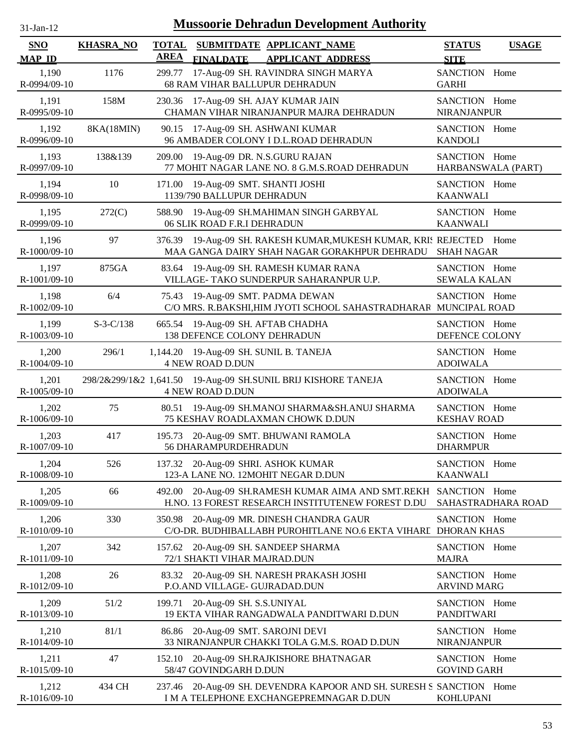| $31$ -Jan-12 |  |
|--------------|--|

| <b>SNO</b><br><b>MAP ID</b> | <b>KHASRA_NO</b> | <b>TOTAL</b><br><b>AREA</b> | <b>FINALDATE</b>                                          | SUBMITDATE APPLICANT_NAME<br><b>APPLICANT ADDRESS</b>                                                          | <b>STATUS</b><br><b>SITE</b>         | <b>USAGE</b>       |
|-----------------------------|------------------|-----------------------------|-----------------------------------------------------------|----------------------------------------------------------------------------------------------------------------|--------------------------------------|--------------------|
| 1,190<br>R-0994/09-10       | 1176             | 299.77                      |                                                           | 17-Aug-09 SH. RAVINDRA SINGH MARYA<br>68 RAM VIHAR BALLUPUR DEHRADUN                                           | SANCTION Home<br><b>GARHI</b>        |                    |
| 1,191<br>R-0995/09-10       | 158M             |                             |                                                           | 230.36 17-Aug-09 SH. AJAY KUMAR JAIN<br>CHAMAN VIHAR NIRANJANPUR MAJRA DEHRADUN                                | SANCTION Home<br><b>NIRANJANPUR</b>  |                    |
| 1,192<br>R-0996/09-10       | 8KA(18MIN)       |                             |                                                           | 90.15 17-Aug-09 SH. ASHWANI KUMAR<br>96 AMBADER COLONY I D.L.ROAD DEHRADUN                                     | SANCTION Home<br><b>KANDOLI</b>      |                    |
| 1,193<br>R-0997/09-10       | 138&139          |                             |                                                           | 209.00 19-Aug-09 DR. N.S.GURU RAJAN<br>77 MOHIT NAGAR LANE NO. 8 G.M.S.ROAD DEHRADUN                           | SANCTION Home<br>HARBANSWALA (PART)  |                    |
| 1,194<br>R-0998/09-10       | 10               | 171.00                      | 19-Aug-09 SMT. SHANTI JOSHI<br>1139/790 BALLUPUR DEHRADUN |                                                                                                                | SANCTION Home<br><b>KAANWALI</b>     |                    |
| 1,195<br>R-0999/09-10       | 272(C)           | 588.90                      | 06 SLIK ROAD F.R.I DEHRADUN                               | 19-Aug-09 SH.MAHIMAN SINGH GARBYAL                                                                             | SANCTION Home<br><b>KAANWALI</b>     |                    |
| 1,196<br>R-1000/09-10       | 97               | 376.39                      |                                                           | 19-Aug-09 SH. RAKESH KUMAR, MUKESH KUMAR, KRIS REJECTED<br>MAA GANGA DAIRY SHAH NAGAR GORAKHPUR DEHRADU        | <b>SHAH NAGAR</b>                    | Home               |
| 1,197<br>R-1001/09-10       | 875GA            |                             |                                                           | 83.64 19-Aug-09 SH. RAMESH KUMAR RANA<br>VILLAGE- TAKO SUNDERPUR SAHARANPUR U.P.                               | SANCTION Home<br><b>SEWALA KALAN</b> |                    |
| 1,198<br>R-1002/09-10       | 6/4              | 75.43                       |                                                           | 19-Aug-09 SMT. PADMA DEWAN<br>C/O MRS. R.BAKSHI, HIM JYOTI SCHOOL SAHASTRADHARAR MUNCIPAL ROAD                 | SANCTION Home                        |                    |
| 1,199<br>R-1003/09-10       | $S-3-C/138$      |                             | 138 DEFENCE COLONY DEHRADUN                               | 665.54 19-Aug-09 SH. AFTAB CHADHA                                                                              | SANCTION Home<br>DEFENCE COLONY      |                    |
| 1,200<br>R-1004/09-10       | 296/1            |                             | <b>4 NEW ROAD D.DUN</b>                                   | 1,144.20 19-Aug-09 SH. SUNIL B. TANEJA                                                                         | SANCTION Home<br><b>ADOIWALA</b>     |                    |
| 1,201<br>R-1005/09-10       |                  |                             | <b>4 NEW ROAD D.DUN</b>                                   | 298/2&299/1&2 1,641.50 19-Aug-09 SH.SUNIL BRIJ KISHORE TANEJA                                                  | SANCTION Home<br><b>ADOIWALA</b>     |                    |
| 1,202<br>R-1006/09-10       | 75               | 80.51                       |                                                           | 19-Aug-09 SH.MANOJ SHARMA&SH.ANUJ SHARMA<br>75 KESHAV ROADLAXMAN CHOWK D.DUN                                   | SANCTION Home<br><b>KESHAV ROAD</b>  |                    |
| 1,203<br>R-1007/09-10       | 417              |                             | 56 DHARAMPURDEHRADUN                                      | 195.73 20-Aug-09 SMT. BHUWANI RAMOLA                                                                           | SANCTION Home<br><b>DHARMPUR</b>     |                    |
| 1,204<br>R-1008/09-10       | 526              |                             |                                                           | 137.32 20-Aug-09 SHRI. ASHOK KUMAR<br>123-A LANE NO. 12MOHIT NEGAR D.DUN                                       | SANCTION Home<br><b>KAANWALI</b>     |                    |
| 1,205<br>R-1009/09-10       | 66               | 492.00                      |                                                           | 20-Aug-09 SH.RAMESH KUMAR AIMA AND SMT.REKH SANCTION Home<br>H.NO. 13 FOREST RESEARCH INSTITUTENEW FOREST D.DU |                                      | SAHASTRADHARA ROAD |
| 1,206<br>R-1010/09-10       | 330              | 350.98                      |                                                           | 20-Aug-09 MR. DINESH CHANDRA GAUR<br>C/O-DR. BUDHIBALLABH PUROHITLANE NO.6 EKTA VIHARI DHORAN KHAS             | SANCTION Home                        |                    |
| 1,207<br>R-1011/09-10       | 342              |                             | 72/1 SHAKTI VIHAR MAJRAD.DUN                              | 157.62 20-Aug-09 SH. SANDEEP SHARMA                                                                            | SANCTION Home<br><b>MAJRA</b>        |                    |
| 1,208<br>R-1012/09-10       | 26               | 83.32                       | P.O.AND VILLAGE- GUJRADAD.DUN                             | 20-Aug-09 SH. NARESH PRAKASH JOSHI                                                                             | SANCTION Home<br><b>ARVIND MARG</b>  |                    |
| 1,209<br>R-1013/09-10       | 51/2             | 199.71                      | 20-Aug-09 SH. S.S.UNIYAL                                  | 19 EKTA VIHAR RANGADWALA PANDITWARI D.DUN                                                                      | SANCTION Home<br><b>PANDITWARI</b>   |                    |
| 1,210<br>R-1014/09-10       | 81/1             | 86.86                       |                                                           | 20-Aug-09 SMT. SAROJNI DEVI<br>33 NIRANJANPUR CHAKKI TOLA G.M.S. ROAD D.DUN                                    | SANCTION Home<br><b>NIRANJANPUR</b>  |                    |
| 1,211<br>R-1015/09-10       | 47               | 152.10                      | 58/47 GOVINDGARH D.DUN                                    | 20-Aug-09 SH.RAJKISHORE BHATNAGAR                                                                              | SANCTION Home<br><b>GOVIND GARH</b>  |                    |
| 1,212<br>R-1016/09-10       | 434 CH           |                             |                                                           | 237.46 20-Aug-09 SH. DEVENDRA KAPOOR AND SH. SURESH S SANCTION Home<br>I M A TELEPHONE EXCHANGEPREMNAGAR D.DUN | <b>KOHLUPANI</b>                     |                    |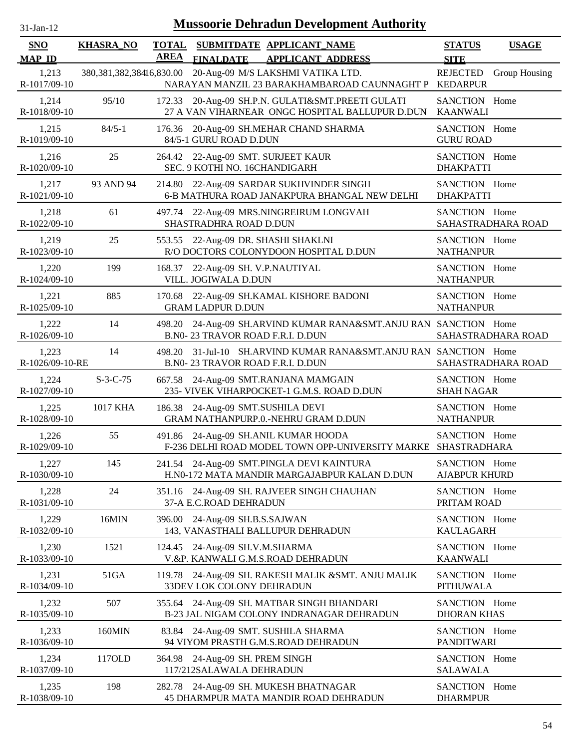| <b>SNO</b>               | <b>KHASRA_NO</b>             | <b>TOTAL</b> |                                                                     | SUBMITDATE APPLICANT NAME                                                                             | <b>STATUS</b>                         | <b>USAGE</b>       |
|--------------------------|------------------------------|--------------|---------------------------------------------------------------------|-------------------------------------------------------------------------------------------------------|---------------------------------------|--------------------|
| <u>MAP ID</u>            |                              | <b>AREA</b>  | <b>FINALDATE</b>                                                    | <b>APPLICANT ADDRESS</b>                                                                              | <b>SITE</b>                           |                    |
| 1,213<br>R-1017/09-10    | 380, 381, 382, 38416, 830.00 |              |                                                                     | 20-Aug-09 M/S LAKSHMI VATIKA LTD.<br>NARAYAN MANZIL 23 BARAKHAMBAROAD CAUNNAGHT P KEDARPUR            | <b>REJECTED</b>                       | Group Housing      |
| 1,214<br>R-1018/09-10    | 95/10                        |              |                                                                     | 172.33 20-Aug-09 SH.P.N. GULATI&SMT.PREETI GULATI<br>27 A VAN VIHARNEAR ONGC HOSPITAL BALLUPUR D.DUN  | SANCTION Home<br><b>KAANWALI</b>      |                    |
| 1,215<br>R-1019/09-10    | $84/5 - 1$                   |              | 84/5-1 GURU ROAD D.DUN                                              | 176.36 20-Aug-09 SH.MEHAR CHAND SHARMA                                                                | SANCTION Home<br><b>GURU ROAD</b>     |                    |
| 1,216<br>R-1020/09-10    | 25                           |              | 264.42 22-Aug-09 SMT. SURJEET KAUR<br>SEC. 9 KOTHI NO. 16CHANDIGARH |                                                                                                       | SANCTION Home<br><b>DHAKPATTI</b>     |                    |
| 1,217<br>R-1021/09-10    | 93 AND 94                    |              |                                                                     | 214.80 22-Aug-09 SARDAR SUKHVINDER SINGH<br>6-B MATHURA ROAD JANAKPURA BHANGAL NEW DELHI              | SANCTION Home<br><b>DHAKPATTI</b>     |                    |
| 1,218<br>R-1022/09-10    | 61                           |              | SHASTRADHRA ROAD D.DUN                                              | 497.74 22-Aug-09 MRS.NINGREIRUM LONGVAH                                                               | SANCTION Home                         | SAHASTRADHARA ROAD |
| 1,219<br>R-1023/09-10    | 25                           |              | 553.55 22-Aug-09 DR. SHASHI SHAKLNI                                 | R/O DOCTORS COLONYDOON HOSPITAL D.DUN                                                                 | SANCTION Home<br><b>NATHANPUR</b>     |                    |
| 1,220<br>R-1024/09-10    | 199                          | 168.37       | 22-Aug-09 SH. V.P.NAUTIYAL<br>VILL. JOGIWALA D.DUN                  |                                                                                                       | SANCTION Home<br><b>NATHANPUR</b>     |                    |
| 1,221<br>R-1025/09-10    | 885                          |              | <b>GRAM LADPUR D.DUN</b>                                            | 170.68 22-Aug-09 SH.KAMAL KISHORE BADONI                                                              | SANCTION Home<br><b>NATHANPUR</b>     |                    |
| 1,222<br>R-1026/09-10    | 14                           |              | B.N0-23 TRAVOR ROAD F.R.I. D.DUN                                    | 498.20 24-Aug-09 SH.ARVIND KUMAR RANA&SMT.ANJU RAN SANCTION Home                                      |                                       | SAHASTRADHARA ROAD |
| 1,223<br>R-1026/09-10-RE | 14                           |              | B.N0-23 TRAVOR ROAD F.R.I. D.DUN                                    | 498.20 31-Jul-10 SH.ARVIND KUMAR RANA&SMT.ANJU RAN SANCTION Home                                      |                                       | SAHASTRADHARA ROAD |
| 1,224<br>R-1027/09-10    | $S-3-C-75$                   |              |                                                                     | 667.58 24-Aug-09 SMT.RANJANA MAMGAIN<br>235- VIVEK VIHARPOCKET-1 G.M.S. ROAD D.DUN                    | SANCTION Home<br><b>SHAH NAGAR</b>    |                    |
| 1,225<br>R-1028/09-10    | 1017 KHA                     |              | 186.38 24-Aug-09 SMT.SUSHILA DEVI                                   | GRAM NATHANPURP.0.-NEHRU GRAM D.DUN                                                                   | SANCTION Home<br><b>NATHANPUR</b>     |                    |
| 1,226<br>R-1029/09-10    | 55                           |              |                                                                     | 491.86 24-Aug-09 SH.ANIL KUMAR HOODA<br>F-236 DELHI ROAD MODEL TOWN OPP-UNIVERSITY MARKE SHASTRADHARA | SANCTION Home                         |                    |
| 1,227<br>R-1030/09-10    | 145                          |              |                                                                     | 241.54 24-Aug-09 SMT.PINGLA DEVI KAINTURA<br>H.N0-172 MATA MANDIR MARGAJABPUR KALAN D.DUN             | SANCTION Home<br><b>AJABPUR KHURD</b> |                    |
| 1,228<br>R-1031/09-10    | 24                           |              | 37-A E.C.ROAD DEHRADUN                                              | 351.16 24-Aug-09 SH. RAJVEER SINGH CHAUHAN                                                            | SANCTION Home<br>PRITAM ROAD          |                    |
| 1,229<br>R-1032/09-10    | 16MIN                        |              | 396.00 24-Aug-09 SH.B.S.SAJWAN                                      | 143, VANASTHALI BALLUPUR DEHRADUN                                                                     | SANCTION Home<br><b>KAULAGARH</b>     |                    |
| 1,230<br>R-1033/09-10    | 1521                         |              | 124.45 24-Aug-09 SH.V.M.SHARMA                                      | V.&P. KANWALI G.M.S.ROAD DEHRADUN                                                                     | SANCTION Home<br><b>KAANWALI</b>      |                    |
| 1,231<br>R-1034/09-10    | 51GA                         |              | 33DEV LOK COLONY DEHRADUN                                           | 119.78 24-Aug-09 SH. RAKESH MALIK & SMT. ANJU MALIK                                                   | SANCTION Home<br><b>PITHUWALA</b>     |                    |
| 1,232<br>R-1035/09-10    | 507                          | 355.64       |                                                                     | 24-Aug-09 SH. MATBAR SINGH BHANDARI<br>B-23 JAL NIGAM COLONY INDRANAGAR DEHRADUN                      | SANCTION Home<br><b>DHORAN KHAS</b>   |                    |
| 1,233<br>R-1036/09-10    | 160MIN                       |              |                                                                     | 83.84 24-Aug-09 SMT. SUSHILA SHARMA<br>94 VIYOM PRASTH G.M.S.ROAD DEHRADUN                            | SANCTION Home<br><b>PANDITWARI</b>    |                    |
| 1,234<br>R-1037/09-10    | 117OLD                       |              | 364.98 24-Aug-09 SH. PREM SINGH<br>117/212SALAWALA DEHRADUN         |                                                                                                       | SANCTION Home<br><b>SALAWALA</b>      |                    |
| 1,235                    | 198                          |              |                                                                     | 282.78 24-Aug-09 SH. MUKESH BHATNAGAR                                                                 | SANCTION Home                         |                    |

45 DHARMPUR MATA MANDIR ROAD DEHRADUN

31-Jan-12 **Mussoorie Dehradun Development Authority**

R-1038/09-10

DHARMPUR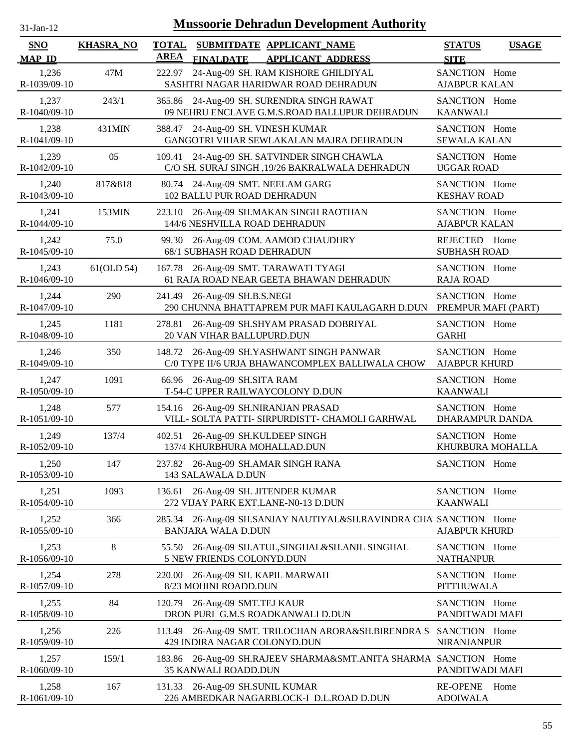| $31$ -Jan-12                | <b>Mussoorie Dehradun Development Authority</b> |                                                                                                          |                                              |  |  |  |  |  |
|-----------------------------|-------------------------------------------------|----------------------------------------------------------------------------------------------------------|----------------------------------------------|--|--|--|--|--|
| <b>SNO</b><br><b>MAP ID</b> | <b>KHASRA_NO</b>                                | <b>TOTAL</b><br>SUBMITDATE APPLICANT_NAME<br><b>AREA</b><br><b>FINALDATE</b><br><b>APPLICANT ADDRESS</b> | <b>STATUS</b><br><b>USAGE</b><br><b>SITE</b> |  |  |  |  |  |
| 1,236<br>R-1039/09-10       | 47M                                             | 24-Aug-09 SH. RAM KISHORE GHILDIYAL<br>222.97<br>SASHTRI NAGAR HARIDWAR ROAD DEHRADUN                    | SANCTION Home<br><b>AJABPUR KALAN</b>        |  |  |  |  |  |
| 1,237<br>R-1040/09-10       | 243/1                                           | 365.86 24-Aug-09 SH. SURENDRA SINGH RAWAT<br>09 NEHRU ENCLAVE G.M.S.ROAD BALLUPUR DEHRADUN               | SANCTION Home<br><b>KAANWALI</b>             |  |  |  |  |  |
| 1,238<br>R-1041/09-10       | 431MIN                                          | 388.47 24-Aug-09 SH. VINESH KUMAR<br>GANGOTRI VIHAR SEWLAKALAN MAJRA DEHRADUN                            | SANCTION Home<br><b>SEWALA KALAN</b>         |  |  |  |  |  |
| 1,239<br>R-1042/09-10       | 05                                              | 24-Aug-09 SH. SATVINDER SINGH CHAWLA<br>109.41<br>C/O SH. SURAJ SINGH , 19/26 BAKRALWALA DEHRADUN        | SANCTION Home<br><b>UGGAR ROAD</b>           |  |  |  |  |  |
| 1,240<br>R-1043/09-10       | 817&818                                         | 80.74 24-Aug-09 SMT. NEELAM GARG<br>102 BALLU PUR ROAD DEHRADUN                                          | SANCTION Home<br><b>KESHAV ROAD</b>          |  |  |  |  |  |
| 1,241<br>R-1044/09-10       | 153MIN                                          | 26-Aug-09 SH.MAKAN SINGH RAOTHAN<br>223.10<br>144/6 NESHVILLA ROAD DEHRADUN                              | SANCTION Home<br><b>AJABPUR KALAN</b>        |  |  |  |  |  |
| 1,242<br>R-1045/09-10       | 75.0                                            | 99.30<br>26-Aug-09 COM. AAMOD CHAUDHRY<br>68/1 SUBHASH ROAD DEHRADUN                                     | REJECTED Home<br><b>SUBHASH ROAD</b>         |  |  |  |  |  |
| 1,243<br>R-1046/09-10       | 61(OLD 54)                                      | 167.78 26-Aug-09 SMT. TARAWATI TYAGI<br>61 RAJA ROAD NEAR GEETA BHAWAN DEHRADUN                          | SANCTION Home<br><b>RAJA ROAD</b>            |  |  |  |  |  |
| 1,244<br>R-1047/09-10       | 290                                             | 26-Aug-09 SH.B.S.NEGI<br>241.49<br>290 CHUNNA BHATTAPREM PUR MAFI KAULAGARH D.DUN                        | SANCTION Home<br>PREMPUR MAFI (PART)         |  |  |  |  |  |
| 1,245<br>R-1048/09-10       | 1181                                            | 26-Aug-09 SH.SHYAM PRASAD DOBRIYAL<br>278.81<br>20 VAN VIHAR BALLUPURD.DUN                               | SANCTION Home<br><b>GARHI</b>                |  |  |  |  |  |
| 1,246<br>R-1049/09-10       | 350                                             | 148.72 26-Aug-09 SH.YASHWANT SINGH PANWAR<br>C/0 TYPE II/6 URJA BHAWANCOMPLEX BALLIWALA CHOW             | SANCTION Home<br><b>AJABPUR KHURD</b>        |  |  |  |  |  |
| 1,247<br>R-1050/09-10       | 1091                                            | 66.96 26-Aug-09 SH.SITA RAM<br>T-54-C UPPER RAILWAYCOLONY D.DUN                                          | SANCTION Home<br><b>KAANWALI</b>             |  |  |  |  |  |
| 1,248<br>R-1051/09-10       | 577                                             | 154.16 26-Aug-09 SH.NIRANJAN PRASAD<br>VILL- SOLTA PATTI- SIRPURDISTT- CHAMOLI GARHWAL                   | SANCTION Home<br>DHARAMPUR DANDA             |  |  |  |  |  |
| 1,249<br>R-1052/09-10       | 137/4                                           | 402.51 26-Aug-09 SH.KULDEEP SINGH<br>137/4 KHURBHURA MOHALLAD.DUN                                        | SANCTION Home<br>KHURBURA MOHALLA            |  |  |  |  |  |
| 1,250<br>R-1053/09-10       | 147                                             | 237.82 26-Aug-09 SH.AMAR SINGH RANA<br>143 SALAWALA D.DUN                                                | SANCTION Home                                |  |  |  |  |  |
| 1,251<br>R-1054/09-10       | 1093                                            | 26-Aug-09 SH. JITENDER KUMAR<br>136.61<br>272 VIJAY PARK EXT.LANE-N0-13 D.DUN                            | SANCTION Home<br><b>KAANWALI</b>             |  |  |  |  |  |
| 1,252<br>R-1055/09-10       | 366                                             | 26-Aug-09 SH.SANJAY NAUTIYAL&SH.RAVINDRA CHA SANCTION Home<br>285.34<br><b>BANJARA WALA D.DUN</b>        | <b>AJABPUR KHURD</b>                         |  |  |  |  |  |
| 1,253<br>R-1056/09-10       | $8\,$                                           | 26-Aug-09 SH.ATUL, SINGHAL&SH.ANIL SINGHAL<br>55.50<br>5 NEW FRIENDS COLONYD.DUN                         | SANCTION Home<br><b>NATHANPUR</b>            |  |  |  |  |  |
| 1,254<br>R-1057/09-10       | 278                                             | 26-Aug-09 SH. KAPIL MARWAH<br>220.00<br>8/23 MOHINI ROADD.DUN                                            | SANCTION Home<br>PITTHUWALA                  |  |  |  |  |  |
| 1,255<br>R-1058/09-10       | 84                                              | 26-Aug-09 SMT.TEJ KAUR<br>120.79<br>DRON PURI G.M.S ROADKANWALI D.DUN                                    | SANCTION Home<br>PANDITWADI MAFI             |  |  |  |  |  |
| 1,256<br>R-1059/09-10       | 226                                             | 26-Aug-09 SMT. TRILOCHAN ARORA&SH.BIRENDRA S<br>113.49<br>429 INDIRA NAGAR COLONYD.DUN                   | SANCTION Home<br><b>NIRANJANPUR</b>          |  |  |  |  |  |
| 1,257<br>R-1060/09-10       | 159/1                                           | 183.86  26-Aug-09 SH.RAJEEV SHARMA&SMT.ANITA SHARMA SANCTION  Home<br><b>35 KANWALI ROADD.DUN</b>        | PANDITWADI MAFI                              |  |  |  |  |  |
| 1,258<br>R-1061/09-10       | 167                                             | 131.33 26-Aug-09 SH.SUNIL KUMAR<br>226 AMBEDKAR NAGARBLOCK-I D.L.ROAD D.DUN                              | <b>RE-OPENE</b><br>Home<br><b>ADOIWALA</b>   |  |  |  |  |  |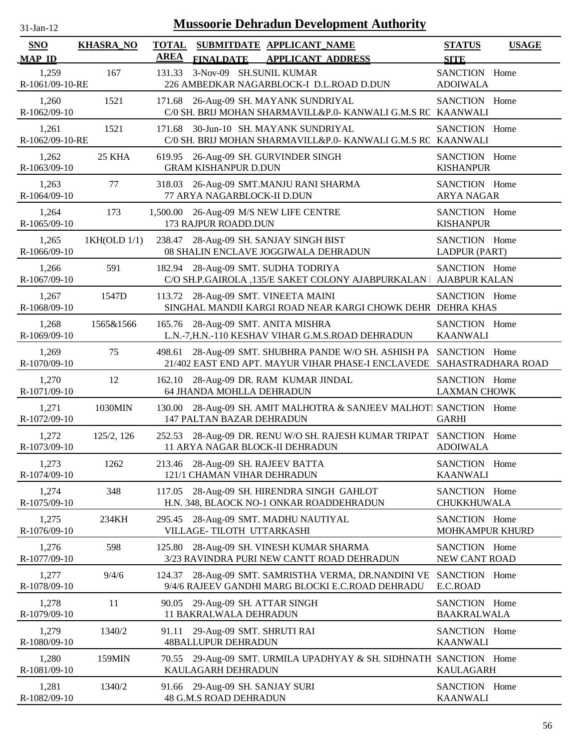| $31-Jan-12$                 | <b>Mussoorie Dehradun Development Authority</b> |                             |                                                                                                                                       |                                      |              |  |  |  |
|-----------------------------|-------------------------------------------------|-----------------------------|---------------------------------------------------------------------------------------------------------------------------------------|--------------------------------------|--------------|--|--|--|
| <b>SNO</b><br><b>MAP ID</b> | <b>KHASRA_NO</b>                                | <b>TOTAL</b><br><b>AREA</b> | SUBMITDATE APPLICANT NAME<br><b>FINALDATE</b><br><b>APPLICANT ADDRESS</b>                                                             | <b>STATUS</b><br><b>SITE</b>         | <b>USAGE</b> |  |  |  |
| 1,259<br>R-1061/09-10-RE    | 167                                             | 131.33                      | 3-Nov-09 SH.SUNIL KUMAR<br>226 AMBEDKAR NAGARBLOCK-I D.L.ROAD D.DUN                                                                   | SANCTION Home<br><b>ADOIWALA</b>     |              |  |  |  |
| 1,260<br>R-1062/09-10       | 1521                                            | 171.68                      | 26-Aug-09 SH. MAYANK SUNDRIYAL<br>C/0 SH. BRIJ MOHAN SHARMAVILL&P.0- KANWALI G.M.S RC KAANWALI                                        | SANCTION Home                        |              |  |  |  |
| 1,261<br>R-1062/09-10-RE    | 1521                                            | 171.68                      | 30-Jun-10 SH. MAYANK SUNDRIYAL<br>C/0 SH. BRIJ MOHAN SHARMAVILL&P.0- KANWALI G.M.S RC KAANWALI                                        | SANCTION Home                        |              |  |  |  |
| 1,262<br>R-1063/09-10       | 25 KHA                                          |                             | 619.95 26-Aug-09 SH. GURVINDER SINGH<br><b>GRAM KISHANPUR D.DUN</b>                                                                   | SANCTION Home<br><b>KISHANPUR</b>    |              |  |  |  |
| 1,263<br>R-1064/09-10       | 77                                              | 318.03                      | 26-Aug-09 SMT.MANJU RANI SHARMA<br>77 ARYA NAGARBLOCK-II D.DUN                                                                        | SANCTION Home<br><b>ARYA NAGAR</b>   |              |  |  |  |
| 1,264<br>R-1065/09-10       | 173                                             |                             | 1,500.00 26-Aug-09 M/S NEW LIFE CENTRE<br>173 RAJPUR ROADD.DUN                                                                        | SANCTION Home<br><b>KISHANPUR</b>    |              |  |  |  |
| 1,265<br>R-1066/09-10       | 1KH(OLD 1/1)                                    | 238.47                      | 28-Aug-09 SH. SANJAY SINGH BIST<br>08 SHALIN ENCLAVE JOGGIWALA DEHRADUN                                                               | SANCTION Home<br>LADPUR (PART)       |              |  |  |  |
| 1,266<br>R-1067/09-10       | 591                                             |                             | 182.94 28-Aug-09 SMT. SUDHA TODRIYA<br>C/O SH.P.GAIROLA ,135/E SAKET COLONY AJABPURKALAN   AJABPUR KALAN                              | SANCTION Home                        |              |  |  |  |
| 1,267<br>R-1068/09-10       | 1547D                                           |                             | 113.72 28-Aug-09 SMT. VINEETA MAINI<br>SINGHAL MANDII KARGI ROAD NEAR KARGI CHOWK DEHR DEHRA KHAS                                     | SANCTION Home                        |              |  |  |  |
| 1,268<br>R-1069/09-10       | 1565&1566                                       |                             | 165.76 28-Aug-09 SMT. ANITA MISHRA<br>L.N.-7,H.N.-110 KESHAV VIHAR G.M.S.ROAD DEHRADUN                                                | SANCTION Home<br><b>KAANWALI</b>     |              |  |  |  |
| 1,269<br>R-1070/09-10       | 75                                              | 498.61                      | 28-Aug-09 SMT. SHUBHRA PANDE W/O SH. ASHISH PA SANCTION Home<br>21/402 EAST END APT. MAYUR VIHAR PHASE-I ENCLAVEDE SAHASTRADHARA ROAD |                                      |              |  |  |  |
| 1,270<br>R-1071/09-10       | 12                                              | 162.10                      | 28-Aug-09 DR. RAM KUMAR JINDAL<br>64 JHANDA MOHLLA DEHRADUN                                                                           | SANCTION Home<br><b>LAXMAN CHOWK</b> |              |  |  |  |
| 1,271<br>R-1072/09-10       | 1030MIN                                         | 130.00                      | 28-Aug-09 SH. AMIT MALHOTRA & SANJEEV MALHOTI SANCTION Home<br><b>147 PALTAN BAZAR DEHRADUN</b>                                       | <b>GARHI</b>                         |              |  |  |  |
| 1,272<br>R-1073/09-10       | 125/2, 126                                      |                             | 252.53 28-Aug-09 DR. RENU W/O SH. RAJESH KUMAR TRIPAT SANCTION Home<br>11 ARYA NAGAR BLOCK-II DEHRADUN                                | <b>ADOIWALA</b>                      |              |  |  |  |
| 1,273<br>R-1074/09-10       | 1262                                            | 213.46                      | 28-Aug-09 SH. RAJEEV BATTA<br>121/1 CHAMAN VIHAR DEHRADUN                                                                             | SANCTION Home<br><b>KAANWALI</b>     |              |  |  |  |
| 1,274<br>R-1075/09-10       | 348                                             | 117.05                      | 28-Aug-09 SH. HIRENDRA SINGH GAHLOT<br>H.N. 348, BLAOCK NO-1 ONKAR ROADDEHRADUN                                                       | SANCTION Home<br>CHUKKHUWALA         |              |  |  |  |
| 1,275<br>R-1076/09-10       | 234KH                                           | 295.45                      | 28-Aug-09 SMT. MADHU NAUTIYAL<br>VILLAGE-TILOTH UTTARKASHI                                                                            | SANCTION Home<br>MOHKAMPUR KHURD     |              |  |  |  |
| 1,276<br>R-1077/09-10       | 598                                             | 125.80                      | 28-Aug-09 SH. VINESH KUMAR SHARMA<br>3/23 RAVINDRA PURI NEW CANTT ROAD DEHRADUN                                                       | SANCTION Home<br>NEW CANT ROAD       |              |  |  |  |
| 1,277<br>R-1078/09-10       | 9/4/6                                           | 124.37                      | 28-Aug-09 SMT. SAMRISTHA VERMA, DR.NANDINI VE<br>9/4/6 RAJEEV GANDHI MARG BLOCKI E.C.ROAD DEHRADU                                     | SANCTION Home<br>E.C.ROAD            |              |  |  |  |
| 1,278<br>R-1079/09-10       | 11                                              |                             | 90.05 29-Aug-09 SH. ATTAR SINGH<br><b>11 BAKRALWALA DEHRADUN</b>                                                                      | SANCTION Home<br><b>BAAKRALWALA</b>  |              |  |  |  |
| 1,279<br>R-1080/09-10       | 1340/2                                          | 91.11                       | 29-Aug-09 SMT. SHRUTI RAI<br><b>48BALLUPUR DEHRADUN</b>                                                                               | SANCTION Home<br><b>KAANWALI</b>     |              |  |  |  |
| 1,280<br>R-1081/09-10       | 159MIN                                          |                             | 70.55 29-Aug-09 SMT. URMILA UPADHYAY & SH. SIDHNATH SANCTION Home<br>KAULAGARH DEHRADUN                                               | <b>KAULAGARH</b>                     |              |  |  |  |
| 1,281<br>R-1082/09-10       | 1340/2                                          | 91.66                       | 29-Aug-09 SH. SANJAY SURI<br>48 G.M.S ROAD DEHRADUN                                                                                   | SANCTION Home<br><b>KAANWALI</b>     |              |  |  |  |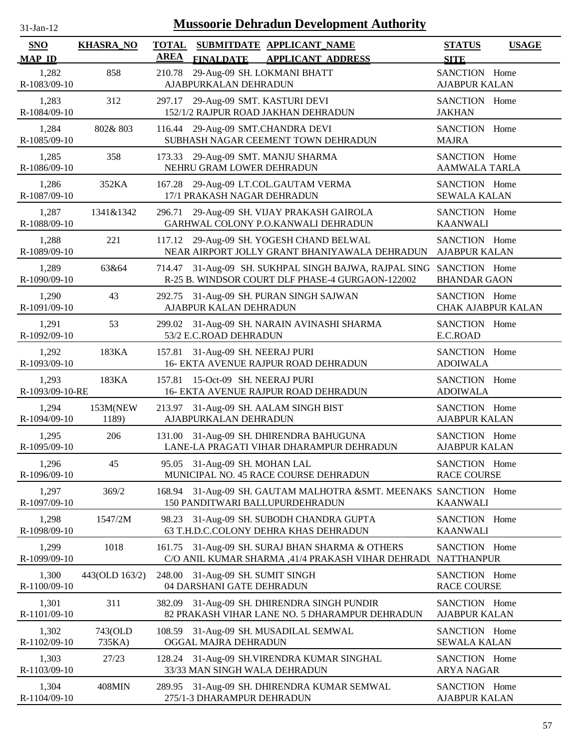| <b>Mussoorie Dehradun Development Authority</b><br>$31$ -Jan-12 |                   |                                                                                                              |                                              |  |  |  |
|-----------------------------------------------------------------|-------------------|--------------------------------------------------------------------------------------------------------------|----------------------------------------------|--|--|--|
| <b>SNO</b><br><b>MAP ID</b>                                     | <b>KHASRA_NO</b>  | <b>TOTAL</b><br>SUBMITDATE APPLICANT_NAME<br><b>AREA</b><br><b>APPLICANT ADDRESS</b><br><b>FINALDATE</b>     | <b>STATUS</b><br><b>USAGE</b><br><b>SITE</b> |  |  |  |
| 1,282<br>R-1083/09-10                                           | 858               | 29-Aug-09 SH. LOKMANI BHATT<br>210.78<br>AJABPURKALAN DEHRADUN                                               | SANCTION Home<br><b>AJABPUR KALAN</b>        |  |  |  |
| 1,283<br>R-1084/09-10                                           | 312               | 297.17<br>29-Aug-09 SMT. KASTURI DEVI<br>152/1/2 RAJPUR ROAD JAKHAN DEHRADUN                                 | SANCTION Home<br><b>JAKHAN</b>               |  |  |  |
| 1,284<br>R-1085/09-10                                           | 802&803           | 116.44 29-Aug-09 SMT.CHANDRA DEVI<br>SUBHASH NAGAR CEEMENT TOWN DEHRADUN                                     | SANCTION Home<br><b>MAJRA</b>                |  |  |  |
| 1,285<br>R-1086/09-10                                           | 358               | 29-Aug-09 SMT. MANJU SHARMA<br>173.33<br>NEHRU GRAM LOWER DEHRADUN                                           | SANCTION Home<br><b>AAMWALA TARLA</b>        |  |  |  |
| 1,286<br>R-1087/09-10                                           | 352KA             | 167.28 29-Aug-09 LT.COL.GAUTAM VERMA<br>17/1 PRAKASH NAGAR DEHRADUN                                          | SANCTION Home<br><b>SEWALA KALAN</b>         |  |  |  |
| 1,287<br>R-1088/09-10                                           | 1341&1342         | 296.71<br>29-Aug-09 SH. VIJAY PRAKASH GAIROLA<br>GARHWAL COLONY P.O.KANWALI DEHRADUN                         | SANCTION Home<br><b>KAANWALI</b>             |  |  |  |
| 1,288<br>R-1089/09-10                                           | 221               | 117.12 29-Aug-09 SH. YOGESH CHAND BELWAL<br>NEAR AIRPORT JOLLY GRANT BHANIYAWALA DEHRADUN                    | SANCTION Home<br><b>AJABPUR KALAN</b>        |  |  |  |
| 1,289<br>R-1090/09-10                                           | 63&64             | 31-Aug-09 SH. SUKHPAL SINGH BAJWA, RAJPAL SING<br>714.47<br>R-25 B. WINDSOR COURT DLF PHASE-4 GURGAON-122002 | SANCTION Home<br><b>BHANDAR GAON</b>         |  |  |  |
| 1,290<br>R-1091/09-10                                           | 43                | 31-Aug-09 SH. PURAN SINGH SAJWAN<br>292.75<br>AJABPUR KALAN DEHRADUN                                         | SANCTION Home<br><b>CHAK AJABPUR KALAN</b>   |  |  |  |
| 1,291<br>R-1092/09-10                                           | 53                | 31-Aug-09 SH. NARAIN AVINASHI SHARMA<br>299.02<br>53/2 E.C.ROAD DEHRADUN                                     | SANCTION Home<br>E.C.ROAD                    |  |  |  |
| 1,292<br>R-1093/09-10                                           | 183KA             | 31-Aug-09 SH. NEERAJ PURI<br>157.81<br>16- EKTA AVENUE RAJPUR ROAD DEHRADUN                                  | SANCTION Home<br><b>ADOIWALA</b>             |  |  |  |
| 1,293<br>R-1093/09-10-RE                                        | 183KA             | 15-Oct-09 SH. NEERAJ PURI<br>157.81<br>16- EKTA AVENUE RAJPUR ROAD DEHRADUN                                  | SANCTION Home<br><b>ADOIWALA</b>             |  |  |  |
| 1,294<br>R-1094/09-10                                           | 153M(NEW<br>1189) | 213.97 31-Aug-09 SH. AALAM SINGH BIST<br>AJABPURKALAN DEHRADUN                                               | SANCTION Home<br><b>AJABPUR KALAN</b>        |  |  |  |
| 1,295<br>R-1095/09-10                                           | 206               | 131.00 31-Aug-09 SH. DHIRENDRA BAHUGUNA<br>LANE-LA PRAGATI VIHAR DHARAMPUR DEHRADUN                          | SANCTION Home<br><b>AJABPUR KALAN</b>        |  |  |  |
| 1,296<br>R-1096/09-10                                           | 45                | 95.05 31-Aug-09 SH. MOHAN LAL<br>MUNICIPAL NO. 45 RACE COURSE DEHRADUN                                       | SANCTION Home<br><b>RACE COURSE</b>          |  |  |  |
| 1,297<br>R-1097/09-10                                           | 369/2             | 168.94<br>31-Aug-09 SH. GAUTAM MALHOTRA &SMT. MEENAKS SANCTION Home<br>150 PANDITWARI BALLUPURDEHRADUN       | <b>KAANWALI</b>                              |  |  |  |
| 1,298<br>R-1098/09-10                                           | 1547/2M           | 31-Aug-09 SH. SUBODH CHANDRA GUPTA<br>98.23<br>63 T.H.D.C.COLONY DEHRA KHAS DEHRADUN                         | SANCTION Home<br><b>KAANWALI</b>             |  |  |  |
| 1,299<br>R-1099/09-10                                           | 1018              | 31-Aug-09 SH. SURAJ BHAN SHARMA & OTHERS<br>161.75<br>C/O ANIL KUMAR SHARMA , 41/4 PRAKASH VIHAR DEHRADU     | SANCTION Home<br><b>NATTHANPUR</b>           |  |  |  |
| 1,300<br>R-1100/09-10                                           | 443(OLD 163/2)    | 248.00 31-Aug-09 SH. SUMIT SINGH<br>04 DARSHANI GATE DEHRADUN                                                | SANCTION Home<br><b>RACE COURSE</b>          |  |  |  |
| 1,301<br>R-1101/09-10                                           | 311               | 31-Aug-09 SH. DHIRENDRA SINGH PUNDIR<br>382.09<br>82 PRAKASH VIHAR LANE NO. 5 DHARAMPUR DEHRADUN             | SANCTION Home<br><b>AJABPUR KALAN</b>        |  |  |  |
| 1,302<br>R-1102/09-10                                           | 743(OLD<br>735KA) | 31-Aug-09 SH. MUSADILAL SEMWAL<br>108.59<br>OGGAL MAJRA DEHRADUN                                             | SANCTION Home<br><b>SEWALA KALAN</b>         |  |  |  |
| 1,303<br>R-1103/09-10                                           | 27/23             | 31-Aug-09 SH.VIRENDRA KUMAR SINGHAL<br>128.24<br>33/33 MAN SINGH WALA DEHRADUN                               | SANCTION Home<br><b>ARYA NAGAR</b>           |  |  |  |
| 1,304<br>R-1104/09-10                                           | 408MIN            | 31-Aug-09 SH. DHIRENDRA KUMAR SEMWAL<br>289.95<br>275/1-3 DHARAMPUR DEHRADUN                                 | SANCTION Home<br><b>AJABPUR KALAN</b>        |  |  |  |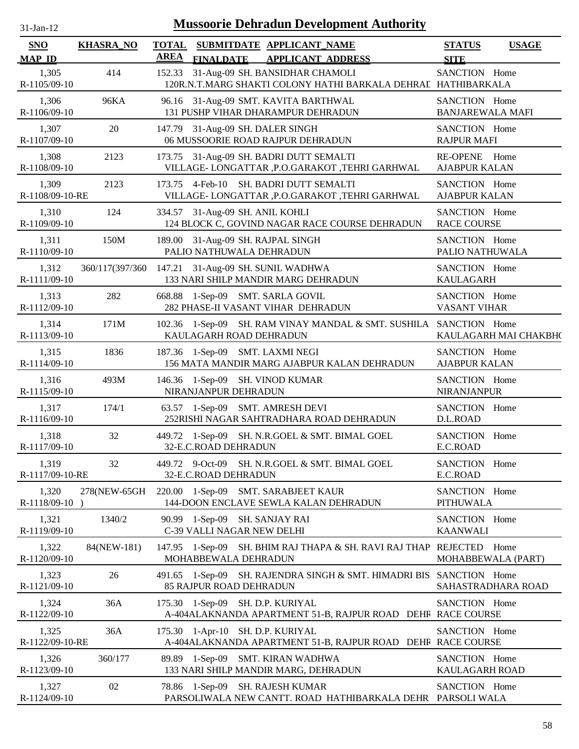| $31$ -Jan-12                |                  |                             | <b>Mussoorie Dehradun Development Authority</b>                                                         |                                          |                       |
|-----------------------------|------------------|-----------------------------|---------------------------------------------------------------------------------------------------------|------------------------------------------|-----------------------|
| <b>SNO</b><br><b>MAP ID</b> | <b>KHASRA_NO</b> | <b>TOTAL</b><br><b>AREA</b> | SUBMITDATE APPLICANT_NAME<br><b>FINALDATE</b><br><b>APPLICANT ADDRESS</b>                               | <b>STATUS</b><br><b>SITE</b>             | <b>USAGE</b>          |
| 1,305<br>R-1105/09-10       | 414              |                             | 152.33 31-Aug-09 SH. BANSIDHAR CHAMOLI<br>120R.N.T.MARG SHAKTI COLONY HATHI BARKALA DEHRAL HATHIBARKALA | SANCTION Home                            |                       |
| 1,306<br>R-1106/09-10       | 96KA             |                             | 96.16 31-Aug-09 SMT. KAVITA BARTHWAL<br>131 PUSHP VIHAR DHARAMPUR DEHRADUN                              | SANCTION Home<br><b>BANJAREWALA MAFI</b> |                       |
| 1,307<br>R-1107/09-10       | 20               |                             | 147.79 31-Aug-09 SH. DALER SINGH<br>06 MUSSOORIE ROAD RAJPUR DEHRADUN                                   | SANCTION Home<br><b>RAJPUR MAFI</b>      |                       |
| 1,308<br>R-1108/09-10       | 2123             |                             | 173.75 31-Aug-09 SH. BADRI DUTT SEMALTI<br>VILLAGE-LONGATTAR , P.O.GARAKOT, TEHRI GARHWAL               | RE-OPENE Home<br><b>AJABPUR KALAN</b>    |                       |
| 1,309<br>R-1108/09-10-RE    | 2123             |                             | 173.75 4-Feb-10 SH. BADRI DUTT SEMALTI<br>VILLAGE-LONGATTAR , P.O.GARAKOT , TEHRI GARHWAL               | SANCTION Home<br><b>AJABPUR KALAN</b>    |                       |
| 1,310<br>R-1109/09-10       | 124              |                             | 334.57 31-Aug-09 SH. ANIL KOHLI<br>124 BLOCK C, GOVIND NAGAR RACE COURSE DEHRADUN                       | SANCTION Home<br><b>RACE COURSE</b>      |                       |
| 1,311<br>R-1110/09-10       | 150M             |                             | 189.00 31-Aug-09 SH. RAJPAL SINGH<br>PALIO NATHUWALA DEHRADUN                                           | SANCTION Home<br>PALIO NATHUWALA         |                       |
| 1,312<br>R-1111/09-10       | 360/117(397/360  |                             | 147.21 31-Aug-09 SH. SUNIL WADHWA<br>133 NARI SHILP MANDIR MARG DEHRADUN                                | SANCTION Home<br><b>KAULAGARH</b>        |                       |
| 1,313<br>R-1112/09-10       | 282              |                             | 668.88 1-Sep-09 SMT. SARLA GOVIL<br>282 PHASE-II VASANT VIHAR DEHRADUN                                  | SANCTION Home<br><b>VASANT VIHAR</b>     |                       |
| 1,314<br>R-1113/09-10       | 171M             |                             | 102.36 1-Sep-09 SH. RAM VINAY MANDAL & SMT. SUSHILA   SANCTION Home<br>KAULAGARH ROAD DEHRADUN          |                                          | KAULAGARH MAI CHAKBH( |
| 1,315<br>R-1114/09-10       | 1836             |                             | 187.36 1-Sep-09 SMT. LAXMI NEGI<br>156 MATA MANDIR MARG AJABPUR KALAN DEHRADUN                          | SANCTION Home<br><b>AJABPUR KALAN</b>    |                       |
| 1,316<br>R-1115/09-10       | 493M             |                             | 146.36 1-Sep-09 SH. VINOD KUMAR<br>NIRANJANPUR DEHRADUN                                                 | SANCTION Home<br><b>NIRANJANPUR</b>      |                       |
| 1,317<br>R-1116/09-10       | 174/1            |                             | 63.57 1-Sep-09 SMT. AMRESH DEVI<br>252RISHI NAGAR SAHTRADHARA ROAD DEHRADUN                             | SANCTION Home<br>D.L.ROAD                |                       |
| 1,318<br>R-1117/09-10       | 32               |                             | 449.72 1-Sep-09 SH. N.R.GOEL & SMT. BIMAL GOEL<br>32-E.C.ROAD DEHRADUN                                  | SANCTION Home<br>E.C.ROAD                |                       |
| 1,319<br>R-1117/09-10-RE    | 32               |                             | 449.72 9-Oct-09 SH. N.R.GOEL & SMT. BIMAL GOEL<br>32-E.C.ROAD DEHRADUN                                  | SANCTION Home<br>E.C.ROAD                |                       |
| 1,320<br>R-1118/09-10)      |                  |                             | 278(NEW-65GH 220.00 1-Sep-09 SMT. SARABJEET KAUR<br>144-DOON ENCLAVE SEWLA KALAN DEHRADUN               | SANCTION Home<br>PITHUWALA               |                       |
| 1,321<br>R-1119/09-10       | 1340/2           |                             | 90.99 1-Sep-09 SH. SANJAY RAI<br>C-39 VALLI NAGAR NEW DELHI                                             | SANCTION Home<br><b>KAANWALI</b>         |                       |
| 1,322<br>R-1120/09-10       | 84(NEW-181)      |                             | 147.95 1-Sep-09 SH. BHIM RAJ THAPA & SH. RAVI RAJ THAP REJECTED Home<br>MOHABBEWALA DEHRADUN            |                                          | MOHABBEWALA (PART)    |
| 1,323<br>R-1121/09-10       | 26               |                             | 491.65 1-Sep-09 SH. RAJENDRA SINGH & SMT. HIMADRI BIS SANCTION Home<br><b>85 RAJPUR ROAD DEHRADUN</b>   |                                          | SAHASTRADHARA ROAD    |
| 1,324<br>R-1122/09-10       | 36A              |                             | 175.30 1-Sep-09 SH. D.P. KURIYAL<br>A-404ALAKNANDA APARTMENT 51-B, RAJPUR ROAD DEHF RACE COURSE         | SANCTION Home                            |                       |
| 1,325<br>R-1122/09-10-RE    | 36A              |                             | 175.30 1-Apr-10 SH. D.P. KURIYAL<br>A-404ALAKNANDA APARTMENT 51-B, RAJPUR ROAD DEHF RACE COURSE         | SANCTION Home                            |                       |
| 1,326<br>R-1123/09-10       | 360/177          |                             | 89.89 1-Sep-09 SMT. KIRAN WADHWA<br>133 NARI SHILP MANDIR MARG, DEHRADUN                                | SANCTION Home<br>KAULAGARH ROAD          |                       |
| 1,327<br>R-1124/09-10       | 02               |                             | 78.86 1-Sep-09 SH. RAJESH KUMAR<br>PARSOLIWALA NEW CANTT. ROAD HATHIBARKALA DEHR PARSOLI WALA           | SANCTION Home                            |                       |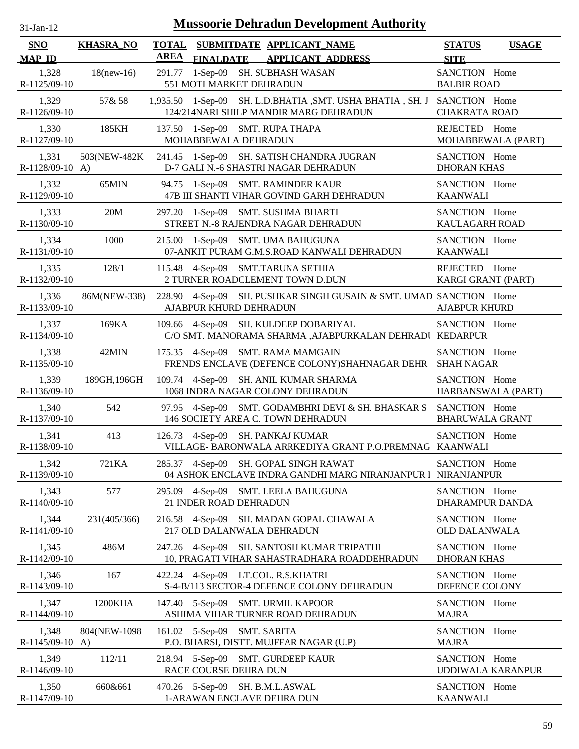| -.ian- |  |
|--------|--|
|        |  |

| SNO                        | <b>KHASRA_NO</b> | <b>TOTAL</b> |                             | SUBMITDATE APPLICANT NAME                                                                                           | <b>STATUS</b>                           | <b>USAGE</b> |
|----------------------------|------------------|--------------|-----------------------------|---------------------------------------------------------------------------------------------------------------------|-----------------------------------------|--------------|
| <b>MAP ID</b>              |                  | <b>AREA</b>  | <b>FINALDATE</b>            | <b>APPLICANT ADDRESS</b>                                                                                            | <b>SITE</b>                             |              |
| 1,328<br>R-1125/09-10      | $18$ (new-16)    |              | 551 MOTI MARKET DEHRADUN    | 291.77 1-Sep-09 SH. SUBHASH WASAN                                                                                   | SANCTION Home<br><b>BALBIR ROAD</b>     |              |
| 1,329<br>R-1126/09-10      | 57& 58           |              |                             | 1,935.50 1-Sep-09 SH. L.D.BHATIA , SMT. USHA BHATIA , SH. J SANCTION Home<br>124/214NARI SHILP MANDIR MARG DEHRADUN | <b>CHAKRATA ROAD</b>                    |              |
| 1,330<br>R-1127/09-10      | 185KH            |              | MOHABBEWALA DEHRADUN        | 137.50 1-Sep-09 SMT. RUPA THAPA                                                                                     | REJECTED Home<br>MOHABBEWALA (PART)     |              |
| 1,331<br>$R-1128/09-10$ A) | 503(NEW-482K)    |              |                             | 241.45 1-Sep-09 SH. SATISH CHANDRA JUGRAN<br>D-7 GALI N.-6 SHASTRI NAGAR DEHRADUN                                   | SANCTION Home<br><b>DHORAN KHAS</b>     |              |
| 1,332<br>R-1129/09-10      | 65MIN            |              |                             | 94.75 1-Sep-09 SMT. RAMINDER KAUR<br>47B III SHANTI VIHAR GOVIND GARH DEHRADUN                                      | SANCTION Home<br><b>KAANWALI</b>        |              |
| 1,333<br>R-1130/09-10      | 20M              |              |                             | 297.20 1-Sep-09 SMT. SUSHMA BHARTI<br>STREET N.-8 RAJENDRA NAGAR DEHRADUN                                           | SANCTION Home<br>KAULAGARH ROAD         |              |
| 1,334<br>R-1131/09-10      | 1000             |              |                             | 215.00 1-Sep-09 SMT. UMA BAHUGUNA<br>07-ANKIT PURAM G.M.S.ROAD KANWALI DEHRADUN                                     | SANCTION Home<br><b>KAANWALI</b>        |              |
| 1,335<br>R-1132/09-10      | 128/1            |              |                             | 115.48 4-Sep-09 SMT.TARUNA SETHIA<br>2 TURNER ROADCLEMENT TOWN D.DUN                                                | REJECTED Home<br>KARGI GRANT (PART)     |              |
| 1,336<br>R-1133/09-10      | 86M(NEW-338)     |              | AJABPUR KHURD DEHRADUN      | 228.90 4-Sep-09 SH. PUSHKAR SINGH GUSAIN & SMT. UMAD SANCTION Home                                                  | <b>AJABPUR KHURD</b>                    |              |
| 1,337<br>R-1134/09-10      | 169KA            |              |                             | 109.66 4-Sep-09 SH. KULDEEP DOBARIYAL<br>C/O SMT. MANORAMA SHARMA ,AJABPURKALAN DEHRADI KEDARPUR                    | SANCTION Home                           |              |
| 1,338<br>R-1135/09-10      | 42MIN            |              |                             | 175.35 4-Sep-09 SMT. RAMA MAMGAIN<br>FRENDS ENCLAVE (DEFENCE COLONY)SHAHNAGAR DEHR                                  | SANCTION Home<br><b>SHAH NAGAR</b>      |              |
| 1,339<br>$R-1136/09-10$    | 189GH, 196GH     |              |                             | 109.74 4-Sep-09 SH. ANIL KUMAR SHARMA<br>1068 INDRA NAGAR COLONY DEHRADUN                                           | SANCTION Home<br>HARBANSWALA (PART)     |              |
| 1,340<br>R-1137/09-10      | 542              |              |                             | 97.95 4-Sep-09 SMT. GODAMBHRI DEVI & SH. BHASKAR S<br>146 SOCIETY AREA C. TOWN DEHRADUN                             | SANCTION Home<br><b>BHARUWALA GRANT</b> |              |
| 1,341<br>R-1138/09-10      | 413              |              |                             | 126.73 4-Sep-09 SH. PANKAJ KUMAR<br>VILLAGE- BARONWALA ARRKEDIYA GRANT P.O.PREMNAG KAANWALI                         | SANCTION Home                           |              |
| 1,342<br>R-1139/09-10      | 721KA            |              |                             | 285.37 4-Sep-09 SH. GOPAL SINGH RAWAT<br>04 ASHOK ENCLAVE INDRA GANDHI MARG NIRANJANPUR I NIRANJANPUR               | SANCTION Home                           |              |
| 1,343<br>R-1140/09-10      | 577              |              | 21 INDER ROAD DEHRADUN      | 295.09 4-Sep-09 SMT. LEELA BAHUGUNA                                                                                 | SANCTION Home<br>DHARAMPUR DANDA        |              |
| 1,344<br>R-1141/09-10      | 231(405/366)     |              |                             | 216.58 4-Sep-09 SH. MADAN GOPAL CHAWALA<br>217 OLD DALANWALA DEHRADUN                                               | SANCTION Home<br><b>OLD DALANWALA</b>   |              |
| 1,345<br>R-1142/09-10      | 486M             |              |                             | 247.26 4-Sep-09 SH. SANTOSH KUMAR TRIPATHI<br>10, PRAGATI VIHAR SAHASTRADHARA ROADDEHRADUN                          | SANCTION Home<br><b>DHORAN KHAS</b>     |              |
| 1,346<br>R-1143/09-10      | 167              |              |                             | 422.24 4-Sep-09 LT.COL. R.S.KHATRI<br>S-4-B/113 SECTOR-4 DEFENCE COLONY DEHRADUN                                    | SANCTION Home<br>DEFENCE COLONY         |              |
| 1,347<br>R-1144/09-10      | 1200KHA          |              |                             | 147.40 5-Sep-09 SMT. URMIL KAPOOR<br>ASHIMA VIHAR TURNER ROAD DEHRADUN                                              | SANCTION Home<br><b>MAJRA</b>           |              |
| 1,348<br>$R-1145/09-10$ A) | 804(NEW-1098)    |              | 161.02 5-Sep-09 SMT. SARITA | P.O. BHARSI, DISTT. MUJFFAR NAGAR (U.P)                                                                             | SANCTION Home<br><b>MAJRA</b>           |              |
| 1,349<br>R-1146/09-10      | 112/11           |              | RACE COURSE DEHRA DUN       | 218.94 5-Sep-09 SMT. GURDEEP KAUR                                                                                   | SANCTION Home<br>UDDIWALA KARANPUR      |              |
| 1,350                      | 660&661          |              |                             | 470.26 5-Sep-09 SH. B.M.L.ASWAL                                                                                     | SANCTION Home                           |              |
| R-1147/09-10               |                  |              |                             | 1-ARAWAN ENCLAVE DEHRA DUN                                                                                          | <b>KAANWALI</b>                         |              |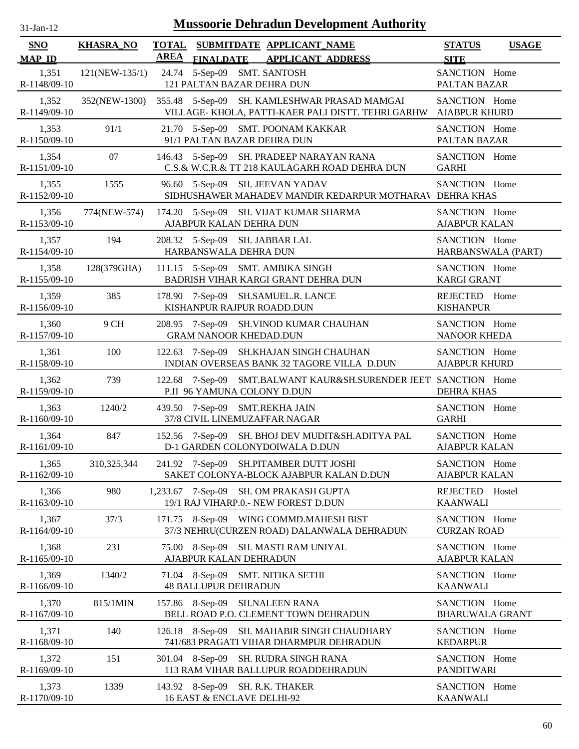| $31$ -Jan-12 |  |
|--------------|--|
|              |  |

| SNO<br><b>MAP ID</b>  | <b>KHASRA_NO</b> | <b>AREA</b> |                                                                 | TOTAL SUBMITDATE APPLICANT NAME<br>FINALDATE APPLICANT ADDRESS                                     | <b>STATUS</b><br><b>SITE</b>            | <b>USAGE</b> |
|-----------------------|------------------|-------------|-----------------------------------------------------------------|----------------------------------------------------------------------------------------------------|-----------------------------------------|--------------|
| 1,351<br>R-1148/09-10 | 121(NEW-135/1)   |             | 24.74 5-Sep-09 SMT. SANTOSH<br>121 PALTAN BAZAR DEHRA DUN       |                                                                                                    | SANCTION Home<br>PALTAN BAZAR           |              |
| 1,352<br>R-1149/09-10 | 352(NEW-1300)    |             |                                                                 | 355.48 5-Sep-09 SH. KAMLESHWAR PRASAD MAMGAI<br>VILLAGE- KHOLA, PATTI-KAER PALI DISTT. TEHRI GARHW | SANCTION Home<br><b>AJABPUR KHURD</b>   |              |
| 1,353<br>R-1150/09-10 | 91/1             |             | 91/1 PALTAN BAZAR DEHRA DUN                                     | 21.70 5-Sep-09 SMT. POONAM KAKKAR                                                                  | SANCTION Home<br>PALTAN BAZAR           |              |
| 1,354<br>R-1151/09-10 | 07               |             |                                                                 | 146.43 5-Sep-09 SH. PRADEEP NARAYAN RANA<br>C.S.& W.C.R.& TT 218 KAULAGARH ROAD DEHRA DUN          | SANCTION Home<br><b>GARHI</b>           |              |
| 1,355<br>R-1152/09-10 | 1555             |             | 96.60 5-Sep-09 SH. JEEVAN YADAV                                 | SIDHUSHAWER MAHADEV MANDIR KEDARPUR MOTHARAV DEHRA KHAS                                            | SANCTION Home                           |              |
| 1,356<br>R-1153/09-10 | 774(NEW-574)     |             | AJABPUR KALAN DEHRA DUN                                         | 174.20 5-Sep-09 SH. VIJAT KUMAR SHARMA                                                             | SANCTION Home<br><b>AJABPUR KALAN</b>   |              |
| 1,357<br>R-1154/09-10 | 194              |             | 208.32 5-Sep-09 SH. JABBAR LAL<br>HARBANSWALA DEHRA DUN         |                                                                                                    | SANCTION Home<br>HARBANSWALA (PART)     |              |
| 1,358<br>R-1155/09-10 | 128(379GHA)      |             |                                                                 | 111.15 5-Sep-09 SMT. AMBIKA SINGH<br>BADRISH VIHAR KARGI GRANT DEHRA DUN                           | SANCTION Home<br><b>KARGI GRANT</b>     |              |
| 1,359<br>R-1156/09-10 | 385              |             | KISHANPUR RAJPUR ROADD.DUN                                      | 178.90 7-Sep-09 SH.SAMUEL.R. LANCE                                                                 | REJECTED Home<br><b>KISHANPUR</b>       |              |
| 1,360<br>R-1157/09-10 | 9 CH             |             | <b>GRAM NANOOR KHEDAD.DUN</b>                                   | 208.95 7-Sep-09 SH.VINOD KUMAR CHAUHAN                                                             | SANCTION Home<br>NANOOR KHEDA           |              |
| 1,361<br>R-1158/09-10 | 100              |             |                                                                 | 122.63 7-Sep-09 SH.KHAJAN SINGH CHAUHAN<br>INDIAN OVERSEAS BANK 32 TAGORE VILLA D.DUN              | SANCTION Home<br><b>AJABPUR KHURD</b>   |              |
| 1,362<br>R-1159/09-10 | 739              |             | P.II 96 YAMUNA COLONY D.DUN                                     | 122.68 7-Sep-09 SMT.BALWANT KAUR&SH.SURENDER JEET SANCTION Home                                    | <b>DEHRA KHAS</b>                       |              |
| 1,363<br>R-1160/09-10 | 1240/2           |             | 439.50 7-Sep-09 SMT.REKHA JAIN<br>37/8 CIVIL LINEMUZAFFAR NAGAR |                                                                                                    | SANCTION Home<br><b>GARHI</b>           |              |
| 1,364<br>R-1161/09-10 | 847              |             |                                                                 | 152.56 7-Sep-09 SH. BHOJ DEV MUDIT&SH.ADITYA PAL<br>D-1 GARDEN COLONYDOIWALA D.DUN                 | SANCTION Home<br><b>AJABPUR KALAN</b>   |              |
| 1,365<br>R-1162/09-10 | 310,325,344      |             |                                                                 | 241.92 7-Sep-09 SH.PITAMBER DUTT JOSHI<br>SAKET COLONYA-BLOCK AJABPUR KALAN D.DUN                  | SANCTION Home<br><b>AJABPUR KALAN</b>   |              |
| 1,366<br>R-1163/09-10 | 980              |             |                                                                 | 1,233.67 7-Sep-09 SH. OM PRAKASH GUPTA<br>19/1 RAJ VIHARP.0.- NEW FOREST D.DUN                     | REJECTED Hostel<br><b>KAANWALI</b>      |              |
| 1,367<br>R-1164/09-10 | 37/3             |             |                                                                 | 171.75 8-Sep-09 WING COMMD.MAHESH BIST<br>37/3 NEHRU(CURZEN ROAD) DALANWALA DEHRADUN               | SANCTION Home<br><b>CURZAN ROAD</b>     |              |
| 1,368<br>R-1165/09-10 | 231              |             | AJABPUR KALAN DEHRADUN                                          | 75.00 8-Sep-09 SH. MASTI RAM UNIYAL                                                                | SANCTION Home<br><b>AJABPUR KALAN</b>   |              |
| 1,369<br>R-1166/09-10 | 1340/2           |             | 71.04 8-Sep-09 SMT. NITIKA SETHI<br><b>48 BALLUPUR DEHRADUN</b> |                                                                                                    | SANCTION Home<br><b>KAANWALI</b>        |              |
| 1,370<br>R-1167/09-10 | 815/1MIN         |             | 157.86 8-Sep-09                                                 | <b>SH.NALEEN RANA</b><br>BELL ROAD P.O. CLEMENT TOWN DEHRADUN                                      | SANCTION Home<br><b>BHARUWALA GRANT</b> |              |
| 1,371<br>R-1168/09-10 | 140              |             |                                                                 | 126.18 8-Sep-09 SH. MAHABIR SINGH CHAUDHARY<br>741/683 PRAGATI VIHAR DHARMPUR DEHRADUN             | SANCTION Home<br><b>KEDARPUR</b>        |              |
| 1,372<br>R-1169/09-10 | 151              |             | 301.04 8-Sep-09                                                 | SH. RUDRA SINGH RANA<br>113 RAM VIHAR BALLUPUR ROADDEHRADUN                                        | SANCTION Home<br><b>PANDITWARI</b>      |              |
| 1,373<br>R-1170/09-10 | 1339             |             | 143.92 8-Sep-09 SH. R.K. THAKER<br>16 EAST & ENCLAVE DELHI-92   |                                                                                                    | SANCTION Home<br><b>KAANWALI</b>        |              |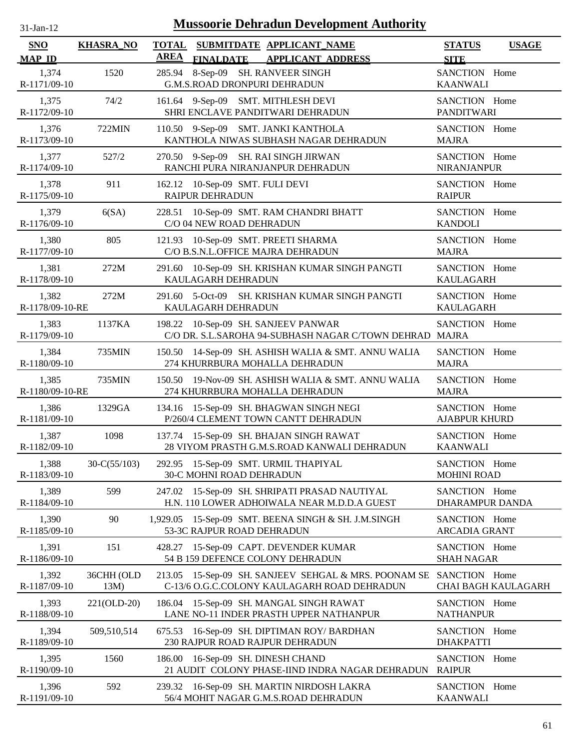| $31$ -Jan-12 |  |
|--------------|--|
|              |  |

| SNO<br><b>MAP ID</b>     | <b>KHASRA_NO</b>      | <b>TOTAL</b><br><b>AREA</b> |                                                    | SUBMITDATE APPLICANT_NAME                                                                     |                                                                                              | <b>STATUS</b>                                   | <b>USAGE</b>        |
|--------------------------|-----------------------|-----------------------------|----------------------------------------------------|-----------------------------------------------------------------------------------------------|----------------------------------------------------------------------------------------------|-------------------------------------------------|---------------------|
| 1,374<br>R-1171/09-10    | 1520                  |                             | <b>FINALDATE</b>                                   | <b>APPLICANT ADDRESS</b><br>285.94 8-Sep-09 SH. RANVEER SINGH<br>G.M.S.ROAD DRONPURI DEHRADUN |                                                                                              | <b>SITE</b><br>SANCTION Home<br><b>KAANWALI</b> |                     |
| 1,375<br>R-1172/09-10    | 74/2                  |                             |                                                    | 161.64 9-Sep-09 SMT. MITHLESH DEVI<br>SHRI ENCLAVE PANDITWARI DEHRADUN                        |                                                                                              | SANCTION Home<br><b>PANDITWARI</b>              |                     |
| 1,376<br>R-1173/09-10    | 722MIN                |                             |                                                    | 110.50 9-Sep-09 SMT. JANKI KANTHOLA<br>KANTHOLA NIWAS SUBHASH NAGAR DEHRADUN                  |                                                                                              | SANCTION Home<br><b>MAJRA</b>                   |                     |
| 1,377<br>R-1174/09-10    | 527/2                 |                             |                                                    | 270.50 9-Sep-09 SH. RAI SINGH JIRWAN<br>RANCHI PURA NIRANJANPUR DEHRADUN                      |                                                                                              | SANCTION Home<br><b>NIRANJANPUR</b>             |                     |
| 1,378<br>R-1175/09-10    | 911                   | 162.12                      | 10-Sep-09 SMT. FULI DEVI<br><b>RAIPUR DEHRADUN</b> |                                                                                               |                                                                                              | SANCTION Home<br><b>RAIPUR</b>                  |                     |
| 1,379<br>R-1176/09-10    | 6(SA)                 | 228.51                      | C/O 04 NEW ROAD DEHRADUN                           | 10-Sep-09 SMT. RAM CHANDRI BHATT                                                              |                                                                                              | SANCTION Home<br><b>KANDOLI</b>                 |                     |
| 1,380<br>R-1177/09-10    | 805                   |                             |                                                    | 121.93 10-Sep-09 SMT. PREETI SHARMA<br>C/O B.S.N.L.OFFICE MAJRA DEHRADUN                      |                                                                                              | SANCTION Home<br><b>MAJRA</b>                   |                     |
| 1,381<br>R-1178/09-10    | 272M                  | 291.60                      | KAULAGARH DEHRADUN                                 |                                                                                               | 10-Sep-09 SH. KRISHAN KUMAR SINGH PANGTI                                                     | SANCTION Home<br><b>KAULAGARH</b>               |                     |
| 1,382<br>R-1178/09-10-RE | 272M                  |                             | KAULAGARH DEHRADUN                                 |                                                                                               | 291.60 5-Oct-09 SH. KRISHAN KUMAR SINGH PANGTI                                               | SANCTION Home<br><b>KAULAGARH</b>               |                     |
| 1,383<br>R-1179/09-10    | 1137KA                |                             |                                                    | 198.22 10-Sep-09 SH. SANJEEV PANWAR                                                           | C/O DR. S.L.SAROHA 94-SUBHASH NAGAR C/TOWN DEHRAD MAJRA                                      | SANCTION Home                                   |                     |
| 1,384<br>R-1180/09-10    | 735MIN                |                             |                                                    | 274 KHURRBURA MOHALLA DEHRADUN                                                                | 150.50 14-Sep-09 SH. ASHISH WALIA & SMT. ANNU WALIA                                          | SANCTION Home<br><b>MAJRA</b>                   |                     |
| 1,385<br>R-1180/09-10-RE | 735MIN                |                             |                                                    | 274 KHURRBURA MOHALLA DEHRADUN                                                                | 150.50 19-Nov-09 SH. ASHISH WALIA & SMT. ANNU WALIA                                          | SANCTION Home<br><b>MAJRA</b>                   |                     |
| 1,386<br>R-1181/09-10    | 1329GA                |                             |                                                    | 134.16 15-Sep-09 SH. BHAGWAN SINGH NEGI<br>P/260/4 CLEMENT TOWN CANTT DEHRADUN                |                                                                                              | SANCTION Home<br><b>AJABPUR KHURD</b>           |                     |
| 1,387<br>R-1182/09-10    | 1098                  |                             |                                                    | 137.74 15-Sep-09 SH. BHAJAN SINGH RAWAT                                                       | 28 VIYOM PRASTH G.M.S.ROAD KANWALI DEHRADUN                                                  | SANCTION Home<br><b>KAANWALI</b>                |                     |
| 1,388<br>R-1183/09-10    | $30 - C(55/103)$      |                             | 30-C MOHNI ROAD DEHRADUN                           | 292.95 15-Sep-09 SMT. URMIL THAPIYAL                                                          |                                                                                              | SANCTION Home<br><b>MOHINI ROAD</b>             |                     |
| 1,389<br>R-1184/09-10    | 599                   |                             |                                                    | 247.02 15-Sep-09 SH. SHRIPATI PRASAD NAUTIYAL                                                 | H.N. 110 LOWER ADHOIWALA NEAR M.D.D.A GUEST                                                  | SANCTION Home<br>DHARAMPUR DANDA                |                     |
| 1,390<br>R-1185/09-10    | 90                    | 1,929.05                    | 53-3C RAJPUR ROAD DEHRADUN                         |                                                                                               | 15-Sep-09 SMT. BEENA SINGH & SH. J.M.SINGH                                                   | SANCTION Home<br><b>ARCADIA GRANT</b>           |                     |
| 1,391<br>R-1186/09-10    | 151                   | 428.27                      |                                                    | 15-Sep-09 CAPT. DEVENDER KUMAR<br>54 B 159 DEFENCE COLONY DEHRADUN                            |                                                                                              | SANCTION Home<br><b>SHAH NAGAR</b>              |                     |
| 1,392<br>R-1187/09-10    | 36CHH (OLD<br>$13M$ ) | 213.05                      |                                                    |                                                                                               | 15-Sep-09 SH. SANJEEV SEHGAL & MRS. POONAM SE<br>C-13/6 O.G.C.COLONY KAULAGARH ROAD DEHRADUN | SANCTION Home                                   | CHAI BAGH KAULAGARH |
| 1,393<br>R-1188/09-10    | 221(OLD-20)           |                             |                                                    | 186.04 15-Sep-09 SH. MANGAL SINGH RAWAT<br>LANE NO-11 INDER PRASTH UPPER NATHANPUR            |                                                                                              | SANCTION Home<br><b>NATHANPUR</b>               |                     |
| 1,394<br>R-1189/09-10    | 509,510,514           |                             |                                                    | 675.53 16-Sep-09 SH. DIPTIMAN ROY/ BARDHAN<br>230 RAJPUR ROAD RAJPUR DEHRADUN                 |                                                                                              | SANCTION Home<br><b>DHAKPATTI</b>               |                     |
| 1,395<br>R-1190/09-10    | 1560                  | 186.00                      |                                                    | 16-Sep-09 SH. DINESH CHAND                                                                    | 21 AUDIT COLONY PHASE-IIND INDRA NAGAR DEHRADUN                                              | SANCTION Home<br><b>RAIPUR</b>                  |                     |
| 1,396<br>R-1191/09-10    | 592                   |                             |                                                    | 239.32 16-Sep-09 SH. MARTIN NIRDOSH LAKRA<br>56/4 MOHIT NAGAR G.M.S.ROAD DEHRADUN             |                                                                                              | SANCTION Home<br><b>KAANWALI</b>                |                     |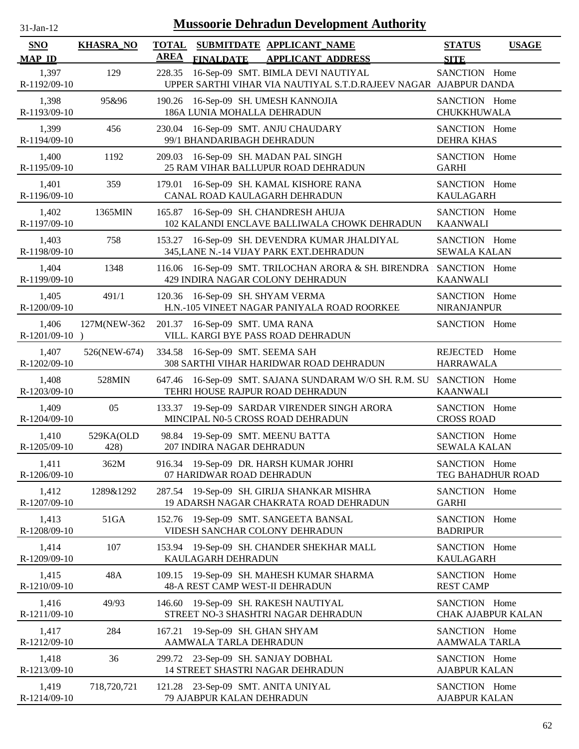| $31-Jan-12$                 | <b>Mussoorie Dehradun Development Authority</b> |                                                                                                                  |                                              |  |  |  |  |
|-----------------------------|-------------------------------------------------|------------------------------------------------------------------------------------------------------------------|----------------------------------------------|--|--|--|--|
| <b>SNO</b><br><b>MAP ID</b> | <b>KHASRA_NO</b>                                | <b>TOTAL</b><br>SUBMITDATE APPLICANT_NAME<br><b>AREA</b><br><b>FINALDATE</b><br><b>APPLICANT ADDRESS</b>         | <b>STATUS</b><br><b>USAGE</b><br><b>SITE</b> |  |  |  |  |
| 1,397<br>R-1192/09-10       | 129                                             | 16-Sep-09 SMT. BIMLA DEVI NAUTIYAL<br>228.35<br>UPPER SARTHI VIHAR VIA NAUTIYAL S.T.D.RAJEEV NAGAR AJABPUR DANDA | SANCTION Home                                |  |  |  |  |
| 1,398<br>R-1193/09-10       | 95&96                                           | 16-Sep-09 SH. UMESH KANNOJIA<br>190.26<br>186A LUNIA MOHALLA DEHRADUN                                            | SANCTION Home<br>CHUKKHUWALA                 |  |  |  |  |
| 1,399<br>R-1194/09-10       | 456                                             | 16-Sep-09 SMT. ANJU CHAUDARY<br>230.04<br>99/1 BHANDARIBAGH DEHRADUN                                             | SANCTION Home<br><b>DEHRA KHAS</b>           |  |  |  |  |
| 1,400<br>R-1195/09-10       | 1192                                            | 209.03<br>16-Sep-09 SH. MADAN PAL SINGH<br>25 RAM VIHAR BALLUPUR ROAD DEHRADUN                                   | SANCTION Home<br><b>GARHI</b>                |  |  |  |  |
| 1,401<br>R-1196/09-10       | 359                                             | 16-Sep-09 SH. KAMAL KISHORE RANA<br>179.01<br>CANAL ROAD KAULAGARH DEHRADUN                                      | SANCTION Home<br><b>KAULAGARH</b>            |  |  |  |  |
| 1,402<br>R-1197/09-10       | 1365MIN                                         | 16-Sep-09 SH. CHANDRESH AHUJA<br>165.87<br>102 KALANDI ENCLAVE BALLIWALA CHOWK DEHRADUN                          | SANCTION Home<br><b>KAANWALI</b>             |  |  |  |  |
| 1,403<br>R-1198/09-10       | 758                                             | 153.27 16-Sep-09 SH. DEVENDRA KUMAR JHALDIYAL<br>345, LANE N.-14 VIJAY PARK EXT. DEHRADUN                        | SANCTION Home<br><b>SEWALA KALAN</b>         |  |  |  |  |
| 1,404<br>R-1199/09-10       | 1348                                            | 116.06 16-Sep-09 SMT. TRILOCHAN ARORA & SH. BIRENDRA ; SANCTION Home<br>429 INDIRA NAGAR COLONY DEHRADUN         | <b>KAANWALI</b>                              |  |  |  |  |
| 1,405<br>R-1200/09-10       | 491/1                                           | 120.36 16-Sep-09 SH. SHYAM VERMA<br>H.N.-105 VINEET NAGAR PANIYALA ROAD ROORKEE                                  | SANCTION Home<br><b>NIRANJANPUR</b>          |  |  |  |  |
| 1,406<br>$R-1201/09-10$ )   | 127M(NEW-362                                    | 201.37 16-Sep-09 SMT. UMA RANA<br>VILL. KARGI BYE PASS ROAD DEHRADUN                                             | SANCTION Home                                |  |  |  |  |
| 1,407<br>R-1202/09-10       | 526(NEW-674)                                    | 334.58 16-Sep-09 SMT. SEEMA SAH<br>308 SARTHI VIHAR HARIDWAR ROAD DEHRADUN                                       | REJECTED Home<br><b>HARRAWALA</b>            |  |  |  |  |
| 1,408<br>R-1203/09-10       | 528MIN                                          | 647.46 16-Sep-09 SMT. SAJANA SUNDARAM W/O SH. R.M. SU<br>TEHRI HOUSE RAJPUR ROAD DEHRADUN                        | SANCTION Home<br><b>KAANWALI</b>             |  |  |  |  |
| 1,409<br>R-1204/09-10       | 05                                              | 133.37 19-Sep-09 SARDAR VIRENDER SINGH ARORA<br>MINCIPAL N0-5 CROSS ROAD DEHRADUN                                | SANCTION Home<br><b>CROSS ROAD</b>           |  |  |  |  |
| 1,410<br>R-1205/09-10       | 529KA(OLD<br>428)                               | 98.84<br>19-Sep-09 SMT. MEENU BATTA<br>207 INDIRA NAGAR DEHRADUN                                                 | SANCTION Home<br><b>SEWALA KALAN</b>         |  |  |  |  |
| 1,411<br>R-1206/09-10       | 362M                                            | 916.34 19-Sep-09 DR. HARSH KUMAR JOHRI<br>07 HARIDWAR ROAD DEHRADUN                                              | SANCTION Home<br>TEG BAHADHUR ROAD           |  |  |  |  |
| 1,412<br>R-1207/09-10       | 1289&1292                                       | 287.54 19-Sep-09 SH. GIRIJA SHANKAR MISHRA<br>19 ADARSH NAGAR CHAKRATA ROAD DEHRADUN                             | SANCTION Home<br><b>GARHI</b>                |  |  |  |  |
| 1,413<br>R-1208/09-10       | 51GA                                            | 152.76 19-Sep-09 SMT. SANGEETA BANSAL<br>VIDESH SANCHAR COLONY DEHRADUN                                          | SANCTION Home<br><b>BADRIPUR</b>             |  |  |  |  |
| 1,414<br>R-1209/09-10       | 107                                             | 19-Sep-09 SH. CHANDER SHEKHAR MALL<br>153.94<br>KAULAGARH DEHRADUN                                               | SANCTION Home<br><b>KAULAGARH</b>            |  |  |  |  |
| 1,415<br>R-1210/09-10       | 48A                                             | 19-Sep-09 SH. MAHESH KUMAR SHARMA<br>109.15<br>48-A REST CAMP WEST-II DEHRADUN                                   | SANCTION Home<br><b>REST CAMP</b>            |  |  |  |  |
| 1,416<br>R-1211/09-10       | 49/93                                           | 146.60 19-Sep-09 SH. RAKESH NAUTIYAL<br>STREET NO-3 SHASHTRI NAGAR DEHRADUN                                      | SANCTION Home<br><b>CHAK AJABPUR KALAN</b>   |  |  |  |  |
| 1,417<br>R-1212/09-10       | 284                                             | 19-Sep-09 SH. GHAN SHYAM<br>167.21<br>AAMWALA TARLA DEHRADUN                                                     | SANCTION Home<br><b>AAMWALA TARLA</b>        |  |  |  |  |
| 1,418<br>R-1213/09-10       | 36                                              | 299.72 23-Sep-09 SH. SANJAY DOBHAL<br>14 STREET SHASTRI NAGAR DEHRADUN                                           | SANCTION Home<br><b>AJABPUR KALAN</b>        |  |  |  |  |
| 1,419<br>R-1214/09-10       | 718,720,721                                     | 121.28 23-Sep-09 SMT. ANITA UNIYAL<br>79 AJABPUR KALAN DEHRADUN                                                  | SANCTION Home<br><b>AJABPUR KALAN</b>        |  |  |  |  |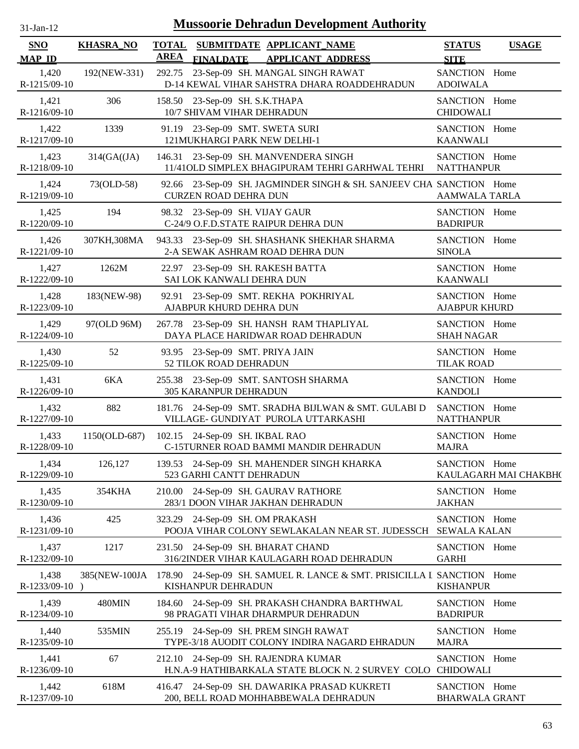| $31$ -Jan-12          |                  |             | <b>Mussoorie Dehradun Development Authority</b>                                                     |                                        |                       |
|-----------------------|------------------|-------------|-----------------------------------------------------------------------------------------------------|----------------------------------------|-----------------------|
| SNO<br><b>MAP ID</b>  | <b>KHASRA_NO</b> | <b>AREA</b> | TOTAL SUBMITDATE APPLICANT NAME<br><b>FINALDATE</b><br><b>APPLICANT ADDRESS</b>                     | <b>STATUS</b><br><b>SITE</b>           | <b>USAGE</b>          |
| 1,420<br>R-1215/09-10 | 192(NEW-331)     |             | 292.75 23-Sep-09 SH. MANGAL SINGH RAWAT<br>D-14 KEWAL VIHAR SAHSTRA DHARA ROADDEHRADUN              | SANCTION Home<br><b>ADOIWALA</b>       |                       |
| 1,421<br>R-1216/09-10 | 306              |             | 158.50 23-Sep-09 SH. S.K.THAPA<br>10/7 SHIVAM VIHAR DEHRADUN                                        | SANCTION Home<br><b>CHIDOWALI</b>      |                       |
| 1,422<br>R-1217/09-10 | 1339             |             | 91.19 23-Sep-09 SMT. SWETA SURI<br>121MUKHARGI PARK NEW DELHI-1                                     | SANCTION Home<br><b>KAANWALI</b>       |                       |
| 1,423<br>R-1218/09-10 | 314(GA((JA))     |             | 146.31 23-Sep-09 SH. MANVENDERA SINGH<br>11/41OLD SIMPLEX BHAGIPURAM TEHRI GARHWAL TEHRI            | SANCTION Home<br><b>NATTHANPUR</b>     |                       |
| 1,424<br>R-1219/09-10 | 73(OLD-58)       |             | 92.66 23-Sep-09 SH. JAGMINDER SINGH & SH. SANJEEV CHA SANCTION Home<br><b>CURZEN ROAD DEHRA DUN</b> | AAMWALA TARLA                          |                       |
| 1,425<br>R-1220/09-10 | 194              |             | 98.32 23-Sep-09 SH. VIJAY GAUR<br>C-24/9 O.F.D.STATE RAIPUR DEHRA DUN                               | SANCTION Home<br><b>BADRIPUR</b>       |                       |
| 1,426<br>R-1221/09-10 | 307KH,308MA      |             | 943.33 23-Sep-09 SH. SHASHANK SHEKHAR SHARMA<br>2-A SEWAK ASHRAM ROAD DEHRA DUN                     | SANCTION Home<br><b>SINOLA</b>         |                       |
| 1,427<br>R-1222/09-10 | 1262M            |             | 22.97 23-Sep-09 SH. RAKESH BATTA<br>SAI LOK KANWALI DEHRA DUN                                       | SANCTION Home<br><b>KAANWALI</b>       |                       |
| 1,428<br>R-1223/09-10 | 183(NEW-98)      |             | 92.91 23-Sep-09 SMT. REKHA POKHRIYAL<br>AJABPUR KHURD DEHRA DUN                                     | SANCTION Home<br><b>AJABPUR KHURD</b>  |                       |
| 1,429<br>R-1224/09-10 | 97(OLD 96M)      |             | 267.78 23-Sep-09 SH. HANSH RAM THAPLIYAL<br>DAYA PLACE HARIDWAR ROAD DEHRADUN                       | SANCTION Home<br><b>SHAH NAGAR</b>     |                       |
| 1,430<br>R-1225/09-10 | 52               |             | 93.95 23-Sep-09 SMT. PRIYA JAIN<br>52 TILOK ROAD DEHRADUN                                           | SANCTION Home<br><b>TILAK ROAD</b>     |                       |
| 1,431<br>R-1226/09-10 | 6KA              |             | 255.38 23-Sep-09 SMT. SANTOSH SHARMA<br>305 KARANPUR DEHRADUN                                       | SANCTION Home<br><b>KANDOLI</b>        |                       |
| 1,432<br>R-1227/09-10 | 882              |             | 181.76 24-Sep-09 SMT. SRADHA BIJLWAN & SMT. GULABI D<br>VILLAGE- GUNDIYAT PUROLA UTTARKASHI         | SANCTION Home<br><b>NATTHANPUR</b>     |                       |
| 1,433<br>R-1228/09-10 | 1150(OLD-687)    |             | 102.15 24-Sep-09 SH. IKBAL RAO<br>C-15TURNER ROAD BAMMI MANDIR DEHRADUN                             | SANCTION Home<br><b>MAJRA</b>          |                       |
| 1,434<br>R-1229/09-10 | 126,127          |             | 139.53 24-Sep-09 SH. MAHENDER SINGH KHARKA<br>523 GARHI CANTT DEHRADUN                              | SANCTION Home                          | KAULAGARH MAI CHAKBH( |
| 1,435<br>R-1230/09-10 | 354KHA           | 210.00      | 24-Sep-09 SH. GAURAV RATHORE<br>283/1 DOON VIHAR JAKHAN DEHRADUN                                    | SANCTION Home<br><b>JAKHAN</b>         |                       |
| 1,436<br>R-1231/09-10 | 425              |             | 323.29 24-Sep-09 SH. OM PRAKASH<br>POOJA VIHAR COLONY SEWLAKALAN NEAR ST. JUDESSCH                  | SANCTION Home<br><b>SEWALA KALAN</b>   |                       |
| 1,437<br>R-1232/09-10 | 1217             |             | 231.50 24-Sep-09 SH. BHARAT CHAND<br>316/2INDER VIHAR KAULAGARH ROAD DEHRADUN                       | SANCTION Home<br><b>GARHI</b>          |                       |
| 1,438<br>R-1233/09-10 | 385(NEW-100JA    |             | 178.90 24-Sep-09 SH. SAMUEL R. LANCE & SMT. PRISICILLA I SANCTION Home<br>KISHANPUR DEHRADUN        | <b>KISHANPUR</b>                       |                       |
| 1,439<br>R-1234/09-10 | 480MIN           |             | 184.60 24-Sep-09 SH. PRAKASH CHANDRA BARTHWAL<br>98 PRAGATI VIHAR DHARMPUR DEHRADUN                 | SANCTION Home<br><b>BADRIPUR</b>       |                       |
| 1,440<br>R-1235/09-10 | 535MIN           |             | 255.19 24-Sep-09 SH. PREM SINGH RAWAT<br>TYPE-3/18 AUODIT COLONY INDIRA NAGARD EHRADUN              | SANCTION Home<br><b>MAJRA</b>          |                       |
| 1,441<br>R-1236/09-10 | 67               |             | 212.10 24-Sep-09 SH. RAJENDRA KUMAR<br>H.N.A-9 HATHIBARKALA STATE BLOCK N. 2 SURVEY COLO            | SANCTION Home<br><b>CHIDOWALI</b>      |                       |
| 1,442<br>R-1237/09-10 | 618M             |             | 416.47 24-Sep-09 SH. DAWARIKA PRASAD KUKRETI<br>200, BELL ROAD MOHHABBEWALA DEHRADUN                | SANCTION Home<br><b>BHARWALA GRANT</b> |                       |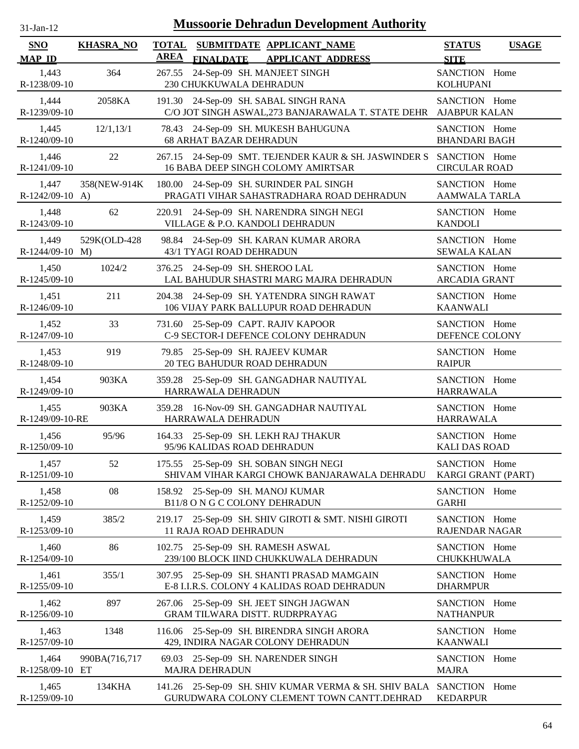| -Jan- |  |
|-------|--|
|       |  |

| SNO<br><b>MAP ID</b>       | <b>KHASRA_NO</b> | <b>AREA</b><br><b>FINALDATE</b>                                  | TOTAL SUBMITDATE APPLICANT NAME<br><b>APPLICANT ADDRESS</b>                                                       | <b>STATUS</b><br><b>USAGE</b><br><b>SITE</b> |
|----------------------------|------------------|------------------------------------------------------------------|-------------------------------------------------------------------------------------------------------------------|----------------------------------------------|
| 1,443<br>R-1238/09-10      | 364              | 267.55 24-Sep-09 SH. MANJEET SINGH<br>230 CHUKKUWALA DEHRADUN    |                                                                                                                   | SANCTION Home<br><b>KOLHUPANI</b>            |
| 1,444<br>R-1239/09-10      | 2058KA           |                                                                  | 191.30 24-Sep-09 SH. SABAL SINGH RANA<br>C/O JOT SINGH ASWAL, 273 BANJARAWALA T. STATE DEHR AJABPUR KALAN         | SANCTION Home                                |
| 1,445<br>R-1240/09-10      | 12/1,13/1        | <b>68 ARHAT BAZAR DEHRADUN</b>                                   | 78.43 24-Sep-09 SH. MUKESH BAHUGUNA                                                                               | SANCTION Home<br><b>BHANDARI BAGH</b>        |
| 1,446<br>R-1241/09-10      | 22               |                                                                  | 267.15 24-Sep-09 SMT. TEJENDER KAUR & SH. JASWINDER S SANCTION Home<br>16 BABA DEEP SINGH COLOMY AMIRTSAR         | <b>CIRCULAR ROAD</b>                         |
| 1,447<br>$R-1242/09-10$ A) | 358(NEW-914K)    |                                                                  | 180.00 24-Sep-09 SH. SURINDER PAL SINGH<br>PRAGATI VIHAR SAHASTRADHARA ROAD DEHRADUN                              | SANCTION Home<br><b>AAMWALA TARLA</b>        |
| 1,448<br>R-1243/09-10      | 62               |                                                                  | 220.91 24-Sep-09 SH. NARENDRA SINGH NEGI<br>VILLAGE & P.O. KANDOLI DEHRADUN                                       | SANCTION Home<br><b>KANDOLI</b>              |
| 1,449<br>$R-1244/09-10$ M) | 529K(OLD-428     | 43/1 TYAGI ROAD DEHRADUN                                         | 98.84 24-Sep-09 SH. KARAN KUMAR ARORA                                                                             | SANCTION Home<br><b>SEWALA KALAN</b>         |
| 1,450<br>R-1245/09-10      | 1024/2           | 376.25 24-Sep-09 SH. SHEROO LAL                                  | LAL BAHUDUR SHASTRI MARG MAJRA DEHRADUN                                                                           | SANCTION Home<br><b>ARCADIA GRANT</b>        |
| 1,451<br>R-1246/09-10      | 211              |                                                                  | 204.38 24-Sep-09 SH. YATENDRA SINGH RAWAT<br>106 VIJAY PARK BALLUPUR ROAD DEHRADUN                                | SANCTION Home<br><b>KAANWALI</b>             |
| 1,452<br>R-1247/09-10      | 33               | 731.60 25-Sep-09 CAPT. RAJIV KAPOOR                              | C-9 SECTOR-I DEFENCE COLONY DEHRADUN                                                                              | SANCTION Home<br>DEFENCE COLONY              |
| 1,453<br>R-1248/09-10      | 919              | 79.85 25-Sep-09 SH. RAJEEV KUMAR<br>20 TEG BAHUDUR ROAD DEHRADUN |                                                                                                                   | SANCTION Home<br><b>RAIPUR</b>               |
| 1,454<br>R-1249/09-10      | 903KA            | HARRAWALA DEHRADUN                                               | 359.28 25-Sep-09 SH. GANGADHAR NAUTIYAL                                                                           | SANCTION Home<br><b>HARRAWALA</b>            |
| 1,455<br>R-1249/09-10-RE   | 903KA            | HARRAWALA DEHRADUN                                               | 359.28 16-Nov-09 SH. GANGADHAR NAUTIYAL                                                                           | SANCTION Home<br><b>HARRAWALA</b>            |
| 1,456<br>R-1250/09-10      | 95/96            | 95/96 KALIDAS ROAD DEHRADUN                                      | 164.33 25-Sep-09 SH. LEKH RAJ THAKUR                                                                              | SANCTION Home<br><b>KALI DAS ROAD</b>        |
| 1,457<br>R-1251/09-10      | 52               |                                                                  | 175.55 25-Sep-09 SH. SOBAN SINGH NEGI<br>SHIVAM VIHAR KARGI CHOWK BANJARAWALA DEHRADU                             | SANCTION Home<br>KARGI GRANT (PART)          |
| 1,458<br>R-1252/09-10      | 08               | 158.92<br>B11/8 O N G C COLONY DEHRADUN                          | 25-Sep-09 SH. MANOJ KUMAR                                                                                         | SANCTION Home<br><b>GARHI</b>                |
| 1,459<br>R-1253/09-10      | 385/2            | 219.17<br><b>11 RAJA ROAD DEHRADUN</b>                           | 25-Sep-09 SH. SHIV GIROTI & SMT. NISHI GIROTI                                                                     | SANCTION Home<br><b>RAJENDAR NAGAR</b>       |
| 1,460<br>R-1254/09-10      | 86               | 102.75                                                           | 25-Sep-09 SH. RAMESH ASWAL<br>239/100 BLOCK IIND CHUKKUWALA DEHRADUN                                              | SANCTION Home<br>CHUKKHUWALA                 |
| 1,461<br>R-1255/09-10      | 355/1            |                                                                  | 307.95 25-Sep-09 SH. SHANTI PRASAD MAMGAIN<br>E-8 I.I.R.S. COLONY 4 KALIDAS ROAD DEHRADUN                         | SANCTION Home<br><b>DHARMPUR</b>             |
| 1,462<br>R-1256/09-10      | 897              | 267.06                                                           | 25-Sep-09 SH. JEET SINGH JAGWAN<br>GRAM TILWARA DISTT. RUDRPRAYAG                                                 | SANCTION Home<br><b>NATHANPUR</b>            |
| 1,463<br>R-1257/09-10      | 1348             |                                                                  | 116.06 25-Sep-09 SH. BIRENDRA SINGH ARORA<br>429, INDIRA NAGAR COLONY DEHRADUN                                    | SANCTION Home<br><b>KAANWALI</b>             |
| 1,464<br>R-1258/09-10 ET   | 990BA(716,717    | 69.03<br><b>MAJRA DEHRADUN</b>                                   | 25-Sep-09 SH. NARENDER SINGH                                                                                      | SANCTION Home<br><b>MAJRA</b>                |
| 1,465<br>R-1259/09-10      | 134KHA           |                                                                  | 141.26 25-Sep-09 SH. SHIV KUMAR VERMA & SH. SHIV BALA SANCTION Home<br>GURUDWARA COLONY CLEMENT TOWN CANTT.DEHRAD | <b>KEDARPUR</b>                              |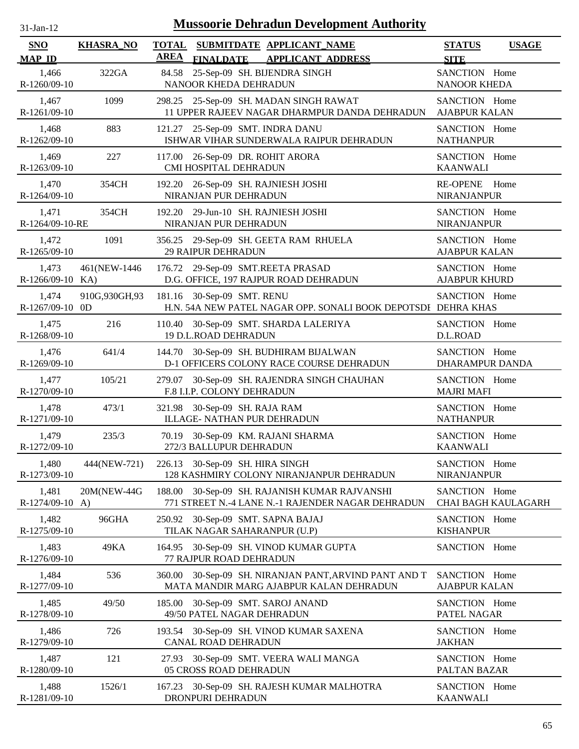| 31-Jan-12                   |                  | <b>Mussoorie Dehradun Development Authority</b>                                                       |                                              |
|-----------------------------|------------------|-------------------------------------------------------------------------------------------------------|----------------------------------------------|
| <b>SNO</b><br><b>MAP ID</b> | <b>KHASRA_NO</b> | <b>TOTAL</b><br>SUBMITDATE APPLICANT_NAME<br><b>AREA</b><br>FINALDATE APPLICANT ADDRESS               | <b>STATUS</b><br><b>USAGE</b><br><b>SITE</b> |
| 1,466<br>R-1260/09-10       | 322GA            | 25-Sep-09 SH. BIJENDRA SINGH<br>84.58<br>NANOOR KHEDA DEHRADUN                                        | SANCTION Home<br><b>NANOOR KHEDA</b>         |
| 1,467                       | 1099             | 298.25 25-Sep-09 SH. MADAN SINGH RAWAT                                                                | SANCTION Home                                |
| R-1261/09-10                |                  | 11 UPPER RAJEEV NAGAR DHARMPUR DANDA DEHRADUN                                                         | <b>AJABPUR KALAN</b>                         |
| 1,468                       | 883              | 121.27 25-Sep-09 SMT. INDRA DANU                                                                      | SANCTION Home                                |
| R-1262/09-10                |                  | ISHWAR VIHAR SUNDERWALA RAIPUR DEHRADUN                                                               | <b>NATHANPUR</b>                             |
| 1,469                       | 227              | 117.00 26-Sep-09 DR. ROHIT ARORA                                                                      | SANCTION Home                                |
| R-1263/09-10                |                  | CMI HOSPITAL DEHRADUN                                                                                 | <b>KAANWALI</b>                              |
| 1,470                       | 354CH            | 192.20 26-Sep-09 SH. RAJNIESH JOSHI                                                                   | RE-OPENE Home                                |
| R-1264/09-10                |                  | NIRANJAN PUR DEHRADUN                                                                                 | <b>NIRANJANPUR</b>                           |
| 1,471                       | 354CH            | 192.20 29-Jun-10 SH. RAJNIESH JOSHI                                                                   | SANCTION Home                                |
| R-1264/09-10-RE             |                  | NIRANJAN PUR DEHRADUN                                                                                 | <b>NIRANJANPUR</b>                           |
| 1,472                       | 1091             | 356.25 29-Sep-09 SH. GEETA RAM RHUELA                                                                 | SANCTION Home                                |
| R-1265/09-10                |                  | <b>29 RAIPUR DEHRADUN</b>                                                                             | AJABPUR KALAN                                |
| 1,473                       | 461(NEW-1446)    | 176.72 29-Sep-09 SMT.REETA PRASAD                                                                     | SANCTION Home                                |
| R-1266/09-10 KA)            |                  | D.G. OFFICE, 197 RAJPUR ROAD DEHRADUN                                                                 | <b>AJABPUR KHURD</b>                         |
| 1,474<br>R-1267/09-10 0D    | 910G,930GH,93    | 181.16 30-Sep-09 SMT. RENU<br>H.N. 54A NEW PATEL NAGAR OPP. SONALI BOOK DEPOTSDI DEHRA KHAS           | SANCTION Home                                |
| 1,475                       | 216              | 110.40 30-Sep-09 SMT. SHARDA LALERIYA                                                                 | SANCTION Home                                |
| R-1268/09-10                |                  | 19 D.L.ROAD DEHRADUN                                                                                  | D.L.ROAD                                     |
| 1,476                       | 641/4            | 144.70 30-Sep-09 SH. BUDHIRAM BIJALWAN                                                                | SANCTION Home                                |
| R-1269/09-10                |                  | D-1 OFFICERS COLONY RACE COURSE DEHRADUN                                                              | DHARAMPUR DANDA                              |
| 1,477                       | 105/21           | 279.07 30-Sep-09 SH. RAJENDRA SINGH CHAUHAN                                                           | SANCTION Home                                |
| R-1270/09-10                |                  | F.8 I.I.P. COLONY DEHRADUN                                                                            | <b>MAJRI MAFI</b>                            |
| 1,478                       | 473/1            | 321.98 30-Sep-09 SH. RAJA RAM                                                                         | SANCTION Home                                |
| R-1271/09-10                |                  | ILLAGE- NATHAN PUR DEHRADUN                                                                           | <b>NATHANPUR</b>                             |
| 1,479                       | 235/3            | 70.19 30-Sep-09 KM. RAJANI SHARMA                                                                     | SANCTION Home                                |
| R-1272/09-10                |                  | 272/3 BALLUPUR DEHRADUN                                                                               | <b>KAANWALI</b>                              |
| 1,480                       | 444(NEW-721)     | 226.13 30-Sep-09 SH. HIRA SINGH                                                                       | SANCTION Home                                |
| R-1273/09-10                |                  | 128 KASHMIRY COLONY NIRANJANPUR DEHRADUN                                                              | NIRANJANPUR                                  |
| 1,481<br>$R-1274/09-10$ A)  | 20M(NEW-44G)     | 188.00<br>30-Sep-09 SH. RAJANISH KUMAR RAJVANSHI<br>771 STREET N.-4 LANE N.-1 RAJENDER NAGAR DEHRADUN | SANCTION Home<br>CHAI BAGH KAULAGARH         |
| 1,482                       | 96GHA            | 250.92 30-Sep-09 SMT. SAPNA BAJAJ                                                                     | SANCTION Home                                |
| R-1275/09-10                |                  | TILAK NAGAR SAHARANPUR (U.P)                                                                          | <b>KISHANPUR</b>                             |
| 1,483<br>R-1276/09-10       | 49KA             | 30-Sep-09 SH. VINOD KUMAR GUPTA<br>164.95<br>77 RAJPUR ROAD DEHRADUN                                  | SANCTION Home                                |
| 1,484<br>R-1277/09-10       | 536              | 30-Sep-09 SH. NIRANJAN PANT, ARVIND PANT AND T<br>360.00<br>MATA MANDIR MARG AJABPUR KALAN DEHRADUN   | SANCTION Home<br><b>AJABPUR KALAN</b>        |
| 1,485<br>R-1278/09-10       | 49/50            | 30-Sep-09 SMT. SAROJ ANAND<br>185.00<br>49/50 PATEL NAGAR DEHRADUN                                    | SANCTION Home<br>PATEL NAGAR                 |
| 1,486<br>R-1279/09-10       | 726              | 30-Sep-09 SH. VINOD KUMAR SAXENA<br>193.54<br>CANAL ROAD DEHRADUN                                     | SANCTION Home<br><b>JAKHAN</b>               |
| 1,487                       | 121              | 27.93 30-Sep-09 SMT. VEERA WALI MANGA                                                                 | SANCTION Home                                |
| R-1280/09-10                |                  | 05 CROSS ROAD DEHRADUN                                                                                | PALTAN BAZAR                                 |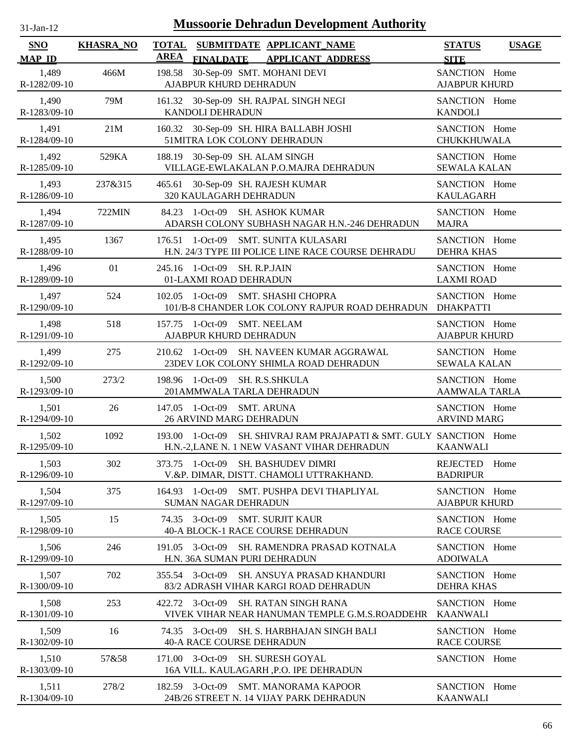| -jan- |  |
|-------|--|

| SNO<br><b>MAP ID</b>  | <b>KHASRA_NO</b> | <b>TOTAL</b><br>SUBMITDATE APPLICANT NAME<br><b>AREA</b><br>FINALDATE APPLICANT ADDRESS                             | <b>STATUS</b><br><b>USAGE</b><br><b>SITE</b> |
|-----------------------|------------------|---------------------------------------------------------------------------------------------------------------------|----------------------------------------------|
| 1,489<br>R-1282/09-10 | 466M             | 30-Sep-09 SMT. MOHANI DEVI<br>198.58<br>AJABPUR KHURD DEHRADUN                                                      | SANCTION Home<br><b>AJABPUR KHURD</b>        |
| 1,490<br>R-1283/09-10 | 79M              | 161.32 30-Sep-09 SH. RAJPAL SINGH NEGI<br>KANDOLI DEHRADUN                                                          | SANCTION Home<br><b>KANDOLI</b>              |
| 1,491<br>R-1284/09-10 | 21M              | 160.32 30-Sep-09 SH. HIRA BALLABH JOSHI<br>51MITRA LOK COLONY DEHRADUN                                              | SANCTION Home<br>CHUKKHUWALA                 |
| 1,492<br>R-1285/09-10 | 529KA            | 188.19 30-Sep-09 SH. ALAM SINGH<br>VILLAGE-EWLAKALAN P.O.MAJRA DEHRADUN                                             | SANCTION Home<br><b>SEWALA KALAN</b>         |
| 1,493<br>R-1286/09-10 | 237&315          | 465.61<br>30-Sep-09 SH. RAJESH KUMAR<br>320 KAULAGARH DEHRADUN                                                      | SANCTION Home<br><b>KAULAGARH</b>            |
| 1,494<br>R-1287/09-10 | 722MIN           | <b>SH. ASHOK KUMAR</b><br>84.23<br>1-Oct-09<br>ADARSH COLONY SUBHASH NAGAR H.N.-246 DEHRADUN                        | SANCTION Home<br><b>MAJRA</b>                |
| 1,495<br>R-1288/09-10 | 1367             | $1-Oct-09$<br>SMT. SUNITA KULASARI<br>176.51<br>H.N. 24/3 TYPE III POLICE LINE RACE COURSE DEHRADU                  | SANCTION Home<br><b>DEHRA KHAS</b>           |
| 1,496<br>R-1289/09-10 | 01               | 245.16 1-Oct-09<br><b>SH. R.P.JAIN</b><br>01-LAXMI ROAD DEHRADUN                                                    | SANCTION Home<br><b>LAXMI ROAD</b>           |
| 1,497<br>R-1290/09-10 | 524              | $1-Oct-09$<br><b>SMT. SHASHI CHOPRA</b><br>102.05<br>101/B-8 CHANDER LOK COLONY RAJPUR ROAD DEHRADUN                | SANCTION Home<br><b>DHAKPATTI</b>            |
| 1,498<br>R-1291/09-10 | 518              | 157.75 1-Oct-09 SMT. NEELAM<br>AJABPUR KHURD DEHRADUN                                                               | SANCTION Home<br><b>AJABPUR KHURD</b>        |
| 1,499<br>R-1292/09-10 | 275              | 210.62 1-Oct-09 SH. NAVEEN KUMAR AGGRAWAL<br>23DEV LOK COLONY SHIMLA ROAD DEHRADUN                                  | SANCTION Home<br><b>SEWALA KALAN</b>         |
| 1,500<br>R-1293/09-10 | 273/2            | 198.96 1-Oct-09<br>SH. R.S.SHKULA<br>201AMMWALA TARLA DEHRADUN                                                      | SANCTION Home<br><b>AAMWALA TARLA</b>        |
| 1,501<br>R-1294/09-10 | 26               | 147.05 1-Oct-09 SMT. ARUNA<br>26 ARVIND MARG DEHRADUN                                                               | SANCTION Home<br><b>ARVIND MARG</b>          |
| 1,502<br>R-1295/09-10 | 1092             | 193.00 1-Oct-09 SH. SHIVRAJ RAM PRAJAPATI & SMT. GULY. SANCTION Home<br>H.N.-2, LANE N. 1 NEW VASANT VIHAR DEHRADUN | <b>KAANWALI</b>                              |
| 1,503<br>R-1296/09-10 | 302              | 373.75 1-Oct-09 SH. BASHUDEV DIMRI<br>V.&P. DIMAR, DISTT. CHAMOLI UTTRAKHAND.                                       | <b>REJECTED</b><br>Home<br><b>BADRIPUR</b>   |
| 1,504<br>R-1297/09-10 | 375              | 164.93 1-Oct-09 SMT. PUSHPA DEVI THAPLIYAL<br>SUMAN NAGAR DEHRADUN                                                  | SANCTION Home<br><b>AJABPUR KHURD</b>        |
| 1,505<br>R-1298/09-10 | 15               | 74.35 3-Oct-09<br><b>SMT. SURJIT KAUR</b><br>40-A BLOCK-1 RACE COURSE DEHRADUN                                      | SANCTION Home<br><b>RACE COURSE</b>          |
| 1,506<br>R-1299/09-10 | 246              | 191.05 3-Oct-09<br>SH. RAMENDRA PRASAD KOTNALA<br>H.N. 36A SUMAN PURI DEHRADUN                                      | SANCTION Home<br><b>ADOIWALA</b>             |
| 1,507<br>R-1300/09-10 | 702              | 355.54 3-Oct-09<br>SH. ANSUYA PRASAD KHANDURI<br>83/2 ADRASH VIHAR KARGI ROAD DEHRADUN                              | SANCTION Home<br><b>DEHRA KHAS</b>           |
| 1,508<br>R-1301/09-10 | 253              | 422.72 3-Oct-09<br><b>SH. RATAN SINGH RANA</b><br>VIVEK VIHAR NEAR HANUMAN TEMPLE G.M.S.ROADDEHR                    | SANCTION Home<br>KAANWALI                    |
| 1,509<br>R-1302/09-10 | 16               | 74.35 3-Oct-09<br>SH. S. HARBHAJAN SINGH BALI<br><b>40-A RACE COURSE DEHRADUN</b>                                   | SANCTION Home<br><b>RACE COURSE</b>          |
| 1,510<br>R-1303/09-10 | 57&58            | 171.00 3-Oct-09<br><b>SH. SURESH GOYAL</b><br>16A VILL. KAULAGARH ,P.O. IPE DEHRADUN                                | SANCTION Home                                |
| 1,511<br>R-1304/09-10 | 278/2            | 182.59 3-Oct-09 SMT. MANORAMA KAPOOR<br>24B/26 STREET N. 14 VIJAY PARK DEHRADUN                                     | SANCTION Home<br><b>KAANWALI</b>             |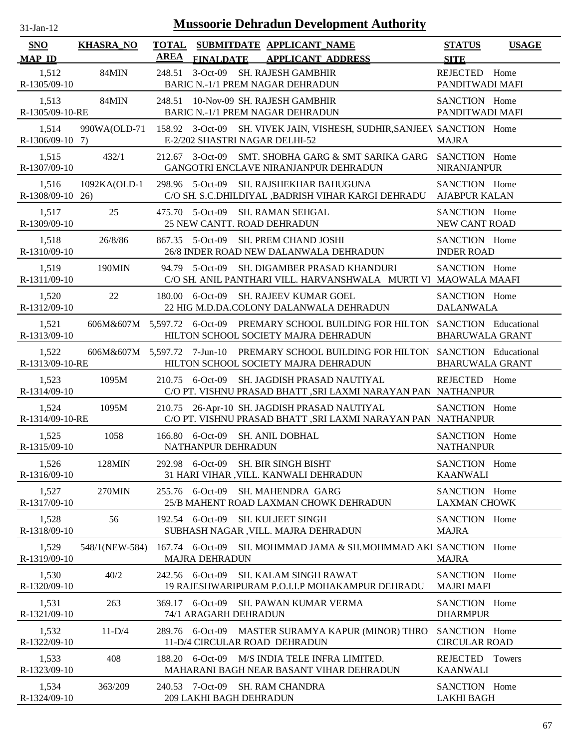| $1$ -Jan- $1$ |  |
|---------------|--|

| SNO                        | <b>KHASRA_NO</b> | <b>TOTAL</b><br><b>AREA</b> |                                            | SUBMITDATE APPLICANT_NAME                                                                                                   | <b>STATUS</b>                         | <b>USAGE</b>  |
|----------------------------|------------------|-----------------------------|--------------------------------------------|-----------------------------------------------------------------------------------------------------------------------------|---------------------------------------|---------------|
| <b>MAP ID</b>              |                  |                             | <b>FINALDATE</b>                           | <b>APPLICANT ADDRESS</b>                                                                                                    | <b>SITE</b>                           |               |
| 1,512<br>R-1305/09-10      | 84MIN            | 248.51                      |                                            | 3-Oct-09 SH. RAJESH GAMBHIR<br>BARIC N.-1/1 PREM NAGAR DEHRADUN                                                             | REJECTED Home<br>PANDITWADI MAFI      |               |
| 1,513<br>R-1305/09-10-RE   | 84MIN            | 248.51                      |                                            | 10-Nov-09 SH. RAJESH GAMBHIR<br><b>BARIC N.-1/1 PREM NAGAR DEHRADUN</b>                                                     | SANCTION Home<br>PANDITWADI MAFI      |               |
| 1,514<br>$R-1306/09-10$ 7) | 990WA(OLD-71     |                             |                                            | 158.92 3-Oct-09 SH. VIVEK JAIN, VISHESH, SUDHIR, SANJEEV SANCTION Home<br>E-2/202 SHASTRI NAGAR DELHI-52                    | <b>MAJRA</b>                          |               |
| 1,515<br>R-1307/09-10      | 432/1            | 212.67                      | 3-Oct-09                                   | SMT. SHOBHA GARG & SMT SARIKA GARG SANCTION Home<br>GANGOTRI ENCLAVE NIRANJANPUR DEHRADUN                                   | NIRANJANPUR                           |               |
| 1,516<br>R-1308/09-10 26)  | 1092KA(OLD-1     |                             | 298.96 5-Oct-09                            | SH. RAJSHEKHAR BAHUGUNA<br>C/O SH. S.C.DHILDIYAL ,BADRISH VIHAR KARGI DEHRADU                                               | SANCTION Home<br><b>AJABPUR KALAN</b> |               |
| 1,517<br>R-1309/09-10      | 25               |                             | 475.70 5-Oct-09                            | <b>SH. RAMAN SEHGAL</b><br>25 NEW CANTT. ROAD DEHRADUN                                                                      | SANCTION Home<br>NEW CANT ROAD        |               |
| 1,518<br>R-1310/09-10      | 26/8/86          |                             | 867.35 5-Oct-09                            | SH. PREM CHAND JOSHI<br>26/8 INDER ROAD NEW DALANWALA DEHRADUN                                                              | SANCTION Home<br><b>INDER ROAD</b>    |               |
| 1,519<br>R-1311/09-10      | 190MIN           |                             | 94.79 5-Oct-09                             | SH. DIGAMBER PRASAD KHANDURI<br>C/O SH. ANIL PANTHARI VILL. HARVANSHWALA MURTI VI MAOWALA MAAFI                             | SANCTION Home                         |               |
| 1,520<br>R-1312/09-10      | 22               |                             | 180.00 6-Oct-09                            | <b>SH. RAJEEV KUMAR GOEL</b><br>22 HIG M.D.DA.COLONY DALANWALA DEHRADUN                                                     | SANCTION Home<br><b>DALANWALA</b>     |               |
| 1,521<br>R-1313/09-10      |                  |                             |                                            | 606M&607M 5,597.72 6-Oct-09 PREMARY SCHOOL BUILDING FOR HILTON SANCTION Educational<br>HILTON SCHOOL SOCIETY MAJRA DEHRADUN | <b>BHARUWALA GRANT</b>                |               |
| 1,522<br>R-1313/09-10-RE   |                  |                             |                                            | 606M&607M 5,597.72 7-Jun-10 PREMARY SCHOOL BUILDING FOR HILTON SANCTION Educational<br>HILTON SCHOOL SOCIETY MAJRA DEHRADUN | <b>BHARUWALA GRANT</b>                |               |
| 1,523<br>R-1314/09-10      | 1095M            |                             | 210.75 6-Oct-09                            | SH. JAGDISH PRASAD NAUTIYAL<br>C/O PT. VISHNU PRASAD BHATT ,SRI LAXMI NARAYAN PAN NATHANPUR                                 | REJECTED Home                         |               |
| 1,524<br>R-1314/09-10-RE   | 1095M            |                             |                                            | 210.75 26-Apr-10 SH. JAGDISH PRASAD NAUTIYAL<br>C/O PT. VISHNU PRASAD BHATT ,SRI LAXMI NARAYAN PAN NATHANPUR                | SANCTION Home                         |               |
| 1,525<br>R-1315/09-10      | 1058             |                             | NATHANPUR DEHRADUN                         | 166.80 6-Oct-09 SH. ANIL DOBHAL                                                                                             | SANCTION Home<br><b>NATHANPUR</b>     |               |
| 1,526<br>R-1316/09-10      | 128MIN           |                             | 292.98 6-Oct-09                            | SH. BIR SINGH BISHT<br>31 HARI VIHAR , VILL. KANWALI DEHRADUN                                                               | SANCTION Home<br><b>KAANWALI</b>      |               |
| 1,527<br>R-1317/09-10      | 270MIN           |                             | 255.76 6-Oct-09                            | <b>SH. MAHENDRA GARG</b><br>25/B MAHENT ROAD LAXMAN CHOWK DEHRADUN                                                          | SANCTION Home<br><b>LAXMAN CHOWK</b>  |               |
| 1,528<br>R-1318/09-10      | 56               |                             | 192.54 6-Oct-09                            | <b>SH. KULJEET SINGH</b><br>SUBHASH NAGAR , VILL. MAJRA DEHRADUN                                                            | SANCTION Home<br><b>MAJRA</b>         |               |
| 1,529<br>R-1319/09-10      | 548/1(NEW-584)   |                             | 167.74 6-Oct-09<br><b>MAJRA DEHRADUN</b>   | SH. MOHMMAD JAMA & SH. MOHMMAD AKI SANCTION Home                                                                            | <b>MAJRA</b>                          |               |
| 1,530<br>R-1320/09-10      | 40/2             |                             | 242.56 6-Oct-09                            | <b>SH. KALAM SINGH RAWAT</b><br>19 RAJESHWARIPURAM P.O.I.I.P MOHAKAMPUR DEHRADU                                             | SANCTION Home<br><b>MAJRI MAFI</b>    |               |
| 1,531<br>R-1321/09-10      | 263              |                             | 369.17 6-Oct-09<br>74/1 ARAGARH DEHRADUN   | SH. PAWAN KUMAR VERMA                                                                                                       | SANCTION Home<br><b>DHARMPUR</b>      |               |
| 1,532<br>R-1322/09-10      | $11-D/4$         |                             |                                            | 289.76 6-Oct-09 MASTER SURAMYA KAPUR (MINOR) THRO<br>11-D/4 CIRCULAR ROAD DEHRADUN                                          | SANCTION Home<br><b>CIRCULAR ROAD</b> |               |
| 1,533<br>R-1323/09-10      | 408              |                             |                                            | 188.20 6-Oct-09 M/S INDIA TELE INFRA LIMITED.<br>MAHARANI BAGH NEAR BASANT VIHAR DEHRADUN                                   | REJECTED<br><b>KAANWALI</b>           | <b>Towers</b> |
| 1,534<br>R-1324/09-10      | 363/209          |                             | 240.53 7-Oct-09<br>209 LAKHI BAGH DEHRADUN | <b>SH. RAM CHANDRA</b>                                                                                                      | SANCTION Home<br><b>LAKHI BAGH</b>    |               |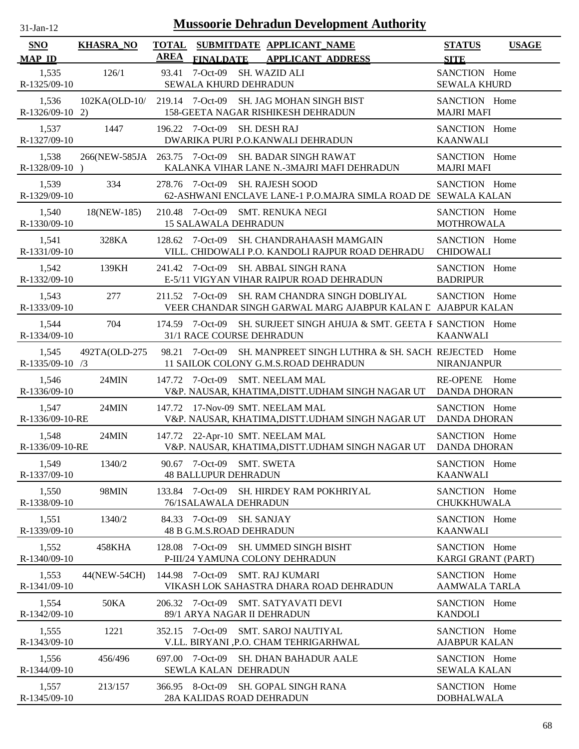| $31$ -Jan-12                |                  |                             |                                                          | <b>Mussoorie Dehradun Development Authority</b>                                                    |                                        |              |
|-----------------------------|------------------|-----------------------------|----------------------------------------------------------|----------------------------------------------------------------------------------------------------|----------------------------------------|--------------|
| <b>SNO</b><br><b>MAP ID</b> | <b>KHASRA_NO</b> | <b>TOTAL</b><br><b>AREA</b> |                                                          | SUBMITDATE APPLICANT_NAME<br>FINALDATE APPLICANT ADDRESS                                           | <b>STATUS</b><br><b>SITE</b>           | <b>USAGE</b> |
| 1,535<br>R-1325/09-10       | 126/1            | 93.41                       | $7-Oct-09$<br>SEWALA KHURD DEHRADUN                      | SH. WAZID ALI                                                                                      | SANCTION Home<br><b>SEWALA KHURD</b>   |              |
| 1,536<br>$R-1326/09-10$ 2)  |                  |                             |                                                          | 102KA(OLD-10/ 219.14 7-Oct-09 SH. JAG MOHAN SINGH BIST<br>158-GEETA NAGAR RISHIKESH DEHRADUN       | SANCTION Home<br><b>MAJRI MAFI</b>     |              |
| 1,537<br>R-1327/09-10       | 1447             |                             | 196.22 7-Oct-09 SH. DESH RAJ                             | DWARIKA PURI P.O.KANWALI DEHRADUN                                                                  | SANCTION Home<br><b>KAANWALI</b>       |              |
| 1,538<br>$R-1328/09-10$ )   |                  |                             |                                                          | 266(NEW-585JA 263.75 7-Oct-09 SH. BADAR SINGH RAWAT<br>KALANKA VIHAR LANE N.-3MAJRI MAFI DEHRADUN  | SANCTION Home<br><b>MAJRI MAFI</b>     |              |
| 1,539<br>R-1329/09-10       | 334              |                             |                                                          | 278.76 7-Oct-09 SH. RAJESH SOOD<br>62-ASHWANI ENCLAVE LANE-1 P.O.MAJRA SIMLA ROAD DE SEWALA KALAN  | SANCTION Home                          |              |
| 1,540<br>R-1330/09-10       | 18(NEW-185)      |                             | <b>15 SALAWALA DEHRADUN</b>                              | 210.48 7-Oct-09 SMT. RENUKA NEGI                                                                   | SANCTION Home<br><b>MOTHROWALA</b>     |              |
| 1,541<br>R-1331/09-10       | 328KA            |                             |                                                          | 128.62 7-Oct-09 SH. CHANDRAHAASH MAMGAIN<br>VILL. CHIDOWALI P.O. KANDOLI RAJPUR ROAD DEHRADU       | SANCTION Home<br><b>CHIDOWALI</b>      |              |
| 1,542<br>R-1332/09-10       | 139KH            |                             | 241.42 7-Oct-09                                          | SH. ABBAL SINGH RANA<br>E-5/11 VIGYAN VIHAR RAIPUR ROAD DEHRADUN                                   | SANCTION Home<br><b>BADRIPUR</b>       |              |
| 1,543<br>R-1333/09-10       | 277              |                             | 211.52 7-Oct-09                                          | SH. RAM CHANDRA SINGH DOBLIYAL<br>VEER CHANDAR SINGH GARWAL MARG AJABPUR KALAN E AJABPUR KALAN     | SANCTION Home                          |              |
| 1,544<br>R-1334/09-10       | 704              |                             | 31/1 RACE COURSE DEHRADUN                                | 174.59 7-Oct-09 SH. SURJEET SINGH AHUJA & SMT. GEETA F SANCTION Home                               | <b>KAANWALI</b>                        |              |
| 1,545<br>$R-1335/09-10$ /3  | 492TA(OLD-275    |                             | 98.21 7-Oct-09                                           | SH. MANPREET SINGH LUTHRA & SH. SACH REJECTED<br>11 SAILOK COLONY G.M.S.ROAD DEHRADUN              | <b>NIRANJANPUR</b>                     | Home         |
| 1,546<br>R-1336/09-10       | 24MIN            |                             | 147.72 7-Oct-09                                          | SMT. NEELAM MAL<br>V&P. NAUSAR, KHATIMA, DISTT. UDHAM SINGH NAGAR UT                               | <b>RE-OPENE</b><br><b>DANDA DHORAN</b> | Home         |
| 1,547<br>R-1336/09-10-RE    | 24MIN            | 147.72                      |                                                          | 17-Nov-09 SMT. NEELAM MAL<br>V&P. NAUSAR, KHATIMA, DISTT. UDHAM SINGH NAGAR UT                     | SANCTION Home<br><b>DANDA DHORAN</b>   |              |
| 1,548<br>R-1336/09-10-RE    | 24MIN            |                             |                                                          | 147.72 22-Apr-10 SMT. NEELAM MAL<br>V&P. NAUSAR, KHATIMA, DISTT. UDHAM SINGH NAGAR UT DANDA DHORAN | SANCTION Home                          |              |
| 1,549<br>R-1337/09-10       | 1340/2           |                             | 90.67 7-Oct-09 SMT. SWETA<br><b>48 BALLUPUR DEHRADUN</b> |                                                                                                    | SANCTION Home<br><b>KAANWALI</b>       |              |
| 1,550<br>R-1338/09-10       | 98MIN            |                             | 76/1SALAWALA DEHRADUN                                    | 133.84 7-Oct-09 SH. HIRDEY RAM POKHRIYAL                                                           | SANCTION Home<br>CHUKKHUWALA           |              |
| 1,551<br>R-1339/09-10       | 1340/2           |                             | 84.33 7-Oct-09 SH. SANJAY<br>48 B G.M.S.ROAD DEHRADUN    |                                                                                                    | SANCTION Home<br><b>KAANWALI</b>       |              |
| 1,552<br>R-1340/09-10       | 458KHA           |                             |                                                          | 128.08 7-Oct-09 SH. UMMED SINGH BISHT<br>P-III/24 YAMUNA COLONY DEHRADUN                           | SANCTION Home<br>KARGI GRANT (PART)    |              |
| 1,553<br>R-1341/09-10       | 44(NEW-54CH)     |                             |                                                          | 144.98 7-Oct-09 SMT. RAJ KUMARI<br>VIKASH LOK SAHASTRA DHARA ROAD DEHRADUN                         | SANCTION Home<br>AAMWALA TARLA         |              |
| 1,554<br>R-1342/09-10       | <b>50KA</b>      |                             | 206.32 7-Oct-09                                          | <b>SMT. SATYAVATI DEVI</b><br>89/1 ARYA NAGAR II DEHRADUN                                          | SANCTION Home<br><b>KANDOLI</b>        |              |
| 1,555<br>R-1343/09-10       | 1221             |                             | 352.15 7-Oct-09                                          | <b>SMT. SAROJ NAUTIYAL</b><br>V.LL. BIRYANI , P.O. CHAM TEHRIGARHWAL                               | SANCTION Home<br><b>AJABPUR KALAN</b>  |              |
| 1,556<br>R-1344/09-10       | 456/496          |                             | 697.00 7-Oct-09<br>SEWLA KALAN DEHRADUN                  | <b>SH. DHAN BAHADUR AALE</b>                                                                       | SANCTION Home<br><b>SEWALA KALAN</b>   |              |
| 1,557<br>R-1345/09-10       | 213/157          |                             | 366.95 8-Oct-09                                          | SH. GOPAL SINGH RANA<br>28A KALIDAS ROAD DEHRADUN                                                  | SANCTION Home<br><b>DOBHALWALA</b>     |              |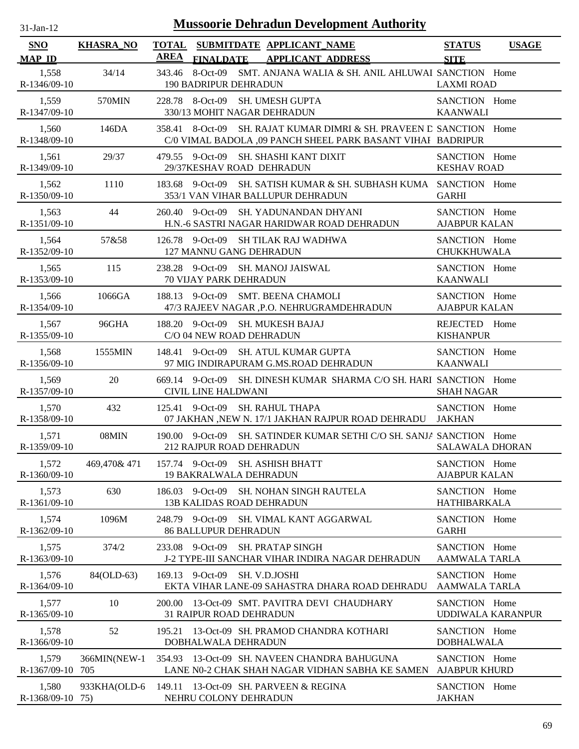| $31$ -Jan-12                |                  | <b>Mussoorie Dehradun Development Authority</b>                                                                                       |                                       |              |
|-----------------------------|------------------|---------------------------------------------------------------------------------------------------------------------------------------|---------------------------------------|--------------|
| <b>SNO</b><br><b>MAP ID</b> | <b>KHASRA_NO</b> | <b>TOTAL</b><br>SUBMITDATE APPLICANT_NAME<br><b>AREA</b><br><b>FINALDATE</b><br><b>APPLICANT ADDRESS</b>                              | <b>STATUS</b><br><b>SITE</b>          | <b>USAGE</b> |
| 1,558<br>R-1346/09-10       | 34/14            | 343.46<br>8-Oct-09 SMT. ANJANA WALIA & SH. ANIL AHLUWAI SANCTION Home<br>190 BADRIPUR DEHRADUN                                        | <b>LAXMI ROAD</b>                     |              |
| 1,559<br>R-1347/09-10       | 570MIN           | 228.78 8-Oct-09 SH. UMESH GUPTA<br>330/13 MOHIT NAGAR DEHRADUN                                                                        | SANCTION Home<br><b>KAANWALI</b>      |              |
| 1,560<br>R-1348/09-10       | 146DA            | 8-Oct-09 SH. RAJAT KUMAR DIMRI & SH. PRAVEEN D SANCTION Home<br>358.41<br>C/0 VIMAL BADOLA ,09 PANCH SHEEL PARK BASANT VIHAI BADRIPUR |                                       |              |
| 1,561<br>R-1349/09-10       | 29/37            | SH. SHASHI KANT DIXIT<br>9-Oct-09<br>479.55<br>29/37KESHAV ROAD DEHRADUN                                                              | SANCTION Home<br><b>KESHAV ROAD</b>   |              |
| 1,562<br>R-1350/09-10       | 1110             | SH. SATISH KUMAR & SH. SUBHASH KUMA SANCTION Home<br>183.68<br>9-Oct-09<br>353/1 VAN VIHAR BALLUPUR DEHRADUN                          | <b>GARHI</b>                          |              |
| 1,563<br>R-1351/09-10       | 44               | 9-Oct-09<br><b>SH. YADUNANDAN DHYANI</b><br>260.40<br>H.N.-6 SASTRI NAGAR HARIDWAR ROAD DEHRADUN                                      | SANCTION Home<br><b>AJABPUR KALAN</b> |              |
| 1,564<br>R-1352/09-10       | 57&58            | 126.78 9-Oct-09 SH TILAK RAJ WADHWA<br>127 MANNU GANG DEHRADUN                                                                        | SANCTION Home<br><b>CHUKKHUWALA</b>   |              |
| 1,565<br>R-1353/09-10       | 115              | 9-Oct-09<br>SH. MANOJ JAISWAL<br>238.28<br><b>70 VIJAY PARK DEHRADUN</b>                                                              | SANCTION Home<br><b>KAANWALI</b>      |              |
| 1,566<br>R-1354/09-10       | 1066GA           | 188.13 9-Oct-09 SMT. BEENA CHAMOLI<br>47/3 RAJEEV NAGAR , P.O. NEHRUGRAMDEHRADUN                                                      | SANCTION Home<br><b>AJABPUR KALAN</b> |              |
| 1,567<br>R-1355/09-10       | 96GHA            | $9$ -Oct-09<br>SH. MUKESH BAJAJ<br>188.20<br>C/O 04 NEW ROAD DEHRADUN                                                                 | REJECTED Home<br><b>KISHANPUR</b>     |              |
| 1,568<br>R-1356/09-10       | 1555MIN          | 148.41 9-Oct-09 SH. ATUL KUMAR GUPTA<br>97 MIG INDIRAPURAM G.MS.ROAD DEHRADUN                                                         | SANCTION Home<br><b>KAANWALI</b>      |              |
| 1,569<br>R-1357/09-10       | 20               | 669.14 9-Oct-09 SH. DINESH KUMAR SHARMA C/O SH. HARI SANCTION Home<br><b>CIVIL LINE HALDWANI</b>                                      | <b>SHAH NAGAR</b>                     |              |
| 1,570<br>R-1358/09-10       | 432              | 125.41 9-Oct-09 SH. RAHUL THAPA<br>07 JAKHAN ,NEW N. 17/1 JAKHAN RAJPUR ROAD DEHRADU                                                  | SANCTION Home<br><b>JAKHAN</b>        |              |
| 1,571<br>R-1359/09-10       | 08MIN            | 190.00 9-Oct-09 SH. SATINDER KUMAR SETHI C/O SH. SANJA SANCTION Home<br><b>212 RAJPUR ROAD DEHRADUN</b>                               | <b>SALAWALA DHORAN</b>                |              |
| 1,572<br>R-1360/09-10       | 469,470&471      | 157.74 9-Oct-09<br>SH. ASHISH BHATT<br>19 BAKRALWALA DEHRADUN                                                                         | SANCTION Home<br><b>AJABPUR KALAN</b> |              |
| 1,573<br>R-1361/09-10       | 630              | 186.03<br>9-Oct-09<br><b>SH. NOHAN SINGH RAUTELA</b><br><b>13B KALIDAS ROAD DEHRADUN</b>                                              | SANCTION Home<br><b>HATHIBARKALA</b>  |              |
| 1,574<br>R-1362/09-10       | 1096M            | 248.79 9-Oct-09 SH. VIMAL KANT AGGARWAL<br><b>86 BALLUPUR DEHRADUN</b>                                                                | SANCTION Home<br><b>GARHI</b>         |              |
| 1,575<br>R-1363/09-10       | 374/2            | 233.08 9-Oct-09<br><b>SH. PRATAP SINGH</b><br>J-2 TYPE-III SANCHAR VIHAR INDIRA NAGAR DEHRADUN                                        | SANCTION Home<br><b>AAMWALA TARLA</b> |              |
| 1,576<br>R-1364/09-10       | 84(OLD-63)       | 169.13<br>9-Oct-09 SH. V.D.JOSHI<br>EKTA VIHAR LANE-09 SAHASTRA DHARA ROAD DEHRADU                                                    | SANCTION Home<br>AAMWALA TARLA        |              |
| 1,577<br>R-1365/09-10       | 10               | 13-Oct-09 SMT. PAVITRA DEVI CHAUDHARY<br>200.00<br><b>31 RAIPUR ROAD DEHRADUN</b>                                                     | SANCTION Home<br>UDDIWALA KARANPUR    |              |
| 1,578<br>R-1366/09-10       | 52               | 13-Oct-09 SH. PRAMOD CHANDRA KOTHARI<br>195.21<br>DOBHALWALA DEHRADUN                                                                 | SANCTION Home<br><b>DOBHALWALA</b>    |              |
| 1,579<br>R-1367/09-10 705   | 366MIN(NEW-1     | 354.93 13-Oct-09 SH. NAVEEN CHANDRA BAHUGUNA<br>LANE N0-2 CHAK SHAH NAGAR VIDHAN SABHA KE SAMEN                                       | SANCTION Home<br><b>AJABPUR KHURD</b> |              |
| 1,580<br>R-1368/09-10 75)   | 933KHA(OLD-6     | 149.11 13-Oct-09 SH. PARVEEN & REGINA<br>NEHRU COLONY DEHRADUN                                                                        | SANCTION Home<br><b>JAKHAN</b>        |              |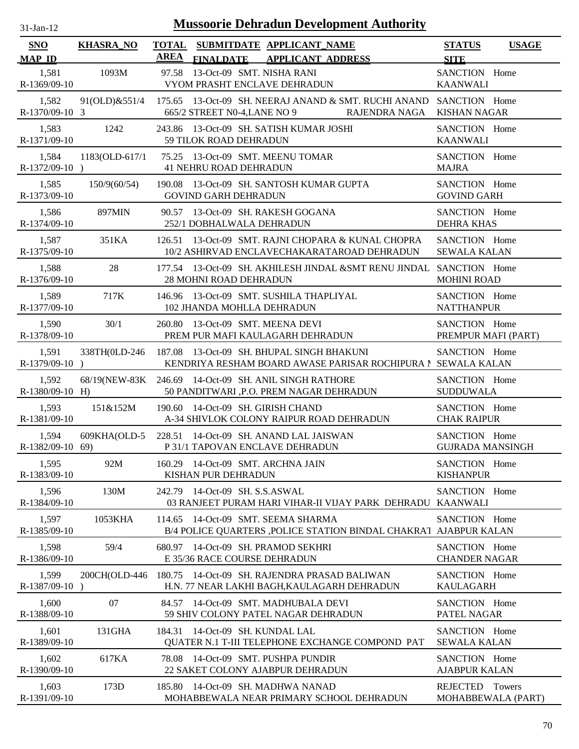| -Jan- |  |
|-------|--|
|       |  |

| <b>SNO</b>                  | <b>KHASRA_NO</b>                                        |             |                                 | TOTAL SUBMITDATE APPLICANT NAME                                            |                                                                                                                                | <b>STATUS</b>                            | <b>USAGE</b>       |
|-----------------------------|---------------------------------------------------------|-------------|---------------------------------|----------------------------------------------------------------------------|--------------------------------------------------------------------------------------------------------------------------------|------------------------------------------|--------------------|
| <b>MAP ID</b>               |                                                         | <b>AREA</b> |                                 | FINALDATE APPLICANT ADDRESS                                                |                                                                                                                                | <b>SITE</b>                              |                    |
| 1,581<br>R-1369/09-10       | 1093M                                                   |             | 97.58 13-Oct-09 SMT. NISHA RANI | VYOM PRASHT ENCLAVE DEHRADUN                                               |                                                                                                                                | SANCTION Home<br><b>KAANWALI</b>         |                    |
| 1,582<br>R-1370/09-10 3     |                                                         |             |                                 |                                                                            | 91(OLD)&551/4 175.65 13-Oct-09 SH. NEERAJ ANAND & SMT. RUCHI ANAND SANCTION Home<br>665/2 STREET N0-4, LANE NO 9 RAJENDRA NAGA | <b>KISHAN NAGAR</b>                      |                    |
| 1,583<br>R-1371/09-10       | 1242                                                    |             | 59 TILOK ROAD DEHRADUN          | 243.86 13-Oct-09 SH. SATISH KUMAR JOSHI                                    |                                                                                                                                | SANCTION Home<br><b>KAANWALI</b>         |                    |
| 1,584<br>$R-1372/09-10$ )   | 1183(OLD-617/1                                          | 75.25       | <b>41 NEHRU ROAD DEHRADUN</b>   | 13-Oct-09 SMT. MEENU TOMAR                                                 |                                                                                                                                | SANCTION Home<br><b>MAJRA</b>            |                    |
| 1,585<br>R-1373/09-10       | 150/9(60/54)                                            |             | <b>GOVIND GARH DEHRADUN</b>     | 190.08 13-Oct-09 SH. SANTOSH KUMAR GUPTA                                   |                                                                                                                                | SANCTION Home<br><b>GOVIND GARH</b>      |                    |
| 1,586<br>R-1374/09-10       | 897MIN                                                  |             | 252/1 DOBHALWALA DEHRADUN       | 90.57 13-Oct-09 SH. RAKESH GOGANA                                          |                                                                                                                                | SANCTION Home<br><b>DEHRA KHAS</b>       |                    |
| 1,587<br>R-1375/09-10       | 351KA                                                   |             |                                 |                                                                            | 126.51 13-Oct-09 SMT, RAJNI CHOPARA & KUNAL CHOPRA<br>10/2 ASHIRVAD ENCLAVECHAKARATAROAD DEHRADUN                              | SANCTION Home<br><b>SEWALA KALAN</b>     |                    |
| 1,588<br>R-1376/09-10       | 28                                                      |             | 28 MOHNI ROAD DEHRADUN          |                                                                            | 177.54 13-Oct-09 SH. AKHILESH JINDAL &SMT RENU JINDAL SANCTION Home                                                            | <b>MOHINI ROAD</b>                       |                    |
| 1,589<br>R-1377/09-10       | 717K                                                    |             | 102 JHANDA MOHLLA DEHRADUN      | 146.96 13-Oct-09 SMT. SUSHILA THAPLIYAL                                    |                                                                                                                                | SANCTION Home<br><b>NATTHANPUR</b>       |                    |
| 1,590<br>R-1378/09-10       | 30/1                                                    |             |                                 | 260.80 13-Oct-09 SMT. MEENA DEVI<br>PREM PUR MAFI KAULAGARH DEHRADUN       |                                                                                                                                | SANCTION Home<br>PREMPUR MAFI (PART)     |                    |
| 1,591<br>$R-1379/09-10$ )   | 338TH(0LD-246 187.08 13-Oct-09 SH. BHUPAL SINGH BHAKUNI |             |                                 |                                                                            | KENDRIYA RESHAM BOARD AWASE PARISAR ROCHIPURA I SEWALA KALAN                                                                   | SANCTION Home                            |                    |
| 1,592<br>$R-1380/09-10$ H)  | 68/19(NEW-83K 246.69 14-Oct-09 SH. ANIL SINGH RATHORE   |             |                                 | 50 PANDITWARI ,P.O. PREM NAGAR DEHRADUN                                    |                                                                                                                                | SANCTION Home<br><b>SUDDUWALA</b>        |                    |
| 1,593<br>R-1381/09-10       | 151&152M                                                |             |                                 | 190.60 14-Oct-09 SH. GIRISH CHAND                                          | A-34 SHIVLOK COLONY RAIPUR ROAD DEHRADUN                                                                                       | SANCTION Home<br><b>CHAK RAIPUR</b>      |                    |
| 1,594<br>$R-1382/09-10$ 69) | 609KHA(OLD-5 228.51 14-Oct-09 SH. ANAND LAL JAISWAN     |             |                                 | P 31/1 TAPOVAN ENCLAVE DEHRADUN                                            |                                                                                                                                | SANCTION Home<br><b>GUJRADA MANSINGH</b> |                    |
| 1,595<br>R-1383/09-10       | 92M                                                     |             | KISHAN PUR DEHRADUN             | 160.29 14-Oct-09 SMT. ARCHNA JAIN                                          |                                                                                                                                | SANCTION Home<br><b>KISHANPUR</b>        |                    |
| 1,596<br>R-1384/09-10       | 130M                                                    | 242.79      | 14-Oct-09 SH. S.S.ASWAL         |                                                                            | 03 RANJEET PURAM HARI VIHAR-II VIJAY PARK DEHRADU KAANWALI                                                                     | SANCTION Home                            |                    |
| 1,597<br>R-1385/09-10       | 1053KHA                                                 | 114.65      |                                 | 14-Oct-09 SMT, SEEMA SHARMA                                                | B/4 POLICE QUARTERS ,POLICE STATION BINDAL CHAKRA1 AJABPUR KALAN                                                               | SANCTION Home                            |                    |
| 1,598<br>R-1386/09-10       | 59/4                                                    |             | E 35/36 RACE COURSE DEHRADUN    | 680.97 14-Oct-09 SH. PRAMOD SEKHRI                                         |                                                                                                                                | SANCTION Home<br><b>CHANDER NAGAR</b>    |                    |
| 1,599<br>R-1387/09-10       | 200CH(OLD-446                                           |             |                                 |                                                                            | 180.75 14-Oct-09 SH, RAJENDRA PRASAD BALIWAN<br>H.N. 77 NEAR LAKHI BAGH, KAULAGARH DEHRADUN                                    | SANCTION Home<br><b>KAULAGARH</b>        |                    |
| 1,600<br>R-1388/09-10       | 07                                                      |             |                                 | 84.57 14-Oct-09 SMT. MADHUBALA DEVI<br>59 SHIV COLONY PATEL NAGAR DEHRADUN |                                                                                                                                | SANCTION Home<br>PATEL NAGAR             |                    |
| 1,601<br>R-1389/09-10       | 131GHA                                                  |             | 184.31 14-Oct-09 SH. KUNDAL LAL |                                                                            | QUATER N.1 T-III TELEPHONE EXCHANGE COMPOND PAT                                                                                | SANCTION Home<br><b>SEWALA KALAN</b>     |                    |
| 1,602<br>R-1390/09-10       | 617KA                                                   | 78.08       |                                 | 14-Oct-09 SMT. PUSHPA PUNDIR<br>22 SAKET COLONY AJABPUR DEHRADUN           |                                                                                                                                | SANCTION Home<br><b>AJABPUR KALAN</b>    |                    |
| 1,603<br>R-1391/09-10       | 173D                                                    |             |                                 | 185.80 14-Oct-09 SH. MADHWA NANAD                                          | MOHABBEWALA NEAR PRIMARY SCHOOL DEHRADUN                                                                                       | REJECTED Towers                          | MOHABBEWALA (PART) |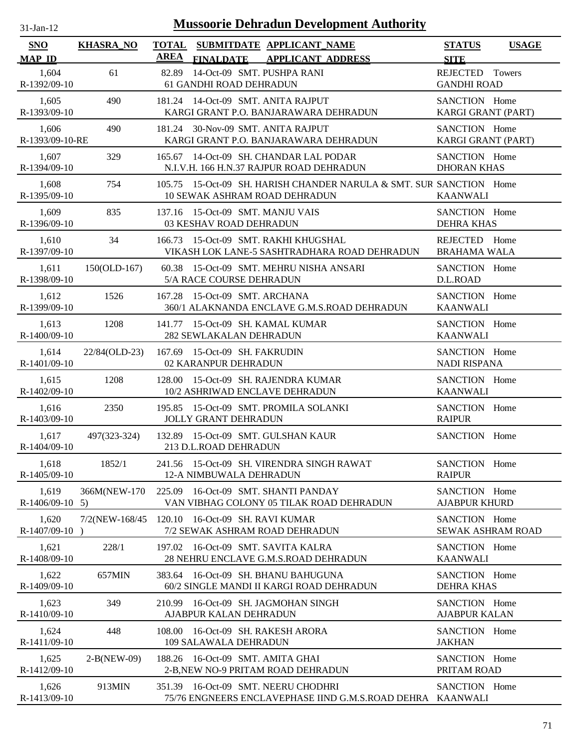| $31$ -Jan-12                |                  | <b>Mussoorie Dehradun Development Authority</b>                                                          |                                              |
|-----------------------------|------------------|----------------------------------------------------------------------------------------------------------|----------------------------------------------|
| <b>SNO</b><br><b>MAP ID</b> | <b>KHASRA_NO</b> | <b>TOTAL</b><br>SUBMITDATE APPLICANT_NAME<br><b>AREA</b><br><b>APPLICANT ADDRESS</b><br><b>FINALDATE</b> | <b>STATUS</b><br><b>USAGE</b><br><b>SITE</b> |
| 1,604<br>R-1392/09-10       | 61               | 14-Oct-09 SMT. PUSHPA RANI<br>82.89<br>61 GANDHI ROAD DEHRADUN                                           | REJECTED Towers<br><b>GANDHI ROAD</b>        |
| 1,605                       | 490              | 181.24 14-Oct-09 SMT. ANITA RAJPUT                                                                       | SANCTION Home                                |
| R-1393/09-10                |                  | KARGI GRANT P.O. BANJARAWARA DEHRADUN                                                                    | KARGI GRANT (PART)                           |
| 1,606                       | 490              | 181.24 30-Nov-09 SMT. ANITA RAJPUT                                                                       | SANCTION Home                                |
| R-1393/09-10-RE             |                  | KARGI GRANT P.O. BANJARAWARA DEHRADUN                                                                    | KARGI GRANT (PART)                           |
| 1,607                       | 329              | 165.67 14-Oct-09 SH. CHANDAR LAL PODAR                                                                   | SANCTION Home                                |
| R-1394/09-10                |                  | N.I.V.H. 166 H.N.37 RAJPUR ROAD DEHRADUN                                                                 | <b>DHORAN KHAS</b>                           |
| 1,608<br>R-1395/09-10       | 754              | 105.75 15-Oct-09 SH. HARISH CHANDER NARULA & SMT. SUR SANCTION Home<br>10 SEWAK ASHRAM ROAD DEHRADUN     | <b>KAANWALI</b>                              |
| 1,609                       | 835              | 137.16 15-Oct-09 SMT. MANJU VAIS                                                                         | SANCTION Home                                |
| R-1396/09-10                |                  | 03 KESHAV ROAD DEHRADUN                                                                                  | <b>DEHRA KHAS</b>                            |
| 1,610                       | 34               | 166.73 15-Oct-09 SMT. RAKHI KHUGSHAL                                                                     | REJECTED Home                                |
| R-1397/09-10                |                  | VIKASH LOK LANE-5 SASHTRADHARA ROAD DEHRADUN                                                             | <b>BRAHAMA WALA</b>                          |
| 1,611                       | 150(OLD-167)     | 60.38 15-Oct-09 SMT. MEHRU NISHA ANSARI                                                                  | SANCTION Home                                |
| R-1398/09-10                |                  | 5/A RACE COURSE DEHRADUN                                                                                 | D.L.ROAD                                     |
| 1,612                       | 1526             | 167.28 15-Oct-09 SMT. ARCHANA                                                                            | SANCTION Home                                |
| R-1399/09-10                |                  | 360/1 ALAKNANDA ENCLAVE G.M.S.ROAD DEHRADUN                                                              | <b>KAANWALI</b>                              |
| 1,613                       | 1208             | 141.77 15-Oct-09 SH. KAMAL KUMAR                                                                         | SANCTION Home                                |
| R-1400/09-10                |                  | 282 SEWLAKALAN DEHRADUN                                                                                  | <b>KAANWALI</b>                              |
| 1,614                       | 22/84(OLD-23)    | 167.69 15-Oct-09 SH. FAKRUDIN                                                                            | SANCTION Home                                |
| R-1401/09-10                |                  | 02 KARANPUR DEHRADUN                                                                                     | <b>NADI RISPANA</b>                          |
| 1,615                       | 1208             | 128.00 15-Oct-09 SH, RAJENDRA KUMAR                                                                      | SANCTION Home                                |
| R-1402/09-10                |                  | 10/2 ASHRIWAD ENCLAVE DEHRADUN                                                                           | <b>KAANWALI</b>                              |
| 1,616                       | 2350             | 195.85 15-Oct-09 SMT. PROMILA SOLANKI                                                                    | SANCTION Home                                |
| R-1403/09-10                |                  | <b>JOLLY GRANT DEHRADUN</b>                                                                              | <b>RAIPUR</b>                                |
| 1,617<br>R-1404/09-10       | 497(323-324)     | 132.89 15-Oct-09 SMT. GULSHAN KAUR<br>213 D.L.ROAD DEHRADUN                                              | SANCTION Home                                |
| 1,618                       | 1852/1           | 241.56 15-Oct-09 SH. VIRENDRA SINGH RAWAT                                                                | SANCTION Home                                |
| R-1405/09-10                |                  | 12-A NIMBUWALA DEHRADUN                                                                                  | <b>RAIPUR</b>                                |
| 1,619<br>$R-1406/09-10$ 5)  | 366M(NEW-170     | 16-Oct-09 SMT. SHANTI PANDAY<br>225.09<br>VAN VIBHAG COLONY 05 TILAK ROAD DEHRADUN                       | SANCTION Home<br><b>AJABPUR KHURD</b>        |
| 1,620<br>R-1407/09-10       | 7/2(NEW-168/45   | 120.10<br>16-Oct-09 SH. RAVI KUMAR<br>7/2 SEWAK ASHRAM ROAD DEHRADUN                                     | SANCTION Home<br>SEWAK ASHRAM ROAD           |
| 1,621                       | 228/1            | 197.02 16-Oct-09 SMT. SAVITA KALRA                                                                       | SANCTION Home                                |
| R-1408/09-10                |                  | 28 NEHRU ENCLAVE G.M.S.ROAD DEHRADUN                                                                     | <b>KAANWALI</b>                              |
| 1,622                       | 657MIN           | 383.64 16-Oct-09 SH. BHANU BAHUGUNA                                                                      | SANCTION Home                                |
| R-1409/09-10                |                  | 60/2 SINGLE MANDI II KARGI ROAD DEHRADUN                                                                 | <b>DEHRA KHAS</b>                            |
| 1,623                       | 349              | 210.99 16-Oct-09 SH. JAGMOHAN SINGH                                                                      | SANCTION Home                                |
| R-1410/09-10                |                  | AJABPUR KALAN DEHRADUN                                                                                   | <b>AJABPUR KALAN</b>                         |
| 1,624                       | 448              | 108.00 16-Oct-09 SH. RAKESH ARORA                                                                        | SANCTION Home                                |
| R-1411/09-10                |                  | 109 SALAWALA DEHRADUN                                                                                    | <b>JAKHAN</b>                                |
| 1,625                       | $2-B(NEW-09)$    | 188.26 16-Oct-09 SMT. AMITA GHAI                                                                         | SANCTION Home                                |
| R-1412/09-10                |                  | 2-B, NEW NO-9 PRITAM ROAD DEHRADUN                                                                       | PRITAM ROAD                                  |
| 1,626<br>R-1413/09-10       | 913MIN           | 351.39 16-Oct-09 SMT. NEERU CHODHRI<br>75/76 ENGNEERS ENCLAVEPHASE IIND G.M.S.ROAD DEHRA KAANWALI        | SANCTION Home                                |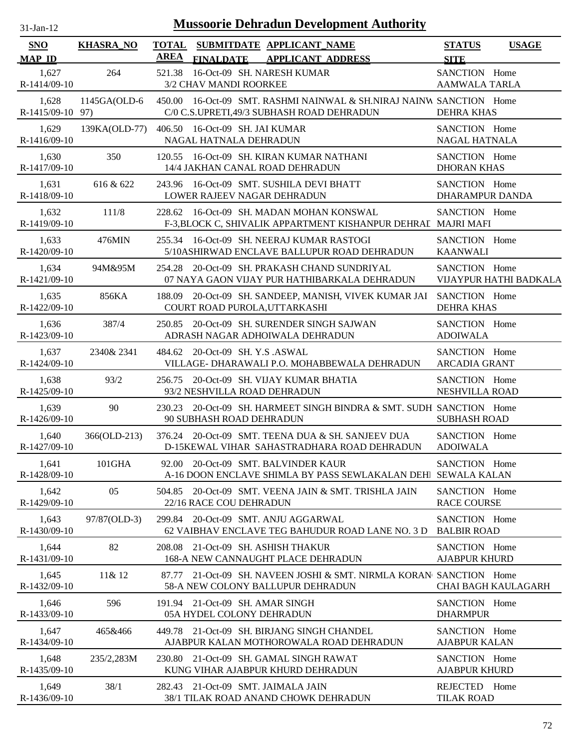| .1-Jan-11<br>$\mathbf{L}$ |  |
|---------------------------|--|

| SNO                       | <b>KHASRA_NO</b> | <b>TOTAL</b> |                                                                        | SUBMITDATE APPLICANT_NAME                                                                                        | <b>STATUS</b>                           | <b>USAGE</b>               |
|---------------------------|------------------|--------------|------------------------------------------------------------------------|------------------------------------------------------------------------------------------------------------------|-----------------------------------------|----------------------------|
| <b>MAP ID</b>             |                  | <b>AREA</b>  | <b>FINALDATE</b>                                                       | <b>APPLICANT ADDRESS</b>                                                                                         | <b>SITE</b>                             |                            |
| 1,627<br>R-1414/09-10     | 264              |              | 521.38 16-Oct-09 SH. NARESH KUMAR<br>3/2 CHAV MANDI ROORKEE            |                                                                                                                  | SANCTION Home<br><b>AAMWALA TARLA</b>   |                            |
| 1,628<br>R-1415/09-10 97) | 1145GA(OLD-6     |              |                                                                        | 450.00 16-Oct-09 SMT. RASHMI NAINWAL & SH.NIRAJ NAINW SANCTION Home<br>C/0 C.S.UPRETI,49/3 SUBHASH ROAD DEHRADUN | <b>DEHRA KHAS</b>                       |                            |
| 1,629<br>R-1416/09-10     |                  |              | 139KA(OLD-77) 406.50 16-Oct-09 SH. JAI KUMAR<br>NAGAL HATNALA DEHRADUN |                                                                                                                  | SANCTION Home<br><b>NAGAL HATNALA</b>   |                            |
| 1,630<br>R-1417/09-10     | 350              |              |                                                                        | 120.55 16-Oct-09 SH. KIRAN KUMAR NATHANI<br>14/4 JAKHAN CANAL ROAD DEHRADUN                                      | SANCTION Home<br><b>DHORAN KHAS</b>     |                            |
| 1,631<br>R-1418/09-10     | 616 & 622        |              | LOWER RAJEEV NAGAR DEHRADUN                                            | 243.96 16-Oct-09 SMT. SUSHILA DEVI BHATT                                                                         | SANCTION Home<br><b>DHARAMPUR DANDA</b> |                            |
| 1,632<br>R-1419/09-10     | 111/8            |              |                                                                        | 228.62 16-Oct-09 SH. MADAN MOHAN KONSWAL<br>F-3, BLOCK C, SHIVALIK APPARTMENT KISHANPUR DEHRAI MAJRI MAFI        | SANCTION Home                           |                            |
| 1,633<br>R-1420/09-10     | 476MIN           |              |                                                                        | 255.34 16-Oct-09 SH. NEERAJ KUMAR RASTOGI<br>5/10ASHIRWAD ENCLAVE BALLUPUR ROAD DEHRADUN                         | SANCTION Home<br><b>KAANWALI</b>        |                            |
| 1,634<br>R-1421/09-10     | 94M&95M          |              |                                                                        | 254.28 20-Oct-09 SH. PRAKASH CHAND SUNDRIYAL<br>07 NAYA GAON VIJAY PUR HATHIBARKALA DEHRADUN                     | SANCTION Home                           | VIJAYPUR HATHI BADKALA     |
| 1,635<br>R-1422/09-10     | 856KA            |              | COURT ROAD PUROLA, UTTARKASHI                                          | 188.09 20-Oct-09 SH. SANDEEP, MANISH, VIVEK KUMAR JAI SANCTION Home                                              | <b>DEHRA KHAS</b>                       |                            |
| 1,636<br>R-1423/09-10     | 387/4            |              |                                                                        | 250.85 20-Oct-09 SH. SURENDER SINGH SAJWAN<br>ADRASH NAGAR ADHOIWALA DEHRADUN                                    | SANCTION Home<br><b>ADOIWALA</b>        |                            |
| 1,637<br>R-1424/09-10     | 2340& 2341       |              | 484.62 20-Oct-09 SH. Y.S. ASWAL                                        | VILLAGE- DHARAWALI P.O. MOHABBEWALA DEHRADUN                                                                     | SANCTION Home<br><b>ARCADIA GRANT</b>   |                            |
| 1,638<br>R-1425/09-10     | 93/2             |              | 93/2 NESHVILLA ROAD DEHRADUN                                           | 256.75 20-Oct-09 SH. VIJAY KUMAR BHATIA                                                                          | SANCTION Home<br>NESHVILLA ROAD         |                            |
| 1,639<br>R-1426/09-10     | 90               | 230.23       | 90 SUBHASH ROAD DEHRADUN                                               | 20-Oct-09 SH. HARMEET SINGH BINDRA & SMT. SUDH SANCTION Home                                                     | <b>SUBHASH ROAD</b>                     |                            |
| 1,640<br>R-1427/09-10     | 366(OLD-213)     |              |                                                                        | 376.24 20-Oct-09 SMT. TEENA DUA & SH. SANJEEV DUA<br>D-15KEWAL VIHAR SAHASTRADHARA ROAD DEHRADUN                 | SANCTION Home<br><b>ADOIWALA</b>        |                            |
| 1,641<br>R-1428/09-10     | 101GHA           |              |                                                                        | 92.00 20-Oct-09 SMT. BALVINDER KAUR<br>A-16 DOON ENCLAVE SHIMLA BY PASS SEWLAKALAN DEH SEWALA KALAN              | SANCTION Home                           |                            |
| 1,642<br>R-1429/09-10     | 05               |              | 22/16 RACE COU DEHRADUN                                                | 504.85 20-Oct-09 SMT. VEENA JAIN & SMT. TRISHLA JAIN                                                             | SANCTION Home<br><b>RACE COURSE</b>     |                            |
| 1,643<br>R-1430/09-10     | 97/87(OLD-3)     |              |                                                                        | 299.84 20-Oct-09 SMT. ANJU AGGARWAL<br>62 VAIBHAV ENCLAVE TEG BAHUDUR ROAD LANE NO. 3 D                          | SANCTION Home<br><b>BALBIR ROAD</b>     |                            |
| 1,644<br>R-1431/09-10     | 82               |              | 208.08 21-Oct-09 SH. ASHISH THAKUR                                     | 168-A NEW CANNAUGHT PLACE DEHRADUN                                                                               | SANCTION Home<br><b>AJABPUR KHURD</b>   |                            |
| 1,645<br>R-1432/09-10     | 11& 12           |              |                                                                        | 87.77 21-Oct-09 SH. NAVEEN JOSHI & SMT. NIRMLA KORAN' SANCTION Home<br>58-A NEW COLONY BALLUPUR DEHRADUN         |                                         | <b>CHAI BAGH KAULAGARH</b> |
| 1,646<br>R-1433/09-10     | 596              |              | 191.94 21-Oct-09 SH. AMAR SINGH<br>05A HYDEL COLONY DEHRADUN           |                                                                                                                  | SANCTION Home<br><b>DHARMPUR</b>        |                            |
| 1,647<br>R-1434/09-10     | 465&466          |              |                                                                        | 449.78 21-Oct-09 SH. BIRJANG SINGH CHANDEL<br>AJABPUR KALAN MOTHOROWALA ROAD DEHRADUN                            | SANCTION Home<br><b>AJABPUR KALAN</b>   |                            |
| 1,648<br>R-1435/09-10     | 235/2,283M       | 230.80       |                                                                        | 21-Oct-09 SH. GAMAL SINGH RAWAT<br>KUNG VIHAR AJABPUR KHURD DEHRADUN                                             | SANCTION Home<br><b>AJABPUR KHURD</b>   |                            |
| 1,649<br>R-1436/09-10     | 38/1             |              | 282.43 21-Oct-09 SMT. JAIMALA JAIN                                     | 38/1 TILAK ROAD ANAND CHOWK DEHRADUN                                                                             | REJECTED Home<br><b>TILAK ROAD</b>      |                            |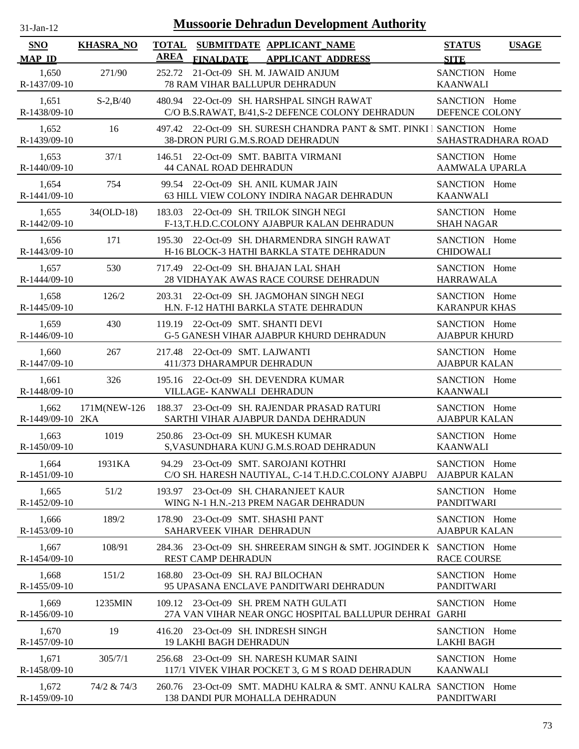| $31 - Jan - 12$ |  |
|-----------------|--|
|                 |  |

| <b>SNO</b>                | <b>KHASRA_NO</b> | <b>TOTAL</b> |                                                                     | SUBMITDATE APPLICANT NAME                                                                                 | <b>STATUS</b>                          | <b>USAGE</b>       |
|---------------------------|------------------|--------------|---------------------------------------------------------------------|-----------------------------------------------------------------------------------------------------------|----------------------------------------|--------------------|
| <b>MAP ID</b>             |                  | AREA         | <b>FINALDATE</b>                                                    | <b>APPLICANT ADDRESS</b>                                                                                  | <b>SITE</b>                            |                    |
| 1,650<br>R-1437/09-10     | 271/90           | 252.72       | 78 RAM VIHAR BALLUPUR DEHRADUN                                      | 21-Oct-09 SH. M. JAWAID ANJUM                                                                             | SANCTION Home<br><b>KAANWALI</b>       |                    |
| 1,651<br>R-1438/09-10     | $S - 2, B/40$    |              |                                                                     | 480.94 22-Oct-09 SH. HARSHPAL SINGH RAWAT<br>C/O B.S.RAWAT, B/41,S-2 DEFENCE COLONY DEHRADUN              | SANCTION Home<br>DEFENCE COLONY        |                    |
| 1,652<br>R-1439/09-10     | 16               |              |                                                                     | 497.42 22-Oct-09 SH. SURESH CHANDRA PANT & SMT. PINKI   SANCTION Home<br>38-DRON PURI G.M.S.ROAD DEHRADUN |                                        | SAHASTRADHARA ROAD |
| 1,653<br>R-1440/09-10     | 37/1             |              | <b>44 CANAL ROAD DEHRADUN</b>                                       | 146.51 22-Oct-09 SMT. BABITA VIRMANI                                                                      | SANCTION Home<br><b>AAMWALA UPARLA</b> |                    |
| 1.654<br>R-1441/09-10     | 754              |              | 99.54 22-Oct-09 SH. ANIL KUMAR JAIN                                 | 63 HILL VIEW COLONY INDIRA NAGAR DEHRADUN                                                                 | SANCTION Home<br><b>KAANWALI</b>       |                    |
| 1,655<br>R-1442/09-10     | $34(OLD-18)$     |              |                                                                     | 183.03 22-Oct-09 SH. TRILOK SINGH NEGI<br>F-13,T.H.D.C.COLONY AJABPUR KALAN DEHRADUN                      | SANCTION Home<br><b>SHAH NAGAR</b>     |                    |
| 1,656<br>R-1443/09-10     | 171              |              |                                                                     | 195.30 22-Oct-09 SH. DHARMENDRA SINGH RAWAT<br>H-16 BLOCK-3 HATHI BARKLA STATE DEHRADUN                   | SANCTION Home<br><b>CHIDOWALI</b>      |                    |
| 1,657<br>R-1444/09-10     | 530              |              |                                                                     | 717.49 22-Oct-09 SH, BHAJAN LAL SHAH<br>28 VIDHAYAK AWAS RACE COURSE DEHRADUN                             | SANCTION Home<br><b>HARRAWALA</b>      |                    |
| 1,658<br>R-1445/09-10     | 126/2            |              |                                                                     | 203.31 22-Oct-09 SH. JAGMOHAN SINGH NEGI<br>H.N. F-12 HATHI BARKLA STATE DEHRADUN                         | SANCTION Home<br><b>KARANPUR KHAS</b>  |                    |
| 1,659<br>R-1446/09-10     | 430              |              | 119.19 22-Oct-09 SMT. SHANTI DEVI                                   | <b>G-5 GANESH VIHAR AJABPUR KHURD DEHRADUN</b>                                                            | SANCTION Home<br><b>AJABPUR KHURD</b>  |                    |
| 1,660<br>R-1447/09-10     | 267              | 217.48       | 22-Oct-09 SMT. LAJWANTI<br>411/373 DHARAMPUR DEHRADUN               |                                                                                                           | SANCTION Home<br><b>AJABPUR KALAN</b>  |                    |
| 1,661<br>R-1448/09-10     | 326              |              | VILLAGE-KANWALI DEHRADUN                                            | 195.16 22-Oct-09 SH. DEVENDRA KUMAR                                                                       | SANCTION Home<br><b>KAANWALI</b>       |                    |
| 1,662<br>R-1449/09-10 2KA | 171M(NEW-126     |              |                                                                     | 188.37 23-Oct-09 SH. RAJENDAR PRASAD RATURI<br>SARTHI VIHAR AJABPUR DANDA DEHRADUN                        | SANCTION Home<br><b>AJABPUR KALAN</b>  |                    |
| 1,663<br>R-1450/09-10     | 1019             |              | 250.86 23-Oct-09 SH. MUKESH KUMAR                                   | S, VASUNDHARA KUNJ G.M.S.ROAD DEHRADUN                                                                    | SANCTION Home<br><b>KAANWALI</b>       |                    |
| 1,664<br>R-1451/09-10     | 1931KA           |              |                                                                     | 94.29 23-Oct-09 SMT. SAROJANI KOTHRI<br>C/O SH. HARESH NAUTIYAL, C-14 T.H.D.C.COLONY AJABPU               | SANCTION Home<br><b>AJABPUR KALAN</b>  |                    |
| 1,665<br>R-1452/09-10     | 51/2             |              |                                                                     | 193.97 23-Oct-09 SH. CHARANJEET KAUR<br>WING N-1 H.N.-213 PREM NAGAR DEHRADUN                             | SANCTION Home<br><b>PANDITWARI</b>     |                    |
| 1,666<br>R-1453/09-10     | 189/2            | 178.90       | 23-Oct-09 SMT. SHASHI PANT<br>SAHARVEEK VIHAR DEHRADUN              |                                                                                                           | SANCTION Home<br><b>AJABPUR KALAN</b>  |                    |
| 1,667<br>R-1454/09-10     | 108/91           |              | <b>REST CAMP DEHRADUN</b>                                           | 284.36 23-Oct-09 SH. SHREERAM SINGH & SMT. JOGINDER K SANCTION Home                                       | <b>RACE COURSE</b>                     |                    |
| 1,668<br>R-1455/09-10     | 151/2            | 168.80       | 23-Oct-09 SH. RAJ BILOCHAN                                          | 95 UPASANA ENCLAVE PANDITWARI DEHRADUN                                                                    | SANCTION Home<br><b>PANDITWARI</b>     |                    |
| 1,669<br>R-1456/09-10     | 1235MIN          |              |                                                                     | 109.12 23-Oct-09 SH. PREM NATH GULATI<br>27A VAN VIHAR NEAR ONGC HOSPITAL BALLUPUR DEHRAI GARHI           | SANCTION Home                          |                    |
| 1,670<br>R-1457/09-10     | 19               |              | 416.20 23-Oct-09 SH. INDRESH SINGH<br><b>19 LAKHI BAGH DEHRADUN</b> |                                                                                                           | SANCTION Home<br><b>LAKHI BAGH</b>     |                    |
| 1,671<br>R-1458/09-10     | 305/7/1          | 256.68       |                                                                     | 23-Oct-09 SH. NARESH KUMAR SAINI<br>117/1 VIVEK VIHAR POCKET 3, G M S ROAD DEHRADUN                       | SANCTION Home<br><b>KAANWALI</b>       |                    |
| 1,672<br>R-1459/09-10     | 74/2 & 74/3      |              | 138 DANDI PUR MOHALLA DEHRADUN                                      | 260.76 23-Oct-09 SMT. MADHU KALRA & SMT. ANNU KALRA SANCTION Home                                         | <b>PANDITWARI</b>                      |                    |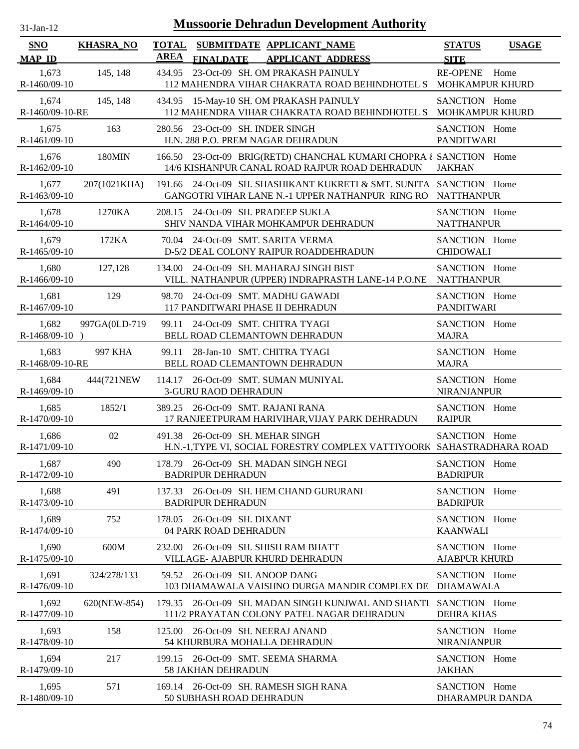| 31-Jan-12 |  |
|-----------|--|

| <b>SNO</b><br><b>MAP ID</b> | <b>KHASRA_NO</b> | <b>AREA</b> | <b>FINALDATE</b>                                                  | TOTAL SUBMITDATE APPLICANT_NAME<br><b>APPLICANT ADDRESS</b>                                                                 | <b>STATUS</b><br><b>SITE</b>          | <b>USAGE</b> |
|-----------------------------|------------------|-------------|-------------------------------------------------------------------|-----------------------------------------------------------------------------------------------------------------------------|---------------------------------------|--------------|
| 1,673<br>R-1460/09-10       | 145, 148         | 434.95      |                                                                   | 23-Oct-09 SH. OM PRAKASH PAINULY<br>112 MAHENDRA VIHAR CHAKRATA ROAD BEHINDHOTEL S MOHKAMPUR KHURD                          | <b>RE-OPENE</b>                       | Home         |
| 1,674<br>R-1460/09-10-RE    | 145, 148         |             |                                                                   | 434.95 15-May-10 SH. OM PRAKASH PAINULY<br>112 MAHENDRA VIHAR CHAKRATA ROAD BEHINDHOTEL S MOHKAMPUR KHURD                   | SANCTION Home                         |              |
| 1,675<br>R-1461/09-10       | 163              | 280.56      | 23-Oct-09 SH. INDER SINGH<br>H.N. 288 P.O. PREM NAGAR DEHRADUN    |                                                                                                                             | SANCTION Home<br><b>PANDITWARI</b>    |              |
| 1,676<br>R-1462/09-10       | <b>180MIN</b>    |             |                                                                   | 166.50 23-Oct-09 BRIG(RETD) CHANCHAL KUMARI CHOPRA ¿ SANCTION Home<br>14/6 KISHANPUR CANAL ROAD RAJPUR ROAD DEHRADUN        | <b>JAKHAN</b>                         |              |
| 1,677<br>R-1463/09-10       | 207(1021KHA)     | 191.66      |                                                                   | 24-Oct-09 SH. SHASHIKANT KUKRETI & SMT. SUNITA SANCTION Home<br>GANGOTRI VIHAR LANE N.-1 UPPER NATHANPUR RING RO NATTHANPUR |                                       |              |
| 1,678<br>R-1464/09-10       | 1270KA           |             | 208.15 24-Oct-09 SH. PRADEEP SUKLA                                | SHIV NANDA VIHAR MOHKAMPUR DEHRADUN                                                                                         | SANCTION Home<br><b>NATTHANPUR</b>    |              |
| 1,679<br>R-1465/09-10       | 172KA            |             | 70.04 24-Oct-09 SMT. SARITA VERMA                                 | D-5/2 DEAL COLONY RAIPUR ROADDEHRADUN                                                                                       | SANCTION Home<br><b>CHIDOWALI</b>     |              |
| 1,680<br>R-1466/09-10       | 127,128          |             |                                                                   | 134.00 24-Oct-09 SH. MAHARAJ SINGH BIST<br>VILL. NATHANPUR (UPPER) INDRAPRASTH LANE-14 P.O.NE NATTHANPUR                    | SANCTION Home                         |              |
| 1,681<br>R-1467/09-10       | 129              |             | 117 PANDITWARI PHASE II DEHRADUN                                  | 98.70 24-Oct-09 SMT. MADHU GAWADI                                                                                           | SANCTION Home<br><b>PANDITWARI</b>    |              |
| 1,682<br>$R-1468/09-10$ )   | 997GA(0LD-719    |             | 99.11 24-Oct-09 SMT. CHITRA TYAGI                                 | BELL ROAD CLEMANTOWN DEHRADUN                                                                                               | SANCTION Home<br><b>MAJRA</b>         |              |
| 1,683<br>R-1468/09-10-RE    | 997 KHA          | 99.11       | 28-Jan-10 SMT. CHITRA TYAGI                                       | BELL ROAD CLEMANTOWN DEHRADUN                                                                                               | SANCTION Home<br><b>MAJRA</b>         |              |
| 1,684<br>R-1469/09-10       | 444(721NEW)      |             | 3-GURU RAOD DEHRADUN                                              | 114.17 26-Oct-09 SMT. SUMAN MUNIYAL                                                                                         | SANCTION Home<br>NIRANJANPUR          |              |
| 1,685<br>R-1470/09-10       | 1852/1           |             | 389.25 26-Oct-09 SMT. RAJANI RANA                                 | 17 RANJEETPURAM HARIVIHAR, VIJAY PARK DEHRADUN                                                                              | SANCTION Home<br><b>RAIPUR</b>        |              |
| 1,686<br>R-1471/09-10       | 02               | 491.38      | 26-Oct-09 SH. MEHAR SINGH                                         | H.N.-1, TYPE VI, SOCIAL FORESTRY COMPLEX VATTIYOORK SAHASTRADHARA ROAD                                                      | SANCTION Home                         |              |
| 1,687<br>R-1472/09-10       | 490              |             | <b>BADRIPUR DEHRADUN</b>                                          | 178.79 26-Oct-09 SH. MADAN SINGH NEGI                                                                                       | <b>SANCTION</b><br><b>BADRIPUR</b>    | Home         |
| 1,688<br>R-1473/09-10       | 491              |             | <b>BADRIPUR DEHRADUN</b>                                          | 137.33 26-Oct-09 SH. HEM CHAND GURURANI                                                                                     | SANCTION Home<br><b>BADRIPUR</b>      |              |
| 1,689<br>$R-1474/09-10$     | 752              |             | 178.05 26-Oct-09 SH, DIXANT<br>04 PARK ROAD DEHRADUN              |                                                                                                                             | SANCTION Home<br><b>KAANWALI</b>      |              |
| 1,690<br>R-1475/09-10       | 600M             |             | 232.00 26-Oct-09 SH. SHISH RAM BHATT                              | VILLAGE- AJABPUR KHURD DEHRADUN                                                                                             | SANCTION Home<br><b>AJABPUR KHURD</b> |              |
| 1,691<br>R-1476/09-10       | 324/278/133      |             | 59.52 26-Oct-09 SH. ANOOP DANG                                    | 103 DHAMAWALA VAISHNO DURGA MANDIR COMPLEX DE                                                                               | SANCTION Home<br><b>DHAMAWALA</b>     |              |
| 1,692<br>R-1477/09-10       | 620(NEW-854)     |             |                                                                   | 179.35 26-Oct-09 SH. MADAN SINGH KUNJWAL AND SHANTI SANCTION Home<br>111/2 PRAYATAN COLONY PATEL NAGAR DEHRADUN             | <b>DEHRA KHAS</b>                     |              |
| 1,693<br>R-1478/09-10       | 158              |             | 125.00 26-Oct-09 SH. NEERAJ ANAND<br>54 KHURBURA MOHALLA DEHRADUN |                                                                                                                             | SANCTION Home<br>NIRANJANPUR          |              |
| 1,694<br>R-1479/09-10       | 217              |             | 199.15 26-Oct-09 SMT. SEEMA SHARMA<br><b>58 JAKHAN DEHRADUN</b>   |                                                                                                                             | SANCTION Home<br><b>JAKHAN</b>        |              |
| 1,695<br>R-1480/09-10       | 571              |             | 50 SUBHASH ROAD DEHRADUN                                          | 169.14 26-Oct-09 SH, RAMESH SIGH RANA                                                                                       | SANCTION Home<br>DHARAMPUR DANDA      |              |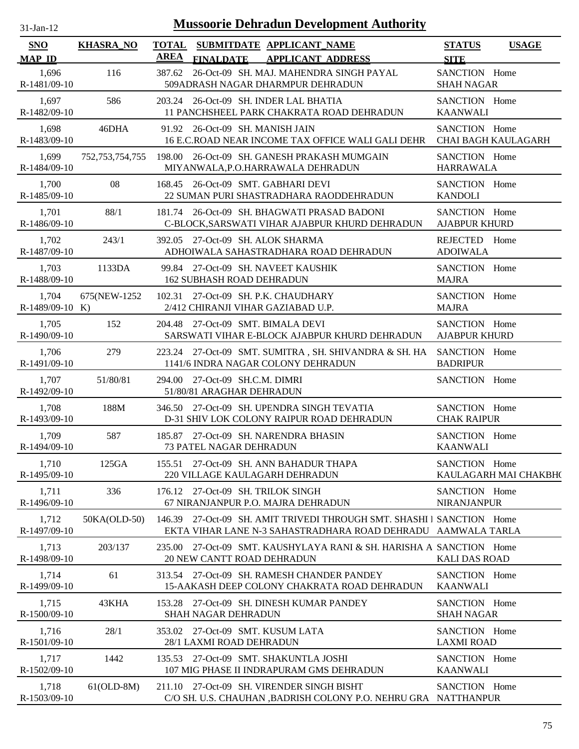| $31$ -Jan-12          |                  | <b>Mussoorie Dehradun Development Authority</b>                                                                                       |                                              |
|-----------------------|------------------|---------------------------------------------------------------------------------------------------------------------------------------|----------------------------------------------|
| SNO<br><b>MAP ID</b>  | <b>KHASRA_NO</b> | TOTAL SUBMITDATE APPLICANT NAME<br><b>AREA</b><br><b>FINALDATE</b><br><b>APPLICANT ADDRESS</b>                                        | <b>STATUS</b><br><b>USAGE</b><br><b>SITE</b> |
| 1,696                 | 116              | 387.62 26-Oct-09 SH. MAJ. MAHENDRA SINGH PAYAL                                                                                        | SANCTION Home                                |
| R-1481/09-10          |                  | 509ADRASH NAGAR DHARMPUR DEHRADUN                                                                                                     | <b>SHAH NAGAR</b>                            |
| 1,697                 | 586              | 203.24 26-Oct-09 SH. INDER LAL BHATIA                                                                                                 | SANCTION Home                                |
| R-1482/09-10          |                  | 11 PANCHSHEEL PARK CHAKRATA ROAD DEHRADUN                                                                                             | <b>KAANWALI</b>                              |
| 1,698                 | 46DHA            | 91.92 26-Oct-09 SH. MANISH JAIN                                                                                                       | SANCTION Home                                |
| R-1483/09-10          |                  | 16 E.C.ROAD NEAR INCOME TAX OFFICE WALI GALI DEHR                                                                                     | CHAI BAGH KAULAGARH                          |
| 1,699                 | 752,753,754,755  | 198.00 26-Oct-09 SH, GANESH PRAKASH MUMGAIN                                                                                           | SANCTION Home                                |
| R-1484/09-10          |                  | MIYANWALA, P.O.HARRAWALA DEHRADUN                                                                                                     | <b>HARRAWALA</b>                             |
| 1,700                 | 08               | 168.45 26-Oct-09 SMT. GABHARI DEVI                                                                                                    | SANCTION Home                                |
| R-1485/09-10          |                  | 22 SUMAN PURI SHASTRADHARA RAODDEHRADUN                                                                                               | <b>KANDOLI</b>                               |
| 1,701                 | 88/1             | 181.74 26-Oct-09 SH. BHAGWATI PRASAD BADONI                                                                                           | SANCTION Home                                |
| R-1486/09-10          |                  | C-BLOCK, SARSWATI VIHAR AJABPUR KHURD DEHRADUN                                                                                        | <b>AJABPUR KHURD</b>                         |
| 1,702                 | 243/1            | 392.05 27-Oct-09 SH. ALOK SHARMA                                                                                                      | REJECTED Home                                |
| R-1487/09-10          |                  | ADHOIWALA SAHASTRADHARA ROAD DEHRADUN                                                                                                 | <b>ADOIWALA</b>                              |
| 1,703                 | 1133DA           | 99.84 27-Oct-09 SH. NAVEET KAUSHIK                                                                                                    | SANCTION Home                                |
| R-1488/09-10          |                  | <b>162 SUBHASH ROAD DEHRADUN</b>                                                                                                      | <b>MAJRA</b>                                 |
| 1,704                 | 675(NEW-1252)    | 102.31 27-Oct-09 SH, P.K. CHAUDHARY                                                                                                   | SANCTION Home                                |
| R-1489/09-10 K)       |                  | 2/412 CHIRANJI VIHAR GAZIABAD U.P.                                                                                                    | <b>MAJRA</b>                                 |
| 1,705                 | 152              | 204.48 27-Oct-09 SMT. BIMALA DEVI                                                                                                     | SANCTION Home                                |
| R-1490/09-10          |                  | SARSWATI VIHAR E-BLOCK AJABPUR KHURD DEHRADUN                                                                                         | <b>AJABPUR KHURD</b>                         |
| 1,706                 | 279              | 223.24 27-Oct-09 SMT. SUMITRA, SH. SHIVANDRA & SH. HA                                                                                 | SANCTION Home                                |
| R-1491/09-10          |                  | 1141/6 INDRA NAGAR COLONY DEHRADUN                                                                                                    | <b>BADRIPUR</b>                              |
| 1,707<br>R-1492/09-10 | 51/80/81         | 294.00 27-Oct-09 SH.C.M. DIMRI<br>51/80/81 ARAGHAR DEHRADUN                                                                           | SANCTION Home                                |
| 1,708                 | 188M             | 346.50 27-Oct-09 SH. UPENDRA SINGH TEVATIA                                                                                            | SANCTION Home                                |
| R-1493/09-10          |                  | D-31 SHIV LOK COLONY RAIPUR ROAD DEHRADUN                                                                                             | <b>CHAK RAIPUR</b>                           |
| 1,709                 | 587              | 185.87 27-Oct-09 SH, NARENDRA BHASIN                                                                                                  | SANCTION Home                                |
| R-1494/09-10          |                  | <b>73 PATEL NAGAR DEHRADUN</b>                                                                                                        | <b>KAANWALI</b>                              |
| 1,710                 | 125GA            | 155.51 27-Oct-09 SH. ANN BAHADUR THAPA                                                                                                | SANCTION Home                                |
| R-1495/09-10          |                  | 220 VILLAGE KAULAGARH DEHRADUN                                                                                                        | KAULAGARH MAI CHAKBH(                        |
| 1,711<br>R-1496/09-10 | 336              | 27-Oct-09 SH. TRILOK SINGH<br>176.12<br>67 NIRANJANPUR P.O. MAJRA DEHRADUN                                                            | SANCTION Home<br><b>NIRANJANPUR</b>          |
| 1,712<br>R-1497/09-10 | 50KA(OLD-50)     | 146.39 27-Oct-09 SH. AMIT TRIVEDI THROUGH SMT. SHASHI I SANCTION Home<br>EKTA VIHAR LANE N-3 SAHASTRADHARA ROAD DEHRADU AAMWALA TARLA |                                              |
| 1,713<br>R-1498/09-10 | 203/137          | 27-Oct-09 SMT. KAUSHYLAYA RANI & SH. HARISHA A SANCTION Home<br>235.00<br><b>20 NEW CANTT ROAD DEHRADUN</b>                           | <b>KALI DAS ROAD</b>                         |
| 1,714                 | 61               | 313.54 27-Oct-09 SH. RAMESH CHANDER PANDEY                                                                                            | SANCTION Home                                |
| R-1499/09-10          |                  | 15-AAKASH DEEP COLONY CHAKRATA ROAD DEHRADUN                                                                                          | <b>KAANWALI</b>                              |
| 1,715                 | 43KHA            | 153.28 27-Oct-09 SH. DINESH KUMAR PANDEY                                                                                              | SANCTION Home                                |
| R-1500/09-10          |                  | <b>SHAH NAGAR DEHRADUN</b>                                                                                                            | <b>SHAH NAGAR</b>                            |
| 1,716                 | 28/1             | 353.02 27-Oct-09 SMT. KUSUM LATA                                                                                                      | SANCTION Home                                |
| R-1501/09-10          |                  | 28/1 LAXMI ROAD DEHRADUN                                                                                                              | <b>LAXMI ROAD</b>                            |
| 1,717                 | 1442             | 135.53 27-Oct-09 SMT. SHAKUNTLA JOSHI                                                                                                 | SANCTION Home                                |
| R-1502/09-10          |                  | 107 MIG PHASE II INDRAPURAM GMS DEHRADUN                                                                                              | <b>KAANWALI</b>                              |
| 1,718<br>R-1503/09-10 | $61(OLD-8M)$     | 211.10 27-Oct-09 SH. VIRENDER SINGH BISHT<br>C/O SH. U.S. CHAUHAN , BADRISH COLONY P.O. NEHRU GRA NATTHANPUR                          | SANCTION Home                                |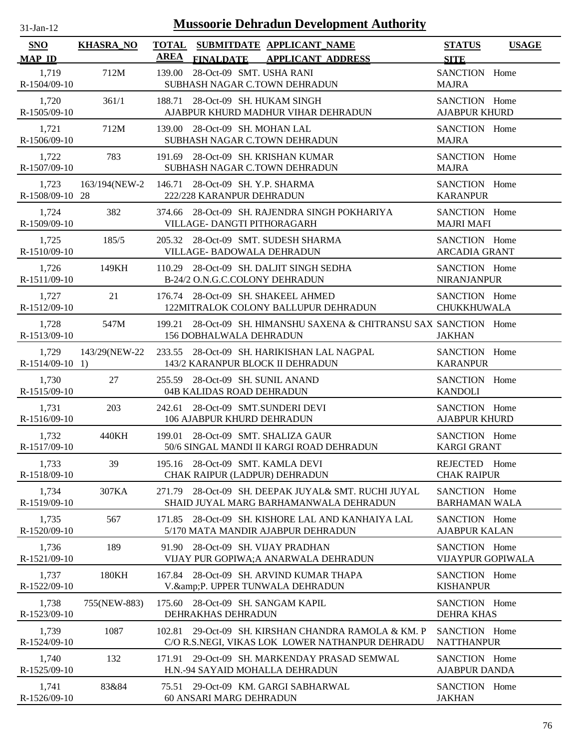| $31$ -Jan-12                |                  | <b>Mussoorie Dehradun Development Authority</b>                                                           |                                           |              |
|-----------------------------|------------------|-----------------------------------------------------------------------------------------------------------|-------------------------------------------|--------------|
| <b>SNO</b><br><b>MAP ID</b> | <b>KHASRA_NO</b> | <b>TOTAL</b><br>SUBMITDATE APPLICANT_NAME<br><b>AREA</b><br><b>FINALDATE</b><br><b>APPLICANT ADDRESS</b>  | <b>STATUS</b><br><b>SITE</b>              | <b>USAGE</b> |
| 1,719<br>R-1504/09-10       | 712M             | 28-Oct-09 SMT. USHA RANI<br>139.00<br>SUBHASH NAGAR C.TOWN DEHRADUN                                       | SANCTION Home<br><b>MAJRA</b>             |              |
| 1,720<br>R-1505/09-10       | 361/1            | 188.71 28-Oct-09 SH. HUKAM SINGH<br>AJABPUR KHURD MADHUR VIHAR DEHRADUN                                   | SANCTION Home<br><b>AJABPUR KHURD</b>     |              |
| 1,721<br>R-1506/09-10       | 712M             | 139.00 28-Oct-09 SH. MOHAN LAL<br>SUBHASH NAGAR C.TOWN DEHRADUN                                           | SANCTION Home<br><b>MAJRA</b>             |              |
| 1,722<br>R-1507/09-10       | 783              | 191.69 28-Oct-09 SH. KRISHAN KUMAR<br>SUBHASH NAGAR C.TOWN DEHRADUN                                       | SANCTION Home<br><b>MAJRA</b>             |              |
| 1,723<br>R-1508/09-10 28    | 163/194(NEW-2    | 146.71 28-Oct-09 SH. Y.P. SHARMA<br>222/228 KARANPUR DEHRADUN                                             | SANCTION Home<br><b>KARANPUR</b>          |              |
| 1,724<br>R-1509/09-10       | 382              | 374.66 28-Oct-09 SH. RAJENDRA SINGH POKHARIYA<br>VILLAGE- DANGTI PITHORAGARH                              | SANCTION Home<br><b>MAJRI MAFI</b>        |              |
| 1,725<br>R-1510/09-10       | 185/5            | 205.32 28-Oct-09 SMT. SUDESH SHARMA<br>VILLAGE- BADOWALA DEHRADUN                                         | SANCTION Home<br><b>ARCADIA GRANT</b>     |              |
| 1,726<br>R-1511/09-10       | 149KH            | 110.29 28-Oct-09 SH. DALJIT SINGH SEDHA<br>B-24/2 O.N.G.C.COLONY DEHRADUN                                 | SANCTION Home<br><b>NIRANJANPUR</b>       |              |
| 1,727<br>R-1512/09-10       | 21               | 176.74 28-Oct-09 SH. SHAKEEL AHMED<br>122MITRALOK COLONY BALLUPUR DEHRADUN                                | SANCTION Home<br><b>CHUKKHUWALA</b>       |              |
| 1,728<br>R-1513/09-10       | 547M             | 199.21 28-Oct-09 SH. HIMANSHU SAXENA & CHITRANSU SAX SANCTION Home<br><b>156 DOBHALWALA DEHRADUN</b>      | <b>JAKHAN</b>                             |              |
| 1,729<br>$R-1514/09-10$ 1)  | 143/29(NEW-22    | 233.55 28-Oct-09 SH. HARIKISHAN LAL NAGPAL<br>143/2 KARANPUR BLOCK II DEHRADUN                            | SANCTION Home<br><b>KARANPUR</b>          |              |
| 1,730<br>R-1515/09-10       | 27               | 255.59 28-Oct-09 SH. SUNIL ANAND<br>04B KALIDAS ROAD DEHRADUN                                             | SANCTION Home<br><b>KANDOLI</b>           |              |
| 1,731<br>R-1516/09-10       | 203              | 242.61 28-Oct-09 SMT.SUNDERI DEVI<br>106 AJABPUR KHURD DEHRADUN                                           | SANCTION Home<br><b>AJABPUR KHURD</b>     |              |
| 1,732<br>R-1517/09-10       | 440KH            | 199.01 28-Oct-09 SMT. SHALIZA GAUR<br>50/6 SINGAL MANDI II KARGI ROAD DEHRADUN                            | SANCTION Home<br><b>KARGI GRANT</b>       |              |
| 1,733<br>R-1518/09-10       | 39               | 195.16 28-Oct-09 SMT. KAMLA DEVI<br>CHAK RAIPUR (LADPUR) DEHRADUN                                         | REJECTED Home<br><b>CHAK RAIPUR</b>       |              |
| 1,734<br>R-1519/09-10       | 307KA            | 28-Oct-09 SH. DEEPAK JUYAL& SMT. RUCHI JUYAL<br>271.79<br>SHAID JUYAL MARG BARHAMANWALA DEHRADUN          | SANCTION Home<br><b>BARHAMAN WALA</b>     |              |
| 1,735<br>R-1520/09-10       | 567              | 28-Oct-09 SH. KISHORE LAL AND KANHAIYA LAL<br>171.85<br>5/170 MATA MANDIR AJABPUR DEHRADUN                | SANCTION Home<br><b>AJABPUR KALAN</b>     |              |
| 1,736<br>R-1521/09-10       | 189              | 28-Oct-09 SH. VIJAY PRADHAN<br>91.90<br>VIJAY PUR GOPIWA; A ANARWALA DEHRADUN                             | SANCTION Home<br><b>VIJAYPUR GOPIWALA</b> |              |
| 1,737<br>R-1522/09-10       | 180KH            | 28-Oct-09 SH. ARVIND KUMAR THAPA<br>167.84<br>V.&P. UPPER TUNWALA DEHRADUN                                | SANCTION Home<br><b>KISHANPUR</b>         |              |
| 1,738<br>R-1523/09-10       | 755(NEW-883)     | 28-Oct-09 SH. SANGAM KAPIL<br>175.60<br>DEHRAKHAS DEHRADUN                                                | SANCTION Home<br><b>DEHRA KHAS</b>        |              |
| 1,739<br>R-1524/09-10       | 1087             | 29-Oct-09 SH. KIRSHAN CHANDRA RAMOLA & KM. P<br>102.81<br>C/O R.S.NEGI, VIKAS LOK LOWER NATHANPUR DEHRADU | SANCTION Home<br><b>NATTHANPUR</b>        |              |
| 1,740<br>R-1525/09-10       | 132              | 171.91 29-Oct-09 SH. MARKENDAY PRASAD SEMWAL<br>H.N.-94 SAYAID MOHALLA DEHRADUN                           | SANCTION Home<br><b>AJABPUR DANDA</b>     |              |
| 1,741<br>R-1526/09-10       | 83&84            | 75.51 29-Oct-09 KM. GARGI SABHARWAL<br>60 ANSARI MARG DEHRADUN                                            | SANCTION Home<br><b>JAKHAN</b>            |              |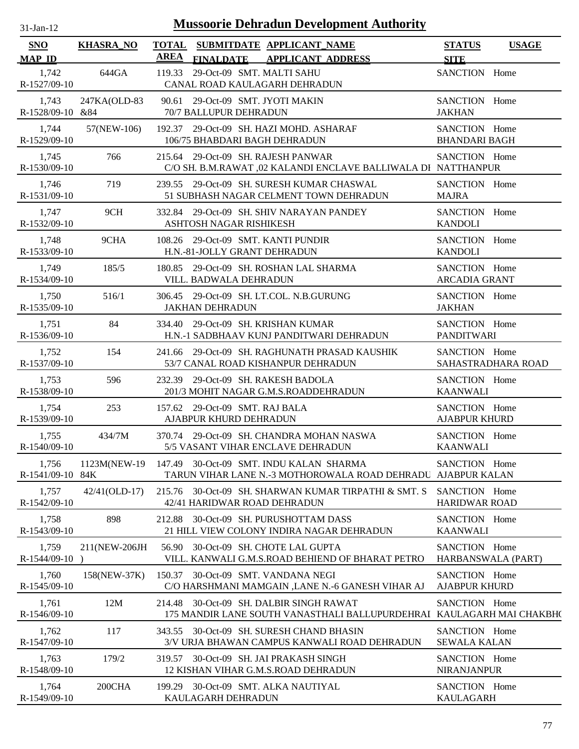| $31$ -Jan-12                |                            | <b>Mussoorie Dehradun Development Authority</b>                                                                  |                                       |                    |
|-----------------------------|----------------------------|------------------------------------------------------------------------------------------------------------------|---------------------------------------|--------------------|
| <b>SNO</b><br><b>MAP ID</b> | <b>KHASRA_NO</b>           | TOTAL SUBMITDATE APPLICANT NAME<br>AREA<br><b>FINALDATE</b><br><b>APPLICANT ADDRESS</b>                          | <b>STATUS</b><br><b>SITE</b>          | <b>USAGE</b>       |
| 1,742<br>R-1527/09-10       | 644GA                      | 119.33 29-Oct-09 SMT. MALTI SAHU<br>CANAL ROAD KAULAGARH DEHRADUN                                                | SANCTION Home                         |                    |
| 1,743<br>R-1528/09-10 &84   | 247KA(OLD-83               | 90.61 29-Oct-09 SMT. JYOTI MAKIN<br>70/7 BALLUPUR DEHRADUN                                                       | SANCTION Home<br><b>JAKHAN</b>        |                    |
| 1,744<br>R-1529/09-10       | 57(NEW-106)                | 192.37 29-Oct-09 SH. HAZI MOHD. ASHARAF<br>106/75 BHABDARI BAGH DEHRADUN                                         | SANCTION Home<br><b>BHANDARI BAGH</b> |                    |
| 1,745<br>R-1530/09-10       | 766                        | 215.64 29-Oct-09 SH. RAJESH PANWAR<br>C/O SH. B.M.RAWAT ,02 KALANDI ENCLAVE BALLIWALA DI NATTHANPUR              | SANCTION Home                         |                    |
| 1,746<br>R-1531/09-10       | 719                        | 239.55 29-Oct-09 SH. SURESH KUMAR CHASWAL<br>51 SUBHASH NAGAR CELMENT TOWN DEHRADUN                              | SANCTION Home<br><b>MAJRA</b>         |                    |
| 1,747<br>R-1532/09-10       | 9CH                        | 332.84 29-Oct-09 SH. SHIV NARAYAN PANDEY<br>ASHTOSH NAGAR RISHIKESH                                              | SANCTION Home<br><b>KANDOLI</b>       |                    |
| 1,748<br>R-1533/09-10       | 9CHA                       | 108.26 29-Oct-09 SMT. KANTI PUNDIR<br>H.N.-81-JOLLY GRANT DEHRADUN                                               | SANCTION Home<br><b>KANDOLI</b>       |                    |
| 1,749<br>R-1534/09-10       | 185/5                      | 180.85 29-Oct-09 SH. ROSHAN LAL SHARMA<br>VILL. BADWALA DEHRADUN                                                 | SANCTION Home<br><b>ARCADIA GRANT</b> |                    |
| 1,750<br>R-1535/09-10       | 516/1                      | 306.45 29-Oct-09 SH. LT.COL. N.B.GURUNG<br><b>JAKHAN DEHRADUN</b>                                                | SANCTION Home<br><b>JAKHAN</b>        |                    |
| 1,751<br>R-1536/09-10       | 84                         | 334.40 29-Oct-09 SH. KRISHAN KUMAR<br>H.N.-1 SADBHAAV KUNJ PANDITWARI DEHRADUN                                   | SANCTION Home<br><b>PANDITWARI</b>    |                    |
| 1,752<br>R-1537/09-10       | 154                        | 241.66 29-Oct-09 SH. RAGHUNATH PRASAD KAUSHIK<br>53/7 CANAL ROAD KISHANPUR DEHRADUN                              | SANCTION Home                         | SAHASTRADHARA ROAD |
| 1,753<br>R-1538/09-10       | 596                        | 232.39 29-Oct-09 SH. RAKESH BADOLA<br>201/3 MOHIT NAGAR G.M.S.ROADDEHRADUN                                       | SANCTION Home<br><b>KAANWALI</b>      |                    |
| 1,754<br>R-1539/09-10       | 253                        | 157.62 29-Oct-09 SMT. RAJ BALA<br>AJABPUR KHURD DEHRADUN                                                         | SANCTION Home<br><b>AJABPUR KHURD</b> |                    |
| 1,755<br>R-1540/09-10       | 434/7M                     | 370.74 29-Oct-09 SH. CHANDRA MOHAN NASWA<br>5/5 VASANT VIHAR ENCLAVE DEHRADUN                                    | SANCTION Home<br><b>KAANWALI</b>      |                    |
| 1,756<br>R-1541/09-10 84K   | 1123M(NEW-19               | 147.49 30-Oct-09 SMT. INDU KALAN SHARMA<br>TARUN VIHAR LANE N.-3 MOTHOROWALA ROAD DEHRADU AJABPUR KALAN          | SANCTION Home                         |                    |
| 1,757<br>R-1542/09-10       | $42/41(OLD-17)$            | 215.76 30-Oct-09 SH. SHARWAN KUMAR TIRPATHI & SMT. S<br>42/41 HARIDWAR ROAD DEHRADUN                             | SANCTION Home<br><b>HARIDWAR ROAD</b> |                    |
| 1,758<br>R-1543/09-10       | 898                        | 212.88 30-Oct-09 SH. PURUSHOTTAM DASS<br>21 HILL VIEW COLONY INDIRA NAGAR DEHRADUN                               | SANCTION Home<br><b>KAANWALI</b>      |                    |
| 1,759<br>R-1544/09-10       | 211(NEW-206JH<br>$\lambda$ | 30-Oct-09 SH. CHOTE LAL GUPTA<br>56.90<br>VILL. KANWALI G.M.S.ROAD BEHIEND OF BHARAT PETRO                       | SANCTION Home                         | HARBANSWALA (PART) |
| 1,760<br>R-1545/09-10       | 158(NEW-37K)               | 150.37 30-Oct-09 SMT. VANDANA NEGI<br>C/O HARSHMANI MAMGAIN , LANE N.-6 GANESH VIHAR AJ                          | SANCTION Home<br><b>AJABPUR KHURD</b> |                    |
| 1,761<br>$R-1546/09-10$     | 12M                        | 214.48 30-Oct-09 SH. DALBIR SINGH RAWAT<br>175 MANDIR LANE SOUTH VANASTHALI BALLUPURDEHRAI KAULAGARH MAI CHAKBH( | SANCTION Home                         |                    |
| 1,762<br>R-1547/09-10       | 117                        | 343.55 30-Oct-09 SH. SURESH CHAND BHASIN<br>3/V URJA BHAWAN CAMPUS KANWALI ROAD DEHRADUN                         | SANCTION Home<br><b>SEWALA KALAN</b>  |                    |
| 1,763<br>R-1548/09-10       | 179/2                      | 319.57 30-Oct-09 SH. JAI PRAKASH SINGH<br>12 KISHAN VIHAR G.M.S.ROAD DEHRADUN                                    | SANCTION Home<br><b>NIRANJANPUR</b>   |                    |
| 1,764<br>R-1549/09-10       | 200CHA                     | 199.29 30-Oct-09 SMT. ALKA NAUTIYAL<br>KAULAGARH DEHRADUN                                                        | SANCTION Home<br>KAULAGARH            |                    |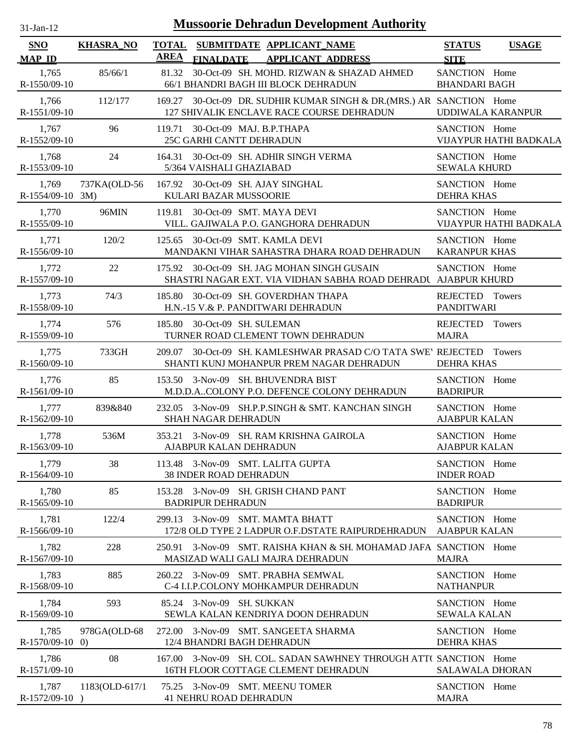| -Jan- |  |
|-------|--|
|       |  |

| SNO                         | <b>KHASRA_NO</b> | <b>TOTAL</b> |                                                                    | SUBMITDATE APPLICANT_NAME                                                                                          | <b>STATUS</b>                         | <b>USAGE</b>             |
|-----------------------------|------------------|--------------|--------------------------------------------------------------------|--------------------------------------------------------------------------------------------------------------------|---------------------------------------|--------------------------|
| <b>MAP ID</b>               |                  | <b>AREA</b>  | <b>FINALDATE</b>                                                   | <b>APPLICANT ADDRESS</b>                                                                                           | <b>SITE</b>                           |                          |
| 1,765<br>R-1550/09-10       | 85/66/1          |              |                                                                    | 81.32 30-Oct-09 SH. MOHD. RIZWAN & SHAZAD AHMED<br>66/1 BHANDRI BAGH III BLOCK DEHRADUN                            | SANCTION Home<br><b>BHANDARI BAGH</b> |                          |
| 1,766<br>R-1551/09-10       | 112/177          |              |                                                                    | 169.27 30-Oct-09 DR. SUDHIR KUMAR SINGH & DR. (MRS.) AR SANCTION Home<br>127 SHIVALIK ENCLAVE RACE COURSE DEHRADUN |                                       | <b>UDDIWALA KARANPUR</b> |
| 1,767<br>R-1552/09-10       | 96               |              | 119.71 30-Oct-09 MAJ. B.P.THAPA<br>25C GARHI CANTT DEHRADUN        |                                                                                                                    | SANCTION Home                         | VIJAYPUR HATHI BADKALA   |
| 1,768<br>R-1553/09-10       | 24               | 164.31       | 5/364 VAISHALI GHAZIABAD                                           | 30-Oct-09 SH. ADHIR SINGH VERMA                                                                                    | SANCTION Home<br><b>SEWALA KHURD</b>  |                          |
| 1,769<br>$R-1554/09-10$ 3M) | 737KA(OLD-56     |              | 167.92 30-Oct-09 SH. AJAY SINGHAL<br>KULARI BAZAR MUSSOORIE        |                                                                                                                    | SANCTION Home<br><b>DEHRA KHAS</b>    |                          |
| 1,770<br>R-1555/09-10       | 96MIN            | 119.81       | 30-Oct-09 SMT. MAYA DEVI                                           | VILL. GAJIWALA P.O. GANGHORA DEHRADUN                                                                              | SANCTION Home                         | VIJAYPUR HATHI BADKALA   |
| 1,771<br>R-1556/09-10       | 120/2            |              | 125.65 30-Oct-09 SMT. KAMLA DEVI                                   | MANDAKNI VIHAR SAHASTRA DHARA ROAD DEHRADUN                                                                        | SANCTION Home<br><b>KARANPUR KHAS</b> |                          |
| 1,772<br>R-1557/09-10       | 22               |              |                                                                    | 175.92 30-Oct-09 SH. JAG MOHAN SINGH GUSAIN<br>SHASTRI NAGAR EXT. VIA VIDHAN SABHA ROAD DEHRADU AJABPUR KHURD      | SANCTION Home                         |                          |
| 1,773<br>R-1558/09-10       | 74/3             |              |                                                                    | 185.80 30-Oct-09 SH. GOVERDHAN THAPA<br>H.N.-15 V.& P. PANDITWARI DEHRADUN                                         | REJECTED Towers<br><b>PANDITWARI</b>  |                          |
| 1,774<br>R-1559/09-10       | 576              |              | 185.80 30-Oct-09 SH. SULEMAN                                       | TURNER ROAD CLEMENT TOWN DEHRADUN                                                                                  | REJECTED Towers<br><b>MAJRA</b>       |                          |
| 1,775<br>$R-1560/09-10$     | 733GH            |              |                                                                    | 209.07 30-Oct-09 SH. KAMLESHWAR PRASAD C/O TATA SWE' REJECTED Towers<br>SHANTI KUNJ MOHANPUR PREM NAGAR DEHRADUN   | <b>DEHRA KHAS</b>                     |                          |
| 1,776<br>R-1561/09-10       | 85               |              | 153.50 3-Nov-09 SH. BHUVENDRA BIST                                 | M.D.D.ACOLONY P.O. DEFENCE COLONY DEHRADUN                                                                         | SANCTION Home<br><b>BADRIPUR</b>      |                          |
| 1,777<br>R-1562/09-10       | 839&840          |              | SHAH NAGAR DEHRADUN                                                | 232.05 3-Nov-09 SH.P.P.SINGH & SMT. KANCHAN SINGH                                                                  | SANCTION Home<br><b>AJABPUR KALAN</b> |                          |
| 1,778<br>R-1563/09-10       | 536M             |              | AJABPUR KALAN DEHRADUN                                             | 353.21 3-Nov-09 SH. RAM KRISHNA GAIROLA                                                                            | SANCTION Home<br><b>AJABPUR KALAN</b> |                          |
| 1,779<br>R-1564/09-10       | 38               |              | 113.48 3-Nov-09 SMT. LALITA GUPTA<br><b>38 INDER ROAD DEHRADUN</b> |                                                                                                                    | SANCTION Home<br><b>INDER ROAD</b>    |                          |
| 1,780<br>R-1565/09-10       | 85               |              | <b>BADRIPUR DEHRADUN</b>                                           | 153.28 3-Nov-09 SH. GRISH CHAND PANT                                                                               | SANCTION Home<br><b>BADRIPUR</b>      |                          |
| 1,781<br>R-1566/09-10       | 122/4            |              | 299.13 3-Nov-09 SMT. MAMTA BHATT                                   | 172/8 OLD TYPE 2 LADPUR O.F.DSTATE RAIPURDEHRADUN                                                                  | SANCTION Home<br><b>AJABPUR KALAN</b> |                          |
| 1,782<br>R-1567/09-10       | 228              | 250.91       |                                                                    | 3-Nov-09 SMT, RAISHA KHAN & SH, MOHAMAD JAFA SANCTION Home<br>MASIZAD WALI GALI MAJRA DEHRADUN                     | <b>MAJRA</b>                          |                          |
| 1,783<br>R-1568/09-10       | 885              |              |                                                                    | 260.22 3-Nov-09 SMT. PRABHA SEMWAL<br>C-4 I.I.P.COLONY MOHKAMPUR DEHRADUN                                          | SANCTION Home<br><b>NATHANPUR</b>     |                          |
| 1,784<br>R-1569/09-10       | 593              |              | 85.24 3-Nov-09 SH. SUKKAN                                          | SEWLA KALAN KENDRIYA DOON DEHRADUN                                                                                 | SANCTION Home<br><b>SEWALA KALAN</b>  |                          |
| 1,785<br>$R-1570/09-10$ 0)  | 978GA(OLD-68     |              | 12/4 BHANDRI BAGH DEHRADUN                                         | 272.00 3-Nov-09 SMT. SANGEETA SHARMA                                                                               | SANCTION Home<br><b>DEHRA KHAS</b>    |                          |
| 1,786<br>R-1571/09-10       | 08               |              |                                                                    | 167.00 3-Nov-09 SH. COL. SADAN SAWHNEY THROUGH ATT( SANCTION Home<br>16TH FLOOR COTTAGE CLEMENT DEHRADUN           | <b>SALAWALA DHORAN</b>                |                          |
| 1,787<br>$R-1572/09-10$ )   | 1183(OLD-617/1   |              | 75.25 3-Nov-09 SMT. MEENU TOMER<br><b>41 NEHRU ROAD DEHRADUN</b>   |                                                                                                                    | SANCTION Home<br><b>MAJRA</b>         |                          |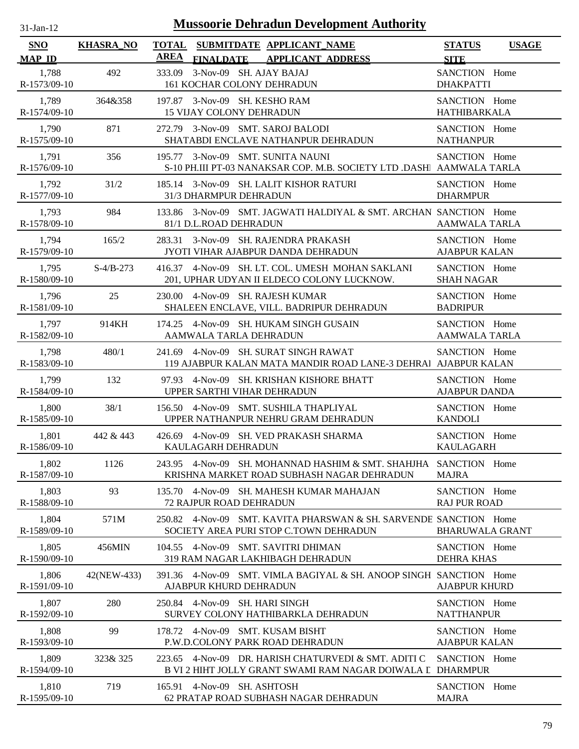| $31$ -Jan-12                |                  | <b>Mussoorie Dehradun Development Authority</b>                                                                       |                                       |              |
|-----------------------------|------------------|-----------------------------------------------------------------------------------------------------------------------|---------------------------------------|--------------|
| <b>SNO</b><br><b>MAP ID</b> | <b>KHASRA_NO</b> | <b>TOTAL</b><br>SUBMITDATE APPLICANT_NAME<br><b>AREA</b><br><b>FINALDATE</b><br><b>APPLICANT ADDRESS</b>              | <b>STATUS</b><br><b>SITE</b>          | <b>USAGE</b> |
| 1,788<br>R-1573/09-10       | 492              | 3-Nov-09 SH. AJAY BAJAJ<br>333.09<br>161 KOCHAR COLONY DEHRADUN                                                       | SANCTION Home<br><b>DHAKPATTI</b>     |              |
| 1,789<br>R-1574/09-10       | 364&358          | 197.87 3-Nov-09 SH. KESHO RAM<br><b>15 VIJAY COLONY DEHRADUN</b>                                                      | SANCTION Home<br><b>HATHIBARKALA</b>  |              |
| 1,790<br>R-1575/09-10       | 871              | 272.79 3-Nov-09 SMT. SAROJ BALODI<br>SHATABDI ENCLAVE NATHANPUR DEHRADUN                                              | SANCTION Home<br><b>NATHANPUR</b>     |              |
| 1,791<br>R-1576/09-10       | 356              | 195.77 3-Nov-09 SMT. SUNITA NAUNI<br>S-10 PH.III PT-03 NANAKSAR COP. M.B. SOCIETY LTD .DASH AAMWALA TARLA             | SANCTION Home                         |              |
| 1,792<br>R-1577/09-10       | 31/2             | 185.14 3-Nov-09 SH. LALIT KISHOR RATURI<br>31/3 DHARMPUR DEHRADUN                                                     | SANCTION Home<br><b>DHARMPUR</b>      |              |
| 1,793<br>R-1578/09-10       | 984              | 133.86 3-Nov-09 SMT. JAGWATI HALDIYAL & SMT. ARCHAN SANCTION Home<br>81/1 D.L.ROAD DEHRADUN                           | <b>AAMWALA TARLA</b>                  |              |
| 1,794<br>R-1579/09-10       | 165/2            | 3-Nov-09 SH. RAJENDRA PRAKASH<br>283.31<br>JYOTI VIHAR AJABPUR DANDA DEHRADUN                                         | SANCTION Home<br><b>AJABPUR KALAN</b> |              |
| 1,795<br>R-1580/09-10       | $S-4/B-273$      | 416.37 4-Nov-09 SH. LT. COL. UMESH MOHAN SAKLANI<br>201, UPHAR UDYAN II ELDECO COLONY LUCKNOW.                        | SANCTION Home<br><b>SHAH NAGAR</b>    |              |
| 1,796<br>R-1581/09-10       | 25               | 4-Nov-09 SH. RAJESH KUMAR<br>230.00<br>SHALEEN ENCLAVE, VILL. BADRIPUR DEHRADUN                                       | SANCTION Home<br><b>BADRIPUR</b>      |              |
| 1,797<br>R-1582/09-10       | 914KH            | 4-Nov-09 SH. HUKAM SINGH GUSAIN<br>174.25<br>AAMWALA TARLA DEHRADUN                                                   | SANCTION Home<br><b>AAMWALA TARLA</b> |              |
| 1,798<br>R-1583/09-10       | 480/1            | 4-Nov-09 SH. SURAT SINGH RAWAT<br>241.69<br>119 AJABPUR KALAN MATA MANDIR ROAD LANE-3 DEHRAI AJABPUR KALAN            | SANCTION Home                         |              |
| 1.799<br>R-1584/09-10       | 132              | 4-Nov-09 SH. KRISHAN KISHORE BHATT<br>97.93<br>UPPER SARTHI VIHAR DEHRADUN                                            | SANCTION Home<br><b>AJABPUR DANDA</b> |              |
| 1,800<br>R-1585/09-10       | 38/1             | 4-Nov-09 SMT. SUSHILA THAPLIYAL<br>156.50<br>UPPER NATHANPUR NEHRU GRAM DEHRADUN                                      | SANCTION Home<br><b>KANDOLI</b>       |              |
| 1,801<br>R-1586/09-10       | 442 & 443        | 426.69 4-Nov-09 SH. VED PRAKASH SHARMA<br>KAULAGARH DEHRADUN                                                          | SANCTION Home<br><b>KAULAGARH</b>     |              |
| 1,802<br>R-1587/09-10       | 1126             | 243.95 4-Nov-09 SH. MOHANNAD HASHIM & SMT. SHAHJHA<br>KRISHNA MARKET ROAD SUBHASH NAGAR DEHRADUN                      | SANCTION Home<br><b>MAJRA</b>         |              |
| 1,803<br>R-1588/09-10       | 93               | 4-Nov-09 SH. MAHESH KUMAR MAHAJAN<br>135.70<br><b>72 RAJPUR ROAD DEHRADUN</b>                                         | SANCTION Home<br><b>RAJ PUR ROAD</b>  |              |
| 1,804<br>R-1589/09-10       | 571M             | 250.82 4-Nov-09 SMT. KAVITA PHARSWAN & SH. SARVENDE SANCTION Home<br>SOCIETY AREA PURI STOP C.TOWN DEHRADUN           | <b>BHARUWALA GRANT</b>                |              |
| 1,805<br>R-1590/09-10       | 456MIN           | 104.55 4-Nov-09 SMT, SAVITRI DHIMAN<br>319 RAM NAGAR LAKHIBAGH DEHRADUN                                               | SANCTION Home<br><b>DEHRA KHAS</b>    |              |
| 1,806<br>R-1591/09-10       | 42(NEW-433)      | 391.36 4-Nov-09 SMT. VIMLA BAGIYAL & SH. ANOOP SINGH SANCTION Home<br>AJABPUR KHURD DEHRADUN                          | <b>AJABPUR KHURD</b>                  |              |
| 1,807<br>R-1592/09-10       | 280              | 4-Nov-09 SH. HARI SINGH<br>250.84<br>SURVEY COLONY HATHIBARKLA DEHRADUN                                               | SANCTION Home<br><b>NATTHANPUR</b>    |              |
| 1,808<br>R-1593/09-10       | 99               | 4-Nov-09 SMT. KUSAM BISHT<br>178.72<br>P.W.D.COLONY PARK ROAD DEHRADUN                                                | SANCTION Home<br><b>AJABPUR KALAN</b> |              |
| 1,809<br>R-1594/09-10       | 323& 325         | 4-Nov-09 DR. HARISH CHATURVEDI & SMT. ADITI C<br>223.65<br>B VI 2 HIHT JOLLY GRANT SWAMI RAM NAGAR DOIWALA L DHARMPUR | SANCTION Home                         |              |
| 1,810<br>R-1595/09-10       | 719              | 165.91 4-Nov-09 SH. ASHTOSH<br>62 PRATAP ROAD SUBHASH NAGAR DEHRADUN                                                  | SANCTION Home<br><b>MAJRA</b>         |              |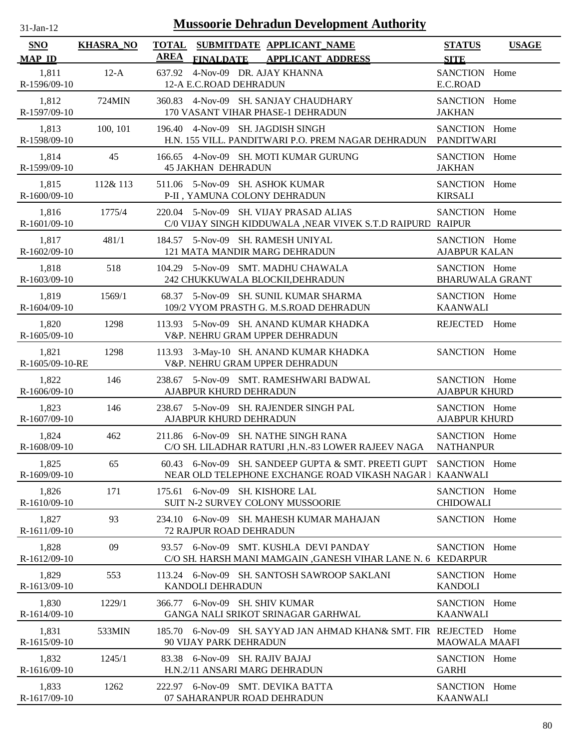| $31$ -Jan-12                |                  | <b>Mussoorie Dehradun Development Authority</b>                                                           |                                         |              |
|-----------------------------|------------------|-----------------------------------------------------------------------------------------------------------|-----------------------------------------|--------------|
| <b>SNO</b><br><b>MAP ID</b> | <b>KHASRA_NO</b> | <b>TOTAL</b><br>SUBMITDATE APPLICANT_NAME<br><b>AREA</b><br><b>FINALDATE</b><br><b>APPLICANT ADDRESS</b>  | <b>STATUS</b><br><b>SITE</b>            | <b>USAGE</b> |
| 1,811<br>R-1596/09-10       | $12-A$           | 4-Nov-09 DR. AJAY KHANNA<br>637.92<br>12-A E.C.ROAD DEHRADUN                                              | SANCTION Home<br>E.C.ROAD               |              |
| 1,812<br>R-1597/09-10       | 724MIN           | 360.83 4-Nov-09 SH. SANJAY CHAUDHARY<br>170 VASANT VIHAR PHASE-1 DEHRADUN                                 | SANCTION Home<br><b>JAKHAN</b>          |              |
| 1,813<br>R-1598/09-10       | 100, 101         | 196.40 4-Nov-09 SH. JAGDISH SINGH<br>H.N. 155 VILL. PANDITWARI P.O. PREM NAGAR DEHRADUN                   | SANCTION Home<br><b>PANDITWARI</b>      |              |
| 1,814<br>R-1599/09-10       | 45               | 166.65 4-Nov-09 SH. MOTI KUMAR GURUNG<br><b>45 JAKHAN DEHRADUN</b>                                        | SANCTION Home<br><b>JAKHAN</b>          |              |
| 1,815<br>R-1600/09-10       | 112& 113         | 511.06 5-Nov-09 SH. ASHOK KUMAR<br>P-II , YAMUNA COLONY DEHRADUN                                          | SANCTION Home<br><b>KIRSALI</b>         |              |
| 1,816<br>R-1601/09-10       | 1775/4           | 220.04 5-Nov-09 SH. VIJAY PRASAD ALIAS<br>C/0 VIJAY SINGH KIDDUWALA , NEAR VIVEK S.T.D RAIPURD RAIPUR     | SANCTION Home                           |              |
| 1,817<br>R-1602/09-10       | 481/1            | 184.57 5-Nov-09 SH. RAMESH UNIYAL<br>121 MATA MANDIR MARG DEHRADUN                                        | SANCTION Home<br><b>AJABPUR KALAN</b>   |              |
| 1,818<br>R-1603/09-10       | 518              | 104.29 5-Nov-09 SMT. MADHU CHAWALA<br>242 CHUKKUWALA BLOCKII, DEHRADUN                                    | SANCTION Home<br><b>BHARUWALA GRANT</b> |              |
| 1,819<br>R-1604/09-10       | 1569/1           | 68.37<br>5-Nov-09 SH. SUNIL KUMAR SHARMA<br>109/2 VYOM PRASTH G. M.S.ROAD DEHRADUN                        | SANCTION Home<br><b>KAANWALI</b>        |              |
| 1,820<br>R-1605/09-10       | 1298             | 5-Nov-09 SH. ANAND KUMAR KHADKA<br>113.93<br>V&P. NEHRU GRAM UPPER DEHRADUN                               | <b>REJECTED</b>                         | Home         |
| 1,821<br>R-1605/09-10-RE    | 1298             | 3-May-10 SH. ANAND KUMAR KHADKA<br>113.93<br>V&P. NEHRU GRAM UPPER DEHRADUN                               | SANCTION Home                           |              |
| 1,822<br>R-1606/09-10       | 146              | 238.67 5-Nov-09 SMT. RAMESHWARI BADWAL<br>AJABPUR KHURD DEHRADUN                                          | SANCTION Home<br><b>AJABPUR KHURD</b>   |              |
| 1,823<br>R-1607/09-10       | 146              | 238.67 5-Nov-09 SH. RAJENDER SINGH PAL<br>AJABPUR KHURD DEHRADUN                                          | SANCTION Home<br><b>AJABPUR KHURD</b>   |              |
| 1,824<br>R-1608/09-10       | 462              | 211.86 6-Nov-09 SH. NATHE SINGH RANA<br>C/O SH. LILADHAR RATURI ,H.N.-83 LOWER RAJEEV NAGA                | SANCTION Home<br><b>NATHANPUR</b>       |              |
| 1,825<br>R-1609/09-10       | 65               | 6-Nov-09 SH. SANDEEP GUPTA & SMT. PREETI GUPT<br>60.43<br>NEAR OLD TELEPHONE EXCHANGE ROAD VIKASH NAGAR I | SANCTION Home<br><b>KAANWALI</b>        |              |
| 1,826<br>R-1610/09-10       | 171              | 6-Nov-09 SH. KISHORE LAL<br>175.61<br>SUIT N-2 SURVEY COLONY MUSSOORIE                                    | SANCTION Home<br><b>CHIDOWALI</b>       |              |
| 1,827<br>R-1611/09-10       | 93               | 234.10 6-Nov-09 SH. MAHESH KUMAR MAHAJAN<br>72 RAJPUR ROAD DEHRADUN                                       | SANCTION Home                           |              |
| 1,828<br>R-1612/09-10       | 09               | 93.57 6-Nov-09 SMT. KUSHLA DEVI PANDAY<br>C/O SH. HARSH MANI MAMGAIN ,GANESH VIHAR LANE N. 6 KEDARPUR     | SANCTION Home                           |              |
| 1,829<br>R-1613/09-10       | 553              | 113.24 6-Nov-09 SH. SANTOSH SAWROOP SAKLANI<br><b>KANDOLI DEHRADUN</b>                                    | SANCTION Home<br><b>KANDOLI</b>         |              |
| 1,830<br>R-1614/09-10       | 1229/1           | 366.77 6-Nov-09 SH. SHIV KUMAR<br>GANGA NALI SRIKOT SRINAGAR GARHWAL                                      | SANCTION Home<br><b>KAANWALI</b>        |              |
| 1,831<br>R-1615/09-10       | 533MIN           | 185.70 6-Nov-09 SH. SAYYAD JAN AHMAD KHAN& SMT. FIR REJECTED<br>90 VIJAY PARK DEHRADUN                    | <b>MAOWALA MAAFI</b>                    | Home         |
| 1,832<br>R-1616/09-10       | 1245/1           | 83.38 6-Nov-09 SH. RAJIV BAJAJ<br>H.N.2/11 ANSARI MARG DEHRADUN                                           | SANCTION Home<br><b>GARHI</b>           |              |
| 1,833<br>R-1617/09-10       | 1262             | 222.97 6-Nov-09 SMT. DEVIKA BATTA<br>07 SAHARANPUR ROAD DEHRADUN                                          | SANCTION Home<br><b>KAANWALI</b>        |              |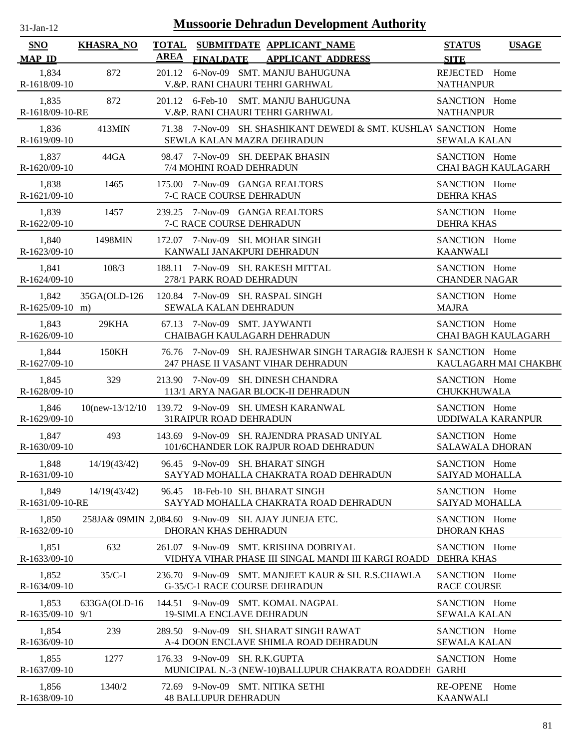| $31$ -Jan-12 |  |
|--------------|--|
|              |  |

| <b>SNO</b>                 | <b>KHASRA_NO</b> | <b>TOTAL</b><br><b>AREA</b> |                                  | SUBMITDATE APPLICANT NAME                                                                               | <b>STATUS</b>                           | <b>USAGE</b>               |
|----------------------------|------------------|-----------------------------|----------------------------------|---------------------------------------------------------------------------------------------------------|-----------------------------------------|----------------------------|
| <b>MAP ID</b>              |                  |                             | <b>FINALDATE</b>                 | <b>APPLICANT ADDRESS</b>                                                                                | <b>SITE</b>                             |                            |
| 1,834<br>R-1618/09-10      | 872              | 201.12                      |                                  | 6-Nov-09 SMT. MANJU BAHUGUNA<br>V.&P. RANI CHAURI TEHRI GARHWAL                                         | REJECTED Home<br><b>NATHANPUR</b>       |                            |
| 1,835<br>R-1618/09-10-RE   | 872              |                             |                                  | 201.12 6-Feb-10 SMT. MANJU BAHUGUNA<br>V.&P. RANI CHAURI TEHRI GARHWAL                                  | SANCTION Home<br><b>NATHANPUR</b>       |                            |
| 1,836<br>R-1619/09-10      | 413MIN           |                             |                                  | 71.38 7-Nov-09 SH. SHASHIKANT DEWEDI & SMT. KUSHLAV SANCTION Home<br>SEWLA KALAN MAZRA DEHRADUN         | <b>SEWALA KALAN</b>                     |                            |
| 1,837<br>R-1620/09-10      | 44GA             |                             | 7/4 MOHINI ROAD DEHRADUN         | 98.47 7-Nov-09 SH. DEEPAK BHASIN                                                                        | SANCTION Home                           | <b>CHAI BAGH KAULAGARH</b> |
| 1,838<br>R-1621/09-10      | 1465             |                             | 7-C RACE COURSE DEHRADUN         | 175.00 7-Nov-09 GANGA REALTORS                                                                          | SANCTION Home<br><b>DEHRA KHAS</b>      |                            |
| 1,839<br>R-1622/09-10      | 1457             |                             | 7-C RACE COURSE DEHRADUN         | 239.25 7-Nov-09 GANGA REALTORS                                                                          | SANCTION Home<br><b>DEHRA KHAS</b>      |                            |
| 1,840<br>R-1623/09-10      | 1498MIN          |                             |                                  | 172.07 7-Nov-09 SH. MOHAR SINGH<br>KANWALI JANAKPURI DEHRADUN                                           | SANCTION Home<br><b>KAANWALI</b>        |                            |
| 1,841<br>R-1624/09-10      | 108/3            |                             | 278/1 PARK ROAD DEHRADUN         | 188.11 7-Nov-09 SH. RAKESH MITTAL                                                                       | SANCTION Home<br><b>CHANDER NAGAR</b>   |                            |
| 1,842<br>$R-1625/09-10$ m) | 35GA(OLD-126     |                             | SEWALA KALAN DEHRADUN            | 120.84 7-Nov-09 SH. RASPAL SINGH                                                                        | SANCTION Home<br><b>MAJRA</b>           |                            |
| 1,843<br>$R-1626/09-10$    | 29KHA            |                             | 67.13 7-Nov-09 SMT. JAYWANTI     | CHAIBAGH KAULAGARH DEHRADUN                                                                             | SANCTION Home                           | <b>CHAI BAGH KAULAGARH</b> |
| 1,844<br>R-1627/09-10      | 150KH            |                             |                                  | 76.76 7-Nov-09 SH. RAJESHWAR SINGH TARAGI& RAJESH K SANCTION Home<br>247 PHASE II VASANT VIHAR DEHRADUN |                                         | KAULAGARH MAI CHAKBH(      |
| 1,845<br>R-1628/09-10      | 329              |                             |                                  | 213.90 7-Nov-09 SH. DINESH CHANDRA<br>113/1 ARYA NAGAR BLOCK-II DEHRADUN                                | SANCTION Home<br><b>CHUKKHUWALA</b>     |                            |
| 1,846<br>R-1629/09-10      |                  |                             | <b>31RAIPUR ROAD DEHRADUN</b>    | 10(new-13/12/10 139.72 9-Nov-09 SH. UMESH KARANWAL                                                      | SANCTION Home<br>UDDIWALA KARANPUR      |                            |
| 1,847<br>R-1630/09-10      | 493              |                             |                                  | 143.69 9-Nov-09 SH. RAJENDRA PRASAD UNIYAL<br>101/6CHANDER LOK RAJPUR ROAD DEHRADUN                     | SANCTION Home<br><b>SALAWALA DHORAN</b> |                            |
| 1,848<br>R-1631/09-10      | 14/19(43/42)     |                             |                                  | 96.45 9-Nov-09 SH. BHARAT SINGH<br>SAYYAD MOHALLA CHAKRATA ROAD DEHRADUN                                | SANCTION Home<br><b>SAIYAD MOHALLA</b>  |                            |
| 1,849<br>R-1631/09-10-RE   | 14/19(43/42)     |                             |                                  | 96.45 18-Feb-10 SH. BHARAT SINGH<br>SAYYAD MOHALLA CHAKRATA ROAD DEHRADUN                               | SANCTION Home<br>SAIYAD MOHALLA         |                            |
| 1,850<br>R-1632/09-10      |                  |                             | DHORAN KHAS DEHRADUN             | 258JA& 09MIN 2,084.60 9-Nov-09 SH. AJAY JUNEJA ETC.                                                     | SANCTION Home<br><b>DHORAN KHAS</b>     |                            |
| 1,851<br>R-1633/09-10      | 632              |                             |                                  | 261.07 9-Nov-09 SMT. KRISHNA DOBRIYAL<br>VIDHYA VIHAR PHASE III SINGAL MANDI III KARGI ROADD            | SANCTION Home<br><b>DEHRA KHAS</b>      |                            |
| 1,852<br>R-1634/09-10      | $35/C-1$         |                             |                                  | 236.70 9-Nov-09 SMT. MANJEET KAUR & SH. R.S.CHAWLA<br>G-35/C-1 RACE COURSE DEHRADUN                     | SANCTION Home<br><b>RACE COURSE</b>     |                            |
| 1,853<br>R-1635/09-10 9/1  | 633GA(OLD-16     |                             | <b>19-SIMLA ENCLAVE DEHRADUN</b> | 144.51 9-Nov-09 SMT. KOMAL NAGPAL                                                                       | SANCTION Home<br><b>SEWALA KALAN</b>    |                            |
| 1,854<br>R-1636/09-10      | 239              |                             |                                  | 289.50 9-Nov-09 SH. SHARAT SINGH RAWAT<br>A-4 DOON ENCLAVE SHIMLA ROAD DEHRADUN                         | SANCTION Home<br><b>SEWALA KALAN</b>    |                            |
| 1,855<br>R-1637/09-10      | 1277             |                             | 176.33 9-Nov-09 SH. R.K.GUPTA    | MUNICIPAL N.-3 (NEW-10)BALLUPUR CHAKRATA ROADDEH GARHI                                                  | SANCTION Home                           |                            |
| 1,856<br>R-1638/09-10      | 1340/2           |                             | <b>48 BALLUPUR DEHRADUN</b>      | 72.69 9-Nov-09 SMT. NITIKA SETHI                                                                        | <b>RE-OPENE</b><br><b>KAANWALI</b>      | Home                       |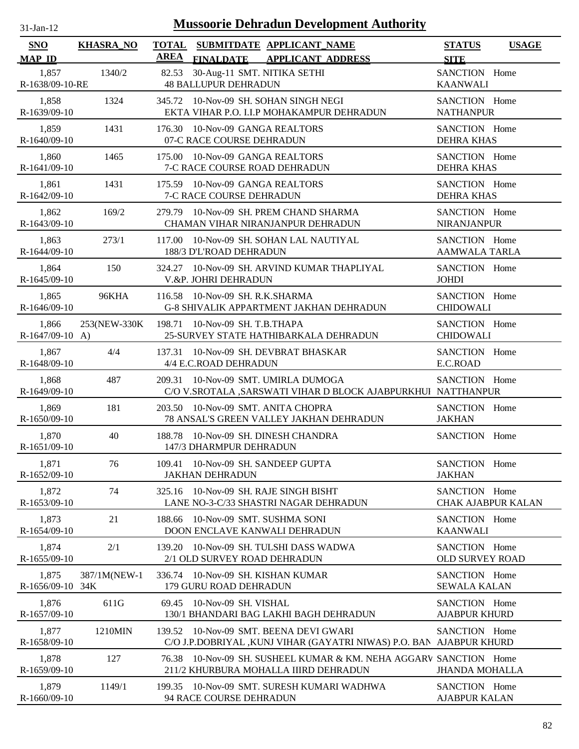| $31$ -Jan-12                | <b>Mussoorie Dehradun Development Authority</b> |                      |                                                                                                        |                                            |              |  |
|-----------------------------|-------------------------------------------------|----------------------|--------------------------------------------------------------------------------------------------------|--------------------------------------------|--------------|--|
| <b>SNO</b><br><b>MAP ID</b> | <b>KHASRA_NO</b>                                | <b>TOTAL</b><br>AREA | SUBMITDATE APPLICANT NAME<br>FINALDATE APPLICANT ADDRESS                                               | <b>STATUS</b><br><b>SITE</b>               | <b>USAGE</b> |  |
| 1,857<br>R-1638/09-10-RE    | 1340/2                                          | 82.53                | 30-Aug-11 SMT. NITIKA SETHI<br><b>48 BALLUPUR DEHRADUN</b>                                             | SANCTION Home<br><b>KAANWALI</b>           |              |  |
| 1,858<br>R-1639/09-10       | 1324                                            | 345.72               | 10-Nov-09 SH. SOHAN SINGH NEGI<br>EKTA VIHAR P.O. I.I.P MOHAKAMPUR DEHRADUN                            | SANCTION Home<br><b>NATHANPUR</b>          |              |  |
| 1,859<br>R-1640/09-10       | 1431                                            |                      | 176.30 10-Nov-09 GANGA REALTORS<br>07-C RACE COURSE DEHRADUN                                           | SANCTION Home<br><b>DEHRA KHAS</b>         |              |  |
| 1,860<br>R-1641/09-10       | 1465                                            |                      | 175.00 10-Nov-09 GANGA REALTORS<br>7-C RACE COURSE ROAD DEHRADUN                                       | SANCTION Home<br><b>DEHRA KHAS</b>         |              |  |
| 1,861<br>R-1642/09-10       | 1431                                            |                      | 175.59 10-Nov-09 GANGA REALTORS<br>7-C RACE COURSE DEHRADUN                                            | SANCTION Home<br><b>DEHRA KHAS</b>         |              |  |
| 1,862<br>R-1643/09-10       | 169/2                                           | 279.79               | 10-Nov-09 SH. PREM CHAND SHARMA<br>CHAMAN VIHAR NIRANJANPUR DEHRADUN                                   | SANCTION Home<br><b>NIRANJANPUR</b>        |              |  |
| 1,863<br>R-1644/09-10       | 273/1                                           | 117.00               | 10-Nov-09 SH. SOHAN LAL NAUTIYAL<br>188/3 D'L'ROAD DEHRADUN                                            | SANCTION Home<br>AAMWALA TARLA             |              |  |
| 1,864<br>R-1645/09-10       | 150                                             | 324.27               | 10-Nov-09 SH. ARVIND KUMAR THAPLIYAL<br>V.&P. JOHRI DEHRADUN                                           | SANCTION Home<br><b>JOHDI</b>              |              |  |
| 1,865<br>R-1646/09-10       | 96KHA                                           | 116.58               | 10-Nov-09 SH. R.K.SHARMA<br>G-8 SHIVALIK APPARTMENT JAKHAN DEHRADUN                                    | SANCTION Home<br><b>CHIDOWALI</b>          |              |  |
| 1,866<br>$R-1647/09-10$ A)  | 253(NEW-330K)                                   |                      | 198.71 10-Nov-09 SH. T.B.THAPA<br>25-SURVEY STATE HATHIBARKALA DEHRADUN                                | SANCTION Home<br><b>CHIDOWALI</b>          |              |  |
| 1,867<br>R-1648/09-10       | 4/4                                             |                      | 137.31 10-Nov-09 SH. DEVBRAT BHASKAR<br>4/4 E.C.ROAD DEHRADUN                                          | SANCTION Home<br>E.C.ROAD                  |              |  |
| 1,868<br>R-1649/09-10       | 487                                             | 209.31               | 10-Nov-09 SMT. UMIRLA DUMOGA<br>C/O V.SROTALA ,SARSWATI VIHAR D BLOCK AJABPURKHUI NATTHANPUR           | SANCTION Home                              |              |  |
| 1,869<br>R-1650/09-10       | 181                                             | 203.50               | 10-Nov-09 SMT. ANITA CHOPRA<br>78 ANSAL'S GREEN VALLEY JAKHAN DEHRADUN                                 | SANCTION Home<br><b>JAKHAN</b>             |              |  |
| 1,870<br>R-1651/09-10       | 40                                              |                      | 188.78 10-Nov-09 SH. DINESH CHANDRA<br>147/3 DHARMPUR DEHRADUN                                         | SANCTION Home                              |              |  |
| 1,871<br>R-1652/09-10       | 76                                              | 109.41               | 10-Nov-09 SH, SANDEEP GUPTA<br><b>JAKHAN DEHRADUN</b>                                                  | SANCTION Home<br><b>JAKHAN</b>             |              |  |
| 1,872<br>R-1653/09-10       | 74                                              | 325.16               | 10-Nov-09 SH. RAJE SINGH BISHT<br>LANE NO-3-C/33 SHASTRI NAGAR DEHRADUN                                | SANCTION Home<br><b>CHAK AJABPUR KALAN</b> |              |  |
| 1,873<br>R-1654/09-10       | 21                                              | 188.66               | 10-Nov-09 SMT. SUSHMA SONI<br>DOON ENCLAVE KANWALI DEHRADUN                                            | SANCTION Home<br><b>KAANWALI</b>           |              |  |
| 1,874<br>R-1655/09-10       | 2/1                                             | 139.20               | 10-Nov-09 SH. TULSHI DASS WADWA<br>2/1 OLD SURVEY ROAD DEHRADUN                                        | SANCTION Home<br><b>OLD SURVEY ROAD</b>    |              |  |
| 1,875<br>R-1656/09-10       | 387/1M(NEW-1<br>34K                             | 336.74               | 10-Nov-09 SH. KISHAN KUMAR<br>179 GURU ROAD DEHRADUN                                                   | SANCTION Home<br><b>SEWALA KALAN</b>       |              |  |
| 1,876<br>R-1657/09-10       | 611G                                            | 69.45                | 10-Nov-09 SH. VISHAL<br>130/1 BHANDARI BAG LAKHI BAGH DEHRADUN                                         | SANCTION Home<br><b>AJABPUR KHURD</b>      |              |  |
| 1,877<br>R-1658/09-10       | 1210MIN                                         | 139.52               | 10-Nov-09 SMT. BEENA DEVI GWARI<br>C/O J.P.DOBRIYAL ,KUNJ VIHAR (GAYATRI NIWAS) P.O. BAN AJABPUR KHURD | SANCTION Home                              |              |  |
| 1,878<br>R-1659/09-10       | 127                                             | 76.38                | 10-Nov-09 SH. SUSHEEL KUMAR & KM. NEHA AGGARV SANCTION Home<br>211/2 KHURBURA MOHALLA IIIRD DEHRADUN   | <b>JHANDA MOHALLA</b>                      |              |  |
| 1,879<br>R-1660/09-10       | 1149/1                                          |                      | 199.35 10-Nov-09 SMT. SURESH KUMARI WADHWA<br>94 RACE COURSE DEHRADUN                                  | SANCTION Home<br><b>AJABPUR KALAN</b>      |              |  |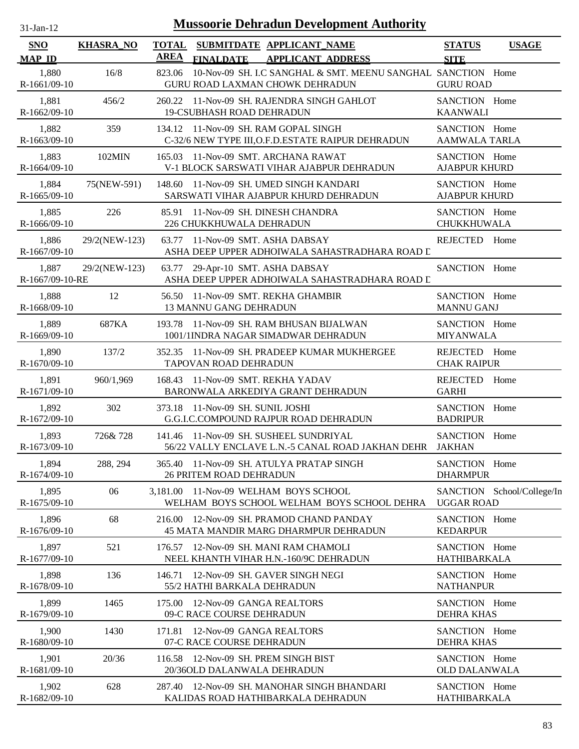| -Jan- |  |
|-------|--|
|       |  |

| <b>SNO</b><br><b>MAP ID</b> | <b>KHASRA_NO</b> | <b>TOTAL</b><br><b>AREA</b> | SUBMITDATE APPLICANT NAME<br><b>FINALDATE</b><br><b>APPLICANT ADDRESS</b>                          | <b>STATUS</b><br><b>SITE</b>          | <b>USAGE</b>               |
|-----------------------------|------------------|-----------------------------|----------------------------------------------------------------------------------------------------|---------------------------------------|----------------------------|
| 1,880<br>R-1661/09-10       | 16/8             | 823.06                      | 10-Nov-09 SH. I.C SANGHAL & SMT. MEENU SANGHAL SANCTION Home<br>GURU ROAD LAXMAN CHOWK DEHRADUN    | <b>GURU ROAD</b>                      |                            |
| 1,881<br>R-1662/09-10       | 456/2            | 260.22                      | 11-Nov-09 SH. RAJENDRA SINGH GAHLOT<br>19-CSUBHASH ROAD DEHRADUN                                   | SANCTION Home<br><b>KAANWALI</b>      |                            |
| 1,882<br>R-1663/09-10       | 359              |                             | 134.12 11-Nov-09 SH. RAM GOPAL SINGH<br>C-32/6 NEW TYPE III, O.F.D. ESTATE RAIPUR DEHRADUN         | SANCTION Home<br><b>AAMWALA TARLA</b> |                            |
| 1,883<br>R-1664/09-10       | 102MIN           |                             | 165.03 11-Nov-09 SMT. ARCHANA RAWAT<br>V-1 BLOCK SARSWATI VIHAR AJABPUR DEHRADUN                   | SANCTION Home<br><b>AJABPUR KHURD</b> |                            |
| 1,884<br>R-1665/09-10       | 75(NEW-591)      |                             | 148.60 11-Nov-09 SH. UMED SINGH KANDARI<br>SARSWATI VIHAR AJABPUR KHURD DEHRADUN                   | SANCTION Home<br><b>AJABPUR KHURD</b> |                            |
| 1,885<br>R-1666/09-10       | 226              | 85.91                       | 11-Nov-09 SH. DINESH CHANDRA<br>226 CHUKKHUWALA DEHRADUN                                           | SANCTION Home<br>CHUKKHUWALA          |                            |
| 1,886<br>R-1667/09-10       | 29/2(NEW-123)    | 63.77                       | 11-Nov-09 SMT. ASHA DABSAY<br>ASHA DEEP UPPER ADHOIWALA SAHASTRADHARA ROAD L                       | REJECTED Home                         |                            |
| 1,887<br>R-1667/09-10-RE    | 29/2(NEW-123)    | 63.77                       | 29-Apr-10 SMT. ASHA DABSAY<br>ASHA DEEP UPPER ADHOIWALA SAHASTRADHARA ROAD L                       | SANCTION Home                         |                            |
| 1,888<br>R-1668/09-10       | 12               | 56.50                       | 11-Nov-09 SMT. REKHA GHAMBIR<br><b>13 MANNU GANG DEHRADUN</b>                                      | SANCTION Home<br><b>MANNU GANJ</b>    |                            |
| 1,889<br>R-1669/09-10       | 687KA            | 193.78                      | 11-Nov-09 SH. RAM BHUSAN BIJALWAN<br>1001/1INDRA NAGAR SIMADWAR DEHRADUN                           | SANCTION Home<br><b>MIYANWALA</b>     |                            |
| 1,890<br>R-1670/09-10       | 137/2            |                             | 352.35 11-Nov-09 SH. PRADEEP KUMAR MUKHERGEE<br><b>TAPOVAN ROAD DEHRADUN</b>                       | REJECTED<br><b>CHAK RAIPUR</b>        | Home                       |
| 1,891<br>R-1671/09-10       | 960/1,969        |                             | 168.43 11-Nov-09 SMT. REKHA YADAV<br>BARONWALA ARKEDIYA GRANT DEHRADUN                             | <b>REJECTED</b><br><b>GARHI</b>       | Home                       |
| 1,892<br>R-1672/09-10       | 302              |                             | 373.18 11-Nov-09 SH. SUNIL JOSHI<br>G.G.I.C.COMPOUND RAJPUR ROAD DEHRADUN                          | SANCTION Home<br><b>BADRIPUR</b>      |                            |
| 1,893<br>R-1673/09-10       | 726&728          |                             | 141.46 11-Nov-09 SH. SUSHEEL SUNDRIYAL<br>56/22 VALLY ENCLAVE L.N.-5 CANAL ROAD JAKHAN DEHR JAKHAN | SANCTION Home                         |                            |
| 1,894<br>R-1674/09-10       | 288, 294         |                             | 365.40 11-Nov-09 SH. ATULYA PRATAP SINGH<br><b>26 PRITEM ROAD DEHRADUN</b>                         | SANCTION Home<br><b>DHARMPUR</b>      |                            |
| 1,895<br>R-1675/09-10       | 06               |                             | 3,181.00 11-Nov-09 WELHAM BOYS SCHOOL<br>WELHAM BOYS SCHOOL WELHAM BOYS SCHOOL DEHRA               | <b>UGGAR ROAD</b>                     | SANCTION School/College/In |
| 1,896<br>R-1676/09-10       | 68               | 216.00                      | 12-Nov-09 SH. PRAMOD CHAND PANDAY<br>45 MATA MANDIR MARG DHARMPUR DEHRADUN                         | SANCTION Home<br><b>KEDARPUR</b>      |                            |
| 1,897<br>R-1677/09-10       | 521              | 176.57                      | 12-Nov-09 SH. MANI RAM CHAMOLI<br>NEEL KHANTH VIHAR H.N.-160/9C DEHRADUN                           | SANCTION Home<br>HATHIBARKALA         |                            |
| 1,898<br>R-1678/09-10       | 136              | 146.71                      | 12-Nov-09 SH. GAVER SINGH NEGI<br>55/2 HATHI BARKALA DEHRADUN                                      | SANCTION Home<br><b>NATHANPUR</b>     |                            |
| 1,899<br>R-1679/09-10       | 1465             | 175.00                      | 12-Nov-09 GANGA REALTORS<br>09-C RACE COURSE DEHRADUN                                              | SANCTION Home<br><b>DEHRA KHAS</b>    |                            |
| 1,900<br>R-1680/09-10       | 1430             | 171.81                      | 12-Nov-09 GANGA REALTORS<br>07-C RACE COURSE DEHRADUN                                              | SANCTION Home<br><b>DEHRA KHAS</b>    |                            |
| 1,901<br>R-1681/09-10       | 20/36            | 116.58                      | 12-Nov-09 SH. PREM SINGH BIST<br>20/36OLD DALANWALA DEHRADUN                                       | SANCTION Home<br><b>OLD DALANWALA</b> |                            |
| 1,902<br>R-1682/09-10       | 628              | 287.40                      | 12-Nov-09 SH. MANOHAR SINGH BHANDARI<br>KALIDAS ROAD HATHIBARKALA DEHRADUN                         | SANCTION Home<br>HATHIBARKALA         |                            |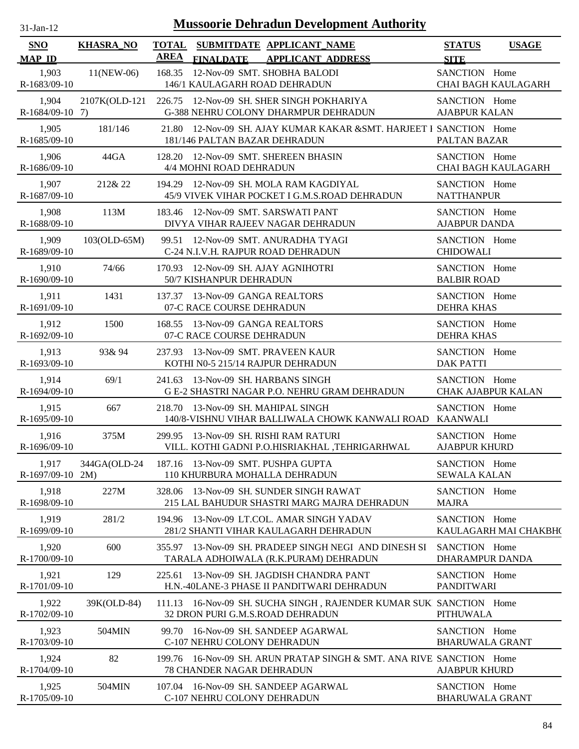| $31$ -Jan-12 |  |
|--------------|--|
|              |  |

| SNO<br><b>MAP ID</b>       | <b>KHASRA_NO</b>   | <b>TOTAL</b><br><b>AREA</b> | SUBMITDATE APPLICANT_NAME<br><b>FINALDATE</b>                                           | <b>APPLICANT ADDRESS</b>                                            | <b>STATUS</b><br><b>SITE</b>               | <b>USAGE</b>               |
|----------------------------|--------------------|-----------------------------|-----------------------------------------------------------------------------------------|---------------------------------------------------------------------|--------------------------------------------|----------------------------|
| 1,903<br>R-1683/09-10      | $11(NEW-06)$       | 168.35                      | 12-Nov-09 SMT. SHOBHA BALODI<br>146/1 KAULAGARH ROAD DEHRADUN                           |                                                                     | SANCTION Home                              | <b>CHAI BAGH KAULAGARH</b> |
| 1,904<br>$R-1684/09-10$ 7) | 2107K(OLD-121      |                             | 226.75 12-Nov-09 SH. SHER SINGH POKHARIYA<br>G-388 NEHRU COLONY DHARMPUR DEHRADUN       |                                                                     | SANCTION Home<br><b>AJABPUR KALAN</b>      |                            |
| 1,905<br>R-1685/09-10      | 181/146            |                             | 181/146 PALTAN BAZAR DEHRADUN                                                           | 21.80 12-Nov-09 SH. AJAY KUMAR KAKAR & SMT. HARJEET I SANCTION Home | PALTAN BAZAR                               |                            |
| 1,906<br>R-1686/09-10      | 44GA               |                             | 128.20 12-Nov-09 SMT. SHEREEN BHASIN<br>4/4 MOHNI ROAD DEHRADUN                         |                                                                     | SANCTION Home                              | CHAI BAGH KAULAGARH        |
| 1,907<br>R-1687/09-10      | 212& 22            |                             | 194.29 12-Nov-09 SH. MOLA RAM KAGDIYAL<br>45/9 VIVEK VIHAR POCKET I G.M.S.ROAD DEHRADUN |                                                                     | SANCTION Home<br><b>NATTHANPUR</b>         |                            |
| 1,908<br>R-1688/09-10      | 113M               |                             | 183.46 12-Nov-09 SMT. SARSWATI PANT<br>DIVYA VIHAR RAJEEV NAGAR DEHRADUN                |                                                                     | SANCTION Home<br><b>AJABPUR DANDA</b>      |                            |
| 1,909<br>R-1689/09-10      | 103(OLD-65M)       |                             | 99.51 12-Nov-09 SMT. ANURADHA TYAGI<br>C-24 N.I.V.H. RAJPUR ROAD DEHRADUN               |                                                                     | SANCTION Home<br><b>CHIDOWALI</b>          |                            |
| 1,910<br>R-1690/09-10      | 74/66              |                             | 170.93 12-Nov-09 SH, AJAY AGNIHOTRI<br>50/7 KISHANPUR DEHRADUN                          |                                                                     | SANCTION Home<br><b>BALBIR ROAD</b>        |                            |
| 1,911<br>R-1691/09-10      | 1431               |                             | 137.37 13-Nov-09 GANGA REALTORS<br>07-C RACE COURSE DEHRADUN                            |                                                                     | SANCTION Home<br><b>DEHRA KHAS</b>         |                            |
| 1,912<br>R-1692/09-10      | 1500               |                             | 168.55 13-Nov-09 GANGA REALTORS<br>07-C RACE COURSE DEHRADUN                            |                                                                     | SANCTION Home<br><b>DEHRA KHAS</b>         |                            |
| 1,913<br>R-1693/09-10      | 93& 94             |                             | 237.93 13-Nov-09 SMT. PRAVEEN KAUR<br>KOTHI N0-5 215/14 RAJPUR DEHRADUN                 |                                                                     | SANCTION Home<br><b>DAK PATTI</b>          |                            |
| 1,914<br>R-1694/09-10      | 69/1               |                             | 241.63 13-Nov-09 SH. HARBANS SINGH<br>G E-2 SHASTRI NAGAR P.O. NEHRU GRAM DEHRADUN      |                                                                     | SANCTION Home<br><b>CHAK AJABPUR KALAN</b> |                            |
| 1,915<br>R-1695/09-10      | 667                |                             | 218.70 13-Nov-09 SH. MAHIPAL SINGH                                                      | 140/8-VISHNU VIHAR BALLIWALA CHOWK KANWALI ROAD                     | SANCTION Home<br>KAANWALI                  |                            |
| 1,916<br>R-1696/09-10      | 375M               |                             | 299.95 13-Nov-09 SH. RISHI RAM RATURI                                                   | VILL. KOTHI GADNI P.O.HISRIAKHAL, TEHRIGARHWAL                      | SANCTION Home<br><b>AJABPUR KHURD</b>      |                            |
| 1,917<br>R-1697/09-10      | 344GA(OLD-24<br>2M |                             | 187.16 13-Nov-09 SMT. PUSHPA GUPTA<br>110 KHURBURA MOHALLA DEHRADUN                     |                                                                     | SANCTION Home<br><b>SEWALA KALAN</b>       |                            |
| 1,918<br>R-1698/09-10      | 227M               |                             | 328.06 13-Nov-09 SH, SUNDER SINGH RAWAT                                                 | 215 LAL BAHUDUR SHASTRI MARG MAJRA DEHRADUN                         | SANCTION Home<br><b>MAJRA</b>              |                            |
| 1,919<br>R-1699/09-10      | 281/2              |                             | 194.96 13-Nov-09 LT.COL. AMAR SINGH YADAV<br>281/2 SHANTI VIHAR KAULAGARH DEHRADUN      |                                                                     | SANCTION Home                              | KAULAGARH MAI CHAKBH(      |
| 1,920<br>R-1700/09-10      | 600                |                             | TARALA ADHOIWALA (R.K.PURAM) DEHRADUN                                                   | 355.97 13-Nov-09 SH. PRADEEP SINGH NEGI AND DINESH SI               | SANCTION Home<br><b>DHARAMPUR DANDA</b>    |                            |
| 1,921<br>R-1701/09-10      | 129                |                             | 225.61 13-Nov-09 SH. JAGDISH CHANDRA PANT<br>H.N.-40LANE-3 PHASE II PANDITWARI DEHRADUN |                                                                     | SANCTION Home<br>PANDITWARI                |                            |
| 1,922<br>R-1702/09-10      | 39K(OLD-84)        |                             | 32 DRON PURI G.M.S.ROAD DEHRADUN                                                        | 111.13 16-Nov-09 SH. SUCHA SINGH, RAJENDER KUMAR SUK SANCTION Home  | <b>PITHUWALA</b>                           |                            |
| 1,923<br>R-1703/09-10      | 504MIN             |                             | 99.70 16-Nov-09 SH. SANDEEP AGARWAL<br>C-107 NEHRU COLONY DEHRADUN                      |                                                                     | SANCTION Home<br><b>BHARUWALA GRANT</b>    |                            |
| 1,924<br>R-1704/09-10      | 82                 | 199.76                      | <b>78 CHANDER NAGAR DEHRADUN</b>                                                        | 16-Nov-09 SH. ARUN PRATAP SINGH & SMT. ANA RIVE SANCTION Home       | <b>AJABPUR KHURD</b>                       |                            |
| 1,925<br>R-1705/09-10      | 504MIN             |                             | 107.04 16-Nov-09 SH. SANDEEP AGARWAL<br>C-107 NEHRU COLONY DEHRADUN                     |                                                                     | SANCTION Home<br><b>BHARUWALA GRANT</b>    |                            |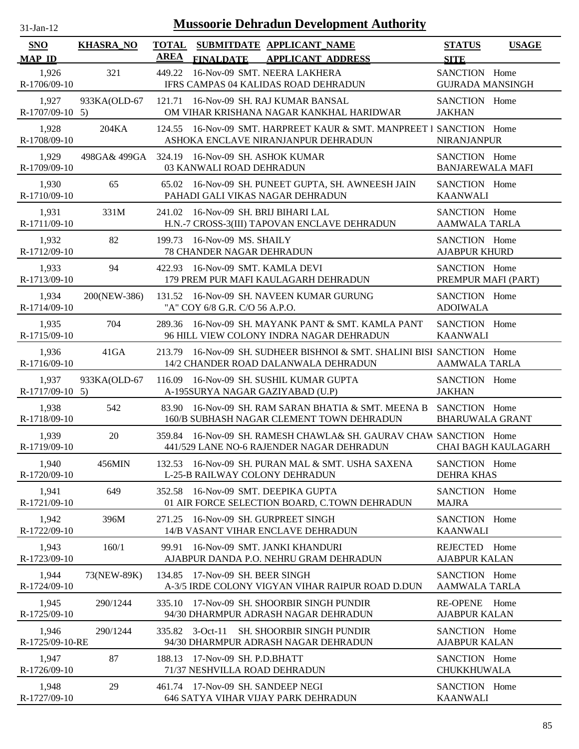| $31$ -Jan-12 |  |
|--------------|--|

| <b>SNO</b>                 | <b>KHASRA_NO</b> | <b>TOTAL</b><br><b>AREA</b> |                                                          | SUBMITDATE APPLICANT_NAME                                                                                      | <b>STATUS</b>                            | <b>USAGE</b>        |
|----------------------------|------------------|-----------------------------|----------------------------------------------------------|----------------------------------------------------------------------------------------------------------------|------------------------------------------|---------------------|
| <b>MAP ID</b>              |                  |                             | <b>FINALDATE</b>                                         | <b>APPLICANT ADDRESS</b>                                                                                       | <b>SITE</b>                              |                     |
| 1,926<br>R-1706/09-10      | 321              | 449.22                      |                                                          | 16-Nov-09 SMT. NEERA LAKHERA<br>IFRS CAMPAS 04 KALIDAS ROAD DEHRADUN                                           | SANCTION Home<br><b>GUJRADA MANSINGH</b> |                     |
| 1,927<br>$R-1707/09-10$ 5) | 933KA(OLD-67     | 121.71                      |                                                          | 16-Nov-09 SH. RAJ KUMAR BANSAL<br>OM VIHAR KRISHANA NAGAR KANKHAL HARIDWAR                                     | SANCTION Home<br><b>JAKHAN</b>           |                     |
| 1,928<br>R-1708/09-10      | 204KA            | 124.55                      |                                                          | 16-Nov-09 SMT. HARPREET KAUR & SMT. MANPREET I SANCTION Home<br>ASHOKA ENCLAVE NIRANJANPUR DEHRADUN            | <b>NIRANJANPUR</b>                       |                     |
| 1,929<br>R-1709/09-10      | 498GA& 499GA     | 324.19                      | 16-Nov-09 SH, ASHOK KUMAR<br>03 KANWALI ROAD DEHRADUN    |                                                                                                                | SANCTION Home<br><b>BANJAREWALA MAFI</b> |                     |
| 1,930<br>R-1710/09-10      | 65               | 65.02                       |                                                          | 16-Nov-09 SH. PUNEET GUPTA, SH. AWNEESH JAIN<br>PAHADI GALI VIKAS NAGAR DEHRADUN                               | SANCTION Home<br><b>KAANWALI</b>         |                     |
| 1,931<br>R-1711/09-10      | 331M             | 241.02                      | 16-Nov-09 SH. BRIJ BIHARI LAL                            | H.N.-7 CROSS-3(III) TAPOVAN ENCLAVE DEHRADUN                                                                   | SANCTION Home<br><b>AAMWALA TARLA</b>    |                     |
| 1,932<br>R-1712/09-10      | 82               | 199.73                      | 16-Nov-09 MS. SHAILY<br>78 CHANDER NAGAR DEHRADUN        |                                                                                                                | SANCTION Home<br><b>AJABPUR KHURD</b>    |                     |
| 1,933<br>R-1713/09-10      | 94               |                             | 422.93 16-Nov-09 SMT. KAMLA DEVI                         | 179 PREM PUR MAFI KAULAGARH DEHRADUN                                                                           | SANCTION Home<br>PREMPUR MAFI (PART)     |                     |
| 1,934<br>R-1714/09-10      | 200(NEW-386)     |                             | "A" COY 6/8 G.R. C/O 56 A.P.O.                           | 131.52 16-Nov-09 SH, NAVEEN KUMAR GURUNG                                                                       | SANCTION Home<br><b>ADOIWALA</b>         |                     |
| 1,935<br>R-1715/09-10      | 704              | 289.36                      |                                                          | 16-Nov-09 SH. MAYANK PANT & SMT. KAMLA PANT<br>96 HILL VIEW COLONY INDRA NAGAR DEHRADUN                        | SANCTION Home<br><b>KAANWALI</b>         |                     |
| 1,936<br>R-1716/09-10      | 41GA             |                             |                                                          | 213.79 16-Nov-09 SH. SUDHEER BISHNOI & SMT. SHALINI BISI SANCTION Home<br>14/2 CHANDER ROAD DALANWALA DEHRADUN | AAMWALA TARLA                            |                     |
| 1,937<br>R-1717/09-10 5)   | 933KA(OLD-67     |                             | A-195SURYA NAGAR GAZIYABAD (U.P)                         | 116.09 16-Nov-09 SH. SUSHIL KUMAR GUPTA                                                                        | SANCTION Home<br><b>JAKHAN</b>           |                     |
| 1,938<br>R-1718/09-10      | 542              | 83.90                       |                                                          | 16-Nov-09 SH, RAM SARAN BHATIA & SMT, MEENA B<br>160/B SUBHASH NAGAR CLEMENT TOWN DEHRADUN                     | SANCTION Home<br><b>BHARUWALA GRANT</b>  |                     |
| 1,939<br>R-1719/09-10      | 20               |                             |                                                          | 359.84 16-Nov-09 SH. RAMESH CHAWLA& SH. GAURAV CHAW SANCTION Home<br>441/529 LANE NO-6 RAJENDER NAGAR DEHRADUN |                                          | CHAI BAGH KAULAGARH |
| 1,940<br>R-1720/09-10      | 456MIN           |                             | L-25-B RAILWAY COLONY DEHRADUN                           | 132.53 16-Nov-09 SH. PURAN MAL & SMT. USHA SAXENA                                                              | SANCTION Home<br><b>DEHRA KHAS</b>       |                     |
| 1,941<br>R-1721/09-10      | 649              | 352.58                      | 16-Nov-09 SMT. DEEPIKA GUPTA                             | 01 AIR FORCE SELECTION BOARD, C.TOWN DEHRADUN                                                                  | SANCTION Home<br><b>MAJRA</b>            |                     |
| 1,942<br>R-1722/09-10      | 396M             | 271.25                      | 16-Nov-09 SH. GURPREET SINGH                             | 14/B VASANT VIHAR ENCLAVE DEHRADUN                                                                             | SANCTION Home<br><b>KAANWALI</b>         |                     |
| 1.943<br>R-1723/09-10      | 160/1            | 99.91                       |                                                          | 16-Nov-09 SMT, JANKI KHANDURI<br>AJABPUR DANDA P.O. NEHRU GRAM DEHRADUN                                        | REJECTED Home<br><b>AJABPUR KALAN</b>    |                     |
| 1,944<br>R-1724/09-10      | 73(NEW-89K)      |                             | 134.85 17-Nov-09 SH. BEER SINGH                          | A-3/5 IRDE COLONY VIGYAN VIHAR RAIPUR ROAD D.DUN                                                               | SANCTION Home<br><b>AAMWALA TARLA</b>    |                     |
| 1,945<br>R-1725/09-10      | 290/1244         | 335.10                      |                                                          | 17-Nov-09 SH. SHOORBIR SINGH PUNDIR<br>94/30 DHARMPUR ADRASH NAGAR DEHRADUN                                    | RE-OPENE Home<br><b>AJABPUR KALAN</b>    |                     |
| 1,946<br>R-1725/09-10-RE   | 290/1244         |                             | 335.82 3-Oct-11                                          | <b>SH. SHOORBIR SINGH PUNDIR</b><br>94/30 DHARMPUR ADRASH NAGAR DEHRADUN                                       | SANCTION Home<br><b>AJABPUR KALAN</b>    |                     |
| 1,947<br>R-1726/09-10      | 87               | 188.13                      | 17-Nov-09 SH. P.D.BHATT<br>71/37 NESHVILLA ROAD DEHRADUN |                                                                                                                | SANCTION Home<br><b>CHUKKHUWALA</b>      |                     |
| 1,948<br>R-1727/09-10      | 29               |                             | 461.74 17-Nov-09 SH. SANDEEP NEGI                        | 646 SATYA VIHAR VIJAY PARK DEHRADUN                                                                            | SANCTION Home<br><b>KAANWALI</b>         |                     |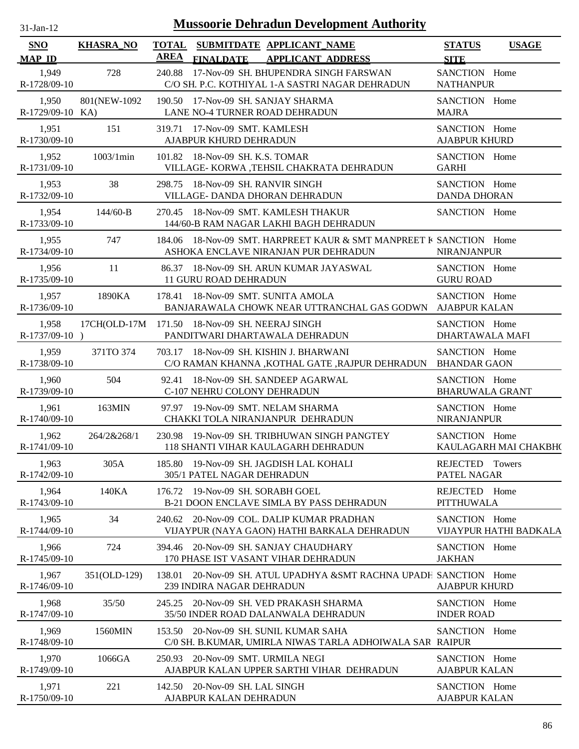| $31$ -Jan-12                | <b>Mussoorie Dehradun Development Authority</b> |                                                                                                            |                                         |                        |  |  |  |  |
|-----------------------------|-------------------------------------------------|------------------------------------------------------------------------------------------------------------|-----------------------------------------|------------------------|--|--|--|--|
| <b>SNO</b><br><b>MAP ID</b> | <b>KHASRA_NO</b>                                | <b>TOTAL</b><br>SUBMITDATE APPLICANT_NAME<br><b>AREA</b><br><b>APPLICANT ADDRESS</b><br><b>FINALDATE</b>   | <b>STATUS</b><br><b>SITE</b>            | <b>USAGE</b>           |  |  |  |  |
| 1,949<br>R-1728/09-10       | 728                                             | 17-Nov-09 SH. BHUPENDRA SINGH FARSWAN<br>240.88<br>C/O SH. P.C. KOTHIYAL 1-A SASTRI NAGAR DEHRADUN         | SANCTION Home<br><b>NATHANPUR</b>       |                        |  |  |  |  |
| 1,950<br>R-1729/09-10 KA)   | 801(NEW-1092)                                   | 190.50 17-Nov-09 SH. SANJAY SHARMA<br>LANE NO-4 TURNER ROAD DEHRADUN                                       | SANCTION Home<br><b>MAJRA</b>           |                        |  |  |  |  |
| 1,951<br>R-1730/09-10       | 151                                             | 319.71 17-Nov-09 SMT. KAMLESH<br>AJABPUR KHURD DEHRADUN                                                    | SANCTION Home<br><b>AJABPUR KHURD</b>   |                        |  |  |  |  |
| 1,952<br>R-1731/09-10       | 1003/1min                                       | 101.82 18-Nov-09 SH. K.S. TOMAR<br>VILLAGE- KORWA ,TEHSIL CHAKRATA DEHRADUN                                | SANCTION Home<br><b>GARHI</b>           |                        |  |  |  |  |
| 1,953<br>R-1732/09-10       | 38                                              | 298.75 18-Nov-09 SH. RANVIR SINGH<br>VILLAGE- DANDA DHORAN DEHRADUN                                        | SANCTION Home<br><b>DANDA DHORAN</b>    |                        |  |  |  |  |
| 1,954<br>R-1733/09-10       | $144/60 - B$                                    | 270.45 18-Nov-09 SMT. KAMLESH THAKUR<br>144/60-B RAM NAGAR LAKHI BAGH DEHRADUN                             | SANCTION Home                           |                        |  |  |  |  |
| 1,955<br>R-1734/09-10       | 747                                             | 184.06 18-Nov-09 SMT. HARPREET KAUR & SMT MANPREET K SANCTION Home<br>ASHOKA ENCLAVE NIRANJAN PUR DEHRADUN | <b>NIRANJANPUR</b>                      |                        |  |  |  |  |
| 1,956<br>R-1735/09-10       | 11                                              | 86.37 18-Nov-09 SH. ARUN KUMAR JAYASWAL<br><b>11 GURU ROAD DEHRADUN</b>                                    | SANCTION Home<br><b>GURU ROAD</b>       |                        |  |  |  |  |
| 1,957<br>R-1736/09-10       | 1890KA                                          | 178.41 18-Nov-09 SMT. SUNITA AMOLA<br>BANJARAWALA CHOWK NEAR UTTRANCHAL GAS GODWN AJABPUR KALAN            | SANCTION Home                           |                        |  |  |  |  |
| 1,958<br>R-1737/09-10)      |                                                 | 17CH(OLD-17M 171.50 18-Nov-09 SH. NEERAJ SINGH<br>PANDITWARI DHARTAWALA DEHRADUN                           | SANCTION Home<br>DHARTAWALA MAFI        |                        |  |  |  |  |
| 1,959<br>R-1738/09-10       | 371TO 374                                       | 703.17 18-Nov-09 SH. KISHIN J. BHARWANI<br>C/O RAMAN KHANNA , KOTHAL GATE , RAJPUR DEHRADUN BHANDAR GAON   | SANCTION Home                           |                        |  |  |  |  |
| 1,960<br>R-1739/09-10       | 504                                             | 92.41 18-Nov-09 SH. SANDEEP AGARWAL<br>C-107 NEHRU COLONY DEHRADUN                                         | SANCTION Home<br><b>BHARUWALA GRANT</b> |                        |  |  |  |  |
| 1,961<br>R-1740/09-10       | 163MIN                                          | 97.97 19-Nov-09 SMT. NELAM SHARMA<br>CHAKKI TOLA NIRANJANPUR DEHRADUN                                      | SANCTION Home<br>NIRANJANPUR            |                        |  |  |  |  |
| 1,962<br>R-1741/09-10       | 264/2&268/1                                     | 230.98 19-Nov-09 SH. TRIBHUWAN SINGH PANGTEY<br>118 SHANTI VIHAR KAULAGARH DEHRADUN                        | SANCTION Home                           | KAULAGARH MAI CHAKBH(  |  |  |  |  |
| 1,963<br>R-1742/09-10       | 305A                                            | 185.80 19-Nov-09 SH. JAGDISH LAL KOHALI<br>305/1 PATEL NAGAR DEHRADUN                                      | REJECTED Towers<br>PATEL NAGAR          |                        |  |  |  |  |
| 1,964<br>R-1743/09-10       | 140KA                                           | 19-Nov-09 SH. SORABH GOEL<br>176.72<br><b>B-21 DOON ENCLAVE SIMLA BY PASS DEHRADUN</b>                     | REJECTED Home<br>PITTHUWALA             |                        |  |  |  |  |
| 1,965<br>R-1744/09-10       | 34                                              | 240.62 20-Nov-09 COL. DALIP KUMAR PRADHAN<br>VIJAYPUR (NAYA GAON) HATHI BARKALA DEHRADUN                   | SANCTION Home                           | VIJAYPUR HATHI BADKALA |  |  |  |  |
| 1,966<br>R-1745/09-10       | 724                                             | 20-Nov-09 SH. SANJAY CHAUDHARY<br>394.46<br>170 PHASE IST VASANT VIHAR DEHRADUN                            | SANCTION Home<br><b>JAKHAN</b>          |                        |  |  |  |  |
| 1,967<br>R-1746/09-10       | 351(OLD-129)                                    | 138.01<br>20-Nov-09 SH. ATUL UPADHYA & SMT RACHNA UPADH SANCTION Home<br>239 INDIRA NAGAR DEHRADUN         | <b>AJABPUR KHURD</b>                    |                        |  |  |  |  |
| 1,968<br>R-1747/09-10       | 35/50                                           | 20-Nov-09 SH. VED PRAKASH SHARMA<br>245.25<br>35/50 INDER ROAD DALANWALA DEHRADUN                          | SANCTION Home<br><b>INDER ROAD</b>      |                        |  |  |  |  |
| 1,969<br>R-1748/09-10       | 1560MIN                                         | 153.50 20-Nov-09 SH. SUNIL KUMAR SAHA<br>C/0 SH. B.KUMAR, UMIRLA NIWAS TARLA ADHOIWALA SAR RAIPUR          | SANCTION Home                           |                        |  |  |  |  |
| 1,970<br>R-1749/09-10       | 1066GA                                          | 20-Nov-09 SMT. URMILA NEGI<br>250.93<br>AJABPUR KALAN UPPER SARTHI VIHAR DEHRADUN                          | SANCTION Home<br><b>AJABPUR KALAN</b>   |                        |  |  |  |  |
| 1,971<br>R-1750/09-10       | 221                                             | 142.50 20-Nov-09 SH. LAL SINGH<br>AJABPUR KALAN DEHRADUN                                                   | SANCTION Home<br><b>AJABPUR KALAN</b>   |                        |  |  |  |  |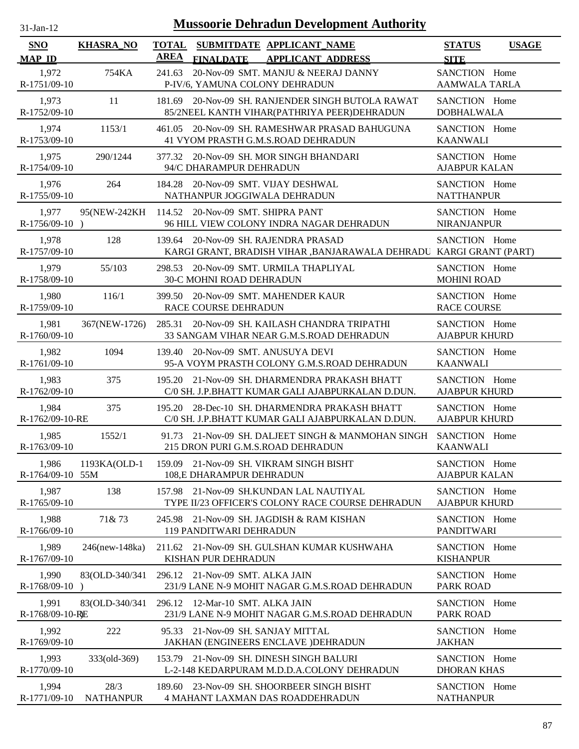| $31$ -Jan-12                |                  | <b>Mussoorie Dehradun Development Authority</b>                                                               |                                              |
|-----------------------------|------------------|---------------------------------------------------------------------------------------------------------------|----------------------------------------------|
| <b>SNO</b><br><b>MAP ID</b> | <b>KHASRA_NO</b> | SUBMITDATE APPLICANT_NAME<br><b>TOTAL</b><br><b>AREA</b><br><b>FINALDATE</b><br><b>APPLICANT ADDRESS</b>      | <b>STATUS</b><br><b>USAGE</b><br><b>SITE</b> |
| 1,972<br>R-1751/09-10       | 754KA            | 20-Nov-09 SMT. MANJU & NEERAJ DANNY<br>241.63<br>P-IV/6, YAMUNA COLONY DEHRADUN                               | SANCTION Home<br><b>AAMWALA TARLA</b>        |
| 1,973<br>R-1752/09-10       | 11               | 20-Nov-09 SH. RANJENDER SINGH BUTOLA RAWAT<br>181.69<br>85/2NEEL KANTH VIHAR(PATHRIYA PEER)DEHRADUN           | SANCTION Home<br><b>DOBHALWALA</b>           |
| 1,974<br>R-1753/09-10       | 1153/1           | 20-Nov-09 SH. RAMESHWAR PRASAD BAHUGUNA<br>461.05<br>41 VYOM PRASTH G.M.S.ROAD DEHRADUN                       | SANCTION Home<br><b>KAANWALI</b>             |
| 1,975<br>R-1754/09-10       | 290/1244         | 20-Nov-09 SH. MOR SINGH BHANDARI<br>377.32<br>94/C DHARAMPUR DEHRADUN                                         | SANCTION Home<br><b>AJABPUR KALAN</b>        |
| 1,976<br>R-1755/09-10       | 264              | 20-Nov-09 SMT. VIJAY DESHWAL<br>184.28<br>NATHANPUR JOGGIWALA DEHRADUN                                        | SANCTION Home<br><b>NATTHANPUR</b>           |
| 1,977<br>$R-1756/09-10$     | 95(NEW-242KH     | 114.52 20-Nov-09 SMT. SHIPRA PANT<br>96 HILL VIEW COLONY INDRA NAGAR DEHRADUN                                 | SANCTION Home<br><b>NIRANJANPUR</b>          |
| 1,978<br>R-1757/09-10       | 128              | 139.64<br>20-Nov-09 SH. RAJENDRA PRASAD<br>KARGI GRANT, BRADISH VIHAR ,BANJARAWALA DEHRADU KARGI GRANT (PART) | SANCTION Home                                |
| 1,979<br>R-1758/09-10       | 55/103           | 20-Nov-09 SMT. URMILA THAPLIYAL<br>298.53<br>30-C MOHNI ROAD DEHRADUN                                         | SANCTION Home<br><b>MOHINI ROAD</b>          |
| 1,980<br>R-1759/09-10       | 116/1            | 399.50<br>20-Nov-09 SMT. MAHENDER KAUR<br>RACE COURSE DEHRADUN                                                | SANCTION Home<br><b>RACE COURSE</b>          |
| 1,981<br>R-1760/09-10       | 367(NEW-1726)    | 285.31 20-Nov-09 SH. KAILASH CHANDRA TRIPATHI<br>33 SANGAM VIHAR NEAR G.M.S.ROAD DEHRADUN                     | SANCTION Home<br><b>AJABPUR KHURD</b>        |
| 1,982<br>R-1761/09-10       | 1094             | 20-Nov-09 SMT. ANUSUYA DEVI<br>139.40<br>95-A VOYM PRASTH COLONY G.M.S.ROAD DEHRADUN                          | SANCTION Home<br><b>KAANWALI</b>             |
| 1,983<br>R-1762/09-10       | 375              | 21-Nov-09 SH. DHARMENDRA PRAKASH BHATT<br>195.20<br>C/0 SH. J.P.BHATT KUMAR GALI AJABPURKALAN D.DUN.          | SANCTION Home<br><b>AJABPUR KHURD</b>        |
| 1,984<br>R-1762/09-10-RE    | 375              | 28-Dec-10 SH. DHARMENDRA PRAKASH BHATT<br>195.20<br>C/0 SH. J.P.BHATT KUMAR GALI AJABPURKALAN D.DUN.          | SANCTION Home<br><b>AJABPUR KHURD</b>        |
| 1,985<br>R-1763/09-10       | 1552/1           | 91.73 21-Nov-09 SH. DALJEET SINGH & MANMOHAN SINGH<br>215 DRON PURI G.M.S.ROAD DEHRADUN                       | SANCTION Home<br><b>KAANWALI</b>             |
| 1,986<br>R-1764/09-10 55M   | 1193KA(OLD-1     | 21-Nov-09 SH. VIKRAM SINGH BISHT<br>159.09<br>108,E DHARAMPUR DEHRADUN                                        | SANCTION Home<br><b>AJABPUR KALAN</b>        |
| 1,987<br>R-1765/09-10       | 138              | 157.98 21-Nov-09 SH.KUNDAN LAL NAUTIYAL<br>TYPE II/23 OFFICER'S COLONY RACE COURSE DEHRADUN                   | SANCTION Home<br><b>AJABPUR KHURD</b>        |
| 1,988<br>R-1766/09-10       | 71& 73           | 245.98 21-Nov-09 SH. JAGDISH & RAM KISHAN<br>119 PANDITWARI DEHRADUN                                          | SANCTION Home<br><b>PANDITWARI</b>           |
| 1,989<br>R-1767/09-10       | 246(new-148ka)   | 211.62 21-Nov-09 SH. GULSHAN KUMAR KUSHWAHA<br>KISHAN PUR DEHRADUN                                            | SANCTION Home<br><b>KISHANPUR</b>            |
| 1,990<br>R-1768/09-10       | 83(OLD-340/341)  | 296.12 21-Nov-09 SMT. ALKA JAIN<br>231/9 LANE N-9 MOHIT NAGAR G.M.S.ROAD DEHRADUN                             | SANCTION Home<br>PARK ROAD                   |
| 1,991<br>R-1768/09-10-RE    | 83(OLD-340/341   | 296.12 12-Mar-10 SMT. ALKA JAIN<br>231/9 LANE N-9 MOHIT NAGAR G.M.S.ROAD DEHRADUN                             | SANCTION Home<br>PARK ROAD                   |
| 1,992<br>R-1769/09-10       | 222              | 21-Nov-09 SH. SANJAY MITTAL<br>95.33<br>JAKHAN (ENGINEERS ENCLAVE )DEHRADUN                                   | SANCTION Home<br><b>JAKHAN</b>               |
| 1,993<br>R-1770/09-10       | 333(old-369)     | 153.79 21-Nov-09 SH. DINESH SINGH BALURI<br>L-2-148 KEDARPURAM M.D.D.A.COLONY DEHRADUN                        | SANCTION Home<br><b>DHORAN KHAS</b>          |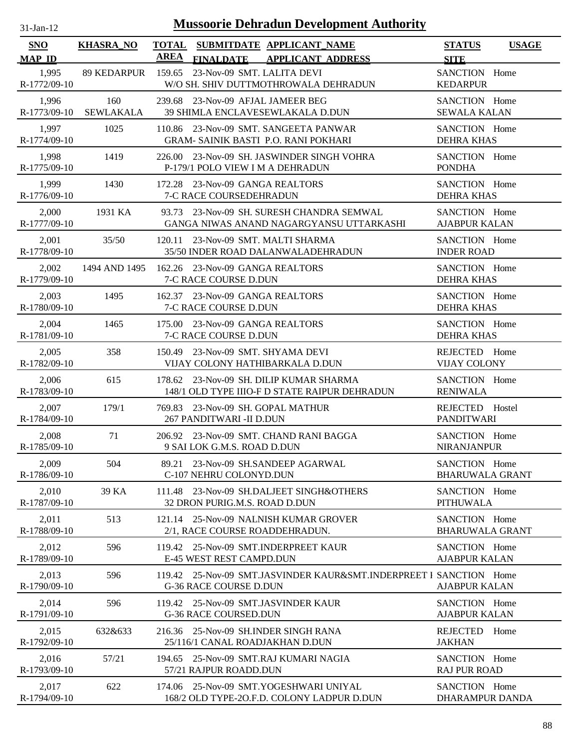| $31$ -Jan-12 |  |
|--------------|--|

| <b>SNO</b>            | <b>KHASRA_NO</b>        | <b>TOTAL</b> |                                 | SUBMITDATE APPLICANT NAME                                                                | <b>STATUS</b>                           | <b>USAGE</b> |
|-----------------------|-------------------------|--------------|---------------------------------|------------------------------------------------------------------------------------------|-----------------------------------------|--------------|
| <b>MAP ID</b>         |                         | <b>AREA</b>  | <b>FINALDATE</b>                | <b>APPLICANT ADDRESS</b>                                                                 | <b>SITE</b>                             |              |
| 1,995<br>R-1772/09-10 | 89 KEDARPUR             |              |                                 | 159.65 23-Nov-09 SMT. LALITA DEVI<br>W/O SH. SHIV DUTTMOTHROWALA DEHRADUN                | SANCTION Home<br><b>KEDARPUR</b>        |              |
| 1,996<br>R-1773/09-10 | 160<br><b>SEWLAKALA</b> |              |                                 | 239.68 23-Nov-09 AFJAL JAMEER BEG<br>39 SHIMLA ENCLAVESEWLAKALA D.DUN                    | SANCTION Home<br><b>SEWALA KALAN</b>    |              |
| 1,997<br>R-1774/09-10 | 1025                    |              |                                 | 110.86 23-Nov-09 SMT. SANGEETA PANWAR<br><b>GRAM- SAINIK BASTI P.O. RANI POKHARI</b>     | SANCTION Home<br><b>DEHRA KHAS</b>      |              |
| 1,998<br>R-1775/09-10 | 1419                    |              |                                 | 226.00 23-Nov-09 SH. JASWINDER SINGH VOHRA<br>P-179/1 POLO VIEW I M A DEHRADUN           | SANCTION Home<br><b>PONDHA</b>          |              |
| 1,999<br>R-1776/09-10 | 1430                    |              | 7-C RACE COURSEDEHRADUN         | 172.28 23-Nov-09 GANGA REALTORS                                                          | SANCTION Home<br><b>DEHRA KHAS</b>      |              |
| 2,000<br>R-1777/09-10 | 1931 KA                 |              |                                 | 93.73 23-Nov-09 SH. SURESH CHANDRA SEMWAL<br>GANGA NIWAS ANAND NAGARGYANSU UTTARKASHI    | SANCTION Home<br><b>AJABPUR KALAN</b>   |              |
| 2,001<br>R-1778/09-10 | 35/50                   |              |                                 | 120.11 23-Nov-09 SMT, MALTI SHARMA<br>35/50 INDER ROAD DALANWALADEHRADUN                 | SANCTION Home<br><b>INDER ROAD</b>      |              |
| 2,002<br>R-1779/09-10 | 1494 AND 1495           |              | <b>7-C RACE COURSE D.DUN</b>    | 162.26 23-Nov-09 GANGA REALTORS                                                          | SANCTION Home<br><b>DEHRA KHAS</b>      |              |
| 2,003<br>R-1780/09-10 | 1495                    |              | 7-C RACE COURSE D.DUN           | 162.37 23-Nov-09 GANGA REALTORS                                                          | SANCTION Home<br><b>DEHRA KHAS</b>      |              |
| 2,004<br>R-1781/09-10 | 1465                    |              | 7-C RACE COURSE D.DUN           | 175.00 23-Nov-09 GANGA REALTORS                                                          | SANCTION Home<br><b>DEHRA KHAS</b>      |              |
| 2,005<br>R-1782/09-10 | 358                     |              |                                 | 150.49 23-Nov-09 SMT. SHYAMA DEVI<br>VIJAY COLONY HATHIBARKALA D.DUN                     | REJECTED Home<br><b>VIJAY COLONY</b>    |              |
| 2,006<br>R-1783/09-10 | 615                     |              |                                 | 178.62 23-Nov-09 SH. DILIP KUMAR SHARMA<br>148/1 OLD TYPE IIIO-F D STATE RAIPUR DEHRADUN | SANCTION Home<br><b>RENIWALA</b>        |              |
| 2,007<br>R-1784/09-10 | 179/1                   |              | 267 PANDITWARI -II D.DUN        | 769.83 23-Nov-09 SH. GOPAL MATHUR                                                        | REJECTED Hostel<br><b>PANDITWARI</b>    |              |
| 2,008<br>R-1785/09-10 | 71                      |              | 9 SAI LOK G.M.S. ROAD D.DUN     | 206.92 23-Nov-09 SMT. CHAND RANI BAGGA                                                   | SANCTION Home<br><b>NIRANJANPUR</b>     |              |
| 2,009<br>R-1786/09-10 | 504                     |              | C-107 NEHRU COLONYD.DUN         | 89.21 23-Nov-09 SH.SANDEEP AGARWAL                                                       | SANCTION Home<br><b>BHARUWALA GRANT</b> |              |
| 2,010<br>R-1787/09-10 | 39 KA                   | 111.48       | 32 DRON PURIG.M.S. ROAD D.DUN   | 23-Nov-09 SH.DALJEET SINGH&OTHERS                                                        | SANCTION Home<br><b>PITHUWALA</b>       |              |
| 2,011<br>R-1788/09-10 | 513                     |              |                                 | 121.14 25-Nov-09 NALNISH KUMAR GROVER<br>2/1, RACE COURSE ROADDEHRADUN.                  | SANCTION Home<br><b>BHARUWALA GRANT</b> |              |
| 2,012<br>R-1789/09-10 | 596                     |              | <b>E-45 WEST REST CAMPD.DUN</b> | 119.42 25-Nov-09 SMT.INDERPREET KAUR                                                     | SANCTION Home<br><b>AJABPUR KALAN</b>   |              |
| 2,013<br>R-1790/09-10 | 596                     |              | G-36 RACE COURSE D.DUN          | 119.42 25-Nov-09 SMT.JASVINDER KAUR&SMT.INDERPREET I SANCTION Home                       | <b>AJABPUR KALAN</b>                    |              |
| 2,014<br>R-1791/09-10 | 596                     |              | <b>G-36 RACE COURSED.DUN</b>    | 119.42 25-Nov-09 SMT.JASVINDER KAUR                                                      | SANCTION Home<br><b>AJABPUR KALAN</b>   |              |
| 2,015<br>R-1792/09-10 | 632&633                 |              |                                 | 216.36 25-Nov-09 SH.INDER SINGH RANA<br>25/116/1 CANAL ROADJAKHAN D.DUN                  | REJECTED<br><b>JAKHAN</b>               | Home         |
| 2,016<br>R-1793/09-10 | 57/21                   | 194.65       | 57/21 RAJPUR ROADD.DUN          | 25-Nov-09 SMT.RAJ KUMARI NAGIA                                                           | SANCTION Home<br><b>RAJ PUR ROAD</b>    |              |
| 2,017<br>R-1794/09-10 | 622                     | 174.06       |                                 | 25-Nov-09 SMT.YOGESHWARI UNIYAL<br>168/2 OLD TYPE-20.F.D. COLONY LADPUR D.DUN            | SANCTION Home<br>DHARAMPUR DANDA        |              |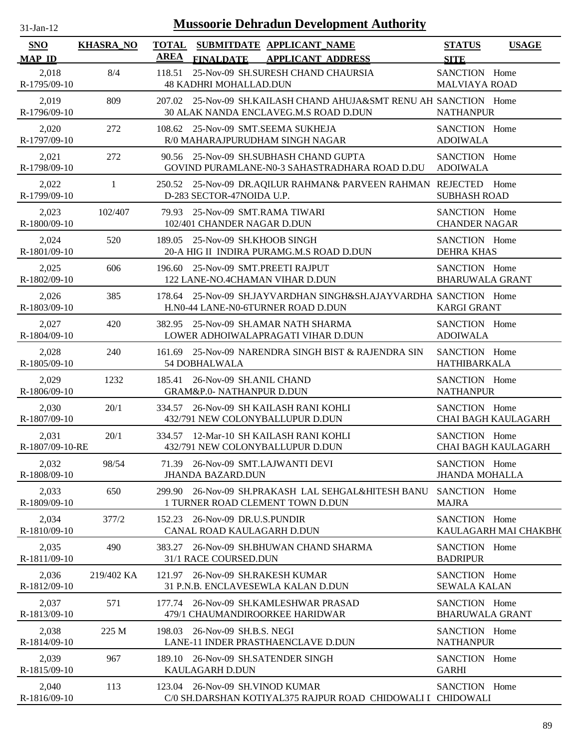| $31$ -Jan-12                |                  |             | <b>Mussoorie Dehradun Development Authority</b>                                                            |                                         |                            |
|-----------------------------|------------------|-------------|------------------------------------------------------------------------------------------------------------|-----------------------------------------|----------------------------|
| <b>SNO</b><br><b>MAP ID</b> | <b>KHASRA_NO</b> | <b>AREA</b> | TOTAL SUBMITDATE APPLICANT NAME<br><b>FINALDATE</b><br><b>APPLICANT ADDRESS</b>                            | <b>STATUS</b><br><b>SITE</b>            | <b>USAGE</b>               |
| 2,018<br>R-1795/09-10       | 8/4              | 118.51      | 25-Nov-09 SH.SURESH CHAND CHAURSIA<br><b>48 KADHRI MOHALLAD.DUN</b>                                        | SANCTION Home<br><b>MALVIAYA ROAD</b>   |                            |
| 2,019<br>R-1796/09-10       | 809              |             | 207.02 25-Nov-09 SH.KAILASH CHAND AHUJA&SMT RENU AH SANCTION Home<br>30 ALAK NANDA ENCLAVEG.M.S ROAD D.DUN | <b>NATHANPUR</b>                        |                            |
| 2,020<br>R-1797/09-10       | 272              |             | 108.62 25-Nov-09 SMT.SEEMA SUKHEJA<br>R/0 MAHARAJPURUDHAM SINGH NAGAR                                      | SANCTION Home<br><b>ADOIWALA</b>        |                            |
| 2,021<br>R-1798/09-10       | 272              |             | 90.56 25-Nov-09 SH.SUBHASH CHAND GUPTA<br>GOVIND PURAMLANE-N0-3 SAHASTRADHARA ROAD D.DU                    | SANCTION Home<br><b>ADOIWALA</b>        |                            |
| 2,022<br>R-1799/09-10       | 1                |             | 250.52 25-Nov-09 DR.AQILUR RAHMAN& PARVEEN RAHMAN REJECTED<br>D-283 SECTOR-47NOIDA U.P.                    | <b>SUBHASH ROAD</b>                     | Home                       |
| 2,023<br>R-1800/09-10       | 102/407          |             | 79.93 25-Nov-09 SMT.RAMA TIWARI<br>102/401 CHANDER NAGAR D.DUN                                             | SANCTION Home<br><b>CHANDER NAGAR</b>   |                            |
| 2,024<br>R-1801/09-10       | 520              |             | 189.05 25-Nov-09 SH.KHOOB SINGH<br>20-A HIG II INDIRA PURAMG.M.S ROAD D.DUN                                | SANCTION Home<br><b>DEHRA KHAS</b>      |                            |
| 2,025<br>R-1802/09-10       | 606              |             | 196.60 25-Nov-09 SMT.PREETI RAJPUT<br>122 LANE-NO.4CHAMAN VIHAR D.DUN                                      | SANCTION Home<br><b>BHARUWALA GRANT</b> |                            |
| 2,026<br>R-1803/09-10       | 385              |             | 178.64 25-Nov-09 SH.JAYVARDHAN SINGH&SH.AJAYVARDHA SANCTION Home<br>H.N0-44 LANE-N0-6TURNER ROAD D.DUN     | <b>KARGI GRANT</b>                      |                            |
| 2,027<br>R-1804/09-10       | 420              |             | 382.95 25-Nov-09 SH.AMAR NATH SHARMA<br>LOWER ADHOIWALAPRAGATI VIHAR D.DUN                                 | SANCTION Home<br><b>ADOIWALA</b>        |                            |
| 2,028<br>R-1805/09-10       | 240              | 161.69      | 25-Nov-09 NARENDRA SINGH BIST & RAJENDRA SIN<br>54 DOBHALWALA                                              | SANCTION Home<br><b>HATHIBARKALA</b>    |                            |
| 2,029<br>R-1806/09-10       | 1232             | 185.41      | 26-Nov-09 SH.ANIL CHAND<br>GRAM&P.0- NATHANPUR D.DUN                                                       | SANCTION Home<br><b>NATHANPUR</b>       |                            |
| 2,030<br>R-1807/09-10       | 20/1             |             | 334.57 26-Nov-09 SH KAILASH RANI KOHLI<br>432/791 NEW COLONYBALLUPUR D.DUN                                 | SANCTION Home                           | CHAI BAGH KAULAGARH        |
| 2,031<br>R-1807/09-10-RE    | 20/1             |             | 334.57 12-Mar-10 SH KAILASH RANI KOHLI<br>432/791 NEW COLONYBALLUPUR D.DUN                                 | SANCTION Home                           | <b>CHAI BAGH KAULAGARH</b> |
| 2,032<br>R-1808/09-10       | 98/54            |             | 71.39 26-Nov-09 SMT.LAJWANTI DEVI<br><b>JHANDA BAZARD.DUN</b>                                              | SANCTION Home<br><b>JHANDA MOHALLA</b>  |                            |
| 2,033<br>R-1809/09-10       | 650              |             | 299.90 26-Nov-09 SH.PRAKASH LAL SEHGAL&HITESH BANU<br>1 TURNER ROAD CLEMENT TOWN D.DUN                     | SANCTION Home<br><b>MAJRA</b>           |                            |
| 2,034<br>R-1810/09-10       | 377/2            |             | 152.23 26-Nov-09 DR.U.S.PUNDIR<br>CANAL ROAD KAULAGARH D.DUN                                               | SANCTION Home                           | KAULAGARH MAI CHAKBH(      |
| 2,035<br>R-1811/09-10       | 490              |             | 383.27 26-Nov-09 SH.BHUWAN CHAND SHARMA<br>31/1 RACE COURSED.DUN                                           | SANCTION Home<br><b>BADRIPUR</b>        |                            |
| 2,036<br>R-1812/09-10       | 219/402 KA       |             | 121.97 26-Nov-09 SH.RAKESH KUMAR<br>31 P.N.B. ENCLAVESEWLA KALAN D.DUN                                     | SANCTION Home<br><b>SEWALA KALAN</b>    |                            |
| 2,037<br>R-1813/09-10       | 571              |             | 177.74 26-Nov-09 SH.KAMLESHWAR PRASAD<br>479/1 CHAUMANDIROORKEE HARIDWAR                                   | SANCTION Home<br><b>BHARUWALA GRANT</b> |                            |
| 2,038<br>R-1814/09-10       | 225 M            |             | 198.03 26-Nov-09 SH.B.S. NEGI<br>LANE-11 INDER PRASTHAENCLAVE D.DUN                                        | SANCTION Home<br><b>NATHANPUR</b>       |                            |
| 2,039<br>R-1815/09-10       | 967              |             | 189.10 26-Nov-09 SH.SATENDER SINGH<br>KAULAGARH D.DUN                                                      | SANCTION Home<br><b>GARHI</b>           |                            |
| 2,040<br>R-1816/09-10       | 113              | 123.04      | 26-Nov-09 SH.VINOD KUMAR<br>C/0 SH.DARSHAN KOTIYAL375 RAJPUR ROAD CHIDOWALI I CHIDOWALI                    | SANCTION Home                           |                            |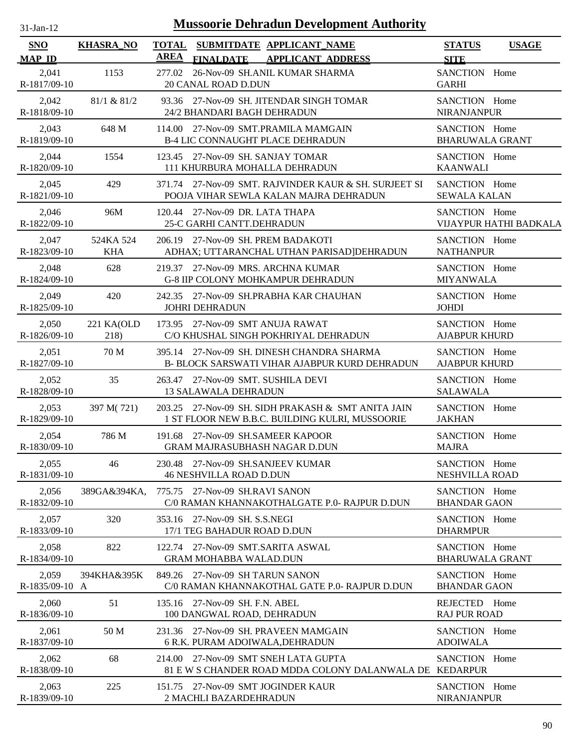| -Jan- |  |
|-------|--|
|       |  |

| <b>SNO</b>              | <b>KHASRA_NO</b>        | <b>TOTAL</b> |                                                                           | SUBMITDATE APPLICANT_NAME                                                                             |                                                         | <b>STATUS</b>                           | <b>USAGE</b>           |
|-------------------------|-------------------------|--------------|---------------------------------------------------------------------------|-------------------------------------------------------------------------------------------------------|---------------------------------------------------------|-----------------------------------------|------------------------|
| <b>MAP ID</b>           |                         | AREA         | <b>FINALDATE</b>                                                          | <b>APPLICANT ADDRESS</b>                                                                              |                                                         | <b>SITE</b>                             |                        |
| 2,041<br>R-1817/09-10   | 1153                    |              | <b>20 CANAL ROAD D.DUN</b>                                                | 277.02 26-Nov-09 SH.ANIL KUMAR SHARMA                                                                 |                                                         | SANCTION Home<br><b>GARHI</b>           |                        |
| 2,042<br>R-1818/09-10   | 81/1 & 81/2             |              | 24/2 BHANDARI BAGH DEHRADUN                                               | 93.36 27-Nov-09 SH. JITENDAR SINGH TOMAR                                                              |                                                         | SANCTION Home<br><b>NIRANJANPUR</b>     |                        |
| 2,043<br>R-1819/09-10   | 648 M                   |              |                                                                           | 114.00 27-Nov-09 SMT.PRAMILA MAMGAIN<br><b>B-4 LIC CONNAUGHT PLACE DEHRADUN</b>                       |                                                         | SANCTION Home<br><b>BHARUWALA GRANT</b> |                        |
| 2,044<br>R-1820/09-10   | 1554                    |              | 123.45 27-Nov-09 SH. SANJAY TOMAR<br>111 KHURBURA MOHALLA DEHRADUN        |                                                                                                       |                                                         | SANCTION Home<br><b>KAANWALI</b>        |                        |
| 2,045<br>R-1821/09-10   | 429                     |              |                                                                           | POOJA VIHAR SEWLA KALAN MAJRA DEHRADUN                                                                | 371.74 27-Nov-09 SMT. RAJVINDER KAUR & SH. SURJEET SI   | SANCTION Home<br><b>SEWALA KALAN</b>    |                        |
| 2,046<br>R-1822/09-10   | 96M                     |              | 120.44 27-Nov-09 DR. LATA THAPA<br>25-C GARHI CANTT.DEHRADUN              |                                                                                                       |                                                         | SANCTION Home                           | VIJAYPUR HATHI BADKALA |
| 2,047<br>R-1823/09-10   | 524KA 524<br><b>KHA</b> |              | 206.19 27-Nov-09 SH. PREM BADAKOTI                                        | ADHAX; UTTARANCHAL UTHAN PARISAD]DEHRADUN                                                             |                                                         | SANCTION Home<br><b>NATHANPUR</b>       |                        |
| 2,048<br>R-1824/09-10   | 628                     |              |                                                                           | 219.37 27-Nov-09 MRS. ARCHNA KUMAR<br><b>G-8 IIP COLONY MOHKAMPUR DEHRADUN</b>                        |                                                         | SANCTION Home<br><b>MIYANWALA</b>       |                        |
| 2,049<br>R-1825/09-10   | 420                     |              | JOHRI DEHRADUN                                                            | 242.35 27-Nov-09 SH.PRABHA KAR CHAUHAN                                                                |                                                         | SANCTION Home<br><b>JOHDI</b>           |                        |
| 2,050<br>R-1826/09-10   | 221 KA(OLD<br>218)      |              | 173.95 27-Nov-09 SMT ANUJA RAWAT                                          | C/O KHUSHAL SINGH POKHRIYAL DEHRADUN                                                                  |                                                         | SANCTION Home<br><b>AJABPUR KHURD</b>   |                        |
| 2,051<br>R-1827/09-10   | 70 M                    |              |                                                                           | 395.14 27-Nov-09 SH. DINESH CHANDRA SHARMA<br>B- BLOCK SARSWATI VIHAR AJABPUR KURD DEHRADUN           |                                                         | SANCTION Home<br><b>AJABPUR KHURD</b>   |                        |
| 2,052<br>R-1828/09-10   | 35                      |              | 263.47 27-Nov-09 SMT. SUSHILA DEVI<br><b>13 SALAWALA DEHRADUN</b>         |                                                                                                       |                                                         | SANCTION Home<br><b>SALAWALA</b>        |                        |
| 2,053<br>R-1829/09-10   | 397 M(721)              |              |                                                                           | 203.25 27-Nov-09 SH. SIDH PRAKASH & SMT ANITA JAIN<br>1 ST FLOOR NEW B.B.C. BUILDING KULRI, MUSSOORIE |                                                         | SANCTION Home<br><b>JAKHAN</b>          |                        |
| 2,054<br>R-1830/09-10   | 786 M                   |              | 191.68 27-Nov-09 SH.SAMEER KAPOOR<br><b>GRAM MAJRASUBHASH NAGAR D.DUN</b> |                                                                                                       |                                                         | SANCTION Home<br><b>MAJRA</b>           |                        |
| 2,055<br>R-1831/09-10   | 46                      |              | 230.48 27-Nov-09 SH.SANJEEV KUMAR<br><b>46 NESHVILLA ROAD D.DUN</b>       |                                                                                                       |                                                         | SANCTION Home<br>NESHVILLA ROAD         |                        |
| 2,056<br>R-1832/09-10   | 389GA&394KA,            |              | 775.75 27-Nov-09 SH.RAVI SANON                                            | C/0 RAMAN KHANNAKOTHALGATE P.0- RAJPUR D.DUN                                                          |                                                         | SANCTION Home<br><b>BHANDAR GAON</b>    |                        |
| 2,057<br>R-1833/09-10   | 320                     |              | 353.16 27-Nov-09 SH. S.S.NEGI<br>17/1 TEG BAHADUR ROAD D.DUN              |                                                                                                       |                                                         | SANCTION Home<br><b>DHARMPUR</b>        |                        |
| 2,058<br>R-1834/09-10   | 822                     |              | 122.74 27-Nov-09 SMT.SARITA ASWAL<br><b>GRAM MOHABBA WALAD.DUN</b>        |                                                                                                       |                                                         | SANCTION Home<br><b>BHARUWALA GRANT</b> |                        |
| 2,059<br>R-1835/09-10 A | 394KHA&395K             |              | 849.26 27-Nov-09 SH TARUN SANON                                           | C/0 RAMAN KHANNAKOTHAL GATE P.0- RAJPUR D.DUN                                                         |                                                         | SANCTION Home<br><b>BHANDAR GAON</b>    |                        |
| 2,060<br>R-1836/09-10   | 51                      |              | 135.16 27-Nov-09 SH. F.N. ABEL<br>100 DANGWAL ROAD, DEHRADUN              |                                                                                                       |                                                         | REJECTED Home<br><b>RAJ PUR ROAD</b>    |                        |
| 2,061<br>R-1837/09-10   | 50 M                    |              | 6 R.K. PURAM ADOIWALA, DEHRADUN                                           | 231.36 27-Nov-09 SH. PRAVEEN MAMGAIN                                                                  |                                                         | SANCTION Home<br><b>ADOIWALA</b>        |                        |
| 2,062<br>R-1838/09-10   | 68                      | 214.00       |                                                                           | 27-Nov-09 SMT SNEH LATA GUPTA                                                                         | 81 E W S CHANDER ROAD MDDA COLONY DALANWALA DE KEDARPUR | SANCTION Home                           |                        |
| 2,063<br>R-1839/09-10   | 225                     |              | 151.75 27-Nov-09 SMT JOGINDER KAUR<br>2 MACHLI BAZARDEHRADUN              |                                                                                                       |                                                         | SANCTION Home<br><b>NIRANJANPUR</b>     |                        |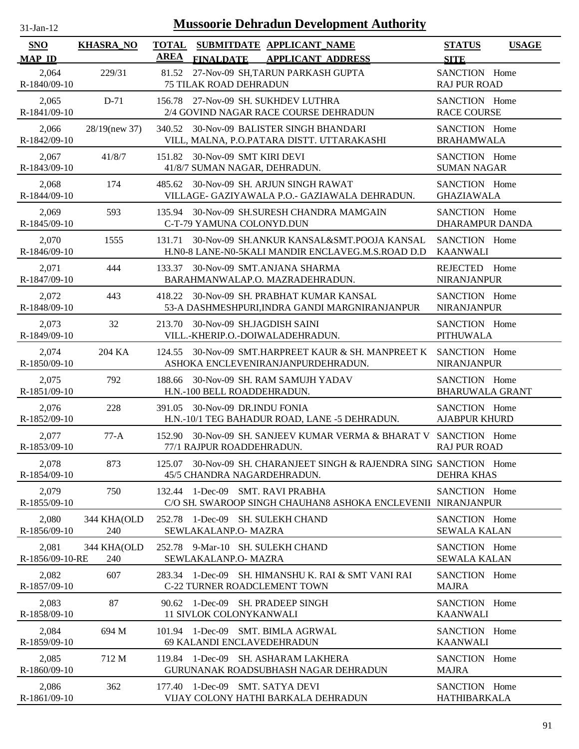| $31-Jan-12$              |                    | <b>Mussoorie Dehradun Development Authority</b>                                                                 |                                         |
|--------------------------|--------------------|-----------------------------------------------------------------------------------------------------------------|-----------------------------------------|
| SNO                      | <b>KHASRA_NO</b>   | <b>TOTAL</b><br>SUBMITDATE APPLICANT_NAME                                                                       | <b>STATUS</b><br><b>USAGE</b>           |
| <b>MAP ID</b>            |                    | AREA<br><b>FINALDATE</b><br><b>APPLICANT ADDRESS</b>                                                            | <b>SITE</b>                             |
| 2,064<br>R-1840/09-10    | 229/31             | 81.52 27-Nov-09 SH, TARUN PARKASH GUPTA<br><b>75 TILAK ROAD DEHRADUN</b>                                        | SANCTION Home<br><b>RAJ PUR ROAD</b>    |
| 2,065<br>R-1841/09-10    | $D-71$             | 156.78 27-Nov-09 SH. SUKHDEV LUTHRA<br>2/4 GOVIND NAGAR RACE COURSE DEHRADUN                                    | SANCTION Home<br><b>RACE COURSE</b>     |
| 2,066<br>R-1842/09-10    | 28/19(new 37)      | 340.52 30-Nov-09 BALISTER SINGH BHANDARI<br>VILL, MALNA, P.O.PATARA DISTT. UTTARAKASHI                          | SANCTION Home<br><b>BRAHAMWALA</b>      |
| 2,067<br>R-1843/09-10    | 41/8/7             | 30-Nov-09 SMT KIRI DEVI<br>151.82<br>41/8/7 SUMAN NAGAR, DEHRADUN.                                              | SANCTION Home<br><b>SUMAN NAGAR</b>     |
| 2,068<br>R-1844/09-10    | 174                | 30-Nov-09 SH. ARJUN SINGH RAWAT<br>485.62<br>VILLAGE- GAZIYAWALA P.O.- GAZIAWALA DEHRADUN.                      | SANCTION Home<br><b>GHAZIAWALA</b>      |
| 2,069<br>R-1845/09-10    | 593                | 30-Nov-09 SH.SURESH CHANDRA MAMGAIN<br>135.94<br>C-T-79 YAMUNA COLONYD.DUN                                      | SANCTION Home<br><b>DHARAMPUR DANDA</b> |
| 2,070<br>R-1846/09-10    | 1555               | 30-Nov-09 SH.ANKUR KANSAL&SMT.POOJA KANSAL<br>131.71<br>H.N0-8 LANE-N0-5KALI MANDIR ENCLAVEG.M.S.ROAD D.D       | SANCTION Home<br><b>KAANWALI</b>        |
| 2,071<br>R-1847/09-10    | 444                | 30-Nov-09 SMT.ANJANA SHARMA<br>133.37<br>BARAHMANWALAP.O. MAZRADEHRADUN.                                        | REJECTED Home<br><b>NIRANJANPUR</b>     |
| 2,072<br>R-1848/09-10    | 443                | 30-Nov-09 SH. PRABHAT KUMAR KANSAL<br>418.22<br>53-A DASHMESHPURI, INDRA GANDI MARGNIRANJANPUR                  | SANCTION Home<br><b>NIRANJANPUR</b>     |
| 2,073<br>R-1849/09-10    | 32                 | 30-Nov-09 SH.JAGDISH SAINI<br>213.70<br>VILL.-KHERIP.O.-DOIWALADEHRADUN.                                        | SANCTION Home<br><b>PITHUWALA</b>       |
| 2,074<br>R-1850/09-10    | 204 KA             | 30-Nov-09 SMT.HARPREET KAUR & SH. MANPREET K<br>124.55<br>ASHOKA ENCLEVENIRANJANPURDEHRADUN.                    | SANCTION Home<br><b>NIRANJANPUR</b>     |
| 2,075<br>R-1851/09-10    | 792                | 30-Nov-09 SH. RAM SAMUJH YADAV<br>188.66<br>H.N.-100 BELL ROADDEHRADUN.                                         | SANCTION Home<br><b>BHARUWALA GRANT</b> |
| 2,076<br>R-1852/09-10    | 228                | 30-Nov-09 DR.INDU FONIA<br>391.05<br>H.N.-10/1 TEG BAHADUR ROAD, LANE -5 DEHRADUN.                              | SANCTION Home<br><b>AJABPUR KHURD</b>   |
| 2,077<br>R-1853/09-10    | $77-A$             | 152.90 30-Nov-09 SH. SANJEEV KUMAR VERMA & BHARAT V SANCTION Home<br>77/1 RAJPUR ROADDEHRADUN.                  | <b>RAJ PUR ROAD</b>                     |
| 2,078<br>R-1854/09-10    | 873                | 30-Nov-09 SH. CHARANJEET SINGH & RAJENDRA SING SANCTION Home<br>125.07<br>45/5 CHANDRA NAGARDEHRADUN.           | <b>DEHRA KHAS</b>                       |
| 2,079<br>R-1855/09-10    | 750                | $1-Dec-09$<br><b>SMT. RAVI PRABHA</b><br>132.44<br>C/O SH. SWAROOP SINGH CHAUHAN8 ASHOKA ENCLEVENII NIRANJANPUR | SANCTION Home                           |
| 2,080<br>R-1856/09-10    | 344 KHA(OLD<br>240 | 1-Dec-09 SH. SULEKH CHAND<br>252.78<br>SEWLAKALANP.O- MAZRA                                                     | SANCTION Home<br><b>SEWALA KALAN</b>    |
| 2,081<br>R-1856/09-10-RE | 344 KHA(OLD<br>240 | 252.78 9-Mar-10 SH. SULEKH CHAND<br>SEWLAKALANP.O- MAZRA                                                        | SANCTION Home<br><b>SEWALA KALAN</b>    |
| 2,082<br>R-1857/09-10    | 607                | SH. HIMANSHU K. RAI & SMT VANI RAI<br>1-Dec-09<br>283.34<br>C-22 TURNER ROADCLEMENT TOWN                        | SANCTION Home<br><b>MAJRA</b>           |
| 2,083<br>R-1858/09-10    | 87                 | SH. PRADEEP SINGH<br>1-Dec-09<br>90.62<br><b>11 SIVLOK COLONYKANWALI</b>                                        | SANCTION Home<br><b>KAANWALI</b>        |
| 2,084<br>R-1859/09-10    | 694 M              | 101.94 1-Dec-09<br><b>SMT. BIMLA AGRWAL</b><br>69 KALANDI ENCLAVEDEHRADUN                                       | SANCTION Home<br><b>KAANWALI</b>        |
| 2,085<br>R-1860/09-10    | 712 M              | $1$ -Dec-09<br>SH. ASHARAM LAKHERA<br>119.84<br>GURUNANAK ROADSUBHASH NAGAR DEHRADUN                            | SANCTION Home<br><b>MAJRA</b>           |
| 2,086<br>R-1861/09-10    | 362                | 177.40 1-Dec-09 SMT. SATYA DEVI<br>VIJAY COLONY HATHI BARKALA DEHRADUN                                          | SANCTION Home<br><b>HATHIBARKALA</b>    |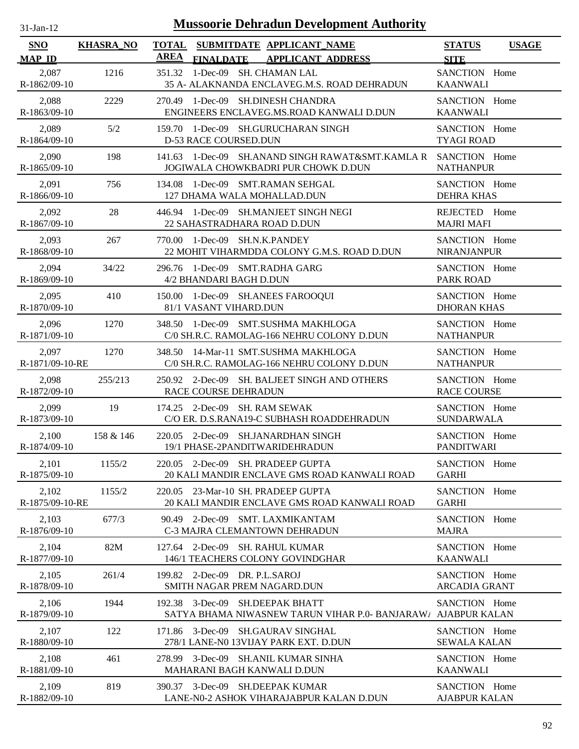| $31-Jan-12$                 | <b>Mussoorie Dehradun Development Authority</b> |                                                                                                  |                                       |              |  |  |  |  |
|-----------------------------|-------------------------------------------------|--------------------------------------------------------------------------------------------------|---------------------------------------|--------------|--|--|--|--|
| <b>SNO</b><br><b>MAP ID</b> | <b>KHASRA_NO</b>                                | TOTAL SUBMITDATE APPLICANT_NAME<br><b>AREA</b><br><b>FINALDATE</b><br><b>APPLICANT ADDRESS</b>   | <b>STATUS</b><br><b>SITE</b>          | <b>USAGE</b> |  |  |  |  |
| 2,087<br>R-1862/09-10       | 1216                                            | 1-Dec-09 SH. CHAMAN LAL<br>351.32<br>35 A- ALAKNANDA ENCLAVEG.M.S. ROAD DEHRADUN                 | SANCTION Home<br><b>KAANWALI</b>      |              |  |  |  |  |
| 2,088<br>R-1863/09-10       | 2229                                            | 270.49 1-Dec-09 SH.DINESH CHANDRA<br>ENGINEERS ENCLAVEG.MS.ROAD KANWALI D.DUN                    | SANCTION Home<br><b>KAANWALI</b>      |              |  |  |  |  |
| 2,089<br>R-1864/09-10       | 5/2                                             | 159.70 1-Dec-09 SH.GURUCHARAN SINGH<br>D-53 RACE COURSED.DUN                                     | SANCTION Home<br><b>TYAGI ROAD</b>    |              |  |  |  |  |
| 2,090<br>R-1865/09-10       | 198                                             | 1-Dec-09 SH.ANAND SINGH RAWAT&SMT.KAMLA R<br>141.63<br>JOGIWALA CHOWKBADRI PUR CHOWK D.DUN       | SANCTION Home<br><b>NATHANPUR</b>     |              |  |  |  |  |
| 2,091<br>R-1866/09-10       | 756                                             | 1-Dec-09 SMT.RAMAN SEHGAL<br>134.08<br>127 DHAMA WALA MOHALLAD.DUN                               | SANCTION Home<br><b>DEHRA KHAS</b>    |              |  |  |  |  |
| 2,092<br>R-1867/09-10       | 28                                              | 446.94 1-Dec-09 SH.MANJEET SINGH NEGI<br>22 SAHASTRADHARA ROAD D.DUN                             | REJECTED Home<br><b>MAJRI MAFI</b>    |              |  |  |  |  |
| 2,093<br>R-1868/09-10       | 267                                             | 770.00 1-Dec-09 SH.N.K.PANDEY<br>22 MOHIT VIHARMDDA COLONY G.M.S. ROAD D.DUN                     | SANCTION Home<br><b>NIRANJANPUR</b>   |              |  |  |  |  |
| 2,094<br>R-1869/09-10       | 34/22                                           | 296.76 1-Dec-09 SMT.RADHA GARG<br>4/2 BHANDARI BAGH D.DUN                                        | SANCTION Home<br>PARK ROAD            |              |  |  |  |  |
| 2,095<br>R-1870/09-10       | 410                                             | 150.00 1-Dec-09 SH.ANEES FAROOQUI<br>81/1 VASANT VIHARD.DUN                                      | SANCTION Home<br><b>DHORAN KHAS</b>   |              |  |  |  |  |
| 2,096<br>R-1871/09-10       | 1270                                            | 348.50 1-Dec-09 SMT.SUSHMA MAKHLOGA<br>C/0 SH.R.C. RAMOLAG-166 NEHRU COLONY D.DUN                | SANCTION Home<br><b>NATHANPUR</b>     |              |  |  |  |  |
| 2,097<br>R-1871/09-10-RE    | 1270                                            | 348.50 14-Mar-11 SMT.SUSHMA MAKHLOGA<br>C/0 SH.R.C. RAMOLAG-166 NEHRU COLONY D.DUN               | SANCTION Home<br><b>NATHANPUR</b>     |              |  |  |  |  |
| 2,098<br>R-1872/09-10       | 255/213                                         | 250.92 2-Dec-09 SH. BALJEET SINGH AND OTHERS<br>RACE COURSE DEHRADUN                             | SANCTION Home<br><b>RACE COURSE</b>   |              |  |  |  |  |
| 2,099<br>R-1873/09-10       | 19                                              | 174.25 2-Dec-09 SH. RAM SEWAK<br>C/O ER. D.S.RANA19-C SUBHASH ROADDEHRADUN                       | SANCTION Home<br><b>SUNDARWALA</b>    |              |  |  |  |  |
| 2,100<br>R-1874/09-10       | 158 & 146                                       | 220.05 2-Dec-09 SH.JANARDHAN SINGH<br>19/1 PHASE-2PANDITWARIDEHRADUN                             | SANCTION Home<br><b>PANDITWARI</b>    |              |  |  |  |  |
| 2,101<br>R-1875/09-10       | 1155/2                                          | 220.05 2-Dec-09 SH. PRADEEP GUPTA<br>20 KALI MANDIR ENCLAVE GMS ROAD KANWALI ROAD                | SANCTION Home<br><b>GARHI</b>         |              |  |  |  |  |
| 2,102<br>R-1875/09-10-RE    | 1155/2                                          | 220.05 23-Mar-10 SH. PRADEEP GUPTA<br>20 KALI MANDIR ENCLAVE GMS ROAD KANWALI ROAD               | SANCTION Home<br><b>GARHI</b>         |              |  |  |  |  |
| 2,103<br>R-1876/09-10       | 677/3                                           | 90.49 2-Dec-09 SMT. LAXMIKANTAM<br>C-3 MAJRA CLEMANTOWN DEHRADUN                                 | SANCTION Home<br><b>MAJRA</b>         |              |  |  |  |  |
| 2,104<br>R-1877/09-10       | 82M                                             | 127.64 2-Dec-09 SH. RAHUL KUMAR<br>146/1 TEACHERS COLONY GOVINDGHAR                              | SANCTION Home<br><b>KAANWALI</b>      |              |  |  |  |  |
| 2,105<br>R-1878/09-10       | 261/4                                           | 199.82 2-Dec-09 DR. P.L.SAROJ<br>SMITH NAGAR PREM NAGARD.DUN                                     | SANCTION Home<br><b>ARCADIA GRANT</b> |              |  |  |  |  |
| 2,106<br>R-1879/09-10       | 1944                                            | 192.38 3-Dec-09 SH.DEEPAK BHATT<br>SATYA BHAMA NIWASNEW TARUN VIHAR P.O- BANJARAW/ AJABPUR KALAN | SANCTION Home                         |              |  |  |  |  |
| 2,107<br>R-1880/09-10       | 122                                             | 171.86 3-Dec-09 SH.GAURAV SINGHAL<br>278/1 LANE-N0 13VIJAY PARK EXT. D.DUN                       | SANCTION Home<br><b>SEWALA KALAN</b>  |              |  |  |  |  |
| 2,108<br>R-1881/09-10       | 461                                             | 278.99 3-Dec-09 SH.ANIL KUMAR SINHA<br>MAHARANI BAGH KANWALI D.DUN                               | SANCTION Home<br><b>KAANWALI</b>      |              |  |  |  |  |
| 2,109<br>R-1882/09-10       | 819                                             | 390.37 3-Dec-09 SH.DEEPAK KUMAR<br>LANE-N0-2 ASHOK VIHARAJABPUR KALAN D.DUN                      | SANCTION Home<br><b>AJABPUR KALAN</b> |              |  |  |  |  |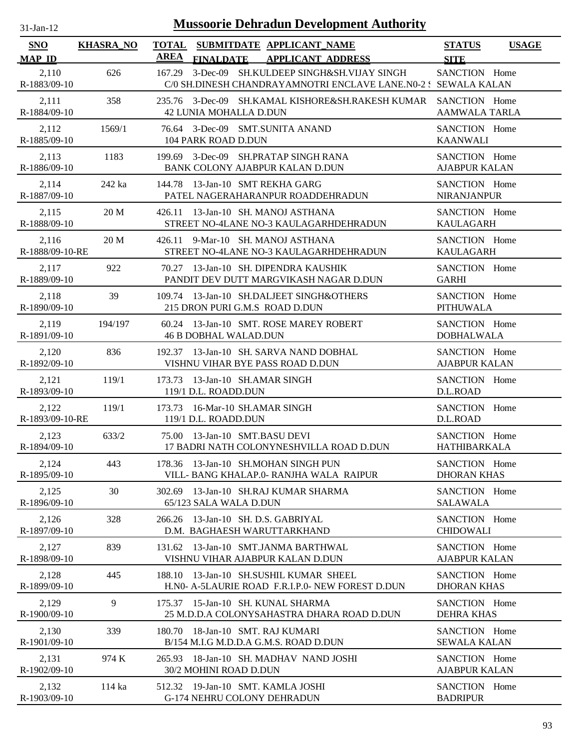| <b>Mussoorie Dehradun Development Authority</b><br>$31-Jan-12$ |                  |             |                                                                                                           |                                       |              |  |
|----------------------------------------------------------------|------------------|-------------|-----------------------------------------------------------------------------------------------------------|---------------------------------------|--------------|--|
| <b>SNO</b><br><b>MAP ID</b>                                    | <b>KHASRA_NO</b> | <b>AREA</b> | TOTAL SUBMITDATE APPLICANT NAME<br><b>FINALDATE</b><br><b>APPLICANT ADDRESS</b>                           | <b>STATUS</b><br><b>SITE</b>          | <b>USAGE</b> |  |
| 2,110<br>R-1883/09-10                                          | 626              | 167.29      | 3-Dec-09 SH.KULDEEP SINGH&SH.VIJAY SINGH<br>C/0 SH.DINESH CHANDRAYAMNOTRI ENCLAVE LANE.N0-2: SEWALA KALAN | SANCTION Home                         |              |  |
| 2,111<br>R-1884/09-10                                          | 358              |             | 235.76 3-Dec-09 SH.KAMAL KISHORE&SH.RAKESH KUMAR<br>42 LUNIA MOHALLA D.DUN                                | SANCTION Home<br><b>AAMWALA TARLA</b> |              |  |
| 2,112<br>R-1885/09-10                                          | 1569/1           |             | 76.64 3-Dec-09 SMT.SUNITA ANAND<br>104 PARK ROAD D.DUN                                                    | SANCTION Home<br><b>KAANWALI</b>      |              |  |
| 2,113<br>R-1886/09-10                                          | 1183             |             | 199.69 3-Dec-09 SH.PRATAP SINGH RANA<br>BANK COLONY AJABPUR KALAN D.DUN                                   | SANCTION Home<br><b>AJABPUR KALAN</b> |              |  |
| 2,114<br>R-1887/09-10                                          | 242 ka           | 144.78      | 13-Jan-10 SMT REKHA GARG<br>PATEL NAGERAHARANPUR ROADDEHRADUN                                             | SANCTION Home<br><b>NIRANJANPUR</b>   |              |  |
| 2,115<br>R-1888/09-10                                          | 20 M             |             | 426.11 13-Jan-10 SH. MANOJ ASTHANA<br>STREET NO-4LANE NO-3 KAULAGARHDEHRADUN                              | SANCTION Home<br><b>KAULAGARH</b>     |              |  |
| 2,116<br>R-1888/09-10-RE                                       | 20 M             |             | 426.11 9-Mar-10 SH. MANOJ ASTHANA<br>STREET NO-4LANE NO-3 KAULAGARHDEHRADUN                               | SANCTION Home<br><b>KAULAGARH</b>     |              |  |
| 2,117<br>R-1889/09-10                                          | 922              |             | 70.27 13-Jan-10 SH. DIPENDRA KAUSHIK<br>PANDIT DEV DUTT MARGVIKASH NAGAR D.DUN                            | SANCTION Home<br><b>GARHI</b>         |              |  |
| 2,118<br>R-1890/09-10                                          | 39               |             | 109.74 13-Jan-10 SH.DALJEET SINGH&OTHERS<br>215 DRON PURI G.M.S ROAD D.DUN                                | SANCTION Home<br><b>PITHUWALA</b>     |              |  |
| 2,119<br>R-1891/09-10                                          | 194/197          | 60.24       | 13-Jan-10 SMT. ROSE MAREY ROBERT<br><b>46 B DOBHAL WALAD.DUN</b>                                          | SANCTION Home<br><b>DOBHALWALA</b>    |              |  |
| 2,120<br>R-1892/09-10                                          | 836              |             | 192.37 13-Jan-10 SH. SARVA NAND DOBHAL<br>VISHNU VIHAR BYE PASS ROAD D.DUN                                | SANCTION Home<br><b>AJABPUR KALAN</b> |              |  |
| 2,121<br>R-1893/09-10                                          | 119/1            | 173.73      | 13-Jan-10 SH.AMAR SINGH<br>119/1 D.L. ROADD.DUN                                                           | SANCTION Home<br>D.L.ROAD             |              |  |
| 2,122<br>R-1893/09-10-RE                                       | 119/1            | 173.73      | 16-Mar-10 SH.AMAR SINGH<br>119/1 D.L. ROADD.DUN                                                           | SANCTION Home<br>D.L.ROAD             |              |  |
| 2,123<br>R-1894/09-10                                          | 633/2            |             | 75.00 13-Jan-10 SMT.BASU DEVI<br>17 BADRI NATH COLONYNESHVILLA ROAD D.DUN                                 | SANCTION Home<br><b>HATHIBARKALA</b>  |              |  |
| 2,124<br>R-1895/09-10                                          | 443              |             | 178.36 13-Jan-10 SH.MOHAN SINGH PUN<br>VILL- BANG KHALAP.0- RANJHA WALA RAIPUR                            | SANCTION Home<br><b>DHORAN KHAS</b>   |              |  |
| 2,125<br>R-1896/09-10                                          | 30               |             | 302.69 13-Jan-10 SH.RAJ KUMAR SHARMA<br>65/123 SALA WALA D.DUN                                            | SANCTION Home<br><b>SALAWALA</b>      |              |  |
| 2,126<br>R-1897/09-10                                          | 328              | 266.26      | 13-Jan-10 SH. D.S. GABRIYAL<br>D.M. BAGHAESH WARUTTARKHAND                                                | SANCTION Home<br><b>CHIDOWALI</b>     |              |  |
| 2,127<br>R-1898/09-10                                          | 839              |             | 131.62 13-Jan-10 SMT.JANMA BARTHWAL<br>VISHNU VIHAR AJABPUR KALAN D.DUN                                   | SANCTION Home<br><b>AJABPUR KALAN</b> |              |  |
| 2,128<br>R-1899/09-10                                          | 445              | 188.10      | 13-Jan-10 SH.SUSHIL KUMAR SHEEL<br>H.NO- A-5LAURIE ROAD F.R.I.P.O- NEW FOREST D.DUN                       | SANCTION Home<br><b>DHORAN KHAS</b>   |              |  |
| 2,129<br>R-1900/09-10                                          | 9                |             | 175.37 15-Jan-10 SH. KUNAL SHARMA<br>25 M.D.D.A COLONYSAHASTRA DHARA ROAD D.DUN                           | SANCTION Home<br><b>DEHRA KHAS</b>    |              |  |
| 2,130<br>R-1901/09-10                                          | 339              |             | 180.70 18-Jan-10 SMT. RAJ KUMARI<br>B/154 M.I.G M.D.D.A G.M.S. ROAD D.DUN                                 | SANCTION Home<br><b>SEWALA KALAN</b>  |              |  |
| 2,131<br>R-1902/09-10                                          | 974 K            |             | 265.93 18-Jan-10 SH. MADHAV NAND JOSHI<br>30/2 MOHINI ROAD D.DUN                                          | SANCTION Home<br><b>AJABPUR KALAN</b> |              |  |
| 2,132<br>R-1903/09-10                                          | 114 ka           |             | 512.32 19-Jan-10 SMT. KAMLA JOSHI<br><b>G-174 NEHRU COLONY DEHRADUN</b>                                   | SANCTION Home<br><b>BADRIPUR</b>      |              |  |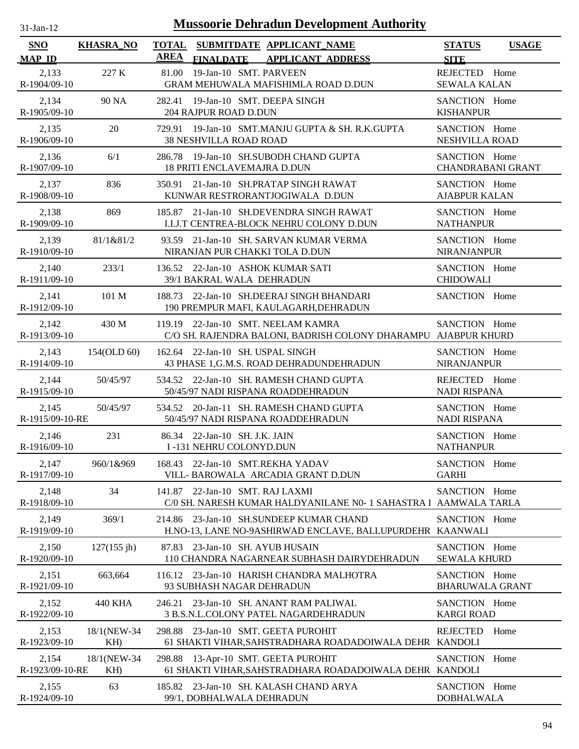| $31-Jan-12$                 | <b>Mussoorie Dehradun Development Authority</b> |             |                                                                                                      |                                           |              |  |  |
|-----------------------------|-------------------------------------------------|-------------|------------------------------------------------------------------------------------------------------|-------------------------------------------|--------------|--|--|
| <b>SNO</b><br><b>MAP ID</b> | <b>KHASRA_NO</b>                                | <b>AREA</b> | TOTAL SUBMITDATE APPLICANT_NAME<br><b>FINALDATE</b><br><b>APPLICANT ADDRESS</b>                      | <b>STATUS</b><br><b>SITE</b>              | <b>USAGE</b> |  |  |
| 2,133<br>R-1904/09-10       | 227 K                                           | 81.00       | 19-Jan-10 SMT. PARVEEN<br>GRAM MEHUWALA MAFISHIMLA ROAD D.DUN                                        | REJECTED Home<br><b>SEWALA KALAN</b>      |              |  |  |
| 2,134<br>R-1905/09-10       | 90 NA                                           |             | 282.41 19-Jan-10 SMT. DEEPA SINGH<br>204 RAJPUR ROAD D.DUN                                           | SANCTION Home<br><b>KISHANPUR</b>         |              |  |  |
| 2,135<br>R-1906/09-10       | 20                                              |             | 729.91 19-Jan-10 SMT.MANJU GUPTA & SH. R.K.GUPTA<br><b>38 NESHVILLA ROAD ROAD</b>                    | SANCTION Home<br>NESHVILLA ROAD           |              |  |  |
| 2,136<br>R-1907/09-10       | 6/1                                             | 286.78      | 19-Jan-10 SH.SUBODH CHAND GUPTA<br><b>18 PRITI ENCLAVEMAJRA D.DUN</b>                                | SANCTION Home<br><b>CHANDRABANI GRANT</b> |              |  |  |
| 2,137<br>R-1908/09-10       | 836                                             | 350.91      | 21-Jan-10 SH.PRATAP SINGH RAWAT<br>KUNWAR RESTRORANTJOGIWALA D.DUN                                   | SANCTION Home<br><b>AJABPUR KALAN</b>     |              |  |  |
| 2,138<br>R-1909/09-10       | 869                                             | 185.87      | 21-Jan-10 SH.DEVENDRA SINGH RAWAT<br>I.I.J.T CENTREA-BLOCK NEHRU COLONY D.DUN                        | SANCTION Home<br><b>NATHANPUR</b>         |              |  |  |
| 2,139<br>R-1910/09-10       | 81/1&81/2                                       |             | 93.59 21-Jan-10 SH. SARVAN KUMAR VERMA<br>NIRANJAN PUR CHAKKI TOLA D.DUN                             | SANCTION Home<br><b>NIRANJANPUR</b>       |              |  |  |
| 2,140<br>R-1911/09-10       | 233/1                                           |             | 136.52 22-Jan-10 ASHOK KUMAR SATI<br>39/1 BAKRAL WALA DEHRADUN                                       | SANCTION Home<br><b>CHIDOWALI</b>         |              |  |  |
| 2,141<br>R-1912/09-10       | 101 M                                           |             | 188.73 22-Jan-10 SH.DEERAJ SINGH BHANDARI<br>190 PREMPUR MAFI, KAULAGARH, DEHRADUN                   | SANCTION Home                             |              |  |  |
| 2,142<br>R-1913/09-10       | 430 M                                           |             | 119.19 22-Jan-10 SMT. NEELAM KAMRA<br>C/O SH. RAJENDRA BALONI, BADRISH COLONY DHARAMPU AJABPUR KHURD | SANCTION Home                             |              |  |  |
| 2,143<br>R-1914/09-10       | 154(OLD 60)                                     |             | 162.64 22-Jan-10 SH. USPAL SINGH<br>43 PHASE 1, G.M.S. ROAD DEHRADUNDEHRADUN                         | SANCTION Home<br><b>NIRANJANPUR</b>       |              |  |  |
| 2,144<br>R-1915/09-10       | 50/45/97                                        |             | 534.52 22-Jan-10 SH. RAMESH CHAND GUPTA<br>50/45/97 NADI RISPANA ROADDEHRADUN                        | REJECTED Home<br><b>NADI RISPANA</b>      |              |  |  |
| 2,145<br>R-1915/09-10-RE    | 50/45/97                                        |             | 534.52 20-Jan-11 SH. RAMESH CHAND GUPTA<br>50/45/97 NADI RISPANA ROADDEHRADUN                        | SANCTION Home<br><b>NADI RISPANA</b>      |              |  |  |
| 2,146<br>R-1916/09-10       | 231                                             |             | 86.34 22-Jan-10 SH, J.K. JAIN<br>I-131 NEHRU COLONYD.DUN                                             | SANCTION Home<br><b>NATHANPUR</b>         |              |  |  |
| 2,147<br>R-1917/09-10       | 960/1&969                                       | 168.43      | 22-Jan-10 SMT.REKHA YADAV<br>VILL- BAROWALA ARCADIA GRANT D.DUN                                      | SANCTION Home<br><b>GARHI</b>             |              |  |  |
| 2,148<br>R-1918/09-10       | 34                                              | 141.87      | 22-Jan-10 SMT. RAJ LAXMI<br>C/0 SH. NARESH KUMAR HALDYANILANE N0-1 SAHASTRA 1                        | SANCTION Home<br>AAMWALA TARLA            |              |  |  |
| 2,149<br>R-1919/09-10       | 369/1                                           |             | 214.86 23-Jan-10 SH.SUNDEEP KUMAR CHAND<br>H.NO-13, LANE NO-9ASHIRWAD ENCLAVE, BALLUPURDEHR KAANWALI | SANCTION Home                             |              |  |  |
| 2,150<br>R-1920/09-10       | 127(155 jh)                                     |             | 87.83 23-Jan-10 SH. AYUB HUSAIN<br>110 CHANDRA NAGARNEAR SUBHASH DAIRYDEHRADUN                       | SANCTION Home<br><b>SEWALA KHURD</b>      |              |  |  |
| 2,151<br>R-1921/09-10       | 663,664                                         |             | 116.12 23-Jan-10 HARISH CHANDRA MALHOTRA<br>93 SUBHASH NAGAR DEHRADUN                                | SANCTION Home<br><b>BHARUWALA GRANT</b>   |              |  |  |
| 2,152<br>R-1922/09-10       | 440 KHA                                         | 246.21      | 23-Jan-10 SH. ANANT RAM PALIWAL<br>3 B.S.N.L.COLONY PATEL NAGARDEHRADUN                              | SANCTION Home<br><b>KARGI ROAD</b>        |              |  |  |
| 2,153<br>R-1923/09-10       | 18/1(NEW-34<br>KH)                              |             | 298.88 23-Jan-10 SMT. GEETA PUROHIT<br>61 SHAKTI VIHAR, SAHSTRADHARA ROADADOIWALA DEHR KANDOLI       | REJECTED                                  | Home         |  |  |
| 2,154<br>R-1923/09-10-RE    | 18/1(NEW-34<br>KH)                              |             | 298.88 13-Apr-10 SMT. GEETA PUROHIT<br>61 SHAKTI VIHAR, SAHSTRADHARA ROADADOIWALA DEHR KANDOLI       | SANCTION Home                             |              |  |  |
| 2,155<br>R-1924/09-10       | 63                                              |             | 185.82 23-Jan-10 SH. KALASH CHAND ARYA<br>99/1, DOBHALWALA DEHRADUN                                  | SANCTION Home<br><b>DOBHALWALA</b>        |              |  |  |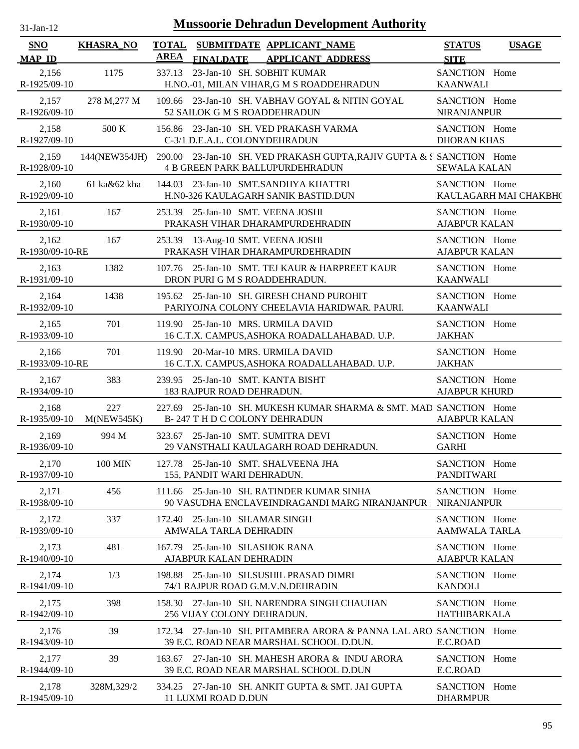| SNO                      | <b>KHASRA_NO</b>  | <b>TOTAL</b> |                            | SUBMITDATE APPLICANT NAME                                                                                                     | <b>STATUS</b>                         | <b>USAGE</b>          |
|--------------------------|-------------------|--------------|----------------------------|-------------------------------------------------------------------------------------------------------------------------------|---------------------------------------|-----------------------|
| <b>MAP ID</b>            |                   | AREA         | <b>FINALDATE</b>           | <b>APPLICANT ADDRESS</b>                                                                                                      | <b>SITE</b>                           |                       |
| 2,156<br>R-1925/09-10    | 1175              | 337.13       |                            | 23-Jan-10 SH. SOBHIT KUMAR<br>H.NO.-01, MILAN VIHAR, GM S ROADDEHRADUN                                                        | SANCTION Home<br><b>KAANWALI</b>      |                       |
| 2,157<br>R-1926/09-10    | 278 M, 277 M      |              |                            | 109.66 23-Jan-10 SH. VABHAV GOYAL & NITIN GOYAL<br>52 SAILOK G M S ROADDEHRADUN                                               | SANCTION Home<br><b>NIRANJANPUR</b>   |                       |
| 2,158<br>R-1927/09-10    | 500 K             |              |                            | 156.86 23-Jan-10 SH. VED PRAKASH VARMA<br>C-3/1 D.E.A.L. COLONYDEHRADUN                                                       | SANCTION Home<br><b>DHORAN KHAS</b>   |                       |
| 2,159<br>R-1928/09-10    |                   |              |                            | 144(NEW354JH) 290.00 23-Jan-10 SH. VED PRAKASH GUPTA, RAJIV GUPTA & S SANCTION Home<br><b>4 B GREEN PARK BALLUPURDEHRADUN</b> | <b>SEWALA KALAN</b>                   |                       |
| 2,160<br>R-1929/09-10    | 61 ka&62 kha      | 144.03       |                            | 23-Jan-10 SMT.SANDHYA KHATTRI<br>H.N0-326 KAULAGARH SANIK BASTID.DUN                                                          | SANCTION Home                         | KAULAGARH MAI CHAKBH( |
| 2,161<br>R-1930/09-10    | 167               |              |                            | 253.39 25-Jan-10 SMT. VEENA JOSHI<br>PRAKASH VIHAR DHARAMPURDEHRADIN                                                          | SANCTION Home<br><b>AJABPUR KALAN</b> |                       |
| 2,162<br>R-1930/09-10-RE | 167               |              |                            | 253.39 13-Aug-10 SMT. VEENA JOSHI<br>PRAKASH VIHAR DHARAMPURDEHRADIN                                                          | SANCTION Home<br><b>AJABPUR KALAN</b> |                       |
| 2,163<br>R-1931/09-10    | 1382              |              |                            | 107.76 25-Jan-10 SMT. TEJ KAUR & HARPREET KAUR<br>DRON PURI G M S ROADDEHRADUN.                                               | SANCTION Home<br><b>KAANWALI</b>      |                       |
| 2,164<br>R-1932/09-10    | 1438              |              |                            | 195.62 25-Jan-10 SH. GIRESH CHAND PUROHIT<br>PARIYOJNA COLONY CHEELAVIA HARIDWAR. PAURI.                                      | SANCTION Home<br><b>KAANWALI</b>      |                       |
| 2,165<br>R-1933/09-10    | 701               |              |                            | 119.90 25-Jan-10 MRS. URMILA DAVID<br>16 C.T.X. CAMPUS, ASHOKA ROADALLAHABAD. U.P.                                            | SANCTION Home<br><b>JAKHAN</b>        |                       |
| 2,166<br>R-1933/09-10-RE | 701               |              |                            | 119.90 20-Mar-10 MRS. URMILA DAVID<br>16 C.T.X. CAMPUS, ASHOKA ROADALLAHABAD. U.P.                                            | SANCTION Home<br><b>JAKHAN</b>        |                       |
| 2,167<br>R-1934/09-10    | 383               |              | 183 RAJPUR ROAD DEHRADUN.  | 239.95 25-Jan-10 SMT. KANTA BISHT                                                                                             | SANCTION Home<br><b>AJABPUR KHURD</b> |                       |
| 2,168<br>R-1935/09-10    | 227<br>M(NEW545K) |              |                            | 227.69 25-Jan-10 SH. MUKESH KUMAR SHARMA & SMT. MAD SANCTION Home<br><b>B-247 T H D C COLONY DEHRADUN</b>                     | <b>AJABPUR KALAN</b>                  |                       |
| 2,169<br>R-1936/09-10    | 994 M             |              |                            | 323.67 25-Jan-10 SMT. SUMITRA DEVI<br>29 VANSTHALI KAULAGARH ROAD DEHRADUN.                                                   | SANCTION Home<br><b>GARHI</b>         |                       |
| 2,170<br>R-1937/09-10    | <b>100 MIN</b>    |              | 155, PANDIT WARI DEHRADUN. | 127.78 25-Jan-10 SMT. SHALVEENA JHA                                                                                           | SANCTION Home<br><b>PANDITWARI</b>    |                       |
| 2,171<br>R-1938/09-10    | 456               |              |                            | 111.66 25-Jan-10 SH. RATINDER KUMAR SINHA<br>90 VASUDHA ENCLAVEINDRAGANDI MARG NIRANJANPURT                                   | SANCTION Home<br><b>NIRANJANPUR</b>   |                       |
| 2,172<br>R-1939/09-10    | 337               |              | AMWALA TARLA DEHRADIN      | 172.40 25-Jan-10 SH.AMAR SINGH                                                                                                | SANCTION Home<br>AAMWALA TARLA        |                       |
| 2,173<br>R-1940/09-10    | 481               |              | AJABPUR KALAN DEHRADIN     | 167.79 25-Jan-10 SH.ASHOK RANA                                                                                                | SANCTION Home<br><b>AJABPUR KALAN</b> |                       |
| 2,174<br>R-1941/09-10    | 1/3               |              |                            | 198.88 25-Jan-10 SH.SUSHIL PRASAD DIMRI<br>74/1 RAJPUR ROAD G.M.V.N.DEHRADIN                                                  | SANCTION Home<br><b>KANDOLI</b>       |                       |
| 2,175<br>R-1942/09-10    | 398               |              | 256 VIJAY COLONY DEHRADUN. | 158.30 27-Jan-10 SH. NARENDRA SINGH CHAUHAN                                                                                   | SANCTION Home<br>HATHIBARKALA         |                       |
| 2,176<br>R-1943/09-10    | 39                |              |                            | 172.34 27-Jan-10 SH. PITAMBERA ARORA & PANNA LAL ARO SANCTION Home<br>39 E.C. ROAD NEAR MARSHAL SCHOOL D.DUN.                 | E.C.ROAD                              |                       |
| 2,177<br>R-1944/09-10    | 39                |              |                            | 163.67 27-Jan-10 SH. MAHESH ARORA & INDU ARORA<br>39 E.C. ROAD NEAR MARSHAL SCHOOL D.DUN                                      | SANCTION Home<br>E.C.ROAD             |                       |
| 2,178<br>R-1945/09-10    | 328M, 329/2       |              | <b>11 LUXMI ROAD D.DUN</b> | 334.25 27-Jan-10 SH, ANKIT GUPTA & SMT, JAI GUPTA                                                                             | SANCTION Home<br><b>DHARMPUR</b>      |                       |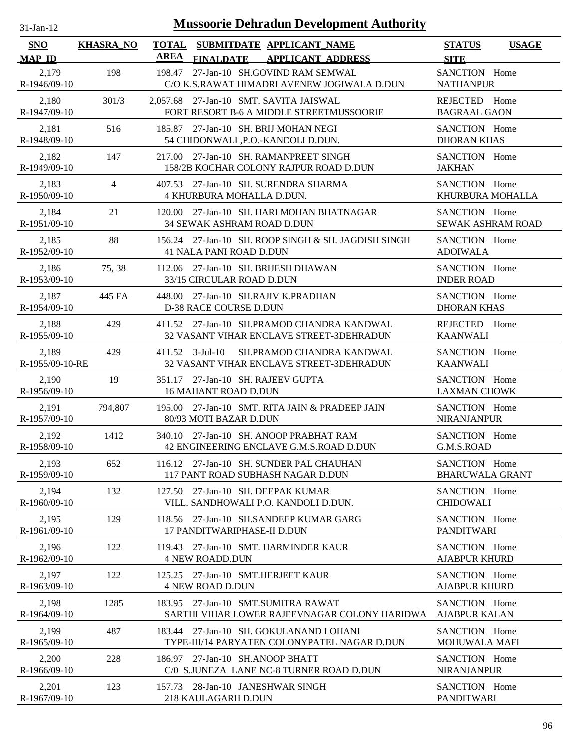| <b>Mussoorie Dehradun Development Authority</b><br>$31$ -Jan-12 |                  |                                                                                                          |                                              |  |  |  |  |
|-----------------------------------------------------------------|------------------|----------------------------------------------------------------------------------------------------------|----------------------------------------------|--|--|--|--|
| <b>SNO</b><br><b>MAP ID</b>                                     | <b>KHASRA_NO</b> | <b>TOTAL</b><br>SUBMITDATE APPLICANT_NAME<br><b>AREA</b><br><b>APPLICANT ADDRESS</b><br><b>FINALDATE</b> | <b>STATUS</b><br><b>USAGE</b><br><b>SITE</b> |  |  |  |  |
| 2,179<br>R-1946/09-10                                           | 198              | 27-Jan-10 SH.GOVIND RAM SEMWAL<br>198.47<br>C/O K.S.RAWAT HIMADRI AVENEW JOGIWALA D.DUN                  | SANCTION Home<br><b>NATHANPUR</b>            |  |  |  |  |
| 2,180                                                           | 301/3            | 2,057.68 27-Jan-10 SMT. SAVITA JAISWAL                                                                   | REJECTED Home                                |  |  |  |  |
| R-1947/09-10                                                    |                  | FORT RESORT B-6 A MIDDLE STREETMUSSOORIE                                                                 | <b>BAGRAAL GAON</b>                          |  |  |  |  |
| 2,181                                                           | 516              | 185.87 27-Jan-10 SH. BRIJ MOHAN NEGI                                                                     | SANCTION Home                                |  |  |  |  |
| R-1948/09-10                                                    |                  | 54 CHIDONWALI ,P.O.-KANDOLI D.DUN.                                                                       | <b>DHORAN KHAS</b>                           |  |  |  |  |
| 2,182<br>R-1949/09-10                                           | 147              | 27-Jan-10 SH. RAMANPREET SINGH<br>217.00<br>158/2B KOCHAR COLONY RAJPUR ROAD D.DUN                       | SANCTION Home<br><b>JAKHAN</b>               |  |  |  |  |
| 2,183                                                           | $\overline{4}$   | 407.53 27-Jan-10 SH. SURENDRA SHARMA                                                                     | SANCTION Home                                |  |  |  |  |
| R-1950/09-10                                                    |                  | 4 KHURBURA MOHALLA D.DUN.                                                                                | KHURBURA MOHALLA                             |  |  |  |  |
| 2,184                                                           | 21               | 120.00 27-Jan-10 SH. HARI MOHAN BHATNAGAR                                                                | SANCTION Home                                |  |  |  |  |
| R-1951/09-10                                                    |                  | <b>34 SEWAK ASHRAM ROAD D.DUN</b>                                                                        | <b>SEWAK ASHRAM ROAD</b>                     |  |  |  |  |
| 2,185                                                           | 88               | 156.24 27-Jan-10 SH. ROOP SINGH & SH. JAGDISH SINGH                                                      | SANCTION Home                                |  |  |  |  |
| R-1952/09-10                                                    |                  | 41 NALA PANI ROAD D.DUN                                                                                  | <b>ADOIWALA</b>                              |  |  |  |  |
| 2,186                                                           | 75, 38           | 112.06 27-Jan-10 SH. BRIJESH DHAWAN                                                                      | SANCTION Home                                |  |  |  |  |
| $R-1953/09-10$                                                  |                  | 33/15 CIRCULAR ROAD D.DUN                                                                                | <b>INDER ROAD</b>                            |  |  |  |  |
| 2,187                                                           | 445 FA           | 448.00 27-Jan-10 SH.RAJIV K.PRADHAN                                                                      | SANCTION Home                                |  |  |  |  |
| R-1954/09-10                                                    |                  | D-38 RACE COURSE D.DUN                                                                                   | <b>DHORAN KHAS</b>                           |  |  |  |  |
| 2,188<br>R-1955/09-10                                           | 429              | 411.52 27-Jan-10 SH.PRAMOD CHANDRA KANDWAL<br>32 VASANT VIHAR ENCLAVE STREET-3DEHRADUN                   | REJECTED<br>Home<br><b>KAANWALI</b>          |  |  |  |  |
| 2,189<br>R-1955/09-10-RE                                        | 429              | $411.52$ 3-Jul-10<br>SH.PRAMOD CHANDRA KANDWAL<br>32 VASANT VIHAR ENCLAVE STREET-3DEHRADUN               | SANCTION Home<br><b>KAANWALI</b>             |  |  |  |  |
| 2,190                                                           | 19               | 351.17 27-Jan-10 SH, RAJEEV GUPTA                                                                        | SANCTION Home                                |  |  |  |  |
| R-1956/09-10                                                    |                  | <b>16 MAHANT ROAD D.DUN</b>                                                                              | <b>LAXMAN CHOWK</b>                          |  |  |  |  |
| 2,191                                                           | 794,807          | 195.00 27-Jan-10 SMT. RITA JAIN & PRADEEP JAIN                                                           | SANCTION Home                                |  |  |  |  |
| R-1957/09-10                                                    |                  | 80/93 MOTI BAZAR D.DUN                                                                                   | <b>NIRANJANPUR</b>                           |  |  |  |  |
| 2,192                                                           | 1412             | 340.10 27-Jan-10 SH. ANOOP PRABHAT RAM                                                                   | SANCTION Home                                |  |  |  |  |
| R-1958/09-10                                                    |                  | 42 ENGINEERING ENCLAVE G.M.S.ROAD D.DUN                                                                  | G.M.S.ROAD                                   |  |  |  |  |
| 2,193                                                           | 652              | 116.12 27-Jan-10 SH. SUNDER PAL CHAUHAN                                                                  | SANCTION Home                                |  |  |  |  |
| R-1959/09-10                                                    |                  | 117 PANT ROAD SUBHASH NAGAR D.DUN                                                                        | <b>BHARUWALA GRANT</b>                       |  |  |  |  |
| 2,194<br>R-1960/09-10                                           | 132              | 27-Jan-10 SH. DEEPAK KUMAR<br>127.50<br>VILL. SANDHOWALI P.O. KANDOLI D.DUN.                             | SANCTION Home<br><b>CHIDOWALI</b>            |  |  |  |  |
| 2,195                                                           | 129              | 118.56 27-Jan-10 SH.SANDEEP KUMAR GARG                                                                   | SANCTION Home                                |  |  |  |  |
| R-1961/09-10                                                    |                  | 17 PANDITWARIPHASE-II D.DUN                                                                              | <b>PANDITWARI</b>                            |  |  |  |  |
| 2,196                                                           | 122              | 119.43 27-Jan-10 SMT. HARMINDER KAUR                                                                     | SANCTION Home                                |  |  |  |  |
| R-1962/09-10                                                    |                  | <b>4 NEW ROADD.DUN</b>                                                                                   | <b>AJABPUR KHURD</b>                         |  |  |  |  |
| 2,197                                                           | 122              | 125.25 27-Jan-10 SMT.HERJEET KAUR                                                                        | SANCTION Home                                |  |  |  |  |
| R-1963/09-10                                                    |                  | <b>4 NEW ROAD D.DUN</b>                                                                                  | <b>AJABPUR KHURD</b>                         |  |  |  |  |
| 2,198                                                           | 1285             | 183.95 27-Jan-10 SMT.SUMITRA RAWAT                                                                       | SANCTION Home                                |  |  |  |  |
| R-1964/09-10                                                    |                  | SARTHI VIHAR LOWER RAJEEVNAGAR COLONY HARIDWA                                                            | <b>AJABPUR KALAN</b>                         |  |  |  |  |
| 2,199                                                           | 487              | 183.44 27-Jan-10 SH. GOKULANAND LOHANI                                                                   | SANCTION Home                                |  |  |  |  |
| R-1965/09-10                                                    |                  | TYPE-III/14 PARYATEN COLONYPATEL NAGAR D.DUN                                                             | MOHUWALA MAFI                                |  |  |  |  |
| 2,200                                                           | 228              | 186.97 27-Jan-10 SH.ANOOP BHATT                                                                          | SANCTION Home                                |  |  |  |  |
| R-1966/09-10                                                    |                  | C/0 S.JUNEZA LANE NC-8 TURNER ROAD D.DUN                                                                 | <b>NIRANJANPUR</b>                           |  |  |  |  |
| 2,201                                                           | 123              | 157.73 28-Jan-10 JANESHWAR SINGH                                                                         | SANCTION Home                                |  |  |  |  |
| R-1967/09-10                                                    |                  | 218 KAULAGARH D.DUN                                                                                      | <b>PANDITWARI</b>                            |  |  |  |  |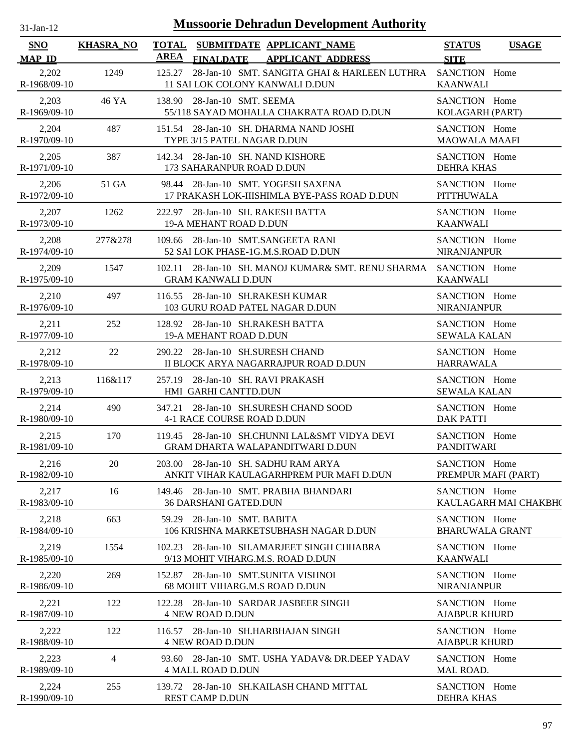| $31-Jan-12$           |                  | <b>Mussoorie Dehradun Development Authority</b>                                                          |                                         |                       |
|-----------------------|------------------|----------------------------------------------------------------------------------------------------------|-----------------------------------------|-----------------------|
| SNO<br><b>MAP ID</b>  | <b>KHASRA_NO</b> | <b>TOTAL</b><br>SUBMITDATE APPLICANT NAME<br><b>AREA</b><br><b>FINALDATE</b><br><b>APPLICANT ADDRESS</b> | <b>STATUS</b><br><b>SITE</b>            | <b>USAGE</b>          |
| 2,202<br>R-1968/09-10 | 1249             | 28-Jan-10 SMT. SANGITA GHAI & HARLEEN LUTHRA SANCTION Home<br>125.27<br>11 SAI LOK COLONY KANWALI D.DUN  | <b>KAANWALI</b>                         |                       |
| 2,203<br>R-1969/09-10 | 46 YA            | 138.90 28-Jan-10 SMT. SEEMA<br>55/118 SAYAD MOHALLA CHAKRATA ROAD D.DUN                                  | SANCTION Home<br>KOLAGARH (PART)        |                       |
| 2,204<br>R-1970/09-10 | 487              | 151.54 28-Jan-10 SH. DHARMA NAND JOSHI<br>TYPE 3/15 PATEL NAGAR D.DUN                                    | SANCTION Home<br><b>MAOWALA MAAFI</b>   |                       |
| 2,205<br>R-1971/09-10 | 387              | 142.34 28-Jan-10 SH. NAND KISHORE<br>173 SAHARANPUR ROAD D.DUN                                           | SANCTION Home<br><b>DEHRA KHAS</b>      |                       |
| 2,206<br>R-1972/09-10 | 51 GA            | 98.44 28-Jan-10 SMT. YOGESH SAXENA<br>17 PRAKASH LOK-IIISHIMLA BYE-PASS ROAD D.DUN                       | SANCTION Home<br><b>PITTHUWALA</b>      |                       |
| 2,207<br>R-1973/09-10 | 1262             | 222.97 28-Jan-10 SH. RAKESH BATTA<br>19-A MEHANT ROAD D.DUN                                              | SANCTION Home<br><b>KAANWALI</b>        |                       |
| 2,208<br>R-1974/09-10 | 277&278          | 109.66 28-Jan-10 SMT.SANGEETA RANI<br>52 SAI LOK PHASE-1G.M.S.ROAD D.DUN                                 | SANCTION Home<br><b>NIRANJANPUR</b>     |                       |
| 2,209<br>R-1975/09-10 | 1547             | 102.11 28-Jan-10 SH. MANOJ KUMAR& SMT. RENU SHARMA SANCTION Home<br><b>GRAM KANWALI D.DUN</b>            | <b>KAANWALI</b>                         |                       |
| 2,210<br>R-1976/09-10 | 497              | 116.55 28-Jan-10 SH.RAKESH KUMAR<br>103 GURU ROAD PATEL NAGAR D.DUN                                      | SANCTION Home<br><b>NIRANJANPUR</b>     |                       |
| 2,211<br>R-1977/09-10 | 252              | 128.92 28-Jan-10 SH.RAKESH BATTA<br>19-A MEHANT ROAD D.DUN                                               | SANCTION Home<br><b>SEWALA KALAN</b>    |                       |
| 2,212<br>R-1978/09-10 | 22               | 290.22 28-Jan-10 SH.SURESH CHAND<br>II BLOCK ARYA NAGARRAJPUR ROAD D.DUN                                 | SANCTION Home<br><b>HARRAWALA</b>       |                       |
| 2,213<br>R-1979/09-10 | 116&117          | 257.19 28-Jan-10 SH. RAVI PRAKASH<br>HMI GARHI CANTTD.DUN                                                | SANCTION Home<br><b>SEWALA KALAN</b>    |                       |
| 2,214<br>R-1980/09-10 | 490              | 347.21 28-Jan-10 SH.SURESH CHAND SOOD<br>4-1 RACE COURSE ROAD D.DUN                                      | SANCTION Home<br><b>DAK PATTI</b>       |                       |
| 2.215<br>R-1981/09-10 | 170              | 119.45 28-Jan-10 SH.CHUNNI LAL&SMT VIDYA DEVI<br><b>GRAM DHARTA WALAPANDITWARI D.DUN</b>                 | SANCTION Home<br><b>PANDITWARI</b>      |                       |
| 2,216<br>R-1982/09-10 | 20               | 203.00 28-Jan-10 SH. SADHU RAM ARYA<br>ANKIT VIHAR KAULAGARHPREM PUR MAFI D.DUN                          | SANCTION Home<br>PREMPUR MAFI (PART)    |                       |
| 2,217<br>R-1983/09-10 | 16               | 149.46 28-Jan-10 SMT. PRABHA BHANDARI<br><b>36 DARSHANI GATED.DUN</b>                                    | SANCTION Home                           | KAULAGARH MAI CHAKBH( |
| 2,218<br>R-1984/09-10 | 663              | 28-Jan-10 SMT. BABITA<br>59.29<br>106 KRISHNA MARKETSUBHASH NAGAR D.DUN                                  | SANCTION Home<br><b>BHARUWALA GRANT</b> |                       |
| 2,219<br>R-1985/09-10 | 1554             | 102.23 28-Jan-10 SH.AMARJEET SINGH CHHABRA<br>9/13 MOHIT VIHARG.M.S. ROAD D.DUN                          | SANCTION Home<br><b>KAANWALI</b>        |                       |
| 2,220<br>R-1986/09-10 | 269              | 152.87 28-Jan-10 SMT.SUNITA VISHNOI<br>68 MOHIT VIHARG.M.S ROAD D.DUN                                    | SANCTION Home<br><b>NIRANJANPUR</b>     |                       |
| 2,221<br>R-1987/09-10 | 122              | 122.28 28-Jan-10 SARDAR JASBEER SINGH<br><b>4 NEW ROAD D.DUN</b>                                         | SANCTION Home<br><b>AJABPUR KHURD</b>   |                       |
| 2,222<br>R-1988/09-10 | 122              | 116.57 28-Jan-10 SH.HARBHAJAN SINGH<br><b>4 NEW ROAD D.DUN</b>                                           | SANCTION Home<br><b>AJABPUR KHURD</b>   |                       |
| 2,223<br>R-1989/09-10 | 4                | 93.60 28-Jan-10 SMT. USHA YADAV& DR.DEEP YADAV<br><b>4 MALL ROAD D.DUN</b>                               | SANCTION Home<br>MAL ROAD.              |                       |
| 2,224<br>R-1990/09-10 | 255              | 139.72 28-Jan-10 SH.KAILASH CHAND MITTAL<br><b>REST CAMP D.DUN</b>                                       | SANCTION Home<br><b>DEHRA KHAS</b>      |                       |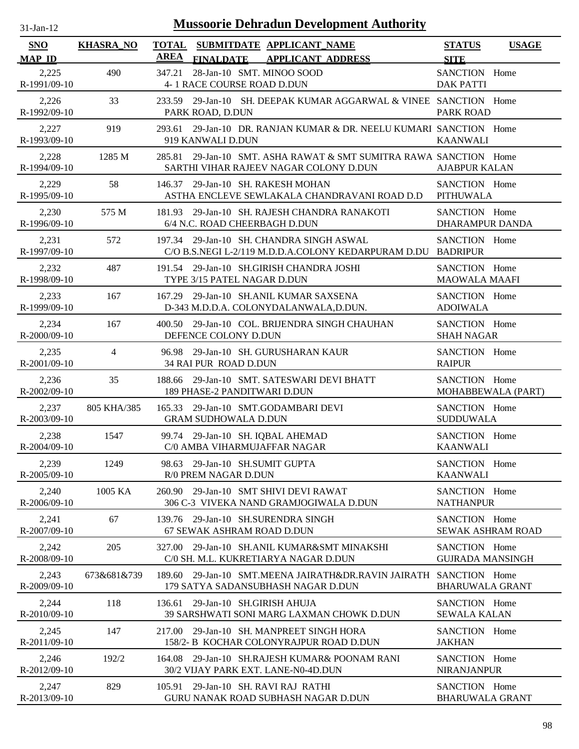| $31-Jan-12$                 | <b>Mussoorie Dehradun Development Authority</b> |             |                                                                                                          |                                           |              |  |  |
|-----------------------------|-------------------------------------------------|-------------|----------------------------------------------------------------------------------------------------------|-------------------------------------------|--------------|--|--|
| <b>SNO</b><br><b>MAP ID</b> | <b>KHASRA_NO</b>                                | <b>AREA</b> | TOTAL SUBMITDATE APPLICANT NAME<br><b>APPLICANT ADDRESS</b><br><b>FINALDATE</b>                          | <b>STATUS</b><br><b>SITE</b>              | <b>USAGE</b> |  |  |
| 2,225<br>R-1991/09-10       | 490                                             | 347.21      | 28-Jan-10 SMT. MINOO SOOD<br>4-1 RACE COURSE ROAD D.DUN                                                  | SANCTION Home<br><b>DAK PATTI</b>         |              |  |  |
| 2,226<br>R-1992/09-10       | 33                                              |             | 233.59 29-Jan-10 SH. DEEPAK KUMAR AGGARWAL & VINEE SANCTION Home<br>PARK ROAD, D.DUN                     | <b>PARK ROAD</b>                          |              |  |  |
| 2,227<br>R-1993/09-10       | 919                                             | 293.61      | 29-Jan-10 DR. RANJAN KUMAR & DR. NEELU KUMARI SANCTION Home<br>919 KANWALI D.DUN                         | <b>KAANWALI</b>                           |              |  |  |
| 2,228<br>R-1994/09-10       | 1285 M                                          | 285.81      | 29-Jan-10 SMT. ASHA RAWAT & SMT SUMITRA RAWA SANCTION Home<br>SARTHI VIHAR RAJEEV NAGAR COLONY D.DUN     | <b>AJABPUR KALAN</b>                      |              |  |  |
| 2,229<br>R-1995/09-10       | 58                                              |             | 146.37 29-Jan-10 SH. RAKESH MOHAN<br>ASTHA ENCLEVE SEWLAKALA CHANDRAVANI ROAD D.D                        | SANCTION Home<br><b>PITHUWALA</b>         |              |  |  |
| 2,230<br>R-1996/09-10       | 575 M                                           |             | 181.93 29-Jan-10 SH. RAJESH CHANDRA RANAKOTI<br>6/4 N.C. ROAD CHEERBAGH D.DUN                            | SANCTION Home<br>DHARAMPUR DANDA          |              |  |  |
| 2,231<br>R-1997/09-10       | 572                                             |             | 197.34 29-Jan-10 SH. CHANDRA SINGH ASWAL<br>C/O B.S.NEGI L-2/119 M.D.D.A.COLONY KEDARPURAM D.DU BADRIPUR | SANCTION Home                             |              |  |  |
| 2,232<br>R-1998/09-10       | 487                                             |             | 191.54 29-Jan-10 SH.GIRISH CHANDRA JOSHI<br>TYPE 3/15 PATEL NAGAR D.DUN                                  | SANCTION Home<br><b>MAOWALA MAAFI</b>     |              |  |  |
| 2,233<br>R-1999/09-10       | 167                                             |             | 167.29 29-Jan-10 SH.ANIL KUMAR SAXSENA<br>D-343 M.D.D.A. COLONYDALANWALA, D.DUN.                         | SANCTION Home<br><b>ADOIWALA</b>          |              |  |  |
| 2,234<br>$R-2000/09-10$     | 167                                             | 400.50      | 29-Jan-10 COL. BRIJENDRA SINGH CHAUHAN<br>DEFENCE COLONY D.DUN                                           | SANCTION Home<br><b>SHAH NAGAR</b>        |              |  |  |
| 2,235<br>R-2001/09-10       | $\overline{4}$                                  |             | 96.98 29-Jan-10 SH. GURUSHARAN KAUR<br>34 RAI PUR ROAD D.DUN                                             | SANCTION Home<br><b>RAIPUR</b>            |              |  |  |
| 2,236<br>$R-2002/09-10$     | 35                                              | 188.66      | 29-Jan-10 SMT. SATESWARI DEVI BHATT<br>189 PHASE-2 PANDITWARI D.DUN                                      | SANCTION Home<br>MOHABBEWALA (PART)       |              |  |  |
| 2,237<br>R-2003/09-10       | 805 KHA/385                                     | 165.33      | 29-Jan-10 SMT.GODAMBARI DEVI<br><b>GRAM SUDHOWALA D.DUN</b>                                              | SANCTION Home<br><b>SUDDUWALA</b>         |              |  |  |
| 2,238<br>R-2004/09-10       | 1547                                            |             | 99.74 29-Jan-10 SH. IQBAL AHEMAD<br>C/0 AMBA VIHARMUJAFFAR NAGAR                                         | SANCTION Home<br><b>KAANWALI</b>          |              |  |  |
| 2,239<br>$R-2005/09-10$     | 1249                                            |             | 98.63 29-Jan-10 SH.SUMIT GUPTA<br>R/0 PREM NAGAR D.DUN                                                   | SANCTION Home<br><b>KAANWALI</b>          |              |  |  |
| 2,240<br>R-2006/09-10       | 1005 KA                                         |             | 260.90 29-Jan-10 SMT SHIVI DEVI RAWAT<br>306 C-3 VIVEKA NAND GRAMJOGIWALA D.DUN                          | SANCTION Home<br><b>NATHANPUR</b>         |              |  |  |
| 2,241<br>R-2007/09-10       | 67                                              | 139.76      | 29-Jan-10 SH.SURENDRA SINGH<br>67 SEWAK ASHRAM ROAD D.DUN                                                | SANCTION Home<br><b>SEWAK ASHRAM ROAD</b> |              |  |  |
| 2,242<br>R-2008/09-10       | 205                                             |             | 327.00 29-Jan-10 SH.ANIL KUMAR&SMT MINAKSHI<br>C/0 SH. M.L. KUKRETIARYA NAGAR D.DUN                      | SANCTION Home<br><b>GUJRADA MANSINGH</b>  |              |  |  |
| 2,243<br>R-2009/09-10       | 673&681&739                                     | 189.60      | 29-Jan-10 SMT.MEENA JAIRATH&DR.RAVIN JAIRATH SANCTION Home<br>179 SATYA SADANSUBHASH NAGAR D.DUN         | <b>BHARUWALA GRANT</b>                    |              |  |  |
| 2,244<br>R-2010/09-10       | 118                                             | 136.61      | 29-Jan-10 SH.GIRISH AHUJA<br>39 SARSHWATI SONI MARG LAXMAN CHOWK D.DUN                                   | SANCTION Home<br><b>SEWALA KALAN</b>      |              |  |  |
| 2,245<br>$R-2011/09-10$     | 147                                             | 217.00      | 29-Jan-10 SH. MANPREET SINGH HORA<br>158/2- B KOCHAR COLONYRAJPUR ROAD D.DUN                             | SANCTION Home<br><b>JAKHAN</b>            |              |  |  |
| 2,246<br>R-2012/09-10       | 192/2                                           | 164.08      | 29-Jan-10 SH.RAJESH KUMAR& POONAM RANI<br>30/2 VIJAY PARK EXT. LANE-N0-4D.DUN                            | SANCTION Home<br><b>NIRANJANPUR</b>       |              |  |  |
| 2,247<br>R-2013/09-10       | 829                                             | 105.91      | 29-Jan-10 SH. RAVI RAJ RATHI<br>GURU NANAK ROAD SUBHASH NAGAR D.DUN                                      | SANCTION Home<br><b>BHARUWALA GRANT</b>   |              |  |  |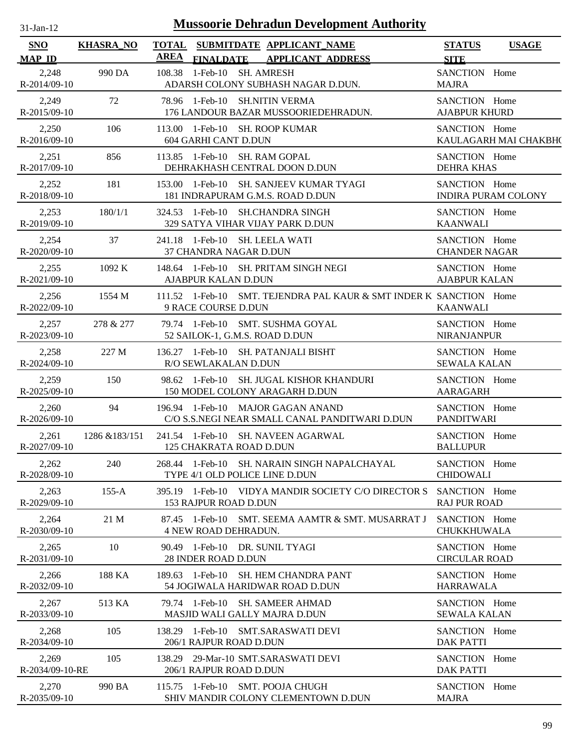| <b>Mussoorie Dehradun Development Authority</b><br>$31$ -Jan- $12$ |                  |             |                             |  |                                                                                     |                                       |                            |
|--------------------------------------------------------------------|------------------|-------------|-----------------------------|--|-------------------------------------------------------------------------------------|---------------------------------------|----------------------------|
| <b>SNO</b><br><b>MAP ID</b>                                        | <b>KHASRA_NO</b> | <b>AREA</b> | <b>FINALDATE</b>            |  | TOTAL SUBMITDATE APPLICANT NAME<br><b>APPLICANT ADDRESS</b>                         | <b>STATUS</b><br><b>SITE</b>          | <b>USAGE</b>               |
| 2,248<br>R-2014/09-10                                              | 990 DA           | 108.38      |                             |  | 1-Feb-10 SH. AMRESH<br>ADARSH COLONY SUBHASH NAGAR D.DUN.                           | SANCTION Home<br><b>MAJRA</b>         |                            |
| 2,249<br>R-2015/09-10                                              | 72               |             |                             |  | 78.96 1-Feb-10 SH.NITIN VERMA<br>176 LANDOUR BAZAR MUSSOORIEDEHRADUN.               | SANCTION Home<br><b>AJABPUR KHURD</b> |                            |
| 2,250<br>$R-2016/09-10$                                            | 106              |             | 604 GARHI CANT D.DUN        |  | 113.00 1-Feb-10 SH. ROOP KUMAR                                                      | SANCTION Home                         | KAULAGARH MAI CHAKBH(      |
| 2,251<br>R-2017/09-10                                              | 856              |             |                             |  | 113.85 1-Feb-10 SH. RAM GOPAL<br>DEHRAKHASH CENTRAL DOON D.DUN                      | SANCTION Home<br>DEHRA KHAS           |                            |
| 2,252<br>R-2018/09-10                                              | 181              |             |                             |  | 153.00 1-Feb-10 SH. SANJEEV KUMAR TYAGI<br>181 INDRAPURAM G.M.S. ROAD D.DUN         | SANCTION Home                         | <b>INDIRA PURAM COLONY</b> |
| 2,253<br>R-2019/09-10                                              | 180/1/1          |             |                             |  | 324.53 1-Feb-10 SH.CHANDRA SINGH<br>329 SATYA VIHAR VIJAY PARK D.DUN                | SANCTION Home<br><b>KAANWALI</b>      |                            |
| 2,254<br>$R - 2020/09 - 10$                                        | 37               |             |                             |  | 241.18 1-Feb-10 SH. LEELA WATI<br>37 CHANDRA NAGAR D.DUN                            | SANCTION Home<br><b>CHANDER NAGAR</b> |                            |
| 2,255<br>R-2021/09-10                                              | 1092 K           |             | AJABPUR KALAN D.DUN         |  | 148.64 1-Feb-10 SH. PRITAM SINGH NEGI                                               | SANCTION Home<br><b>AJABPUR KALAN</b> |                            |
| 2,256<br>R-2022/09-10                                              | 1554 M           |             | 9 RACE COURSE D.DUN         |  | 111.52 1-Feb-10 SMT. TEJENDRA PAL KAUR & SMT INDER K SANCTION Home                  | <b>KAANWALI</b>                       |                            |
| 2,257<br>R-2023/09-10                                              | 278 & 277        |             |                             |  | 79.74 1-Feb-10 SMT. SUSHMA GOYAL<br>52 SAILOK-1, G.M.S. ROAD D.DUN                  | SANCTION Home<br><b>NIRANJANPUR</b>   |                            |
| 2,258<br>R-2024/09-10                                              | 227 M            |             | R/O SEWLAKALAN D.DUN        |  | 136.27 1-Feb-10 SH. PATANJALI BISHT                                                 | SANCTION Home<br><b>SEWALA KALAN</b>  |                            |
| 2,259<br>$R - 2025/09 - 10$                                        | 150              |             |                             |  | 98.62 1-Feb-10 SH. JUGAL KISHOR KHANDURI<br>150 MODEL COLONY ARAGARH D.DUN          | SANCTION Home<br><b>AARAGARH</b>      |                            |
| 2,260<br>R-2026/09-10                                              | 94               |             |                             |  | 196.94 1-Feb-10 MAJOR GAGAN ANAND<br>C/O S.S.NEGI NEAR SMALL CANAL PANDITWARI D.DUN | SANCTION Home<br><b>PANDITWARI</b>    |                            |
| 2,261<br>R-2027/09-10                                              | 1286 & 183/151   |             |                             |  | 241.54 1-Feb-10 SH. NAVEEN AGARWAL<br>125 CHAKRATA ROAD D.DUN                       | SANCTION Home<br><b>BALLUPUR</b>      |                            |
| 2,262<br>R-2028/09-10                                              | 240              |             |                             |  | 268.44 1-Feb-10 SH. NARAIN SINGH NAPALCHAYAL<br>TYPE 4/1 OLD POLICE LINE D.DUN      | SANCTION Home<br><b>CHIDOWALI</b>     |                            |
| 2,263<br>R-2029/09-10                                              | $155 - A$        |             | 153 RAJPUR ROAD D.DUN       |  | 395.19 1-Feb-10 VIDYA MANDIR SOCIETY C/O DIRECTOR S                                 | SANCTION Home<br><b>RAJ PUR ROAD</b>  |                            |
| 2,264<br>R-2030/09-10                                              | 21 M             |             | <b>4 NEW ROAD DEHRADUN.</b> |  | 87.45 1-Feb-10 SMT. SEEMA AAMTR & SMT. MUSARRAT J                                   | SANCTION Home<br><b>CHUKKHUWALA</b>   |                            |
| 2,265<br>R-2031/09-10                                              | 10               |             | 28 INDER ROAD D.DUN         |  | 90.49 1-Feb-10 DR. SUNIL TYAGI                                                      | SANCTION Home<br><b>CIRCULAR ROAD</b> |                            |
| 2,266<br>R-2032/09-10                                              | 188 KA           |             |                             |  | 189.63 1-Feb-10 SH. HEM CHANDRA PANT<br>54 JOGIWALA HARIDWAR ROAD D.DUN             | SANCTION Home<br><b>HARRAWALA</b>     |                            |
| 2,267<br>R-2033/09-10                                              | 513 KA           |             |                             |  | 79.74 1-Feb-10 SH, SAMEER AHMAD<br><b>MASJID WALI GALLY MAJRA D.DUN</b>             | SANCTION Home<br><b>SEWALA KALAN</b>  |                            |
| 2,268<br>$R-2034/09-10$                                            | 105              |             | 206/1 RAJPUR ROAD D.DUN     |  | 138.29 1-Feb-10 SMT.SARASWATI DEVI                                                  | SANCTION Home<br><b>DAK PATTI</b>     |                            |
| 2,269<br>R-2034/09-10-RE                                           | 105              |             | 206/1 RAJPUR ROAD D.DUN     |  | 138.29 29-Mar-10 SMT.SARASWATI DEVI                                                 | SANCTION Home<br><b>DAK PATTI</b>     |                            |
| 2,270<br>R-2035/09-10                                              | 990 BA           |             |                             |  | 115.75 1-Feb-10 SMT. POOJA CHUGH<br>SHIV MANDIR COLONY CLEMENTOWN D.DUN             | SANCTION Home<br><b>MAJRA</b>         |                            |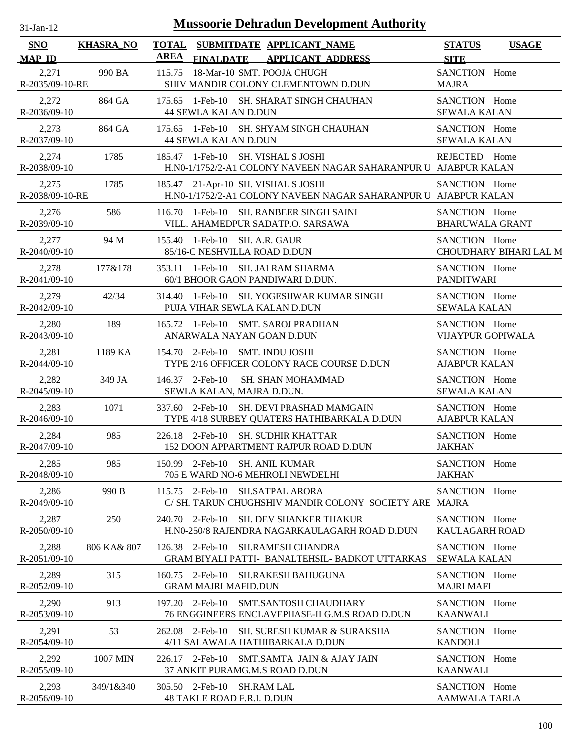| <b>Mussoorie Dehradun Development Authority</b><br>$31$ -Jan- $12$ |                  |             |                                                          |  |                                                                                                        |                                           |                        |
|--------------------------------------------------------------------|------------------|-------------|----------------------------------------------------------|--|--------------------------------------------------------------------------------------------------------|-------------------------------------------|------------------------|
| <b>SNO</b><br><b>MAP ID</b>                                        | <b>KHASRA_NO</b> | <b>AREA</b> | <b>FINALDATE</b>                                         |  | TOTAL SUBMITDATE APPLICANT NAME<br><b>APPLICANT ADDRESS</b>                                            | <b>STATUS</b><br><b>SITE</b>              | <b>USAGE</b>           |
| 2,271<br>R-2035/09-10-RE                                           | 990 BA           |             |                                                          |  | 115.75 18-Mar-10 SMT. POOJA CHUGH<br>SHIV MANDIR COLONY CLEMENTOWN D.DUN                               | SANCTION Home<br><b>MAJRA</b>             |                        |
| 2,272<br>R-2036/09-10                                              | 864 GA           |             | <b>44 SEWLA KALAN D.DUN</b>                              |  | 175.65 1-Feb-10 SH. SHARAT SINGH CHAUHAN                                                               | SANCTION Home<br><b>SEWALA KALAN</b>      |                        |
| 2,273<br>R-2037/09-10                                              | 864 GA           |             | <b>44 SEWLA KALAN D.DUN</b>                              |  | 175.65 1-Feb-10 SH. SHYAM SINGH CHAUHAN                                                                | SANCTION Home<br><b>SEWALA KALAN</b>      |                        |
| 2,274<br>R-2038/09-10                                              | 1785             |             |                                                          |  | 185.47 1-Feb-10 SH. VISHAL S JOSHI<br>H.N0-1/1752/2-A1 COLONY NAVEEN NAGAR SAHARANPUR U AJABPUR KALAN  | REJECTED Home                             |                        |
| 2,275<br>R-2038/09-10-RE                                           | 1785             |             |                                                          |  | 185.47 21-Apr-10 SH. VISHAL S JOSHI<br>H.N0-1/1752/2-A1 COLONY NAVEEN NAGAR SAHARANPUR U AJABPUR KALAN | SANCTION Home                             |                        |
| 2,276<br>R-2039/09-10                                              | 586              | 116.70      |                                                          |  | 1-Feb-10 SH. RANBEER SINGH SAINI<br>VILL. AHAMEDPUR SADATP.O. SARSAWA                                  | SANCTION Home<br><b>BHARUWALA GRANT</b>   |                        |
| 2,277<br>R-2040/09-10                                              | 94 M             |             | 155.40 1-Feb-10 SH. A.R. GAUR                            |  | 85/16-C NESHVILLA ROAD D.DUN                                                                           | SANCTION Home                             | CHOUDHARY BIHARI LAL M |
| 2,278<br>R-2041/09-10                                              | 177&178          |             |                                                          |  | 353.11 1-Feb-10 SH. JAI RAM SHARMA<br>60/1 BHOOR GAON PANDIWARI D.DUN.                                 | SANCTION Home<br><b>PANDITWARI</b>        |                        |
| 2,279<br>$R - 2042/09 - 10$                                        | 42/34            |             |                                                          |  | 314.40 1-Feb-10 SH. YOGESHWAR KUMAR SINGH<br>PUJA VIHAR SEWLA KALAN D.DUN                              | SANCTION Home<br><b>SEWALA KALAN</b>      |                        |
| 2,280<br>$R - 2043/09 - 10$                                        | 189              |             |                                                          |  | 165.72 1-Feb-10 SMT. SAROJ PRADHAN<br>ANARWALA NAYAN GOAN D.DUN                                        | SANCTION Home<br><b>VIJAYPUR GOPIWALA</b> |                        |
| 2,281<br>R-2044/09-10                                              | 1189 KA          |             | 154.70 2-Feb-10                                          |  | <b>SMT. INDU JOSHI</b><br>TYPE 2/16 OFFICER COLONY RACE COURSE D.DUN                                   | SANCTION Home<br><b>AJABPUR KALAN</b>     |                        |
| 2,282<br>$R - 2045/09 - 10$                                        | 349 JA           |             | 146.37 2-Feb-10<br>SEWLA KALAN, MAJRA D.DUN.             |  | SH. SHAN MOHAMMAD                                                                                      | SANCTION Home<br><b>SEWALA KALAN</b>      |                        |
| 2,283<br>R-2046/09-10                                              | 1071             |             |                                                          |  | 337.60 2-Feb-10 SH. DEVI PRASHAD MAMGAIN<br>TYPE 4/18 SURBEY QUATERS HATHIBARKALA D.DUN                | SANCTION Home<br><b>AJABPUR KALAN</b>     |                        |
| 2,284<br>R-2047/09-10                                              | 985              |             |                                                          |  | 226.18 2-Feb-10 SH. SUDHIR KHATTAR<br>152 DOON APPARTMENT RAJPUR ROAD D.DUN                            | SANCTION Home<br><b>JAKHAN</b>            |                        |
| 2,285<br>R-2048/09-10                                              | 985              |             |                                                          |  | 150.99 2-Feb-10 SH. ANIL KUMAR<br>705 E WARD NO-6 MEHROLI NEWDELHI                                     | SANCTION Home<br><b>JAKHAN</b>            |                        |
| 2,286<br>R-2049/09-10                                              | 990 B            |             |                                                          |  | 115.75 2-Feb-10 SH.SATPAL ARORA<br>C/SH. TARUN CHUGHSHIV MANDIR COLONY SOCIETY ARE MAJRA               | SANCTION Home                             |                        |
| 2,287<br>R-2050/09-10                                              | 250              |             | $240.70$ 2-Feb-10                                        |  | <b>SH. DEV SHANKER THAKUR</b><br>H.N0-250/8 RAJENDRA NAGARKAULAGARH ROAD D.DUN                         | SANCTION Home<br><b>KAULAGARH ROAD</b>    |                        |
| 2,288<br>$R-2051/09-10$                                            | 806 KA& 807      |             | 126.38 2-Feb-10                                          |  | <b>SH.RAMESH CHANDRA</b><br>GRAM BIYALI PATTI- BANALTEHSIL- BADKOT UTTARKAS                            | SANCTION Home<br><b>SEWALA KALAN</b>      |                        |
| 2,289<br>$R - 2052/09 - 10$                                        | 315              |             | <b>GRAM MAJRI MAFID.DUN</b>                              |  | 160.75 2-Feb-10 SH.RAKESH BAHUGUNA                                                                     | SANCTION Home<br><b>MAJRI MAFI</b>        |                        |
| 2,290<br>R-2053/09-10                                              | 913              |             | 197.20 2-Feb-10                                          |  | <b>SMT.SANTOSH CHAUDHARY</b><br>76 ENGGINEERS ENCLAVEPHASE-II G.M.S ROAD D.DUN                         | SANCTION Home<br><b>KAANWALI</b>          |                        |
| 2,291<br>$R-2054/09-10$                                            | 53               |             | 262.08 2-Feb-10                                          |  | SH. SURESH KUMAR & SURAKSHA<br>4/11 SALAWALA HATHIBARKALA D.DUN                                        | SANCTION Home<br><b>KANDOLI</b>           |                        |
| 2,292<br>R-2055/09-10                                              | 1007 MIN         |             | 226.17 2-Feb-10                                          |  | SMT.SAMTA JAIN & AJAY JAIN<br>37 ANKIT PURAMG.M.S ROAD D.DUN                                           | SANCTION Home<br><b>KAANWALI</b>          |                        |
| 2,293<br>R-2056/09-10                                              | 349/1&340        |             | 305.50 2-Feb-10 SH.RAM LAL<br>48 TAKLE ROAD F.R.I. D.DUN |  |                                                                                                        | SANCTION Home<br><b>AAMWALA TARLA</b>     |                        |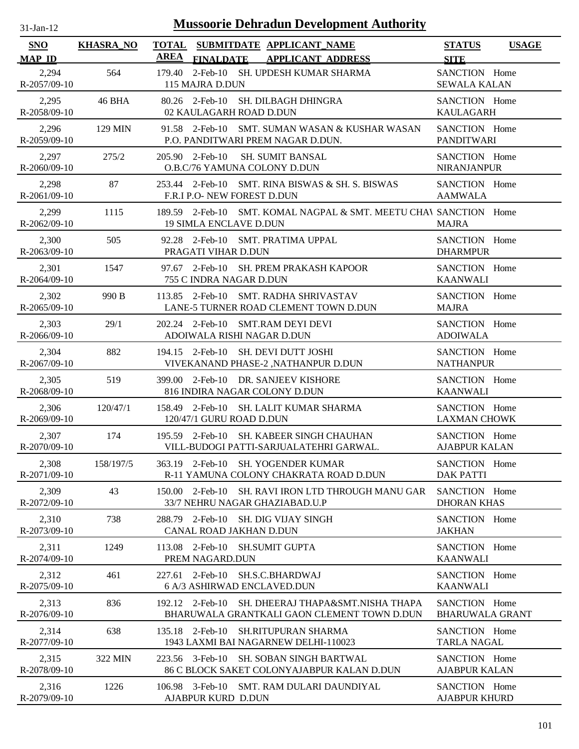| -Jan- |  |
|-------|--|
|       |  |

| SNO                     | <b>KHASRA_NO</b> | <b>TOTAL</b><br>SUBMITDATE APPLICANT_NAME<br><b>AREA</b>                                               | <b>STATUS</b>                           | <b>USAGE</b> |
|-------------------------|------------------|--------------------------------------------------------------------------------------------------------|-----------------------------------------|--------------|
| <b>MAP ID</b>           |                  | <b>FINALDATE</b><br><b>APPLICANT ADDRESS</b>                                                           | <b>SITE</b>                             |              |
| 2,294<br>R-2057/09-10   | 564              | 2-Feb-10 SH. UPDESH KUMAR SHARMA<br>179.40<br>115 MAJRA D.DUN                                          | SANCTION Home<br><b>SEWALA KALAN</b>    |              |
| 2,295<br>R-2058/09-10   | 46 BHA           | 80.26 2-Feb-10 SH. DILBAGH DHINGRA<br>02 KAULAGARH ROAD D.DUN                                          | SANCTION Home<br><b>KAULAGARH</b>       |              |
| 2,296<br>R-2059/09-10   | 129 MIN          | 91.58 2-Feb-10 SMT. SUMAN WASAN & KUSHAR WASAN<br>P.O. PANDITWARI PREM NAGAR D.DUN.                    | SANCTION Home<br><b>PANDITWARI</b>      |              |
| 2,297<br>$R-2060/09-10$ | 275/2            | 205.90 2-Feb-10<br>SH. SUMIT BANSAL<br>O.B.C/76 YAMUNA COLONY D.DUN                                    | SANCTION Home<br><b>NIRANJANPUR</b>     |              |
| 2,298<br>R-2061/09-10   | 87               | 253.44 2-Feb-10 SMT. RINA BISWAS & SH. S. BISWAS<br>F.R.I P.O- NEW FOREST D.DUN                        | SANCTION Home<br><b>AAMWALA</b>         |              |
| 2,299<br>R-2062/09-10   | 1115             | 189.59 2-Feb-10 SMT. KOMAL NAGPAL & SMT. MEETU CHAV SANCTION Home<br><b>19 SIMLA ENCLAVE D.DUN</b>     | <b>MAJRA</b>                            |              |
| 2,300<br>R-2063/09-10   | 505              | 92.28 2-Feb-10 SMT. PRATIMA UPPAL<br>PRAGATI VIHAR D.DUN                                               | SANCTION Home<br><b>DHARMPUR</b>        |              |
| 2,301<br>R-2064/09-10   | 1547             | 97.67 2-Feb-10 SH. PREM PRAKASH KAPOOR<br>755 C INDRA NAGAR D.DUN                                      | SANCTION Home<br><b>KAANWALI</b>        |              |
| 2,302<br>$R-2065/09-10$ | 990 B            | SMT. RADHA SHRIVASTAV<br>$113.85$ 2-Feb-10<br>LANE-5 TURNER ROAD CLEMENT TOWN D.DUN                    | SANCTION Home<br><b>MAJRA</b>           |              |
| 2,303<br>$R-2066/09-10$ | 29/1             | 202.24 2-Feb-10 SMT.RAM DEYI DEVI<br>ADOIWALA RISHI NAGAR D.DUN                                        | SANCTION Home<br><b>ADOIWALA</b>        |              |
| 2,304<br>R-2067/09-10   | 882              | 194.15 2-Feb-10<br>SH. DEVI DUTT JOSHI<br>VIVEKANAND PHASE-2 , NATHANPUR D.DUN                         | SANCTION Home<br><b>NATHANPUR</b>       |              |
| 2,305<br>R-2068/09-10   | 519              | 399.00 2-Feb-10 DR. SANJEEV KISHORE<br>816 INDIRA NAGAR COLONY D.DUN                                   | SANCTION Home<br><b>KAANWALI</b>        |              |
| 2,306<br>R-2069/09-10   | 120/47/1         | 158.49 2-Feb-10 SH. LALIT KUMAR SHARMA<br>120/47/1 GURU ROAD D.DUN                                     | SANCTION Home<br><b>LAXMAN CHOWK</b>    |              |
| 2,307<br>R-2070/09-10   | 174              | 195.59 2-Feb-10 SH. KABEER SINGH CHAUHAN<br>VILL-BUDOGI PATTI-SARJUALATEHRI GARWAL.                    | SANCTION Home<br><b>AJABPUR KALAN</b>   |              |
| 2,308<br>R-2071/09-10   | 158/197/5        | 363.19 2-Feb-10 SH. YOGENDER KUMAR<br>R-11 YAMUNA COLONY CHAKRATA ROAD D.DUN                           | SANCTION Home<br><b>DAK PATTI</b>       |              |
| 2,309<br>R-2072/09-10   | 43               | SH. RAVI IRON LTD THROUGH MANU GAR<br>150.00 2-Feb-10<br>33/7 NEHRU NAGAR GHAZIABAD.U.P                | SANCTION Home<br><b>DHORAN KHAS</b>     |              |
| 2,310<br>R-2073/09-10   | 738              | 288.79 2-Feb-10<br><b>SH. DIG VIJAY SINGH</b><br>CANAL ROAD JAKHAN D.DUN                               | SANCTION Home<br><b>JAKHAN</b>          |              |
| 2,311<br>R-2074/09-10   | 1249             | 2-Feb-10<br><b>SH.SUMIT GUPTA</b><br>113.08<br>PREM NAGARD.DUN                                         | SANCTION Home<br><b>KAANWALI</b>        |              |
| 2,312<br>R-2075/09-10   | 461              | $2$ -Feb-10<br>SH.S.C.BHARDWAJ<br>227.61<br>6 A/3 ASHIRWAD ENCLAVED.DUN                                | SANCTION Home<br><b>KAANWALI</b>        |              |
| 2,313<br>R-2076/09-10   | 836              | 192.12 2-Feb-10<br>SH. DHEERAJ THAPA&SMT.NISHA THAPA<br>BHARUWALA GRANTKALI GAON CLEMENT TOWN D.DUN    | SANCTION Home<br><b>BHARUWALA GRANT</b> |              |
| 2,314<br>R-2077/09-10   | 638              | 135.18 2-Feb-10<br><b>SH.RITUPURAN SHARMA</b><br>1943 LAXMI BAI NAGARNEW DELHI-110023                  | SANCTION Home<br><b>TARLA NAGAL</b>     |              |
| 2,315<br>R-2078/09-10   | 322 MIN          | 223.56 3-Feb-10<br><b>SH. SOBAN SINGH BARTWAL</b><br><b>86 C BLOCK SAKET COLONYAJABPUR KALAN D.DUN</b> | SANCTION Home<br><b>AJABPUR KALAN</b>   |              |
| 2,316<br>R-2079/09-10   | 1226             | 106.98 3-Feb-10<br>SMT. RAM DULARI DAUNDIYAL<br>AJABPUR KURD D.DUN                                     | SANCTION Home<br><b>AJABPUR KHURD</b>   |              |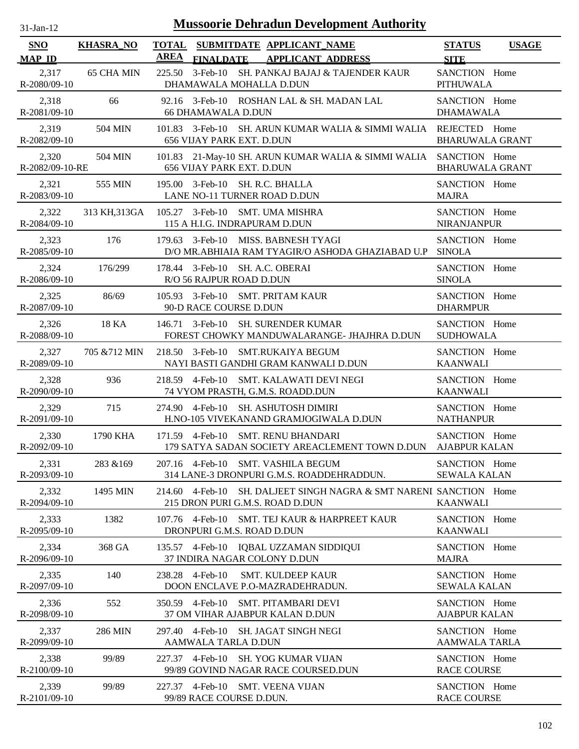| $31-Jan-12$              |                  |                 | <b>Mussoorie Dehradun Development Authority</b>                                                |                                         |              |
|--------------------------|------------------|-----------------|------------------------------------------------------------------------------------------------|-----------------------------------------|--------------|
| <b>SNO</b>               | <b>KHASRA_NO</b> |                 | TOTAL SUBMITDATE APPLICANT NAME                                                                | <b>STATUS</b>                           | <b>USAGE</b> |
| <b>MAP ID</b>            |                  | <b>AREA</b>     | <b>FINALDATE</b><br><b>APPLICANT ADDRESS</b>                                                   | <b>SITE</b>                             |              |
| 2,317<br>R-2080/09-10    | 65 CHA MIN       | 225.50          | 3-Feb-10 SH. PANKAJ BAJAJ & TAJENDER KAUR<br>DHAMAWALA MOHALLA D.DUN                           | SANCTION Home<br><b>PITHUWALA</b>       |              |
| 2,318<br>R-2081/09-10    | 66               |                 | 92.16 3-Feb-10 ROSHAN LAL & SH. MADAN LAL<br><b>66 DHAMAWALA D.DUN</b>                         | SANCTION Home<br><b>DHAMAWALA</b>       |              |
| 2,319<br>R-2082/09-10    | 504 MIN          |                 | 101.83 3-Feb-10 SH. ARUN KUMAR WALIA & SIMMI WALIA<br>656 VIJAY PARK EXT. D.DUN                | REJECTED Home<br><b>BHARUWALA GRANT</b> |              |
| 2,320<br>R-2082/09-10-RE | 504 MIN          |                 | 101.83 21-May-10 SH. ARUN KUMAR WALIA & SIMMI WALIA SANCTION Home<br>656 VIJAY PARK EXT. D.DUN | <b>BHARUWALA GRANT</b>                  |              |
| 2,321<br>R-2083/09-10    | 555 MIN          |                 | 195.00 3-Feb-10 SH. R.C. BHALLA<br>LANE NO-11 TURNER ROAD D.DUN                                | SANCTION Home<br><b>MAJRA</b>           |              |
| 2,322<br>R-2084/09-10    | 313 KH, 313 GA   |                 | 105.27 3-Feb-10 SMT. UMA MISHRA<br>115 A H.I.G. INDRAPURAM D.DUN                               | SANCTION Home<br>NIRANJANPUR            |              |
| 2,323<br>$R-2085/09-10$  | 176              |                 | 179.63 3-Feb-10 MISS, BABNESH TYAGI<br>D/O MR.ABHIAIA RAM TYAGIR/O ASHODA GHAZIABAD U.P SINOLA | SANCTION Home                           |              |
| 2,324<br>R-2086/09-10    | 176/299          |                 | 178.44 3-Feb-10 SH. A.C. OBERAI<br>R/O 56 RAJPUR ROAD D.DUN                                    | SANCTION Home<br><b>SINOLA</b>          |              |
| 2,325<br>R-2087/09-10    | 86/69            |                 | 105.93 3-Feb-10 SMT. PRITAM KAUR<br>90-D RACE COURSE D.DUN                                     | SANCTION Home<br><b>DHARMPUR</b>        |              |
| 2,326<br>R-2088/09-10    | 18 KA            |                 | 146.71 3-Feb-10 SH. SURENDER KUMAR<br>FOREST CHOWKY MANDUWALARANGE- JHAJHRA D.DUN              | SANCTION Home<br><b>SUDHOWALA</b>       |              |
| 2,327<br>R-2089/09-10    | 705 & 712 MIN    |                 | 218.50 3-Feb-10 SMT.RUKAIYA BEGUM<br>NAYI BASTI GANDHI GRAM KANWALI D.DUN                      | SANCTION Home<br><b>KAANWALI</b>        |              |
| 2,328<br>$R-2090/09-10$  | 936              | 218.59          | 4-Feb-10 SMT. KALAWATI DEVI NEGI<br>74 VYOM PRASTH, G.M.S. ROADD.DUN                           | SANCTION Home<br><b>KAANWALI</b>        |              |
| 2,329<br>R-2091/09-10    | 715              | 274.90          | 4-Feb-10 SH. ASHUTOSH DIMIRI<br>H.NO-105 VIVEKANAND GRAMJOGIWALA D.DUN                         | SANCTION Home<br><b>NATHANPUR</b>       |              |
| 2,330<br>R-2092/09-10    | 1790 KHA         |                 | 171.59 4-Feb-10 SMT. RENU BHANDARI<br>179 SATYA SADAN SOCIETY AREACLEMENT TOWN D.DUN           | SANCTION Home<br><b>AJABPUR KALAN</b>   |              |
| 2,331<br>R-2093/09-10    | 283 & 169        |                 | 207.16 4-Feb-10 SMT. VASHILA BEGUM<br>314 LANE-3 DRONPURI G.M.S. ROADDEHRADDUN.                | SANCTION Home<br><b>SEWALA KALAN</b>    |              |
| 2,332<br>R-2094/09-10    | 1495 MIN         | 214.60 4-Feb-10 | SH. DALJEET SINGH NAGRA & SMT NARENI SANCTION Home<br>215 DRON PURI G.M.S. ROAD D.DUN          | <b>KAANWALI</b>                         |              |
| 2,333<br>R-2095/09-10    | 1382             | 107.76 4-Feb-10 | SMT. TEJ KAUR & HARPREET KAUR<br>DRONPURI G.M.S. ROAD D.DUN                                    | SANCTION Home<br><b>KAANWALI</b>        |              |
| 2,334<br>R-2096/09-10    | 368 GA           |                 | 135.57 4-Feb-10 IQBAL UZZAMAN SIDDIQUI<br>37 INDIRA NAGAR COLONY D.DUN                         | SANCTION Home<br><b>MAJRA</b>           |              |
| 2,335<br>R-2097/09-10    | 140              | 238.28 4-Feb-10 | <b>SMT. KULDEEP KAUR</b><br>DOON ENCLAVE P.O-MAZRADEHRADUN.                                    | SANCTION Home<br><b>SEWALA KALAN</b>    |              |
| 2,336<br>R-2098/09-10    | 552              |                 | 350.59 4-Feb-10 SMT. PITAMBARI DEVI<br>37 OM VIHAR AJABPUR KALAN D.DUN                         | SANCTION Home<br><b>AJABPUR KALAN</b>   |              |
| 2,337<br>R-2099/09-10    | 286 MIN          |                 | 297.40 4-Feb-10 SH. JAGAT SINGH NEGI<br>AAMWALA TARLA D.DUN                                    | SANCTION Home<br><b>AAMWALA TARLA</b>   |              |
| 2,338<br>R-2100/09-10    | 99/89            |                 | 227.37 4-Feb-10 SH. YOG KUMAR VIJAN<br>99/89 GOVIND NAGAR RACE COURSED.DUN                     | SANCTION Home<br><b>RACE COURSE</b>     |              |
| 2,339<br>R-2101/09-10    | 99/89            |                 | 227.37 4-Feb-10 SMT. VEENA VIJAN<br>99/89 RACE COURSE D.DUN.                                   | SANCTION Home<br><b>RACE COURSE</b>     |              |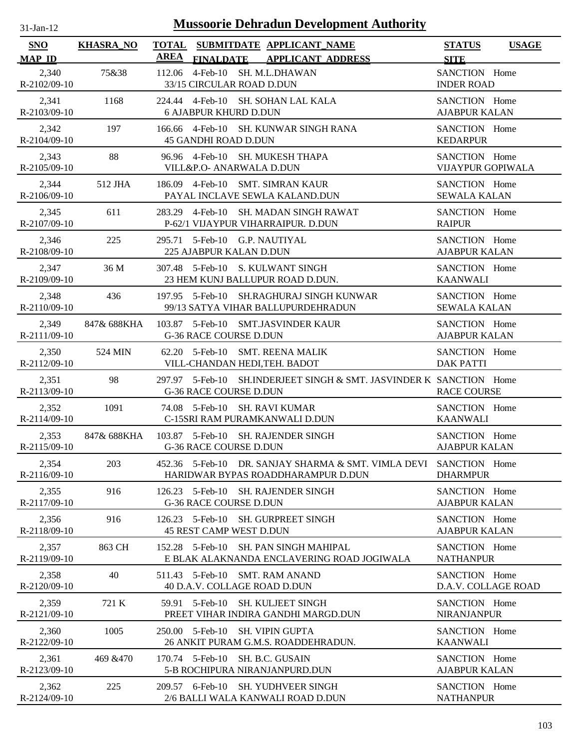| $31-Jan-12$                 | <b>Mussoorie Dehradun Development Authority</b> |             |                                                                                               |                                           |              |  |  |
|-----------------------------|-------------------------------------------------|-------------|-----------------------------------------------------------------------------------------------|-------------------------------------------|--------------|--|--|
| <b>SNO</b><br><b>MAP ID</b> | <b>KHASRA_NO</b>                                | <b>AREA</b> | TOTAL SUBMITDATE APPLICANT_NAME<br><b>APPLICANT ADDRESS</b><br><b>FINALDATE</b>               | <b>STATUS</b><br><b>SITE</b>              | <b>USAGE</b> |  |  |
| 2,340<br>R-2102/09-10       | 75&38                                           | 112.06      | 4-Feb-10 SH. M.L.DHAWAN<br>33/15 CIRCULAR ROAD D.DUN                                          | SANCTION Home<br><b>INDER ROAD</b>        |              |  |  |
| 2,341<br>R-2103/09-10       | 1168                                            | 224.44      | 4-Feb-10 SH. SOHAN LAL KALA<br><b>6 AJABPUR KHURD D.DUN</b>                                   | SANCTION Home<br><b>AJABPUR KALAN</b>     |              |  |  |
| 2,342<br>R-2104/09-10       | 197                                             |             | 166.66 4-Feb-10 SH. KUNWAR SINGH RANA<br><b>45 GANDHI ROAD D.DUN</b>                          | SANCTION Home<br><b>KEDARPUR</b>          |              |  |  |
| 2,343<br>R-2105/09-10       | 88                                              |             | 96.96 4-Feb-10 SH. MUKESH THAPA<br>VILL&P.O- ANARWALA D.DUN                                   | SANCTION Home<br><b>VIJAYPUR GOPIWALA</b> |              |  |  |
| 2,344<br>R-2106/09-10       | 512 JHA                                         |             | 186.09 4-Feb-10 SMT. SIMRAN KAUR<br>PAYAL INCLAVE SEWLA KALAND.DUN                            | SANCTION Home<br><b>SEWALA KALAN</b>      |              |  |  |
| 2,345<br>R-2107/09-10       | 611                                             |             | 283.29 4-Feb-10 SH. MADAN SINGH RAWAT<br>P-62/1 VIJAYPUR VIHARRAIPUR. D.DUN                   | SANCTION Home<br><b>RAIPUR</b>            |              |  |  |
| 2,346<br>R-2108/09-10       | 225                                             |             | 295.71 5-Feb-10 G.P. NAUTIYAL<br>225 AJABPUR KALAN D.DUN                                      | SANCTION Home<br><b>AJABPUR KALAN</b>     |              |  |  |
| 2,347<br>R-2109/09-10       | 36 M                                            |             | 307.48 5-Feb-10 S. KULWANT SINGH<br>23 HEM KUNJ BALLUPUR ROAD D.DUN.                          | SANCTION Home<br><b>KAANWALI</b>          |              |  |  |
| 2,348<br>R-2110/09-10       | 436                                             |             | 197.95 5-Feb-10 SH.RAGHURAJ SINGH KUNWAR<br>99/13 SATYA VIHAR BALLUPURDEHRADUN                | SANCTION Home<br><b>SEWALA KALAN</b>      |              |  |  |
| 2,349<br>R-2111/09-10       | 847& 688KHA                                     |             | 103.87 5-Feb-10 SMT.JASVINDER KAUR<br>G-36 RACE COURSE D.DUN                                  | SANCTION Home<br><b>AJABPUR KALAN</b>     |              |  |  |
| 2,350<br>R-2112/09-10       | 524 MIN                                         |             | 62.20 5-Feb-10<br><b>SMT. REENA MALIK</b><br>VILL-CHANDAN HEDI, TEH. BADOT                    | SANCTION Home<br><b>DAK PATTI</b>         |              |  |  |
| 2,351<br>R-2113/09-10       | 98                                              |             | 297.97 5-Feb-10 SH.INDERJEET SINGH & SMT. JASVINDER K SANCTION Home<br>G-36 RACE COURSE D.DUN | <b>RACE COURSE</b>                        |              |  |  |
| 2,352<br>R-2114/09-10       | 1091                                            |             | 74.08 5-Feb-10 SH, RAVI KUMAR<br>C-15SRI RAM PURAMKANWALI D.DUN                               | SANCTION Home<br><b>KAANWALI</b>          |              |  |  |
| 2,353<br>R-2115/09-10       | 847& 688KHA                                     |             | 103.87 5-Feb-10 SH. RAJENDER SINGH<br><b>G-36 RACE COURSE D.DUN</b>                           | SANCTION Home<br><b>AJABPUR KALAN</b>     |              |  |  |
| 2,354<br>R-2116/09-10       | 203                                             |             | 452.36 5-Feb-10 DR. SANJAY SHARMA & SMT. VIMLA DEVI<br>HARIDWAR BYPAS ROADDHARAMPUR D.DUN     | SANCTION Home<br><b>DHARMPUR</b>          |              |  |  |
| 2,355<br>R-2117/09-10       | 916                                             |             | 126.23 5-Feb-10<br>SH. RAJENDER SINGH<br><b>G-36 RACE COURSE D.DUN</b>                        | SANCTION Home<br><b>AJABPUR KALAN</b>     |              |  |  |
| 2,356<br>R-2118/09-10       | 916                                             |             | 126.23 5-Feb-10<br><b>SH. GURPREET SINGH</b><br><b>45 REST CAMP WEST D.DUN</b>                | SANCTION Home<br><b>AJABPUR KALAN</b>     |              |  |  |
| 2,357<br>R-2119/09-10       | 863 CH                                          |             | 152.28 5-Feb-10<br>SH. PAN SINGH MAHIPAL<br>E BLAK ALAKNANDA ENCLAVERING ROAD JOGIWALA        | SANCTION Home<br><b>NATHANPUR</b>         |              |  |  |
| 2,358<br>R-2120/09-10       | 40                                              |             | 511.43 5-Feb-10 SMT. RAM ANAND<br>40 D.A.V. COLLAGE ROAD D.DUN                                | SANCTION Home<br>D.A.V. COLLAGE ROAD      |              |  |  |
| 2,359<br>R-2121/09-10       | 721 K                                           |             | 59.91 5-Feb-10 SH. KULJEET SINGH<br>PREET VIHAR INDIRA GANDHI MARGD.DUN                       | SANCTION Home<br>NIRANJANPUR              |              |  |  |
| 2,360<br>R-2122/09-10       | 1005                                            |             | 250.00 5-Feb-10 SH. VIPIN GUPTA<br>26 ANKIT PURAM G.M.S. ROADDEHRADUN.                        | SANCTION Home<br><b>KAANWALI</b>          |              |  |  |
| 2,361<br>R-2123/09-10       | 469 & 470                                       |             | 170.74 5-Feb-10 SH. B.C. GUSAIN<br>5-B ROCHIPURA NIRANJANPURD.DUN                             | SANCTION Home<br><b>AJABPUR KALAN</b>     |              |  |  |
| 2,362<br>R-2124/09-10       | 225                                             |             | 209.57 6-Feb-10 SH. YUDHVEER SINGH<br>2/6 BALLI WALA KANWALI ROAD D.DUN                       | SANCTION Home<br><b>NATHANPUR</b>         |              |  |  |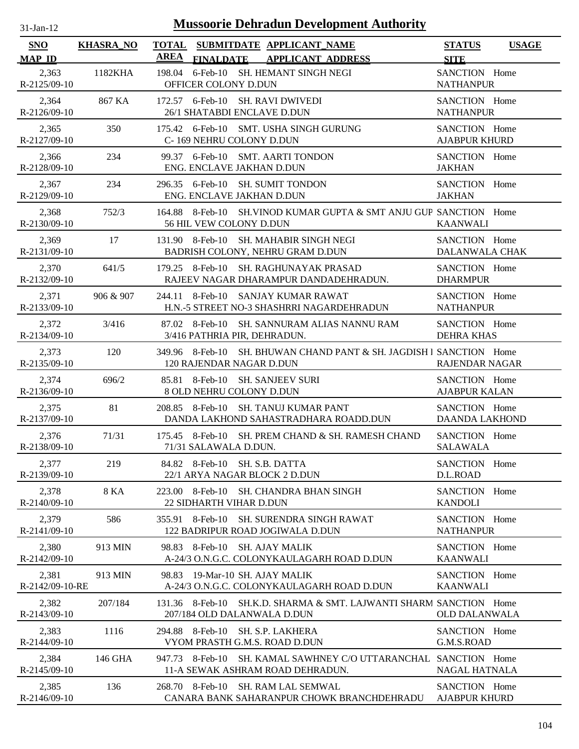| -Jan- |  |
|-------|--|
|       |  |

| <b>SNO</b>                  | <b>KHASRA_NO</b> | <b>TOTAL</b><br><b>AREA</b> |                                     | SUBMITDATE APPLICANT_NAME                                                  |                                                                     | <b>STATUS</b>                          | <b>USAGE</b> |
|-----------------------------|------------------|-----------------------------|-------------------------------------|----------------------------------------------------------------------------|---------------------------------------------------------------------|----------------------------------------|--------------|
| <b>MAP ID</b><br>2,363      | 1182KHA          |                             | <b>FINALDATE</b>                    | <b>APPLICANT ADDRESS</b><br>198.04 6-Feb-10 SH. HEMANT SINGH NEGI          |                                                                     | <b>SITE</b><br>SANCTION Home           |              |
| R-2125/09-10                |                  |                             | OFFICER COLONY D.DUN                |                                                                            |                                                                     | <b>NATHANPUR</b>                       |              |
| 2,364<br>R-2126/09-10       | 867 KA           |                             | 26/1 SHATABDI ENCLAVE D.DUN         | 172.57 6-Feb-10 SH. RAVI DWIVEDI                                           |                                                                     | SANCTION Home<br><b>NATHANPUR</b>      |              |
| 2,365<br>R-2127/09-10       | 350              |                             | C-169 NEHRU COLONY D.DUN            | 175.42 6-Feb-10 SMT. USHA SINGH GURUNG                                     |                                                                     | SANCTION Home<br><b>AJABPUR KHURD</b>  |              |
| 2,366<br>R-2128/09-10       | 234              |                             | ENG. ENCLAVE JAKHAN D.DUN           | 99.37 6-Feb-10 SMT. AARTI TONDON                                           |                                                                     | SANCTION Home<br><b>JAKHAN</b>         |              |
| 2,367<br>R-2129/09-10       | 234              |                             | ENG. ENCLAVE JAKHAN D.DUN           | 296.35 6-Feb-10 SH. SUMIT TONDON                                           |                                                                     | SANCTION Home<br><b>JAKHAN</b>         |              |
| 2,368<br>R-2130/09-10       | 752/3            |                             | 56 HIL VEW COLONY D.DUN             |                                                                            | 164.88 8-Feb-10 SH. VINOD KUMAR GUPTA & SMT ANJU GUP SANCTION Home  | <b>KAANWALI</b>                        |              |
| 2,369<br>R-2131/09-10       | 17               |                             |                                     | 131.90 8-Feb-10 SH. MAHABIR SINGH NEGI<br>BADRISH COLONY, NEHRU GRAM D.DUN |                                                                     | SANCTION Home<br><b>DALANWALA CHAK</b> |              |
| 2,370<br>R-2132/09-10       | 641/5            |                             |                                     | 179.25 8-Feb-10 SH. RAGHUNAYAK PRASAD                                      | RAJEEV NAGAR DHARAMPUR DANDADEHRADUN.                               | SANCTION Home<br><b>DHARMPUR</b>       |              |
| 2,371<br>R-2133/09-10       | 906 & 907        | 244.11 8-Feb-10             |                                     | SANJAY KUMAR RAWAT                                                         | H.N.-5 STREET NO-3 SHASHRRI NAGARDEHRADUN                           | SANCTION Home<br><b>NATHANPUR</b>      |              |
| 2,372<br>R-2134/09-10       | 3/416            |                             | 3/416 PATHRIA PIR, DEHRADUN.        |                                                                            | 87.02 8-Feb-10 SH. SANNURAM ALIAS NANNU RAM                         | SANCTION Home<br><b>DEHRA KHAS</b>     |              |
| 2,373<br>R-2135/09-10       | 120              |                             | 120 RAJENDAR NAGAR D.DUN            |                                                                            | 349.96 8-Feb-10 SH. BHUWAN CHAND PANT & SH. JAGDISH I SANCTION Home | <b>RAJENDAR NAGAR</b>                  |              |
| 2,374<br>R-2136/09-10       | 696/2            |                             | 8 OLD NEHRU COLONY D.DUN            | 85.81 8-Feb-10 SH. SANJEEV SURI                                            |                                                                     | SANCTION Home<br><b>AJABPUR KALAN</b>  |              |
| 2,375<br>R-2137/09-10       | 81               |                             |                                     | 208.85 8-Feb-10 SH. TANUJ KUMAR PANT                                       | DANDA LAKHOND SAHASTRADHARA ROADD.DUN                               | SANCTION Home<br><b>DAANDA LAKHOND</b> |              |
| 2,376<br>R-2138/09-10       | 71/31            |                             | 71/31 SALAWALA D.DUN.               |                                                                            | 175.45 8-Feb-10 SH. PREM CHAND & SH. RAMESH CHAND                   | SANCTION Home<br><b>SALAWALA</b>       |              |
| 2,377<br>R-2139/09-10       | 219              |                             | 84.82 8-Feb-10 SH. S.B. DATTA       | 22/1 ARYA NAGAR BLOCK 2 D.DUN                                              |                                                                     | SANCTION Home<br>D.L.ROAD              |              |
| 2,378<br>R-2140/09-10       | 8 KA             | 223.00                      | 8-Feb-10<br>22 SIDHARTH VIHAR D.DUN | SH. CHANDRA BHAN SINGH                                                     |                                                                     | SANCTION Home<br><b>KANDOLI</b>        |              |
| 2,379<br>$R-2141/09-10$     | 586              | 355.91                      | 8-Feb-10                            | <b>SH. SURENDRA SINGH RAWAT</b><br>122 BADRIPUR ROAD JOGIWALA D.DUN        |                                                                     | SANCTION Home<br><b>NATHANPUR</b>      |              |
| 2,380<br>$R - 2142/09 - 10$ | 913 MIN          | 98.83 8-Feb-10              |                                     | <b>SH. AJAY MALIK</b>                                                      | A-24/3 O.N.G.C. COLONYKAULAGARH ROAD D.DUN                          | SANCTION Home<br><b>KAANWALI</b>       |              |
| 2,381<br>R-2142/09-10-RE    | 913 MIN          | 98.83                       | 19-Mar-10 SH. AJAY MALIK            |                                                                            | A-24/3 O.N.G.C. COLONYKAULAGARH ROAD D.DUN                          | SANCTION Home<br><b>KAANWALI</b>       |              |
| 2,382<br>R-2143/09-10       | 207/184          | 131.36 8-Feb-10             | 207/184 OLD DALANWALA D.DUN         |                                                                            | SH.K.D. SHARMA & SMT. LAJWANTI SHARM SANCTION Home                  | <b>OLD DALANWALA</b>                   |              |
| 2,383<br>$R-2144/09-10$     | 1116             | 294.88 8-Feb-10             |                                     | SH. S.P. LAKHERA<br>VYOM PRASTH G.M.S. ROAD D.DUN                          |                                                                     | SANCTION Home<br>G.M.S.ROAD            |              |
| 2,384<br>$R-2145/09-10$     | 146 GHA          | 947.73 8-Feb-10             |                                     | 11-A SEWAK ASHRAM ROAD DEHRADUN.                                           | SH. KAMAL SAWHNEY C/O UTTARANCHAL SANCTION Home                     | <b>NAGAL HATNALA</b>                   |              |
| 2,385<br>R-2146/09-10       | 136              |                             |                                     | 268.70 8-Feb-10 SH. RAM LAL SEMWAL                                         | CANARA BANK SAHARANPUR CHOWK BRANCHDEHRADU                          | SANCTION Home<br><b>AJABPUR KHURD</b>  |              |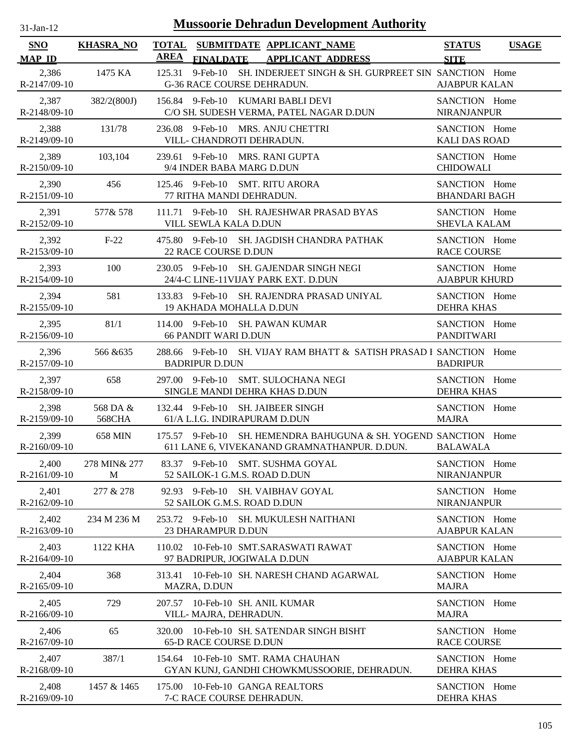| <b>Mussoorie Dehradun Development Authority</b><br>$31-Jan-12$ |                           |                 |                                                                                                                  |                                       |              |  |
|----------------------------------------------------------------|---------------------------|-----------------|------------------------------------------------------------------------------------------------------------------|---------------------------------------|--------------|--|
| <b>SNO</b>                                                     | <b>KHASRA NO</b>          |                 | TOTAL SUBMITDATE APPLICANT_NAME                                                                                  | <b>STATUS</b>                         | <b>USAGE</b> |  |
| <b>MAP ID</b>                                                  |                           | <b>AREA</b>     | <b>FINALDATE</b><br><b>APPLICANT ADDRESS</b>                                                                     | <b>SITE</b>                           |              |  |
| 2,386<br>R-2147/09-10                                          | 1475 KA                   | 125.31          | 9-Feb-10 SH. INDERJEET SINGH & SH. GURPREET SIN SANCTION Home<br><b>G-36 RACE COURSE DEHRADUN.</b>               | <b>AJABPUR KALAN</b>                  |              |  |
| 2,387<br>R-2148/09-10                                          | 382/2(800J)               |                 | 156.84 9-Feb-10 KUMARI BABLI DEVI<br>C/O SH. SUDESH VERMA, PATEL NAGAR D.DUN                                     | SANCTION Home<br>NIRANJANPUR          |              |  |
| 2,388<br>R-2149/09-10                                          | 131/78                    |                 | 236.08 9-Feb-10 MRS. ANJU CHETTRI<br>VILL- CHANDROTI DEHRADUN.                                                   | SANCTION Home<br><b>KALI DAS ROAD</b> |              |  |
| 2,389<br>$R-2150/09-10$                                        | 103,104                   |                 | 239.61 9-Feb-10 MRS. RANI GUPTA<br>9/4 INDER BABA MARG D.DUN                                                     | SANCTION Home<br><b>CHIDOWALI</b>     |              |  |
| 2,390<br>R-2151/09-10                                          | 456                       | 125.46 9-Feb-10 | SMT. RITU ARORA<br>77 RITHA MANDI DEHRADUN.                                                                      | SANCTION Home<br><b>BHANDARI BAGH</b> |              |  |
| 2,391<br>R-2152/09-10                                          | 577& 578                  |                 | 111.71 9-Feb-10 SH. RAJESHWAR PRASAD BYAS<br>VILL SEWLA KALA D.DUN                                               | SANCTION Home<br><b>SHEVLA KALAM</b>  |              |  |
| 2,392<br>R-2153/09-10                                          | $F-22$                    |                 | 475.80 9-Feb-10 SH. JAGDISH CHANDRA PATHAK<br><b>22 RACE COURSE D.DUN</b>                                        | SANCTION Home<br><b>RACE COURSE</b>   |              |  |
| 2,393<br>R-2154/09-10                                          | 100                       |                 | 230.05 9-Feb-10 SH. GAJENDAR SINGH NEGI<br>24/4-C LINE-11VIJAY PARK EXT. D.DUN                                   | SANCTION Home<br><b>AJABPUR KHURD</b> |              |  |
| 2,394<br>R-2155/09-10                                          | 581                       |                 | 133.83 9-Feb-10 SH. RAJENDRA PRASAD UNIYAL<br>19 AKHADA MOHALLA D.DUN                                            | SANCTION Home<br><b>DEHRA KHAS</b>    |              |  |
| 2,395<br>$R-2156/09-10$                                        | 81/1                      |                 | 114.00 9-Feb-10 SH. PAWAN KUMAR<br><b>66 PANDIT WARI D.DUN</b>                                                   | SANCTION Home<br><b>PANDITWARI</b>    |              |  |
| 2,396<br>R-2157/09-10                                          | 566 & 635                 |                 | 288.66 9-Feb-10 SH. VIJAY RAM BHATT & SATISH PRASAD I SANCTION Home<br><b>BADRIPUR D.DUN</b>                     | <b>BADRIPUR</b>                       |              |  |
| 2,397<br>R-2158/09-10                                          | 658                       | 297.00 9-Feb-10 | SMT. SULOCHANA NEGI<br>SINGLE MANDI DEHRA KHAS D.DUN                                                             | SANCTION Home<br><b>DEHRA KHAS</b>    |              |  |
| 2,398<br>R-2159/09-10                                          | 568 DA &<br><b>568CHA</b> |                 | 132.44 9-Feb-10 SH. JAIBEER SINGH<br>61/A L.I.G. INDIRAPURAM D.DUN                                               | SANCTION Home<br><b>MAJRA</b>         |              |  |
| 2,399<br>R-2160/09-10                                          | 658 MIN                   |                 | 175.57 9-Feb-10 SH. HEMENDRA BAHUGUNA & SH. YOGEND SANCTION Home<br>611 LANE 6, VIVEKANAND GRAMNATHANPUR. D.DUN. | <b>BALAWALA</b>                       |              |  |
| 2,400<br>$R-2161/09-10$                                        | 278 MIN& 277<br>M         |                 | 83.37 9-Feb-10 SMT. SUSHMA GOYAL<br>52 SAILOK-1 G.M.S. ROAD D.DUN                                                | SANCTION Home<br><b>NIRANJANPUR</b>   |              |  |
| 2,401<br>$R-2162/09-10$                                        | 277 & 278                 |                 | 92.93 9-Feb-10 SH. VAIBHAV GOYAL<br>52 SAILOK G.M.S. ROAD D.DUN                                                  | SANCTION Home<br><b>NIRANJANPUR</b>   |              |  |
| 2,402<br>R-2163/09-10                                          | 234 M 236 M               |                 | 253.72 9-Feb-10 SH. MUKULESH NAITHANI<br>23 DHARAMPUR D.DUN                                                      | SANCTION Home<br><b>AJABPUR KALAN</b> |              |  |
| 2,403<br>R-2164/09-10                                          | 1122 KHA                  |                 | 110.02 10-Feb-10 SMT.SARASWATI RAWAT<br>97 BADRIPUR, JOGIWALA D.DUN                                              | SANCTION Home<br><b>AJABPUR KALAN</b> |              |  |
| 2,404<br>$R-2165/09-10$                                        | 368                       |                 | 313.41 10-Feb-10 SH. NARESH CHAND AGARWAL<br>MAZRA, D.DUN                                                        | SANCTION Home<br><b>MAJRA</b>         |              |  |
| 2,405<br>$R-2166/09-10$                                        | 729                       |                 | 207.57 10-Feb-10 SH. ANIL KUMAR<br>VILL- MAJRA, DEHRADUN.                                                        | SANCTION Home<br><b>MAJRA</b>         |              |  |
| 2,406<br>R-2167/09-10                                          | 65                        |                 | 320.00 10-Feb-10 SH. SATENDAR SINGH BISHT<br>65-D RACE COURSE D.DUN                                              | SANCTION Home<br><b>RACE COURSE</b>   |              |  |
| 2,407<br>R-2168/09-10                                          | 387/1                     |                 | 154.64 10-Feb-10 SMT. RAMA CHAUHAN<br>GYAN KUNJ, GANDHI CHOWKMUSSOORIE, DEHRADUN.                                | SANCTION Home<br><b>DEHRA KHAS</b>    |              |  |
| 2,408<br>R-2169/09-10                                          | 1457 & 1465               |                 | 175.00 10-Feb-10 GANGA REALTORS<br>7-C RACE COURSE DEHRADUN.                                                     | SANCTION Home<br><b>DEHRA KHAS</b>    |              |  |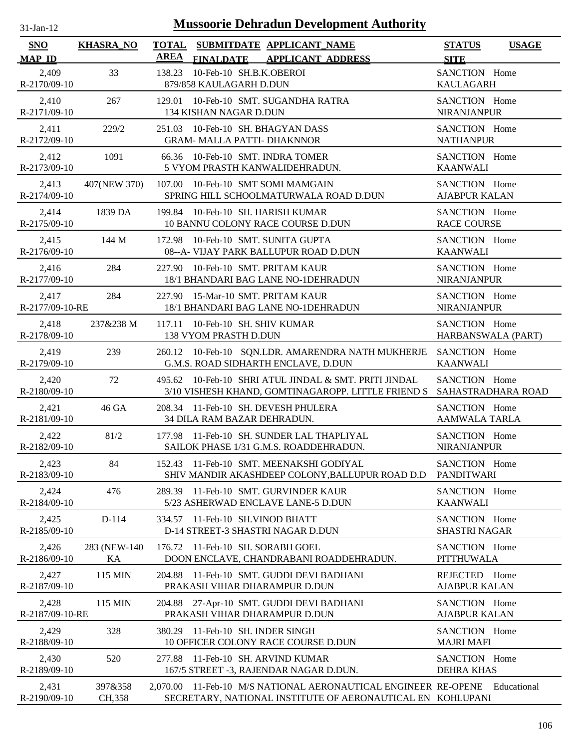| 31-Jan-12 |  |
|-----------|--|
|           |  |

| <b>SNO</b><br><b>MAP ID</b> | <b>KHASRA_NO</b> | TOTAL SUBMITDATE APPLICANT NAME<br><b>AREA</b><br>FINALDATE APPLICANT ADDRESS  | <b>STATUS</b><br><b>USAGE</b><br><b>SITE</b> |
|-----------------------------|------------------|--------------------------------------------------------------------------------|----------------------------------------------|
| 2,409<br>R-2170/09-10       | 33               | 10-Feb-10 SH.B.K.OBEROI<br>138.23<br>879/858 KAULAGARH D.DUN                   | SANCTION Home<br><b>KAULAGARH</b>            |
| 2,410                       | 267              | 129.01 10-Feb-10 SMT. SUGANDHA RATRA                                           | SANCTION Home                                |
| R-2171/09-10                |                  | 134 KISHAN NAGAR D.DUN                                                         | NIRANJANPUR                                  |
| 2,411                       | 229/2            | 251.03 10-Feb-10 SH. BHAGYAN DASS                                              | SANCTION Home                                |
| R-2172/09-10                |                  | <b>GRAM- MALLA PATTI- DHAKNNOR</b>                                             | <b>NATHANPUR</b>                             |
| 2,412                       | 1091             | 66.36 10-Feb-10 SMT. INDRA TOMER                                               | SANCTION Home                                |
| R-2173/09-10                |                  | 5 VYOM PRASTH KANWALIDEHRADUN.                                                 | <b>KAANWALI</b>                              |
| 2,413                       | 407(NEW 370)     | 107.00 10-Feb-10 SMT SOMI MAMGAIN                                              | SANCTION Home                                |
| R-2174/09-10                |                  | SPRING HILL SCHOOLMATURWALA ROAD D.DUN                                         | <b>AJABPUR KALAN</b>                         |
| 2,414                       | 1839 DA          | 199.84 10-Feb-10 SH. HARISH KUMAR                                              | SANCTION Home                                |
| R-2175/09-10                |                  | 10 BANNU COLONY RACE COURSE D.DUN                                              | <b>RACE COURSE</b>                           |
| 2,415                       | 144 M            | 172.98 10-Feb-10 SMT. SUNITA GUPTA                                             | SANCTION Home                                |
| R-2176/09-10                |                  | 08--A- VIJAY PARK BALLUPUR ROAD D.DUN                                          | <b>KAANWALI</b>                              |
| 2,416                       | 284              | 227.90 10-Feb-10 SMT. PRITAM KAUR                                              | SANCTION Home                                |
| R-2177/09-10                |                  | 18/1 BHANDARI BAG LANE NO-1DEHRADUN                                            | NIRANJANPUR                                  |
| 2,417                       | 284              | 227.90 15-Mar-10 SMT. PRITAM KAUR                                              | SANCTION Home                                |
| R-2177/09-10-RE             |                  | 18/1 BHANDARI BAG LANE NO-1DEHRADUN                                            | <b>NIRANJANPUR</b>                           |
| 2,418                       | 237&238 M        | 117.11 10-Feb-10 SH. SHIV KUMAR                                                | SANCTION Home                                |
| R-2178/09-10                |                  | 138 VYOM PRASTH D.DUN                                                          | HARBANSWALA (PART)                           |
| 2,419                       | 239              | 260.12 10-Feb-10 SQN.LDR. AMARENDRA NATH MUKHERJE                              | SANCTION Home                                |
| R-2179/09-10                |                  | G.M.S. ROAD SIDHARTH ENCLAVE, D.DUN                                            | <b>KAANWALI</b>                              |
| 2,420                       | 72               | 495.62 10-Feb-10 SHRI ATUL JINDAL & SMT. PRITI JINDAL                          | SANCTION Home                                |
| R-2180/09-10                |                  | 3/10 VISHESH KHAND, GOMTINAGAROPP. LITTLE FRIEND S                             | SAHASTRADHARA ROAD                           |
| 2,421                       | 46 GA            | 208.34 11-Feb-10 SH. DEVESH PHULERA                                            | SANCTION Home                                |
| R-2181/09-10                |                  | 34 DILA RAM BAZAR DEHRADUN.                                                    | <b>AAMWALA TARLA</b>                         |
| 2,422                       | 81/2             | 177.98 11-Feb-10 SH. SUNDER LAL THAPLIYAL                                      | SANCTION Home                                |
| R-2182/09-10                |                  | SAILOK PHASE 1/31 G.M.S. ROADDEHRADUN.                                         | NIRANJANPUR                                  |
| 2,423                       | 84               | 152.43 11-Feb-10 SMT. MEENAKSHI GODIYAL                                        | SANCTION Home                                |
| R-2183/09-10                |                  | SHIV MANDIR AKASHDEEP COLONY, BALLUPUR ROAD D.D                                | <b>PANDITWARI</b>                            |
| 2,424                       | 476              | 289.39 11-Feb-10 SMT. GURVINDER KAUR                                           | SANCTION Home                                |
| R-2184/09-10                |                  | 5/23 ASHERWAD ENCLAVE LANE-5 D.DUN                                             | <b>KAANWALI</b>                              |
| 2,425                       | D-114            | 334.57 11-Feb-10 SH. VINOD BHATT                                               | SANCTION Home                                |
| R-2185/09-10                |                  | D-14 STREET-3 SHASTRI NAGAR D.DUN                                              | <b>SHASTRI NAGAR</b>                         |
| 2,426                       | 283 (NEW-140)    | 176.72 11-Feb-10 SH. SORABH GOEL                                               | SANCTION Home                                |
| R-2186/09-10                | KА               | DOON ENCLAVE, CHANDRABANI ROADDEHRADUN.                                        | <b>PITTHUWALA</b>                            |
| 2,427<br>R-2187/09-10       | 115 MIN          | 11-Feb-10 SMT. GUDDI DEVI BADHANI<br>204.88<br>PRAKASH VIHAR DHARAMPUR D.DUN   | REJECTED Home<br><b>AJABPUR KALAN</b>        |
| 2,428<br>R-2187/09-10-RE    | 115 MIN          | 27-Apr-10 SMT. GUDDI DEVI BADHANI<br>204.88<br>PRAKASH VIHAR DHARAMPUR D.DUN   | SANCTION Home<br><b>AJABPUR KALAN</b>        |
| 2,429<br>R-2188/09-10       | 328              | 380.29<br>11-Feb-10 SH. INDER SINGH<br>10 OFFICER COLONY RACE COURSE D.DUN     | SANCTION Home<br><b>MAJRI MAFI</b>           |
| 2,430<br>R-2189/09-10       | 520              | 11-Feb-10 SH. ARVIND KUMAR<br>277.88<br>167/5 STREET -3, RAJENDAR NAGAR D.DUN. | SANCTION Home<br><b>DEHRA KHAS</b>           |
| 2,431                       | 397&358          | 2,070.00 11-Feb-10 M/S NATIONAL AERONAUTICAL ENGINEER RE-OPENE                 | Educational                                  |
| R-2190/09-10                | CH, 358          | SECRETARY, NATIONAL INSTITUTE OF AERONAUTICAL EN KOHLUPANI                     |                                              |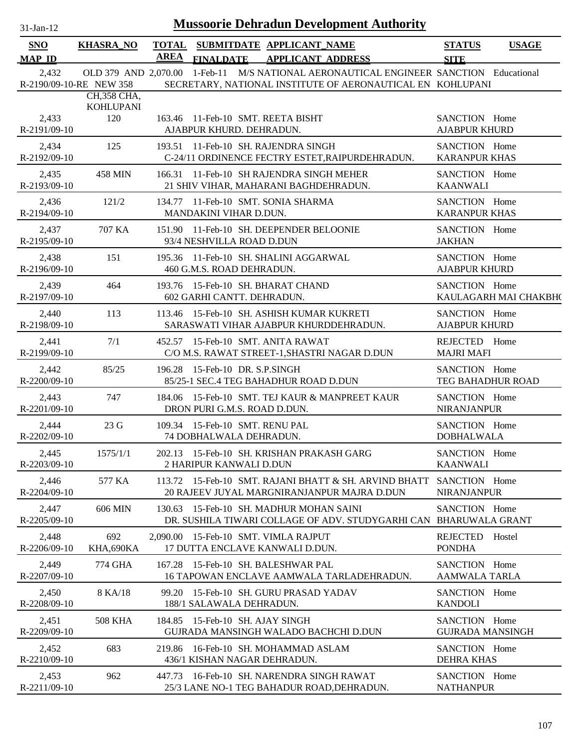| 1-Jan-1 |  |
|---------|--|

| <b>SNO</b>            | <b>KHASRA_NO</b>        |             |                                 | TOTAL SUBMITDATE APPLICANT NAME                                                                                                                     | <b>STATUS</b>                         | <b>USAGE</b>          |
|-----------------------|-------------------------|-------------|---------------------------------|-----------------------------------------------------------------------------------------------------------------------------------------------------|---------------------------------------|-----------------------|
| <b>MAP ID</b>         |                         | <b>AREA</b> | <b>FINALDATE</b>                | <b>APPLICANT ADDRESS</b>                                                                                                                            | <b>SITE</b>                           |                       |
| 2,432                 | R-2190/09-10-RE NEW 358 |             |                                 | OLD 379 AND 2,070.00 1-Feb-11 M/S NATIONAL AERONAUTICAL ENGINEER SANCTION Educational<br>SECRETARY, NATIONAL INSTITUTE OF AERONAUTICAL EN KOHLUPANI |                                       |                       |
|                       | CH,358 CHA,             |             |                                 |                                                                                                                                                     |                                       |                       |
| 2,433                 | <b>KOHLUPANI</b><br>120 |             |                                 | 163.46 11-Feb-10 SMT. REETA BISHT                                                                                                                   | SANCTION Home                         |                       |
| R-2191/09-10          |                         |             | AJABPUR KHURD. DEHRADUN.        |                                                                                                                                                     | <b>AJABPUR KHURD</b>                  |                       |
|                       |                         |             |                                 |                                                                                                                                                     |                                       |                       |
| 2,434<br>R-2192/09-10 | 125                     |             |                                 | 193.51 11-Feb-10 SH. RAJENDRA SINGH<br>C-24/11 ORDINENCE FECTRY ESTET, RAIPURDEHRADUN.                                                              | SANCTION Home<br><b>KARANPUR KHAS</b> |                       |
|                       |                         |             |                                 |                                                                                                                                                     |                                       |                       |
| 2,435<br>R-2193/09-10 | 458 MIN                 |             |                                 | 166.31 11-Feb-10 SH RAJENDRA SINGH MEHER<br>21 SHIV VIHAR, MAHARANI BAGHDEHRADUN.                                                                   | SANCTION Home<br><b>KAANWALI</b>      |                       |
|                       |                         |             |                                 |                                                                                                                                                     |                                       |                       |
| 2,436                 | 121/2                   |             |                                 | 134.77 11-Feb-10 SMT. SONIA SHARMA                                                                                                                  | SANCTION Home                         |                       |
| R-2194/09-10          |                         |             | MANDAKINI VIHAR D.DUN.          |                                                                                                                                                     | <b>KARANPUR KHAS</b>                  |                       |
| 2,437                 | 707 KA                  |             |                                 | 151.90 11-Feb-10 SH. DEEPENDER BELOONIE                                                                                                             | SANCTION Home                         |                       |
| R-2195/09-10          |                         |             | 93/4 NESHVILLA ROAD D.DUN       |                                                                                                                                                     | <b>JAKHAN</b>                         |                       |
| 2,438                 | 151                     |             |                                 | 195.36 11-Feb-10 SH. SHALINI AGGARWAL                                                                                                               | SANCTION Home                         |                       |
| R-2196/09-10          |                         |             | 460 G.M.S. ROAD DEHRADUN.       |                                                                                                                                                     | <b>AJABPUR KHURD</b>                  |                       |
| 2,439                 | 464                     |             |                                 | 193.76 15-Feb-10 SH. BHARAT CHAND                                                                                                                   | SANCTION Home                         |                       |
| R-2197/09-10          |                         |             | 602 GARHI CANTT. DEHRADUN.      |                                                                                                                                                     |                                       | KAULAGARH MAI CHAKBH( |
| 2,440                 | 113                     |             |                                 | 113.46 15-Feb-10 SH. ASHISH KUMAR KUKRETI                                                                                                           | SANCTION Home                         |                       |
| R-2198/09-10          |                         |             |                                 | SARASWATI VIHAR AJABPUR KHURDDEHRADUN.                                                                                                              | <b>AJABPUR KHURD</b>                  |                       |
| 2,441                 | 7/1                     |             |                                 | 452.57 15-Feb-10 SMT. ANITA RAWAT                                                                                                                   | REJECTED Home                         |                       |
| R-2199/09-10          |                         |             |                                 | C/O M.S. RAWAT STREET-1, SHASTRI NAGAR D.DUN                                                                                                        | <b>MAJRI MAFI</b>                     |                       |
| 2,442                 | 85/25                   |             | 196.28 15-Feb-10 DR. S.P.SINGH  |                                                                                                                                                     | SANCTION Home                         |                       |
| R-2200/09-10          |                         |             |                                 | 85/25-1 SEC.4 TEG BAHADHUR ROAD D.DUN                                                                                                               | TEG BAHADHUR ROAD                     |                       |
|                       |                         |             |                                 |                                                                                                                                                     |                                       |                       |
| 2,443<br>R-2201/09-10 | 747                     |             | DRON PURI G.M.S. ROAD D.DUN.    | 184.06 15-Feb-10 SMT. TEJ KAUR & MANPREET KAUR                                                                                                      | SANCTION Home<br><b>NIRANJANPUR</b>   |                       |
|                       |                         |             |                                 |                                                                                                                                                     |                                       |                       |
| 2,444                 | 23 G                    |             | 109.34 15-Feb-10 SMT. RENU PAL  |                                                                                                                                                     | SANCTION Home                         |                       |
| R-2202/09-10          |                         |             | 74 DOBHALWALA DEHRADUN.         |                                                                                                                                                     | <b>DOBHALWALA</b>                     |                       |
| 2,445                 | 1575/1/1                |             |                                 | 202.13 15-Feb-10 SH. KRISHAN PRAKASH GARG                                                                                                           | SANCTION Home                         |                       |
| R-2203/09-10          |                         |             | 2 HARIPUR KANWALI D.DUN         |                                                                                                                                                     | <b>KAANWALI</b>                       |                       |
| 2,446                 | 577 KA                  |             |                                 | 113.72 15-Feb-10 SMT. RAJANI BHATT & SH. ARVIND BHATT                                                                                               | SANCTION Home                         |                       |
| R-2204/09-10          |                         |             |                                 | 20 RAJEEV JUYAL MARGNIRANJANPUR MAJRA D.DUN                                                                                                         | <b>NIRANJANPUR</b>                    |                       |
| 2,447                 | 606 MIN                 |             |                                 | 130.63 15-Feb-10 SH, MADHUR MOHAN SAINI                                                                                                             | SANCTION Home                         |                       |
| R-2205/09-10          |                         |             |                                 | DR. SUSHILA TIWARI COLLAGE OF ADV. STUDYGARHI CAN BHARUWALA GRANT                                                                                   |                                       |                       |
| 2,448                 | 692                     |             |                                 | 2,090.00 15-Feb-10 SMT. VIMLA RAJPUT                                                                                                                | REJECTED                              | Hostel                |
| R-2206/09-10          | KHA,690KA               |             |                                 | 17 DUTTA ENCLAVE KANWALI D.DUN.                                                                                                                     | <b>PONDHA</b>                         |                       |
| 2,449                 | 774 GHA                 |             |                                 | 167.28 15-Feb-10 SH. BALESHWAR PAL                                                                                                                  | SANCTION Home                         |                       |
| R-2207/09-10          |                         |             |                                 | 16 TAPOWAN ENCLAVE AAMWALA TARLADEHRADUN.                                                                                                           | AAMWALA TARLA                         |                       |
|                       |                         |             |                                 |                                                                                                                                                     |                                       |                       |
| 2,450<br>R-2208/09-10 | 8 KA/18                 |             | 188/1 SALAWALA DEHRADUN.        | 99.20 15-Feb-10 SH. GURU PRASAD YADAV                                                                                                               | SANCTION Home<br><b>KANDOLI</b>       |                       |
|                       |                         |             |                                 |                                                                                                                                                     |                                       |                       |
| 2,451                 | <b>508 KHA</b>          |             | 184.85 15-Feb-10 SH. AJAY SINGH |                                                                                                                                                     | SANCTION Home                         |                       |
| R-2209/09-10          |                         |             |                                 | GUJRADA MANSINGH WALADO BACHCHI D.DUN                                                                                                               | <b>GUJRADA MANSINGH</b>               |                       |
| 2,452                 | 683                     |             |                                 | 219.86 16-Feb-10 SH. MOHAMMAD ASLAM                                                                                                                 | SANCTION Home                         |                       |
| R-2210/09-10          |                         |             |                                 | 436/1 KISHAN NAGAR DEHRADUN.                                                                                                                        | <b>DEHRA KHAS</b>                     |                       |
| 2,453                 | 962                     | 447.73      |                                 | 16-Feb-10 SH. NARENDRA SINGH RAWAT                                                                                                                  | SANCTION Home                         |                       |
| R-2211/09-10          |                         |             |                                 | 25/3 LANE NO-1 TEG BAHADUR ROAD, DEHRADUN.                                                                                                          | <b>NATHANPUR</b>                      |                       |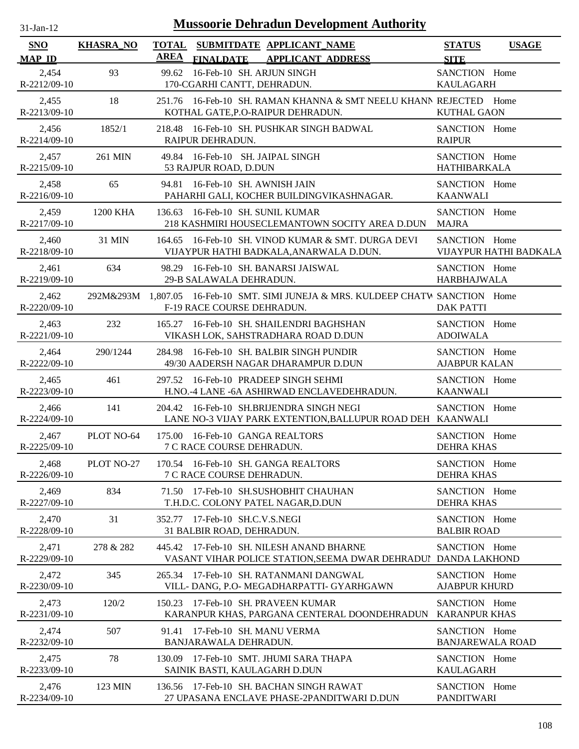| $31$ -Jan-12                |                  | <b>Mussoorie Dehradun Development Authority</b>                                                                |                                              |
|-----------------------------|------------------|----------------------------------------------------------------------------------------------------------------|----------------------------------------------|
| <b>SNO</b><br><b>MAP ID</b> | <b>KHASRA_NO</b> | <b>TOTAL</b><br>SUBMITDATE APPLICANT_NAME<br><b>AREA</b><br><b>FINALDATE</b><br><b>APPLICANT ADDRESS</b>       | <b>STATUS</b><br><b>USAGE</b><br><b>SITE</b> |
| 2,454                       | 93               | 99.62 16-Feb-10 SH. ARJUN SINGH                                                                                | SANCTION Home                                |
| R-2212/09-10                |                  | 170-CGARHI CANTT, DEHRADUN.                                                                                    | <b>KAULAGARH</b>                             |
| 2,455<br>R-2213/09-10       | 18               | 251.76 16-Feb-10 SH. RAMAN KHANNA & SMT NEELU KHANN REJECTED Home<br>KOTHAL GATE, P.O-RAIPUR DEHRADUN.         | <b>KUTHAL GAON</b>                           |
| 2,456                       | 1852/1           | 218.48 16-Feb-10 SH. PUSHKAR SINGH BADWAL                                                                      | SANCTION Home                                |
| $R-2214/09-10$              |                  | RAIPUR DEHRADUN.                                                                                               | <b>RAIPUR</b>                                |
| 2,457                       | 261 MIN          | 49.84 16-Feb-10 SH. JAIPAL SINGH                                                                               | SANCTION Home                                |
| R-2215/09-10                |                  | 53 RAJPUR ROAD, D.DUN                                                                                          | HATHIBARKALA                                 |
| 2,458                       | 65               | 94.81 16-Feb-10 SH. AWNISH JAIN                                                                                | SANCTION Home                                |
| R-2216/09-10                |                  | PAHARHI GALI, KOCHER BUILDINGVIKASHNAGAR.                                                                      | <b>KAANWALI</b>                              |
| 2,459<br>R-2217/09-10       | 1200 KHA         | 16-Feb-10 SH. SUNIL KUMAR<br>136.63<br>218 KASHMIRI HOUSECLEMANTOWN SOCITY AREA D.DUN                          | SANCTION Home<br><b>MAJRA</b>                |
| 2,460                       | 31 MIN           | 164.65 16-Feb-10 SH, VINOD KUMAR & SMT, DURGA DEVI                                                             | SANCTION Home                                |
| R-2218/09-10                |                  | VIJAYPUR HATHI BADKALA, ANARWALA D.DUN.                                                                        | VIJAYPUR HATHI BADKALA                       |
| 2,461                       | 634              | 98.29 16-Feb-10 SH. BANARSI JAISWAL                                                                            | SANCTION Home                                |
| R-2219/09-10                |                  | 29-B SALAWALA DEHRADUN.                                                                                        | <b>HARBHAJWALA</b>                           |
| 2,462<br>R-2220/09-10       |                  | 292M&293M 1,807.05 16-Feb-10 SMT. SIMI JUNEJA & MRS. KULDEEP CHATW SANCTION Home<br>F-19 RACE COURSE DEHRADUN. | <b>DAK PATTI</b>                             |
| 2,463                       | 232              | 165.27 16-Feb-10 SH. SHAILENDRI BAGHSHAN                                                                       | SANCTION Home                                |
| R-2221/09-10                |                  | VIKASH LOK, SAHSTRADHARA ROAD D.DUN                                                                            | <b>ADOIWALA</b>                              |
| 2,464                       | 290/1244         | 284.98 16-Feb-10 SH. BALBIR SINGH PUNDIR                                                                       | SANCTION Home                                |
| R-2222/09-10                |                  | 49/30 AADERSH NAGAR DHARAMPUR D.DUN                                                                            | <b>AJABPUR KALAN</b>                         |
| 2,465                       | 461              | 297.52 16-Feb-10 PRADEEP SINGH SEHMI                                                                           | SANCTION Home                                |
| R-2223/09-10                |                  | H.NO.-4 LANE -6A ASHIRWAD ENCLAVEDEHRADUN.                                                                     | <b>KAANWALI</b>                              |
| 2,466<br>$R-2224/09-10$     | 141              | 204.42 16-Feb-10 SH.BRIJENDRA SINGH NEGI<br>LANE NO-3 VIJAY PARK EXTENTION, BALLUPUR ROAD DEH KAANWALI         | SANCTION Home                                |
| 2,467                       | PLOT NO-64       | 175.00 16-Feb-10 GANGA REALTORS                                                                                | SANCTION Home                                |
| R-2225/09-10                |                  | 7 C RACE COURSE DEHRADUN.                                                                                      | <b>DEHRA KHAS</b>                            |
| 2,468                       | PLOT NO-27       | 170.54 16-Feb-10 SH, GANGA REALTORS                                                                            | SANCTION Home                                |
| R-2226/09-10                |                  | 7 C RACE COURSE DEHRADUN.                                                                                      | <b>DEHRA KHAS</b>                            |
| 2,469                       | 834              | 71.50 17-Feb-10 SH.SUSHOBHIT CHAUHAN                                                                           | SANCTION Home                                |
| R-2227/09-10                |                  | T.H.D.C. COLONY PATEL NAGAR, D.DUN                                                                             | <b>DEHRA KHAS</b>                            |
| 2,470                       | 31               | 352.77 17-Feb-10 SH.C.V.S.NEGI                                                                                 | SANCTION Home                                |
| R-2228/09-10                |                  | 31 BALBIR ROAD, DEHRADUN.                                                                                      | <b>BALBIR ROAD</b>                           |
| 2,471<br>R-2229/09-10       | 278 & 282        | 445.42 17-Feb-10 SH. NILESH ANAND BHARNE<br>VASANT VIHAR POLICE STATION, SEEMA DWAR DEHRADUI DANDA LAKHOND     | SANCTION Home                                |
| 2,472                       | 345              | 265.34 17-Feb-10 SH. RATANMANI DANGWAL                                                                         | SANCTION Home                                |
| $R-2230/09-10$              |                  | VILL-DANG, P.O-MEGADHARPATTI- GYARHGAWN                                                                        | <b>AJABPUR KHURD</b>                         |
| 2,473                       | 120/2            | 150.23 17-Feb-10 SH. PRAVEEN KUMAR                                                                             | SANCTION Home                                |
| R-2231/09-10                |                  | KARANPUR KHAS, PARGANA CENTERAL DOONDEHRADUN                                                                   | <b>KARANPUR KHAS</b>                         |
| 2,474                       | 507              | 91.41 17-Feb-10 SH. MANU VERMA                                                                                 | SANCTION Home                                |
| R-2232/09-10                |                  | BANJARAWALA DEHRADUN.                                                                                          | <b>BANJAREWALA ROAD</b>                      |
| 2,475                       | 78               | 130.09 17-Feb-10 SMT. JHUMI SARA THAPA                                                                         | SANCTION Home                                |
| R-2233/09-10                |                  | SAINIK BASTI, KAULAGARH D.DUN                                                                                  | <b>KAULAGARH</b>                             |
| 2,476                       | 123 MIN          | 136.56 17-Feb-10 SH. BACHAN SINGH RAWAT                                                                        | SANCTION Home                                |
| R-2234/09-10                |                  | 27 UPASANA ENCLAVE PHASE-2PANDITWARI D.DUN                                                                     | <b>PANDITWARI</b>                            |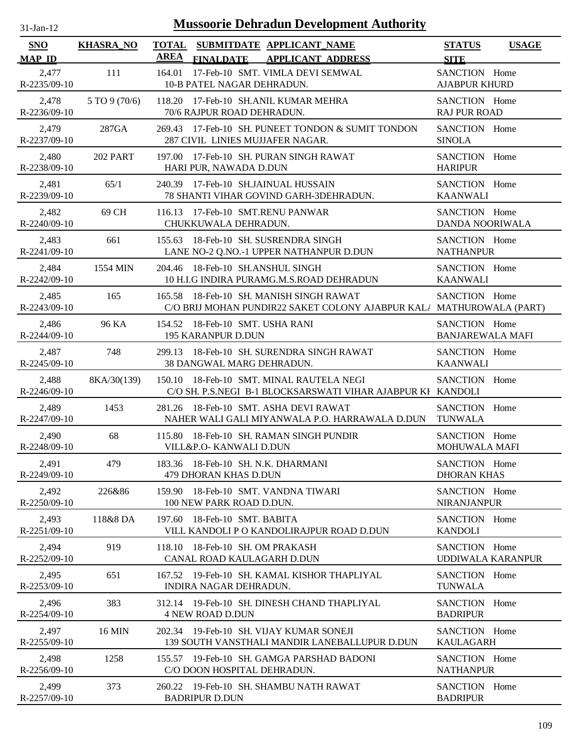| -Jan- |  |
|-------|--|

| <b>SNO</b>                  | <b>KHASRA_NO</b> | <b>TOTAL</b><br>SUBMITDATE APPLICANT_NAME<br><b>AREA</b>                                                        | <b>STATUS</b><br><b>USAGE</b>             |
|-----------------------------|------------------|-----------------------------------------------------------------------------------------------------------------|-------------------------------------------|
| <b>MAP ID</b>               |                  | <b>FINALDATE</b><br><b>APPLICANT ADDRESS</b>                                                                    | <b>SITE</b>                               |
| 2,477<br>R-2235/09-10       | 111              | 164.01<br>17-Feb-10 SMT. VIMLA DEVI SEMWAL<br>10-B PATEL NAGAR DEHRADUN.                                        | SANCTION Home<br><b>AJABPUR KHURD</b>     |
| 2,478                       | 5 TO 9 (70/6)    | 118.20 17-Feb-10 SH.ANIL KUMAR MEHRA                                                                            | SANCTION Home                             |
| R-2236/09-10                |                  | 70/6 RAJPUR ROAD DEHRADUN.                                                                                      | <b>RAJ PUR ROAD</b>                       |
| 2,479                       | 287GA            | 269.43 17-Feb-10 SH. PUNEET TONDON & SUMIT TONDON                                                               | SANCTION Home                             |
| R-2237/09-10                |                  | 287 CIVIL LINIES MUJJAFER NAGAR.                                                                                | <b>SINOLA</b>                             |
| 2,480<br>R-2238/09-10       | <b>202 PART</b>  | 17-Feb-10 SH. PURAN SINGH RAWAT<br>197.00<br>HARI PUR, NAWADA D.DUN                                             | SANCTION Home<br><b>HARIPUR</b>           |
| 2,481                       | 65/1             | 240.39 17-Feb-10 SH.JAINUAL HUSSAIN                                                                             | SANCTION Home                             |
| R-2239/09-10                |                  | 78 SHANTI VIHAR GOVIND GARH-3DEHRADUN.                                                                          | <b>KAANWALI</b>                           |
| 2,482                       | 69 CH            | 116.13 17-Feb-10 SMT.RENU PANWAR                                                                                | SANCTION Home                             |
| $R-2240/09-10$              |                  | CHUKKUWALA DEHRADUN.                                                                                            | DANDA NOORIWALA                           |
| 2,483<br>R-2241/09-10       | 661              | 18-Feb-10 SH. SUSRENDRA SINGH<br>155.63<br>LANE NO-2 Q.NO.-1 UPPER NATHANPUR D.DUN                              | SANCTION Home<br><b>NATHANPUR</b>         |
| 2,484                       | 1554 MIN         | 204.46 18-Feb-10 SH.ANSHUL SINGH                                                                                | SANCTION Home                             |
| $R - 2242/09 - 10$          |                  | 10 H.I.G INDIRA PURAMG.M.S.ROAD DEHRADUN                                                                        | <b>KAANWALI</b>                           |
| 2,485<br>$R - 2243/09 - 10$ | 165              | 165.58 18-Feb-10 SH, MANISH SINGH RAWAT<br>C/O BRIJ MOHAN PUNDIR22 SAKET COLONY AJABPUR KAL/ MATHUROWALA (PART) | SANCTION Home                             |
| 2,486                       | 96 KA            | 154.52 18-Feb-10 SMT. USHA RANI                                                                                 | SANCTION Home                             |
| R-2244/09-10                |                  | 195 KARANPUR D.DUN                                                                                              | <b>BANJAREWALA MAFI</b>                   |
| 2,487                       | 748              | 299.13 18-Feb-10 SH, SURENDRA SINGH RAWAT                                                                       | SANCTION Home                             |
| $R-2245/09-10$              |                  | 38 DANGWAL MARG DEHRADUN.                                                                                       | <b>KAANWALI</b>                           |
| 2,488<br>$R-2246/09-10$     | 8KA/30(139)      | 150.10 18-Feb-10 SMT. MINAL RAUTELA NEGI<br>C/O SH. P.S.NEGI B-1 BLOCKSARSWATI VIHAR AJABPUR KI KANDOLI         | SANCTION Home                             |
| 2,489                       | 1453             | 281.26 18-Feb-10 SMT. ASHA DEVI RAWAT                                                                           | SANCTION Home                             |
| R-2247/09-10                |                  | NAHER WALI GALI MIYANWALA P.O. HARRAWALA D.DUN                                                                  | <b>TUNWALA</b>                            |
| 2,490                       | 68               | 115.80 18-Feb-10 SH. RAMAN SINGH PUNDIR                                                                         | SANCTION Home                             |
| R-2248/09-10                |                  | VILL&P.O- KANWALI D.DUN                                                                                         | MOHUWALA MAFI                             |
| 2,491                       | 479              | 183.36 18-Feb-10 SH. N.K. DHARMANI                                                                              | SANCTION Home                             |
| R-2249/09-10                |                  | 479 DHORAN KHAS D.DUN                                                                                           | <b>DHORAN KHAS</b>                        |
| 2,492<br>R-2250/09-10       | 226&86           | 18-Feb-10 SMT. VANDNA TIWARI<br>159.90<br>100 NEW PARK ROAD D.DUN.                                              | SANCTION Home<br><b>NIRANJANPUR</b>       |
| 2,493<br>R-2251/09-10       | 118&8 DA         | 197.60<br>18-Feb-10 SMT. BABITA<br>VILL KANDOLI P O KANDOLIRAJPUR ROAD D.DUN                                    | SANCTION Home<br><b>KANDOLI</b>           |
| 2,494<br>$R - 2252/09 - 10$ | 919              | 18-Feb-10 SH, OM PRAKASH<br>118.10<br>CANAL ROAD KAULAGARH D.DUN                                                | SANCTION Home<br><b>UDDIWALA KARANPUR</b> |
| 2,495                       | 651              | 167.52 19-Feb-10 SH, KAMAL KISHOR THAPLIYAL                                                                     | SANCTION Home                             |
| $R - 2253/09 - 10$          |                  | INDIRA NAGAR DEHRADUN.                                                                                          | <b>TUNWALA</b>                            |
| 2,496                       | 383              | 312.14 19-Feb-10 SH. DINESH CHAND THAPLIYAL                                                                     | SANCTION Home                             |
| R-2254/09-10                |                  | <b>4 NEW ROAD D.DUN</b>                                                                                         | <b>BADRIPUR</b>                           |
| 2,497                       | <b>16 MIN</b>    | 202.34 19-Feb-10 SH, VIJAY KUMAR SONEJI                                                                         | SANCTION Home                             |
| $R - 2255/09 - 10$          |                  | 139 SOUTH VANSTHALI MANDIR LANEBALLUPUR D.DUN                                                                   | <b>KAULAGARH</b>                          |
| 2,498                       | 1258             | 155.57 19-Feb-10 SH. GAMGA PARSHAD BADONI                                                                       | SANCTION Home                             |
| R-2256/09-10                |                  | C/O DOON HOSPITAL DEHRADUN.                                                                                     | <b>NATHANPUR</b>                          |
| 2,499                       | 373              | 260.22 19-Feb-10 SH, SHAMBU NATH RAWAT                                                                          | SANCTION Home                             |
| R-2257/09-10                |                  | <b>BADRIPUR D.DUN</b>                                                                                           | <b>BADRIPUR</b>                           |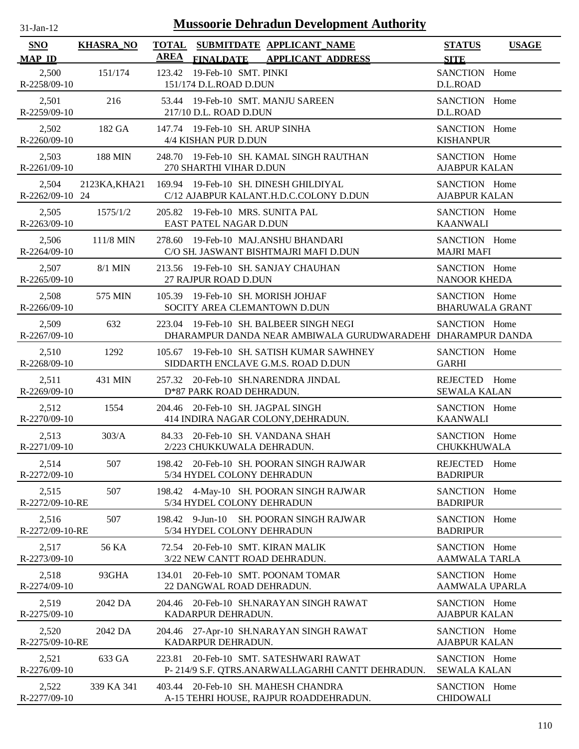| -Jan- |  |
|-------|--|
|       |  |

| <b>SNO</b>               | <b>KHASRA_NO</b> | <b>AREA</b>                                                        | TOTAL SUBMITDATE APPLICANT NAME                                                                        | <b>STATUS</b>                              | <b>USAGE</b> |
|--------------------------|------------------|--------------------------------------------------------------------|--------------------------------------------------------------------------------------------------------|--------------------------------------------|--------------|
| <b>MAP ID</b><br>2,500   | 151/174          | 123.42 19-Feb-10 SMT. PINKI                                        | FINALDATE APPLICANT ADDRESS                                                                            | <b>SITE</b><br>SANCTION Home               |              |
| R-2258/09-10             |                  | 151/174 D.L.ROAD D.DUN                                             |                                                                                                        | D.L.ROAD                                   |              |
| 2,501<br>R-2259/09-10    | 216              | 53.44 19-Feb-10 SMT. MANJU SAREEN<br>217/10 D.L. ROAD D.DUN        |                                                                                                        | SANCTION Home<br>D.L.ROAD                  |              |
| 2,502<br>R-2260/09-10    | 182 GA           | 147.74 19-Feb-10 SH. ARUP SINHA<br>4/4 KISHAN PUR D.DUN            |                                                                                                        | SANCTION Home<br><b>KISHANPUR</b>          |              |
| 2,503<br>R-2261/09-10    | 188 MIN          | 270 SHARTHI VIHAR D.DUN                                            | 248.70 19-Feb-10 SH, KAMAL SINGH RAUTHAN                                                               | SANCTION Home<br><b>AJABPUR KALAN</b>      |              |
| 2,504<br>R-2262/09-10 24 | 2123KA, KHA21    | 169.94 19-Feb-10 SH. DINESH GHILDIYAL                              | C/12 AJABPUR KALANT.H.D.C.COLONY D.DUN                                                                 | SANCTION Home<br><b>AJABPUR KALAN</b>      |              |
| 2,505<br>R-2263/09-10    | 1575/1/2         | 205.82 19-Feb-10 MRS. SUNITA PAL<br>EAST PATEL NAGAR D.DUN         |                                                                                                        | SANCTION Home<br>KAANWALI                  |              |
| 2,506<br>$R-2264/09-10$  | 111/8 MIN        | 278.60 19-Feb-10 MAJ.ANSHU BHANDARI                                | C/O SH. JASWANT BISHTMAJRI MAFI D.DUN                                                                  | SANCTION Home<br><b>MAJRI MAFI</b>         |              |
| 2,507<br>R-2265/09-10    | $8/1$ MIN        | 213.56 19-Feb-10 SH. SANJAY CHAUHAN<br>27 RAJPUR ROAD D.DUN        |                                                                                                        | SANCTION Home<br><b>NANOOR KHEDA</b>       |              |
| 2,508<br>$R-2266/09-10$  | 575 MIN          | 105.39 19-Feb-10 SH. MORISH JOHJAF<br>SOCITY AREA CLEMANTOWN D.DUN |                                                                                                        | SANCTION Home<br><b>BHARUWALA GRANT</b>    |              |
| 2,509<br>R-2267/09-10    | 632              |                                                                    | 223.04 19-Feb-10 SH. BALBEER SINGH NEGI<br>DHARAMPUR DANDA NEAR AMBIWALA GURUDWARADEHI DHARAMPUR DANDA | SANCTION Home                              |              |
| 2,510<br>$R-2268/09-10$  | 1292             |                                                                    | 105.67 19-Feb-10 SH. SATISH KUMAR SAWHNEY<br>SIDDARTH ENCLAVE G.M.S. ROAD D.DUN                        | SANCTION Home<br><b>GARHI</b>              |              |
| 2,511<br>R-2269/09-10    | 431 MIN          | 257.32 20-Feb-10 SH.NARENDRA JINDAL<br>D*87 PARK ROAD DEHRADUN.    |                                                                                                        | REJECTED Home<br><b>SEWALA KALAN</b>       |              |
| 2,512<br>R-2270/09-10    | 1554             | 204.46 20-Feb-10 SH. JAGPAL SINGH                                  | 414 INDIRA NAGAR COLONY, DEHRADUN.                                                                     | SANCTION Home<br><b>KAANWALI</b>           |              |
| 2,513<br>R-2271/09-10    | 303/A            | 84.33 20-Feb-10 SH, VANDANA SHAH<br>2/223 CHUKKUWALA DEHRADUN.     |                                                                                                        | SANCTION Home<br>CHUKKHUWALA               |              |
| 2,514<br>R-2272/09-10    | 507              | 5/34 HYDEL COLONY DEHRADUN                                         | 198.42 20-Feb-10 SH. POORAN SINGH RAJWAR                                                               | <b>REJECTED</b><br>Home<br><b>BADRIPUR</b> |              |
| 2,515<br>R-2272/09-10-RE | 507              | 5/34 HYDEL COLONY DEHRADUN                                         | 198.42 4-May-10 SH. POORAN SINGH RAJWAR                                                                | SANCTION Home<br><b>BADRIPUR</b>           |              |
| 2,516<br>R-2272/09-10-RE | 507              | 5/34 HYDEL COLONY DEHRADUN                                         | 198.42 9-Jun-10 SH. POORAN SINGH RAJWAR                                                                | SANCTION Home<br><b>BADRIPUR</b>           |              |
| 2,517<br>R-2273/09-10    | 56 KA            | 72.54 20-Feb-10 SMT. KIRAN MALIK<br>3/22 NEW CANTT ROAD DEHRADUN.  |                                                                                                        | SANCTION Home<br><b>AAMWALA TARLA</b>      |              |
| 2,518<br>R-2274/09-10    | 93GHA            | 134.01 20-Feb-10 SMT. POONAM TOMAR<br>22 DANGWAL ROAD DEHRADUN.    |                                                                                                        | SANCTION Home<br>AAMWALA UPARLA            |              |
| 2,519<br>R-2275/09-10    | 2042 DA          | KADARPUR DEHRADUN.                                                 | 204.46 20-Feb-10 SH.NARAYAN SINGH RAWAT                                                                | SANCTION Home<br><b>AJABPUR KALAN</b>      |              |
| 2,520<br>R-2275/09-10-RE | 2042 DA          | KADARPUR DEHRADUN.                                                 | 204.46 27-Apr-10 SH.NARAYAN SINGH RAWAT                                                                | SANCTION Home<br><b>AJABPUR KALAN</b>      |              |
| 2,521<br>R-2276/09-10    | 633 GA           | 223.81                                                             | 20-Feb-10 SMT. SATESHWARI RAWAT<br>P-214/9 S.F. QTRS.ANARWALLAGARHI CANTT DEHRADUN.                    | SANCTION Home<br><b>SEWALA KALAN</b>       |              |
| 2,522<br>R-2277/09-10    | 339 KA 341       | 403.44 20-Feb-10 SH. MAHESH CHANDRA                                | A-15 TEHRI HOUSE, RAJPUR ROADDEHRADUN.                                                                 | SANCTION Home<br><b>CHIDOWALI</b>          |              |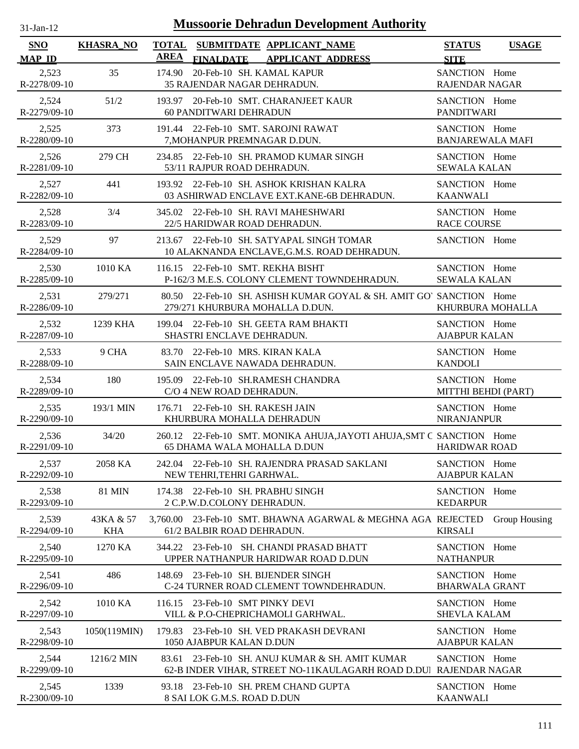| $31-Jan-12$                 |                         | <b>Mussoorie Dehradun Development Authority</b>                                                          |                                          |               |
|-----------------------------|-------------------------|----------------------------------------------------------------------------------------------------------|------------------------------------------|---------------|
| <b>SNO</b><br><b>MAP ID</b> | <b>KHASRA_NO</b>        | <b>TOTAL</b><br>SUBMITDATE APPLICANT NAME<br><b>AREA</b><br>FINALDATE APPLICANT ADDRESS                  | <b>STATUS</b><br><b>SITE</b>             | <b>USAGE</b>  |
| 2,523<br>R-2278/09-10       | 35                      | 20-Feb-10 SH. KAMAL KAPUR<br>174.90<br>35 RAJENDAR NAGAR DEHRADUN.                                       | SANCTION Home<br>RAJENDAR NAGAR          |               |
| 2,524<br>R-2279/09-10       | 51/2                    | 193.97 20-Feb-10 SMT. CHARANJEET KAUR<br><b>60 PANDITWARI DEHRADUN</b>                                   | SANCTION Home<br><b>PANDITWARI</b>       |               |
| 2,525<br>R-2280/09-10       | 373                     | 191.44 22-Feb-10 SMT. SAROJNI RAWAT<br>7, MOHANPUR PREMNAGAR D.DUN.                                      | SANCTION Home<br><b>BANJAREWALA MAFI</b> |               |
| 2,526<br>R-2281/09-10       | 279 CH                  | 234.85 22-Feb-10 SH. PRAMOD KUMAR SINGH<br>53/11 RAJPUR ROAD DEHRADUN.                                   | SANCTION Home<br><b>SEWALA KALAN</b>     |               |
| 2,527<br>R-2282/09-10       | 441                     | 193.92 22-Feb-10 SH. ASHOK KRISHAN KALRA<br>03 ASHIRWAD ENCLAVE EXT.KANE-6B DEHRADUN.                    | SANCTION Home<br><b>KAANWALI</b>         |               |
| 2,528<br>R-2283/09-10       | 3/4                     | 345.02 22-Feb-10 SH. RAVI MAHESHWARI<br>22/5 HARIDWAR ROAD DEHRADUN.                                     | SANCTION Home<br><b>RACE COURSE</b>      |               |
| 2,529<br>R-2284/09-10       | 97                      | 213.67 22-Feb-10 SH, SATYAPAL SINGH TOMAR<br>10 ALAKNANDA ENCLAVE, G.M.S. ROAD DEHRADUN.                 | SANCTION Home                            |               |
| 2,530<br>R-2285/09-10       | 1010 KA                 | 116.15 22-Feb-10 SMT. REKHA BISHT<br>P-162/3 M.E.S. COLONY CLEMENT TOWNDEHRADUN.                         | SANCTION Home<br><b>SEWALA KALAN</b>     |               |
| 2,531<br>R-2286/09-10       | 279/271                 | 80.50 22-Feb-10 SH. ASHISH KUMAR GOYAL & SH. AMIT GO' SANCTION Home<br>279/271 KHURBURA MOHALLA D.DUN.   | KHURBURA MOHALLA                         |               |
| 2,532<br>R-2287/09-10       | 1239 KHA                | 199.04 22-Feb-10 SH. GEETA RAM BHAKTI<br>SHASTRI ENCLAVE DEHRADUN.                                       | SANCTION Home<br><b>AJABPUR KALAN</b>    |               |
| 2,533<br>R-2288/09-10       | 9 CHA                   | 83.70 22-Feb-10 MRS. KIRAN KALA<br>SAIN ENCLAVE NAWADA DEHRADUN.                                         | SANCTION Home<br><b>KANDOLI</b>          |               |
| 2,534<br>R-2289/09-10       | 180                     | 195.09 22-Feb-10 SH.RAMESH CHANDRA<br>C/O 4 NEW ROAD DEHRADUN.                                           | SANCTION Home<br>MITTHI BEHDI (PART)     |               |
| 2,535<br>R-2290/09-10       | 193/1 MIN               | 22-Feb-10 SH. RAKESH JAIN<br>176.71<br>KHURBURA MOHALLA DEHRADUN                                         | SANCTION Home<br><b>NIRANJANPUR</b>      |               |
| 2,536<br>R-2291/09-10       | 34/20                   | 260.12 22-Feb-10 SMT. MONIKA AHUJA, JAYOTI AHUJA, SMT C SANCTION Home<br>65 DHAMA WALA MOHALLA D.DUN     | <b>HARIDWAR ROAD</b>                     |               |
| 2,537<br>R-2292/09-10       | 2058 KA                 | 242.04 22-Feb-10 SH. RAJENDRA PRASAD SAKLANI<br>NEW TEHRI, TEHRI GARHWAL.                                | SANCTION Home<br><b>AJABPUR KALAN</b>    |               |
| 2,538<br>R-2293/09-10       | <b>81 MIN</b>           | 174.38 22-Feb-10 SH. PRABHU SINGH<br>2 C.P.W.D.COLONY DEHRADUN.                                          | SANCTION Home<br><b>KEDARPUR</b>         |               |
| 2,539<br>R-2294/09-10       | 43KA & 57<br><b>KHA</b> | 23-Feb-10 SMT. BHAWNA AGARWAL & MEGHNA AGA REJECTED<br>3,760.00<br>61/2 BALBIR ROAD DEHRADUN.            | <b>KIRSALI</b>                           | Group Housing |
| 2,540<br>R-2295/09-10       | 1270 KA                 | 344.22 23-Feb-10 SH. CHANDI PRASAD BHATT<br>UPPER NATHANPUR HARIDWAR ROAD D.DUN                          | SANCTION Home<br><b>NATHANPUR</b>        |               |
| 2,541<br>R-2296/09-10       | 486                     | 23-Feb-10 SH. BIJENDER SINGH<br>148.69<br>C-24 TURNER ROAD CLEMENT TOWNDEHRADUN.                         | SANCTION Home<br><b>BHARWALA GRANT</b>   |               |
| 2,542<br>R-2297/09-10       | 1010 KA                 | 23-Feb-10 SMT PINKY DEVI<br>116.15<br>VILL & P.O-CHEPRICHAMOLI GARHWAL.                                  | SANCTION Home<br><b>SHEVLA KALAM</b>     |               |
| 2,543<br>R-2298/09-10       | 1050(119MIN)            | 23-Feb-10 SH. VED PRAKASH DEVRANI<br>179.83<br>1050 AJABPUR KALAN D.DUN                                  | SANCTION Home<br><b>AJABPUR KALAN</b>    |               |
| 2,544<br>R-2299/09-10       | 1216/2 MIN              | 23-Feb-10 SH. ANUJ KUMAR & SH. AMIT KUMAR<br>83.61<br>62-B INDER VIHAR, STREET NO-11KAULAGARH ROAD D.DUI | SANCTION Home<br><b>RAJENDAR NAGAR</b>   |               |
| 2,545<br>R-2300/09-10       | 1339                    | 93.18 23-Feb-10 SH. PREM CHAND GUPTA<br>8 SAI LOK G.M.S. ROAD D.DUN                                      | SANCTION Home<br><b>KAANWALI</b>         |               |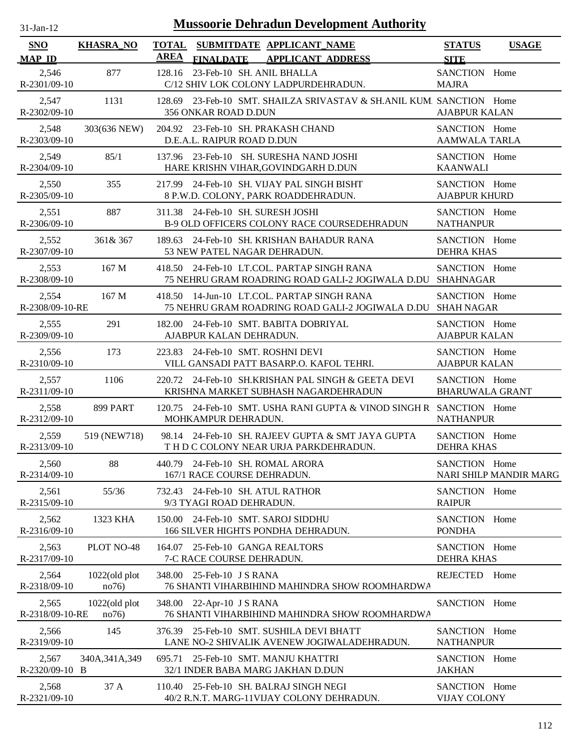| <b>Mussoorie Dehradun Development Authority</b><br>$31-Jan-12$ |                           |                                                                                                 |                                         |                        |  |  |
|----------------------------------------------------------------|---------------------------|-------------------------------------------------------------------------------------------------|-----------------------------------------|------------------------|--|--|
| <b>SNO</b><br><b>MAP ID</b>                                    | <b>KHASRA_NO</b>          | TOTAL SUBMITDATE APPLICANT NAME<br><b>AREA</b><br><b>APPLICANT ADDRESS</b><br><b>FINALDATE</b>  | <b>STATUS</b><br><b>SITE</b>            | <b>USAGE</b>           |  |  |
| 2,546<br>R-2301/09-10                                          | 877                       | 23-Feb-10 SH, ANIL BHALLA<br>128.16<br>C/12 SHIV LOK COLONY LADPURDEHRADUN.                     | SANCTION Home<br><b>MAJRA</b>           |                        |  |  |
| 2,547<br>R-2302/09-10                                          | 1131                      | 23-Feb-10 SMT. SHAILZA SRIVASTAV & SH.ANIL KUM. SANCTION Home<br>128.69<br>356 ONKAR ROAD D.DUN | <b>AJABPUR KALAN</b>                    |                        |  |  |
| 2,548<br>R-2303/09-10                                          | 303(636 NEW)              | 204.92 23-Feb-10 SH. PRAKASH CHAND<br>D.E.A.L. RAIPUR ROAD D.DUN                                | SANCTION Home<br>AAMWALA TARLA          |                        |  |  |
| 2,549<br>R-2304/09-10                                          | 85/1                      | 137.96 23-Feb-10 SH. SURESHA NAND JOSHI<br>HARE KRISHN VIHAR, GOVINDGARH D.DUN                  | SANCTION Home<br><b>KAANWALI</b>        |                        |  |  |
| 2,550<br>R-2305/09-10                                          | 355                       | 217.99 24-Feb-10 SH. VIJAY PAL SINGH BISHT<br>8 P.W.D. COLONY, PARK ROADDEHRADUN.               | SANCTION Home<br><b>AJABPUR KHURD</b>   |                        |  |  |
| 2,551<br>R-2306/09-10                                          | 887                       | 311.38 24-Feb-10 SH, SURESH JOSHI<br>B-9 OLD OFFICERS COLONY RACE COURSEDEHRADUN                | SANCTION Home<br><b>NATHANPUR</b>       |                        |  |  |
| 2,552<br>R-2307/09-10                                          | 361& 367                  | 189.63 24-Feb-10 SH. KRISHAN BAHADUR RANA<br>53 NEW PATEL NAGAR DEHRADUN.                       | SANCTION Home<br><b>DEHRA KHAS</b>      |                        |  |  |
| 2,553<br>R-2308/09-10                                          | 167 M                     | 418.50 24-Feb-10 LT.COL. PARTAP SINGH RANA<br>75 NEHRU GRAM ROADRING ROAD GALI-2 JOGIWALA D.DU  | SANCTION Home<br><b>SHAHNAGAR</b>       |                        |  |  |
| 2,554<br>R-2308/09-10-RE                                       | 167 <sub>M</sub>          | 418.50 14-Jun-10 LT.COL. PARTAP SINGH RANA<br>75 NEHRU GRAM ROADRING ROAD GALI-2 JOGIWALA D.DU  | SANCTION Home<br><b>SHAH NAGAR</b>      |                        |  |  |
| 2,555<br>R-2309/09-10                                          | 291                       | 24-Feb-10 SMT. BABITA DOBRIYAL<br>182.00<br>AJABPUR KALAN DEHRADUN.                             | SANCTION Home<br><b>AJABPUR KALAN</b>   |                        |  |  |
| 2,556<br>R-2310/09-10                                          | 173                       | 24-Feb-10 SMT. ROSHNI DEVI<br>223.83<br>VILL GANSADI PATT BASARP.O. KAFOL TEHRI.                | SANCTION Home<br><b>AJABPUR KALAN</b>   |                        |  |  |
| 2,557<br>$R-2311/09-10$                                        | 1106                      | 220.72 24-Feb-10 SH.KRISHAN PAL SINGH & GEETA DEVI<br>KRISHNA MARKET SUBHASH NAGARDEHRADUN      | SANCTION Home<br><b>BHARUWALA GRANT</b> |                        |  |  |
| 2,558<br>R-2312/09-10                                          | <b>899 PART</b>           | 24-Feb-10 SMT. USHA RANI GUPTA & VINOD SINGH R SANCTION Home<br>120.75<br>MOHKAMPUR DEHRADUN.   | <b>NATHANPUR</b>                        |                        |  |  |
| 2,559<br>R-2313/09-10                                          | 519 (NEW718)              | 98.14 24-Feb-10 SH, RAJEEV GUPTA & SMT JAYA GUPTA<br>TH D C COLONY NEAR URJA PARKDEHRADUN.      | SANCTION Home<br><b>DEHRA KHAS</b>      |                        |  |  |
| 2,560<br>R-2314/09-10                                          | 88                        | 440.79 24-Feb-10 SH. ROMAL ARORA<br>167/1 RACE COURSE DEHRADUN.                                 | SANCTION Home                           | NARI SHILP MANDIR MARG |  |  |
| 2,561<br>R-2315/09-10                                          | 55/36                     | 732.43 24-Feb-10 SH. ATUL RATHOR<br>9/3 TYAGI ROAD DEHRADUN.                                    | SANCTION Home<br><b>RAIPUR</b>          |                        |  |  |
| 2,562<br>R-2316/09-10                                          | 1323 KHA                  | 24-Feb-10 SMT. SAROJ SIDDHU<br>150.00<br>166 SILVER HIGHTS PONDHA DEHRADUN.                     | SANCTION Home<br><b>PONDHA</b>          |                        |  |  |
| 2,563<br>R-2317/09-10                                          | PLOT NO-48                | 164.07 25-Feb-10 GANGA REALTORS<br>7-C RACE COURSE DEHRADUN.                                    | SANCTION Home<br><b>DEHRA KHAS</b>      |                        |  |  |
| 2,564<br>R-2318/09-10                                          | $1022$ (old plot<br>no76) | 348.00<br>25-Feb-10 J S RANA<br><b>76 SHANTI VIHARBIHIND MAHINDRA SHOW ROOMHARDWA</b>           | REJECTED                                | Home                   |  |  |
| 2,565<br>R-2318/09-10-RE                                       | $1022$ (old plot<br>no76) | 348.00 22-Apr-10 J S RANA<br>76 SHANTI VIHARBIHIND MAHINDRA SHOW ROOMHARDWA                     | SANCTION Home                           |                        |  |  |
| 2,566<br>R-2319/09-10                                          | 145                       | 376.39 25-Feb-10 SMT. SUSHILA DEVI BHATT<br>LANE NO-2 SHIVALIK AVENEW JOGIWALADEHRADUN.         | SANCTION Home<br><b>NATHANPUR</b>       |                        |  |  |
| 2,567<br>R-2320/09-10 B                                        | 340A, 341A, 349           | 25-Feb-10 SMT. MANJU KHATTRI<br>695.71<br>32/1 INDER BABA MARG JAKHAN D.DUN                     | SANCTION Home<br><b>JAKHAN</b>          |                        |  |  |
| 2,568<br>R-2321/09-10                                          | 37 A                      | 110.40 25-Feb-10 SH. BALRAJ SINGH NEGI<br>40/2 R.N.T. MARG-11VIJAY COLONY DEHRADUN.             | SANCTION Home<br><b>VIJAY COLONY</b>    |                        |  |  |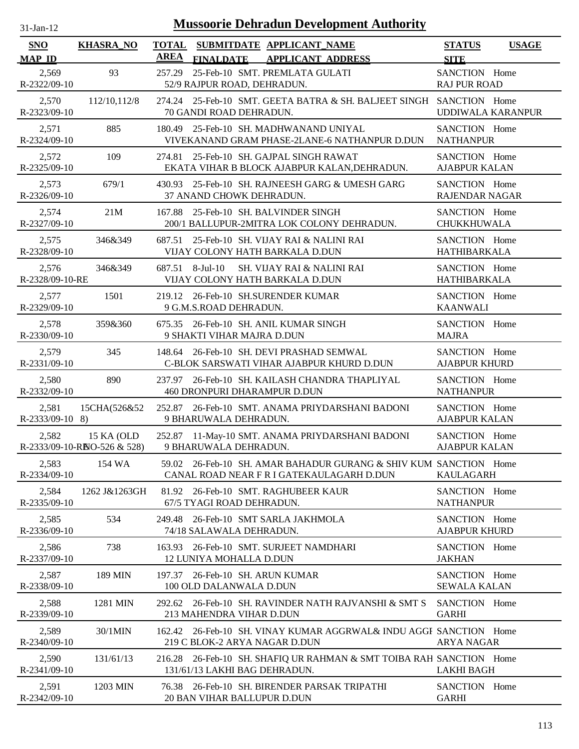| <b>Mussoorie Dehradun Development Authority</b><br>$31$ -Jan-12 |                                            |             |                                                                                                               |                                        |              |  |
|-----------------------------------------------------------------|--------------------------------------------|-------------|---------------------------------------------------------------------------------------------------------------|----------------------------------------|--------------|--|
| <b>SNO</b><br><b>MAP ID</b>                                     | <b>KHASRA NO</b>                           | <b>AREA</b> | TOTAL SUBMITDATE APPLICANT NAME<br><b>FINALDATE</b><br><b>APPLICANT ADDRESS</b>                               | <b>STATUS</b><br><b>SITE</b>           | <b>USAGE</b> |  |
| 2,569<br>R-2322/09-10                                           | 93                                         | 257.29      | 25-Feb-10 SMT. PREMLATA GULATI<br>52/9 RAJPUR ROAD, DEHRADUN.                                                 | SANCTION Home<br><b>RAJ PUR ROAD</b>   |              |  |
| 2,570<br>R-2323/09-10                                           | 112/10,112/8                               |             | 274.24 25-Feb-10 SMT. GEETA BATRA & SH. BALJEET SINGH SANCTION Home<br>70 GANDI ROAD DEHRADUN.                | UDDIWALA KARANPUR                      |              |  |
| 2,571<br>R-2324/09-10                                           | 885                                        |             | 180.49 25-Feb-10 SH, MADHWANAND UNIYAL<br>VIVEKANAND GRAM PHASE-2LANE-6 NATHANPUR D.DUN                       | SANCTION Home<br><b>NATHANPUR</b>      |              |  |
| 2,572<br>R-2325/09-10                                           | 109                                        |             | 274.81 25-Feb-10 SH. GAJPAL SINGH RAWAT<br>EKATA VIHAR B BLOCK AJABPUR KALAN, DEHRADUN.                       | SANCTION Home<br><b>AJABPUR KALAN</b>  |              |  |
| 2,573<br>R-2326/09-10                                           | 679/1                                      | 430.93      | 25-Feb-10 SH. RAJNEESH GARG & UMESH GARG<br>37 ANAND CHOWK DEHRADUN.                                          | SANCTION Home<br><b>RAJENDAR NAGAR</b> |              |  |
| 2,574<br>R-2327/09-10                                           | 21M                                        | 167.88      | 25-Feb-10 SH. BALVINDER SINGH<br>200/1 BALLUPUR-2MITRA LOK COLONY DEHRADUN.                                   | SANCTION Home<br><b>CHUKKHUWALA</b>    |              |  |
| 2,575<br>R-2328/09-10                                           | 346&349                                    |             | 687.51 25-Feb-10 SH, VIJAY RAI & NALINI RAI<br>VIJAY COLONY HATH BARKALA D.DUN                                | SANCTION Home<br><b>HATHIBARKALA</b>   |              |  |
| 2,576<br>R-2328/09-10-RE                                        | 346&349                                    | 687.51      | $8-Jul-10$<br><b>SH. VIJAY RAI &amp; NALINI RAI</b><br>VIJAY COLONY HATH BARKALA D.DUN                        | SANCTION Home<br>HATHIBARKALA          |              |  |
| 2,577<br>R-2329/09-10                                           | 1501                                       |             | 219.12 26-Feb-10 SH.SURENDER KUMAR<br>9 G.M.S.ROAD DEHRADUN.                                                  | SANCTION Home<br><b>KAANWALI</b>       |              |  |
| 2,578<br>R-2330/09-10                                           | 359&360                                    |             | 675.35 26-Feb-10 SH. ANIL KUMAR SINGH<br>9 SHAKTI VIHAR MAJRA D.DUN                                           | SANCTION Home<br><b>MAJRA</b>          |              |  |
| 2,579<br>R-2331/09-10                                           | 345                                        |             | 148.64 26-Feb-10 SH. DEVI PRASHAD SEMWAL<br>C-BLOK SARSWATI VIHAR AJABPUR KHURD D.DUN                         | SANCTION Home<br><b>AJABPUR KHURD</b>  |              |  |
| 2,580<br>R-2332/09-10                                           | 890                                        | 237.97      | 26-Feb-10 SH. KAILASH CHANDRA THAPLIYAL<br>460 DRONPURI DHARAMPUR D.DUN                                       | SANCTION Home<br><b>NATHANPUR</b>      |              |  |
| 2,581<br>$R-2333/09-10$ 8)                                      | 15CHA(526&52                               |             | 252.87 26-Feb-10 SMT. ANAMA PRIYDARSHANI BADONI<br>9 BHARUWALA DEHRADUN.                                      | SANCTION Home<br><b>AJABPUR KALAN</b>  |              |  |
| 2,582                                                           | 15 KA (OLD<br>R-2333/09-10-RISO-526 & 528) |             | 252.87 11-May-10 SMT. ANAMA PRIYDARSHANI BADONI<br>9 BHARUWALA DEHRADUN.                                      | SANCTION Home<br><b>AJABPUR KALAN</b>  |              |  |
| 2,583<br>R-2334/09-10                                           | 154 WA                                     |             | 59.02 26-Feb-10 SH. AMAR BAHADUR GURANG & SHIV KUM SANCTION Home<br>CANAL ROAD NEAR F R I GATEKAULAGARH D.DUN | <b>KAULAGARH</b>                       |              |  |
| 2,584<br>R-2335/09-10                                           | 1262 J&1263GH                              |             | 81.92 26-Feb-10 SMT. RAGHUBEER KAUR<br>67/5 TYAGI ROAD DEHRADUN.                                              | SANCTION Home<br><b>NATHANPUR</b>      |              |  |
| 2,585<br>R-2336/09-10                                           | 534                                        | 249.48      | 26-Feb-10 SMT SARLA JAKHMOLA<br>74/18 SALAWALA DEHRADUN.                                                      | SANCTION Home<br><b>AJABPUR KHURD</b>  |              |  |
| 2,586<br>R-2337/09-10                                           | 738                                        |             | 163.93 26-Feb-10 SMT. SURJEET NAMDHARI<br>12 LUNIYA MOHALLA D.DUN                                             | SANCTION Home<br><b>JAKHAN</b>         |              |  |
| 2,587<br>R-2338/09-10                                           | 189 MIN                                    |             | 197.37 26-Feb-10 SH. ARUN KUMAR<br>100 OLD DALANWALA D.DUN                                                    | SANCTION Home<br><b>SEWALA KALAN</b>   |              |  |
| 2,588<br>R-2339/09-10                                           | 1281 MIN                                   |             | 292.62 26-Feb-10 SH. RAVINDER NATH RAJVANSHI & SMT S<br>213 MAHENDRA VIHAR D.DUN                              | SANCTION Home<br><b>GARHI</b>          |              |  |
| 2,589<br>R-2340/09-10                                           | 30/1MIN                                    |             | 162.42 26-Feb-10 SH. VINAY KUMAR AGGRWAL& INDU AGGF SANCTION Home<br>219 C BLOK-2 ARYA NAGAR D.DUN            | ARYA NAGAR                             |              |  |
| 2,590<br>R-2341/09-10                                           | 131/61/13                                  |             | 216.28 26-Feb-10 SH. SHAFIQ UR RAHMAN & SMT TOIBA RAH SANCTION Home<br>131/61/13 LAKHI BAG DEHRADUN.          | <b>LAKHI BAGH</b>                      |              |  |
| 2,591<br>R-2342/09-10                                           | 1203 MIN                                   |             | 76.38 26-Feb-10 SH. BIRENDER PARSAK TRIPATHI<br>20 BAN VIHAR BALLUPUR D.DUN                                   | SANCTION Home<br><b>GARHI</b>          |              |  |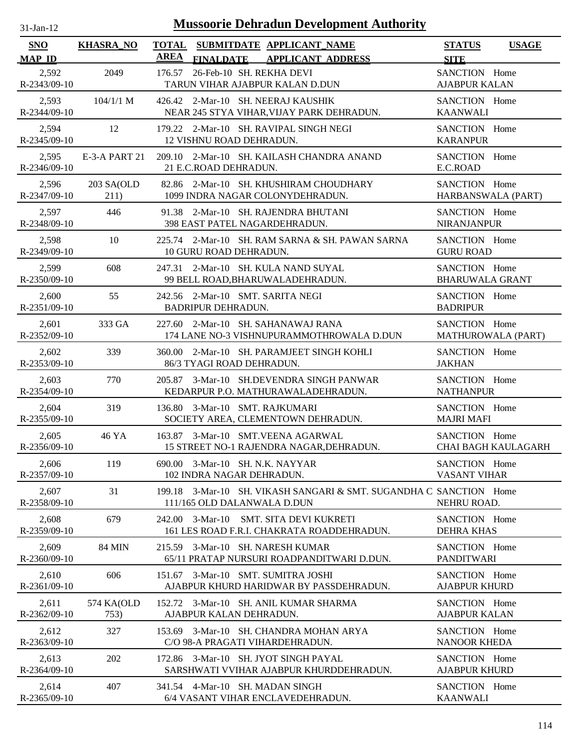| $31$ -Jan-12            | <b>Mussoorie Dehradun Development Authority</b> |                                                                                                          |                                              |  |  |  |  |
|-------------------------|-------------------------------------------------|----------------------------------------------------------------------------------------------------------|----------------------------------------------|--|--|--|--|
| SNO<br><b>MAP ID</b>    | <b>KHASRA_NO</b>                                | <b>TOTAL</b><br>SUBMITDATE APPLICANT_NAME<br><b>AREA</b><br><b>FINALDATE</b><br><b>APPLICANT ADDRESS</b> | <b>STATUS</b><br><b>USAGE</b><br><b>SITE</b> |  |  |  |  |
| 2,592<br>R-2343/09-10   | 2049                                            | 26-Feb-10 SH. REKHA DEVI<br>176.57<br>TARUN VIHAR AJABPUR KALAN D.DUN                                    | SANCTION Home<br><b>AJABPUR KALAN</b>        |  |  |  |  |
| 2,593                   | $104/1/1$ M                                     | 426.42 2-Mar-10 SH. NEERAJ KAUSHIK                                                                       | SANCTION Home                                |  |  |  |  |
| R-2344/09-10            |                                                 | NEAR 245 STYA VIHAR, VIJAY PARK DEHRADUN.                                                                | <b>KAANWALI</b>                              |  |  |  |  |
| 2,594                   | 12                                              | 179.22 2-Mar-10 SH. RAVIPAL SINGH NEGI                                                                   | SANCTION Home                                |  |  |  |  |
| $R-2345/09-10$          |                                                 | 12 VISHNU ROAD DEHRADUN.                                                                                 | <b>KARANPUR</b>                              |  |  |  |  |
| 2,595                   | E-3-A PART 21                                   | 209.10 2-Mar-10 SH. KAILASH CHANDRA ANAND                                                                | SANCTION Home                                |  |  |  |  |
| R-2346/09-10            |                                                 | 21 E.C.ROAD DEHRADUN.                                                                                    | E.C.ROAD                                     |  |  |  |  |
| 2,596                   | 203 SA(OLD                                      | 82.86 2-Mar-10 SH. KHUSHIRAM CHOUDHARY                                                                   | SANCTION Home                                |  |  |  |  |
| R-2347/09-10            | 211)                                            | 1099 INDRA NAGAR COLONYDEHRADUN.                                                                         | HARBANSWALA (PART)                           |  |  |  |  |
| 2,597                   | 446                                             | 91.38 2-Mar-10 SH. RAJENDRA BHUTANI                                                                      | SANCTION Home                                |  |  |  |  |
| R-2348/09-10            |                                                 | 398 EAST PATEL NAGARDEHRADUN.                                                                            | <b>NIRANJANPUR</b>                           |  |  |  |  |
| 2,598                   | 10                                              | 225.74 2-Mar-10 SH. RAM SARNA & SH. PAWAN SARNA                                                          | SANCTION Home                                |  |  |  |  |
| $R-2349/09-10$          |                                                 | 10 GURU ROAD DEHRADUN.                                                                                   | <b>GURU ROAD</b>                             |  |  |  |  |
| 2,599                   | 608                                             | 247.31 2-Mar-10 SH. KULA NAND SUYAL                                                                      | SANCTION Home                                |  |  |  |  |
| $R-2350/09-10$          |                                                 | 99 BELL ROAD, BHARUWALADEHRADUN.                                                                         | <b>BHARUWALA GRANT</b>                       |  |  |  |  |
| 2,600                   | 55                                              | 242.56 2-Mar-10 SMT. SARITA NEGI                                                                         | SANCTION Home                                |  |  |  |  |
| R-2351/09-10            |                                                 | <b>BADRIPUR DEHRADUN.</b>                                                                                | <b>BADRIPUR</b>                              |  |  |  |  |
| 2,601                   | 333 GA                                          | 227.60 2-Mar-10 SH, SAHANAWAJ RANA                                                                       | SANCTION Home                                |  |  |  |  |
| R-2352/09-10            |                                                 | 174 LANE NO-3 VISHNUPURAMMOTHROWALA D.DUN                                                                | MATHUROWALA (PART)                           |  |  |  |  |
| 2,602                   | 339                                             | 360.00 2-Mar-10 SH. PARAMJEET SINGH KOHLI                                                                | SANCTION Home                                |  |  |  |  |
| R-2353/09-10            |                                                 | 86/3 TYAGI ROAD DEHRADUN.                                                                                | <b>JAKHAN</b>                                |  |  |  |  |
| 2,603                   | 770                                             | 205.87 3-Mar-10 SH.DEVENDRA SINGH PANWAR                                                                 | SANCTION Home                                |  |  |  |  |
| R-2354/09-10            |                                                 | KEDARPUR P.O. MATHURAWALADEHRADUN.                                                                       | <b>NATHANPUR</b>                             |  |  |  |  |
| 2,604                   | 319                                             | 136.80 3-Mar-10 SMT. RAJKUMARI                                                                           | SANCTION Home                                |  |  |  |  |
| R-2355/09-10            |                                                 | SOCIETY AREA, CLEMENTOWN DEHRADUN.                                                                       | <b>MAJRI MAFI</b>                            |  |  |  |  |
| 2,605                   | 46 YA                                           | 163.87 3-Mar-10 SMT. VEENA AGARWAL                                                                       | SANCTION Home                                |  |  |  |  |
| R-2356/09-10            |                                                 | 15 STREET NO-1 RAJENDRA NAGAR, DEHRADUN.                                                                 | <b>CHAI BAGH KAULAGARH</b>                   |  |  |  |  |
| 2,606                   | 119                                             | 690.00 3-Mar-10 SH. N.K. NAYYAR                                                                          | SANCTION Home                                |  |  |  |  |
| R-2357/09-10            |                                                 | 102 INDRA NAGAR DEHRADUN.                                                                                | VASANT VIHAR                                 |  |  |  |  |
| 2,607<br>R-2358/09-10   | 31                                              | 3-Mar-10 SH. VIKASH SANGARI & SMT. SUGANDHA C SANCTION Home<br>199.18<br>111/165 OLD DALANWALA D.DUN     | NEHRU ROAD.                                  |  |  |  |  |
| 2,608                   | 679                                             | 242.00 3-Mar-10 SMT. SITA DEVI KUKRETI                                                                   | SANCTION Home                                |  |  |  |  |
| R-2359/09-10            |                                                 | 161 LES ROAD F.R.I. CHAKRATA ROADDEHRADUN.                                                               | <b>DEHRA KHAS</b>                            |  |  |  |  |
| 2,609                   | <b>84 MIN</b>                                   | 215.59 3-Mar-10 SH. NARESH KUMAR                                                                         | SANCTION Home                                |  |  |  |  |
| R-2360/09-10            |                                                 | 65/11 PRATAP NURSURI ROADPANDITWARI D.DUN.                                                               | <b>PANDITWARI</b>                            |  |  |  |  |
| 2,610<br>R-2361/09-10   | 606                                             | 3-Mar-10 SMT. SUMITRA JOSHI<br>151.67<br>AJABPUR KHURD HARIDWAR BY PASSDEHRADUN.                         | SANCTION Home<br><b>AJABPUR KHURD</b>        |  |  |  |  |
| 2,611                   | 574 KA(OLD                                      | 152.72 3-Mar-10 SH. ANIL KUMAR SHARMA                                                                    | SANCTION Home                                |  |  |  |  |
| R-2362/09-10            | 753)                                            | AJABPUR KALAN DEHRADUN.                                                                                  | <b>AJABPUR KALAN</b>                         |  |  |  |  |
| 2,612<br>$R-2363/09-10$ | 327                                             | 3-Mar-10 SH. CHANDRA MOHAN ARYA<br>153.69<br>C/O 98-A PRAGATI VIHARDEHRADUN.                             | SANCTION Home<br><b>NANOOR KHEDA</b>         |  |  |  |  |
| 2,613                   | 202                                             | 172.86 3-Mar-10 SH. JYOT SINGH PAYAL                                                                     | SANCTION Home                                |  |  |  |  |
| $R-2364/09-10$          |                                                 | SARSHWATI VVIHAR AJABPUR KHURDDEHRADUN.                                                                  | <b>AJABPUR KHURD</b>                         |  |  |  |  |
| 2,614                   | 407                                             | 341.54 4-Mar-10 SH. MADAN SINGH                                                                          | SANCTION Home                                |  |  |  |  |
| R-2365/09-10            |                                                 | 6/4 VASANT VIHAR ENCLAVEDEHRADUN.                                                                        | <b>KAANWALI</b>                              |  |  |  |  |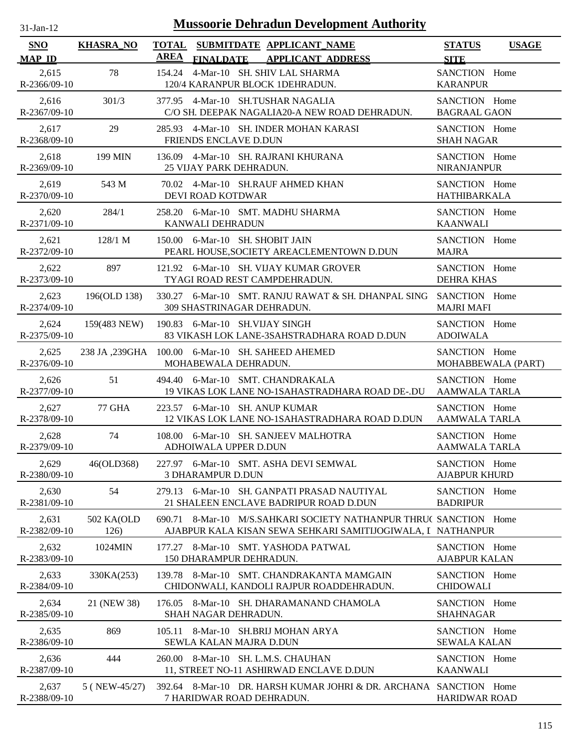| $31$ -Jan-12                | <b>Mussoorie Dehradun Development Authority</b> |                                                                                                                                     |                                       |              |  |  |  |
|-----------------------------|-------------------------------------------------|-------------------------------------------------------------------------------------------------------------------------------------|---------------------------------------|--------------|--|--|--|
| <b>SNO</b><br><b>MAP ID</b> | <b>KHASRA_NO</b>                                | <b>TOTAL</b><br>SUBMITDATE APPLICANT_NAME<br><b>AREA</b><br><b>FINALDATE</b><br><b>APPLICANT ADDRESS</b>                            | <b>STATUS</b><br><b>SITE</b>          | <b>USAGE</b> |  |  |  |
| 2,615<br>R-2366/09-10       | 78                                              | 4-Mar-10 SH. SHIV LAL SHARMA<br>154.24<br>120/4 KARANPUR BLOCK 1DEHRADUN.                                                           | SANCTION Home<br><b>KARANPUR</b>      |              |  |  |  |
| 2,616<br>R-2367/09-10       | 301/3                                           | 377.95 4-Mar-10 SH.TUSHAR NAGALIA<br>C/O SH. DEEPAK NAGALIA20-A NEW ROAD DEHRADUN.                                                  | SANCTION Home<br><b>BAGRAAL GAON</b>  |              |  |  |  |
| 2,617<br>R-2368/09-10       | 29                                              | 285.93 4-Mar-10 SH. INDER MOHAN KARASI<br>FRIENDS ENCLAVE D.DUN                                                                     | SANCTION Home<br><b>SHAH NAGAR</b>    |              |  |  |  |
| 2,618<br>R-2369/09-10       | 199 MIN                                         | 136.09 4-Mar-10 SH. RAJRANI KHURANA<br>25 VIJAY PARK DEHRADUN.                                                                      | SANCTION Home<br><b>NIRANJANPUR</b>   |              |  |  |  |
| 2,619<br>R-2370/09-10       | 543 M                                           | 70.02 4-Mar-10 SH.RAUF AHMED KHAN<br>DEVI ROAD KOTDWAR                                                                              | SANCTION Home<br><b>HATHIBARKALA</b>  |              |  |  |  |
| 2,620<br>R-2371/09-10       | 284/1                                           | 258.20 6-Mar-10 SMT. MADHU SHARMA<br>KANWALI DEHRADUN                                                                               | SANCTION Home<br><b>KAANWALI</b>      |              |  |  |  |
| 2,621<br>R-2372/09-10       | 128/1 M                                         | 150.00 6-Mar-10 SH. SHOBIT JAIN<br>PEARL HOUSE, SOCIETY AREACLEMENTOWN D.DUN                                                        | SANCTION Home<br><b>MAJRA</b>         |              |  |  |  |
| 2,622<br>R-2373/09-10       | 897                                             | 121.92 6-Mar-10 SH. VIJAY KUMAR GROVER<br>TYAGI ROAD REST CAMPDEHRADUN.                                                             | SANCTION Home<br><b>DEHRA KHAS</b>    |              |  |  |  |
| 2,623<br>R-2374/09-10       | 196(OLD 138)                                    | 330.27 6-Mar-10 SMT. RANJU RAWAT & SH. DHANPAL SING<br>309 SHASTRINAGAR DEHRADUN.                                                   | SANCTION Home<br><b>MAJRI MAFI</b>    |              |  |  |  |
| 2,624<br>R-2375/09-10       | 159(483 NEW)                                    | 190.83 6-Mar-10 SH. VIJAY SINGH<br>83 VIKASH LOK LANE-3SAHSTRADHARA ROAD D.DUN                                                      | SANCTION Home<br><b>ADOIWALA</b>      |              |  |  |  |
| 2,625<br>R-2376/09-10       |                                                 | 238 JA, 239GHA 100.00 6-Mar-10 SH. SAHEED AHEMED<br>MOHABEWALA DEHRADUN.                                                            | SANCTION Home<br>MOHABBEWALA (PART)   |              |  |  |  |
| 2,626<br>R-2377/09-10       | 51                                              | 494.40 6-Mar-10 SMT. CHANDRAKALA<br>19 VIKAS LOK LANE NO-1SAHASTRADHARA ROAD DE-.DU                                                 | SANCTION Home<br><b>AAMWALA TARLA</b> |              |  |  |  |
| 2,627<br>R-2378/09-10       | <b>77 GHA</b>                                   | 223.57 6-Mar-10 SH. ANUP KUMAR<br>12 VIKAS LOK LANE NO-1SAHASTRADHARA ROAD D.DUN                                                    | SANCTION Home<br><b>AAMWALA TARLA</b> |              |  |  |  |
| 2,628<br>R-2379/09-10       | 74                                              | 108.00 6-Mar-10 SH. SANJEEV MALHOTRA<br>ADHOIWALA UPPER D.DUN                                                                       | SANCTION Home<br>AAMWALA TARLA        |              |  |  |  |
| 2,629<br>R-2380/09-10       | 46(OLD368)                                      | 227.97 6-Mar-10 SMT. ASHA DEVI SEMWAL<br>3 DHARAMPUR D.DUN                                                                          | SANCTION Home<br><b>AJABPUR KHURD</b> |              |  |  |  |
| 2,630<br>R-2381/09-10       | 54                                              | 6-Mar-10 SH. GANPATI PRASAD NAUTIYAL<br>279.13<br>21 SHALEEN ENCLAVE BADRIPUR ROAD D.DUN                                            | SANCTION Home<br><b>BADRIPUR</b>      |              |  |  |  |
| 2,631<br>R-2382/09-10       | 502 KA(OLD<br>126)                              | 8-Mar-10 M/S.SAHKARI SOCIETY NATHANPUR THRUC SANCTION Home<br>690.71<br>AJABPUR KALA KISAN SEWA SEHKARI SAMITIJOGIWALA, I NATHANPUR |                                       |              |  |  |  |
| 2,632<br>R-2383/09-10       | 1024MIN                                         | 8-Mar-10 SMT. YASHODA PATWAL<br>177.27<br>150 DHARAMPUR DEHRADUN.                                                                   | SANCTION Home<br><b>AJABPUR KALAN</b> |              |  |  |  |
| 2,633<br>R-2384/09-10       | 330KA(253)                                      | 8-Mar-10 SMT. CHANDRAKANTA MAMGAIN<br>139.78<br>CHIDONWALI, KANDOLI RAJPUR ROADDEHRADUN.                                            | SANCTION Home<br><b>CHIDOWALI</b>     |              |  |  |  |
| 2,634<br>R-2385/09-10       | 21 (NEW 38)                                     | 8-Mar-10 SH. DHARAMANAND CHAMOLA<br>176.05<br>SHAH NAGAR DEHRADUN.                                                                  | SANCTION Home<br><b>SHAHNAGAR</b>     |              |  |  |  |
| 2,635<br>R-2386/09-10       | 869                                             | 8-Mar-10 SH.BRIJ MOHAN ARYA<br>105.11<br>SEWLA KALAN MAJRA D.DUN                                                                    | SANCTION Home<br><b>SEWALA KALAN</b>  |              |  |  |  |
| 2,636<br>R-2387/09-10       | 444                                             | 260.00 8-Mar-10 SH. L.M.S. CHAUHAN<br>11, STREET NO-11 ASHIRWAD ENCLAVE D.DUN                                                       | SANCTION Home<br><b>KAANWALI</b>      |              |  |  |  |
| 2,637<br>R-2388/09-10       | 5 (NEW-45/27)                                   | 392.64 8-Mar-10 DR. HARSH KUMAR JOHRI & DR. ARCHANA SANCTION Home<br>7 HARIDWAR ROAD DEHRADUN.                                      | <b>HARIDWAR ROAD</b>                  |              |  |  |  |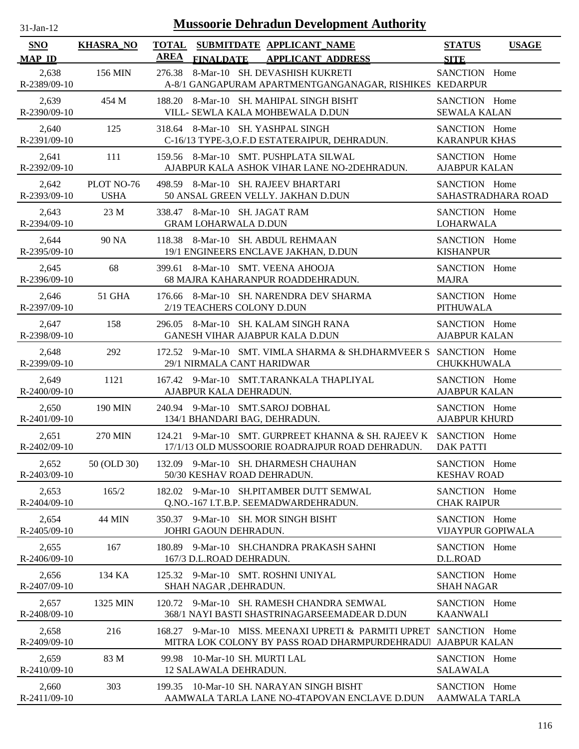| $31$ -Jan-12 |
|--------------|
|              |

| SNO                                    | <b>KHASRA_NO</b>          | <b>TOTAL</b><br><b>AREA</b>                                  |                         | SUBMITDATE APPLICANT_NAME                                                                                                         | <b>STATUS</b>                             | <b>USAGE</b>       |
|----------------------------------------|---------------------------|--------------------------------------------------------------|-------------------------|-----------------------------------------------------------------------------------------------------------------------------------|-------------------------------------------|--------------------|
| <b>MAP ID</b><br>2,638<br>R-2389/09-10 | 156 MIN                   | 276.38                                                       | <b>FINALDATE</b>        | <b>APPLICANT ADDRESS</b><br>8-Mar-10 SH. DEVASHISH KUKRETI<br>A-8/1 GANGAPURAM APARTMENTGANGANAGAR, RISHIKES KEDARPUR             | <b>SITE</b><br>SANCTION Home              |                    |
| 2,639<br>R-2390/09-10                  | 454 M                     |                                                              |                         | 188.20 8-Mar-10 SH. MAHIPAL SINGH BISHT<br>VILL- SEWLA KALA MOHBEWALA D.DUN                                                       | SANCTION Home<br><b>SEWALA KALAN</b>      |                    |
| 2,640<br>$R - 2391/09 - 10$            | 125                       |                                                              |                         | 318.64 8-Mar-10 SH. YASHPAL SINGH<br>C-16/13 TYPE-3, O.F.D ESTATERAIPUR, DEHRADUN.                                                | SANCTION Home<br><b>KARANPUR KHAS</b>     |                    |
| 2,641<br>R-2392/09-10                  | 111                       |                                                              |                         | 159.56 8-Mar-10 SMT. PUSHPLATA SILWAL<br>AJABPUR KALA ASHOK VIHAR LANE NO-2DEHRADUN.                                              | SANCTION Home<br><b>AJABPUR KALAN</b>     |                    |
| 2,642<br>R-2393/09-10                  | PLOT NO-76<br><b>USHA</b> |                                                              |                         | 498.59 8-Mar-10 SH. RAJEEV BHARTARI<br>50 ANSAL GREEN VELLY. JAKHAN D.DUN                                                         | SANCTION Home                             | SAHASTRADHARA ROAD |
| 2,643<br>R-2394/09-10                  | 23 M                      | 338.47 8-Mar-10 SH. JAGAT RAM<br><b>GRAM LOHARWALA D.DUN</b> |                         |                                                                                                                                   | SANCTION Home<br>LOHARWALA                |                    |
| 2,644<br>R-2395/09-10                  | 90 NA                     |                                                              |                         | 118.38 8-Mar-10 SH. ABDUL REHMAAN<br>19/1 ENGINEERS ENCLAVE JAKHAN, D.DUN                                                         | SANCTION Home<br><b>KISHANPUR</b>         |                    |
| 2,645<br>R-2396/09-10                  | 68                        |                                                              |                         | 399.61 8-Mar-10 SMT. VEENA AHOOJA<br>68 MAJRA KAHARANPUR ROADDEHRADUN.                                                            | SANCTION Home<br><b>MAJRA</b>             |                    |
| 2,646<br>R-2397/09-10                  | <b>51 GHA</b>             | 2/19 TEACHERS COLONY D.DUN                                   |                         | 176.66 8-Mar-10 SH. NARENDRA DEV SHARMA                                                                                           | SANCTION Home<br><b>PITHUWALA</b>         |                    |
| 2,647<br>R-2398/09-10                  | 158                       |                                                              |                         | 296.05 8-Mar-10 SH. KALAM SINGH RANA<br><b>GANESH VIHAR AJABPUR KALA D.DUN</b>                                                    | SANCTION Home<br><b>AJABPUR KALAN</b>     |                    |
| 2.648<br>R-2399/09-10                  | 292                       | 29/1 NIRMALA CANT HARIDWAR                                   |                         | 172.52 9-Mar-10 SMT, VIMLA SHARMA & SH.DHARMVEER S SANCTION Home                                                                  | <b>CHUKKHUWALA</b>                        |                    |
| 2,649<br>$R - 2400/09 - 10$            | 1121                      | AJABPUR KALA DEHRADUN.                                       |                         | 167.42 9-Mar-10 SMT.TARANKALA THAPLIYAL                                                                                           | SANCTION Home<br><b>AJABPUR KALAN</b>     |                    |
| 2,650<br>$R-2401/09-10$                | <b>190 MIN</b>            |                                                              |                         | 240.94 9-Mar-10 SMT.SAROJ DOBHAL<br>134/1 BHANDARI BAG, DEHRADUN.                                                                 | SANCTION Home<br><b>AJABPUR KHURD</b>     |                    |
| 2,651<br>R-2402/09-10                  | 270 MIN                   |                                                              |                         | 124.21 9-Mar-10 SMT. GURPREET KHANNA & SH. RAJEEV K SANCTION Home<br>17/1/13 OLD MUSSOORIE ROADRAJPUR ROAD DEHRADUN.              | <b>DAK PATTI</b>                          |                    |
| 2,652<br>$R - 2403/09 - 10$            | 50 (OLD 30)               |                                                              |                         | 132.09 9-Mar-10 SH. DHARMESH CHAUHAN<br>50/30 KESHAV ROAD DEHRADUN.                                                               | SANCTION Home<br><b>KESHAV ROAD</b>       |                    |
| 2,653<br>R-2404/09-10                  | 165/2                     |                                                              |                         | 182.02 9-Mar-10 SH.PITAMBER DUTT SEMWAL<br>Q.NO.-167 I.T.B.P. SEEMADWARDEHRADUN.                                                  | SANCTION Home<br><b>CHAK RAIPUR</b>       |                    |
| 2,654<br>R-2405/09-10                  | <b>44 MIN</b>             | JOHRI GAOUN DEHRADUN.                                        |                         | 350.37 9-Mar-10 SH. MOR SINGH BISHT                                                                                               | SANCTION Home<br><b>VIJAYPUR GOPIWALA</b> |                    |
| 2,655<br>$R-2406/09-10$                | 167                       | 180.89<br>167/3 D.L.ROAD DEHRADUN.                           |                         | 9-Mar-10 SH.CHANDRA PRAKASH SAHNI                                                                                                 | SANCTION Home<br>D.L.ROAD                 |                    |
| 2,656<br>R-2407/09-10                  | 134 KA                    | SHAH NAGAR ,DEHRADUN.                                        |                         | 125.32 9-Mar-10 SMT. ROSHNI UNIYAL                                                                                                | SANCTION Home<br><b>SHAH NAGAR</b>        |                    |
| 2,657<br>R-2408/09-10                  | 1325 MIN                  |                                                              |                         | 120.72 9-Mar-10 SH. RAMESH CHANDRA SEMWAL<br>368/1 NAYI BASTI SHASTRINAGARSEEMADEAR D.DUN                                         | SANCTION Home<br><b>KAANWALI</b>          |                    |
| 2,658<br>$R-2409/09-10$                | 216                       |                                                              |                         | 168.27 9-Mar-10 MISS, MEENAXI UPRETI & PARMITI UPRET SANCTION Home<br>MITRA LOK COLONY BY PASS ROAD DHARMPURDEHRADU AJABPUR KALAN |                                           |                    |
| 2,659<br>$R-2410/09-10$                | 83 M                      | 99.98<br>12 SALAWALA DEHRADUN.                               | 10-Mar-10 SH. MURTI LAL |                                                                                                                                   | SANCTION Home<br><b>SALAWALA</b>          |                    |
| 2,660<br>R-2411/09-10                  | 303                       |                                                              |                         | 199.35 10-Mar-10 SH. NARAYAN SINGH BISHT<br>AAMWALA TARLA LANE NO-4TAPOVAN ENCLAVE D.DUN                                          | SANCTION Home<br><b>AAMWALA TARLA</b>     |                    |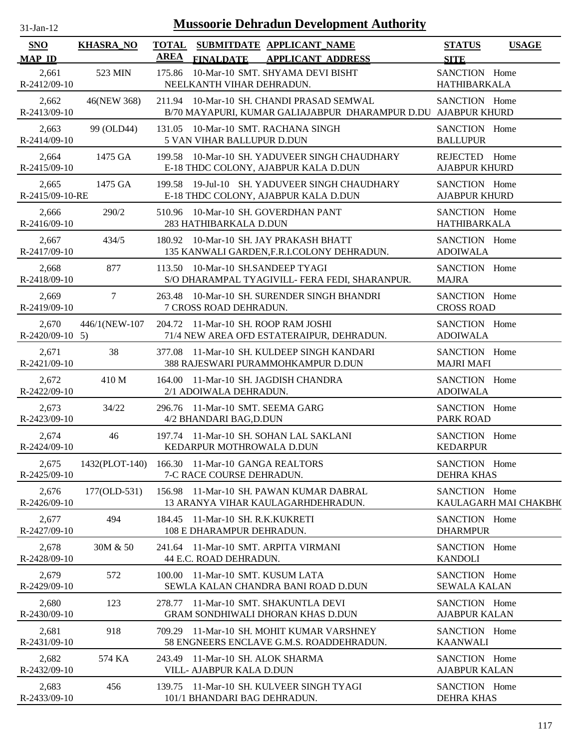| $31 - Jan - 12$ |  |
|-----------------|--|
|                 |  |

| <b>SNO</b>                 | <b>KHASRA_NO</b> | <b>TOTAL</b><br><b>AREA</b> |                                                                   | SUBMITDATE APPLICANT NAME                                                                                  | <b>STATUS</b>                         | <b>USAGE</b>          |
|----------------------------|------------------|-----------------------------|-------------------------------------------------------------------|------------------------------------------------------------------------------------------------------------|---------------------------------------|-----------------------|
| <b>MAP ID</b>              |                  |                             | <b>FINALDATE</b>                                                  | <b>APPLICANT ADDRESS</b>                                                                                   | <b>SITE</b>                           |                       |
| 2,661<br>R-2412/09-10      | 523 MIN          | 175.86                      | NEELKANTH VIHAR DEHRADUN.                                         | 10-Mar-10 SMT. SHYAMA DEVI BISHT                                                                           | SANCTION Home<br><b>HATHIBARKALA</b>  |                       |
| 2,662<br>$R-2413/09-10$    | 46(NEW 368)      |                             |                                                                   | 211.94 10-Mar-10 SH, CHANDI PRASAD SEMWAL<br>B/70 MAYAPURI, KUMAR GALIAJABPUR DHARAMPUR D.DU AJABPUR KHURD | SANCTION Home                         |                       |
| 2,663<br>$R-2414/09-10$    | 99 (OLD44)       |                             | 131.05 10-Mar-10 SMT. RACHANA SINGH<br>5 VAN VIHAR BALLUPUR D.DUN |                                                                                                            | SANCTION Home<br><b>BALLUPUR</b>      |                       |
| 2,664<br>$R-2415/09-10$    | 1475 GA          |                             |                                                                   | 199.58 10-Mar-10 SH. YADUVEER SINGH CHAUDHARY<br>E-18 THDC COLONY, AJABPUR KALA D.DUN                      | REJECTED Home<br><b>AJABPUR KHURD</b> |                       |
| 2,665<br>R-2415/09-10-RE   | 1475 GA          |                             |                                                                   | 199.58 19-Jul-10 SH. YADUVEER SINGH CHAUDHARY<br>E-18 THDC COLONY, AJABPUR KALA D.DUN                      | SANCTION Home<br><b>AJABPUR KHURD</b> |                       |
| 2,666<br>R-2416/09-10      | 290/2            |                             | 510.96 10-Mar-10 SH. GOVERDHAN PANT<br>283 HATHIBARKALA D.DUN     |                                                                                                            | SANCTION Home<br><b>HATHIBARKALA</b>  |                       |
| 2,667<br>R-2417/09-10      | 434/5            |                             |                                                                   | 180.92 10-Mar-10 SH. JAY PRAKASH BHATT<br>135 KANWALI GARDEN, F.R.I.COLONY DEHRADUN.                       | SANCTION Home<br><b>ADOIWALA</b>      |                       |
| 2,668<br>R-2418/09-10      | 877              |                             | 113.50 10-Mar-10 SH.SANDEEP TYAGI                                 | S/O DHARAMPAL TYAGIVILL- FERA FEDI, SHARANPUR.                                                             | SANCTION Home<br><b>MAJRA</b>         |                       |
| 2,669<br>R-2419/09-10      | $\tau$           |                             | 7 CROSS ROAD DEHRADUN.                                            | 263.48 10-Mar-10 SH. SURENDER SINGH BHANDRI                                                                | SANCTION Home<br><b>CROSS ROAD</b>    |                       |
| 2,670<br>$R-2420/09-10$ 5) | 446/1(NEW-107    |                             | 204.72 11-Mar-10 SH, ROOP RAM JOSHI                               | 71/4 NEW AREA OFD ESTATERAIPUR, DEHRADUN.                                                                  | SANCTION Home<br><b>ADOIWALA</b>      |                       |
| 2,671<br>$R-2421/09-10$    | 38               |                             |                                                                   | 377.08 11-Mar-10 SH. KULDEEP SINGH KANDARI<br>388 RAJESWARI PURAMMOHKAMPUR D.DUN                           | SANCTION Home<br><b>MAJRI MAFI</b>    |                       |
| 2,672<br>R-2422/09-10      | 410 M            |                             | 2/1 ADOIWALA DEHRADUN.                                            | 164.00 11-Mar-10 SH. JAGDISH CHANDRA                                                                       | SANCTION Home<br><b>ADOIWALA</b>      |                       |
| 2,673<br>R-2423/09-10      | 34/22            |                             | 296.76 11-Mar-10 SMT, SEEMA GARG<br>4/2 BHANDARI BAG, D.DUN       |                                                                                                            | SANCTION Home<br><b>PARK ROAD</b>     |                       |
| 2,674<br>R-2424/09-10      | 46               |                             | KEDARPUR MOTHROWALA D.DUN                                         | 197.74 11-Mar-10 SH, SOHAN LAL SAKLANI                                                                     | SANCTION Home<br><b>KEDARPUR</b>      |                       |
| 2,675<br>R-2425/09-10      | 1432(PLOT-140)   |                             | 166.30 11-Mar-10 GANGA REALTORS<br>7-C RACE COURSE DEHRADUN.      |                                                                                                            | SANCTION Home<br><b>DEHRA KHAS</b>    |                       |
| 2,676<br>R-2426/09-10      | 177(OLD-531)     |                             |                                                                   | 156.98 11-Mar-10 SH. PAWAN KUMAR DABRAL<br>13 ARANYA VIHAR KAULAGARHDEHRADUN.                              | SANCTION Home                         | KAULAGARH MAI CHAKBH( |
| 2,677<br>R-2427/09-10      | 494              |                             | 184.45 11-Mar-10 SH. R.K.KUKRETI<br>108 E DHARAMPUR DEHRADUN.     |                                                                                                            | SANCTION Home<br><b>DHARMPUR</b>      |                       |
| 2,678<br>R-2428/09-10      | 30M & 50         |                             | 241.64 11-Mar-10 SMT. ARPITA VIRMANI<br>44 E.C. ROAD DEHRADUN.    |                                                                                                            | SANCTION Home<br><b>KANDOLI</b>       |                       |
| 2,679<br>R-2429/09-10      | 572              |                             | 100.00 11-Mar-10 SMT. KUSUM LATA                                  | SEWLA KALAN CHANDRA BANI ROAD D.DUN                                                                        | SANCTION Home<br><b>SEWALA KALAN</b>  |                       |
| 2,680<br>R-2430/09-10      | 123              |                             |                                                                   | 278.77 11-Mar-10 SMT. SHAKUNTLA DEVI<br><b>GRAM SONDHIWALI DHORAN KHAS D.DUN</b>                           | SANCTION Home<br><b>AJABPUR KALAN</b> |                       |
| 2,681<br>R-2431/09-10      | 918              |                             |                                                                   | 709.29 11-Mar-10 SH. MOHIT KUMAR VARSHNEY<br>58 ENGNEERS ENCLAVE G.M.S. ROADDEHRADUN.                      | SANCTION Home<br><b>KAANWALI</b>      |                       |
| 2,682<br>R-2432/09-10      | 574 KA           |                             | 243.49 11-Mar-10 SH. ALOK SHARMA<br>VILL- AJABPUR KALA D.DUN      |                                                                                                            | SANCTION Home<br><b>AJABPUR KALAN</b> |                       |
| 2,683<br>R-2433/09-10      | 456              |                             | 101/1 BHANDARI BAG DEHRADUN.                                      | 139.75 11-Mar-10 SH. KULVEER SINGH TYAGI                                                                   | SANCTION Home<br><b>DEHRA KHAS</b>    |                       |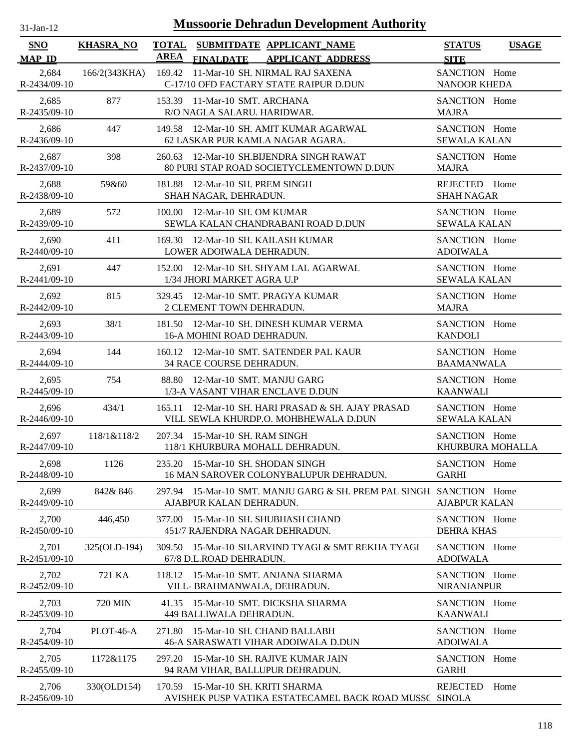| 1-Jan-12 |  |
|----------|--|
|          |  |

| <b>SNO</b>                  | <b>KHASRA_NO</b> | <b>TOTAL</b> |                                                              | SUBMITDATE APPLICANT_NAME                                                                   | <b>STATUS</b>                        | <b>USAGE</b> |
|-----------------------------|------------------|--------------|--------------------------------------------------------------|---------------------------------------------------------------------------------------------|--------------------------------------|--------------|
| <b>MAP ID</b>               |                  | AREA         | <b>FINALDATE</b>                                             | <b>APPLICANT ADDRESS</b>                                                                    | <b>SITE</b>                          |              |
| 2,684<br>R-2434/09-10       | 166/2(343KHA)    |              |                                                              | 169.42 11-Mar-10 SH. NIRMAL RAJ SAXENA<br>C-17/10 OFD FACTARY STATE RAIPUR D.DUN            | SANCTION Home<br><b>NANOOR KHEDA</b> |              |
| 2,685<br>$R-2435/09-10$     | 877              |              | 153.39 11-Mar-10 SMT. ARCHANA<br>R/O NAGLA SALARU. HARIDWAR. |                                                                                             | SANCTION Home<br><b>MAJRA</b>        |              |
| 2,686<br>R-2436/09-10       | 447              |              |                                                              | 149.58 12-Mar-10 SH. AMIT KUMAR AGARWAL<br>62 LASKAR PUR KAMLA NAGAR AGARA.                 | SANCTION Home<br><b>SEWALA KALAN</b> |              |
| 2,687<br>R-2437/09-10       | 398              | 260.63       |                                                              | 12-Mar-10 SH.BIJENDRA SINGH RAWAT<br>80 PURI STAP ROAD SOCIETYCLEMENTOWN D.DUN              | SANCTION Home<br><b>MAJRA</b>        |              |
| 2,688<br>R-2438/09-10       | 59&60            | 181.88       | 12-Mar-10 SH. PREM SINGH<br>SHAH NAGAR, DEHRADUN.            |                                                                                             | REJECTED Home<br><b>SHAH NAGAR</b>   |              |
| 2.689<br>R-2439/09-10       | 572              | 100.00       | 12-Mar-10 SH. OM KUMAR                                       | SEWLA KALAN CHANDRABANI ROAD D.DUN                                                          | SANCTION Home<br><b>SEWALA KALAN</b> |              |
| 2,690<br>R-2440/09-10       | 411              | 169.30       | 12-Mar-10 SH. KAILASH KUMAR<br>LOWER ADOIWALA DEHRADUN.      |                                                                                             | SANCTION Home<br><b>ADOIWALA</b>     |              |
| 2,691<br>R-2441/09-10       | 447              | 152.00       | 1/34 JHORI MARKET AGRA U.P                                   | 12-Mar-10 SH. SHYAM LAL AGARWAL                                                             | SANCTION Home<br><b>SEWALA KALAN</b> |              |
| 2,692<br>R-2442/09-10       | 815              |              | 2 CLEMENT TOWN DEHRADUN.                                     | 329.45 12-Mar-10 SMT. PRAGYA KUMAR                                                          | SANCTION Home<br><b>MAJRA</b>        |              |
| 2,693<br>R-2443/09-10       | 38/1             | 181.50       | 16-A MOHINI ROAD DEHRADUN.                                   | 12-Mar-10 SH. DINESH KUMAR VERMA                                                            | SANCTION Home<br><b>KANDOLI</b>      |              |
| 2,694<br>$R-2444/09-10$     | 144              |              | 34 RACE COURSE DEHRADUN.                                     | 160.12 12-Mar-10 SMT. SATENDER PAL KAUR                                                     | SANCTION Home<br><b>BAAMANWALA</b>   |              |
| 2,695<br>$R - 2445/09 - 10$ | 754              | 88.80        | 12-Mar-10 SMT. MANJU GARG                                    | 1/3-A VASANT VIHAR ENCLAVE D.DUN                                                            | SANCTION Home<br><b>KAANWALI</b>     |              |
| 2,696<br>$R-2446/09-10$     | 434/1            |              |                                                              | 165.11 12-Mar-10 SH. HARI PRASAD & SH. AJAY PRASAD<br>VILL SEWLA KHURDP.O. MOHBHEWALA D.DUN | SANCTION Home<br><b>SEWALA KALAN</b> |              |
| 2,697<br>R-2447/09-10       | 118/1&118/2      |              | 207.34 15-Mar-10 SH, RAM SINGH                               | 118/1 KHURBURA MOHALL DEHRADUN.                                                             | SANCTION Home<br>KHURBURA MOHALLA    |              |
| 2,698<br>R-2448/09-10       | 1126             |              | 235.20 15-Mar-10 SH. SHODAN SINGH                            | 16 MAN SAROVER COLONYBALUPUR DEHRADUN.                                                      | SANCTION Home<br><b>GARHI</b>        |              |
| 2,699<br>R-2449/09-10       | 842&846          | 297.94       | AJABPUR KALAN DEHRADUN.                                      | 15-Mar-10 SMT. MANJU GARG & SH. PREM PAL SINGH SANCTION Home                                | <b>AJABPUR KALAN</b>                 |              |
| 2,700<br>R-2450/09-10       | 446,450          | 377.00       | 451/7 RAJENDRA NAGAR DEHRADUN.                               | 15-Mar-10 SH. SHUBHASH CHAND                                                                | SANCTION Home<br><b>DEHRA KHAS</b>   |              |
| 2,701<br>R-2451/09-10       | 325(OLD-194)     | 309.50       | 67/8 D.L.ROAD DEHRADUN.                                      | 15-Mar-10 SH.ARVIND TYAGI & SMT REKHA TYAGI                                                 | SANCTION Home<br><b>ADOIWALA</b>     |              |
| 2,702<br>R-2452/09-10       | 721 KA           | 118.12       | VILL- BRAHMANWALA, DEHRADUN.                                 | 15-Mar-10 SMT, ANJANA SHARMA                                                                | SANCTION Home<br><b>NIRANJANPUR</b>  |              |
| 2,703<br>R-2453/09-10       | 720 MIN          | 41.35        | 449 BALLIWALA DEHRADUN.                                      | 15-Mar-10 SMT. DICKSHA SHARMA                                                               | SANCTION Home<br><b>KAANWALI</b>     |              |
| 2,704<br>$R - 2454/09 - 10$ | PLOT-46-A        |              | 271.80 15-Mar-10 SH. CHAND BALLABH                           | 46-A SARASWATI VIHAR ADOIWALA D.DUN                                                         | SANCTION Home<br><b>ADOIWALA</b>     |              |
| 2,705<br>R-2455/09-10       | 1172&1175        | 297.20       |                                                              | 15-Mar-10 SH. RAJIVE KUMAR JAIN<br>94 RAM VIHAR, BALLUPUR DEHRADUN.                         | SANCTION Home<br><b>GARHI</b>        |              |
| 2,706<br>R-2456/09-10       | 330(OLD154)      |              | 170.59 15-Mar-10 SH. KRITI SHARMA                            | AVISHEK PUSP VATIKA ESTATECAMEL BACK ROAD MUSSC SINOLA                                      | REJECTED                             | Home         |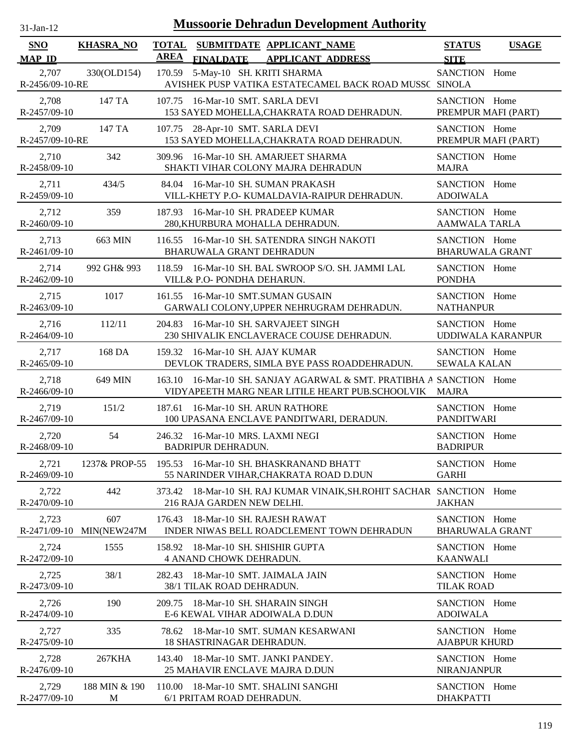| <b>Mussoorie Dehradun Development Authority</b><br>$31$ -Jan-12 |                    |                             |                                                                                                                        |                                         |                          |  |
|-----------------------------------------------------------------|--------------------|-----------------------------|------------------------------------------------------------------------------------------------------------------------|-----------------------------------------|--------------------------|--|
| <b>SNO</b><br><b>MAP ID</b>                                     | <b>KHASRA_NO</b>   | <b>TOTAL</b><br><b>AREA</b> | SUBMITDATE APPLICANT_NAME<br><b>FINALDATE</b><br><b>APPLICANT ADDRESS</b>                                              | <b>STATUS</b><br><b>SITE</b>            | <b>USAGE</b>             |  |
| 2,707<br>R-2456/09-10-RE                                        | 330(OLD154)        | 170.59                      | 5-May-10 SH. KRITI SHARMA<br>AVISHEK PUSP VATIKA ESTATECAMEL BACK ROAD MUSSC SINOLA                                    | SANCTION Home                           |                          |  |
| 2,708<br>R-2457/09-10                                           | 147 TA             | 107.75                      | 16-Mar-10 SMT. SARLA DEVI<br>153 SAYED MOHELLA, CHAKRATA ROAD DEHRADUN.                                                | SANCTION Home<br>PREMPUR MAFI (PART)    |                          |  |
| 2,709<br>R-2457/09-10-RE                                        | 147 TA             |                             | 107.75 28-Apr-10 SMT. SARLA DEVI<br>153 SAYED MOHELLA, CHAKRATA ROAD DEHRADUN.                                         | SANCTION Home<br>PREMPUR MAFI (PART)    |                          |  |
| 2,710<br>R-2458/09-10                                           | 342                |                             | 309.96 16-Mar-10 SH. AMARJEET SHARMA<br>SHAKTI VIHAR COLONY MAJRA DEHRADUN                                             | SANCTION Home<br><b>MAJRA</b>           |                          |  |
| 2,711<br>R-2459/09-10                                           | 434/5              | 84.04                       | 16-Mar-10 SH. SUMAN PRAKASH<br>VILL-KHETY P.O- KUMALDAVIA-RAIPUR DEHRADUN.                                             | SANCTION Home<br><b>ADOIWALA</b>        |                          |  |
| 2,712<br>R-2460/09-10                                           | 359                | 187.93                      | 16-Mar-10 SH, PRADEEP KUMAR<br>280, KHURBURA MOHALLA DEHRADUN.                                                         | SANCTION Home<br><b>AAMWALA TARLA</b>   |                          |  |
| 2,713<br>R-2461/09-10                                           | 663 MIN            | 116.55                      | 16-Mar-10 SH. SATENDRA SINGH NAKOTI<br>BHARUWALA GRANT DEHRADUN                                                        | SANCTION Home<br><b>BHARUWALA GRANT</b> |                          |  |
| 2,714<br>R-2462/09-10                                           | 992 GH& 993        |                             | 118.59 16-Mar-10 SH. BAL SWROOP S/O. SH. JAMMI LAL<br>VILL& P.O- PONDHA DEHARUN.                                       | SANCTION Home<br><b>PONDHA</b>          |                          |  |
| 2,715<br>R-2463/09-10                                           | 1017               |                             | 161.55 16-Mar-10 SMT.SUMAN GUSAIN<br>GARWALI COLONY, UPPER NEHRUGRAM DEHRADUN.                                         | SANCTION Home<br><b>NATHANPUR</b>       |                          |  |
| 2,716<br>R-2464/09-10                                           | 112/11             | 204.83                      | 16-Mar-10 SH. SARVAJEET SINGH<br>230 SHIVALIK ENCLAVERACE COUISE DEHRADUN.                                             | SANCTION Home                           | <b>UDDIWALA KARANPUR</b> |  |
| 2,717<br>R-2465/09-10                                           | 168 DA             | 159.32                      | 16-Mar-10 SH. AJAY KUMAR<br>DEVLOK TRADERS, SIMLA BYE PASS ROADDEHRADUN.                                               | SANCTION Home<br><b>SEWALA KALAN</b>    |                          |  |
| 2,718<br>$R-2466/09-10$                                         | 649 MIN            |                             | 163.10 16-Mar-10 SH. SANJAY AGARWAL & SMT. PRATIBHA A SANCTION Home<br>VIDYAPEETH MARG NEAR LITILE HEART PUB.SCHOOLVIK | <b>MAJRA</b>                            |                          |  |
| 2,719<br>R-2467/09-10                                           | 151/2              |                             | 187.61 16-Mar-10 SH, ARUN RATHORE<br>100 UPASANA ENCLAVE PANDITWARI, DERADUN.                                          | SANCTION Home<br><b>PANDITWARI</b>      |                          |  |
| 2,720<br>R-2468/09-10                                           | 54                 |                             | 246.32 16-Mar-10 MRS. LAXMI NEGI<br><b>BADRIPUR DEHRADUN.</b>                                                          | SANCTION Home<br><b>BADRIPUR</b>        |                          |  |
| 2,721<br>R-2469/09-10                                           | 1237& PROP-55      |                             | 195.53 16-Mar-10 SH. BHASKRANAND BHATT<br>55 NARINDER VIHAR, CHAKRATA ROAD D.DUN                                       | SANCTION Home<br><b>GARHI</b>           |                          |  |
| 2,722<br>R-2470/09-10                                           | 442                | 373.42                      | 18-Mar-10 SH. RAJ KUMAR VINAIK, SH. ROHIT SACHAR SANCTION Home<br>216 RAJA GARDEN NEW DELHI.                           | <b>JAKHAN</b>                           |                          |  |
| 2,723<br>R-2471/09-10                                           | 607<br>MIN(NEW247M | 176.43                      | 18-Mar-10 SH. RAJESH RAWAT<br>INDER NIWAS BELL ROADCLEMENT TOWN DEHRADUN                                               | SANCTION Home<br><b>BHARUWALA GRANT</b> |                          |  |
| 2,724<br>R-2472/09-10                                           | 1555               | 158.92                      | 18-Mar-10 SH. SHISHIR GUPTA<br>4 ANAND CHOWK DEHRADUN.                                                                 | SANCTION Home<br><b>KAANWALI</b>        |                          |  |
| 2,725<br>R-2473/09-10                                           | 38/1               | 282.43                      | 18-Mar-10 SMT. JAIMALA JAIN<br>38/1 TILAK ROAD DEHRADUN.                                                               | SANCTION Home<br><b>TILAK ROAD</b>      |                          |  |
| 2,726<br>R-2474/09-10                                           | 190                | 209.75                      | 18-Mar-10 SH. SHARAIN SINGH<br>E-6 KEWAL VIHAR ADOIWALA D.DUN                                                          | SANCTION Home<br><b>ADOIWALA</b>        |                          |  |
| 2,727<br>R-2475/09-10                                           | 335                | 78.62                       | 18-Mar-10 SMT. SUMAN KESARWANI<br>18 SHASTRINAGAR DEHRADUN.                                                            | SANCTION Home<br><b>AJABPUR KHURD</b>   |                          |  |
| 2,728<br>R-2476/09-10                                           | 267KHA             | 143.40                      | 18-Mar-10 SMT. JANKI PANDEY.<br>25 MAHAVIR ENCLAVE MAJRA D.DUN                                                         | SANCTION Home<br>NIRANJANPUR            |                          |  |
| 2,729<br>R-2477/09-10                                           | 188 MIN & 190<br>M |                             | 110.00 18-Mar-10 SMT. SHALINI SANGHI<br>6/1 PRITAM ROAD DEHRADUN.                                                      | SANCTION Home<br><b>DHAKPATTI</b>       |                          |  |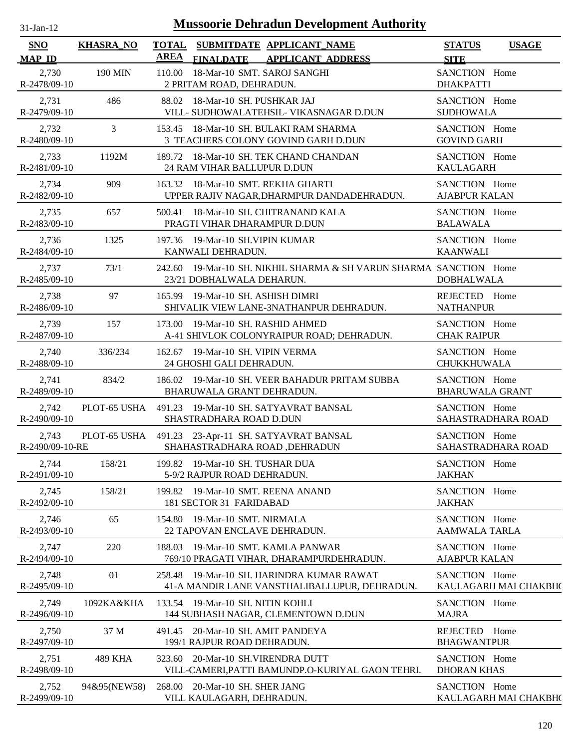| -jan- |  |
|-------|--|

| SNO                      | <b>KHASRA_NO</b> | <b>TOTAL</b><br><b>AREA</b> | SUBMITDATE APPLICANT NAME                                                                       | <b>STATUS</b>                           | <b>USAGE</b> |
|--------------------------|------------------|-----------------------------|-------------------------------------------------------------------------------------------------|-----------------------------------------|--------------|
| <b>MAP ID</b>            |                  |                             | <b>APPLICANT ADDRESS</b><br><b>FINALDATE</b>                                                    | <b>SITE</b>                             |              |
| 2,730<br>R-2478/09-10    | 190 MIN          |                             | 110.00 18-Mar-10 SMT. SAROJ SANGHI<br>2 PRITAM ROAD, DEHRADUN.                                  | SANCTION Home<br><b>DHAKPATTI</b>       |              |
| 2,731<br>R-2479/09-10    | 486              |                             | 88.02 18-Mar-10 SH. PUSHKAR JAJ<br>VILL- SUDHOWALATEHSIL- VIKASNAGAR D.DUN                      | SANCTION Home<br><b>SUDHOWALA</b>       |              |
| 2,732<br>R-2480/09-10    | $\mathfrak{Z}$   |                             | 153.45 18-Mar-10 SH. BULAKI RAM SHARMA<br>3 TEACHERS COLONY GOVIND GARH D.DUN                   | SANCTION Home<br><b>GOVIND GARH</b>     |              |
| 2,733<br>R-2481/09-10    | 1192M            |                             | 189.72 18-Mar-10 SH. TEK CHAND CHANDAN<br>24 RAM VIHAR BALLUPUR D.DUN                           | SANCTION Home<br><b>KAULAGARH</b>       |              |
| 2,734<br>R-2482/09-10    | 909              |                             | 163.32 18-Mar-10 SMT. REKHA GHARTI<br>UPPER RAJIV NAGAR, DHARMPUR DANDADEHRADUN.                | SANCTION Home<br><b>AJABPUR KALAN</b>   |              |
| 2,735<br>R-2483/09-10    | 657              |                             | 500.41 18-Mar-10 SH. CHITRANAND KALA<br>PRAGTI VIHAR DHARAMPUR D.DUN                            | SANCTION Home<br><b>BALAWALA</b>        |              |
| 2,736<br>R-2484/09-10    | 1325             |                             | 197.36 19-Mar-10 SH. VIPIN KUMAR<br>KANWALI DEHRADUN.                                           | SANCTION Home<br><b>KAANWALI</b>        |              |
| 2,737<br>R-2485/09-10    | 73/1             |                             | 242.60 19-Mar-10 SH. NIKHIL SHARMA & SH VARUN SHARMA SANCTION Home<br>23/21 DOBHALWALA DEHARUN. | <b>DOBHALWALA</b>                       |              |
| 2,738<br>R-2486/09-10    | 97               |                             | 165.99 19-Mar-10 SH. ASHISH DIMRI<br>SHIVALIK VIEW LANE-3NATHANPUR DEHRADUN.                    | REJECTED Home<br><b>NATHANPUR</b>       |              |
| 2,739<br>R-2487/09-10    | 157              |                             | 173.00 19-Mar-10 SH. RASHID AHMED<br>A-41 SHIVLOK COLONYRAIPUR ROAD; DEHRADUN.                  | SANCTION Home<br><b>CHAK RAIPUR</b>     |              |
| 2,740<br>R-2488/09-10    | 336/234          |                             | 162.67 19-Mar-10 SH. VIPIN VERMA<br>24 GHOSHI GALI DEHRADUN.                                    | SANCTION Home<br><b>CHUKKHUWALA</b>     |              |
| 2,741<br>R-2489/09-10    | 834/2            |                             | 186.02 19-Mar-10 SH. VEER BAHADUR PRITAM SUBBA<br>BHARUWALA GRANT DEHRADUN.                     | SANCTION Home<br><b>BHARUWALA GRANT</b> |              |
| 2,742<br>R-2490/09-10    | PLOT-65 USHA     |                             | 491.23 19-Mar-10 SH. SATYAVRAT BANSAL<br>SHASTRADHARA ROAD D.DUN                                | SANCTION Home<br>SAHASTRADHARA ROAD     |              |
| 2,743<br>R-2490/09-10-RE |                  |                             | PLOT-65 USHA 491.23 23-Apr-11 SH. SATYAVRAT BANSAL<br>SHAHASTRADHARA ROAD, DEHRADUN             | SANCTION Home<br>SAHASTRADHARA ROAD     |              |
| 2,744<br>R-2491/09-10    | 158/21           |                             | 199.82 19-Mar-10 SH. TUSHAR DUA<br>5-9/2 RAJPUR ROAD DEHRADUN.                                  | SANCTION Home<br><b>JAKHAN</b>          |              |
| 2,745<br>R-2492/09-10    | 158/21           |                             | 199.82 19-Mar-10 SMT. REENA ANAND<br>181 SECTOR 31 FARIDABAD                                    | SANCTION Home<br><b>JAKHAN</b>          |              |
| 2,746<br>R-2493/09-10    | 65               | 154.80                      | 19-Mar-10 SMT. NIRMALA<br>22 TAPOVAN ENCLAVE DEHRADUN.                                          | SANCTION Home<br><b>AAMWALA TARLA</b>   |              |
| 2,747<br>R-2494/09-10    | 220              | 188.03                      | 19-Mar-10 SMT. KAMLA PANWAR<br>769/10 PRAGATI VIHAR, DHARAMPURDEHRADUN.                         | SANCTION Home<br><b>AJABPUR KALAN</b>   |              |
| 2,748<br>R-2495/09-10    | 01               |                             | 258.48 19-Mar-10 SH. HARINDRA KUMAR RAWAT<br>41-A MANDIR LANE VANSTHALIBALLUPUR, DEHRADUN.      | SANCTION Home<br>KAULAGARH MAI CHAKBH(  |              |
| 2,749<br>R-2496/09-10    | 1092KA&KHA       |                             | 133.54 19-Mar-10 SH. NITIN KOHLI<br>144 SUBHASH NAGAR, CLEMENTOWN D.DUN                         | SANCTION Home<br><b>MAJRA</b>           |              |
| 2,750<br>R-2497/09-10    | 37 M             |                             | 491.45 20-Mar-10 SH. AMIT PANDEYA<br>199/1 RAJPUR ROAD DEHRADUN.                                | REJECTED Home<br><b>BHAGWANTPUR</b>     |              |
| 2,751<br>R-2498/09-10    | 489 KHA          |                             | 323.60 20-Mar-10 SH.VIRENDRA DUTT<br>VILL-CAMERI, PATTI BAMUNDP.O-KURIYAL GAON TEHRI.           | SANCTION Home<br><b>DHORAN KHAS</b>     |              |
| 2,752<br>R-2499/09-10    | 94&95(NEW58)     |                             | 268.00 20-Mar-10 SH. SHER JANG<br>VILL KAULAGARH, DEHRADUN.                                     | SANCTION Home<br>KAULAGARH MAI CHAKBH(  |              |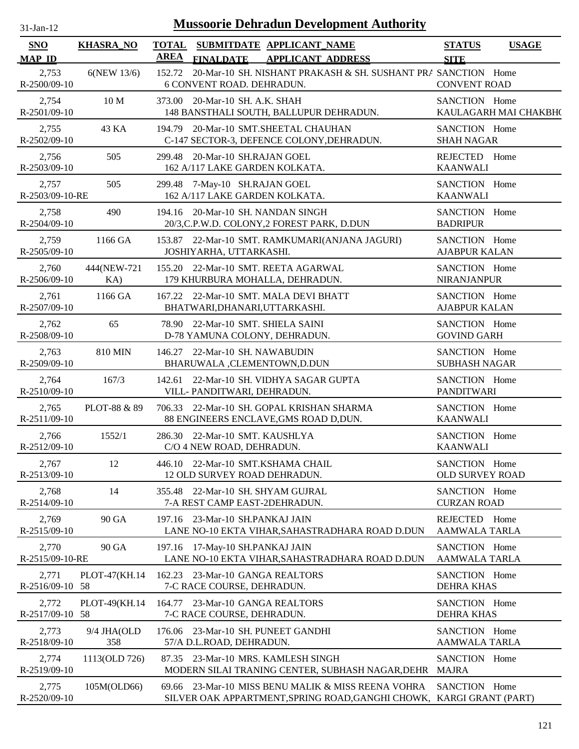| <b>Mussoorie Dehradun Development Authority</b><br>$31$ -Jan-12 |                    |                                                                                                                               |                                              |  |  |  |
|-----------------------------------------------------------------|--------------------|-------------------------------------------------------------------------------------------------------------------------------|----------------------------------------------|--|--|--|
| <b>SNO</b><br><b>MAP ID</b>                                     | <b>KHASRA_NO</b>   | TOTAL SUBMITDATE APPLICANT_NAME<br><b>AREA</b><br><b>APPLICANT ADDRESS</b><br><b>FINALDATE</b>                                | <b>STATUS</b><br><b>USAGE</b><br><b>SITE</b> |  |  |  |
| 2,753<br>R-2500/09-10                                           | 6(NEW 13/6)        | 20-Mar-10 SH. NISHANT PRAKASH & SH. SUSHANT PRA SANCTION Home<br>152.72<br>6 CONVENT ROAD. DEHRADUN.                          | <b>CONVENT ROAD</b>                          |  |  |  |
| 2,754                                                           | 10 M               | 373.00 20-Mar-10 SH. A.K. SHAH                                                                                                | SANCTION Home                                |  |  |  |
| R-2501/09-10                                                    |                    | 148 BANSTHALI SOUTH, BALLUPUR DEHRADUN.                                                                                       | KAULAGARH MAI CHAKBH(                        |  |  |  |
| 2,755                                                           | 43 KA              | 194.79 20-Mar-10 SMT.SHEETAL CHAUHAN                                                                                          | SANCTION Home                                |  |  |  |
| R-2502/09-10                                                    |                    | C-147 SECTOR-3, DEFENCE COLONY, DEHRADUN.                                                                                     | <b>SHAH NAGAR</b>                            |  |  |  |
| 2,756                                                           | 505                | 299.48 20-Mar-10 SH.RAJAN GOEL                                                                                                | REJECTED Home                                |  |  |  |
| $R-2503/09-10$                                                  |                    | 162 A/117 LAKE GARDEN KOLKATA.                                                                                                | <b>KAANWALI</b>                              |  |  |  |
| 2,757                                                           | 505                | 299.48 7-May-10 SH.RAJAN GOEL                                                                                                 | SANCTION Home                                |  |  |  |
| R-2503/09-10-RE                                                 |                    | 162 A/117 LAKE GARDEN KOLKATA.                                                                                                | <b>KAANWALI</b>                              |  |  |  |
| 2,758                                                           | 490                | 194.16 20-Mar-10 SH. NANDAN SINGH                                                                                             | SANCTION Home                                |  |  |  |
| R-2504/09-10                                                    |                    | 20/3, C.P.W.D. COLONY, 2 FOREST PARK, D.DUN                                                                                   | <b>BADRIPUR</b>                              |  |  |  |
| 2,759                                                           | 1166 GA            | 153.87 22-Mar-10 SMT. RAMKUMARI(ANJANA JAGURI)                                                                                | SANCTION Home                                |  |  |  |
| R-2505/09-10                                                    |                    | JOSHIYARHA, UTTARKASHI.                                                                                                       | <b>AJABPUR KALAN</b>                         |  |  |  |
| 2,760                                                           | 444(NEW-721        | 155.20 22-Mar-10 SMT. REETA AGARWAL                                                                                           | SANCTION Home                                |  |  |  |
| R-2506/09-10                                                    | KA)                | 179 KHURBURA MOHALLA, DEHRADUN.                                                                                               | <b>NIRANJANPUR</b>                           |  |  |  |
| 2,761                                                           | 1166 GA            | 167.22 22-Mar-10 SMT. MALA DEVI BHATT                                                                                         | SANCTION Home                                |  |  |  |
| R-2507/09-10                                                    |                    | BHATWARI, DHANARI, UTTARKASHI.                                                                                                | <b>AJABPUR KALAN</b>                         |  |  |  |
| 2,762                                                           | 65                 | 78.90 22-Mar-10 SMT. SHIELA SAINI                                                                                             | SANCTION Home                                |  |  |  |
| R-2508/09-10                                                    |                    | D-78 YAMUNA COLONY, DEHRADUN.                                                                                                 | <b>GOVIND GARH</b>                           |  |  |  |
| 2,763                                                           | <b>810 MIN</b>     | 146.27 22-Mar-10 SH. NAWABUDIN                                                                                                | SANCTION Home                                |  |  |  |
| R-2509/09-10                                                    |                    | BHARUWALA ,CLEMENTOWN,D.DUN                                                                                                   | <b>SUBHASH NAGAR</b>                         |  |  |  |
| 2,764<br>R-2510/09-10                                           | 167/3              | 22-Mar-10 SH. VIDHYA SAGAR GUPTA<br>142.61<br>VILL- PANDITWARI, DEHRADUN.                                                     | SANCTION Home<br><b>PANDITWARI</b>           |  |  |  |
| 2,765                                                           | PLOT-88 & 89       | 706.33 22-Mar-10 SH. GOPAL KRISHAN SHARMA                                                                                     | SANCTION Home                                |  |  |  |
| R-2511/09-10                                                    |                    | 88 ENGINEERS ENCLAVE, GMS ROAD D, DUN.                                                                                        | <b>KAANWALI</b>                              |  |  |  |
| 2,766                                                           | 1552/1             | 286.30 22-Mar-10 SMT. KAUSHLYA                                                                                                | SANCTION Home                                |  |  |  |
| R-2512/09-10                                                    |                    | C/O 4 NEW ROAD, DEHRADUN.                                                                                                     | <b>KAANWALI</b>                              |  |  |  |
| 2,767                                                           | 12                 | 446.10 22-Mar-10 SMT.KSHAMA CHAIL                                                                                             | SANCTION Home                                |  |  |  |
| R-2513/09-10                                                    |                    | 12 OLD SURVEY ROAD DEHRADUN.                                                                                                  | <b>OLD SURVEY ROAD</b>                       |  |  |  |
| 2,768                                                           | 14                 | 355.48 22-Mar-10 SH. SHYAM GUJRAL                                                                                             | SANCTION Home                                |  |  |  |
| R-2514/09-10                                                    |                    | 7-A REST CAMP EAST-2DEHRADUN.                                                                                                 | <b>CURZAN ROAD</b>                           |  |  |  |
| 2,769<br>R-2515/09-10                                           | 90 GA              | 197.16 23-Mar-10 SH.PANKAJ JAIN<br>LANE NO-10 EKTA VIHAR, SAHASTRADHARA ROAD D.DUN                                            | REJECTED<br>Home<br>AAMWALA TARLA            |  |  |  |
| 2,770                                                           | 90 GA              | 197.16 17-May-10 SH.PANKAJ JAIN                                                                                               | SANCTION Home                                |  |  |  |
| R-2515/09-10-RE                                                 |                    | LANE NO-10 EKTA VIHAR, SAHASTRADHARA ROAD D.DUN                                                                               | <b>AAMWALA TARLA</b>                         |  |  |  |
| 2,771                                                           | PLOT-47(KH.14)     | 162.23 23-Mar-10 GANGA REALTORS                                                                                               | SANCTION Home                                |  |  |  |
| R-2516/09-10 58                                                 |                    | 7-C RACE COURSE, DEHRADUN.                                                                                                    | <b>DEHRA KHAS</b>                            |  |  |  |
| 2,772                                                           | PLOT-49(KH.14      | 164.77 23-Mar-10 GANGA REALTORS                                                                                               | SANCTION Home                                |  |  |  |
| R-2517/09-10 58                                                 |                    | 7-C RACE COURSE, DEHRADUN.                                                                                                    | <b>DEHRA KHAS</b>                            |  |  |  |
| 2,773<br>R-2518/09-10                                           | 9/4 JHA(OLD<br>358 | 23-Mar-10 SH. PUNEET GANDHI<br>176.06<br>57/A D.L.ROAD, DEHRADUN.                                                             | SANCTION Home<br>AAMWALA TARLA               |  |  |  |
| 2,774                                                           | 1113(OLD 726)      | 87.35 23-Mar-10 MRS. KAMLESH SINGH                                                                                            | SANCTION Home                                |  |  |  |
| R-2519/09-10                                                    |                    | MODERN SILAI TRANING CENTER, SUBHASH NAGAR, DEHR                                                                              | <b>MAJRA</b>                                 |  |  |  |
| 2,775<br>R-2520/09-10                                           | 105M(OLD66)        | 23-Mar-10 MISS BENU MALIK & MISS REENA VOHRA<br>69.66<br>SILVER OAK APPARTMENT, SPRING ROAD, GANGHI CHOWK, KARGI GRANT (PART) | SANCTION Home                                |  |  |  |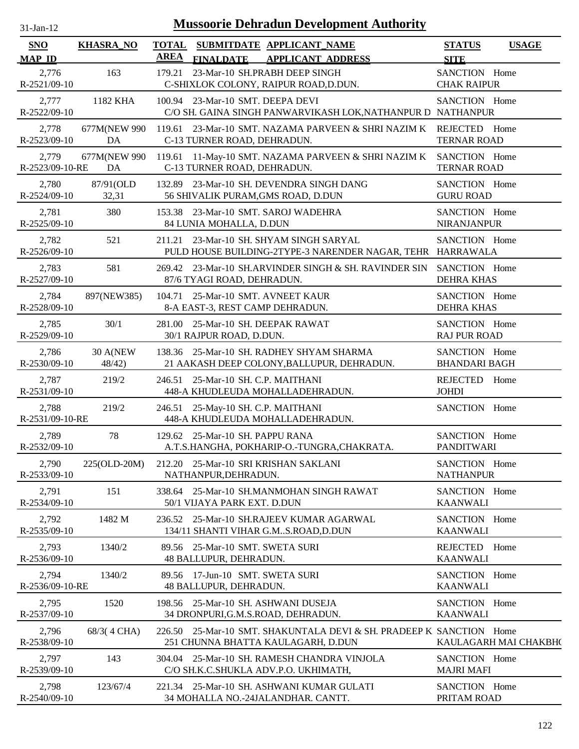| $31$ -Jan-12                |                    |                      | <b>Mussoorie Dehradun Development Authority</b>                                                           |                                       |              |
|-----------------------------|--------------------|----------------------|-----------------------------------------------------------------------------------------------------------|---------------------------------------|--------------|
| <b>SNO</b><br><b>MAP ID</b> | <b>KHASRA_NO</b>   | <b>TOTAL</b><br>AREA | SUBMITDATE APPLICANT_NAME<br><b>FINALDATE</b><br><b>APPLICANT ADDRESS</b>                                 | <b>STATUS</b><br><b>SITE</b>          | <b>USAGE</b> |
| 2,776<br>R-2521/09-10       | 163                | 179.21               | 23-Mar-10 SH.PRABH DEEP SINGH<br>C-SHIXLOK COLONY, RAIPUR ROAD, D.DUN.                                    | SANCTION Home<br><b>CHAK RAIPUR</b>   |              |
| 2,777<br>R-2522/09-10       | 1182 KHA           |                      | 100.94 23-Mar-10 SMT. DEEPA DEVI<br>C/O SH. GAINA SINGH PANWARVIKASH LOK, NATHANPUR D NATHANPUR           | SANCTION Home                         |              |
| 2,778<br>R-2523/09-10       | 677M(NEW 990<br>DA |                      | 119.61 23-Mar-10 SMT. NAZAMA PARVEEN & SHRI NAZIM K<br>C-13 TURNER ROAD, DEHRADUN.                        | REJECTED Home<br><b>TERNAR ROAD</b>   |              |
| 2,779<br>R-2523/09-10-RE    | 677M(NEW 990<br>DA |                      | 119.61 11-May-10 SMT. NAZAMA PARVEEN & SHRI NAZIM K<br>C-13 TURNER ROAD, DEHRADUN.                        | SANCTION Home<br><b>TERNAR ROAD</b>   |              |
| 2,780<br>R-2524/09-10       | 87/91(OLD<br>32,31 | 132.89               | 23-Mar-10 SH. DEVENDRA SINGH DANG<br>56 SHIVALIK PURAM, GMS ROAD, D.DUN                                   | SANCTION Home<br><b>GURU ROAD</b>     |              |
| 2,781<br>R-2525/09-10       | 380                |                      | 153.38 23-Mar-10 SMT. SAROJ WADEHRA<br>84 LUNIA MOHALLA, D.DUN                                            | SANCTION Home<br><b>NIRANJANPUR</b>   |              |
| 2,782<br>R-2526/09-10       | 521                |                      | 211.21 23-Mar-10 SH, SHYAM SINGH SARYAL<br>PULD HOUSE BUILDING-2TYPE-3 NARENDER NAGAR, TEHR HARRAWALA     | SANCTION Home                         |              |
| 2,783<br>R-2527/09-10       | 581                |                      | 269.42 23-Mar-10 SH.ARVINDER SINGH & SH. RAVINDER SIN<br>87/6 TYAGI ROAD, DEHRADUN.                       | SANCTION Home<br><b>DEHRA KHAS</b>    |              |
| 2,784<br>R-2528/09-10       | 897(NEW385)        |                      | 104.71 25-Mar-10 SMT. AVNEET KAUR<br>8-A EAST-3, REST CAMP DEHRADUN.                                      | SANCTION Home<br>DEHRA KHAS           |              |
| 2,785<br>R-2529/09-10       | 30/1               |                      | 281.00 25-Mar-10 SH, DEEPAK RAWAT<br>30/1 RAJPUR ROAD, D.DUN.                                             | SANCTION Home<br><b>RAJ PUR ROAD</b>  |              |
| 2,786<br>R-2530/09-10       | 30 A(NEW<br>48/42) |                      | 138.36 25-Mar-10 SH. RADHEY SHYAM SHARMA<br>21 AAKASH DEEP COLONY, BALLUPUR, DEHRADUN.                    | SANCTION Home<br><b>BHANDARI BAGH</b> |              |
| 2,787<br>R-2531/09-10       | 219/2              |                      | 246.51 25-Mar-10 SH. C.P. MAITHANI<br>448-A KHUDLEUDA MOHALLADEHRADUN.                                    | <b>REJECTED</b><br><b>JOHDI</b>       | Home         |
| 2,788<br>R-2531/09-10-RE    | 219/2              |                      | 246.51 25-May-10 SH. C.P. MAITHANI<br>448-A KHUDLEUDA MOHALLADEHRADUN.                                    | SANCTION Home                         |              |
| 2,789<br>R-2532/09-10       | 78                 |                      | 129.62 25-Mar-10 SH, PAPPU RANA<br>A.T.S.HANGHA, POKHARIP-O.-TUNGRA,CHAKRATA.                             | SANCTION Home<br><b>PANDITWARI</b>    |              |
| 2,790<br>R-2533/09-10       | 225(OLD-20M)       |                      | 212.20 25-Mar-10 SRI KRISHAN SAKLANI<br>NATHANPUR, DEHRADUN.                                              | SANCTION Home<br><b>NATHANPUR</b>     |              |
| 2,791<br>R-2534/09-10       | 151                | 338.64               | 25-Mar-10 SH.MANMOHAN SINGH RAWAT<br>50/1 VIJAYA PARK EXT. D.DUN                                          | SANCTION Home<br><b>KAANWALI</b>      |              |
| 2,792<br>$R-2535/09-10$     | 1482 M             |                      | 236.52 25-Mar-10 SH.RAJEEV KUMAR AGARWAL<br>134/11 SHANTI VIHAR G.MS.ROAD, D.DUN                          | SANCTION Home<br><b>KAANWALI</b>      |              |
| 2,793<br>R-2536/09-10       | 1340/2             |                      | 89.56 25-Mar-10 SMT. SWETA SURI<br>48 BALLUPUR, DEHRADUN.                                                 | REJECTED<br><b>KAANWALI</b>           | Home         |
| 2,794<br>R-2536/09-10-RE    | 1340/2             |                      | 89.56 17-Jun-10 SMT. SWETA SURI<br>48 BALLUPUR, DEHRADUN.                                                 | SANCTION Home<br><b>KAANWALI</b>      |              |
| 2,795<br>R-2537/09-10       | 1520               |                      | 198.56 25-Mar-10 SH. ASHWANI DUSEJA<br>34 DRONPURI, G.M.S.ROAD, DEHRADUN.                                 | SANCTION Home<br><b>KAANWALI</b>      |              |
| 2,796<br>R-2538/09-10       | 68/3(4 CHA)        |                      | 226.50 25-Mar-10 SMT. SHAKUNTALA DEVI & SH. PRADEEP K SANCTION Home<br>251 CHUNNA BHATTA KAULAGARH, D.DUN | KAULAGARH MAI CHAKBH(                 |              |
| 2,797<br>R-2539/09-10       | 143                |                      | 304.04 25-Mar-10 SH. RAMESH CHANDRA VINJOLA<br>C/O SH.K.C.SHUKLA ADV.P.O. UKHIMATH,                       | SANCTION Home<br><b>MAJRI MAFI</b>    |              |
| 2,798<br>R-2540/09-10       | 123/67/4           |                      | 221.34 25-Mar-10 SH. ASHWANI KUMAR GULATI<br>34 MOHALLA NO.-24JALANDHAR. CANTT.                           | SANCTION Home<br>PRITAM ROAD          |              |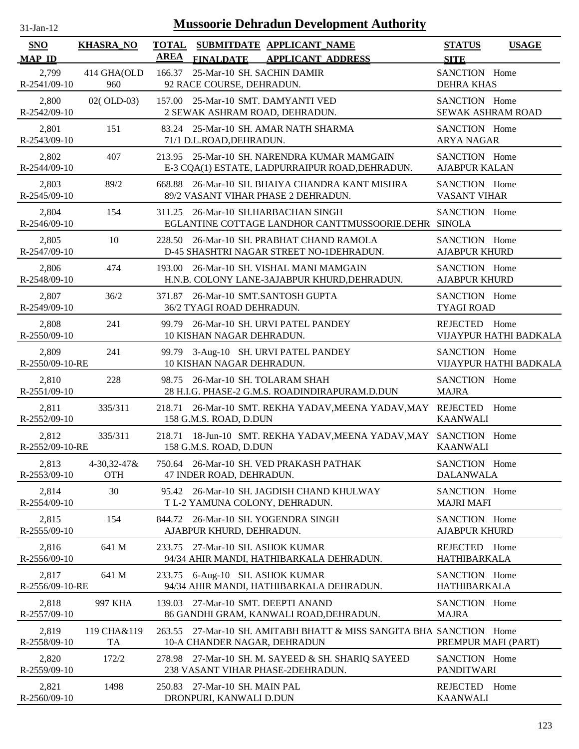| SNO                      | <b>KHASRA_NO</b>                 | <b>TOTAL</b> | SUBMITDATE APPLICANT_NAME                                                                           | <b>STATUS</b>                         | <b>USAGE</b>           |
|--------------------------|----------------------------------|--------------|-----------------------------------------------------------------------------------------------------|---------------------------------------|------------------------|
| <b>MAP ID</b>            |                                  | <b>AREA</b>  | <b>FINALDATE</b><br><b>APPLICANT ADDRESS</b>                                                        | <b>SITE</b>                           |                        |
| 2,799<br>R-2541/09-10    | 414 GHA(OLD<br>960               |              | 166.37 25-Mar-10 SH. SACHIN DAMIR<br>92 RACE COURSE, DEHRADUN.                                      | SANCTION Home<br><b>DEHRA KHAS</b>    |                        |
| 2,800<br>R-2542/09-10    | 02(OLD-03)                       |              | 157.00 25-Mar-10 SMT. DAMYANTI VED<br>2 SEWAK ASHRAM ROAD, DEHRADUN.                                | SANCTION Home<br>SEWAK ASHRAM ROAD    |                        |
| 2,801<br>R-2543/09-10    | 151                              |              | 83.24 25-Mar-10 SH. AMAR NATH SHARMA<br>71/1 D.L.ROAD, DEHRADUN.                                    | SANCTION Home<br><b>ARYA NAGAR</b>    |                        |
| 2,802<br>R-2544/09-10    | 407                              |              | 213.95 25-Mar-10 SH. NARENDRA KUMAR MAMGAIN<br>E-3 CQA(1) ESTATE, LADPURRAIPUR ROAD, DEHRADUN.      | SANCTION Home<br><b>AJABPUR KALAN</b> |                        |
| 2,803<br>R-2545/09-10    | 89/2                             | 668.88       | 26-Mar-10 SH. BHAIYA CHANDRA KANT MISHRA<br>89/2 VASANT VIHAR PHASE 2 DEHRADUN.                     | SANCTION Home<br><b>VASANT VIHAR</b>  |                        |
| 2,804<br>R-2546/09-10    | 154                              |              | 311.25 26-Mar-10 SH.HARBACHAN SINGH<br>EGLANTINE COTTAGE LANDHOR CANTTMUSSOORIE.DEHR SINOLA         | SANCTION Home                         |                        |
| 2,805<br>R-2547/09-10    | 10                               | 228.50       | 26-Mar-10 SH. PRABHAT CHAND RAMOLA<br>D-45 SHASHTRI NAGAR STREET NO-1DEHRADUN.                      | SANCTION Home<br><b>AJABPUR KHURD</b> |                        |
| 2,806<br>R-2548/09-10    | 474                              | 193.00       | 26-Mar-10 SH. VISHAL MANI MAMGAIN<br>H.N.B. COLONY LANE-3AJABPUR KHURD, DEHRADUN.                   | SANCTION Home<br><b>AJABPUR KHURD</b> |                        |
| 2,807<br>R-2549/09-10    | 36/2                             |              | 371.87 26-Mar-10 SMT.SANTOSH GUPTA<br>36/2 TYAGI ROAD DEHRADUN.                                     | SANCTION Home<br><b>TYAGI ROAD</b>    |                        |
| 2,808<br>R-2550/09-10    | 241                              |              | 99.79 26-Mar-10 SH. URVI PATEL PANDEY<br>10 KISHAN NAGAR DEHRADUN.                                  | REJECTED Home                         | VIJAYPUR HATHI BADKALA |
| 2,809<br>R-2550/09-10-RE | 241                              |              | 99.79 3-Aug-10 SH. URVI PATEL PANDEY<br>10 KISHAN NAGAR DEHRADUN.                                   | SANCTION Home                         | VIJAYPUR HATHI BADKALA |
| 2,810<br>R-2551/09-10    | 228                              |              | 98.75 26-Mar-10 SH. TOLARAM SHAH<br>28 H.I.G. PHASE-2 G.M.S. ROADINDIRAPURAM.D.DUN                  | SANCTION Home<br><b>MAJRA</b>         |                        |
| 2,811<br>R-2552/09-10    | 335/311                          |              | 218.71 26-Mar-10 SMT. REKHA YADAV, MEENA YADAV, MAY REJECTED Home<br>158 G.M.S. ROAD, D.DUN         | <b>KAANWALI</b>                       |                        |
| 2,812<br>R-2552/09-10-RE | 335/311                          |              | 218.71 18-Jun-10 SMT. REKHA YADAV, MEENA YADAV, MAY SANCTION Home<br>158 G.M.S. ROAD, D.DUN         | <b>KAANWALI</b>                       |                        |
| 2,813<br>R-2553/09-10    | $4 - 30,32 - 47$ &<br><b>OTH</b> |              | 750.64 26-Mar-10 SH. VED PRAKASH PATHAK<br>47 INDER ROAD, DEHRADUN.                                 | SANCTION Home<br><b>DALANWALA</b>     |                        |
| 2,814<br>R-2554/09-10    | 30                               |              | 95.42 26-Mar-10 SH. JAGDISH CHAND KHULWAY<br>T L-2 YAMUNA COLONY, DEHRADUN.                         | SANCTION Home<br><b>MAJRI MAFI</b>    |                        |
| 2,815<br>R-2555/09-10    | 154                              | 844.72       | 26-Mar-10 SH. YOGENDRA SINGH<br>AJABPUR KHURD, DEHRADUN.                                            | SANCTION Home<br><b>AJABPUR KHURD</b> |                        |
| 2,816<br>R-2556/09-10    | 641 M                            | 233.75       | 27-Mar-10 SH. ASHOK KUMAR<br>94/34 AHIR MANDI, HATHIBARKALA DEHRADUN.                               | REJECTED Home<br><b>HATHIBARKALA</b>  |                        |
| 2,817<br>R-2556/09-10-RE | 641 M                            | 233.75       | 6-Aug-10 SH. ASHOK KUMAR<br>94/34 AHIR MANDI, HATHIBARKALA DEHRADUN.                                | SANCTION Home<br><b>HATHIBARKALA</b>  |                        |
| 2,818<br>R-2557/09-10    | 997 KHA                          | 139.03       | 27-Mar-10 SMT. DEEPTI ANAND<br>86 GANDHI GRAM, KANWALI ROAD, DEHRADUN.                              | SANCTION Home<br><b>MAJRA</b>         |                        |
| 2,819<br>R-2558/09-10    | 119 CHA&119<br>TA                |              | 263.55 27-Mar-10 SH. AMITABH BHATT & MISS SANGITA BHA SANCTION Home<br>10-A CHANDER NAGAR, DEHRADUN | PREMPUR MAFI (PART)                   |                        |
| 2,820<br>R-2559/09-10    | 172/2                            |              | 278.98 27-Mar-10 SH. M. SAYEED & SH. SHARIQ SAYEED<br>238 VASANT VIHAR PHASE-2DEHRADUN.             | SANCTION Home<br><b>PANDITWARI</b>    |                        |
| 2,821<br>R-2560/09-10    | 1498                             |              | 250.83 27-Mar-10 SH. MAIN PAL<br>DRONPURI, KANWALI D.DUN                                            | REJECTED Home<br><b>KAANWALI</b>      |                        |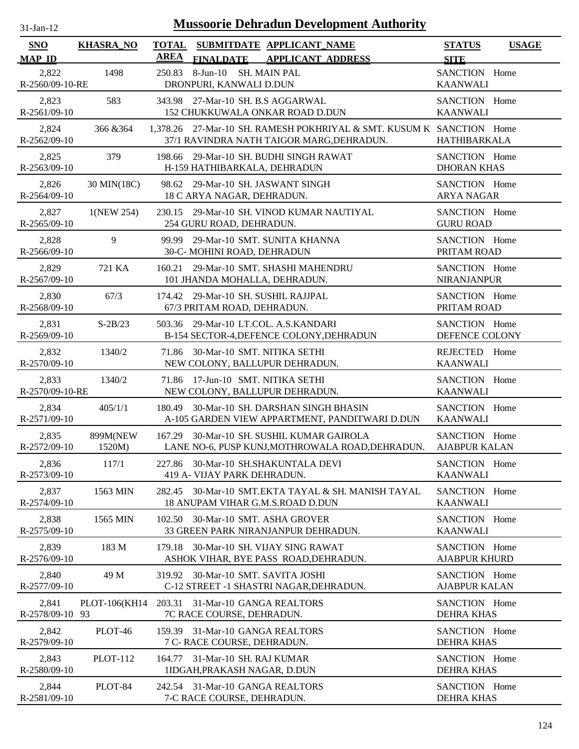| SNO<br><b>MAP ID</b>     | <b>KHASRA_NO</b>   | <b>TOTAL</b><br><b>AREA</b> | SUBMITDATE APPLICANT_NAME                                                                                         | <b>STATUS</b>                                   | <b>USAGE</b> |
|--------------------------|--------------------|-----------------------------|-------------------------------------------------------------------------------------------------------------------|-------------------------------------------------|--------------|
| 2,822<br>R-2560/09-10-RE | 1498               |                             | <b>FINALDATE</b><br><b>APPLICANT ADDRESS</b><br>250.83 8-Jun-10 SH. MAIN PAL<br>DRONPURI, KANWALI D.DUN           | <b>SITE</b><br>SANCTION Home<br><b>KAANWALI</b> |              |
| 2,823<br>R-2561/09-10    | 583                |                             | 343.98 27-Mar-10 SH. B.S AGGARWAL<br>152 CHUKKUWALA ONKAR ROAD D.DUN                                              | SANCTION Home<br><b>KAANWALI</b>                |              |
| 2,824<br>R-2562/09-10    | 366 & 364          |                             | 1,378.26 27-Mar-10 SH. RAMESH POKHRIYAL & SMT. KUSUM K SANCTION Home<br>37/1 RAVINDRA NATH TAIGOR MARG, DEHRADUN. | <b>HATHIBARKALA</b>                             |              |
| 2,825<br>R-2563/09-10    | 379                |                             | 198.66 29-Mar-10 SH. BUDHI SINGH RAWAT<br>H-159 HATHIBARKALA, DEHRADUN                                            | SANCTION Home<br><b>DHORAN KHAS</b>             |              |
| 2,826<br>R-2564/09-10    | 30 MIN(18C)        |                             | 98.62 29-Mar-10 SH. JASWANT SINGH<br>18 C ARYA NAGAR, DEHRADUN.                                                   | SANCTION Home<br><b>ARYA NAGAR</b>              |              |
| 2,827<br>R-2565/09-10    | 1(NEW 254)         | 230.15                      | 29-Mar-10 SH. VINOD KUMAR NAUTIYAL<br>254 GURU ROAD, DEHRADUN.                                                    | SANCTION Home<br><b>GURU ROAD</b>               |              |
| 2,828<br>R-2566/09-10    | 9                  | 99.99                       | 29-Mar-10 SMT. SUNITA KHANNA<br>30-C- MOHINI ROAD, DEHRADUN                                                       | SANCTION Home<br>PRITAM ROAD                    |              |
| 2,829<br>R-2567/09-10    | 721 KA             |                             | 160.21 29-Mar-10 SMT. SHASHI MAHENDRU<br>101 JHANDA MOHALLA, DEHRADUN.                                            | SANCTION Home<br><b>NIRANJANPUR</b>             |              |
| 2,830<br>R-2568/09-10    | 67/3               |                             | 174.42 29-Mar-10 SH. SUSHIL RAJJPAL<br>67/3 PRITAM ROAD, DEHRADUN.                                                | SANCTION Home<br>PRITAM ROAD                    |              |
| 2,831<br>R-2569/09-10    | $S-2B/23$          |                             | 503.36 29-Mar-10 LT.COL. A.S.KANDARI<br>B-154 SECTOR-4, DEFENCE COLONY, DEHRADUN                                  | SANCTION Home<br>DEFENCE COLONY                 |              |
| 2,832<br>R-2570/09-10    | 1340/2             | 71.86                       | 30-Mar-10 SMT. NITIKA SETHI<br>NEW COLONY, BALLUPUR DEHRADUN.                                                     | REJECTED Home<br><b>KAANWALI</b>                |              |
| 2,833<br>R-2570/09-10-RE | 1340/2             |                             | 71.86 17-Jun-10 SMT. NITIKA SETHI<br>NEW COLONY, BALLUPUR DEHRADUN.                                               | SANCTION Home<br><b>KAANWALI</b>                |              |
| 2,834<br>R-2571/09-10    | 405/1/1            |                             | 180.49 30-Mar-10 SH. DARSHAN SINGH BHASIN<br>A-105 GARDEN VIEW APPARTMENT, PANDITWARI D.DUN                       | SANCTION Home<br><b>KAANWALI</b>                |              |
| 2,835<br>R-2572/09-10    | 899M(NEW<br>1520M) |                             | 167.29 30-Mar-10 SH. SUSHIL KUMAR GAIROLA<br>LANE NO-6, PUSP KUNJ, MOTHROWALA ROAD, DEHRADUN.                     | SANCTION Home<br><b>AJABPUR KALAN</b>           |              |
| 2,836<br>R-2573/09-10    | 117/1              |                             | 227.86 30-Mar-10 SH.SHAKUNTALA DEVI<br>419 A- VIJAY PARK DEHRADUN.                                                | SANCTION Home<br><b>KAANWALI</b>                |              |
| 2,837<br>R-2574/09-10    | 1563 MIN           |                             | 282.45 30-Mar-10 SMT.EKTA TAYAL & SH. MANISH TAYAL<br>18 ANUPAM VIHAR G.M.S.ROAD D.DUN                            | SANCTION Home<br><b>KAANWALI</b>                |              |
| 2,838<br>R-2575/09-10    | 1565 MIN           | 102.50                      | 30-Mar-10 SMT. ASHA GROVER<br>33 GREEN PARK NIRANJANPUR DEHRADUN.                                                 | SANCTION Home<br><b>KAANWALI</b>                |              |
| 2,839<br>R-2576/09-10    | 183 M              | 179.18                      | 30-Mar-10 SH. VIJAY SING RAWAT<br>ASHOK VIHAR, BYE PASS ROAD, DEHRADUN.                                           | SANCTION Home<br><b>AJABPUR KHURD</b>           |              |
| 2,840<br>R-2577/09-10    | 49 M               | 319.92                      | 30-Mar-10 SMT. SAVITA JOSHI<br>C-12 STREET -1 SHASTRI NAGAR, DEHRADUN.                                            | SANCTION Home<br><b>AJABPUR KALAN</b>           |              |
| 2,841<br>R-2578/09-10 93 | PLOT-106(KH14      |                             | 203.31 31-Mar-10 GANGA REALTORS<br>7C RACE COURSE, DEHRADUN.                                                      | SANCTION Home<br><b>DEHRA KHAS</b>              |              |
| 2,842<br>R-2579/09-10    | PLOT-46            |                             | 159.39 31-Mar-10 GANGA REALTORS<br>7 C- RACE COURSE, DEHRADUN.                                                    | SANCTION Home<br><b>DEHRA KHAS</b>              |              |
| 2,843<br>R-2580/09-10    | <b>PLOT-112</b>    |                             | 164.77 31-Mar-10 SH. RAJ KUMAR<br>1IDGAH, PRAKASH NAGAR, D.DUN                                                    | SANCTION Home<br><b>DEHRA KHAS</b>              |              |
| 2,844<br>R-2581/09-10    | PLOT-84            |                             | 242.54 31-Mar-10 GANGA REALTORS<br>7-C RACE COURSE, DEHRADUN.                                                     | SANCTION Home<br><b>DEHRA KHAS</b>              |              |